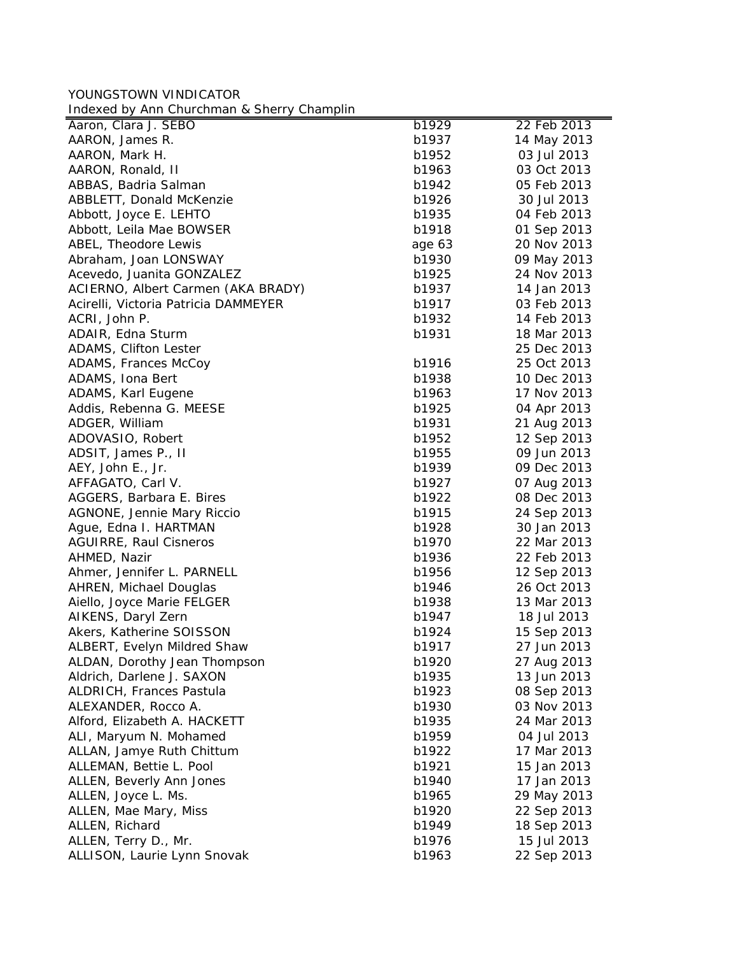YOUNGSTOWN VINDICATOR Indexed by Ann Churchman & Sherry Champlin

| macked by him briditerman a bridity briditipline |        |             |
|--------------------------------------------------|--------|-------------|
| Aaron, Clara J. SEBO                             | b1929  | 22 Feb 2013 |
| AARON, James R.                                  | b1937  | 14 May 2013 |
| AARON, Mark H.                                   | b1952  | 03 Jul 2013 |
| AARON, Ronald, II                                | b1963  | 03 Oct 2013 |
| ABBAS, Badria Salman                             | b1942  | 05 Feb 2013 |
| ABBLETT, Donald McKenzie                         | b1926  | 30 Jul 2013 |
| Abbott, Joyce E. LEHTO                           | b1935  | 04 Feb 2013 |
| Abbott, Leila Mae BOWSER                         | b1918  | 01 Sep 2013 |
| ABEL, Theodore Lewis                             | age 63 | 20 Nov 2013 |
| Abraham, Joan LONSWAY                            | b1930  | 09 May 2013 |
| Acevedo, Juanita GONZALEZ                        | b1925  | 24 Nov 2013 |
| ACIERNO, Albert Carmen (AKA BRADY)               | b1937  | 14 Jan 2013 |
| Acirelli, Victoria Patricia DAMMEYER             | b1917  | 03 Feb 2013 |
| ACRI, John P.                                    | b1932  | 14 Feb 2013 |
| ADAIR, Edna Sturm                                | b1931  | 18 Mar 2013 |
| ADAMS, Clifton Lester                            |        | 25 Dec 2013 |
| ADAMS, Frances McCoy                             | b1916  | 25 Oct 2013 |
| ADAMS, Iona Bert                                 | b1938  | 10 Dec 2013 |
| ADAMS, Karl Eugene                               | b1963  | 17 Nov 2013 |
| Addis, Rebenna G. MEESE                          | b1925  | 04 Apr 2013 |
| ADGER, William                                   | b1931  | 21 Aug 2013 |
| ADOVASIO, Robert                                 | b1952  | 12 Sep 2013 |
| ADSIT, James P., II                              | b1955  | 09 Jun 2013 |
| AEY, John E., Jr.                                | b1939  | 09 Dec 2013 |
| AFFAGATO, Carl V.                                | b1927  | 07 Aug 2013 |
| AGGERS, Barbara E. Bires                         | b1922  | 08 Dec 2013 |
| AGNONE, Jennie Mary Riccio                       | b1915  | 24 Sep 2013 |
| Ague, Edna I. HARTMAN                            | b1928  | 30 Jan 2013 |
| <b>AGUIRRE, Raul Cisneros</b>                    | b1970  | 22 Mar 2013 |
| AHMED, Nazir                                     | b1936  | 22 Feb 2013 |
| Ahmer, Jennifer L. PARNELL                       | b1956  | 12 Sep 2013 |
| <b>AHREN, Michael Douglas</b>                    | b1946  | 26 Oct 2013 |
| Aiello, Joyce Marie FELGER                       | b1938  | 13 Mar 2013 |
| AIKENS, Daryl Zern                               | b1947  | 18 Jul 2013 |
| Akers, Katherine SOISSON                         | b1924  | 15 Sep 2013 |
| ALBERT, Evelyn Mildred Shaw                      | b1917  | 27 Jun 2013 |
| ALDAN, Dorothy Jean Thompson                     | b1920  | 27 Aug 2013 |
| Aldrich, Darlene J. SAXON                        | b1935  | 13 Jun 2013 |
| ALDRICH, Frances Pastula                         | b1923  | 08 Sep 2013 |
|                                                  | b1930  | 03 Nov 2013 |
| ALEXANDER, Rocco A.                              |        | 24 Mar 2013 |
| Alford, Elizabeth A. HACKETT                     | b1935  |             |
| ALI, Maryum N. Mohamed                           | b1959  | 04 Jul 2013 |
| ALLAN, Jamye Ruth Chittum                        | b1922  | 17 Mar 2013 |
| ALLEMAN, Bettie L. Pool                          | b1921  | 15 Jan 2013 |
| ALLEN, Beverly Ann Jones                         | b1940  | 17 Jan 2013 |
| ALLEN, Joyce L. Ms.                              | b1965  | 29 May 2013 |
| ALLEN, Mae Mary, Miss                            | b1920  | 22 Sep 2013 |
| ALLEN, Richard                                   | b1949  | 18 Sep 2013 |
| ALLEN, Terry D., Mr.                             | b1976  | 15 Jul 2013 |
| ALLISON, Laurie Lynn Snovak                      | b1963  | 22 Sep 2013 |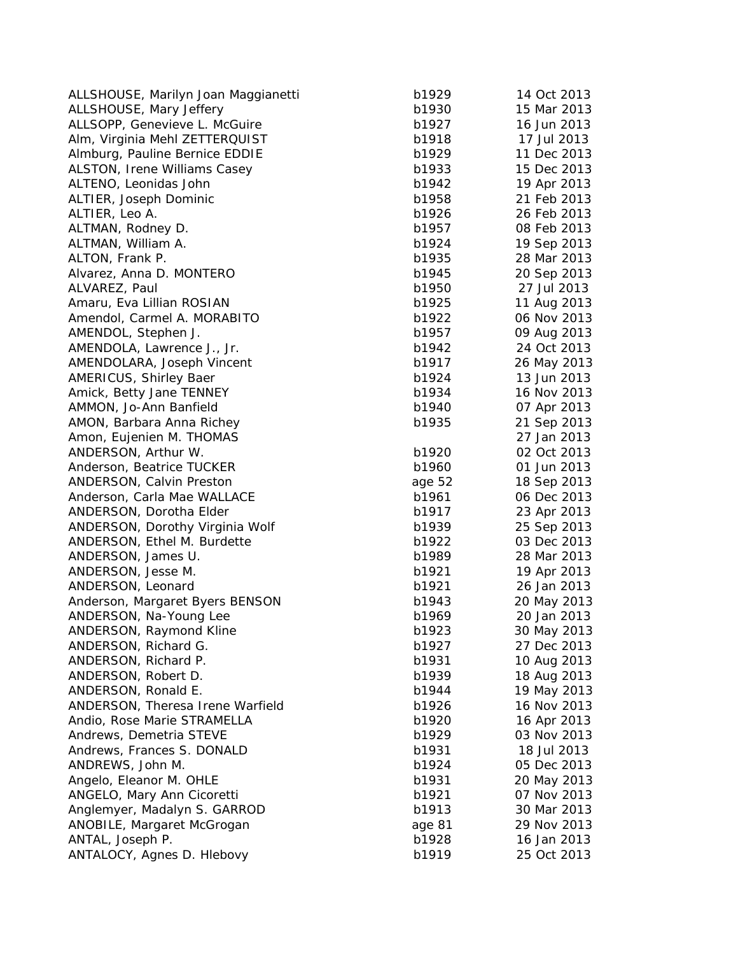| ALLSHOUSE, Marilyn Joan Maggianetti | b1929  | 14 Oct 2013                |
|-------------------------------------|--------|----------------------------|
| ALLSHOUSE, Mary Jeffery             | b1930  | 15 Mar 2013                |
| ALLSOPP, Genevieve L. McGuire       | b1927  | 16 Jun 2013                |
| Alm, Virginia Mehl ZETTERQUIST      | b1918  | 17 Jul 2013                |
| Almburg, Pauline Bernice EDDIE      | b1929  | 11 Dec 2013                |
| ALSTON, Irene Williams Casey        | b1933  | 15 Dec 2013                |
| ALTENO, Leonidas John               | b1942  | 19 Apr 2013                |
| ALTIER, Joseph Dominic              | b1958  | 21 Feb 2013                |
| ALTIER, Leo A.                      | b1926  | 26 Feb 2013                |
| ALTMAN, Rodney D.                   | b1957  | 08 Feb 2013                |
| ALTMAN, William A.                  | b1924  | 19 Sep 2013                |
| ALTON, Frank P.                     | b1935  | 28 Mar 2013                |
| Alvarez, Anna D. MONTERO            | b1945  | 20 Sep 2013                |
| ALVAREZ, Paul                       | b1950  | 27 Jul 2013                |
| Amaru, Eva Lillian ROSIAN           | b1925  | 11 Aug 2013                |
| Amendol, Carmel A. MORABITO         | b1922  | 06 Nov 2013                |
| AMENDOL, Stephen J.                 | b1957  | 09 Aug 2013                |
| AMENDOLA, Lawrence J., Jr.          | b1942  | 24 Oct 2013                |
| AMENDOLARA, Joseph Vincent          | b1917  | 26 May 2013                |
| AMERICUS, Shirley Baer              | b1924  | 13 Jun 2013                |
| Amick, Betty Jane TENNEY            | b1934  | 16 Nov 2013                |
| AMMON, Jo-Ann Banfield              | b1940  | 07 Apr 2013                |
| AMON, Barbara Anna Richey           | b1935  | 21 Sep 2013                |
| Amon, Eujenien M. THOMAS            |        | 27 Jan 2013                |
| ANDERSON, Arthur W.                 | b1920  | 02 Oct 2013                |
| Anderson, Beatrice TUCKER           | b1960  | 01 Jun 2013                |
| ANDERSON, Calvin Preston            | age 52 | 18 Sep 2013                |
| Anderson, Carla Mae WALLACE         | b1961  | 06 Dec 2013                |
| ANDERSON, Dorotha Elder             | b1917  | 23 Apr 2013                |
| ANDERSON, Dorothy Virginia Wolf     | b1939  | 25 Sep 2013                |
| ANDERSON, Ethel M. Burdette         | b1922  | 03 Dec 2013                |
| ANDERSON, James U.                  | b1989  | 28 Mar 2013                |
| ANDERSON, Jesse M.                  | b1921  | 19 Apr 2013                |
| ANDERSON, Leonard                   | b1921  | 26 Jan 2013                |
| Anderson, Margaret Byers BENSON     | b1943  | 20 May 2013                |
| ANDERSON, Na-Young Lee              | b1969  | 20 Jan 2013                |
| ANDERSON, Raymond Kline             | b1923  | 30 May 2013                |
| ANDERSON, Richard G.                | b1927  | 27 Dec 2013                |
| ANDERSON, Richard P.                | b1931  | 10 Aug 2013                |
| ANDERSON, Robert D.                 | b1939  | 18 Aug 2013                |
| ANDERSON, Ronald E.                 | b1944  | 19 May 2013                |
| ANDERSON, Theresa Irene Warfield    | b1926  | 16 Nov 2013                |
| Andio, Rose Marie STRAMELLA         | b1920  | 16 Apr 2013                |
| Andrews, Demetria STEVE             | b1929  | 03 Nov 2013                |
| Andrews, Frances S. DONALD          | b1931  | 18 Jul 2013                |
| ANDREWS, John M.                    | b1924  | 05 Dec 2013                |
| Angelo, Eleanor M. OHLE             | b1931  | 20 May 2013                |
|                                     |        |                            |
| ANGELO, Mary Ann Cicoretti          | b1921  | 07 Nov 2013<br>30 Mar 2013 |
| Anglemyer, Madalyn S. GARROD        | b1913  |                            |
| ANOBILE, Margaret McGrogan          | age 81 | 29 Nov 2013                |
| ANTAL, Joseph P.                    | b1928  | 16 Jan 2013                |
| ANTALOCY, Agnes D. Hlebovy          | b1919  | 25 Oct 2013                |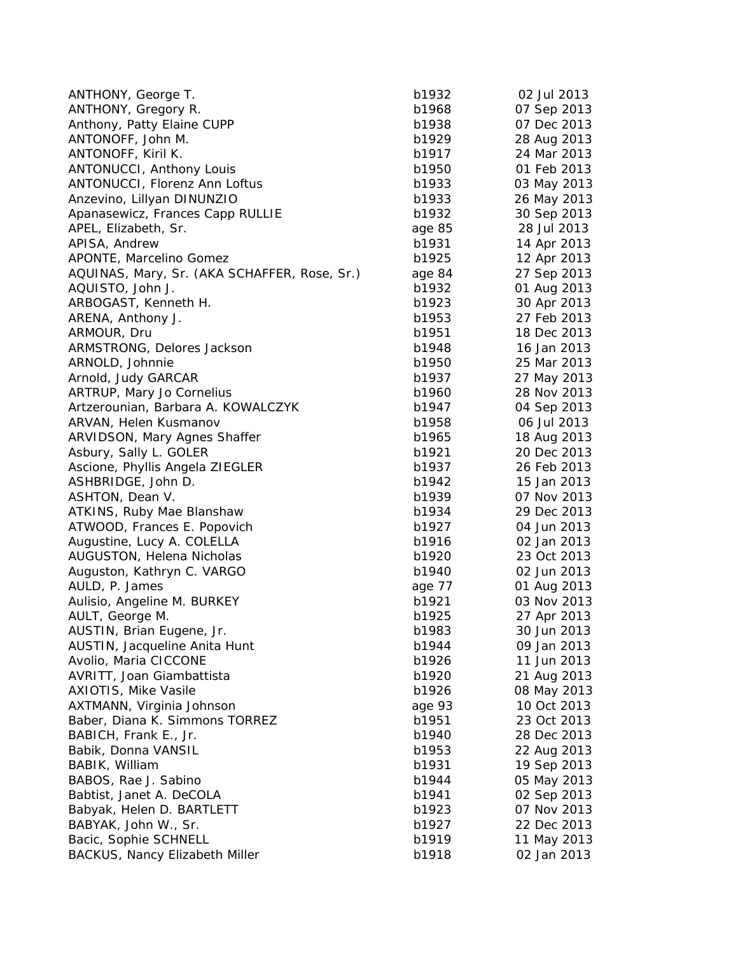| ANTHONY, George T.                           | b1932           | 02 Jul 2013 |
|----------------------------------------------|-----------------|-------------|
| ANTHONY, Gregory R.                          | b1968           | 07 Sep 2013 |
| Anthony, Patty Elaine CUPP                   | b1938           | 07 Dec 2013 |
| ANTONOFF, John M.                            | b1929           | 28 Aug 2013 |
| ANTONOFF, Kiril K.                           | b1917           | 24 Mar 2013 |
| <b>ANTONUCCI, Anthony Louis</b>              | b1950           | 01 Feb 2013 |
| ANTONUCCI, Florenz Ann Loftus                | b1933           | 03 May 2013 |
| Anzevino, Lillyan DINUNZIO                   | b1933           | 26 May 2013 |
| Apanasewicz, Frances Capp RULLIE             | b1932           | 30 Sep 2013 |
| APEL, Elizabeth, Sr.                         | age 85          | 28 Jul 2013 |
| APISA, Andrew                                | b1931           | 14 Apr 2013 |
| APONTE, Marcelino Gomez                      | b1925           | 12 Apr 2013 |
| AQUINAS, Mary, Sr. (AKA SCHAFFER, Rose, Sr.) | age 84          | 27 Sep 2013 |
| AQUISTO, John J.                             | b1932           | 01 Aug 2013 |
| ARBOGAST, Kenneth H.                         | b1923           | 30 Apr 2013 |
| ARENA, Anthony J.                            | b1953           | 27 Feb 2013 |
| ARMOUR, Dru                                  | b1951           | 18 Dec 2013 |
| ARMSTRONG, Delores Jackson                   | b1948           | 16 Jan 2013 |
| ARNOLD, Johnnie                              | b1950           | 25 Mar 2013 |
| Arnold, Judy GARCAR                          | b1937           | 27 May 2013 |
| ARTRUP, Mary Jo Cornelius                    | b1960           | 28 Nov 2013 |
| Artzerounian, Barbara A. KOWALCZYK           | b1947           | 04 Sep 2013 |
| ARVAN, Helen Kusmanov                        | b1958           | 06 Jul 2013 |
| ARVIDSON, Mary Agnes Shaffer                 | b1965           | 18 Aug 2013 |
| Asbury, Sally L. GOLER                       | b1921           | 20 Dec 2013 |
| Ascione, Phyllis Angela ZIEGLER              | b1937           | 26 Feb 2013 |
| ASHBRIDGE, John D.                           | b1942           | 15 Jan 2013 |
| ASHTON, Dean V.                              | b1939           | 07 Nov 2013 |
| ATKINS, Ruby Mae Blanshaw                    | b1934           | 29 Dec 2013 |
| ATWOOD, Frances E. Popovich                  | b1927           | 04 Jun 2013 |
| Augustine, Lucy A. COLELLA                   | b1916           | 02 Jan 2013 |
| AUGUSTON, Helena Nicholas                    | b1920           | 23 Oct 2013 |
|                                              | b1940           | 02 Jun 2013 |
| Auguston, Kathryn C. VARGO                   |                 |             |
| AULD, P. James                               | age 77<br>b1921 | 01 Aug 2013 |
| Aulisio, Angeline M. BURKEY                  |                 | 03 Nov 2013 |
| AULT, George M.                              | b1925           | 27 Apr 2013 |
| AUSTIN, Brian Eugene, Jr.                    | b1983           | 30 Jun 2013 |
| AUSTIN, Jacqueline Anita Hunt                | b1944           | 09 Jan 2013 |
| Avolio, Maria CICCONE                        | b1926           | 11 Jun 2013 |
| AVRITT, Joan Giambattista                    | b1920           | 21 Aug 2013 |
| <b>AXIOTIS, Mike Vasile</b>                  | b1926           | 08 May 2013 |
| AXTMANN, Virginia Johnson                    | age 93          | 10 Oct 2013 |
| Baber, Diana K. Simmons TORREZ               | b1951           | 23 Oct 2013 |
| BABICH, Frank E., Jr.                        | b1940           | 28 Dec 2013 |
| Babik, Donna VANSIL                          | b1953           | 22 Aug 2013 |
| BABIK, William                               | b1931           | 19 Sep 2013 |
| BABOS, Rae J. Sabino                         | b1944           | 05 May 2013 |
| Babtist, Janet A. DeCOLA                     | b1941           | 02 Sep 2013 |
| Babyak, Helen D. BARTLETT                    | b1923           | 07 Nov 2013 |
| BABYAK, John W., Sr.                         | b1927           | 22 Dec 2013 |
| Bacic, Sophie SCHNELL                        | b1919           | 11 May 2013 |
| <b>BACKUS, Nancy Elizabeth Miller</b>        | b1918           | 02 Jan 2013 |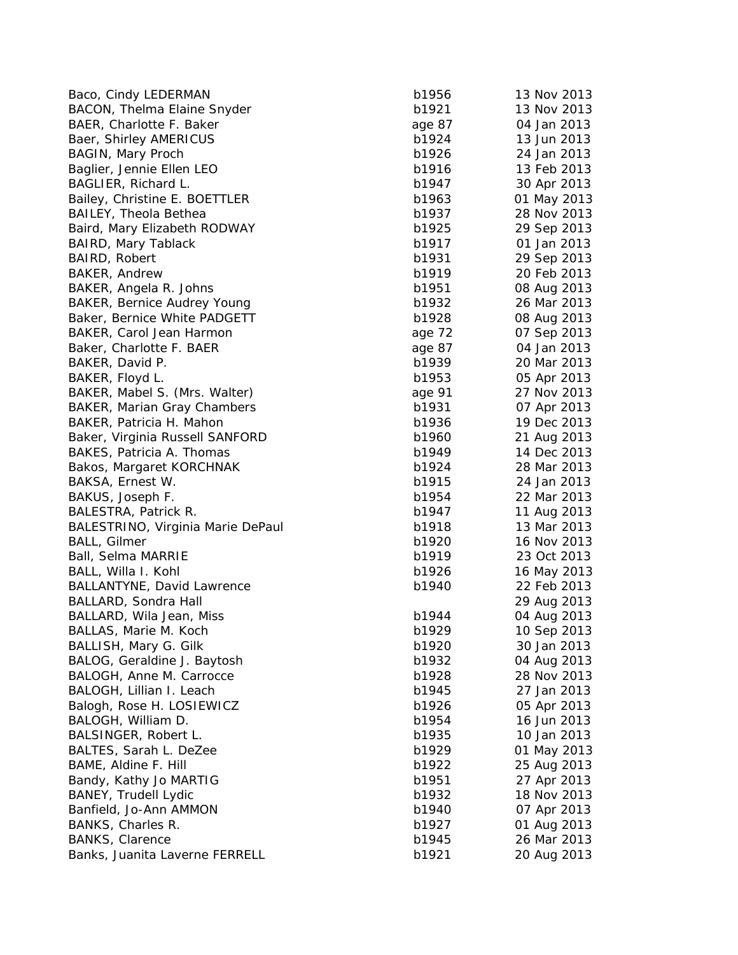| Baco, Cindy LEDERMAN              | b1956  | 13 Nov 2013 |
|-----------------------------------|--------|-------------|
| BACON, Thelma Elaine Snyder       | b1921  | 13 Nov 2013 |
| BAER, Charlotte F. Baker          | age 87 | 04 Jan 2013 |
| Baer, Shirley AMERICUS            | b1924  | 13 Jun 2013 |
| <b>BAGIN, Mary Proch</b>          | b1926  | 24 Jan 2013 |
| Baglier, Jennie Ellen LEO         | b1916  | 13 Feb 2013 |
| BAGLIER, Richard L.               | b1947  | 30 Apr 2013 |
| Bailey, Christine E. BOETTLER     | b1963  | 01 May 2013 |
| <b>BAILEY, Theola Bethea</b>      | b1937  | 28 Nov 2013 |
| Baird, Mary Elizabeth RODWAY      | b1925  | 29 Sep 2013 |
| <b>BAIRD, Mary Tablack</b>        | b1917  | 01 Jan 2013 |
| BAIRD, Robert                     | b1931  | 29 Sep 2013 |
| BAKER, Andrew                     | b1919  | 20 Feb 2013 |
| BAKER, Angela R. Johns            | b1951  | 08 Aug 2013 |
| BAKER, Bernice Audrey Young       | b1932  | 26 Mar 2013 |
| Baker, Bernice White PADGETT      | b1928  | 08 Aug 2013 |
| BAKER, Carol Jean Harmon          | age 72 | 07 Sep 2013 |
| Baker, Charlotte F. BAER          | age 87 | 04 Jan 2013 |
| BAKER, David P.                   | b1939  | 20 Mar 2013 |
| BAKER, Floyd L.                   | b1953  | 05 Apr 2013 |
| BAKER, Mabel S. (Mrs. Walter)     | age 91 | 27 Nov 2013 |
| BAKER, Marian Gray Chambers       | b1931  | 07 Apr 2013 |
| BAKER, Patricia H. Mahon          | b1936  | 19 Dec 2013 |
| Baker, Virginia Russell SANFORD   | b1960  | 21 Aug 2013 |
| BAKES, Patricia A. Thomas         | b1949  | 14 Dec 2013 |
| Bakos, Margaret KORCHNAK          | b1924  | 28 Mar 2013 |
| BAKSA, Ernest W.                  | b1915  | 24 Jan 2013 |
| BAKUS, Joseph F.                  | b1954  | 22 Mar 2013 |
| BALESTRA, Patrick R.              | b1947  | 11 Aug 2013 |
| BALESTRINO, Virginia Marie DePaul | b1918  | 13 Mar 2013 |
| <b>BALL, Gilmer</b>               | b1920  | 16 Nov 2013 |
| Ball, Selma MARRIE                | b1919  | 23 Oct 2013 |
| BALL, Willa I. Kohl               | b1926  | 16 May 2013 |
| <b>BALLANTYNE, David Lawrence</b> | b1940  | 22 Feb 2013 |
| BALLARD, Sondra Hall              |        | 29 Aug 2013 |
| BALLARD, Wila Jean, Miss          | b1944  | 04 Aug 2013 |
| BALLAS, Marie M. Koch             | b1929  | 10 Sep 2013 |
| BALLISH, Mary G. Gilk             | b1920  | 30 Jan 2013 |
| BALOG, Geraldine J. Baytosh       | b1932  | 04 Aug 2013 |
| BALOGH, Anne M. Carrocce          | b1928  | 28 Nov 2013 |
| BALOGH, Lillian I. Leach          | b1945  | 27 Jan 2013 |
| Balogh, Rose H. LOSIEWICZ         | b1926  | 05 Apr 2013 |
| BALOGH, William D.                | b1954  | 16 Jun 2013 |
| BALSINGER, Robert L.              | b1935  | 10 Jan 2013 |
| BALTES, Sarah L. DeZee            | b1929  | 01 May 2013 |
| BAME, Aldine F. Hill              | b1922  | 25 Aug 2013 |
| Bandy, Kathy Jo MARTIG            | b1951  | 27 Apr 2013 |
| <b>BANEY, Trudell Lydic</b>       | b1932  | 18 Nov 2013 |
| Banfield, Jo-Ann AMMON            | b1940  | 07 Apr 2013 |
| BANKS, Charles R.                 | b1927  | 01 Aug 2013 |
| <b>BANKS, Clarence</b>            | b1945  | 26 Mar 2013 |
| Banks, Juanita Laverne FERRELL    | b1921  | 20 Aug 2013 |
|                                   |        |             |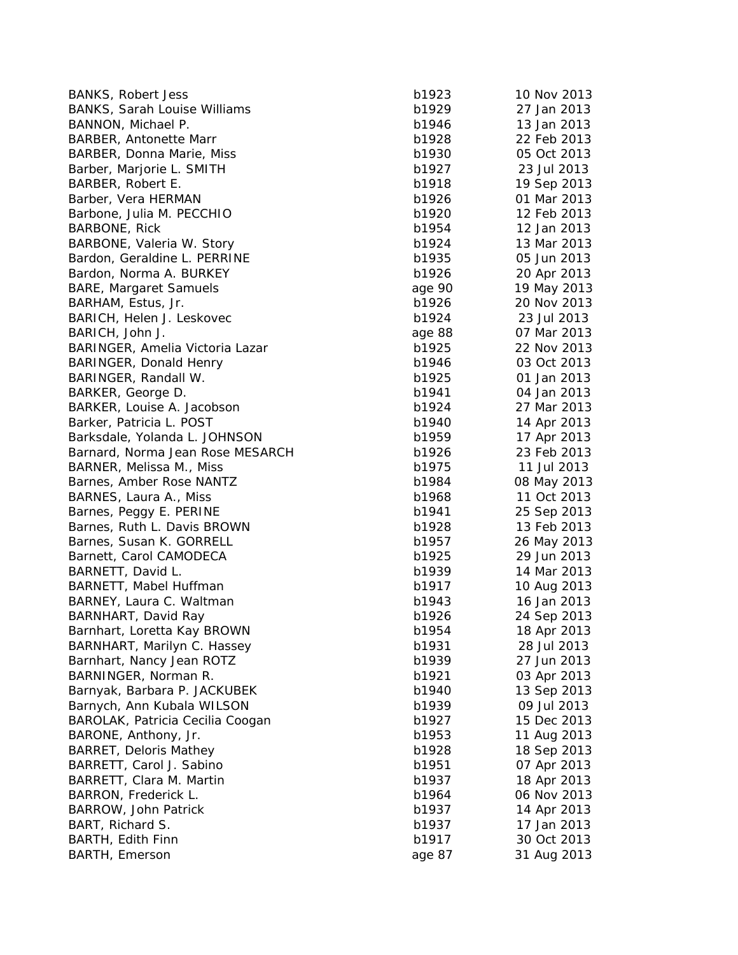| <b>BANKS, Robert Jess</b>           | b1923  | 10 Nov 2013 |
|-------------------------------------|--------|-------------|
| <b>BANKS, Sarah Louise Williams</b> | b1929  | 27 Jan 2013 |
| BANNON, Michael P.                  | b1946  | 13 Jan 2013 |
| <b>BARBER, Antonette Marr</b>       | b1928  | 22 Feb 2013 |
| BARBER, Donna Marie, Miss           | b1930  | 05 Oct 2013 |
| Barber, Marjorie L. SMITH           | b1927  | 23 Jul 2013 |
| BARBER, Robert E.                   | b1918  | 19 Sep 2013 |
| Barber, Vera HERMAN                 | b1926  | 01 Mar 2013 |
| Barbone, Julia M. PECCHIO           | b1920  | 12 Feb 2013 |
| <b>BARBONE, Rick</b>                | b1954  | 12 Jan 2013 |
| BARBONE, Valeria W. Story           | b1924  | 13 Mar 2013 |
| Bardon, Geraldine L. PERRINE        | b1935  | 05 Jun 2013 |
| Bardon, Norma A. BURKEY             | b1926  | 20 Apr 2013 |
| <b>BARE, Margaret Samuels</b>       | age 90 | 19 May 2013 |
| BARHAM, Estus, Jr.                  | b1926  | 20 Nov 2013 |
| BARICH, Helen J. Leskovec           | b1924  | 23 Jul 2013 |
| BARICH, John J.                     | age 88 | 07 Mar 2013 |
| BARINGER, Amelia Victoria Lazar     | b1925  | 22 Nov 2013 |
| BARINGER, Donald Henry              | b1946  | 03 Oct 2013 |
|                                     | b1925  | 01 Jan 2013 |
| BARINGER, Randall W.                | b1941  | 04 Jan 2013 |
| BARKER, George D.                   | b1924  |             |
| BARKER, Louise A. Jacobson          |        | 27 Mar 2013 |
| Barker, Patricia L. POST            | b1940  | 14 Apr 2013 |
| Barksdale, Yolanda L. JOHNSON       | b1959  | 17 Apr 2013 |
| Barnard, Norma Jean Rose MESARCH    | b1926  | 23 Feb 2013 |
| BARNER, Melissa M., Miss            | b1975  | 11 Jul 2013 |
| Barnes, Amber Rose NANTZ            | b1984  | 08 May 2013 |
| BARNES, Laura A., Miss              | b1968  | 11 Oct 2013 |
| Barnes, Peggy E. PERINE             | b1941  | 25 Sep 2013 |
| Barnes, Ruth L. Davis BROWN         | b1928  | 13 Feb 2013 |
| Barnes, Susan K. GORRELL            | b1957  | 26 May 2013 |
| Barnett, Carol CAMODECA             | b1925  | 29 Jun 2013 |
| BARNETT, David L.                   | b1939  | 14 Mar 2013 |
| BARNETT, Mabel Huffman              | b1917  | 10 Aug 2013 |
| BARNEY, Laura C. Waltman            | b1943  | 16 Jan 2013 |
| BARNHART, David Ray                 | b1926  | 24 Sep 2013 |
| Barnhart, Loretta Kay BROWN         | b1954  | 18 Apr 2013 |
| BARNHART, Marilyn C. Hassey         | b1931  | 28 Jul 2013 |
| Barnhart, Nancy Jean ROTZ           | b1939  | 27 Jun 2013 |
| BARNINGER, Norman R.                | b1921  | 03 Apr 2013 |
| Barnyak, Barbara P. JACKUBEK        | b1940  | 13 Sep 2013 |
| Barnych, Ann Kubala WILSON          | b1939  | 09 Jul 2013 |
| BAROLAK, Patricia Cecilia Coogan    | b1927  | 15 Dec 2013 |
| BARONE, Anthony, Jr.                | b1953  | 11 Aug 2013 |
| <b>BARRET, Deloris Mathey</b>       | b1928  | 18 Sep 2013 |
| BARRETT, Carol J. Sabino            | b1951  | 07 Apr 2013 |
| BARRETT, Clara M. Martin            | b1937  | 18 Apr 2013 |
| BARRON, Frederick L.                | b1964  | 06 Nov 2013 |
| BARROW, John Patrick                | b1937  | 14 Apr 2013 |
| BART, Richard S.                    | b1937  | 17 Jan 2013 |
| BARTH, Edith Finn                   | b1917  | 30 Oct 2013 |
| BARTH, Emerson                      | age 87 | 31 Aug 2013 |
|                                     |        |             |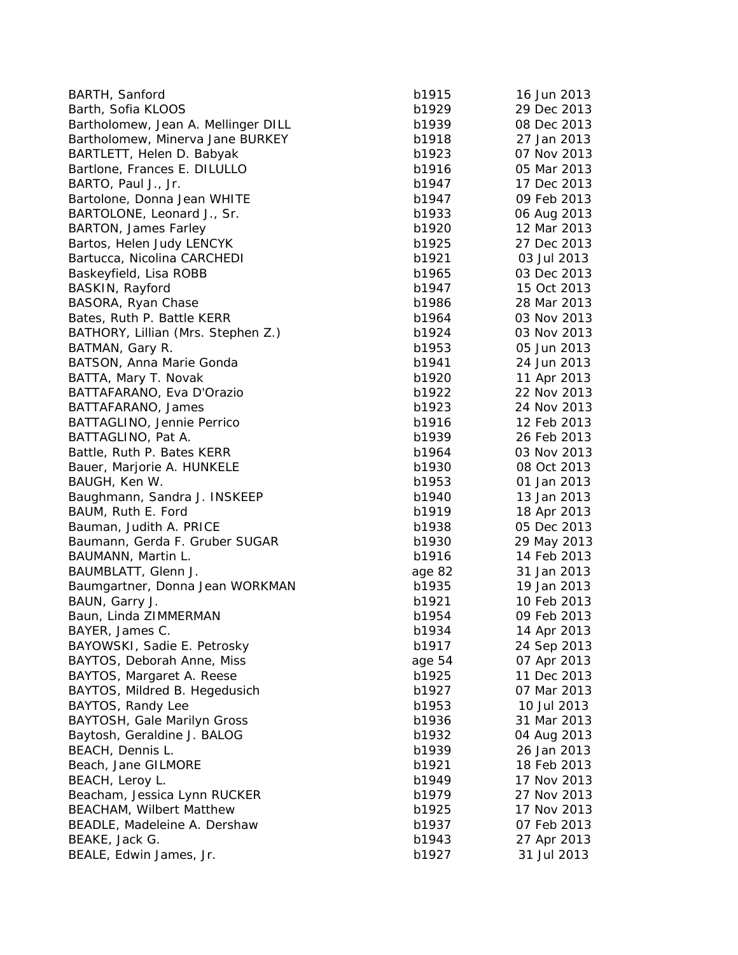| BARTH, Sanford                      | b1915  | 16 Jun 2013 |
|-------------------------------------|--------|-------------|
| Barth, Sofia KLOOS                  | b1929  | 29 Dec 2013 |
| Bartholomew, Jean A. Mellinger DILL | b1939  | 08 Dec 2013 |
| Bartholomew, Minerva Jane BURKEY    | b1918  | 27 Jan 2013 |
| BARTLETT, Helen D. Babyak           | b1923  | 07 Nov 2013 |
| Bartlone, Frances E. DILULLO        | b1916  | 05 Mar 2013 |
| BARTO, Paul J., Jr.                 | b1947  | 17 Dec 2013 |
| Bartolone, Donna Jean WHITE         | b1947  | 09 Feb 2013 |
| BARTOLONE, Leonard J., Sr.          | b1933  | 06 Aug 2013 |
| BARTON, James Farley                | b1920  | 12 Mar 2013 |
| Bartos, Helen Judy LENCYK           | b1925  | 27 Dec 2013 |
| Bartucca, Nicolina CARCHEDI         | b1921  | 03 Jul 2013 |
| Baskeyfield, Lisa ROBB              | b1965  | 03 Dec 2013 |
| BASKIN, Rayford                     | b1947  | 15 Oct 2013 |
| BASORA, Ryan Chase                  | b1986  | 28 Mar 2013 |
| Bates, Ruth P. Battle KERR          | b1964  | 03 Nov 2013 |
| BATHORY, Lillian (Mrs. Stephen Z.)  | b1924  | 03 Nov 2013 |
| BATMAN, Gary R.                     | b1953  | 05 Jun 2013 |
| BATSON, Anna Marie Gonda            | b1941  | 24 Jun 2013 |
| BATTA, Mary T. Novak                | b1920  | 11 Apr 2013 |
| BATTAFARANO, Eva D'Orazio           | b1922  | 22 Nov 2013 |
| BATTAFARANO, James                  | b1923  | 24 Nov 2013 |
| BATTAGLINO, Jennie Perrico          | b1916  | 12 Feb 2013 |
| BATTAGLINO, Pat A.                  | b1939  | 26 Feb 2013 |
| Battle, Ruth P. Bates KERR          | b1964  | 03 Nov 2013 |
| Bauer, Marjorie A. HUNKELE          | b1930  | 08 Oct 2013 |
| BAUGH, Ken W.                       | b1953  | 01 Jan 2013 |
| Baughmann, Sandra J. INSKEEP        | b1940  | 13 Jan 2013 |
| BAUM, Ruth E. Ford                  | b1919  | 18 Apr 2013 |
| Bauman, Judith A. PRICE             | b1938  | 05 Dec 2013 |
| Baumann, Gerda F. Gruber SUGAR      | b1930  | 29 May 2013 |
| BAUMANN, Martin L.                  | b1916  | 14 Feb 2013 |
| BAUMBLATT, Glenn J.                 | age 82 | 31 Jan 2013 |
| Baumgartner, Donna Jean WORKMAN     | b1935  | 19 Jan 2013 |
| BAUN, Garry J.                      | b1921  | 10 Feb 2013 |
| Baun, Linda ZIMMERMAN               | b1954  | 09 Feb 2013 |
| BAYER, James C.                     | b1934  | 14 Apr 2013 |
| BAYOWSKI, Sadie E. Petrosky         | b1917  | 24 Sep 2013 |
| BAYTOS, Deborah Anne, Miss          | age 54 | 07 Apr 2013 |
| BAYTOS, Margaret A. Reese           | b1925  | 11 Dec 2013 |
| BAYTOS, Mildred B. Hegedusich       | b1927  | 07 Mar 2013 |
| BAYTOS, Randy Lee                   | b1953  | 10 Jul 2013 |
| BAYTOSH, Gale Marilyn Gross         | b1936  | 31 Mar 2013 |
| Baytosh, Geraldine J. BALOG         | b1932  | 04 Aug 2013 |
| BEACH, Dennis L.                    | b1939  | 26 Jan 2013 |
| Beach, Jane GILMORE                 | b1921  | 18 Feb 2013 |
| BEACH, Leroy L.                     | b1949  | 17 Nov 2013 |
| Beacham, Jessica Lynn RUCKER        | b1979  | 27 Nov 2013 |
| <b>BEACHAM, Wilbert Matthew</b>     | b1925  | 17 Nov 2013 |
| BEADLE, Madeleine A. Dershaw        | b1937  | 07 Feb 2013 |
| BEAKE, Jack G.                      | b1943  | 27 Apr 2013 |
| BEALE, Edwin James, Jr.             | b1927  | 31 Jul 2013 |
|                                     |        |             |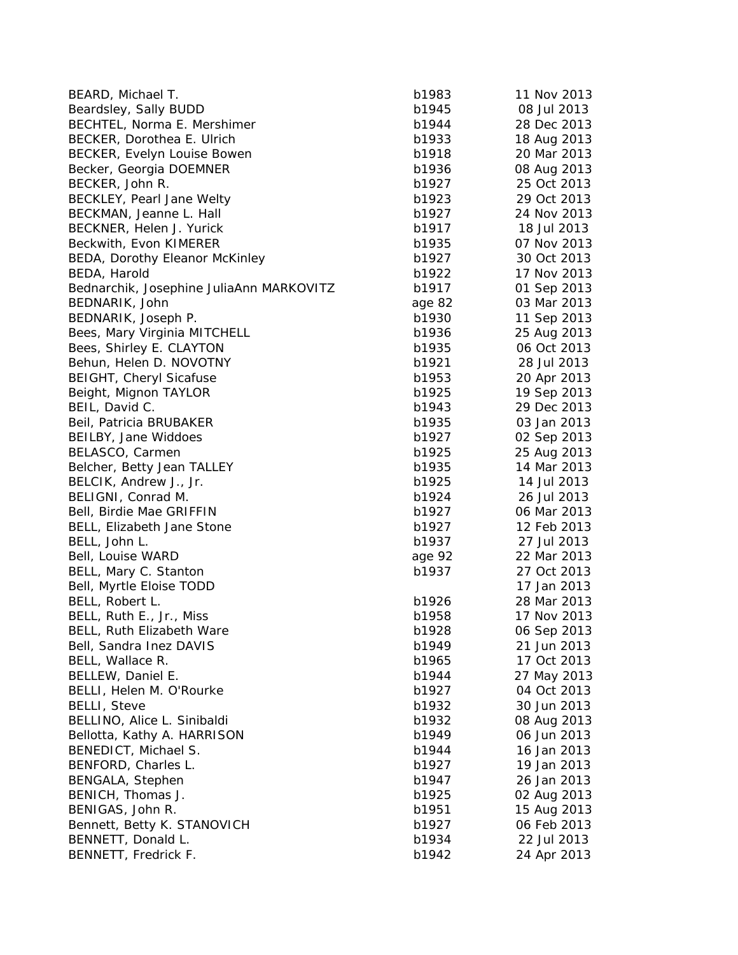| BEARD, Michael T.                        | b1983  | 11 Nov 2013 |
|------------------------------------------|--------|-------------|
| Beardsley, Sally BUDD                    | b1945  | 08 Jul 2013 |
| BECHTEL, Norma E. Mershimer              | b1944  | 28 Dec 2013 |
| BECKER, Dorothea E. Ulrich               | b1933  | 18 Aug 2013 |
| BECKER, Evelyn Louise Bowen              | b1918  | 20 Mar 2013 |
| Becker, Georgia DOEMNER                  | b1936  | 08 Aug 2013 |
| BECKER, John R.                          | b1927  | 25 Oct 2013 |
| BECKLEY, Pearl Jane Welty                | b1923  | 29 Oct 2013 |
| BECKMAN, Jeanne L. Hall                  | b1927  | 24 Nov 2013 |
| BECKNER, Helen J. Yurick                 | b1917  | 18 Jul 2013 |
| Beckwith, Evon KIMERER                   | b1935  | 07 Nov 2013 |
| BEDA, Dorothy Eleanor McKinley           | b1927  | 30 Oct 2013 |
| BEDA, Harold                             | b1922  | 17 Nov 2013 |
| Bednarchik, Josephine JuliaAnn MARKOVITZ | b1917  | 01 Sep 2013 |
| BEDNARIK, John                           | age 82 | 03 Mar 2013 |
| BEDNARIK, Joseph P.                      | b1930  | 11 Sep 2013 |
| Bees, Mary Virginia MITCHELL             | b1936  | 25 Aug 2013 |
| Bees, Shirley E. CLAYTON                 | b1935  | 06 Oct 2013 |
| Behun, Helen D. NOVOTNY                  | b1921  | 28 Jul 2013 |
| <b>BEIGHT, Cheryl Sicafuse</b>           | b1953  | 20 Apr 2013 |
| Beight, Mignon TAYLOR                    | b1925  | 19 Sep 2013 |
| BEIL, David C.                           | b1943  | 29 Dec 2013 |
| Beil, Patricia BRUBAKER                  | b1935  | 03 Jan 2013 |
| BEILBY, Jane Widdoes                     | b1927  | 02 Sep 2013 |
| BELASCO, Carmen                          | b1925  | 25 Aug 2013 |
| Belcher, Betty Jean TALLEY               | b1935  | 14 Mar 2013 |
| BELCIK, Andrew J., Jr.                   | b1925  | 14 Jul 2013 |
| BELIGNI, Conrad M.                       | b1924  | 26 Jul 2013 |
| Bell, Birdie Mae GRIFFIN                 | b1927  | 06 Mar 2013 |
| BELL, Elizabeth Jane Stone               | b1927  | 12 Feb 2013 |
| BELL, John L.                            | b1937  | 27 Jul 2013 |
| Bell, Louise WARD                        | age 92 | 22 Mar 2013 |
| BELL, Mary C. Stanton                    | b1937  | 27 Oct 2013 |
| Bell, Myrtle Eloise TODD                 |        | 17 Jan 2013 |
| BELL, Robert L.                          | b1926  | 28 Mar 2013 |
| BELL, Ruth E., Jr., Miss                 | b1958  | 17 Nov 2013 |
| BELL, Ruth Elizabeth Ware                | b1928  | 06 Sep 2013 |
| Bell, Sandra Inez DAVIS                  | b1949  | 21 Jun 2013 |
| BELL, Wallace R.                         | b1965  | 17 Oct 2013 |
| BELLEW, Daniel E.                        | b1944  | 27 May 2013 |
| BELLI, Helen M. O'Rourke                 | b1927  | 04 Oct 2013 |
| <b>BELLI, Steve</b>                      | b1932  | 30 Jun 2013 |
| BELLINO, Alice L. Sinibaldi              | b1932  | 08 Aug 2013 |
| Bellotta, Kathy A. HARRISON              | b1949  | 06 Jun 2013 |
| BENEDICT, Michael S.                     | b1944  | 16 Jan 2013 |
| BENFORD, Charles L.                      | b1927  | 19 Jan 2013 |
| BENGALA, Stephen                         | b1947  | 26 Jan 2013 |
| BENICH, Thomas J.                        | b1925  | 02 Aug 2013 |
| BENIGAS, John R.                         | b1951  | 15 Aug 2013 |
| Bennett, Betty K. STANOVICH              | b1927  | 06 Feb 2013 |
| BENNETT, Donald L.                       | b1934  | 22 Jul 2013 |
| BENNETT, Fredrick F.                     | b1942  | 24 Apr 2013 |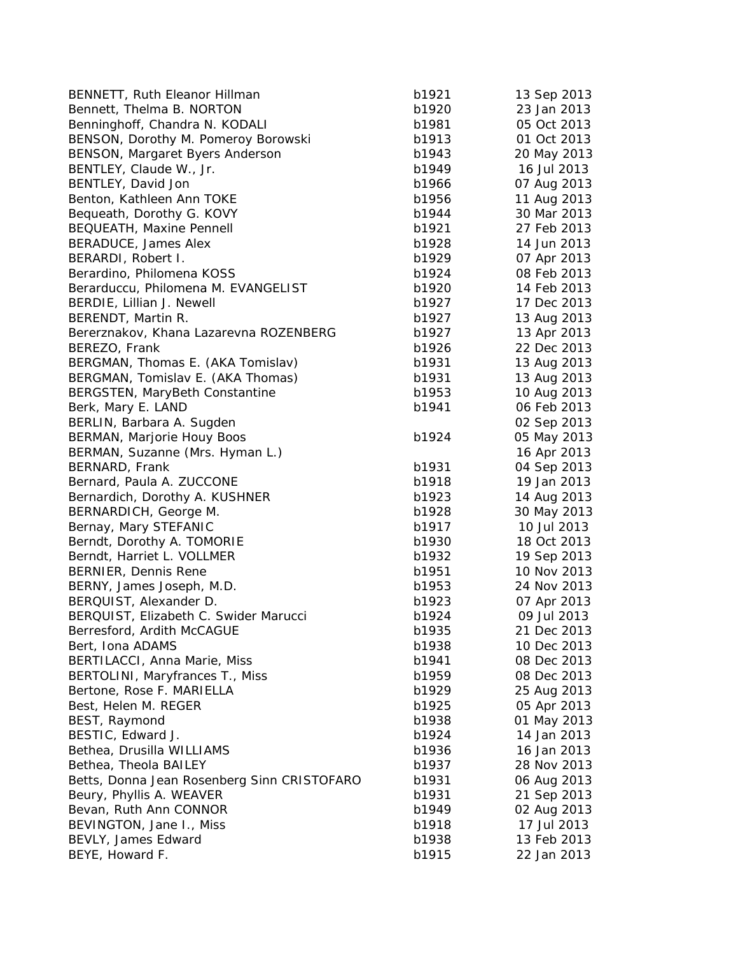| BENNETT, Ruth Eleanor Hillman               | b1921 | 13 Sep 2013 |
|---------------------------------------------|-------|-------------|
| Bennett, Thelma B. NORTON                   | b1920 | 23 Jan 2013 |
| Benninghoff, Chandra N. KODALI              | b1981 | 05 Oct 2013 |
| BENSON, Dorothy M. Pomeroy Borowski         | b1913 | 01 Oct 2013 |
| BENSON, Margaret Byers Anderson             | b1943 | 20 May 2013 |
| BENTLEY, Claude W., Jr.                     | b1949 | 16 Jul 2013 |
| BENTLEY, David Jon                          | b1966 | 07 Aug 2013 |
| Benton, Kathleen Ann TOKE                   | b1956 | 11 Aug 2013 |
| Bequeath, Dorothy G. KOVY                   | b1944 | 30 Mar 2013 |
| BEQUEATH, Maxine Pennell                    | b1921 | 27 Feb 2013 |
| BERADUCE, James Alex                        | b1928 | 14 Jun 2013 |
| BERARDI, Robert I.                          | b1929 | 07 Apr 2013 |
| Berardino, Philomena KOSS                   | b1924 | 08 Feb 2013 |
| Berarduccu, Philomena M. EVANGELIST         | b1920 | 14 Feb 2013 |
| BERDIE, Lillian J. Newell                   | b1927 | 17 Dec 2013 |
| BERENDT, Martin R.                          | b1927 | 13 Aug 2013 |
| Bererznakov, Khana Lazarevna ROZENBERG      | b1927 | 13 Apr 2013 |
| BEREZO, Frank                               | b1926 | 22 Dec 2013 |
| BERGMAN, Thomas E. (AKA Tomislav)           | b1931 | 13 Aug 2013 |
| BERGMAN, Tomislav E. (AKA Thomas)           | b1931 | 13 Aug 2013 |
| BERGSTEN, MaryBeth Constantine              | b1953 | 10 Aug 2013 |
| Berk, Mary E. LAND                          | b1941 | 06 Feb 2013 |
| BERLIN, Barbara A. Sugden                   |       | 02 Sep 2013 |
| BERMAN, Marjorie Houy Boos                  | b1924 | 05 May 2013 |
| BERMAN, Suzanne (Mrs. Hyman L.)             |       | 16 Apr 2013 |
| BERNARD, Frank                              | b1931 | 04 Sep 2013 |
| Bernard, Paula A. ZUCCONE                   | b1918 | 19 Jan 2013 |
| Bernardich, Dorothy A. KUSHNER              | b1923 | 14 Aug 2013 |
| BERNARDICH, George M.                       | b1928 | 30 May 2013 |
| Bernay, Mary STEFANIC                       | b1917 | 10 Jul 2013 |
| Berndt, Dorothy A. TOMORIE                  | b1930 | 18 Oct 2013 |
| Berndt, Harriet L. VOLLMER                  | b1932 | 19 Sep 2013 |
| BERNIER, Dennis Rene                        | b1951 | 10 Nov 2013 |
| BERNY, James Joseph, M.D.                   | b1953 | 24 Nov 2013 |
| BERQUIST, Alexander D.                      | b1923 | 07 Apr 2013 |
| BERQUIST, Elizabeth C. Swider Marucci       | b1924 | 09 Jul 2013 |
| Berresford, Ardith McCAGUE                  | b1935 | 21 Dec 2013 |
| Bert, Iona ADAMS                            | b1938 | 10 Dec 2013 |
| BERTILACCI, Anna Marie, Miss                | b1941 | 08 Dec 2013 |
| BERTOLINI, Maryfrances T., Miss             | b1959 | 08 Dec 2013 |
| Bertone, Rose F. MARIELLA                   | b1929 | 25 Aug 2013 |
| Best, Helen M. REGER                        | b1925 | 05 Apr 2013 |
| BEST, Raymond                               | b1938 | 01 May 2013 |
| BESTIC, Edward J.                           | b1924 | 14 Jan 2013 |
| Bethea, Drusilla WILLIAMS                   | b1936 | 16 Jan 2013 |
| Bethea, Theola BAILEY                       | b1937 | 28 Nov 2013 |
| Betts, Donna Jean Rosenberg Sinn CRISTOFARO | b1931 | 06 Aug 2013 |
| Beury, Phyllis A. WEAVER                    | b1931 | 21 Sep 2013 |
| Bevan, Ruth Ann CONNOR                      | b1949 | 02 Aug 2013 |
| BEVINGTON, Jane I., Miss                    | b1918 | 17 Jul 2013 |
| BEVLY, James Edward                         | b1938 | 13 Feb 2013 |
| BEYE, Howard F.                             | b1915 | 22 Jan 2013 |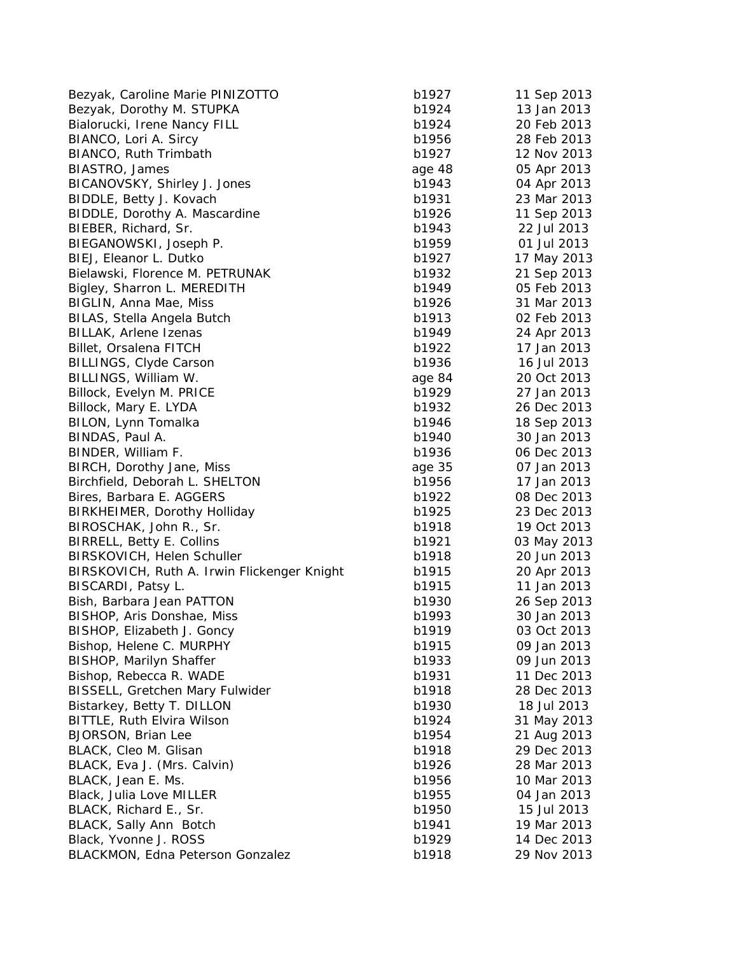| Bezyak, Caroline Marie PINIZOTTO            | b1927          | 11 Sep 2013 |
|---------------------------------------------|----------------|-------------|
| Bezyak, Dorothy M. STUPKA                   | b1924          | 13 Jan 2013 |
| Bialorucki, Irene Nancy FILL                | b1924          | 20 Feb 2013 |
| BIANCO, Lori A. Sircy                       | b1956          | 28 Feb 2013 |
| BIANCO, Ruth Trimbath                       | b1927          | 12 Nov 2013 |
| BIASTRO, James                              | age 48         | 05 Apr 2013 |
| BICANOVSKY, Shirley J. Jones                | b1943          | 04 Apr 2013 |
| BIDDLE, Betty J. Kovach                     | b1931          | 23 Mar 2013 |
| BIDDLE, Dorothy A. Mascardine               | b1926          | 11 Sep 2013 |
| BIEBER, Richard, Sr.                        | b1943          | 22 Jul 2013 |
| BIEGANOWSKI, Joseph P.                      | b1959          | 01 Jul 2013 |
| BIEJ, Eleanor L. Dutko                      | b1927          | 17 May 2013 |
| Bielawski, Florence M. PETRUNAK             | b1932          | 21 Sep 2013 |
| Bigley, Sharron L. MEREDITH                 | b1949          | 05 Feb 2013 |
| BIGLIN, Anna Mae, Miss                      | b1926          | 31 Mar 2013 |
| BILAS, Stella Angela Butch                  | b1913          | 02 Feb 2013 |
| BILLAK, Arlene Izenas                       | b1949          | 24 Apr 2013 |
| Billet, Orsalena FITCH                      | b1922          | 17 Jan 2013 |
| BILLINGS, Clyde Carson                      | b1936          | 16 Jul 2013 |
| BILLINGS, William W.                        | age 84         | 20 Oct 2013 |
| Billock, Evelyn M. PRICE                    | b1929          | 27 Jan 2013 |
| Billock, Mary E. LYDA                       | b1932          | 26 Dec 2013 |
| BILON, Lynn Tomalka                         | b1946          | 18 Sep 2013 |
| BINDAS, Paul A.                             | b1940          | 30 Jan 2013 |
| BINDER, William F.                          | b1936          | 06 Dec 2013 |
| BIRCH, Dorothy Jane, Miss                   | age 35         | 07 Jan 2013 |
| Birchfield, Deborah L. SHELTON              | b1956          | 17 Jan 2013 |
| Bires, Barbara E. AGGERS                    | b1922          | 08 Dec 2013 |
| BIRKHEIMER, Dorothy Holliday                | b1925          | 23 Dec 2013 |
| BIROSCHAK, John R., Sr.                     | b1918          | 19 Oct 2013 |
| <b>BIRRELL, Betty E. Collins</b>            | b1921          | 03 May 2013 |
| BIRSKOVICH, Helen Schuller                  | b1918          | 20 Jun 2013 |
| BIRSKOVICH, Ruth A. Irwin Flickenger Knight | b1915          | 20 Apr 2013 |
| BISCARDI, Patsy L.                          | b1915          | 11 Jan 2013 |
| Bish, Barbara Jean PATTON                   | b1930          | 26 Sep 2013 |
| BISHOP, Aris Donshae, Miss                  | b1993          | 30 Jan 2013 |
| BISHOP, Elizabeth J. Goncy                  | b1919          | 03 Oct 2013 |
| Bishop, Helene C. MURPHY                    | b1915          | 09 Jan 2013 |
| <b>BISHOP, Marilyn Shaffer</b>              | b1933          | 09 Jun 2013 |
| Bishop, Rebecca R. WADE                     |                | 11 Dec 2013 |
| <b>BISSELL, Gretchen Mary Fulwider</b>      | b1931<br>b1918 | 28 Dec 2013 |
|                                             |                | 18 Jul 2013 |
| Bistarkey, Betty T. DILLON                  | b1930          |             |
| BITTLE, Ruth Elvira Wilson                  | b1924          | 31 May 2013 |
| <b>BJORSON, Brian Lee</b>                   | b1954          | 21 Aug 2013 |
| BLACK, Cleo M. Glisan                       | b1918          | 29 Dec 2013 |
| BLACK, Eva J. (Mrs. Calvin)                 | b1926          | 28 Mar 2013 |
| BLACK, Jean E. Ms.                          | b1956          | 10 Mar 2013 |
| Black, Julia Love MILLER                    | b1955          | 04 Jan 2013 |
| BLACK, Richard E., Sr.                      | b1950          | 15 Jul 2013 |
| BLACK, Sally Ann Botch                      | b1941          | 19 Mar 2013 |
| Black, Yvonne J. ROSS                       | b1929          | 14 Dec 2013 |
| BLACKMON, Edna Peterson Gonzalez            | b1918          | 29 Nov 2013 |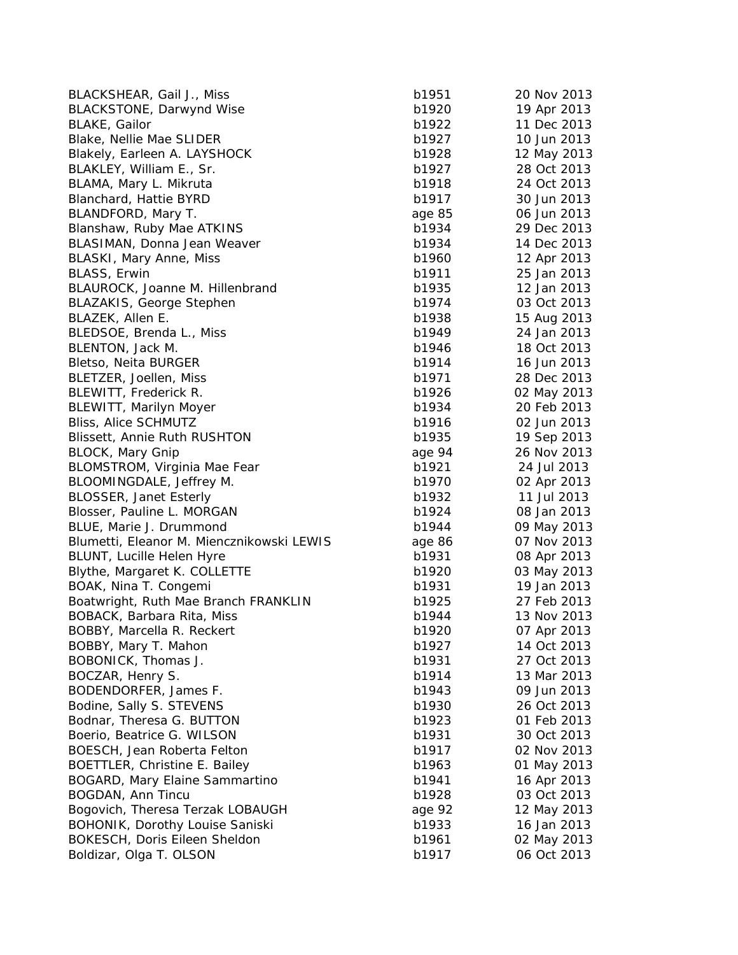| BLACKSHEAR, Gail J., Miss                 | b1951  | 20 Nov 2013 |
|-------------------------------------------|--------|-------------|
| <b>BLACKSTONE, Darwynd Wise</b>           | b1920  | 19 Apr 2013 |
| <b>BLAKE, Gailor</b>                      | b1922  | 11 Dec 2013 |
| Blake, Nellie Mae SLIDER                  | b1927  | 10 Jun 2013 |
| Blakely, Earleen A. LAYSHOCK              | b1928  | 12 May 2013 |
| BLAKLEY, William E., Sr.                  | b1927  | 28 Oct 2013 |
| BLAMA, Mary L. Mikruta                    | b1918  | 24 Oct 2013 |
| Blanchard, Hattie BYRD                    | b1917  | 30 Jun 2013 |
| BLANDFORD, Mary T.                        | age 85 | 06 Jun 2013 |
| Blanshaw, Ruby Mae ATKINS                 | b1934  | 29 Dec 2013 |
| BLASIMAN, Donna Jean Weaver               | b1934  | 14 Dec 2013 |
| <b>BLASKI, Mary Anne, Miss</b>            | b1960  | 12 Apr 2013 |
| BLASS, Erwin                              | b1911  | 25 Jan 2013 |
| BLAUROCK, Joanne M. Hillenbrand           | b1935  | 12 Jan 2013 |
| <b>BLAZAKIS, George Stephen</b>           | b1974  | 03 Oct 2013 |
| BLAZEK, Allen E.                          | b1938  | 15 Aug 2013 |
| BLEDSOE, Brenda L., Miss                  | b1949  | 24 Jan 2013 |
| BLENTON, Jack M.                          | b1946  | 18 Oct 2013 |
| Bletso, Neita BURGER                      | b1914  | 16 Jun 2013 |
| BLETZER, Joellen, Miss                    | b1971  | 28 Dec 2013 |
| BLEWITT, Frederick R.                     | b1926  | 02 May 2013 |
| <b>BLEWITT, Marilyn Moyer</b>             | b1934  | 20 Feb 2013 |
| Bliss, Alice SCHMUTZ                      | b1916  | 02 Jun 2013 |
| <b>Blissett, Annie Ruth RUSHTON</b>       | b1935  | 19 Sep 2013 |
| <b>BLOCK, Mary Gnip</b>                   | age 94 | 26 Nov 2013 |
| BLOMSTROM, Virginia Mae Fear              | b1921  | 24 Jul 2013 |
| BLOOMINGDALE, Jeffrey M.                  | b1970  | 02 Apr 2013 |
| <b>BLOSSER, Janet Esterly</b>             | b1932  | 11 Jul 2013 |
| Blosser, Pauline L. MORGAN                | b1924  | 08 Jan 2013 |
| BLUE, Marie J. Drummond                   | b1944  | 09 May 2013 |
| Blumetti, Eleanor M. Miencznikowski LEWIS | age 86 | 07 Nov 2013 |
| BLUNT, Lucille Helen Hyre                 | b1931  | 08 Apr 2013 |
| Blythe, Margaret K. COLLETTE              | b1920  | 03 May 2013 |
| BOAK, Nina T. Congemi                     | b1931  | 19 Jan 2013 |
| Boatwright, Ruth Mae Branch FRANKLIN      | b1925  | 27 Feb 2013 |
| BOBACK, Barbara Rita, Miss                | b1944  | 13 Nov 2013 |
| BOBBY, Marcella R. Reckert                | b1920  | 07 Apr 2013 |
| BOBBY, Mary T. Mahon                      | b1927  | 14 Oct 2013 |
| BOBONICK, Thomas J.                       | b1931  | 27 Oct 2013 |
| BOCZAR, Henry S.                          | b1914  | 13 Mar 2013 |
| BODENDORFER, James F.                     | b1943  | 09 Jun 2013 |
| Bodine, Sally S. STEVENS                  | b1930  | 26 Oct 2013 |
| Bodnar, Theresa G. BUTTON                 |        | 01 Feb 2013 |
|                                           | b1923  | 30 Oct 2013 |
| Boerio, Beatrice G. WILSON                | b1931  |             |
| BOESCH, Jean Roberta Felton               | b1917  | 02 Nov 2013 |
| BOETTLER, Christine E. Bailey             | b1963  | 01 May 2013 |
| BOGARD, Mary Elaine Sammartino            | b1941  | 16 Apr 2013 |
| BOGDAN, Ann Tincu                         | b1928  | 03 Oct 2013 |
| Bogovich, Theresa Terzak LOBAUGH          | age 92 | 12 May 2013 |
| BOHONIK, Dorothy Louise Saniski           | b1933  | 16 Jan 2013 |
| BOKESCH, Doris Eileen Sheldon             | b1961  | 02 May 2013 |
| Boldizar, Olga T. OLSON                   | b1917  | 06 Oct 2013 |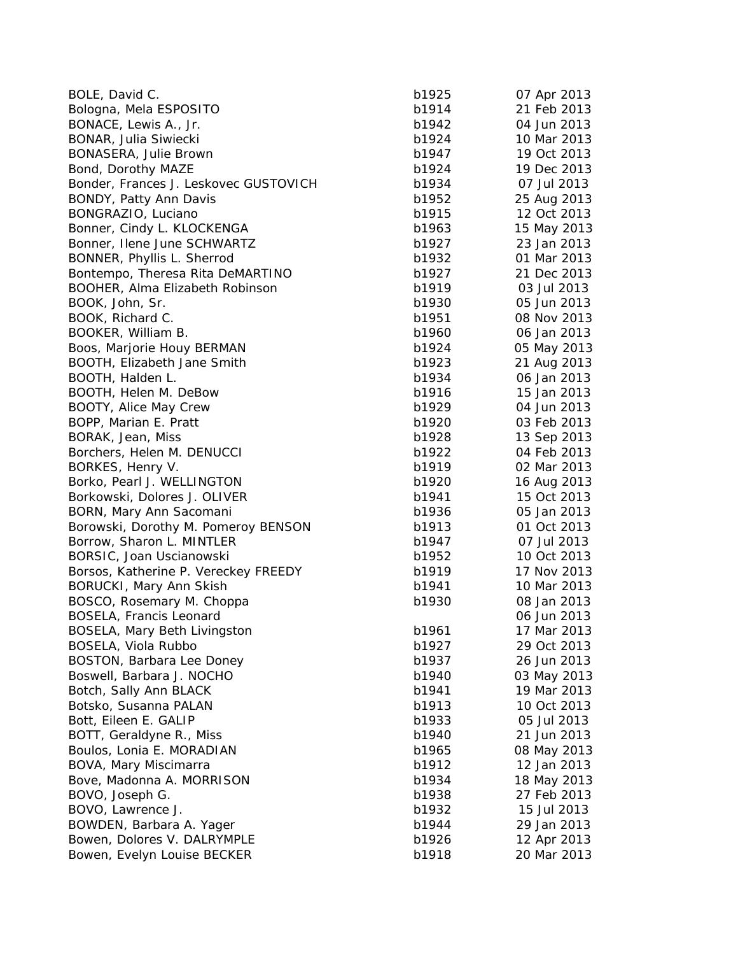| BOLE, David C.                        | b1925 | 07 Apr 2013 |
|---------------------------------------|-------|-------------|
| Bologna, Mela ESPOSITO                | b1914 | 21 Feb 2013 |
| BONACE, Lewis A., Jr.                 | b1942 | 04 Jun 2013 |
| BONAR, Julia Siwiecki                 | b1924 | 10 Mar 2013 |
| BONASERA, Julie Brown                 | b1947 | 19 Oct 2013 |
| Bond, Dorothy MAZE                    | b1924 | 19 Dec 2013 |
| Bonder, Frances J. Leskovec GUSTOVICH | b1934 | 07 Jul 2013 |
| BONDY, Patty Ann Davis                | b1952 | 25 Aug 2013 |
| BONGRAZIO, Luciano                    | b1915 | 12 Oct 2013 |
| Bonner, Cindy L. KLOCKENGA            | b1963 | 15 May 2013 |
| Bonner, Ilene June SCHWARTZ           | b1927 | 23 Jan 2013 |
| BONNER, Phyllis L. Sherrod            | b1932 | 01 Mar 2013 |
| Bontempo, Theresa Rita DeMARTINO      | b1927 | 21 Dec 2013 |
| BOOHER, Alma Elizabeth Robinson       | b1919 | 03 Jul 2013 |
| BOOK, John, Sr.                       | b1930 | 05 Jun 2013 |
| BOOK, Richard C.                      | b1951 | 08 Nov 2013 |
| BOOKER, William B.                    | b1960 | 06 Jan 2013 |
| Boos, Marjorie Houy BERMAN            | b1924 | 05 May 2013 |
| BOOTH, Elizabeth Jane Smith           | b1923 | 21 Aug 2013 |
| BOOTH, Halden L.                      | b1934 | 06 Jan 2013 |
| BOOTH, Helen M. DeBow                 | b1916 | 15 Jan 2013 |
| BOOTY, Alice May Crew                 | b1929 | 04 Jun 2013 |
| BOPP, Marian E. Pratt                 | b1920 | 03 Feb 2013 |
| BORAK, Jean, Miss                     | b1928 | 13 Sep 2013 |
| Borchers, Helen M. DENUCCI            | b1922 | 04 Feb 2013 |
| BORKES, Henry V.                      | b1919 | 02 Mar 2013 |
| Borko, Pearl J. WELLINGTON            | b1920 | 16 Aug 2013 |
| Borkowski, Dolores J. OLIVER          | b1941 | 15 Oct 2013 |
| BORN, Mary Ann Sacomani               | b1936 | 05 Jan 2013 |
| Borowski, Dorothy M. Pomeroy BENSON   | b1913 | 01 Oct 2013 |
| Borrow, Sharon L. MINTLER             | b1947 | 07 Jul 2013 |
| BORSIC, Joan Uscianowski              | b1952 | 10 Oct 2013 |
| Borsos, Katherine P. Vereckey FREEDY  | b1919 | 17 Nov 2013 |
| BORUCKI, Mary Ann Skish               | b1941 | 10 Mar 2013 |
| BOSCO, Rosemary M. Choppa             | b1930 | 08 Jan 2013 |
| BOSELA, Francis Leonard               |       | 06 Jun 2013 |
| BOSELA, Mary Beth Livingston          | b1961 | 17 Mar 2013 |
| BOSELA, Viola Rubbo                   | b1927 | 29 Oct 2013 |
| BOSTON, Barbara Lee Doney             | b1937 | 26 Jun 2013 |
| Boswell, Barbara J. NOCHO             | b1940 | 03 May 2013 |
| Botch, Sally Ann BLACK                | b1941 | 19 Mar 2013 |
| Botsko, Susanna PALAN                 | b1913 | 10 Oct 2013 |
| Bott, Eileen E. GALIP                 | b1933 | 05 Jul 2013 |
| BOTT, Geraldyne R., Miss              | b1940 | 21 Jun 2013 |
| Boulos, Lonia E. MORADIAN             | b1965 | 08 May 2013 |
| BOVA, Mary Miscimarra                 | b1912 | 12 Jan 2013 |
| Bove, Madonna A. MORRISON             | b1934 | 18 May 2013 |
| BOVO, Joseph G.                       | b1938 | 27 Feb 2013 |
| BOVO, Lawrence J.                     | b1932 | 15 Jul 2013 |
| BOWDEN, Barbara A. Yager              | b1944 | 29 Jan 2013 |
| Bowen, Dolores V. DALRYMPLE           | b1926 | 12 Apr 2013 |
| Bowen, Evelyn Louise BECKER           | b1918 | 20 Mar 2013 |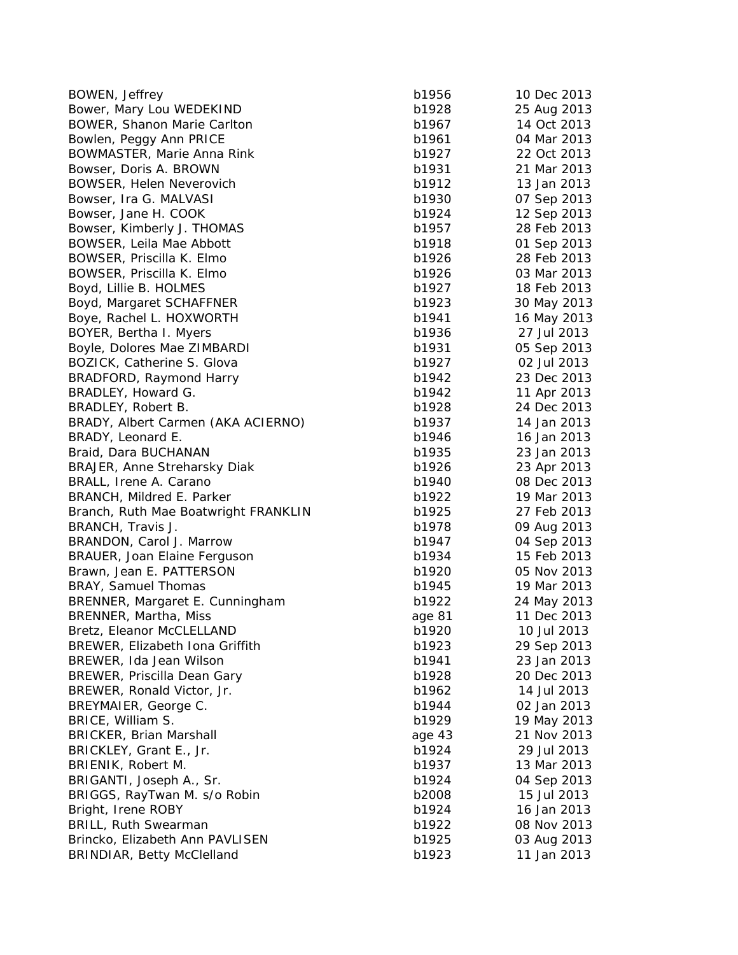| BOWEN, Jeffrey                                | b1956          | 10 Dec 2013 |
|-----------------------------------------------|----------------|-------------|
| Bower, Mary Lou WEDEKIND                      | b1928          | 25 Aug 2013 |
| BOWER, Shanon Marie Carlton                   | b1967          | 14 Oct 2013 |
| Bowlen, Peggy Ann PRICE                       | b1961          | 04 Mar 2013 |
| BOWMASTER, Marie Anna Rink                    | b1927          | 22 Oct 2013 |
| Bowser, Doris A. BROWN                        | b1931          | 21 Mar 2013 |
| BOWSER, Helen Neverovich                      | b1912          | 13 Jan 2013 |
| Bowser, Ira G. MALVASI                        | b1930          | 07 Sep 2013 |
| Bowser, Jane H. COOK                          | b1924          | 12 Sep 2013 |
| Bowser, Kimberly J. THOMAS                    | b1957          | 28 Feb 2013 |
| BOWSER, Leila Mae Abbott                      | b1918          | 01 Sep 2013 |
| BOWSER, Priscilla K. Elmo                     | b1926          | 28 Feb 2013 |
| BOWSER, Priscilla K. Elmo                     | b1926          | 03 Mar 2013 |
| Boyd, Lillie B. HOLMES                        | b1927          | 18 Feb 2013 |
| Boyd, Margaret SCHAFFNER                      | b1923          | 30 May 2013 |
| Boye, Rachel L. HOXWORTH                      | b1941          | 16 May 2013 |
| BOYER, Bertha I. Myers                        | b1936          | 27 Jul 2013 |
| Boyle, Dolores Mae ZIMBARDI                   | b1931          | 05 Sep 2013 |
| BOZICK, Catherine S. Glova                    | b1927          | 02 Jul 2013 |
| BRADFORD, Raymond Harry                       | b1942          | 23 Dec 2013 |
| BRADLEY, Howard G.                            | b1942          | 11 Apr 2013 |
| BRADLEY, Robert B.                            | b1928          | 24 Dec 2013 |
| BRADY, Albert Carmen (AKA ACIERNO)            | b1937          | 14 Jan 2013 |
| BRADY, Leonard E.                             | b1946          | 16 Jan 2013 |
| Braid, Dara BUCHANAN                          | b1935          | 23 Jan 2013 |
| <b>BRAJER, Anne Streharsky Diak</b>           | b1926          | 23 Apr 2013 |
| BRALL, Irene A. Carano                        | b1940          | 08 Dec 2013 |
| BRANCH, Mildred E. Parker                     | b1922          | 19 Mar 2013 |
| Branch, Ruth Mae Boatwright FRANKLIN          | b1925          | 27 Feb 2013 |
| BRANCH, Travis J.                             | b1978          | 09 Aug 2013 |
| BRANDON, Carol J. Marrow                      | b1947          | 04 Sep 2013 |
| BRAUER, Joan Elaine Ferguson                  | b1934          | 15 Feb 2013 |
| Brawn, Jean E. PATTERSON                      | b1920          | 05 Nov 2013 |
| BRAY, Samuel Thomas                           | b1945          | 19 Mar 2013 |
| BRENNER, Margaret E. Cunningham               | b1922          | 24 May 2013 |
| BRENNER, Martha, Miss                         | age 81         | 11 Dec 2013 |
| Bretz, Eleanor McCLELLAND                     | b1920          | 10 Jul 2013 |
| BREWER, Elizabeth Iona Griffith               | b1923          | 29 Sep 2013 |
| BREWER, Ida Jean Wilson                       | b1941          | 23 Jan 2013 |
| BREWER, Priscilla Dean Gary                   | b1928          | 20 Dec 2013 |
| BREWER, Ronald Victor, Jr.                    | b1962          | 14 Jul 2013 |
| BREYMAIER, George C.                          | b1944          | 02 Jan 2013 |
| BRICE, William S.                             | b1929          | 19 May 2013 |
| <b>BRICKER, Brian Marshall</b>                |                | 21 Nov 2013 |
|                                               | age 43         | 29 Jul 2013 |
| BRICKLEY, Grant E., Jr.<br>BRIENIK, Robert M. | b1924<br>b1937 | 13 Mar 2013 |
|                                               |                |             |
| BRIGANTI, Joseph A., Sr.                      | b1924          | 04 Sep 2013 |
| BRIGGS, RayTwan M. s/o Robin                  | b2008          | 15 Jul 2013 |
| Bright, Irene ROBY                            | b1924          | 16 Jan 2013 |
| <b>BRILL, Ruth Swearman</b>                   | b1922          | 08 Nov 2013 |
| Brincko, Elizabeth Ann PAVLISEN               | b1925          | 03 Aug 2013 |
| <b>BRINDIAR, Betty McClelland</b>             | b1923          | 11 Jan 2013 |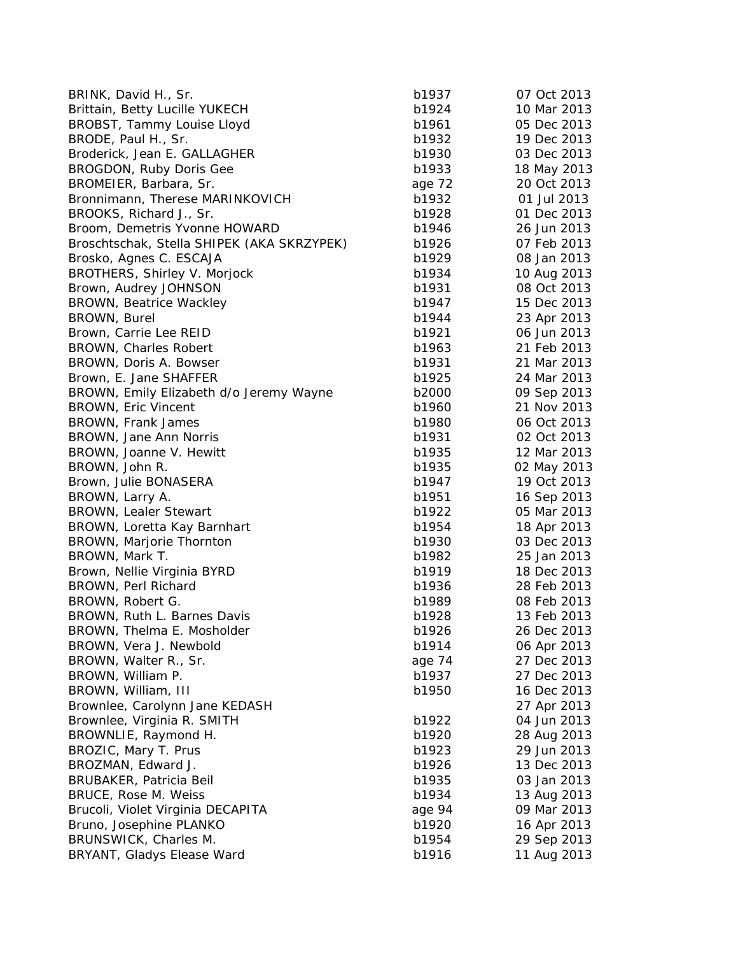| BRINK, David H., Sr.                       | b1937  | 07 Oct 2013 |
|--------------------------------------------|--------|-------------|
| Brittain, Betty Lucille YUKECH             | b1924  | 10 Mar 2013 |
| BROBST, Tammy Louise Lloyd                 | b1961  | 05 Dec 2013 |
| BRODE, Paul H., Sr.                        | b1932  | 19 Dec 2013 |
| Broderick, Jean E. GALLAGHER               | b1930  | 03 Dec 2013 |
| BROGDON, Ruby Doris Gee                    | b1933  | 18 May 2013 |
| BROMEIER, Barbara, Sr.                     | age 72 | 20 Oct 2013 |
| Bronnimann, Therese MARINKOVICH            | b1932  | 01 Jul 2013 |
| BROOKS, Richard J., Sr.                    | b1928  | 01 Dec 2013 |
| Broom, Demetris Yvonne HOWARD              | b1946  | 26 Jun 2013 |
| Broschtschak, Stella SHIPEK (AKA SKRZYPEK) | b1926  | 07 Feb 2013 |
| Brosko, Agnes C. ESCAJA                    | b1929  | 08 Jan 2013 |
| BROTHERS, Shirley V. Morjock               | b1934  | 10 Aug 2013 |
| Brown, Audrey JOHNSON                      | b1931  | 08 Oct 2013 |
| <b>BROWN, Beatrice Wackley</b>             | b1947  | 15 Dec 2013 |
| BROWN, Burel                               | b1944  | 23 Apr 2013 |
| Brown, Carrie Lee REID                     | b1921  | 06 Jun 2013 |
| <b>BROWN, Charles Robert</b>               | b1963  | 21 Feb 2013 |
| BROWN, Doris A. Bowser                     | b1931  | 21 Mar 2013 |
| Brown, E. Jane SHAFFER                     | b1925  | 24 Mar 2013 |
| BROWN, Emily Elizabeth d/o Jeremy Wayne    | b2000  | 09 Sep 2013 |
| <b>BROWN, Eric Vincent</b>                 | b1960  | 21 Nov 2013 |
| BROWN, Frank James                         | b1980  | 06 Oct 2013 |
| BROWN, Jane Ann Norris                     | b1931  | 02 Oct 2013 |
| BROWN, Joanne V. Hewitt                    | b1935  | 12 Mar 2013 |
| BROWN, John R.                             | b1935  | 02 May 2013 |
| Brown, Julie BONASERA                      | b1947  | 19 Oct 2013 |
| BROWN, Larry A.                            | b1951  | 16 Sep 2013 |
| <b>BROWN, Lealer Stewart</b>               | b1922  | 05 Mar 2013 |
| BROWN, Loretta Kay Barnhart                | b1954  | 18 Apr 2013 |
| BROWN, Marjorie Thornton                   | b1930  | 03 Dec 2013 |
| BROWN, Mark T.                             | b1982  | 25 Jan 2013 |
| Brown, Nellie Virginia BYRD                | b1919  | 18 Dec 2013 |
| BROWN, Perl Richard                        | b1936  | 28 Feb 2013 |
| BROWN, Robert G.                           | b1989  | 08 Feb 2013 |
| BROWN, Ruth L. Barnes Davis                | b1928  | 13 Feb 2013 |
| BROWN, Thelma E. Mosholder                 | b1926  | 26 Dec 2013 |
| BROWN, Vera J. Newbold                     | b1914  | 06 Apr 2013 |
| BROWN, Walter R., Sr.                      | age 74 | 27 Dec 2013 |
| BROWN, William P.                          | b1937  | 27 Dec 2013 |
| BROWN, William, III                        | b1950  | 16 Dec 2013 |
| Brownlee, Carolynn Jane KEDASH             |        | 27 Apr 2013 |
| Brownlee, Virginia R. SMITH                | b1922  | 04 Jun 2013 |
| BROWNLIE, Raymond H.                       | b1920  | 28 Aug 2013 |
| BROZIC, Mary T. Prus                       | b1923  | 29 Jun 2013 |
| BROZMAN, Edward J.                         | b1926  | 13 Dec 2013 |
| <b>BRUBAKER, Patricia Beil</b>             | b1935  | 03 Jan 2013 |
| BRUCE, Rose M. Weiss                       | b1934  | 13 Aug 2013 |
| Brucoli, Violet Virginia DECAPITA          | age 94 | 09 Mar 2013 |
| Bruno, Josephine PLANKO                    | b1920  | 16 Apr 2013 |
| BRUNSWICK, Charles M.                      | b1954  | 29 Sep 2013 |
| BRYANT, Gladys Elease Ward                 | b1916  | 11 Aug 2013 |
|                                            |        |             |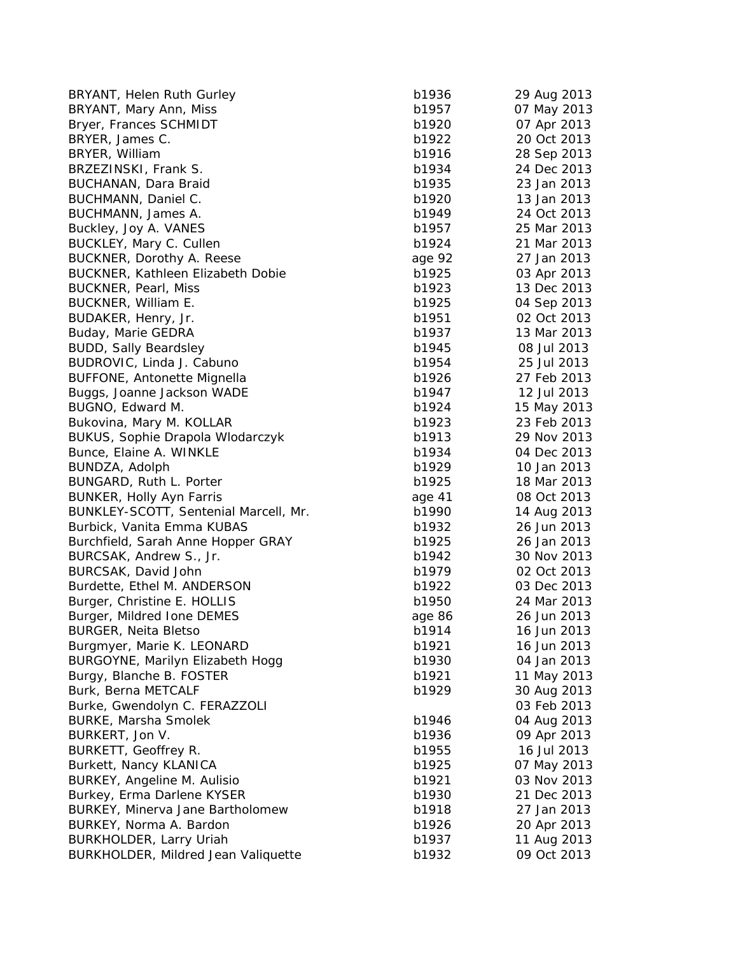| BRYANT, Helen Ruth Gurley                  | b1936  | 29 Aug 2013 |
|--------------------------------------------|--------|-------------|
| BRYANT, Mary Ann, Miss                     | b1957  | 07 May 2013 |
| Bryer, Frances SCHMIDT                     | b1920  | 07 Apr 2013 |
| BRYER, James C.                            | b1922  | 20 Oct 2013 |
| BRYER, William                             | b1916  | 28 Sep 2013 |
| BRZEZINSKI, Frank S.                       | b1934  | 24 Dec 2013 |
| BUCHANAN, Dara Braid                       | b1935  | 23 Jan 2013 |
| BUCHMANN, Daniel C.                        | b1920  | 13 Jan 2013 |
| BUCHMANN, James A.                         | b1949  | 24 Oct 2013 |
| Buckley, Joy A. VANES                      | b1957  | 25 Mar 2013 |
| BUCKLEY, Mary C. Cullen                    | b1924  | 21 Mar 2013 |
| BUCKNER, Dorothy A. Reese                  | age 92 | 27 Jan 2013 |
| BUCKNER, Kathleen Elizabeth Dobie          | b1925  | 03 Apr 2013 |
| <b>BUCKNER, Pearl, Miss</b>                | b1923  | 13 Dec 2013 |
| BUCKNER, William E.                        | b1925  | 04 Sep 2013 |
| BUDAKER, Henry, Jr.                        | b1951  | 02 Oct 2013 |
| Buday, Marie GEDRA                         | b1937  | 13 Mar 2013 |
| <b>BUDD, Sally Beardsley</b>               | b1945  | 08 Jul 2013 |
| BUDROVIC, Linda J. Cabuno                  | b1954  | 25 Jul 2013 |
| <b>BUFFONE, Antonette Mignella</b>         | b1926  | 27 Feb 2013 |
| Buggs, Joanne Jackson WADE                 | b1947  | 12 Jul 2013 |
| BUGNO, Edward M.                           | b1924  | 15 May 2013 |
| Bukovina, Mary M. KOLLAR                   | b1923  | 23 Feb 2013 |
| <b>BUKUS, Sophie Drapola Wlodarczyk</b>    | b1913  | 29 Nov 2013 |
| Bunce, Elaine A. WINKLE                    | b1934  | 04 Dec 2013 |
|                                            | b1929  | 10 Jan 2013 |
| BUNDZA, Adolph<br>BUNGARD, Ruth L. Porter  | b1925  | 18 Mar 2013 |
|                                            |        |             |
| BUNKER, Holly Ayn Farris                   | age 41 | 08 Oct 2013 |
| BUNKLEY-SCOTT, Sentenial Marcell, Mr.      | b1990  | 14 Aug 2013 |
| Burbick, Vanita Emma KUBAS                 | b1932  | 26 Jun 2013 |
| Burchfield, Sarah Anne Hopper GRAY         | b1925  | 26 Jan 2013 |
| BURCSAK, Andrew S., Jr.                    | b1942  | 30 Nov 2013 |
| BURCSAK, David John                        | b1979  | 02 Oct 2013 |
| Burdette, Ethel M. ANDERSON                | b1922  | 03 Dec 2013 |
| Burger, Christine E. HOLLIS                | b1950  | 24 Mar 2013 |
| Burger, Mildred Ione DEMES                 | age 86 | 26 Jun 2013 |
| <b>BURGER, Neita Bletso</b>                | b1914  | 16 Jun 2013 |
| Burgmyer, Marie K. LEONARD                 | b1921  | 16 Jun 2013 |
| BURGOYNE, Marilyn Elizabeth Hogg           | b1930  | 04 Jan 2013 |
| Burgy, Blanche B. FOSTER                   | b1921  | 11 May 2013 |
| Burk, Berna METCALF                        | b1929  | 30 Aug 2013 |
| Burke, Gwendolyn C. FERAZZOLI              |        | 03 Feb 2013 |
| <b>BURKE, Marsha Smolek</b>                | b1946  | 04 Aug 2013 |
| BURKERT, Jon V.                            | b1936  | 09 Apr 2013 |
| BURKETT, Geoffrey R.                       | b1955  | 16 Jul 2013 |
| Burkett, Nancy KLANICA                     | b1925  | 07 May 2013 |
| BURKEY, Angeline M. Aulisio                | b1921  | 03 Nov 2013 |
| Burkey, Erma Darlene KYSER                 | b1930  | 21 Dec 2013 |
| BURKEY, Minerva Jane Bartholomew           | b1918  | 27 Jan 2013 |
| BURKEY, Norma A. Bardon                    | b1926  | 20 Apr 2013 |
| BURKHOLDER, Larry Uriah                    | b1937  | 11 Aug 2013 |
| <b>BURKHOLDER, Mildred Jean Valiquette</b> | b1932  | 09 Oct 2013 |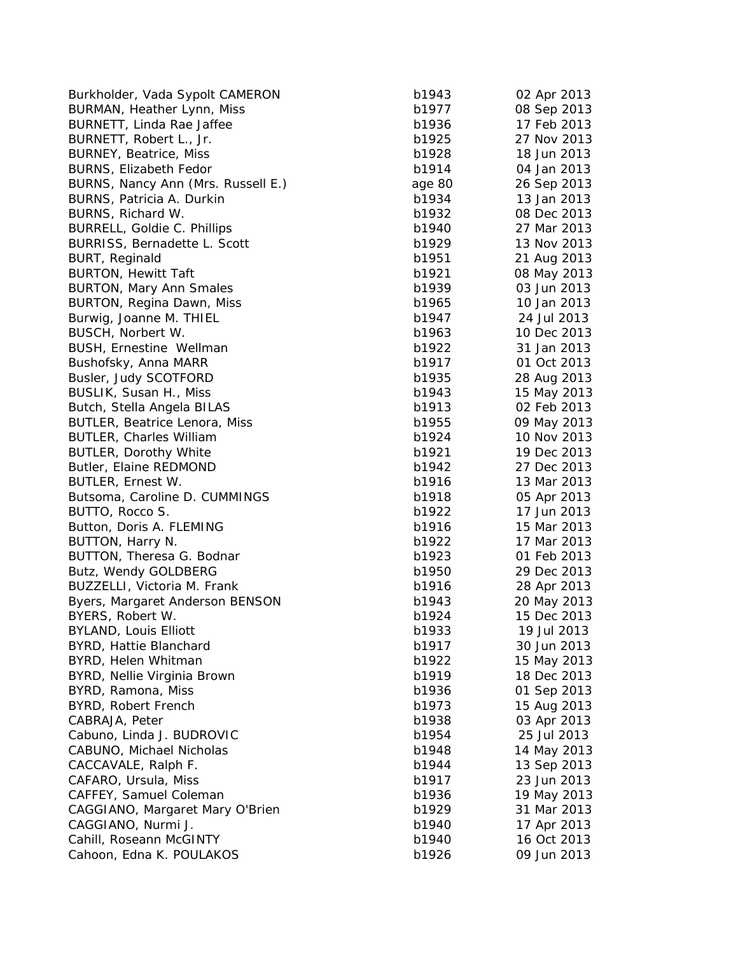| Burkholder, Vada Sypolt CAMERON      | b1943  | 02 Apr 2013 |
|--------------------------------------|--------|-------------|
| BURMAN, Heather Lynn, Miss           | b1977  | 08 Sep 2013 |
| BURNETT, Linda Rae Jaffee            | b1936  | 17 Feb 2013 |
| BURNETT, Robert L., Jr.              | b1925  | 27 Nov 2013 |
| <b>BURNEY, Beatrice, Miss</b>        | b1928  | 18 Jun 2013 |
| BURNS, Elizabeth Fedor               | b1914  | 04 Jan 2013 |
| BURNS, Nancy Ann (Mrs. Russell E.)   | age 80 | 26 Sep 2013 |
| BURNS, Patricia A. Durkin            | b1934  | 13 Jan 2013 |
| BURNS, Richard W.                    | b1932  | 08 Dec 2013 |
| BURRELL, Goldie C. Phillips          | b1940  | 27 Mar 2013 |
| BURRISS, Bernadette L. Scott         | b1929  | 13 Nov 2013 |
| BURT, Reginald                       | b1951  | 21 Aug 2013 |
| <b>BURTON, Hewitt Taft</b>           | b1921  | 08 May 2013 |
| <b>BURTON, Mary Ann Smales</b>       | b1939  | 03 Jun 2013 |
| BURTON, Regina Dawn, Miss            | b1965  | 10 Jan 2013 |
| Burwig, Joanne M. THIEL              | b1947  | 24 Jul 2013 |
| BUSCH, Norbert W.                    | b1963  | 10 Dec 2013 |
| BUSH, Ernestine Wellman              | b1922  | 31 Jan 2013 |
| Bushofsky, Anna MARR                 | b1917  | 01 Oct 2013 |
| Busler, Judy SCOTFORD                | b1935  | 28 Aug 2013 |
| BUSLIK, Susan H., Miss               | b1943  | 15 May 2013 |
| Butch, Stella Angela BILAS           | b1913  | 02 Feb 2013 |
| <b>BUTLER, Beatrice Lenora, Miss</b> | b1955  | 09 May 2013 |
| <b>BUTLER, Charles William</b>       | b1924  | 10 Nov 2013 |
| <b>BUTLER, Dorothy White</b>         | b1921  | 19 Dec 2013 |
| Butler, Elaine REDMOND               | b1942  | 27 Dec 2013 |
| BUTLER, Ernest W.                    | b1916  | 13 Mar 2013 |
| Butsoma, Caroline D. CUMMINGS        | b1918  | 05 Apr 2013 |
| BUTTO, Rocco S.                      | b1922  | 17 Jun 2013 |
| Button, Doris A. FLEMING             | b1916  | 15 Mar 2013 |
| BUTTON, Harry N.                     | b1922  | 17 Mar 2013 |
|                                      | b1923  | 01 Feb 2013 |
| BUTTON, Theresa G. Bodnar            | b1950  | 29 Dec 2013 |
| Butz, Wendy GOLDBERG                 | b1916  |             |
| BUZZELLI, Victoria M. Frank          |        | 28 Apr 2013 |
| Byers, Margaret Anderson BENSON      | b1943  | 20 May 2013 |
| BYERS, Robert W.                     | b1924  | 15 Dec 2013 |
| BYLAND, Louis Elliott                | b1933  | 19 Jul 2013 |
| BYRD, Hattie Blanchard               | b1917  | 30 Jun 2013 |
| BYRD, Helen Whitman                  | b1922  | 15 May 2013 |
| BYRD, Nellie Virginia Brown          | b1919  | 18 Dec 2013 |
| BYRD, Ramona, Miss                   | b1936  | 01 Sep 2013 |
| BYRD, Robert French                  | b1973  | 15 Aug 2013 |
| CABRAJA, Peter                       | b1938  | 03 Apr 2013 |
| Cabuno, Linda J. BUDROVIC            | b1954  | 25 Jul 2013 |
| CABUNO, Michael Nicholas             | b1948  | 14 May 2013 |
| CACCAVALE, Ralph F.                  | b1944  | 13 Sep 2013 |
| CAFARO, Ursula, Miss                 | b1917  | 23 Jun 2013 |
| CAFFEY, Samuel Coleman               | b1936  | 19 May 2013 |
| CAGGIANO, Margaret Mary O'Brien      | b1929  | 31 Mar 2013 |
| CAGGIANO, Nurmi J.                   | b1940  | 17 Apr 2013 |
| Cahill, Roseann McGINTY              | b1940  | 16 Oct 2013 |
| Cahoon, Edna K. POULAKOS             | b1926  | 09 Jun 2013 |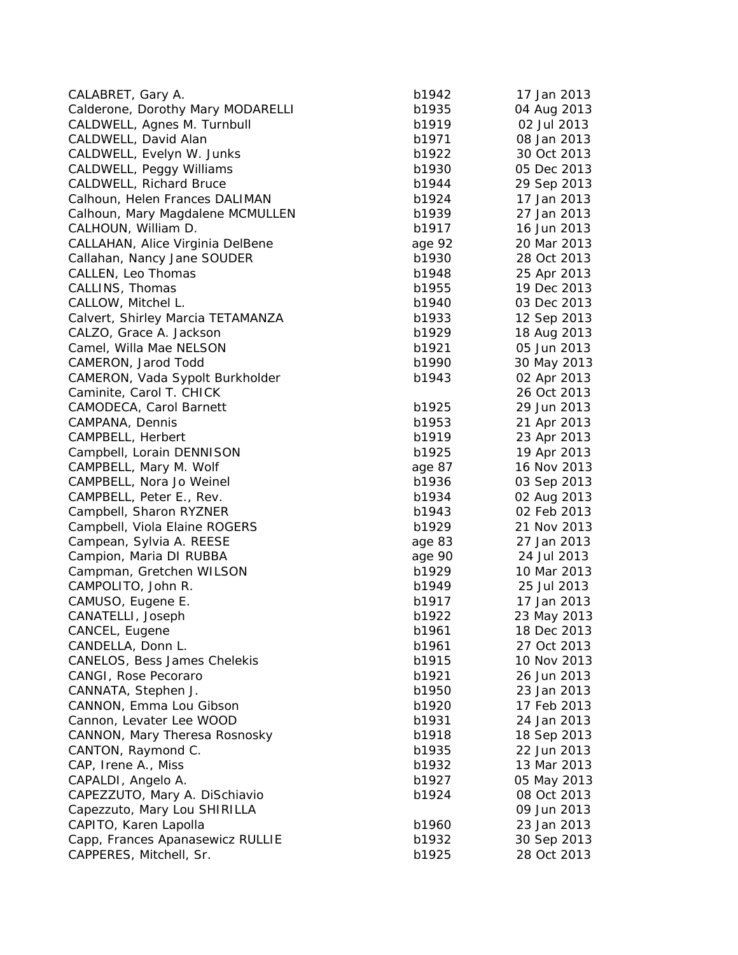| CALABRET, Gary A.                                             | b1942  | 17 Jan 2013                |
|---------------------------------------------------------------|--------|----------------------------|
| Calderone, Dorothy Mary MODARELLI                             | b1935  | 04 Aug 2013                |
| CALDWELL, Agnes M. Turnbull                                   | b1919  | 02 Jul 2013                |
| CALDWELL, David Alan                                          | b1971  | 08 Jan 2013                |
| CALDWELL, Evelyn W. Junks                                     | b1922  | 30 Oct 2013                |
| CALDWELL, Peggy Williams                                      | b1930  | 05 Dec 2013                |
| <b>CALDWELL, Richard Bruce</b>                                | b1944  | 29 Sep 2013                |
| Calhoun, Helen Frances DALIMAN                                | b1924  | 17 Jan 2013                |
| Calhoun, Mary Magdalene MCMULLEN                              | b1939  | 27 Jan 2013                |
| CALHOUN, William D.                                           | b1917  | 16 Jun 2013                |
| CALLAHAN, Alice Virginia DelBene                              | age 92 | 20 Mar 2013                |
| Callahan, Nancy Jane SOUDER                                   | b1930  | 28 Oct 2013                |
| CALLEN, Leo Thomas                                            | b1948  | 25 Apr 2013                |
| CALLINS, Thomas                                               | b1955  | 19 Dec 2013                |
| CALLOW, Mitchel L.                                            | b1940  | 03 Dec 2013                |
| Calvert, Shirley Marcia TETAMANZA                             | b1933  | 12 Sep 2013                |
| CALZO, Grace A. Jackson                                       | b1929  | 18 Aug 2013                |
| Camel, Willa Mae NELSON                                       | b1921  | 05 Jun 2013                |
| CAMERON, Jarod Todd                                           | b1990  | 30 May 2013                |
| CAMERON, Vada Sypolt Burkholder                               | b1943  | 02 Apr 2013                |
| Caminite, Carol T. CHICK                                      |        | 26 Oct 2013                |
| <b>CAMODECA, Carol Barnett</b>                                | b1925  | 29 Jun 2013                |
| CAMPANA, Dennis                                               | b1953  | 21 Apr 2013                |
| CAMPBELL, Herbert                                             | b1919  | 23 Apr 2013                |
| Campbell, Lorain DENNISON                                     | b1925  | 19 Apr 2013                |
| CAMPBELL, Mary M. Wolf                                        | age 87 | 16 Nov 2013                |
| CAMPBELL, Nora Jo Weinel                                      | b1936  | 03 Sep 2013                |
| CAMPBELL, Peter E., Rev.                                      | b1934  | 02 Aug 2013                |
| Campbell, Sharon RYZNER                                       | b1943  | 02 Feb 2013                |
| Campbell, Viola Elaine ROGERS                                 | b1929  | 21 Nov 2013                |
| Campean, Sylvia A. REESE                                      | age 83 | 27 Jan 2013                |
| Campion, Maria DI RUBBA                                       | age 90 | 24 Jul 2013                |
| Campman, Gretchen WILSON                                      | b1929  | 10 Mar 2013                |
| CAMPOLITO, John R.                                            | b1949  | 25 Jul 2013                |
| CAMUSO, Eugene E.                                             | b1917  | 17 Jan 2013                |
| CANATELLI, Joseph                                             | b1922  | 23 May 2013                |
| CANCEL, Eugene                                                | b1961  | 18 Dec 2013                |
| CANDELLA, Donn L.                                             | b1961  | 27 Oct 2013                |
| CANELOS, Bess James Chelekis                                  | b1915  | 10 Nov 2013                |
| CANGI, Rose Pecoraro                                          | b1921  | 26 Jun 2013                |
| CANNATA, Stephen J.                                           | b1950  | 23 Jan 2013                |
| CANNON, Emma Lou Gibson                                       | b1920  | 17 Feb 2013                |
| Cannon, Levater Lee WOOD                                      | b1931  | 24 Jan 2013                |
| CANNON, Mary Theresa Rosnosky                                 | b1918  | 18 Sep 2013                |
| CANTON, Raymond C.                                            | b1935  | 22 Jun 2013                |
| CAP, Irene A., Miss                                           | b1932  | 13 Mar 2013                |
| CAPALDI, Angelo A.                                            | b1927  | 05 May 2013                |
|                                                               |        | 08 Oct 2013                |
| CAPEZZUTO, Mary A. DiSchiavio<br>Capezzuto, Mary Lou SHIRILLA | b1924  | 09 Jun 2013                |
| CAPITO, Karen Lapolla                                         | b1960  | 23 Jan 2013                |
| Capp, Frances Apanasewicz RULLIE                              | b1932  |                            |
| CAPPERES, Mitchell, Sr.                                       | b1925  | 30 Sep 2013<br>28 Oct 2013 |
|                                                               |        |                            |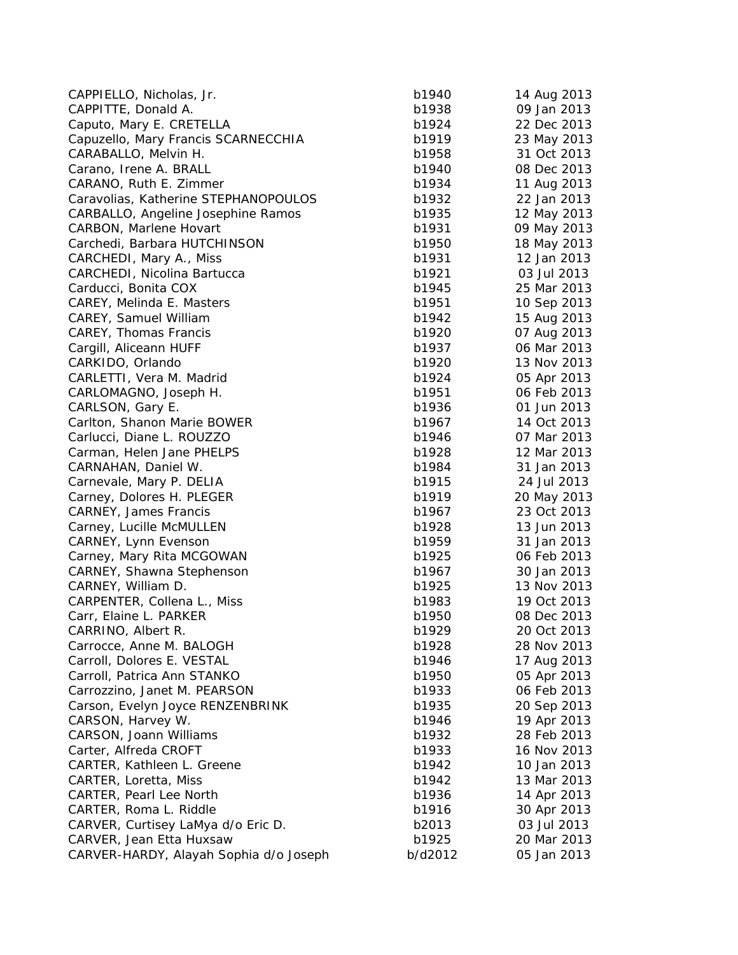| CAPPIELLO, Nicholas, Jr.                  | b1940   | 14 Aug 2013 |
|-------------------------------------------|---------|-------------|
| CAPPITTE, Donald A.                       | b1938   | 09 Jan 2013 |
| Caputo, Mary E. CRETELLA                  | b1924   | 22 Dec 2013 |
| Capuzello, Mary Francis SCARNECCHIA       | b1919   | 23 May 2013 |
| CARABALLO, Melvin H.                      | b1958   | 31 Oct 2013 |
| Carano, Irene A. BRALL                    | b1940   | 08 Dec 2013 |
| CARANO, Ruth E. Zimmer                    | b1934   | 11 Aug 2013 |
| Caravolias, Katherine STEPHANOPOULOS      | b1932   | 22 Jan 2013 |
| CARBALLO, Angeline Josephine Ramos        | b1935   | 12 May 2013 |
| <b>CARBON, Marlene Hovart</b>             | b1931   | 09 May 2013 |
| Carchedi, Barbara HUTCHINSON              | b1950   | 18 May 2013 |
| CARCHEDI, Mary A., Miss                   | b1931   | 12 Jan 2013 |
| CARCHEDI, Nicolina Bartucca               | b1921   | 03 Jul 2013 |
| Carducci, Bonita COX                      | b1945   | 25 Mar 2013 |
| CAREY, Melinda E. Masters                 | b1951   | 10 Sep 2013 |
| CAREY, Samuel William                     | b1942   | 15 Aug 2013 |
| CAREY, Thomas Francis                     | b1920   | 07 Aug 2013 |
| Cargill, Aliceann HUFF                    | b1937   | 06 Mar 2013 |
| CARKIDO, Orlando                          | b1920   | 13 Nov 2013 |
| CARLETTI, Vera M. Madrid                  | b1924   | 05 Apr 2013 |
|                                           | b1951   | 06 Feb 2013 |
| CARLOMAGNO, Joseph H.<br>CARLSON, Gary E. | b1936   | 01 Jun 2013 |
| Carlton, Shanon Marie BOWER               | b1967   | 14 Oct 2013 |
| Carlucci, Diane L. ROUZZO                 |         | 07 Mar 2013 |
|                                           | b1946   |             |
| Carman, Helen Jane PHELPS                 | b1928   | 12 Mar 2013 |
| CARNAHAN, Daniel W.                       | b1984   | 31 Jan 2013 |
| Carnevale, Mary P. DELIA                  | b1915   | 24 Jul 2013 |
| Carney, Dolores H. PLEGER                 | b1919   | 20 May 2013 |
| CARNEY, James Francis                     | b1967   | 23 Oct 2013 |
| Carney, Lucille McMULLEN                  | b1928   | 13 Jun 2013 |
| CARNEY, Lynn Evenson                      | b1959   | 31 Jan 2013 |
| Carney, Mary Rita MCGOWAN                 | b1925   | 06 Feb 2013 |
| CARNEY, Shawna Stephenson                 | b1967   | 30 Jan 2013 |
| CARNEY, William D.                        | b1925   | 13 Nov 2013 |
| CARPENTER, Collena L., Miss               | b1983   | 19 Oct 2013 |
| Carr, Elaine L. PARKER                    | b1950   | 08 Dec 2013 |
| CARRINO, Albert R.                        | b1929   | 20 Oct 2013 |
| Carrocce, Anne M. BALOGH                  | b1928   | 28 Nov 2013 |
| Carroll, Dolores E. VESTAL                | b1946   | 17 Aug 2013 |
| Carroll, Patrica Ann STANKO               | b1950   | 05 Apr 2013 |
| Carrozzino, Janet M. PEARSON              | b1933   | 06 Feb 2013 |
| Carson, Evelyn Joyce RENZENBRINK          | b1935   | 20 Sep 2013 |
| CARSON, Harvey W.                         | b1946   | 19 Apr 2013 |
| CARSON, Joann Williams                    | b1932   | 28 Feb 2013 |
| Carter, Alfreda CROFT                     | b1933   | 16 Nov 2013 |
| CARTER, Kathleen L. Greene                | b1942   | 10 Jan 2013 |
| CARTER, Loretta, Miss                     | b1942   | 13 Mar 2013 |
| <b>CARTER, Pearl Lee North</b>            | b1936   | 14 Apr 2013 |
| CARTER, Roma L. Riddle                    | b1916   | 30 Apr 2013 |
| CARVER, Curtisey LaMya d/o Eric D.        | b2013   | 03 Jul 2013 |
| CARVER, Jean Etta Huxsaw                  | b1925   | 20 Mar 2013 |
| CARVER-HARDY, Alayah Sophia d/o Joseph    | b/d2012 | 05 Jan 2013 |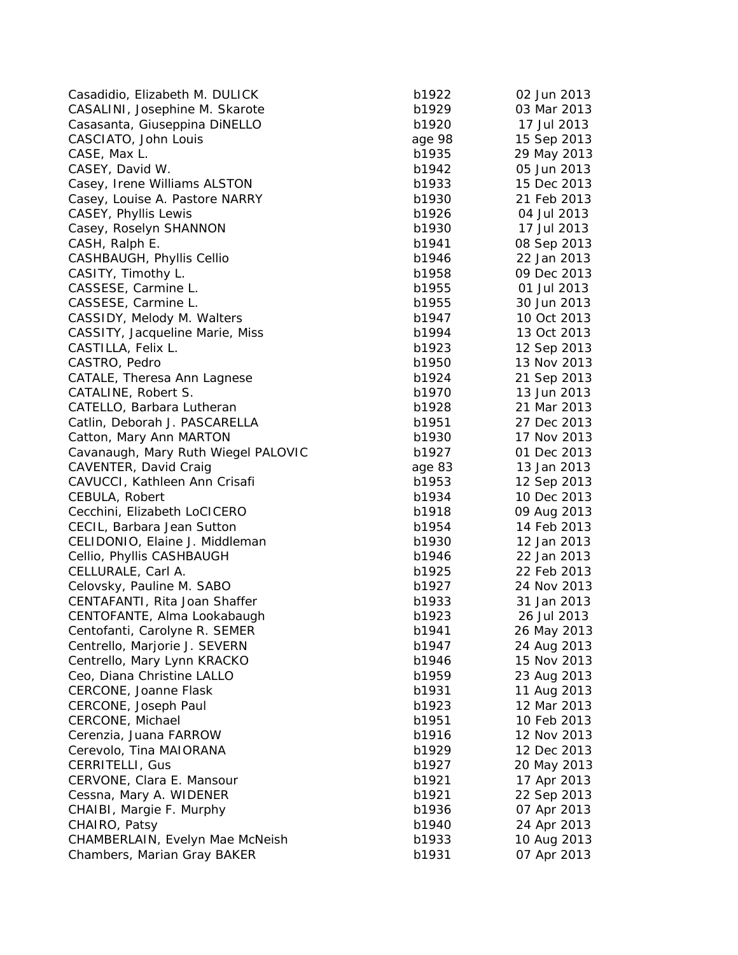Casadidio, Elizabeth M. DULICK b1 CASALINI, Josephine M. Skarote b1 Casasanta, Giuseppina DiNELLO b1 CASCIATO, John Louis age 98 15 Sep 2014 15 Sep 2014 15 Sep 2013 CASE, Max L. b<sup>1</sup> CASEY, David W. b1942 of the b1942 of the b1942 of the b1942 of the b1942 of the b1942 of the b1942 of the b1 Casey, Irene Williams ALSTON b1 Casey, Louise A. Pastore NARRY b1930 21 Feb 2013 CASEY, Phyllis Lewis b1926 04 Jul 2013 04 Jul 2014 04 Jul 2013 04 Jul 2013 04 Jul 2013 04 Jul 2013 04 Jul 2013 Casey, Roselyn SHANNON b1 CASH, Ralph E. b1941 of the b1941 of the b1941 of the b1941 of the b1941 of the b1941 of the b1941 of the b194 CASHBAUGH, Phyllis Cellio b1946 22 Jan 2014 22 Jan 2014 22 Jan 2014 22 Jan 2014 22 Jan 2014 22 Jan 2014 22 Jan 2014 22 Jan 2014 22 Jan 2014 22 Jan 2014 22 Jan 2014 22 Jan 2014 22 Jan 2014 22 Jan 2014 22 Jan 2014 22 Jan 201 CASITY, Timothy L. b1958 b1958 b1958 b1958 b1958 b1958 b1958 b1958 b1958 b1958 b1958 b1958 b1958 b19 CASSESE, Carmine L. b1955 b1955 b1955 b1955 b1955 b1955 b1955 b1955 b1955 b1955 b1955 b1955 b1955 b19 CASSESE, Carmine L. b1955 b1955 b1955 b1955 b1955 b1955 b1955 b1955 b1955 b1955 b1955 b1955 b1955 b1955 b1955 b1955 b1955 b1955 b1955 b1955 b1955 b1955 b1955 b1955 b1955 b1955 b1955 b1955 b1955 b1955 b1955 b1955 b1955 b195 CASSIDY, Melody M. Walters b1 CASSITY, Jacqueline Marie, Miss b1994 13 Oct 2013 CASTILLA, Felix L. b1 CASTRO, Pedro b1950 13 Nov 2013 13 Nov 2013 13 Nov 2013 13 Nov 2013 13 Nov 2013 13 Nov 2013 13 Nov 2013 13 Nov CATALE, Theresa Ann Lagnese b1924 21 Sep 2014 21 Sep 2014 21 Sep 2013 21 Sep 2013 21 Sep 2013 21 Sep 2013 21 Sep 2013 21 Sep 2013 21 Sep 2013 21 Sep 2013 21 Sep 2013 21 Sep 2013 21 Sep 2013 21 Sep 2013 21 Sep 2013 21 Sep 2 CATALINE, Robert S. b<sup>1</sup> CATELLO, Barbara Lutheran b1928 21 Mar 2014 21 Mar 2014 21 Mar 2014 21 Mar 2014 21 Mar 2014 21 Mar 2014 21 Mar Catlin, Deborah J. PASCARELLA b<sup>1</sup> Catton, Mary Ann MARTON b<sup>2</sup> Cavanaugh, Mary Ruth Wiegel PALOVIC b1 CAVENTER, David Craig age 83 13 Jan 2013 CAVUCCI, Kathleen Ann Crisafi **b1953** 12 Sep 2013 12 Sep 2013 12 Sep 2013 12 Sep 2013 12 Sep 2013 12 Sep 2013 12 Sep 2013 12 Sep 2013 12 Sep 2013 12 Sep 2013 12 Sep 2013 12 Sep 2013 12 Sep 2013 12 Sep 2013 12 Sep 2013 12 S CEBULA, Robert b1934 10 Dec 2013 10 Dec 2014 10 Dec 2014 10 Dec 2014 10 Dec 2014 10 Dec 2014 10 Dec 2014 10 Dec 2014 10 Dec 2014 10 Dec 2014 10 Dec 2014 10 Dec 2014 10 Dec 2014 10 Dec 2014 10 Dec 2014 10 Dec 2014 10 Dec 20 Cecchini, Elizabeth LoCICERO b<sup>1</sup> CECIL, Barbara Jean Sutton **b1954** b1 CELIDONIO, Elaine J. Middleman b1 Cellio, Phyllis CASHBAUGH b1 CELLURALE, Carl A. b1925 22 Feb 2013 22 Feb 2014 Celovsky, Pauline M. SABO b<sup>1</sup> CENTAFANTI, Rita Joan Shaffer **b1933** b1 CENTOFANTE, Alma Lookabaugh b1 Centofanti, Carolyne R. SEMER b1941 Centrello, Marjorie J. SEVERN b1 Centrello, Mary Lynn KRACKO b1 Ceo, Diana Christine LALLO b<sup>1</sup> CERCONE, Joanne Flask b1 CERCONE, Joseph Paul b1923 12 March 2013 12 March 2013 12 March 2013 12 March 2013 12 March 2013 12 March 2013 CERCONE, Michael b1951 10 Feb 2013 Cerenzia, Juana FARROW b1 Cerevolo, Tina MAIORANA b1 CERRITELLI, Gus b<sup>1</sup> CERVONE, Clara E. Mansour b1921 17 Apr 2013 Cessna, Mary A. WIDENER b1 CHAIBI, Margie F. Murphy b1 CHAIRO, Patsy b1940 24 Apr 2013 24 Apr 2014 24 Apr 2014 24 Apr 2014 25 Apr 2014 25 Apr 2014 25 Apr 2013 25 Apr 2014 25 Apr 2013 25 Apr 2013 25 Apr 2013 25 Apr 2013 25 Apr 2013 25 Apr 2013 25 Apr 2013 25 Apr 2013 25 Apr 201 CHAMBERLAIN, Evelyn Mae McNeish and aug 2013 Chambers, Marian Gray BAKER b1

| 1922  | 02 Jun 2013                |
|-------|----------------------------|
| 1929  | 03 Mar 2013                |
| 1920  | 17 Jul 2013                |
| je 98 | 15 Sep 2013                |
| 1935  | 29 May 2013                |
| 1942  | 05 Jun 2013                |
| 1933  | 15 Dec 2013                |
| 1930  | 21 Feb 2013                |
| 1926  | 04 Jul 2013                |
| 1930  | 17 Jul 2013                |
| 1941  | 08 Sep 2013                |
| 1946  | 22 Jan 2013                |
| 1958  | 09 Dec 2013                |
| 1955  | 01 Jul 2013                |
| 1955  | 30 Jun 2013                |
| 1947  | 10 Oct 2013                |
|       |                            |
| 1994  | 13 Oct 2013                |
| 1923  | 12 Sep 2013                |
| 1950  | 13 Nov 2013                |
| 1924  | 21 Sep 2013                |
| 1970  | 13 Jun 2013                |
| 1928  | 21 Mar 2013                |
| 1951  | 27 Dec 2013                |
| 1930  | 17 Nov 2013                |
| 1927  | 01 Dec 2013                |
| je 83 | 13 Jan 2013                |
| 1953  | 12 Sep 2013                |
| 1934  | 10 Dec 2013                |
| 1918  | 09 Aug 2013                |
| 1954  | 14 Feb 2013                |
| 1930  | 12 Jan 2013                |
| 1946  | 22 Jan 2013                |
| 1925  | 22 Feb 2013                |
| 1927  | 24 Nov 2013                |
| 1933  | 31 Jan 2013                |
| 1923  | 26 Jul 2013                |
| 1941  | 26 May 2013                |
| 1947  | 24 Aug 2013                |
| 1946  | 15 Nov 2013                |
| 1959  | 23 Aug 2013                |
| 1931  | 11 Aug 2013                |
| 1923  | 12 Mar 2013                |
| 1951  | 10 Feb 2013                |
| 1916  | 12 Nov 2013                |
| 1929  | 12 Dec 2013                |
| 1927  | 20 May 2013                |
| 1921  | 17 Apr 2013                |
| 1921  | 22 Sep 2013                |
| 1936  | 07 Apr 2013<br>24 Apr 2013 |
| 1940  |                            |
| 1933  | 10 Aug 2013                |
| 1931  | 07 Apr 2013                |
|       |                            |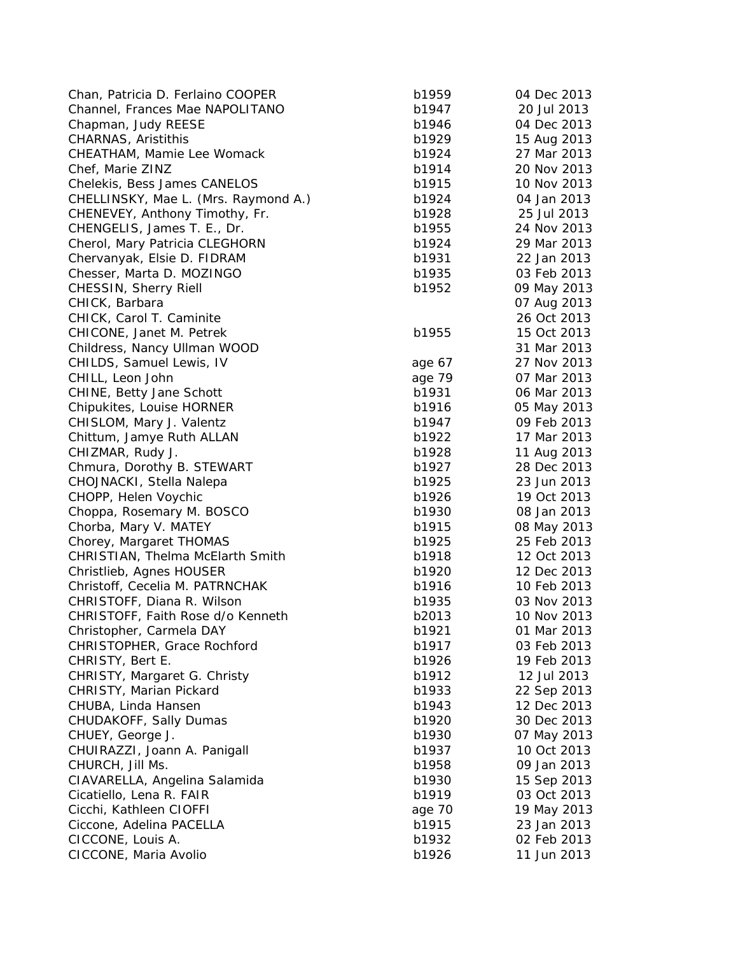| Chan, Patricia D. Ferlaino COOPER    | b1959  | 04 Dec 2013 |
|--------------------------------------|--------|-------------|
| Channel, Frances Mae NAPOLITANO      | b1947  | 20 Jul 2013 |
| Chapman, Judy REESE                  | b1946  | 04 Dec 2013 |
| CHARNAS, Aristithis                  | b1929  | 15 Aug 2013 |
| CHEATHAM, Mamie Lee Womack           | b1924  | 27 Mar 2013 |
| Chef, Marie ZINZ                     | b1914  | 20 Nov 2013 |
| Chelekis, Bess James CANELOS         | b1915  | 10 Nov 2013 |
| CHELLINSKY, Mae L. (Mrs. Raymond A.) | b1924  | 04 Jan 2013 |
| CHENEVEY, Anthony Timothy, Fr.       | b1928  | 25 Jul 2013 |
| CHENGELIS, James T. E., Dr.          | b1955  | 24 Nov 2013 |
| Cherol, Mary Patricia CLEGHORN       | b1924  | 29 Mar 2013 |
| Chervanyak, Elsie D. FIDRAM          | b1931  | 22 Jan 2013 |
| Chesser, Marta D. MOZINGO            | b1935  | 03 Feb 2013 |
| CHESSIN, Sherry Riell                | b1952  | 09 May 2013 |
| CHICK, Barbara                       |        | 07 Aug 2013 |
| CHICK, Carol T. Caminite             |        | 26 Oct 2013 |
| CHICONE, Janet M. Petrek             | b1955  | 15 Oct 2013 |
| Childress, Nancy Ullman WOOD         |        | 31 Mar 2013 |
| CHILDS, Samuel Lewis, IV             | age 67 | 27 Nov 2013 |
| CHILL, Leon John                     | age 79 | 07 Mar 2013 |
| CHINE, Betty Jane Schott             | b1931  | 06 Mar 2013 |
| Chipukites, Louise HORNER            | b1916  | 05 May 2013 |
| CHISLOM, Mary J. Valentz             | b1947  | 09 Feb 2013 |
| Chittum, Jamye Ruth ALLAN            | b1922  | 17 Mar 2013 |
| CHIZMAR, Rudy J.                     | b1928  | 11 Aug 2013 |
| Chmura, Dorothy B. STEWART           | b1927  | 28 Dec 2013 |
| CHOJNACKI, Stella Nalepa             | b1925  | 23 Jun 2013 |
| CHOPP, Helen Voychic                 | b1926  | 19 Oct 2013 |
| Choppa, Rosemary M. BOSCO            | b1930  | 08 Jan 2013 |
| Chorba, Mary V. MATEY                | b1915  | 08 May 2013 |
| Chorey, Margaret THOMAS              | b1925  | 25 Feb 2013 |
| CHRISTIAN, Thelma McElarth Smith     | b1918  | 12 Oct 2013 |
| Christlieb, Agnes HOUSER             | b1920  | 12 Dec 2013 |
| Christoff, Cecelia M. PATRNCHAK      | b1916  | 10 Feb 2013 |
| CHRISTOFF, Diana R. Wilson           | b1935  | 03 Nov 2013 |
| CHRISTOFF, Faith Rose d/o Kenneth    | b2013  | 10 Nov 2013 |
| Christopher, Carmela DAY             | b1921  | 01 Mar 2013 |
| CHRISTOPHER, Grace Rochford          | b1917  | 03 Feb 2013 |
| CHRISTY, Bert E.                     | b1926  | 19 Feb 2013 |
| CHRISTY, Margaret G. Christy         | b1912  | 12 Jul 2013 |
| CHRISTY, Marian Pickard              | b1933  | 22 Sep 2013 |
| CHUBA, Linda Hansen                  | b1943  | 12 Dec 2013 |
|                                      | b1920  |             |
| CHUDAKOFF, Sally Dumas               |        | 30 Dec 2013 |
| CHUEY, George J.                     | b1930  | 07 May 2013 |
| CHUIRAZZI, Joann A. Panigall         | b1937  | 10 Oct 2013 |
| CHURCH, Jill Ms.                     | b1958  | 09 Jan 2013 |
| CIAVARELLA, Angelina Salamida        | b1930  | 15 Sep 2013 |
| Cicatiello, Lena R. FAIR             | b1919  | 03 Oct 2013 |
| Cicchi, Kathleen CIOFFI              | age 70 | 19 May 2013 |
| Ciccone, Adelina PACELLA             | b1915  | 23 Jan 2013 |
| CICCONE, Louis A.                    | b1932  | 02 Feb 2013 |
| CICCONE, Maria Avolio                | b1926  | 11 Jun 2013 |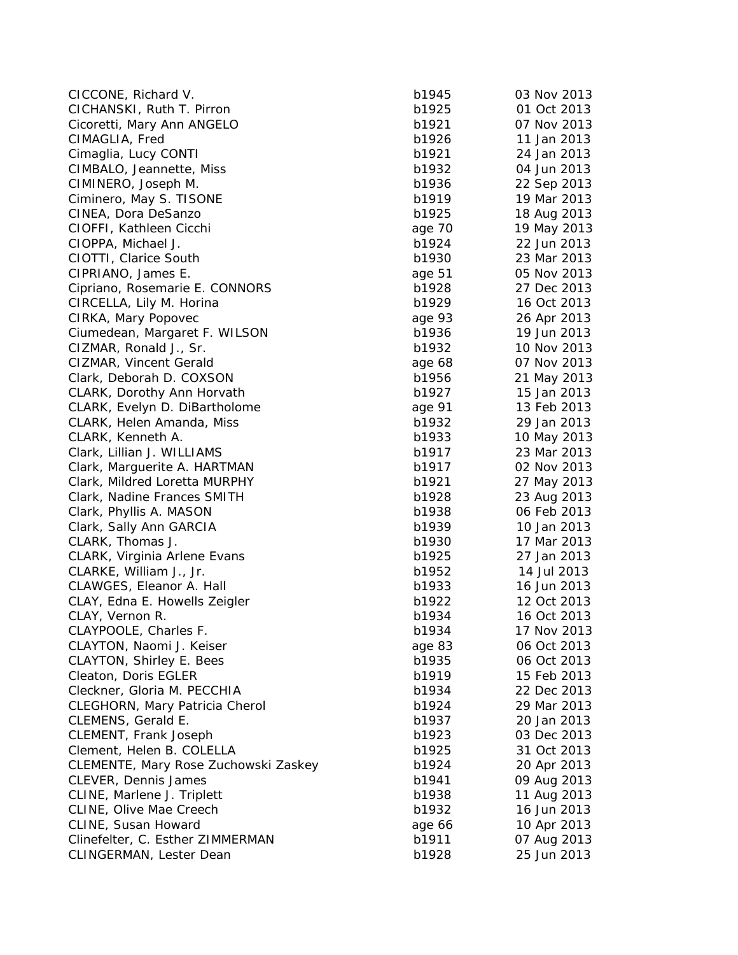| CICCONE, Richard V.                  | b1945  | 03 Nov 2013 |
|--------------------------------------|--------|-------------|
| CICHANSKI, Ruth T. Pirron            | b1925  | 01 Oct 2013 |
| Cicoretti, Mary Ann ANGELO           | b1921  | 07 Nov 2013 |
| CIMAGLIA, Fred                       | b1926  | 11 Jan 2013 |
| Cimaglia, Lucy CONTI                 | b1921  | 24 Jan 2013 |
| CIMBALO, Jeannette, Miss             | b1932  | 04 Jun 2013 |
| CIMINERO, Joseph M.                  | b1936  | 22 Sep 2013 |
| Ciminero, May S. TISONE              | b1919  | 19 Mar 2013 |
| CINEA, Dora DeSanzo                  | b1925  | 18 Aug 2013 |
| CIOFFI, Kathleen Cicchi              | age 70 | 19 May 2013 |
| CIOPPA, Michael J.                   | b1924  | 22 Jun 2013 |
| CIOTTI, Clarice South                | b1930  | 23 Mar 2013 |
| CIPRIANO, James E.                   | age 51 | 05 Nov 2013 |
| Cipriano, Rosemarie E. CONNORS       | b1928  | 27 Dec 2013 |
| CIRCELLA, Lily M. Horina             | b1929  | 16 Oct 2013 |
| CIRKA, Mary Popovec                  | age 93 | 26 Apr 2013 |
| Ciumedean, Margaret F. WILSON        | b1936  | 19 Jun 2013 |
| CIZMAR, Ronald J., Sr.               | b1932  | 10 Nov 2013 |
| CIZMAR, Vincent Gerald               | age 68 | 07 Nov 2013 |
| Clark, Deborah D. COXSON             | b1956  | 21 May 2013 |
| CLARK, Dorothy Ann Horvath           | b1927  | 15 Jan 2013 |
| CLARK, Evelyn D. DiBartholome        | age 91 | 13 Feb 2013 |
| CLARK, Helen Amanda, Miss            | b1932  | 29 Jan 2013 |
| CLARK, Kenneth A.                    | b1933  | 10 May 2013 |
| Clark, Lillian J. WILLIAMS           | b1917  | 23 Mar 2013 |
| Clark, Marguerite A. HARTMAN         | b1917  | 02 Nov 2013 |
| Clark, Mildred Loretta MURPHY        | b1921  | 27 May 2013 |
| Clark, Nadine Frances SMITH          | b1928  | 23 Aug 2013 |
| Clark, Phyllis A. MASON              | b1938  | 06 Feb 2013 |
| Clark, Sally Ann GARCIA              | b1939  | 10 Jan 2013 |
| CLARK, Thomas J.                     | b1930  | 17 Mar 2013 |
| CLARK, Virginia Arlene Evans         | b1925  | 27 Jan 2013 |
| CLARKE, William J., Jr.              | b1952  | 14 Jul 2013 |
| CLAWGES, Eleanor A. Hall             | b1933  | 16 Jun 2013 |
| CLAY, Edna E. Howells Zeigler        | b1922  | 12 Oct 2013 |
| CLAY, Vernon R.                      | b1934  | 16 Oct 2013 |
| CLAYPOOLE, Charles F.                | b1934  | 17 Nov 2013 |
| CLAYTON, Naomi J. Keiser             | age 83 | 06 Oct 2013 |
| <b>CLAYTON, Shirley E. Bees</b>      | b1935  | 06 Oct 2013 |
| Cleaton, Doris EGLER                 | b1919  | 15 Feb 2013 |
| Cleckner, Gloria M. PECCHIA          | b1934  | 22 Dec 2013 |
| CLEGHORN, Mary Patricia Cherol       | b1924  | 29 Mar 2013 |
| CLEMENS, Gerald E.                   | b1937  | 20 Jan 2013 |
| CLEMENT, Frank Joseph                | b1923  | 03 Dec 2013 |
| Clement, Helen B. COLELLA            | b1925  | 31 Oct 2013 |
| CLEMENTE, Mary Rose Zuchowski Zaskey | b1924  | 20 Apr 2013 |
| CLEVER, Dennis James                 | b1941  | 09 Aug 2013 |
| CLINE, Marlene J. Triplett           | b1938  | 11 Aug 2013 |
| CLINE, Olive Mae Creech              | b1932  | 16 Jun 2013 |
| CLINE, Susan Howard                  | age 66 | 10 Apr 2013 |
| Clinefelter, C. Esther ZIMMERMAN     | b1911  | 07 Aug 2013 |
| CLINGERMAN, Lester Dean              | b1928  | 25 Jun 2013 |
|                                      |        |             |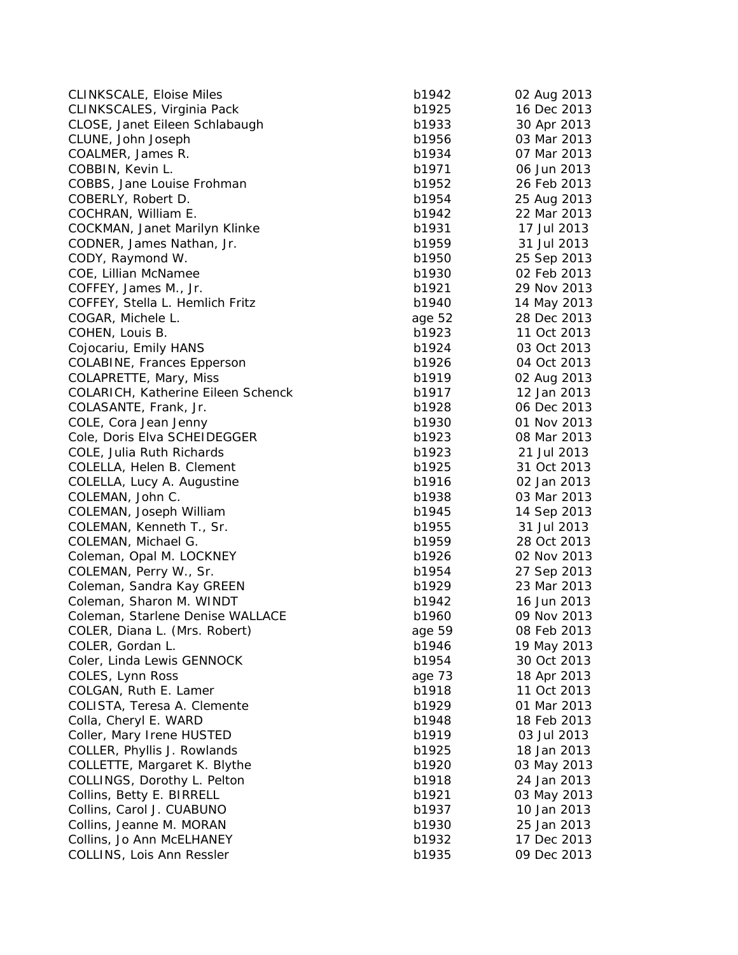| <b>CLINKSCALE, Eloise Miles</b>    | b1942  | 02 Aug 2013 |
|------------------------------------|--------|-------------|
| CLINKSCALES, Virginia Pack         | b1925  | 16 Dec 2013 |
| CLOSE, Janet Eileen Schlabaugh     | b1933  | 30 Apr 2013 |
| CLUNE, John Joseph                 | b1956  | 03 Mar 2013 |
| COALMER, James R.                  | b1934  | 07 Mar 2013 |
| COBBIN, Kevin L.                   | b1971  | 06 Jun 2013 |
| COBBS, Jane Louise Frohman         | b1952  | 26 Feb 2013 |
| COBERLY, Robert D.                 | b1954  | 25 Aug 2013 |
| COCHRAN, William E.                | b1942  | 22 Mar 2013 |
| COCKMAN, Janet Marilyn Klinke      | b1931  | 17 Jul 2013 |
| CODNER, James Nathan, Jr.          | b1959  | 31 Jul 2013 |
| CODY, Raymond W.                   | b1950  | 25 Sep 2013 |
| COE, Lillian McNamee               | b1930  | 02 Feb 2013 |
| COFFEY, James M., Jr.              | b1921  | 29 Nov 2013 |
| COFFEY, Stella L. Hemlich Fritz    | b1940  | 14 May 2013 |
| COGAR, Michele L.                  | age 52 | 28 Dec 2013 |
| COHEN, Louis B.                    | b1923  | 11 Oct 2013 |
| Cojocariu, Emily HANS              | b1924  | 03 Oct 2013 |
| <b>COLABINE, Frances Epperson</b>  | b1926  | 04 Oct 2013 |
| COLAPRETTE, Mary, Miss             | b1919  | 02 Aug 2013 |
| COLARICH, Katherine Eileen Schenck | b1917  | 12 Jan 2013 |
| COLASANTE, Frank, Jr.              | b1928  | 06 Dec 2013 |
| COLE, Cora Jean Jenny              | b1930  | 01 Nov 2013 |
| Cole, Doris Elva SCHEIDEGGER       | b1923  | 08 Mar 2013 |
| COLE, Julia Ruth Richards          | b1923  | 21 Jul 2013 |
| COLELLA, Helen B. Clement          | b1925  | 31 Oct 2013 |
| COLELLA, Lucy A. Augustine         | b1916  | 02 Jan 2013 |
| COLEMAN, John C.                   | b1938  | 03 Mar 2013 |
| COLEMAN, Joseph William            | b1945  | 14 Sep 2013 |
| COLEMAN, Kenneth T., Sr.           | b1955  | 31 Jul 2013 |
| COLEMAN, Michael G.                | b1959  | 28 Oct 2013 |
| Coleman, Opal M. LOCKNEY           | b1926  | 02 Nov 2013 |
| COLEMAN, Perry W., Sr.             | b1954  | 27 Sep 2013 |
| Coleman, Sandra Kay GREEN          | b1929  | 23 Mar 2013 |
| Coleman, Sharon M. WINDT           | b1942  | 16 Jun 2013 |
| Coleman, Starlene Denise WALLACE   | b1960  | 09 Nov 2013 |
| COLER, Diana L. (Mrs. Robert)      | age 59 | 08 Feb 2013 |
| COLER, Gordan L.                   | b1946  | 19 May 2013 |
| Coler, Linda Lewis GENNOCK         | b1954  | 30 Oct 2013 |
| COLES, Lynn Ross                   | age 73 | 18 Apr 2013 |
| COLGAN, Ruth E. Lamer              | b1918  | 11 Oct 2013 |
| COLISTA, Teresa A. Clemente        | b1929  | 01 Mar 2013 |
| Colla, Cheryl E. WARD              | b1948  | 18 Feb 2013 |
| Coller, Mary Irene HUSTED          | b1919  | 03 Jul 2013 |
| COLLER, Phyllis J. Rowlands        | b1925  | 18 Jan 2013 |
| COLLETTE, Margaret K. Blythe       | b1920  | 03 May 2013 |
| COLLINGS, Dorothy L. Pelton        | b1918  | 24 Jan 2013 |
| Collins, Betty E. BIRRELL          | b1921  | 03 May 2013 |
| Collins, Carol J. CUABUNO          | b1937  | 10 Jan 2013 |
| Collins, Jeanne M. MORAN           | b1930  | 25 Jan 2013 |
| Collins, Jo Ann McELHANEY          | b1932  | 17 Dec 2013 |
| COLLINS, Lois Ann Ressler          | b1935  | 09 Dec 2013 |
|                                    |        |             |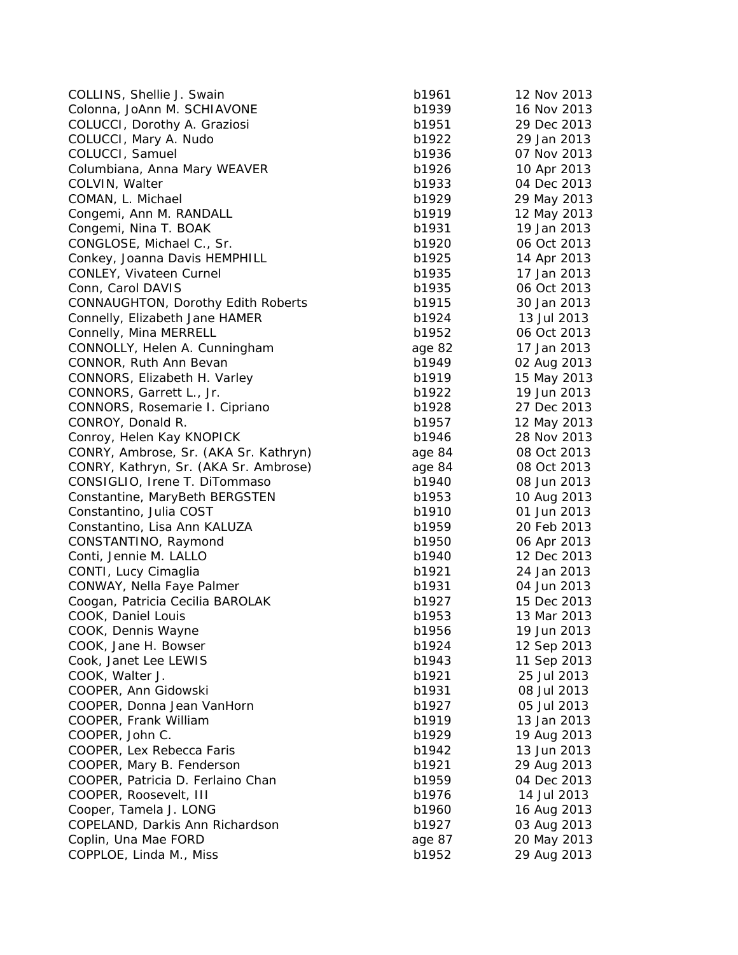| COLLINS, Shellie J. Swain                 | b1961  | 12 Nov 2013 |
|-------------------------------------------|--------|-------------|
| Colonna, JoAnn M. SCHIAVONE               | b1939  | 16 Nov 2013 |
| COLUCCI, Dorothy A. Graziosi              | b1951  | 29 Dec 2013 |
| COLUCCI, Mary A. Nudo                     | b1922  | 29 Jan 2013 |
| COLUCCI, Samuel                           | b1936  | 07 Nov 2013 |
| Columbiana, Anna Mary WEAVER              | b1926  | 10 Apr 2013 |
| COLVIN, Walter                            | b1933  | 04 Dec 2013 |
| COMAN, L. Michael                         | b1929  | 29 May 2013 |
| Congemi, Ann M. RANDALL                   | b1919  | 12 May 2013 |
| Congemi, Nina T. BOAK                     | b1931  | 19 Jan 2013 |
| CONGLOSE, Michael C., Sr.                 | b1920  | 06 Oct 2013 |
| Conkey, Joanna Davis HEMPHILL             | b1925  | 14 Apr 2013 |
| CONLEY, Vivateen Curnel                   | b1935  | 17 Jan 2013 |
| Conn, Carol DAVIS                         | b1935  | 06 Oct 2013 |
| <b>CONNAUGHTON, Dorothy Edith Roberts</b> | b1915  | 30 Jan 2013 |
| Connelly, Elizabeth Jane HAMER            | b1924  | 13 Jul 2013 |
| Connelly, Mina MERRELL                    | b1952  | 06 Oct 2013 |
| CONNOLLY, Helen A. Cunningham             | age 82 | 17 Jan 2013 |
| CONNOR, Ruth Ann Bevan                    | b1949  | 02 Aug 2013 |
| CONNORS, Elizabeth H. Varley              | b1919  | 15 May 2013 |
| CONNORS, Garrett L., Jr.                  | b1922  | 19 Jun 2013 |
| CONNORS, Rosemarie I. Cipriano            | b1928  | 27 Dec 2013 |
| CONROY, Donald R.                         | b1957  | 12 May 2013 |
| Conroy, Helen Kay KNOPICK                 | b1946  | 28 Nov 2013 |
| CONRY, Ambrose, Sr. (AKA Sr. Kathryn)     | age 84 | 08 Oct 2013 |
| CONRY, Kathryn, Sr. (AKA Sr. Ambrose)     | age 84 | 08 Oct 2013 |
| CONSIGLIO, Irene T. DiTommaso             | b1940  | 08 Jun 2013 |
| Constantine, MaryBeth BERGSTEN            | b1953  | 10 Aug 2013 |
| Constantino, Julia COST                   | b1910  | 01 Jun 2013 |
| Constantino, Lisa Ann KALUZA              | b1959  | 20 Feb 2013 |
| CONSTANTINO, Raymond                      | b1950  | 06 Apr 2013 |
| Conti, Jennie M. LALLO                    | b1940  | 12 Dec 2013 |
| CONTI, Lucy Cimaglia                      | b1921  | 24 Jan 2013 |
| CONWAY, Nella Faye Palmer                 | b1931  | 04 Jun 2013 |
| Coogan, Patricia Cecilia BAROLAK          | b1927  | 15 Dec 2013 |
| COOK, Daniel Louis                        | b1953  | 13 Mar 2013 |
| COOK, Dennis Wayne                        | b1956  | 19 Jun 2013 |
| COOK, Jane H. Bowser                      | b1924  | 12 Sep 2013 |
| Cook, Janet Lee LEWIS                     | b1943  | 11 Sep 2013 |
| COOK, Walter J.                           | b1921  | 25 Jul 2013 |
| COOPER, Ann Gidowski                      | b1931  | 08 Jul 2013 |
| COOPER, Donna Jean VanHorn                | b1927  | 05 Jul 2013 |
| COOPER, Frank William                     | b1919  | 13 Jan 2013 |
| COOPER, John C.                           | b1929  | 19 Aug 2013 |
| COOPER, Lex Rebecca Faris                 | b1942  | 13 Jun 2013 |
| COOPER, Mary B. Fenderson                 | b1921  | 29 Aug 2013 |
| COOPER, Patricia D. Ferlaino Chan         | b1959  | 04 Dec 2013 |
| COOPER, Roosevelt, III                    | b1976  | 14 Jul 2013 |
| Cooper, Tamela J. LONG                    | b1960  | 16 Aug 2013 |
| COPELAND, Darkis Ann Richardson           | b1927  | 03 Aug 2013 |
| Coplin, Una Mae FORD                      | age 87 | 20 May 2013 |
| COPPLOE, Linda M., Miss                   | b1952  | 29 Aug 2013 |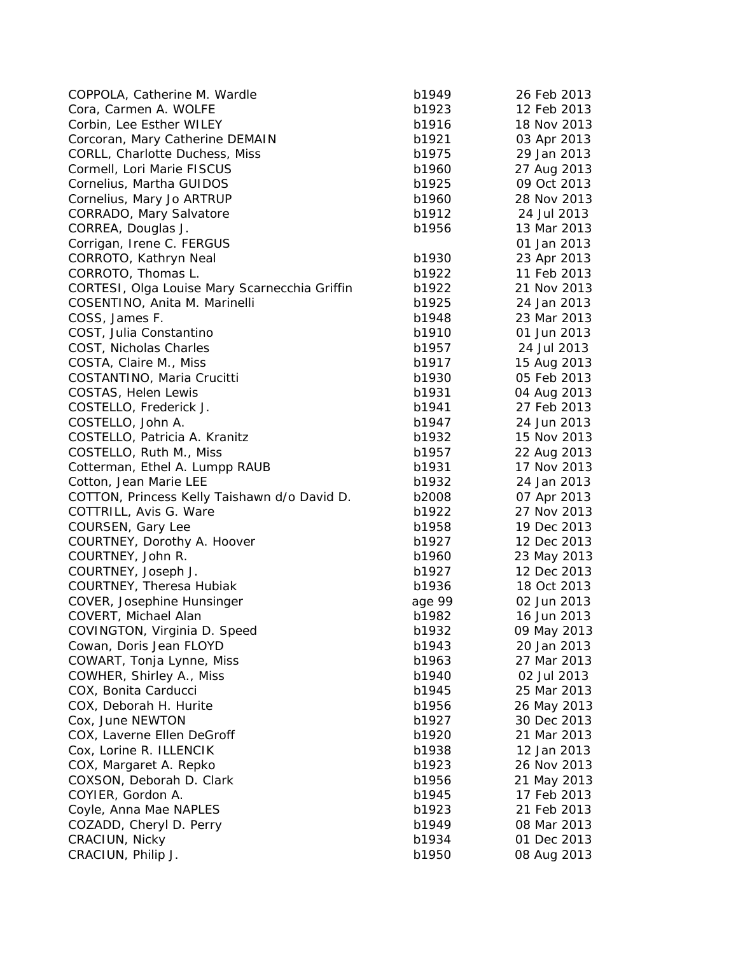| COPPOLA, Catherine M. Wardle                  | b1949  | 26 Feb 2013 |
|-----------------------------------------------|--------|-------------|
| Cora, Carmen A. WOLFE                         | b1923  | 12 Feb 2013 |
| Corbin, Lee Esther WILEY                      | b1916  | 18 Nov 2013 |
| Corcoran, Mary Catherine DEMAIN               | b1921  | 03 Apr 2013 |
| CORLL, Charlotte Duchess, Miss                | b1975  | 29 Jan 2013 |
| Cormell, Lori Marie FISCUS                    | b1960  | 27 Aug 2013 |
| Cornelius, Martha GUIDOS                      | b1925  | 09 Oct 2013 |
| Cornelius, Mary Jo ARTRUP                     | b1960  | 28 Nov 2013 |
| CORRADO, Mary Salvatore                       | b1912  | 24 Jul 2013 |
| CORREA, Douglas J.                            | b1956  | 13 Mar 2013 |
| Corrigan, Irene C. FERGUS                     |        | 01 Jan 2013 |
| CORROTO, Kathryn Neal                         | b1930  | 23 Apr 2013 |
| CORROTO, Thomas L.                            | b1922  | 11 Feb 2013 |
| CORTESI, Olga Louise Mary Scarnecchia Griffin | b1922  | 21 Nov 2013 |
| COSENTINO, Anita M. Marinelli                 | b1925  | 24 Jan 2013 |
| COSS, James F.                                | b1948  | 23 Mar 2013 |
| COST, Julia Constantino                       | b1910  | 01 Jun 2013 |
| COST, Nicholas Charles                        | b1957  | 24 Jul 2013 |
| COSTA, Claire M., Miss                        | b1917  | 15 Aug 2013 |
| COSTANTINO, Maria Crucitti                    | b1930  | 05 Feb 2013 |
| COSTAS, Helen Lewis                           | b1931  | 04 Aug 2013 |
| COSTELLO, Frederick J.                        | b1941  | 27 Feb 2013 |
| COSTELLO, John A.                             | b1947  | 24 Jun 2013 |
| COSTELLO, Patricia A. Kranitz                 | b1932  | 15 Nov 2013 |
| COSTELLO, Ruth M., Miss                       | b1957  | 22 Aug 2013 |
| Cotterman, Ethel A. Lumpp RAUB                | b1931  | 17 Nov 2013 |
| Cotton, Jean Marie LEE                        | b1932  | 24 Jan 2013 |
| COTTON, Princess Kelly Taishawn d/o David D.  | b2008  | 07 Apr 2013 |
| COTTRILL, Avis G. Ware                        | b1922  | 27 Nov 2013 |
| COURSEN, Gary Lee                             | b1958  | 19 Dec 2013 |
| COURTNEY, Dorothy A. Hoover                   | b1927  | 12 Dec 2013 |
| COURTNEY, John R.                             | b1960  | 23 May 2013 |
| COURTNEY, Joseph J.                           | b1927  | 12 Dec 2013 |
| <b>COURTNEY, Theresa Hubiak</b>               | b1936  | 18 Oct 2013 |
| COVER, Josephine Hunsinger                    | age 99 | 02 Jun 2013 |
| COVERT, Michael Alan                          | b1982  | 16 Jun 2013 |
| COVINGTON, Virginia D. Speed                  | b1932  | 09 May 2013 |
| Cowan, Doris Jean FLOYD                       | b1943  | 20 Jan 2013 |
| COWART, Tonja Lynne, Miss                     | b1963  | 27 Mar 2013 |
| COWHER, Shirley A., Miss                      | b1940  | 02 Jul 2013 |
| COX, Bonita Carducci                          | b1945  | 25 Mar 2013 |
| COX, Deborah H. Hurite                        | b1956  | 26 May 2013 |
| Cox, June NEWTON                              | b1927  | 30 Dec 2013 |
| COX, Laverne Ellen DeGroff                    | b1920  | 21 Mar 2013 |
| Cox, Lorine R. ILLENCIK                       | b1938  | 12 Jan 2013 |
| COX, Margaret A. Repko                        | b1923  | 26 Nov 2013 |
| COXSON, Deborah D. Clark                      | b1956  | 21 May 2013 |
| COYIER, Gordon A.                             | b1945  | 17 Feb 2013 |
| Coyle, Anna Mae NAPLES                        | b1923  | 21 Feb 2013 |
| COZADD, Cheryl D. Perry                       | b1949  | 08 Mar 2013 |
| CRACIUN, Nicky                                | b1934  | 01 Dec 2013 |
| CRACIUN, Philip J.                            | b1950  | 08 Aug 2013 |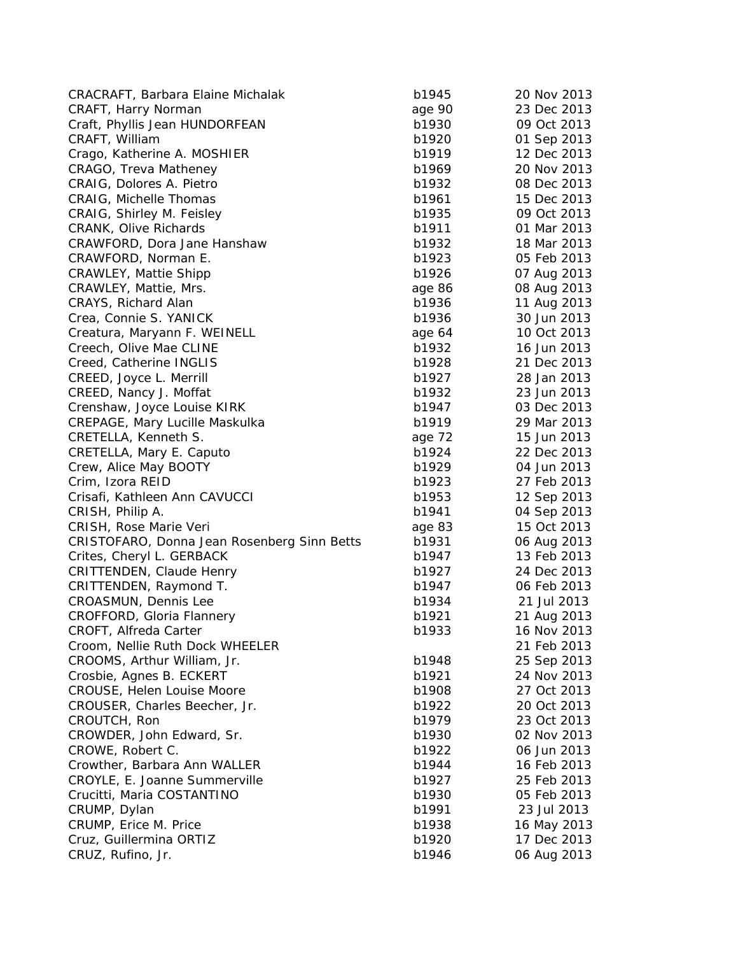| CRACRAFT, Barbara Elaine Michalak           | b1945  | 20 Nov 2013 |
|---------------------------------------------|--------|-------------|
| CRAFT, Harry Norman                         | age 90 | 23 Dec 2013 |
| Craft, Phyllis Jean HUNDORFEAN              | b1930  | 09 Oct 2013 |
| CRAFT, William                              | b1920  | 01 Sep 2013 |
| Crago, Katherine A. MOSHIER                 | b1919  | 12 Dec 2013 |
| CRAGO, Treva Matheney                       | b1969  | 20 Nov 2013 |
| CRAIG, Dolores A. Pietro                    | b1932  | 08 Dec 2013 |
| CRAIG, Michelle Thomas                      | b1961  | 15 Dec 2013 |
| CRAIG, Shirley M. Feisley                   | b1935  | 09 Oct 2013 |
| <b>CRANK, Olive Richards</b>                | b1911  | 01 Mar 2013 |
| CRAWFORD, Dora Jane Hanshaw                 | b1932  | 18 Mar 2013 |
| CRAWFORD, Norman E.                         | b1923  | 05 Feb 2013 |
| <b>CRAWLEY, Mattie Shipp</b>                | b1926  | 07 Aug 2013 |
| CRAWLEY, Mattie, Mrs.                       | age 86 | 08 Aug 2013 |
| CRAYS, Richard Alan                         | b1936  | 11 Aug 2013 |
| Crea, Connie S. YANICK                      | b1936  | 30 Jun 2013 |
| Creatura, Maryann F. WEINELL                | age 64 | 10 Oct 2013 |
| Creech, Olive Mae CLINE                     | b1932  | 16 Jun 2013 |
| Creed, Catherine INGLIS                     | b1928  | 21 Dec 2013 |
| CREED, Joyce L. Merrill                     | b1927  | 28 Jan 2013 |
| CREED, Nancy J. Moffat                      | b1932  | 23 Jun 2013 |
| Crenshaw, Joyce Louise KIRK                 | b1947  | 03 Dec 2013 |
| CREPAGE, Mary Lucille Maskulka              | b1919  | 29 Mar 2013 |
| <b>CRETELLA, Kenneth S.</b>                 | age 72 | 15 Jun 2013 |
| CRETELLA, Mary E. Caputo                    | b1924  | 22 Dec 2013 |
| Crew, Alice May BOOTY                       | b1929  | 04 Jun 2013 |
| Crim, Izora REID                            | b1923  | 27 Feb 2013 |
| Crisafi, Kathleen Ann CAVUCCI               | b1953  | 12 Sep 2013 |
| CRISH, Philip A.                            | b1941  | 04 Sep 2013 |
| CRISH, Rose Marie Veri                      | age 83 | 15 Oct 2013 |
| CRISTOFARO, Donna Jean Rosenberg Sinn Betts | b1931  | 06 Aug 2013 |
| Crites, Cheryl L. GERBACK                   | b1947  | 13 Feb 2013 |
| <b>CRITTENDEN, Claude Henry</b>             | b1927  | 24 Dec 2013 |
| CRITTENDEN, Raymond T.                      | b1947  | 06 Feb 2013 |
| CROASMUN, Dennis Lee                        | b1934  | 21 Jul 2013 |
| CROFFORD, Gloria Flannery                   | b1921  | 21 Aug 2013 |
| CROFT, Alfreda Carter                       | b1933  | 16 Nov 2013 |
| Croom, Nellie Ruth Dock WHEELER             |        | 21 Feb 2013 |
| CROOMS, Arthur William, Jr.                 | b1948  | 25 Sep 2013 |
| Crosbie, Agnes B. ECKERT                    | b1921  | 24 Nov 2013 |
| CROUSE, Helen Louise Moore                  | b1908  | 27 Oct 2013 |
| CROUSER, Charles Beecher, Jr.               | b1922  | 20 Oct 2013 |
| CROUTCH, Ron                                | b1979  | 23 Oct 2013 |
| CROWDER, John Edward, Sr.                   | b1930  | 02 Nov 2013 |
| CROWE, Robert C.                            | b1922  | 06 Jun 2013 |
| Crowther, Barbara Ann WALLER                | b1944  | 16 Feb 2013 |
| CROYLE, E. Joanne Summerville               | b1927  | 25 Feb 2013 |
| Crucitti, Maria COSTANTINO                  | b1930  | 05 Feb 2013 |
| CRUMP, Dylan                                | b1991  | 23 Jul 2013 |
| CRUMP, Erice M. Price                       | b1938  | 16 May 2013 |
| Cruz, Guillermina ORTIZ                     | b1920  | 17 Dec 2013 |
| CRUZ, Rufino, Jr.                           | b1946  | 06 Aug 2013 |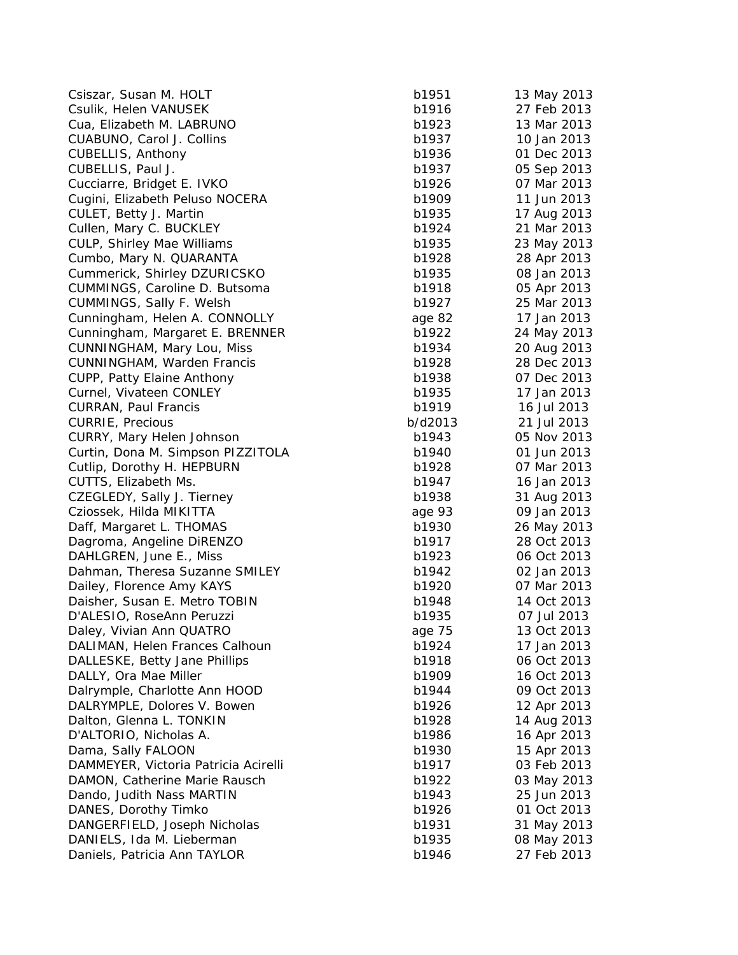| Csiszar, Susan M. HOLT               | b1951   | 13 May 2013 |
|--------------------------------------|---------|-------------|
| Csulik, Helen VANUSEK                | b1916   | 27 Feb 2013 |
| Cua, Elizabeth M. LABRUNO            | b1923   | 13 Mar 2013 |
| CUABUNO, Carol J. Collins            | b1937   | 10 Jan 2013 |
| <b>CUBELLIS, Anthony</b>             | b1936   | 01 Dec 2013 |
| CUBELLIS, Paul J.                    | b1937   | 05 Sep 2013 |
| Cucciarre, Bridget E. IVKO           | b1926   | 07 Mar 2013 |
| Cugini, Elizabeth Peluso NOCERA      | b1909   | 11 Jun 2013 |
| CULET, Betty J. Martin               | b1935   | 17 Aug 2013 |
| Cullen, Mary C. BUCKLEY              | b1924   | 21 Mar 2013 |
| CULP, Shirley Mae Williams           | b1935   | 23 May 2013 |
| Cumbo, Mary N. QUARANTA              | b1928   | 28 Apr 2013 |
| Cummerick, Shirley DZURICSKO         | b1935   | 08 Jan 2013 |
| CUMMINGS, Caroline D. Butsoma        | b1918   | 05 Apr 2013 |
| CUMMINGS, Sally F. Welsh             | b1927   | 25 Mar 2013 |
| Cunningham, Helen A. CONNOLLY        | age 82  | 17 Jan 2013 |
| Cunningham, Margaret E. BRENNER      | b1922   | 24 May 2013 |
| CUNNINGHAM, Mary Lou, Miss           | b1934   | 20 Aug 2013 |
| CUNNINGHAM, Warden Francis           | b1928   | 28 Dec 2013 |
| CUPP, Patty Elaine Anthony           | b1938   | 07 Dec 2013 |
| Curnel, Vivateen CONLEY              | b1935   | 17 Jan 2013 |
| <b>CURRAN, Paul Francis</b>          | b1919   | 16 Jul 2013 |
| <b>CURRIE, Precious</b>              | b/d2013 | 21 Jul 2013 |
| CURRY, Mary Helen Johnson            | b1943   | 05 Nov 2013 |
| Curtin, Dona M. Simpson PIZZITOLA    | b1940   | 01 Jun 2013 |
| Cutlip, Dorothy H. HEPBURN           | b1928   | 07 Mar 2013 |
| CUTTS, Elizabeth Ms.                 | b1947   | 16 Jan 2013 |
| CZEGLEDY, Sally J. Tierney           | b1938   | 31 Aug 2013 |
| Cziossek, Hilda MIKITTA              | age 93  | 09 Jan 2013 |
| Daff, Margaret L. THOMAS             | b1930   | 26 May 2013 |
| Dagroma, Angeline DiRENZO            | b1917   | 28 Oct 2013 |
| DAHLGREN, June E., Miss              | b1923   | 06 Oct 2013 |
| Dahman, Theresa Suzanne SMILEY       | b1942   | 02 Jan 2013 |
| Dailey, Florence Amy KAYS            | b1920   | 07 Mar 2013 |
| Daisher, Susan E. Metro TOBIN        | b1948   | 14 Oct 2013 |
| D'ALESIO, RoseAnn Peruzzi            | b1935   | 07 Jul 2013 |
| Daley, Vivian Ann QUATRO             | age 75  | 13 Oct 2013 |
| DALIMAN, Helen Frances Calhoun       | b1924   | 17 Jan 2013 |
| DALLESKE, Betty Jane Phillips        | b1918   | 06 Oct 2013 |
| DALLY, Ora Mae Miller                | b1909   | 16 Oct 2013 |
| Dalrymple, Charlotte Ann HOOD        | b1944   | 09 Oct 2013 |
| DALRYMPLE, Dolores V. Bowen          | b1926   | 12 Apr 2013 |
| Dalton, Glenna L. TONKIN             | b1928   | 14 Aug 2013 |
| D'ALTORIO, Nicholas A.               | b1986   | 16 Apr 2013 |
| Dama, Sally FALOON                   | b1930   | 15 Apr 2013 |
| DAMMEYER, Victoria Patricia Acirelli | b1917   | 03 Feb 2013 |
| DAMON, Catherine Marie Rausch        | b1922   | 03 May 2013 |
| Dando, Judith Nass MARTIN            | b1943   | 25 Jun 2013 |
| DANES, Dorothy Timko                 | b1926   | 01 Oct 2013 |
| DANGERFIELD, Joseph Nicholas         | b1931   | 31 May 2013 |
| DANIELS, Ida M. Lieberman            | b1935   | 08 May 2013 |
| Daniels, Patricia Ann TAYLOR         | b1946   | 27 Feb 2013 |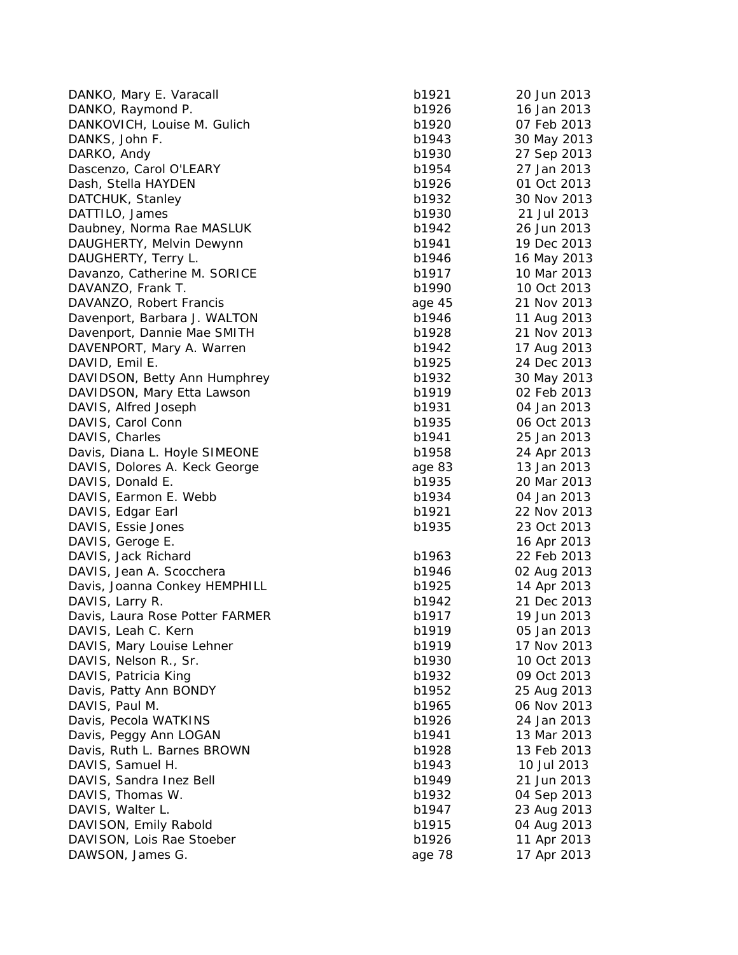| DANKO, Mary E. Varacall                            | b1921  | 20 Jun 2013 |
|----------------------------------------------------|--------|-------------|
| DANKO, Raymond P.                                  | b1926  | 16 Jan 2013 |
| DANKOVICH, Louise M. Gulich                        | b1920  | 07 Feb 2013 |
| DANKS, John F.                                     | b1943  | 30 May 2013 |
| DARKO, Andy                                        | b1930  | 27 Sep 2013 |
| Dascenzo, Carol O'LEARY                            | b1954  | 27 Jan 2013 |
| Dash, Stella HAYDEN                                | b1926  | 01 Oct 2013 |
| DATCHUK, Stanley                                   | b1932  | 30 Nov 2013 |
| DATTILO, James                                     | b1930  | 21 Jul 2013 |
| Daubney, Norma Rae MASLUK                          | b1942  | 26 Jun 2013 |
| DAUGHERTY, Melvin Dewynn                           | b1941  | 19 Dec 2013 |
| DAUGHERTY, Terry L.                                | b1946  | 16 May 2013 |
| Davanzo, Catherine M. SORICE                       | b1917  | 10 Mar 2013 |
| DAVANZO, Frank T.                                  | b1990  | 10 Oct 2013 |
| DAVANZO, Robert Francis                            | age 45 | 21 Nov 2013 |
| Davenport, Barbara J. WALTON                       | b1946  | 11 Aug 2013 |
| Davenport, Dannie Mae SMITH                        | b1928  | 21 Nov 2013 |
| DAVENPORT, Mary A. Warren                          | b1942  | 17 Aug 2013 |
| DAVID, Emil E.                                     | b1925  | 24 Dec 2013 |
| DAVIDSON, Betty Ann Humphrey                       | b1932  | 30 May 2013 |
| DAVIDSON, Mary Etta Lawson                         | b1919  | 02 Feb 2013 |
| DAVIS, Alfred Joseph                               | b1931  | 04 Jan 2013 |
| DAVIS, Carol Conn                                  | b1935  | 06 Oct 2013 |
| DAVIS, Charles                                     | b1941  | 25 Jan 2013 |
| Davis, Diana L. Hoyle SIMEONE                      | b1958  | 24 Apr 2013 |
| DAVIS, Dolores A. Keck George                      | age 83 | 13 Jan 2013 |
| DAVIS, Donald E.                                   | b1935  | 20 Mar 2013 |
| DAVIS, Earmon E. Webb                              | b1934  | 04 Jan 2013 |
| DAVIS, Edgar Earl                                  | b1921  | 22 Nov 2013 |
| DAVIS, Essie Jones                                 | b1935  | 23 Oct 2013 |
| DAVIS, Geroge E.                                   |        | 16 Apr 2013 |
| DAVIS, Jack Richard                                | b1963  | 22 Feb 2013 |
|                                                    | b1946  | 02 Aug 2013 |
| DAVIS, Jean A. Scocchera                           | b1925  | 14 Apr 2013 |
| Davis, Joanna Conkey HEMPHILL                      | b1942  | 21 Dec 2013 |
| DAVIS, Larry R.<br>Davis, Laura Rose Potter FARMER | b1917  | 19 Jun 2013 |
|                                                    |        |             |
| DAVIS, Leah C. Kern                                | b1919  | 05 Jan 2013 |
| DAVIS, Mary Louise Lehner                          | b1919  | 17 Nov 2013 |
| DAVIS, Nelson R., Sr.                              | b1930  | 10 Oct 2013 |
| DAVIS, Patricia King                               | b1932  | 09 Oct 2013 |
| Davis, Patty Ann BONDY                             | b1952  | 25 Aug 2013 |
| DAVIS, Paul M.                                     | b1965  | 06 Nov 2013 |
| Davis, Pecola WATKINS                              | b1926  | 24 Jan 2013 |
| Davis, Peggy Ann LOGAN                             | b1941  | 13 Mar 2013 |
| Davis, Ruth L. Barnes BROWN                        | b1928  | 13 Feb 2013 |
| DAVIS, Samuel H.                                   | b1943  | 10 Jul 2013 |
| DAVIS, Sandra Inez Bell                            | b1949  | 21 Jun 2013 |
| DAVIS, Thomas W.                                   | b1932  | 04 Sep 2013 |
| DAVIS, Walter L.                                   | b1947  | 23 Aug 2013 |
| DAVISON, Emily Rabold                              | b1915  | 04 Aug 2013 |
| DAVISON, Lois Rae Stoeber                          | b1926  | 11 Apr 2013 |
| DAWSON, James G.                                   | age 78 | 17 Apr 2013 |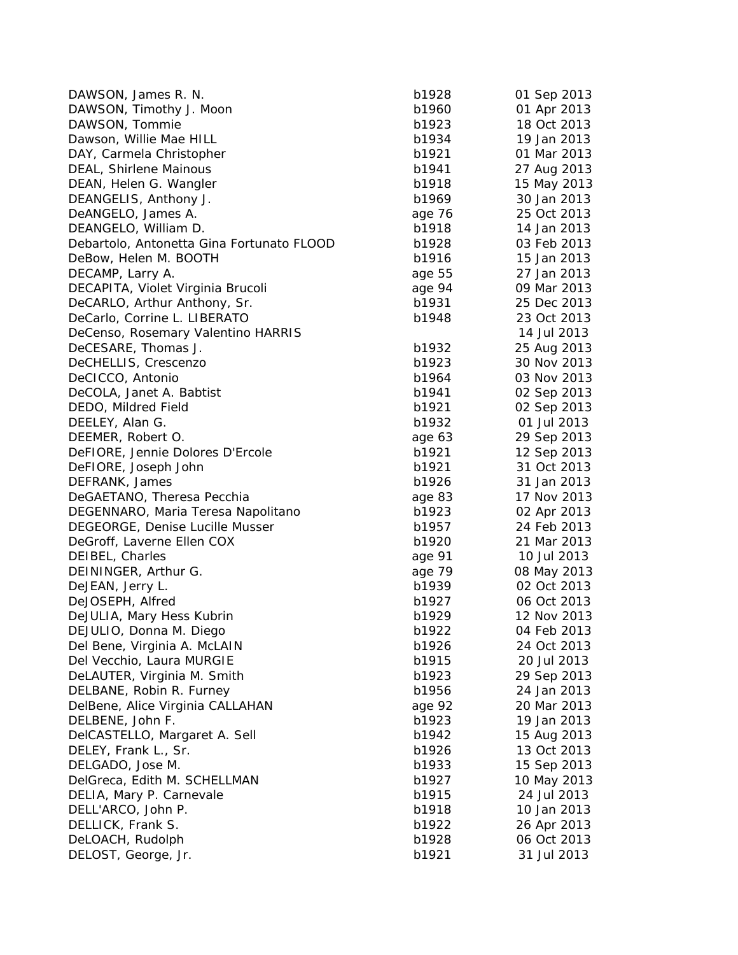| DAWSON, James R. N.                       | b1928  | 01 Sep 2013 |
|-------------------------------------------|--------|-------------|
| DAWSON, Timothy J. Moon                   | b1960  | 01 Apr 2013 |
| DAWSON, Tommie                            | b1923  | 18 Oct 2013 |
| Dawson, Willie Mae HILL                   | b1934  | 19 Jan 2013 |
| DAY, Carmela Christopher                  | b1921  | 01 Mar 2013 |
| DEAL, Shirlene Mainous                    | b1941  | 27 Aug 2013 |
| DEAN, Helen G. Wangler                    | b1918  | 15 May 2013 |
| DEANGELIS, Anthony J.                     | b1969  | 30 Jan 2013 |
| DeANGELO, James A.                        | age 76 | 25 Oct 2013 |
| DEANGELO, William D.                      | b1918  | 14 Jan 2013 |
| Debartolo, Antonetta Gina Fortunato FLOOD | b1928  | 03 Feb 2013 |
| DeBow, Helen M. BOOTH                     | b1916  | 15 Jan 2013 |
| DECAMP, Larry A.                          | age 55 | 27 Jan 2013 |
| DECAPITA, Violet Virginia Brucoli         | age 94 | 09 Mar 2013 |
| DeCARLO, Arthur Anthony, Sr.              | b1931  | 25 Dec 2013 |
| DeCarlo, Corrine L. LIBERATO              | b1948  | 23 Oct 2013 |
| DeCenso, Rosemary Valentino HARRIS        |        | 14 Jul 2013 |
| DeCESARE, Thomas J.                       | b1932  | 25 Aug 2013 |
| DeCHELLIS, Crescenzo                      | b1923  | 30 Nov 2013 |
| DeCICCO, Antonio                          | b1964  | 03 Nov 2013 |
| DeCOLA, Janet A. Babtist                  | b1941  | 02 Sep 2013 |
| DEDO, Mildred Field                       | b1921  | 02 Sep 2013 |
| DEELEY, Alan G.                           | b1932  | 01 Jul 2013 |
| DEEMER, Robert O.                         | age 63 | 29 Sep 2013 |
| DeFIORE, Jennie Dolores D'Ercole          | b1921  | 12 Sep 2013 |
| DeFIORE, Joseph John                      | b1921  | 31 Oct 2013 |
| DEFRANK, James                            | b1926  | 31 Jan 2013 |
| DeGAETANO, Theresa Pecchia                | age 83 | 17 Nov 2013 |
| DEGENNARO, Maria Teresa Napolitano        | b1923  | 02 Apr 2013 |
| DEGEORGE, Denise Lucille Musser           | b1957  | 24 Feb 2013 |
| DeGroff, Laverne Ellen COX                | b1920  | 21 Mar 2013 |
| DEIBEL, Charles                           | age 91 | 10 Jul 2013 |
| DEININGER, Arthur G.                      | age 79 | 08 May 2013 |
| DeJEAN, Jerry L.                          | b1939  | 02 Oct 2013 |
| DeJOSEPH, Alfred                          | b1927  | 06 Oct 2013 |
| DeJULIA, Mary Hess Kubrin                 | b1929  | 12 Nov 2013 |
| DEJULIO, Donna M. Diego                   | b1922  | 04 Feb 2013 |
| Del Bene, Virginia A. McLAIN              | b1926  | 24 Oct 2013 |
| Del Vecchio, Laura MURGIE                 | b1915  | 20 Jul 2013 |
| DeLAUTER, Virginia M. Smith               | b1923  | 29 Sep 2013 |
| DELBANE, Robin R. Furney                  | b1956  | 24 Jan 2013 |
| DelBene, Alice Virginia CALLAHAN          | age 92 | 20 Mar 2013 |
| DELBENE, John F.                          | b1923  | 19 Jan 2013 |
| DelCASTELLO, Margaret A. Sell             | b1942  | 15 Aug 2013 |
| DELEY, Frank L., Sr.                      | b1926  | 13 Oct 2013 |
| DELGADO, Jose M.                          | b1933  | 15 Sep 2013 |
| DelGreca, Edith M. SCHELLMAN              | b1927  | 10 May 2013 |
| DELIA, Mary P. Carnevale                  | b1915  | 24 Jul 2013 |
| DELL'ARCO, John P.                        | b1918  | 10 Jan 2013 |
| DELLICK, Frank S.                         | b1922  | 26 Apr 2013 |
| DeLOACH, Rudolph                          | b1928  | 06 Oct 2013 |
| DELOST, George, Jr.                       | b1921  | 31 Jul 2013 |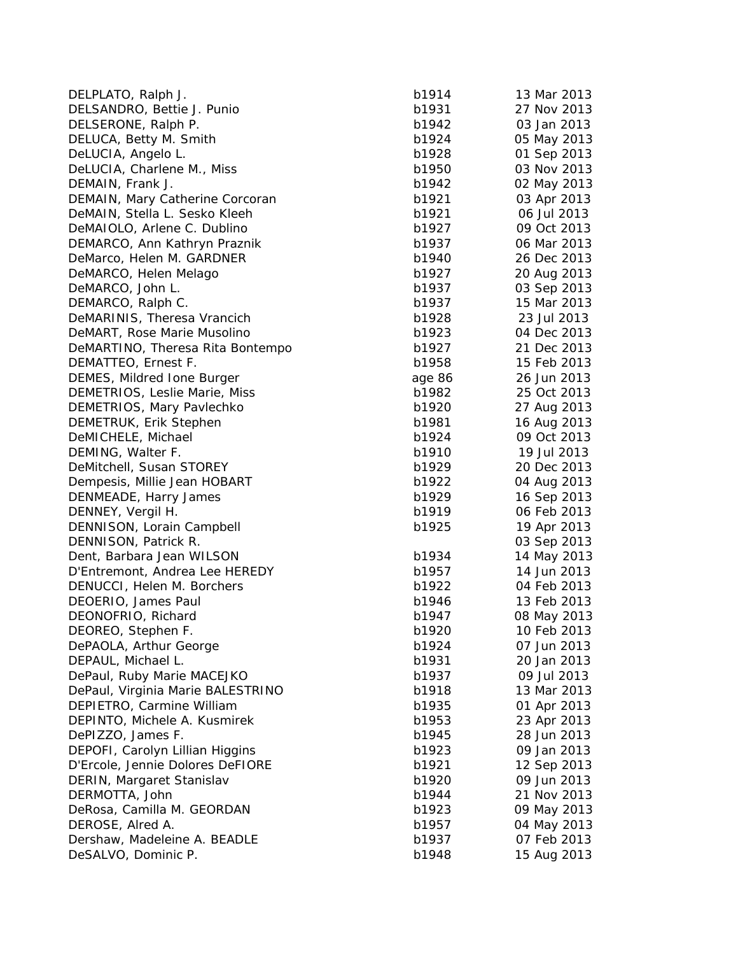| DELPLATO, Ralph J.                | b1914  | 13 Mar 2013 |
|-----------------------------------|--------|-------------|
| DELSANDRO, Bettie J. Punio        | b1931  | 27 Nov 2013 |
| DELSERONE, Ralph P.               | b1942  | 03 Jan 2013 |
| DELUCA, Betty M. Smith            | b1924  | 05 May 2013 |
| DeLUCIA, Angelo L.                | b1928  | 01 Sep 2013 |
| DeLUCIA, Charlene M., Miss        | b1950  | 03 Nov 2013 |
| DEMAIN, Frank J.                  | b1942  | 02 May 2013 |
| DEMAIN, Mary Catherine Corcoran   | b1921  | 03 Apr 2013 |
| DeMAIN, Stella L. Sesko Kleeh     | b1921  | 06 Jul 2013 |
| DeMAIOLO, Arlene C. Dublino       | b1927  | 09 Oct 2013 |
| DEMARCO, Ann Kathryn Praznik      | b1937  | 06 Mar 2013 |
| DeMarco, Helen M. GARDNER         | b1940  | 26 Dec 2013 |
| DeMARCO, Helen Melago             | b1927  | 20 Aug 2013 |
| DeMARCO, John L.                  | b1937  | 03 Sep 2013 |
| DEMARCO, Ralph C.                 | b1937  | 15 Mar 2013 |
| DeMARINIS, Theresa Vrancich       | b1928  | 23 Jul 2013 |
| DeMART, Rose Marie Musolino       | b1923  | 04 Dec 2013 |
| DeMARTINO, Theresa Rita Bontempo  | b1927  | 21 Dec 2013 |
| DEMATTEO, Ernest F.               | b1958  | 15 Feb 2013 |
| DEMES, Mildred Ione Burger        | age 86 | 26 Jun 2013 |
| DEMETRIOS, Leslie Marie, Miss     | b1982  | 25 Oct 2013 |
| DEMETRIOS, Mary Pavlechko         | b1920  | 27 Aug 2013 |
| DEMETRUK, Erik Stephen            | b1981  | 16 Aug 2013 |
| DeMICHELE, Michael                | b1924  | 09 Oct 2013 |
| DEMING, Walter F.                 | b1910  | 19 Jul 2013 |
| DeMitchell, Susan STOREY          | b1929  | 20 Dec 2013 |
| Dempesis, Millie Jean HOBART      | b1922  | 04 Aug 2013 |
| DENMEADE, Harry James             | b1929  | 16 Sep 2013 |
| DENNEY, Vergil H.                 | b1919  | 06 Feb 2013 |
| DENNISON, Lorain Campbell         | b1925  | 19 Apr 2013 |
| DENNISON, Patrick R.              |        | 03 Sep 2013 |
| Dent, Barbara Jean WILSON         | b1934  | 14 May 2013 |
| D'Entremont, Andrea Lee HEREDY    | b1957  | 14 Jun 2013 |
| DENUCCI, Helen M. Borchers        | b1922  | 04 Feb 2013 |
| DEOERIO, James Paul               | b1946  | 13 Feb 2013 |
| DEONOFRIO, Richard                | b1947  | 08 May 2013 |
| DEOREO, Stephen F.                | b1920  | 10 Feb 2013 |
| DePAOLA, Arthur George            | b1924  | 07 Jun 2013 |
| DEPAUL, Michael L.                | b1931  | 20 Jan 2013 |
| DePaul, Ruby Marie MACEJKO        | b1937  | 09 Jul 2013 |
|                                   |        |             |
| DePaul, Virginia Marie BALESTRINO | b1918  | 13 Mar 2013 |
| DEPIETRO, Carmine William         | b1935  | 01 Apr 2013 |
| DEPINTO, Michele A. Kusmirek      | b1953  | 23 Apr 2013 |
| DePIZZO, James F.                 | b1945  | 28 Jun 2013 |
| DEPOFI, Carolyn Lillian Higgins   | b1923  | 09 Jan 2013 |
| D'Ercole, Jennie Dolores DeFIORE  | b1921  | 12 Sep 2013 |
| DERIN, Margaret Stanislav         | b1920  | 09 Jun 2013 |
| DERMOTTA, John                    | b1944  | 21 Nov 2013 |
| DeRosa, Camilla M. GEORDAN        | b1923  | 09 May 2013 |
| DEROSE, Alred A.                  | b1957  | 04 May 2013 |
| Dershaw, Madeleine A. BEADLE      | b1937  | 07 Feb 2013 |
| DeSALVO, Dominic P.               | b1948  | 15 Aug 2013 |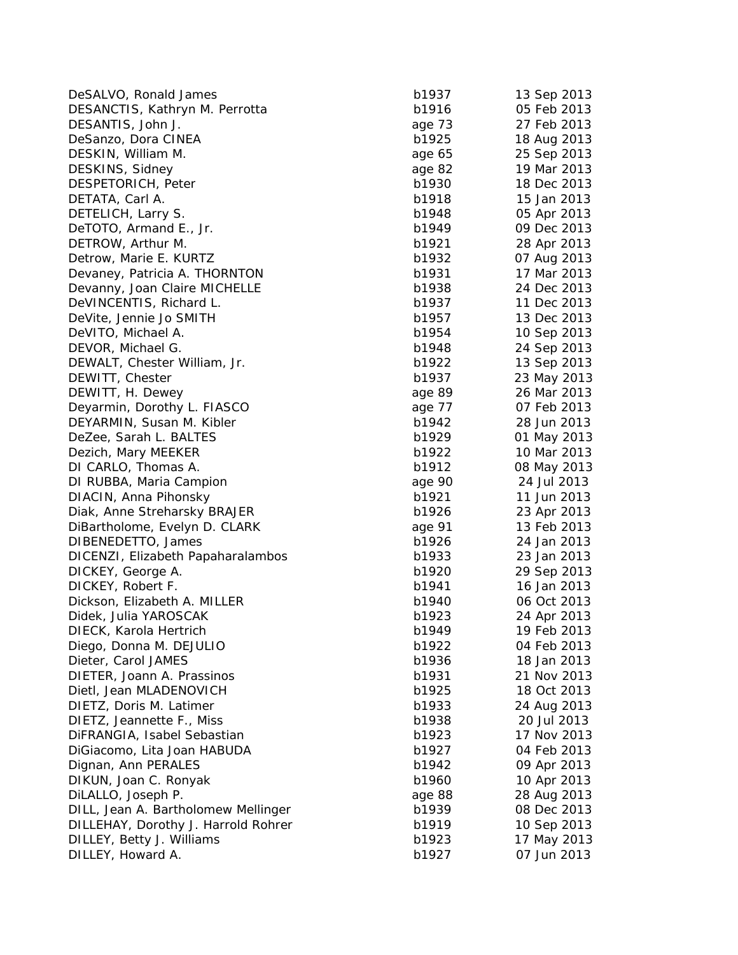| DeSALVO, Ronald James                           | b1937  | 13 Sep 2013 |
|-------------------------------------------------|--------|-------------|
| DESANCTIS, Kathryn M. Perrotta                  | b1916  | 05 Feb 2013 |
| DESANTIS, John J.                               | age 73 | 27 Feb 2013 |
| DeSanzo, Dora CINEA                             | b1925  | 18 Aug 2013 |
| DESKIN, William M.                              | age 65 | 25 Sep 2013 |
| DESKINS, Sidney                                 | age 82 | 19 Mar 2013 |
| DESPETORICH, Peter                              | b1930  | 18 Dec 2013 |
| DETATA, Carl A.                                 | b1918  | 15 Jan 2013 |
| DETELICH, Larry S.                              | b1948  | 05 Apr 2013 |
| DeTOTO, Armand E., Jr.                          | b1949  | 09 Dec 2013 |
| DETROW, Arthur M.                               | b1921  | 28 Apr 2013 |
| Detrow, Marie E. KURTZ                          | b1932  | 07 Aug 2013 |
| Devaney, Patricia A. THORNTON                   | b1931  | 17 Mar 2013 |
| Devanny, Joan Claire MICHELLE                   | b1938  | 24 Dec 2013 |
| DeVINCENTIS, Richard L.                         | b1937  | 11 Dec 2013 |
| DeVite, Jennie Jo SMITH                         | b1957  | 13 Dec 2013 |
| DeVITO, Michael A.                              | b1954  | 10 Sep 2013 |
| DEVOR, Michael G.                               | b1948  | 24 Sep 2013 |
| DEWALT, Chester William, Jr.                    | b1922  | 13 Sep 2013 |
| DEWITT, Chester                                 | b1937  | 23 May 2013 |
| DEWITT, H. Dewey                                | age 89 | 26 Mar 2013 |
| Deyarmin, Dorothy L. FIASCO                     | age 77 | 07 Feb 2013 |
| DEYARMIN, Susan M. Kibler                       | b1942  | 28 Jun 2013 |
| DeZee, Sarah L. BALTES                          | b1929  | 01 May 2013 |
| Dezich, Mary MEEKER                             | b1922  | 10 Mar 2013 |
| DI CARLO, Thomas A.                             | b1912  | 08 May 2013 |
| DI RUBBA, Maria Campion                         | age 90 | 24 Jul 2013 |
| DIACIN, Anna Pihonsky                           | b1921  | 11 Jun 2013 |
| Diak, Anne Streharsky BRAJER                    | b1926  | 23 Apr 2013 |
| DiBartholome, Evelyn D. CLARK                   | age 91 | 13 Feb 2013 |
| DIBENEDETTO, James                              | b1926  | 24 Jan 2013 |
| DICENZI, Elizabeth Papaharalambos               | b1933  | 23 Jan 2013 |
| DICKEY, George A.                               | b1920  | 29 Sep 2013 |
| DICKEY, Robert F.                               | b1941  | 16 Jan 2013 |
|                                                 | b1940  | 06 Oct 2013 |
| Dickson, Elizabeth A. MILLER                    | b1923  | 24 Apr 2013 |
| Didek, Julia YAROSCAK<br>DIECK, Karola Hertrich | b1949  | 19 Feb 2013 |
| Diego, Donna M. DEJULIO                         | b1922  | 04 Feb 2013 |
| Dieter, Carol JAMES                             | b1936  | 18 Jan 2013 |
| DIETER, Joann A. Prassinos                      | b1931  | 21 Nov 2013 |
|                                                 |        |             |
| Dietl, Jean MLADENOVICH                         | b1925  | 18 Oct 2013 |
| DIETZ, Doris M. Latimer                         | b1933  | 24 Aug 2013 |
| DIETZ, Jeannette F., Miss                       | b1938  | 20 Jul 2013 |
| DiFRANGIA, Isabel Sebastian                     | b1923  | 17 Nov 2013 |
| DiGiacomo, Lita Joan HABUDA                     | b1927  | 04 Feb 2013 |
| Dignan, Ann PERALES                             | b1942  | 09 Apr 2013 |
| DIKUN, Joan C. Ronyak                           | b1960  | 10 Apr 2013 |
| DiLALLO, Joseph P.                              | age 88 | 28 Aug 2013 |
| DILL, Jean A. Bartholomew Mellinger             | b1939  | 08 Dec 2013 |
| DILLEHAY, Dorothy J. Harrold Rohrer             | b1919  | 10 Sep 2013 |
| DILLEY, Betty J. Williams                       | b1923  | 17 May 2013 |
| DILLEY, Howard A.                               | b1927  | 07 Jun 2013 |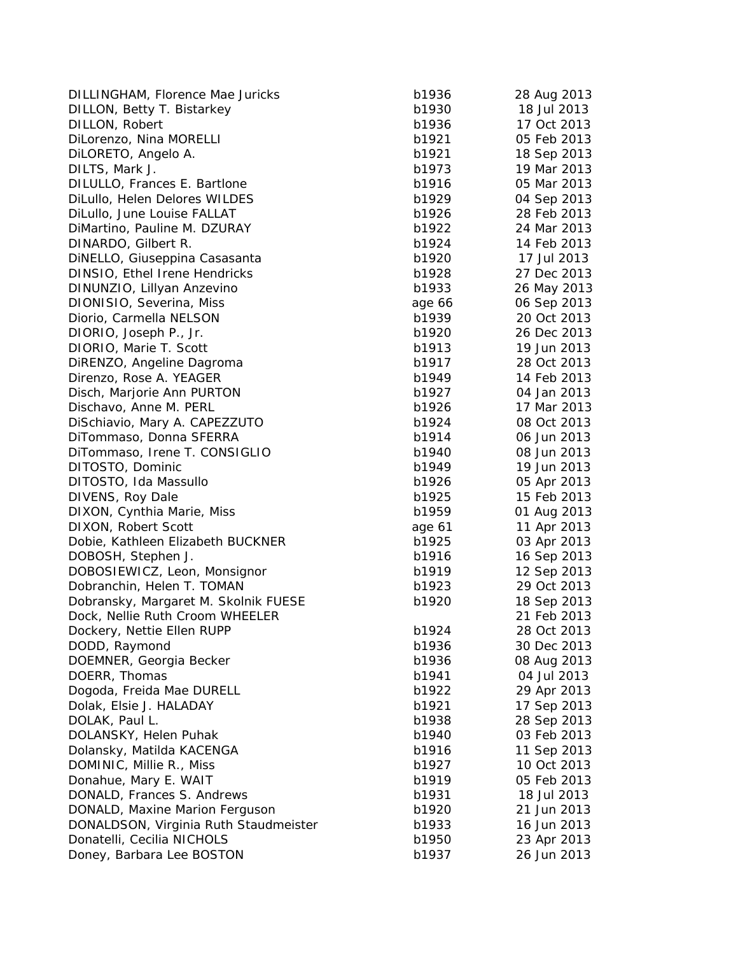DILLINGHAM, Florence Mae Juricks b1 DILLON, Betty T. Bistarkey b1 DILLON, Robert b1936 17 Oct 2013 17 Oct 2014 17 Oct 2013 17 Oct 2013 17 Oct 2014 17 Oct 2013 17 Oct 2014 17 Oc DiLorenzo, Nina MORELLI b1 DiLORETO, Angelo A. b1 DILTS, Mark J. b1973 19 March 2013 19 March 2013 19 March 2013 19 March 2013 19 March 2013 19 March 2013 19 March 2013 19 March 2013 19 March 2013 19 March 2013 19 March 2013 19 March 2013 19 March 2013 19 March 2013 19 Ma DILULLO, Frances E. Bartlone b1 DiLullo, Helen Delores WILDES b1 DiLullo, June Louise FALLAT b1 DiMartino, Pauline M. DZURAY b1 DINARDO, Gilbert R. b1924 b1924 14 Feb 2014 14 Feb 2014 14 Feb 2014 14 Feb 2014 14 Feb 2014 14 Feb 2014 14 Feb 2014 14 Feb 2014 14 Feb 2014 15 Feb 2014 14 Feb 2014 15 Feb 2014 15 Feb 2014 15 Feb 2014 15 Feb 2014 15 Feb 201 DiNELLO, Giuseppina Casasanta b1 DINSIO, Ethel Irene Hendricks b1 DINUNZIO, Lillyan Anzevino b1 DIONISIO, Severina, Miss age 66 06 Sep 2014 Diorio, Carmella NELSON b1 DIORIO, Joseph P., Jr. b1920 26 Dec 2013 26 Dec 2014 26 Dec 2014 26 Dec 2014 26 Dec 2014 26 Dec 2014 26 Dec 20 DIORIO, Marie T. Scott b1913 b1913 b1913 b1913 b1913 b1913 b1913 b1913 b1913 b1913 b1913 b1913 b1913 b1913 b19 DiRENZO, Angeline Dagroma b1 Direnzo, Rose A. YEAGER b1 Disch, Marjorie Ann PURTON b1 Dischavo, Anne M. PERL b1 DiSchiavio, Mary A. CAPEZZUTO b1 DiTommaso, Donna SFERRA b1 DiTommaso, Irene T. CONSIGLIO b1 DITOSTO, Dominic b1949 19 Jun 2013 DITOSTO, Ida Massullo b1 DIVENS, Roy Dale b1925 15 Feb 2013 15 Feb 2014 DIXON, Cynthia Marie, Miss b1 DIXON, Robert Scott **age 61 11 Apr 2013** Dobie, Kathleen Elizabeth BUCKNER b1 DOBOSH, Stephen J. b1916 16 Sep 2014 16 Sep 2014 16 Sep 2014 16 Sep 2014 16 Sep 2014 16 Sep 2014 16 Sep 2014 1 DOBOSIEWICZ, Leon, Monsignor b1 Dobranchin, Helen T. TOMAN b1 Dobransky, Margaret M. Skolnik FUESE b1 Dock, Nellie Ruth Croom WHEELER Dockery, Nettie Ellen RUPP b1 DODD, Raymond b1936 30 Dec 2013 30 Dec 2013 30 Dec 2013 30 Dec 2013 30 Dec 2013 30 Dec 2013 30 Dec 2014 30 Dec 2013 30 Dec 2013 30 Dec 2013 30 Dec 2013 30 Dec 2013 30 Dec 2013 30 Dec 2013 30 Dec 2013 30 Dec 2013 30 Dec 201 DOEMNER, Georgia Becker b1936 08 Aug 2013 DOERR, Thomas b1 Dogoda, Freida Mae DURELL b1 Dolak, Elsie J. HALADAY b1 DOLAK, Paul L. b1938 28 Sep 2013 28 Sep 2013 28 Sep 2013 28 Sep 2013 28 Sep 2013 28 Sep 2013 28 Sep 2013 28 Sep 2013 28 Sep 2013 28 Sep 2013 28 Sep 2013 28 Sep 2013 28 Sep 2013 28 Sep 2013 28 Sep 2013 28 Sep 2013 28 Sep 20 DOLANSKY, Helen Puhak b1940 Feb 2013 Feb 2014 63 Feb 2014 63 Feb 2013 Feb 2014 63 Feb 2014 63 Feb 2013 Feb 20 Dolansky, Matilda KACENGA b1 DOMINIC, Millie R., Miss b1 Donahue, Mary E. WAIT b1 DONALD, Frances S. Andrews b1 DONALD, Maxine Marion Ferguson b1 DONALDSON, Virginia Ruth Staudmeister b1 Donatelli, Cecilia NICHOLS b1 Doney, Barbara Lee BOSTON b1

| 936  | 28 Aug 2013    |
|------|----------------|
| 930  | 18 Jul 2013    |
| 936  | 17 Oct 2013    |
| 921  | 05 Feb 2013    |
| 921  | 18<br>Sep 2013 |
| 973  | 19 Mar 2013    |
| 916  | 05 Mar 2013    |
| 929  | 04 Sep 2013    |
| 926  | 28 Feb 2013    |
| 922  | 24 Mar 2013    |
| 924  | 14 Feb 2013    |
| 920  | 17 Jul 2013    |
|      |                |
| 928  | 27 Dec 2013    |
| 933  | 26 May 2013    |
| e 66 | 06 Sep 2013    |
| 939  | 20 Oct 2013    |
| 920  | 26 Dec 2013    |
| 913  | 19 Jun 2013    |
| 917  | 28 Oct 2013    |
| 949  | 14 Feb 2013    |
| 927  | 04 Jan 2013    |
| 926  | 17 Mar 2013    |
| 924  | 08 Oct 2013    |
| 914  | 06 Jun 2013    |
| 940  | 08 Jun 2013    |
| 949  | 19 Jun 2013    |
| 926  | 05 Apr 2013    |
| 925  | 15 Feb 2013    |
| 959  | 01 Aug 2013    |
| e 61 | 11 Apr 2013    |
| 925  | 03 Apr 2013    |
| 916  | 16 Sep 2013    |
| 919  | 12 Sep 2013    |
| 923  | 29 Oct 2013    |
| 920  | 18 Sep 2013    |
|      | 21 Feb 2013    |
| 924  | 28 Oct 2013    |
| 936  | 30 Dec 2013    |
| 936  | 08 Aug 2013    |
| 941  | 04 Jul 2013    |
| 922  | 29 Apr 2013    |
| 921  | 17 Sep 2013    |
| 938  | 28 Sep 2013    |
| 940  | 03 Feb 2013    |
| 916  | 11 Sep 2013    |
| 927  | 10 Oct 2013    |
| 919  | 05 Feb 2013    |
| 931  | 18 Jul 2013    |
| 920  | 21 Jun 2013    |
| 933  | 16 Jun 2013    |
| 950  | 23 Apr 2013    |
|      |                |
| 937  | 26 Jun 2013    |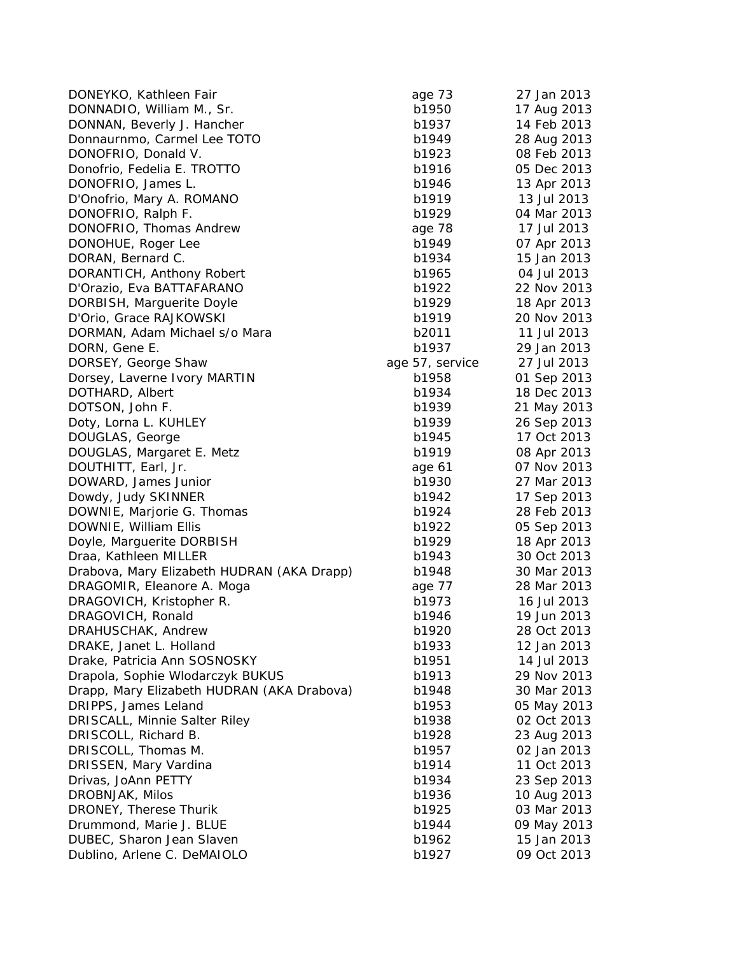DONEYKO, Kathleen Fair and Electronic age 73 27 Jan 2013 DONNADIO, William M., Sr. b1950 17 Aug 2013 DONNAN, Beverly J. Hancher b1937 14 Feb 2013 Donnaurnmo, Carmel Lee TOTO b1949 b1949 28 Aug 2013 DONOFRIO, Donald V. b1923 08 Feb 2013 Donofrio, Fedelia E. TROTTO b1916 b1916 05 Dec 2013 DONOFRIO, James L. b1946 13 Apr 2013 D'Onofrio, Mary A. ROMANO b1919 b1919 13 Jul 2013 DONOFRIO, Ralph F. b1929 04 Mar 2013 DONOFRIO, Thomas Andrew age 78 17 Jul 2013 DONOHUE, Roger Lee b1949 b1949 07 Apr 2013 DORAN, Bernard C. b1934 15 Jan 2013 DORANTICH, Anthony Robert blues b1965 04 Jul 2013 D'Orazio, Eva BATTAFARANO b1922 22 Nov 2013 DORBISH, Marguerite Doyle b1929 18 Apr 2013 D'Orio, Grace RAJKOWSKI b1919 20 Nov 2013 DORMAN, Adam Michael s/o Mara b and b2011 11 Jul 2013 DORN, Gene E. b1937 29 Jan 2013 DORSEY, George Shaw age 57, service 27 Jul 2013 Dorsey, Laverne Ivory MARTIN b1958 01 Sep 2013 DOTHARD, Albert b1934 18 Dec 2013 DOTSON, John F. b1939 21 May 2013 Doty, Lorna L. KUHLEY b1939 26 Sep 2013 DOUGLAS, George b1945 17 Oct 2013 DOUGLAS, Margaret E. Metz b1919 b1919 08 Apr 2013 DOUTHITT, Earl, Jr. and the control of the control of the control of Nov 2013 DOWARD, James Junior b1930 27 Mar 2013 Dowdy, Judy SKINNER b1942 and the b1942 and the b1942 b1942 b1942 b1942 b1942 b1942 b1943 b1942 b1943 b1942 b1943 b1942 b1943 b1942 b1948 b1948 b1948 b1948 b1948 b1948 b1948 b1948 b1948 b1948 b1948 b1948 b1948 b1948 b1948 DOWNIE, Marjorie G. Thomas b1924 28 Feb 2013 DOWNIE, William Ellis b1922 05 Sep 2013 Doyle, Marguerite DORBISH b1929 b1929 18 Apr 2013 Draa, Kathleen MILLER b1943 30 Oct 2013 Drabova, Mary Elizabeth HUDRAN (AKA Drapp) b1948 30 Mar 2013 DRAGOMIR, Eleanore A. Moga age 77 and 28 Mar 2013 DRAGOVICH, Kristopher R. b1973 16 Jul 2013 DRAGOVICH, Ronald **b1946** 19 Jun 2013 DRAHUSCHAK, Andrew b1920 28 Oct 2013 DRAKE, Janet L. Holland b1933 12 Jan 2013 Drake, Patricia Ann SOSNOSKY b1951 14 Jul 2013 Drapola, Sophie Wlodarczyk BUKUS b1913 b1913 29 Nov 2013 Drapp, Mary Elizabeth HUDRAN (AKA Drabova) b1948 30 Mar 2013 DRIPPS, James Leland b1953 05 May 2013 DRISCALL, Minnie Salter Riley b1938 02 Oct 2013 DRISCOLL, Richard B. b1928 23 Aug 2013 DRISCOLL, Thomas M. b1957 02 Jan 2013 DRISSEN, Mary Vardina b1914 b1914 11 Oct 2013 Drivas, JoAnn PETTY b1934 23 Sep 2013 DROBNJAK, Milos b1936 10 Aug 2013 DRONEY, Therese Thurik b1925 03 Mar 2013 Drummond, Marie J. BLUE b1944 09 May 2013 DUBEC, Sharon Jean Slaven bish barrata bish b1962 and 15 Jan 2013 Dublino, Arlene C. DeMAIOLO b1927 09 Oct 2013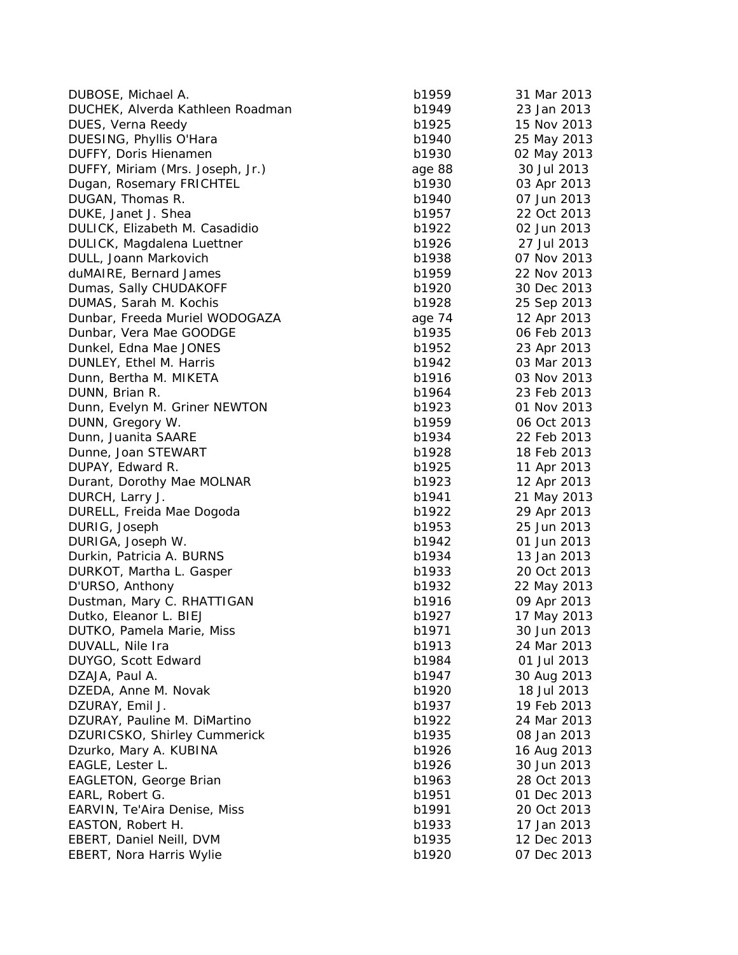| DUBOSE, Michael A.                            | b1959  | 31 Mar 2013                |
|-----------------------------------------------|--------|----------------------------|
| DUCHEK, Alverda Kathleen Roadman              | b1949  | 23 Jan 2013                |
| DUES, Verna Reedy                             | b1925  | 15 Nov 2013                |
| DUESING, Phyllis O'Hara                       | b1940  | 25 May 2013                |
| DUFFY, Doris Hienamen                         | b1930  | 02 May 2013                |
| DUFFY, Miriam (Mrs. Joseph, Jr.)              | age 88 | 30 Jul 2013                |
| Dugan, Rosemary FRICHTEL                      | b1930  | 03 Apr 2013                |
| DUGAN, Thomas R.                              | b1940  | 07 Jun 2013                |
| DUKE, Janet J. Shea                           | b1957  | 22 Oct 2013                |
| DULICK, Elizabeth M. Casadidio                | b1922  | 02 Jun 2013                |
| DULICK, Magdalena Luettner                    | b1926  | 27 Jul 2013                |
| DULL, Joann Markovich                         | b1938  | 07 Nov 2013                |
| duMAIRE, Bernard James                        | b1959  | 22 Nov 2013                |
| Dumas, Sally CHUDAKOFF                        | b1920  | 30 Dec 2013                |
| DUMAS, Sarah M. Kochis                        | b1928  | 25 Sep 2013                |
| Dunbar, Freeda Muriel WODOGAZA                | age 74 | 12 Apr 2013                |
| Dunbar, Vera Mae GOODGE                       | b1935  | 06 Feb 2013                |
| Dunkel, Edna Mae JONES                        | b1952  | 23 Apr 2013                |
| DUNLEY, Ethel M. Harris                       | b1942  | 03 Mar 2013                |
| Dunn, Bertha M. MIKETA                        | b1916  | 03 Nov 2013                |
| DUNN, Brian R.                                | b1964  | 23 Feb 2013                |
| Dunn, Evelyn M. Griner NEWTON                 | b1923  | 01 Nov 2013                |
| DUNN, Gregory W.                              | b1959  | 06 Oct 2013                |
| Dunn, Juanita SAARE                           | b1934  | 22 Feb 2013                |
| Dunne, Joan STEWART                           | b1928  | 18 Feb 2013                |
| DUPAY, Edward R.                              | b1925  | 11 Apr 2013                |
| Durant, Dorothy Mae MOLNAR                    | b1923  | 12 Apr 2013                |
| DURCH, Larry J.                               | b1941  | 21 May 2013                |
| DURELL, Freida Mae Dogoda                     | b1922  | 29 Apr 2013                |
| DURIG, Joseph                                 | b1953  | 25 Jun 2013                |
| DURIGA, Joseph W.                             | b1942  | 01 Jun 2013                |
| Durkin, Patricia A. BURNS                     | b1934  | 13 Jan 2013                |
| DURKOT, Martha L. Gasper                      | b1933  | 20 Oct 2013                |
| D'URSO, Anthony                               | b1932  |                            |
| Dustman, Mary C. RHATTIGAN                    | b1916  | 22 May 2013<br>09 Apr 2013 |
| Dutko, Eleanor L. BIEJ                        | b1927  |                            |
|                                               | b1971  | 17 May 2013<br>30 Jun 2013 |
| DUTKO, Pamela Marie, Miss<br>DUVALL, Nile Ira | b1913  | 24 Mar 2013                |
|                                               |        |                            |
| DUYGO, Scott Edward                           | b1984  | 01 Jul 2013                |
| DZAJA, Paul A.                                | b1947  | 30 Aug 2013                |
| DZEDA, Anne M. Novak                          | b1920  | 18 Jul 2013                |
| DZURAY, Emil J.                               | b1937  | 19 Feb 2013                |
| DZURAY, Pauline M. DiMartino                  | b1922  | 24 Mar 2013                |
| DZURICSKO, Shirley Cummerick                  | b1935  | 08 Jan 2013                |
| Dzurko, Mary A. KUBINA                        | b1926  | 16 Aug 2013                |
| EAGLE, Lester L.                              | b1926  | 30 Jun 2013                |
| <b>EAGLETON, George Brian</b>                 | b1963  | 28 Oct 2013                |
| EARL, Robert G.                               | b1951  | 01 Dec 2013                |
| EARVIN, Te'Aira Denise, Miss                  | b1991  | 20 Oct 2013                |
| EASTON, Robert H.                             | b1933  | 17 Jan 2013                |
| EBERT, Daniel Neill, DVM                      | b1935  | 12 Dec 2013                |
| EBERT, Nora Harris Wylie                      | b1920  | 07 Dec 2013                |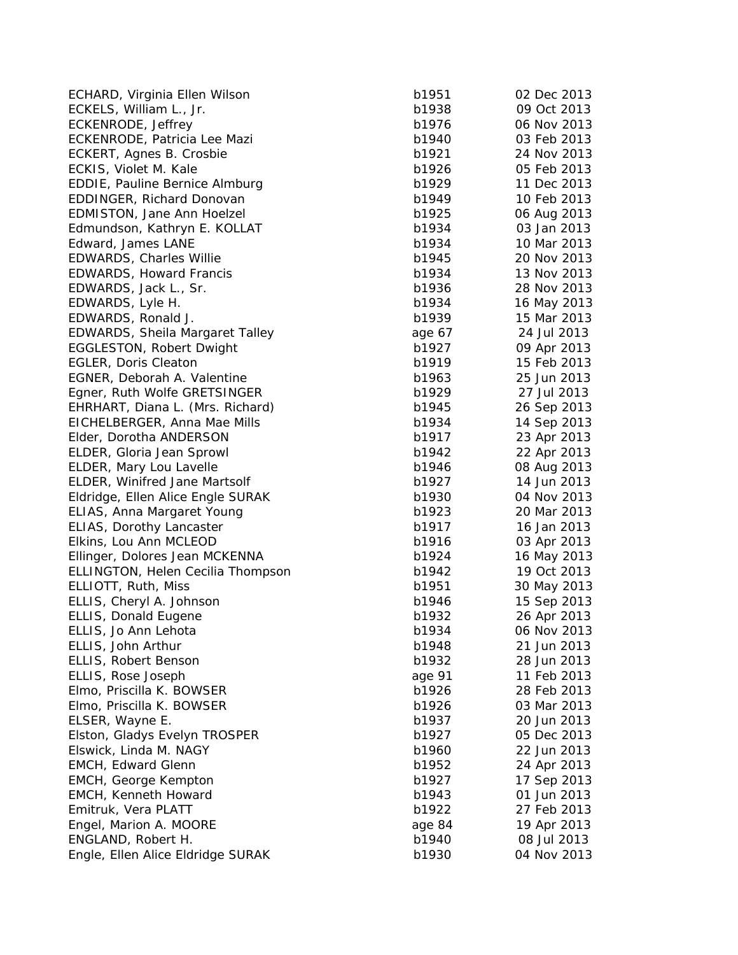ECHARD, Virginia Ellen Wilson b1 ECKELS, William L., Jr. b1938 09 Oct 2013 09 Oct 2013 09 Oct 2013 09 Oct 2013 09 Oct 2013 09 Oct 2013 09 Oct 2013 09 Oct 2013 09 Oct 2013 09 Oct 2013 09 Oct 2013 09 Oct 2013 09 Oct 2013 09 Oct 2013 09 Oct 2013 09 Oct 2013 ECKENRODE, Jeffrey b1976 06 Nov 2013 ECKENRODE, Patricia Lee Mazi b1 ECKERT, Agnes B. Crosbie b1921 24 Nov 2014 ECKIS, Violet M. Kale b1926 **b1** EDDIE, Pauline Bernice Almburg b1 EDDINGER, Richard Donovan b1 EDMISTON, Jane Ann Hoelzel b1 Edmundson, Kathryn E. KOLLAT Edward, James LANE b1 EDWARDS, Charles Willie b1945 20 Nov 2013 EDWARDS, Howard Francis b1 EDWARDS, Jack L., Sr. b1936 28 Nov 2013 28 Nov 2014 EDWARDS, Lyle H. b1 EDWARDS, Ronald J. b1939 15 Mar 2013 15 Mar 2013 15 Mar 2013 15 Mar 2013 15 Mar 2013 15 Mar 2013 15 Mar 2013 15 Mar 2013 15 Mar 2013 15 Mar 2013 15 Mar 2013 15 Mar 2013 15 Mar 2013 15 Mar 2013 15 Mar 2014 15 Mar 2014 15 Ma EDWARDS, Sheila Margaret Talley **EDWARDS**, Sheila Margaret Talley EGGLESTON, Robert Dwight b1927 09 Apr 2013 09 Apr 2013 09 Apr 2013 09 Apr 2013 09 Apr 2013 09 Apr 2013 09 Apr 2013 09 Apr 2013 09 Apr 2013 09 Apr 2013 09 Apr 2013 09 Apr 2013 09 Apr 2013 09 Apr 2013 09 Apr 2013 09 Apr 2013 EGLER, Doris Cleaton b1919 15 Feb 2013 15 Feb 2014 15 Feb 2014 15 Feb 2014 15 Feb 2014 15 Feb 2014 15 Feb 2013 EGNER, Deborah A. Valentine b1 Egner, Ruth Wolfe GRETSINGER b1 EHRHART, Diana L. (Mrs. Richard) b1 EICHELBERGER, Anna Mae Mills b1 Elder, Dorotha ANDERSON b1 ELDER, Gloria Jean Sprowl b1 ELDER, Mary Lou Lavelle b1 ELDER, Winifred Jane Martsolf b1 Eldridge, Ellen Alice Engle SURAK b1 ELIAS, Anna Margaret Young b1923 2023 2014 ELIAS, Dorothy Lancaster b1 Elkins, Lou Ann MCLEOD b1 Ellinger, Dolores Jean MCKENNA b1 ELLINGTON, Helen Cecilia Thompson b1 ELLIOTT, Ruth, Miss b1951 30 May 2013 30 May 2014 ELLIS, Cheryl A. Johnson b1 ELLIS, Donald Eugene b1932 26 Apr 2013 26 Apr 2013 26 Apr 2013 26 Apr 2013 26 Apr 2013 26 Apr 2013 26 Apr 2013 ELLIS, Jo Ann Lehota b1934 06 Nov 2013 ELLIS, John Arthur b1948 21 Jun 2014 21 Jun 2014 21 Jun 2014 21 Jun 2014 21 Jun 2014 21 Jun 2014 2014 2014 201 ELLIS, Robert Benson b1 ELLIS, Rose Joseph age 91 11 Feb 2013 Elmo, Priscilla K. BOWSER b1 Elmo, Priscilla K. BOWSER b1 ELSER, Wayne E. b1937 2013 2014 2013 2014 2014 2013 2014 2014 2014 2013 2014 2014 2014 2013 2014 2013 2014 201 Elston, Gladys Evelyn TROSPER b1 Elswick, Linda M. NAGY b1 EMCH, Edward Glenn b1952 24 Apr 2013 24 Apr 2014 24 Apr 2014 25 Apr 2013 25 Apr 2013 25 Apr 2013 25 Apr 2013 25 Apr 2013 25 Apr 2013 25 Apr 2013 25 Apr 2013 25 Apr 2013 25 Apr 2013 25 Apr 2013 25 Apr 2013 25 Apr 2013 25 Ap EMCH, George Kempton b1 EMCH, Kenneth Howard b1 Emitruk, Vera PLATT b1922 b1922 b1922 b1922 b1922 b1922 b1922 b1922 b1922 b1922 b1922 b1922 b1922 b1922 b1922 b1932 b1932 b1932 b1932 b1932 b1932 b1932 b1932 b1932 b1932 b1932 b1932 b1932 b1932 b1932 b1932 b1932 b1932 b193 Engel, Marion A. MOORE age 84 19 Apr 2013 ENGLAND, Robert H. b1940 08 Jul 2014 08 Jul 2014 08 Jul 2014 08 Jul 2014 08 Jul 2014 08 Jul 2014 08 Jul 2014 0 Engle, Ellen Alice Eldridge SURAK b1

| 951  | 02 Dec 2013                |
|------|----------------------------|
| 938  | 09 Oct 2013                |
| 976  | 06 Nov 2013                |
| 940  | 03 Feb 2013                |
| 921  | 24 Nov 2013                |
| 926  | 05 Feb 2013                |
| 929  | 11<br>Dec 2013             |
| 949  | 10 Feb 2013                |
| 925  | 06 Aug 2013                |
| 934  | 03 Jan 2013                |
| 934  | 10 Mar 2013                |
| 945  | 20 Nov 2013                |
| 934  | 13 Nov 2013                |
| 936  | 28 Nov 2013                |
| 934  | 16 May 2013                |
| 939  | 15 Mar 2013                |
| e 67 | 24 Jul 2013                |
| 927  | 09 Apr 2013                |
| 919  | 15 Feb 2013                |
| 963  | 25 Jun 2013                |
| 929  | 27 Jul 2013                |
| 945  | 26 Sep 2013                |
| 934  | 14 Sep 2013                |
| 917  | 23 Apr 2013                |
| 942  | 22 Apr 2013                |
| 946  | 08 Aug 2013                |
| 927  | 14 Jun 2013                |
| 930  | 04 Nov 2013                |
| 923  | 20 Mar 2013                |
| 917  | 16 Jan 2013                |
| 916  | 03 Apr 2013                |
| 924  | 16 May 2013                |
| 942  | 19 Oct 2013                |
| 951  | 30 May 2013                |
| 946  | 15 Sep 2013                |
| 932  | 26 Apr 2013                |
| 934  | 06 Nov 2013                |
| 948  | 21 Jun 2013                |
| 932  | 28 Jun 2013                |
| e 91 | 11 Feb 2013                |
| 926  | 28 Feb 2013                |
| 926  | 03 Mar 2013                |
| 937  | 20 Jun 2013                |
| 927  | 05 Dec 2013                |
| 960  | 22 Jun 2013                |
| 952  |                            |
| 927  | 24 Apr 2013                |
| 943  | 17 Sep 2013<br>01 Jun 2013 |
|      | 27 Feb 2013                |
| 922  |                            |
| e 84 | 19 Apr 2013<br>08 Jul 2013 |
| 940  |                            |
| 930  | 04 Nov 2013                |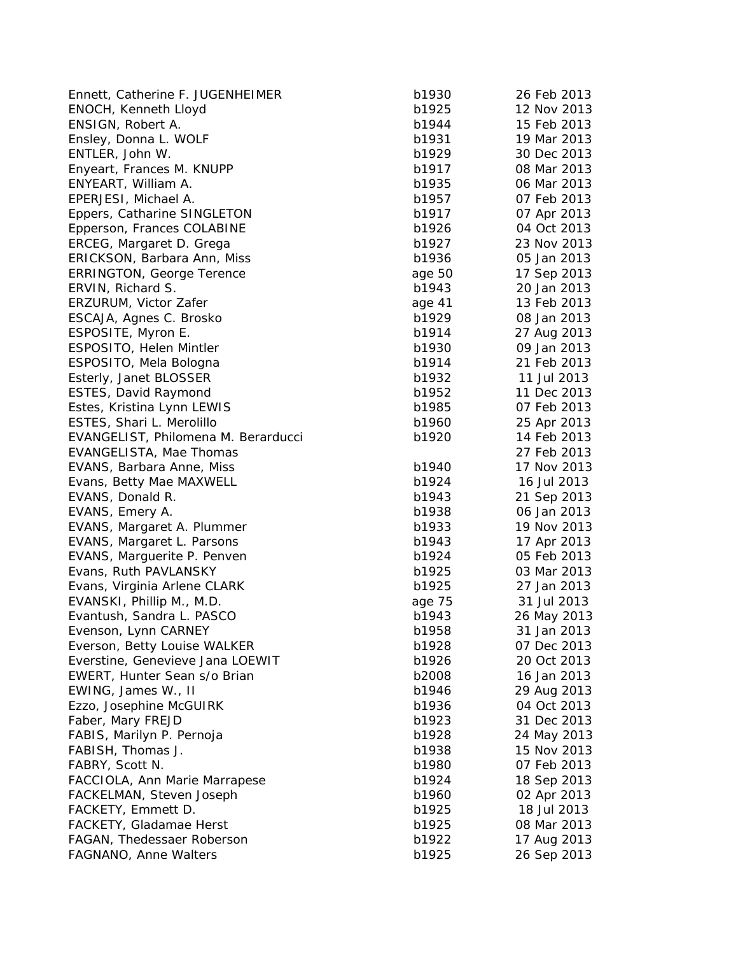| Ennett, Catherine F. JUGENHEIMER    | b1930          | 26 Feb 2013 |
|-------------------------------------|----------------|-------------|
| ENOCH, Kenneth Lloyd                | b1925          | 12 Nov 2013 |
| ENSIGN, Robert A.                   | b1944          | 15 Feb 2013 |
| Ensley, Donna L. WOLF               | b1931          | 19 Mar 2013 |
| ENTLER, John W.                     | b1929          | 30 Dec 2013 |
| Enyeart, Frances M. KNUPP           | b1917          | 08 Mar 2013 |
| ENYEART, William A.                 | b1935          | 06 Mar 2013 |
| EPERJESI, Michael A.                | b1957          | 07 Feb 2013 |
| Eppers, Catharine SINGLETON         | b1917          | 07 Apr 2013 |
| Epperson, Frances COLABINE          | b1926          | 04 Oct 2013 |
| ERCEG, Margaret D. Grega            | b1927          | 23 Nov 2013 |
| ERICKSON, Barbara Ann, Miss         | b1936          | 05 Jan 2013 |
| <b>ERRINGTON, George Terence</b>    | age 50         | 17 Sep 2013 |
| ERVIN, Richard S.                   | b1943          | 20 Jan 2013 |
| ERZURUM, Victor Zafer               | age 41         | 13 Feb 2013 |
| ESCAJA, Agnes C. Brosko             | b1929          | 08 Jan 2013 |
| ESPOSITE, Myron E.                  | b1914          | 27 Aug 2013 |
| ESPOSITO, Helen Mintler             | b1930          | 09 Jan 2013 |
| ESPOSITO, Mela Bologna              | b1914          | 21 Feb 2013 |
| Esterly, Janet BLOSSER              | b1932          | 11 Jul 2013 |
| ESTES, David Raymond                | b1952          | 11 Dec 2013 |
| Estes, Kristina Lynn LEWIS          | b1985          | 07 Feb 2013 |
| ESTES, Shari L. Merolillo           | b1960          | 25 Apr 2013 |
| EVANGELIST, Philomena M. Berarducci | b1920          | 14 Feb 2013 |
| EVANGELISTA, Mae Thomas             |                | 27 Feb 2013 |
| EVANS, Barbara Anne, Miss           | b1940          | 17 Nov 2013 |
| Evans, Betty Mae MAXWELL            | b1924          | 16 Jul 2013 |
| EVANS, Donald R.                    | b1943          | 21 Sep 2013 |
| EVANS, Emery A.                     | b1938          | 06 Jan 2013 |
| EVANS, Margaret A. Plummer          | b1933          | 19 Nov 2013 |
| EVANS, Margaret L. Parsons          | b1943          | 17 Apr 2013 |
| EVANS, Marguerite P. Penven         | b1924          | 05 Feb 2013 |
| Evans, Ruth PAVLANSKY               | b1925          | 03 Mar 2013 |
| Evans, Virginia Arlene CLARK        | b1925          | 27 Jan 2013 |
| EVANSKI, Phillip M., M.D.           | age 75         | 31 Jul 2013 |
| Evantush, Sandra L. PASCO           | b1943          | 26 May 2013 |
| Evenson, Lynn CARNEY                | b1958          | 31 Jan 2013 |
| Everson, Betty Louise WALKER        | b1928          | 07 Dec 2013 |
| Everstine, Genevieve Jana LOEWIT    | b1926          | 20 Oct 2013 |
| EWERT, Hunter Sean s/o Brian        | b2008          | 16 Jan 2013 |
|                                     | b1946          |             |
| EWING, James W., II                 |                | 29 Aug 2013 |
| Ezzo, Josephine McGUIRK             | b1936<br>b1923 | 04 Oct 2013 |
| Faber, Mary FREJD                   |                | 31 Dec 2013 |
| FABIS, Marilyn P. Pernoja           | b1928          | 24 May 2013 |
| FABISH, Thomas J.                   | b1938          | 15 Nov 2013 |
| FABRY, Scott N.                     | b1980          | 07 Feb 2013 |
| FACCIOLA, Ann Marie Marrapese       | b1924          | 18 Sep 2013 |
| FACKELMAN, Steven Joseph            | b1960          | 02 Apr 2013 |
| FACKETY, Emmett D.                  | b1925          | 18 Jul 2013 |
| FACKETY, Gladamae Herst             | b1925          | 08 Mar 2013 |
| FAGAN, Thedessaer Roberson          | b1922          | 17 Aug 2013 |
| FAGNANO, Anne Walters               | b1925          | 26 Sep 2013 |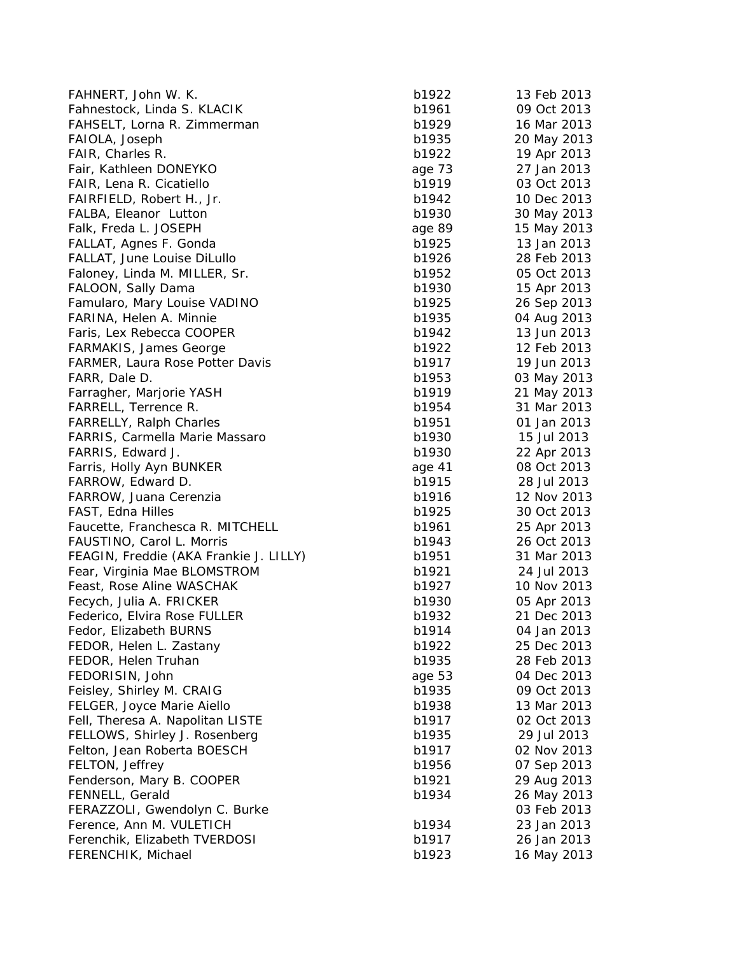| FAHNERT, John W. K.                    | b1922  | 13 Feb 2013 |
|----------------------------------------|--------|-------------|
| Fahnestock, Linda S. KLACIK            | b1961  | 09 Oct 2013 |
| FAHSELT, Lorna R. Zimmerman            | b1929  | 16 Mar 2013 |
| FAIOLA, Joseph                         | b1935  | 20 May 2013 |
| FAIR, Charles R.                       | b1922  | 19 Apr 2013 |
| Fair, Kathleen DONEYKO                 | age 73 | 27 Jan 2013 |
| FAIR, Lena R. Cicatiello               | b1919  | 03 Oct 2013 |
| FAIRFIELD, Robert H., Jr.              | b1942  | 10 Dec 2013 |
| FALBA, Eleanor Lutton                  | b1930  | 30 May 2013 |
| Falk, Freda L. JOSEPH                  | age 89 | 15 May 2013 |
| FALLAT, Agnes F. Gonda                 | b1925  | 13 Jan 2013 |
| FALLAT, June Louise DiLullo            | b1926  | 28 Feb 2013 |
| Faloney, Linda M. MILLER, Sr.          | b1952  | 05 Oct 2013 |
| FALOON, Sally Dama                     | b1930  | 15 Apr 2013 |
| Famularo, Mary Louise VADINO           | b1925  | 26 Sep 2013 |
| FARINA, Helen A. Minnie                | b1935  | 04 Aug 2013 |
| Faris, Lex Rebecca COOPER              | b1942  | 13 Jun 2013 |
| <b>FARMAKIS, James George</b>          | b1922  | 12 Feb 2013 |
| <b>FARMER, Laura Rose Potter Davis</b> | b1917  | 19 Jun 2013 |
| FARR, Dale D.                          | b1953  | 03 May 2013 |
| Farragher, Marjorie YASH               | b1919  | 21 May 2013 |
| FARRELL, Terrence R.                   | b1954  | 31 Mar 2013 |
| <b>FARRELLY, Ralph Charles</b>         | b1951  | 01 Jan 2013 |
| <b>FARRIS, Carmella Marie Massaro</b>  | b1930  | 15 Jul 2013 |
| FARRIS, Edward J.                      | b1930  | 22 Apr 2013 |
| Farris, Holly Ayn BUNKER               | age 41 | 08 Oct 2013 |
| FARROW, Edward D.                      | b1915  | 28 Jul 2013 |
| FARROW, Juana Cerenzia                 | b1916  | 12 Nov 2013 |
| FAST, Edna Hilles                      | b1925  | 30 Oct 2013 |
| Faucette, Franchesca R. MITCHELL       | b1961  | 25 Apr 2013 |
| FAUSTINO, Carol L. Morris              | b1943  | 26 Oct 2013 |
| FEAGIN, Freddie (AKA Frankie J. LILLY) | b1951  | 31 Mar 2013 |
| Fear, Virginia Mae BLOMSTROM           | b1921  | 24 Jul 2013 |
| Feast, Rose Aline WASCHAK              | b1927  | 10 Nov 2013 |
| Fecych, Julia A. FRICKER               | b1930  | 05 Apr 2013 |
| Federico, Elvira Rose FULLER           | b1932  | 21 Dec 2013 |
| Fedor, Elizabeth BURNS                 | b1914  | 04 Jan 2013 |
| FEDOR, Helen L. Zastany                | b1922  | 25 Dec 2013 |
| FEDOR, Helen Truhan                    | b1935  | 28 Feb 2013 |
| FEDORISIN, John                        | age 53 | 04 Dec 2013 |
| Feisley, Shirley M. CRAIG              | b1935  | 09 Oct 2013 |
| FELGER, Joyce Marie Aiello             | b1938  | 13 Mar 2013 |
| Fell, Theresa A. Napolitan LISTE       | b1917  | 02 Oct 2013 |
| FELLOWS, Shirley J. Rosenberg          | b1935  | 29 Jul 2013 |
| Felton, Jean Roberta BOESCH            | b1917  | 02 Nov 2013 |
| FELTON, Jeffrey                        | b1956  | 07 Sep 2013 |
| Fenderson, Mary B. COOPER              | b1921  | 29 Aug 2013 |
| FENNELL, Gerald                        | b1934  | 26 May 2013 |
| FERAZZOLI, Gwendolyn C. Burke          |        | 03 Feb 2013 |
| Ference, Ann M. VULETICH               | b1934  | 23 Jan 2013 |
| Ferenchik, Elizabeth TVERDOSI          | b1917  | 26 Jan 2013 |
| FERENCHIK, Michael                     | b1923  | 16 May 2013 |
|                                        |        |             |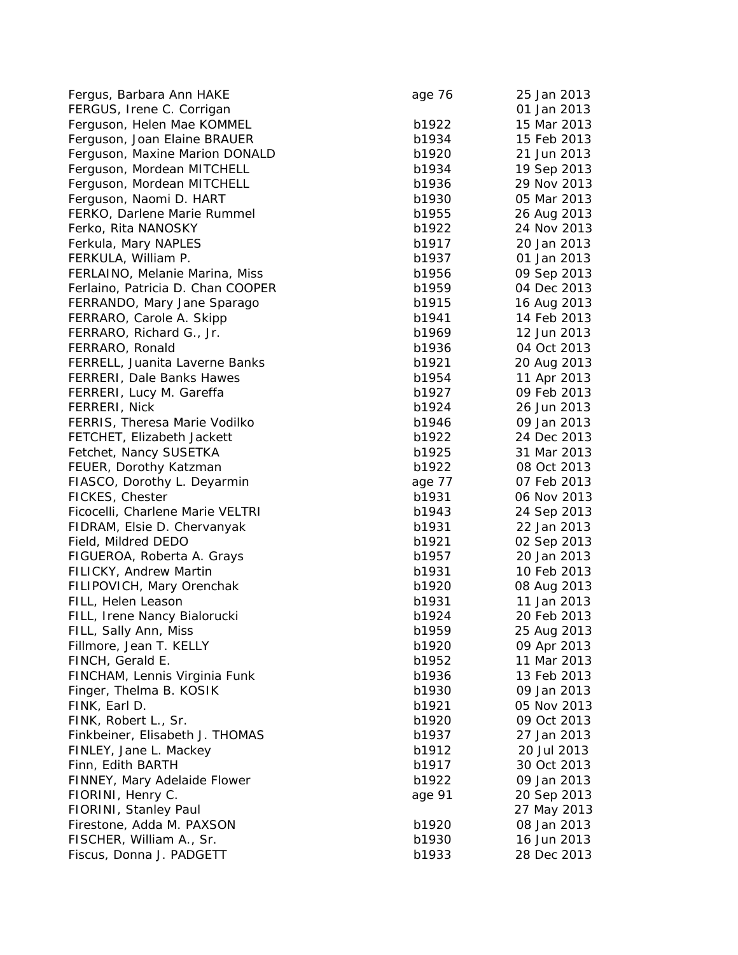| Fergus, Barbara Ann HAKE            | age 76 | 25 Jan 2013 |
|-------------------------------------|--------|-------------|
| FERGUS, Irene C. Corrigan           |        | 01 Jan 2013 |
| Ferguson, Helen Mae KOMMEL          | b1922  | 15 Mar 2013 |
| Ferguson, Joan Elaine BRAUER        | b1934  | 15 Feb 2013 |
| Ferguson, Maxine Marion DONALD      | b1920  | 21 Jun 2013 |
| Ferguson, Mordean MITCHELL          | b1934  | 19 Sep 2013 |
| Ferguson, Mordean MITCHELL          | b1936  | 29 Nov 2013 |
| Ferguson, Naomi D. HART             | b1930  | 05 Mar 2013 |
| FERKO, Darlene Marie Rummel         | b1955  | 26 Aug 2013 |
| Ferko, Rita NANOSKY                 | b1922  | 24 Nov 2013 |
| Ferkula, Mary NAPLES                | b1917  | 20 Jan 2013 |
| FERKULA, William P.                 | b1937  | 01 Jan 2013 |
| FERLAINO, Melanie Marina, Miss      | b1956  | 09 Sep 2013 |
| Ferlaino, Patricia D. Chan COOPER   | b1959  | 04 Dec 2013 |
| FERRANDO, Mary Jane Sparago         | b1915  | 16 Aug 2013 |
| FERRARO, Carole A. Skipp            | b1941  | 14 Feb 2013 |
| FERRARO, Richard G., Jr.            | b1969  | 12 Jun 2013 |
| FERRARO, Ronald                     | b1936  | 04 Oct 2013 |
| FERRELL, Juanita Laverne Banks      | b1921  | 20 Aug 2013 |
| <b>FERRERI, Dale Banks Hawes</b>    | b1954  | 11 Apr 2013 |
| FERRERI, Lucy M. Gareffa            | b1927  | 09 Feb 2013 |
| FERRERI, Nick                       | b1924  | 26 Jun 2013 |
| FERRIS, Theresa Marie Vodilko       | b1946  | 09 Jan 2013 |
| FETCHET, Elizabeth Jackett          | b1922  | 24 Dec 2013 |
| Fetchet, Nancy SUSETKA              | b1925  | 31 Mar 2013 |
| FEUER, Dorothy Katzman              | b1922  | 08 Oct 2013 |
| FIASCO, Dorothy L. Deyarmin         | age 77 | 07 Feb 2013 |
| FICKES, Chester                     | b1931  | 06 Nov 2013 |
| Ficocelli, Charlene Marie VELTRI    | b1943  | 24 Sep 2013 |
| FIDRAM, Elsie D. Chervanyak         | b1931  | 22 Jan 2013 |
| Field, Mildred DEDO                 | b1921  |             |
|                                     |        | 02 Sep 2013 |
| FIGUEROA, Roberta A. Grays          | b1957  | 20 Jan 2013 |
| <b>FILICKY, Andrew Martin</b>       | b1931  | 10 Feb 2013 |
| FILIPOVICH, Mary Orenchak           | b1920  | 08 Aug 2013 |
| FILL, Helen Leason                  | b1931  | 11 Jan 2013 |
| FILL, Irene Nancy Bialorucki        | b1924  | 20 Feb 2013 |
| FILL, Sally Ann, Miss               | b1959  | 25 Aug 2013 |
| Fillmore, Jean T. KELLY             | b1920  | 09 Apr 2013 |
| FINCH, Gerald E.                    | b1952  | 11 Mar 2013 |
| FINCHAM, Lennis Virginia Funk       | b1936  | 13 Feb 2013 |
| Finger, Thelma B. KOSIK             | b1930  | 09 Jan 2013 |
| FINK, Earl D.                       | b1921  | 05 Nov 2013 |
| FINK, Robert L., Sr.                | b1920  | 09 Oct 2013 |
| Finkbeiner, Elisabeth J. THOMAS     | b1937  | 27 Jan 2013 |
| FINLEY, Jane L. Mackey              | b1912  | 20 Jul 2013 |
| Finn, Edith BARTH                   | b1917  | 30 Oct 2013 |
| <b>FINNEY, Mary Adelaide Flower</b> | b1922  | 09 Jan 2013 |
| FIORINI, Henry C.                   | age 91 | 20 Sep 2013 |
| FIORINI, Stanley Paul               |        | 27 May 2013 |
| Firestone, Adda M. PAXSON           | b1920  | 08 Jan 2013 |
| FISCHER, William A., Sr.            | b1930  | 16 Jun 2013 |
| Fiscus, Donna J. PADGETT            | b1933  | 28 Dec 2013 |
|                                     |        |             |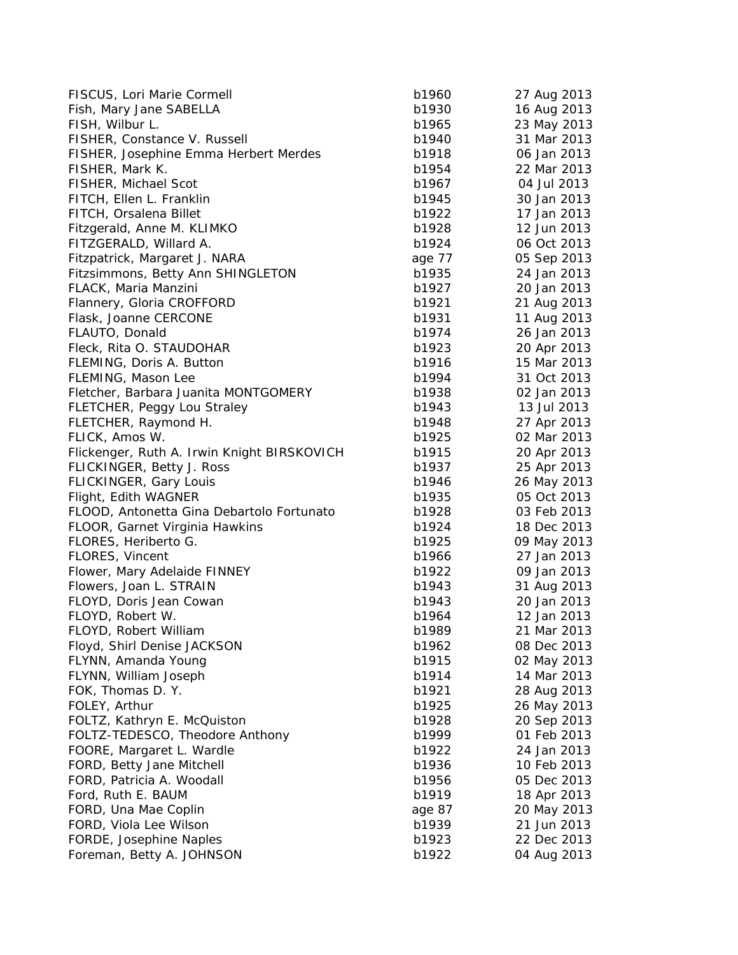| FISCUS, Lori Marie Cormell                  | b1960  | 27 Aug 2013 |
|---------------------------------------------|--------|-------------|
| Fish, Mary Jane SABELLA                     | b1930  | 16 Aug 2013 |
| FISH, Wilbur L.                             | b1965  | 23 May 2013 |
| FISHER, Constance V. Russell                | b1940  | 31 Mar 2013 |
| FISHER, Josephine Emma Herbert Merdes       | b1918  | 06 Jan 2013 |
| FISHER, Mark K.                             | b1954  | 22 Mar 2013 |
| FISHER, Michael Scot                        | b1967  | 04 Jul 2013 |
| FITCH, Ellen L. Franklin                    | b1945  | 30 Jan 2013 |
| FITCH, Orsalena Billet                      | b1922  | 17 Jan 2013 |
| Fitzgerald, Anne M. KLIMKO                  | b1928  | 12 Jun 2013 |
| FITZGERALD, Willard A.                      | b1924  | 06 Oct 2013 |
| Fitzpatrick, Margaret J. NARA               | age 77 | 05 Sep 2013 |
| Fitzsimmons, Betty Ann SHINGLETON           | b1935  | 24 Jan 2013 |
| FLACK, Maria Manzini                        | b1927  | 20 Jan 2013 |
| Flannery, Gloria CROFFORD                   | b1921  | 21 Aug 2013 |
| Flask, Joanne CERCONE                       | b1931  | 11 Aug 2013 |
| FLAUTO, Donald                              | b1974  | 26 Jan 2013 |
| Fleck, Rita O. STAUDOHAR                    | b1923  | 20 Apr 2013 |
| FLEMING, Doris A. Button                    | b1916  | 15 Mar 2013 |
| FLEMING, Mason Lee                          | b1994  | 31 Oct 2013 |
| Fletcher, Barbara Juanita MONTGOMERY        | b1938  | 02 Jan 2013 |
| <b>FLETCHER, Peggy Lou Straley</b>          | b1943  | 13 Jul 2013 |
| FLETCHER, Raymond H.                        | b1948  | 27 Apr 2013 |
| FLICK, Amos W.                              | b1925  | 02 Mar 2013 |
| Flickenger, Ruth A. Irwin Knight BIRSKOVICH | b1915  | 20 Apr 2013 |
| FLICKINGER, Betty J. Ross                   | b1937  | 25 Apr 2013 |
| FLICKINGER, Gary Louis                      | b1946  | 26 May 2013 |
| Flight, Edith WAGNER                        | b1935  | 05 Oct 2013 |
| FLOOD, Antonetta Gina Debartolo Fortunato   | b1928  | 03 Feb 2013 |
| FLOOR, Garnet Virginia Hawkins              | b1924  | 18 Dec 2013 |
| FLORES, Heriberto G.                        | b1925  | 09 May 2013 |
| FLORES, Vincent                             | b1966  | 27 Jan 2013 |
| Flower, Mary Adelaide FINNEY                | b1922  | 09 Jan 2013 |
| Flowers, Joan L. STRAIN                     | b1943  | 31 Aug 2013 |
| FLOYD, Doris Jean Cowan                     | b1943  | 20 Jan 2013 |
| FLOYD, Robert W.                            | b1964  | 12 Jan 2013 |
| FLOYD, Robert William                       | b1989  | 21 Mar 2013 |
| Floyd, Shirl Denise JACKSON                 | b1962  | 08 Dec 2013 |
| FLYNN, Amanda Young                         | b1915  | 02 May 2013 |
| FLYNN, William Joseph                       | b1914  | 14 Mar 2013 |
| FOK, Thomas D.Y.                            | b1921  | 28 Aug 2013 |
| FOLEY, Arthur                               | b1925  | 26 May 2013 |
| FOLTZ, Kathryn E. McQuiston                 | b1928  | 20 Sep 2013 |
| FOLTZ-TEDESCO, Theodore Anthony             | b1999  | 01 Feb 2013 |
| FOORE, Margaret L. Wardle                   | b1922  | 24 Jan 2013 |
| FORD, Betty Jane Mitchell                   | b1936  | 10 Feb 2013 |
| FORD, Patricia A. Woodall                   | b1956  | 05 Dec 2013 |
| Ford, Ruth E. BAUM                          | b1919  | 18 Apr 2013 |
| FORD, Una Mae Coplin                        | age 87 | 20 May 2013 |
| FORD, Viola Lee Wilson                      | b1939  | 21 Jun 2013 |
| FORDE, Josephine Naples                     | b1923  | 22 Dec 2013 |
| Foreman, Betty A. JOHNSON                   | b1922  | 04 Aug 2013 |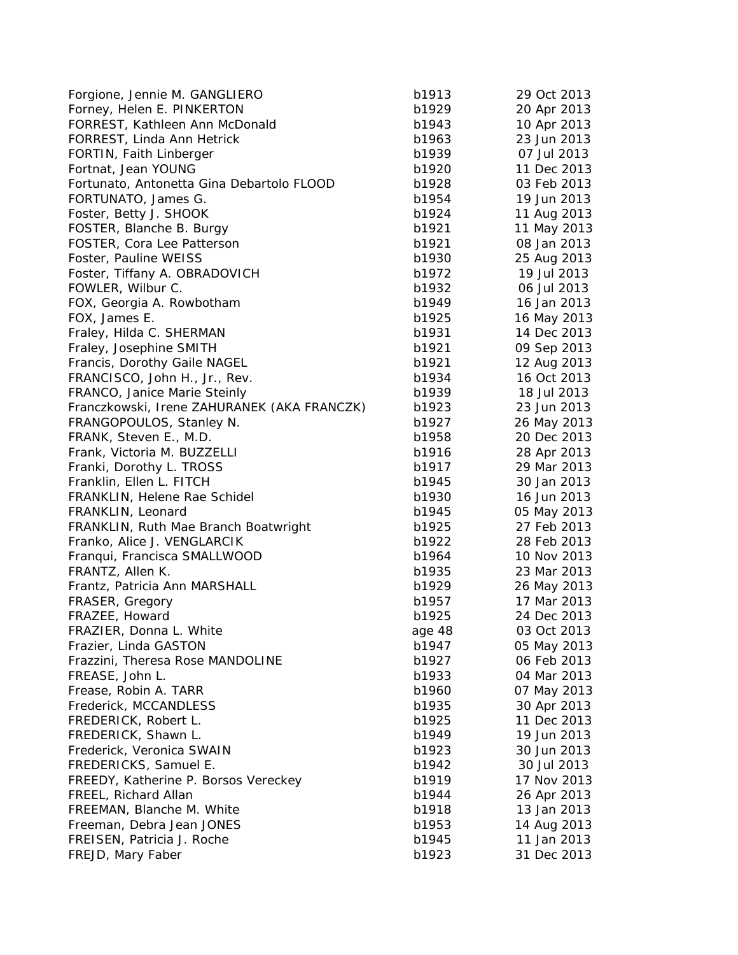| Forgione, Jennie M. GANGLIERO               | b1913  | 29 Oct 2013 |
|---------------------------------------------|--------|-------------|
| Forney, Helen E. PINKERTON                  | b1929  | 20 Apr 2013 |
| FORREST, Kathleen Ann McDonald              | b1943  | 10 Apr 2013 |
| FORREST, Linda Ann Hetrick                  | b1963  | 23 Jun 2013 |
| FORTIN, Faith Linberger                     | b1939  | 07 Jul 2013 |
| Fortnat, Jean YOUNG                         | b1920  | 11 Dec 2013 |
| Fortunato, Antonetta Gina Debartolo FLOOD   | b1928  | 03 Feb 2013 |
| FORTUNATO, James G.                         | b1954  | 19 Jun 2013 |
| Foster, Betty J. SHOOK                      | b1924  | 11 Aug 2013 |
| FOSTER, Blanche B. Burgy                    | b1921  | 11 May 2013 |
| FOSTER, Cora Lee Patterson                  | b1921  | 08 Jan 2013 |
| Foster, Pauline WEISS                       | b1930  | 25 Aug 2013 |
| Foster, Tiffany A. OBRADOVICH               | b1972  | 19 Jul 2013 |
| FOWLER, Wilbur C.                           | b1932  | 06 Jul 2013 |
| FOX, Georgia A. Rowbotham                   | b1949  | 16 Jan 2013 |
| FOX, James E.                               | b1925  | 16 May 2013 |
| Fraley, Hilda C. SHERMAN                    | b1931  | 14 Dec 2013 |
| Fraley, Josephine SMITH                     | b1921  | 09 Sep 2013 |
| Francis, Dorothy Gaile NAGEL                | b1921  | 12 Aug 2013 |
| FRANCISCO, John H., Jr., Rev.               | b1934  | 16 Oct 2013 |
| FRANCO, Janice Marie Steinly                | b1939  | 18 Jul 2013 |
| Franczkowski, Irene ZAHURANEK (AKA FRANCZK) | b1923  | 23 Jun 2013 |
| FRANGOPOULOS, Stanley N.                    | b1927  | 26 May 2013 |
| FRANK, Steven E., M.D.                      | b1958  | 20 Dec 2013 |
| Frank, Victoria M. BUZZELLI                 | b1916  | 28 Apr 2013 |
| Franki, Dorothy L. TROSS                    | b1917  | 29 Mar 2013 |
| Franklin, Ellen L. FITCH                    | b1945  | 30 Jan 2013 |
| FRANKLIN, Helene Rae Schidel                | b1930  | 16 Jun 2013 |
| FRANKLIN, Leonard                           | b1945  | 05 May 2013 |
| FRANKLIN, Ruth Mae Branch Boatwright        | b1925  | 27 Feb 2013 |
| Franko, Alice J. VENGLARCIK                 | b1922  | 28 Feb 2013 |
| Franqui, Francisca SMALLWOOD                | b1964  | 10 Nov 2013 |
| FRANTZ, Allen K.                            | b1935  | 23 Mar 2013 |
| Frantz, Patricia Ann MARSHALL               | b1929  | 26 May 2013 |
| FRASER, Gregory                             | b1957  | 17 Mar 2013 |
| FRAZEE, Howard                              | b1925  | 24 Dec 2013 |
| FRAZIER, Donna L. White                     | age 48 | 03 Oct 2013 |
| Frazier, Linda GASTON                       | b1947  | 05 May 2013 |
| Frazzini, Theresa Rose MANDOLINE            | b1927  | 06 Feb 2013 |
| FREASE, John L.                             | b1933  | 04 Mar 2013 |
| Frease, Robin A. TARR                       | b1960  | 07 May 2013 |
| Frederick, MCCANDLESS                       | b1935  | 30 Apr 2013 |
| FREDERICK, Robert L.                        | b1925  | 11 Dec 2013 |
| FREDERICK, Shawn L.                         | b1949  | 19 Jun 2013 |
| Frederick, Veronica SWAIN                   | b1923  | 30 Jun 2013 |
| FREDERICKS, Samuel E.                       | b1942  | 30 Jul 2013 |
| FREEDY, Katherine P. Borsos Vereckey        | b1919  | 17 Nov 2013 |
| FREEL, Richard Allan                        | b1944  | 26 Apr 2013 |
| FREEMAN, Blanche M. White                   | b1918  | 13 Jan 2013 |
| Freeman, Debra Jean JONES                   | b1953  | 14 Aug 2013 |
| FREISEN, Patricia J. Roche                  | b1945  | 11 Jan 2013 |
| FREJD, Mary Faber                           | b1923  | 31 Dec 2013 |
|                                             |        |             |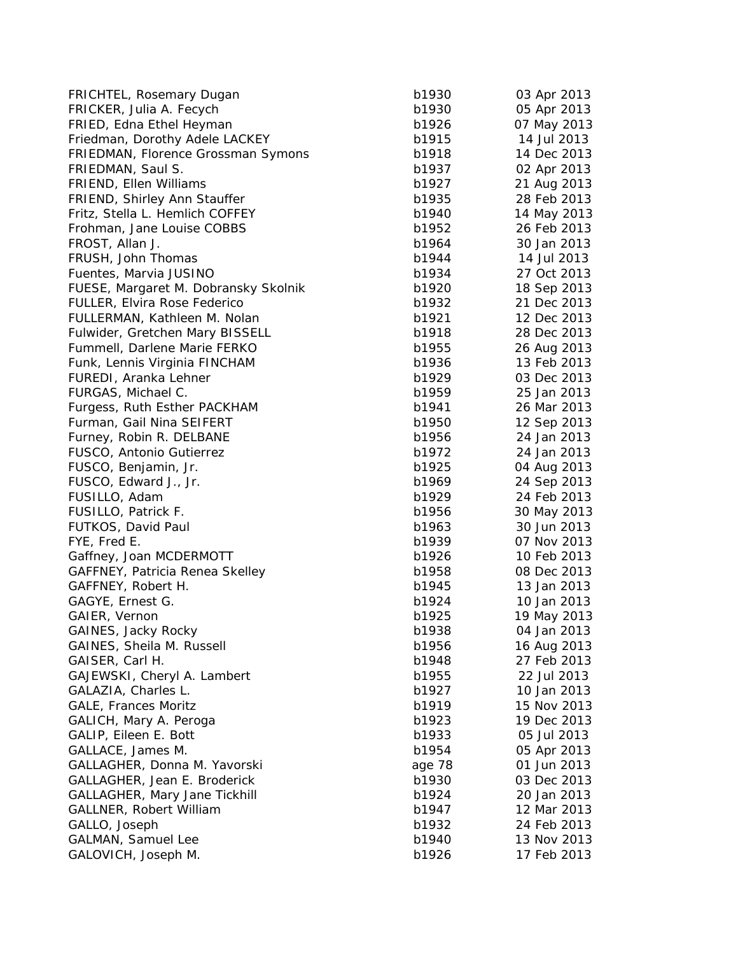| FRICHTEL, Rosemary Dugan             | b1930  | 03 Apr 2013 |
|--------------------------------------|--------|-------------|
| FRICKER, Julia A. Fecych             | b1930  | 05 Apr 2013 |
| FRIED, Edna Ethel Heyman             | b1926  | 07 May 2013 |
| Friedman, Dorothy Adele LACKEY       | b1915  | 14 Jul 2013 |
| FRIEDMAN, Florence Grossman Symons   | b1918  | 14 Dec 2013 |
| FRIEDMAN, Saul S.                    | b1937  | 02 Apr 2013 |
| FRIEND, Ellen Williams               | b1927  | 21 Aug 2013 |
| FRIEND, Shirley Ann Stauffer         | b1935  | 28 Feb 2013 |
| Fritz, Stella L. Hemlich COFFEY      | b1940  | 14 May 2013 |
| Frohman, Jane Louise COBBS           | b1952  | 26 Feb 2013 |
| FROST, Allan J.                      | b1964  | 30 Jan 2013 |
| FRUSH, John Thomas                   | b1944  | 14 Jul 2013 |
| Fuentes, Marvia JUSINO               | b1934  | 27 Oct 2013 |
| FUESE, Margaret M. Dobransky Skolnik | b1920  | 18 Sep 2013 |
| FULLER, Elvira Rose Federico         | b1932  | 21 Dec 2013 |
| FULLERMAN, Kathleen M. Nolan         | b1921  | 12 Dec 2013 |
| Fulwider, Gretchen Mary BISSELL      | b1918  | 28 Dec 2013 |
| Fummell, Darlene Marie FERKO         | b1955  | 26 Aug 2013 |
| Funk, Lennis Virginia FINCHAM        | b1936  | 13 Feb 2013 |
| FUREDI, Aranka Lehner                | b1929  | 03 Dec 2013 |
| FURGAS, Michael C.                   | b1959  | 25 Jan 2013 |
| Furgess, Ruth Esther PACKHAM         | b1941  | 26 Mar 2013 |
| Furman, Gail Nina SEIFERT            | b1950  | 12 Sep 2013 |
| Furney, Robin R. DELBANE             | b1956  | 24 Jan 2013 |
| FUSCO, Antonio Gutierrez             | b1972  | 24 Jan 2013 |
| FUSCO, Benjamin, Jr.                 | b1925  | 04 Aug 2013 |
| FUSCO, Edward J., Jr.                | b1969  | 24 Sep 2013 |
| FUSILLO, Adam                        | b1929  | 24 Feb 2013 |
| FUSILLO, Patrick F.                  | b1956  | 30 May 2013 |
| FUTKOS, David Paul                   | b1963  | 30 Jun 2013 |
| FYE, Fred E.                         | b1939  | 07 Nov 2013 |
| Gaffney, Joan MCDERMOTT              | b1926  | 10 Feb 2013 |
| GAFFNEY, Patricia Renea Skelley      | b1958  | 08 Dec 2013 |
| GAFFNEY, Robert H.                   | b1945  | 13 Jan 2013 |
| GAGYE, Ernest G.                     | b1924  | 10 Jan 2013 |
| GAIER, Vernon                        | b1925  | 19 May 2013 |
| GAINES, Jacky Rocky                  | b1938  | 04 Jan 2013 |
| GAINES, Sheila M. Russell            | b1956  | 16 Aug 2013 |
| GAISER, Carl H.                      | b1948  | 27 Feb 2013 |
| GAJEWSKI, Cheryl A. Lambert          | b1955  | 22 Jul 2013 |
| GALAZIA, Charles L.                  | b1927  | 10 Jan 2013 |
| <b>GALE, Frances Moritz</b>          | b1919  | 15 Nov 2013 |
| GALICH, Mary A. Peroga               | b1923  | 19 Dec 2013 |
| GALIP, Eileen E. Bott                | b1933  | 05 Jul 2013 |
| GALLACE, James M.                    | b1954  | 05 Apr 2013 |
| GALLAGHER, Donna M. Yavorski         | age 78 | 01 Jun 2013 |
| GALLAGHER, Jean E. Broderick         | b1930  | 03 Dec 2013 |
| GALLAGHER, Mary Jane Tickhill        | b1924  | 20 Jan 2013 |
| GALLNER, Robert William              | b1947  | 12 Mar 2013 |
| GALLO, Joseph                        | b1932  | 24 Feb 2013 |
| GALMAN, Samuel Lee                   | b1940  | 13 Nov 2013 |
| GALOVICH, Joseph M.                  | b1926  | 17 Feb 2013 |
|                                      |        |             |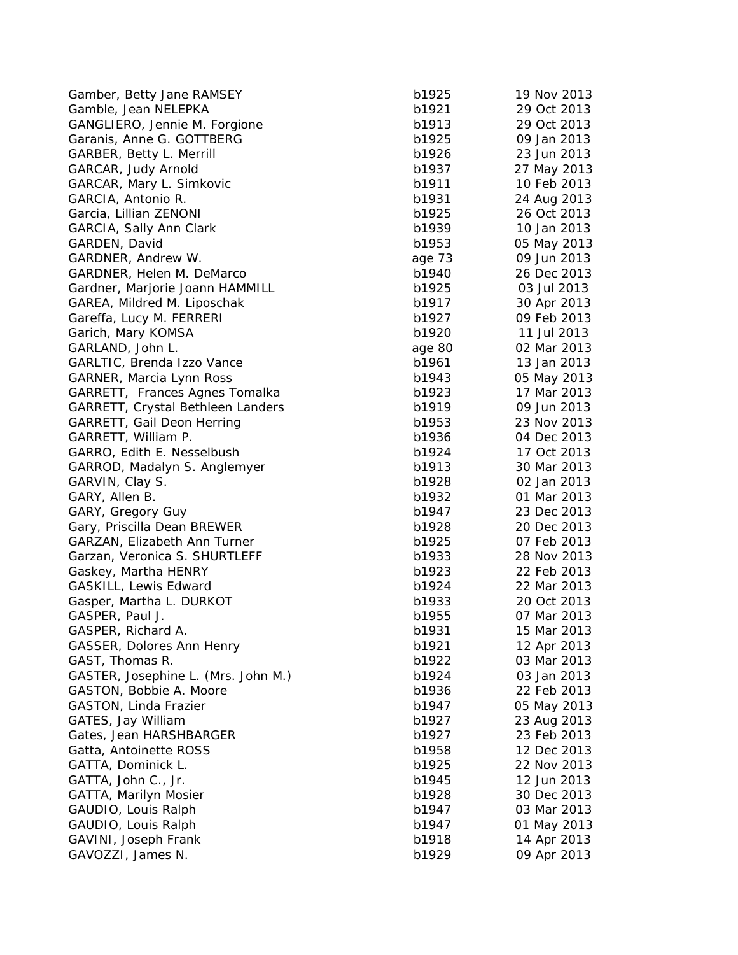| Gamber, Betty Jane RAMSEY                    | b1925  | 19 Nov 2013 |
|----------------------------------------------|--------|-------------|
| Gamble, Jean NELEPKA                         | b1921  | 29 Oct 2013 |
| GANGLIERO, Jennie M. Forgione                | b1913  | 29 Oct 2013 |
| Garanis, Anne G. GOTTBERG                    | b1925  | 09 Jan 2013 |
| GARBER, Betty L. Merrill                     | b1926  | 23 Jun 2013 |
| GARCAR, Judy Arnold                          | b1937  | 27 May 2013 |
| GARCAR, Mary L. Simkovic                     | b1911  | 10 Feb 2013 |
| GARCIA, Antonio R.                           | b1931  | 24 Aug 2013 |
| Garcia, Lillian ZENONI                       | b1925  | 26 Oct 2013 |
| GARCIA, Sally Ann Clark                      | b1939  | 10 Jan 2013 |
| GARDEN, David                                | b1953  | 05 May 2013 |
| GARDNER, Andrew W.                           | age 73 | 09 Jun 2013 |
| GARDNER, Helen M. DeMarco                    | b1940  | 26 Dec 2013 |
| Gardner, Marjorie Joann HAMMILL              | b1925  | 03 Jul 2013 |
| GAREA, Mildred M. Liposchak                  | b1917  | 30 Apr 2013 |
| Gareffa, Lucy M. FERRERI                     | b1927  | 09 Feb 2013 |
| Garich, Mary KOMSA                           | b1920  | 11 Jul 2013 |
| GARLAND, John L.                             | age 80 | 02 Mar 2013 |
| GARLTIC, Brenda Izzo Vance                   | b1961  | 13 Jan 2013 |
| <b>GARNER, Marcia Lynn Ross</b>              | b1943  | 05 May 2013 |
| GARRETT, Frances Agnes Tomalka               | b1923  | 17 Mar 2013 |
| <b>GARRETT, Crystal Bethleen Landers</b>     | b1919  | 09 Jun 2013 |
| GARRETT, Gail Deon Herring                   | b1953  | 23 Nov 2013 |
| GARRETT, William P.                          | b1936  | 04 Dec 2013 |
| GARRO, Edith E. Nesselbush                   | b1924  | 17 Oct 2013 |
| GARROD, Madalyn S. Anglemyer                 | b1913  | 30 Mar 2013 |
| GARVIN, Clay S.                              | b1928  | 02 Jan 2013 |
| GARY, Allen B.                               | b1932  | 01 Mar 2013 |
| GARY, Gregory Guy                            | b1947  | 23 Dec 2013 |
| Gary, Priscilla Dean BREWER                  | b1928  | 20 Dec 2013 |
| GARZAN, Elizabeth Ann Turner                 | b1925  | 07 Feb 2013 |
| Garzan, Veronica S. SHURTLEFF                | b1933  | 28 Nov 2013 |
| Gaskey, Martha HENRY                         | b1923  | 22 Feb 2013 |
| GASKILL, Lewis Edward                        | b1924  | 22 Mar 2013 |
| Gasper, Martha L. DURKOT                     | b1933  | 20 Oct 2013 |
| GASPER, Paul J.                              | b1955  | 07 Mar 2013 |
| GASPER, Richard A.                           | b1931  | 15 Mar 2013 |
| GASSER, Dolores Ann Henry                    | b1921  | 12 Apr 2013 |
| GAST, Thomas R.                              | b1922  | 03 Mar 2013 |
| GASTER, Josephine L. (Mrs. John M.)          | b1924  | 03 Jan 2013 |
| GASTON, Bobbie A. Moore                      | b1936  | 22 Feb 2013 |
| <b>GASTON, Linda Frazier</b>                 | b1947  | 05 May 2013 |
| GATES, Jay William                           | b1927  | 23 Aug 2013 |
| Gates, Jean HARSHBARGER                      | b1927  | 23 Feb 2013 |
| Gatta, Antoinette ROSS                       | b1958  | 12 Dec 2013 |
| GATTA, Dominick L.                           | b1925  | 22 Nov 2013 |
| GATTA, John C., Jr.                          | b1945  | 12 Jun 2013 |
|                                              | b1928  | 30 Dec 2013 |
| GATTA, Marilyn Mosier<br>GAUDIO, Louis Ralph | b1947  | 03 Mar 2013 |
| GAUDIO, Louis Ralph                          | b1947  | 01 May 2013 |
| GAVINI, Joseph Frank                         | b1918  | 14 Apr 2013 |
| GAVOZZI, James N.                            | b1929  |             |
|                                              |        | 09 Apr 2013 |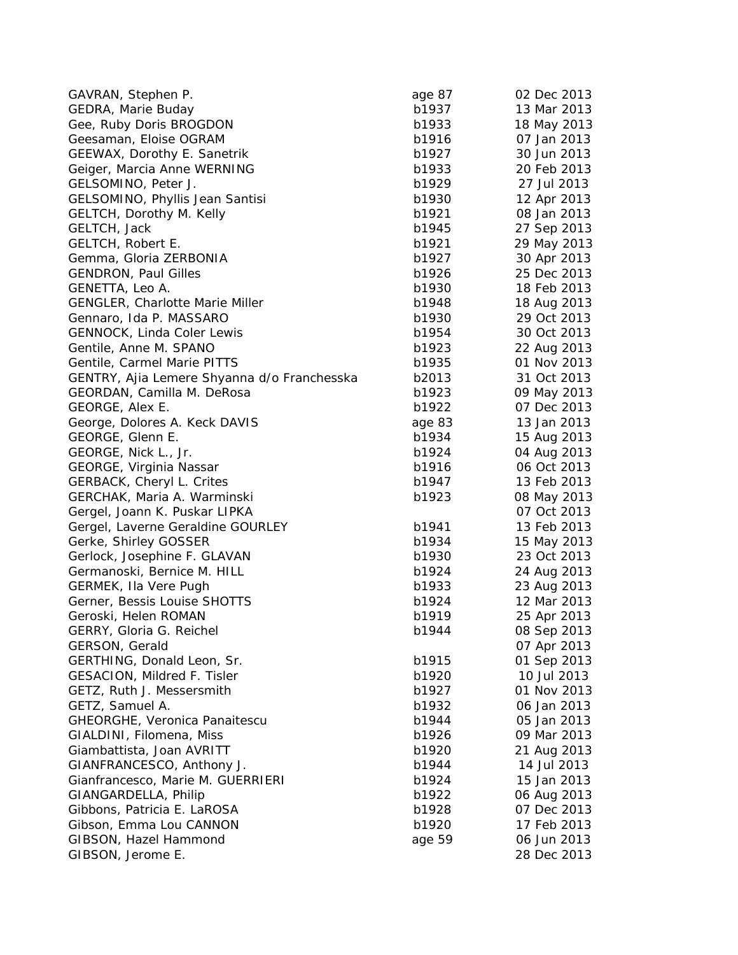| GAVRAN, Stephen P.                          | age 87 | 02 Dec 2013 |
|---------------------------------------------|--------|-------------|
| GEDRA, Marie Buday                          | b1937  | 13 Mar 2013 |
| Gee, Ruby Doris BROGDON                     | b1933  | 18 May 2013 |
| Geesaman, Eloise OGRAM                      | b1916  | 07 Jan 2013 |
| <b>GEEWAX, Dorothy E. Sanetrik</b>          | b1927  | 30 Jun 2013 |
| Geiger, Marcia Anne WERNING                 | b1933  | 20 Feb 2013 |
| GELSOMINO, Peter J.                         | b1929  | 27 Jul 2013 |
| GELSOMINO, Phyllis Jean Santisi             | b1930  | 12 Apr 2013 |
| GELTCH, Dorothy M. Kelly                    | b1921  | 08 Jan 2013 |
| GELTCH, Jack                                | b1945  | 27 Sep 2013 |
| <b>GELTCH, Robert E.</b>                    | b1921  | 29 May 2013 |
| Gemma, Gloria ZERBONIA                      | b1927  | 30 Apr 2013 |
| <b>GENDRON, Paul Gilles</b>                 | b1926  | 25 Dec 2013 |
| GENETTA, Leo A.                             | b1930  | 18 Feb 2013 |
| <b>GENGLER, Charlotte Marie Miller</b>      | b1948  | 18 Aug 2013 |
| Gennaro, Ida P. MASSARO                     | b1930  | 29 Oct 2013 |
| GENNOCK, Linda Coler Lewis                  | b1954  | 30 Oct 2013 |
| Gentile, Anne M. SPANO                      | b1923  | 22 Aug 2013 |
| Gentile, Carmel Marie PITTS                 | b1935  | 01 Nov 2013 |
| GENTRY, Ajia Lemere Shyanna d/o Franchesska | b2013  | 31 Oct 2013 |
| GEORDAN, Camilla M. DeRosa                  | b1923  | 09 May 2013 |
| GEORGE, Alex E.                             | b1922  | 07 Dec 2013 |
| George, Dolores A. Keck DAVIS               | age 83 | 13 Jan 2013 |
| GEORGE, Glenn E.                            | b1934  | 15 Aug 2013 |
| GEORGE, Nick L., Jr.                        | b1924  | 04 Aug 2013 |
| GEORGE, Virginia Nassar                     | b1916  | 06 Oct 2013 |
| <b>GERBACK, Cheryl L. Crites</b>            | b1947  | 13 Feb 2013 |
| GERCHAK, Maria A. Warminski                 | b1923  | 08 May 2013 |
| Gergel, Joann K. Puskar LIPKA               |        | 07 Oct 2013 |
| Gergel, Laverne Geraldine GOURLEY           | b1941  | 13 Feb 2013 |
| Gerke, Shirley GOSSER                       | b1934  | 15 May 2013 |
| Gerlock, Josephine F. GLAVAN                | b1930  | 23 Oct 2013 |
| Germanoski, Bernice M. HILL                 | b1924  | 24 Aug 2013 |
| GERMEK, Ila Vere Pugh                       | b1933  | 23 Aug 2013 |
| Gerner, Bessis Louise SHOTTS                | b1924  | 12 Mar 2013 |
| Geroski, Helen ROMAN                        | b1919  | 25 Apr 2013 |
| GERRY, Gloria G. Reichel                    | b1944  | 08 Sep 2013 |
| GERSON, Gerald                              |        | 07 Apr 2013 |
| GERTHING, Donald Leon, Sr.                  | b1915  | 01 Sep 2013 |
| <b>GESACION, Mildred F. Tisler</b>          | b1920  | 10 Jul 2013 |
| GETZ, Ruth J. Messersmith                   | b1927  | 01 Nov 2013 |
| GETZ, Samuel A.                             | b1932  | 06 Jan 2013 |
| GHEORGHE, Veronica Panaitescu               | b1944  | 05 Jan 2013 |
| GIALDINI, Filomena, Miss                    | b1926  | 09 Mar 2013 |
| Giambattista, Joan AVRITT                   | b1920  | 21 Aug 2013 |
| GIANFRANCESCO, Anthony J.                   | b1944  | 14 Jul 2013 |
| Gianfrancesco, Marie M. GUERRIERI           | b1924  | 15 Jan 2013 |
| GIANGARDELLA, Philip                        | b1922  | 06 Aug 2013 |
| Gibbons, Patricia E. LaROSA                 | b1928  | 07 Dec 2013 |
| Gibson, Emma Lou CANNON                     | b1920  | 17 Feb 2013 |
| GIBSON, Hazel Hammond                       | age 59 | 06 Jun 2013 |
| GIBSON, Jerome E.                           |        | 28 Dec 2013 |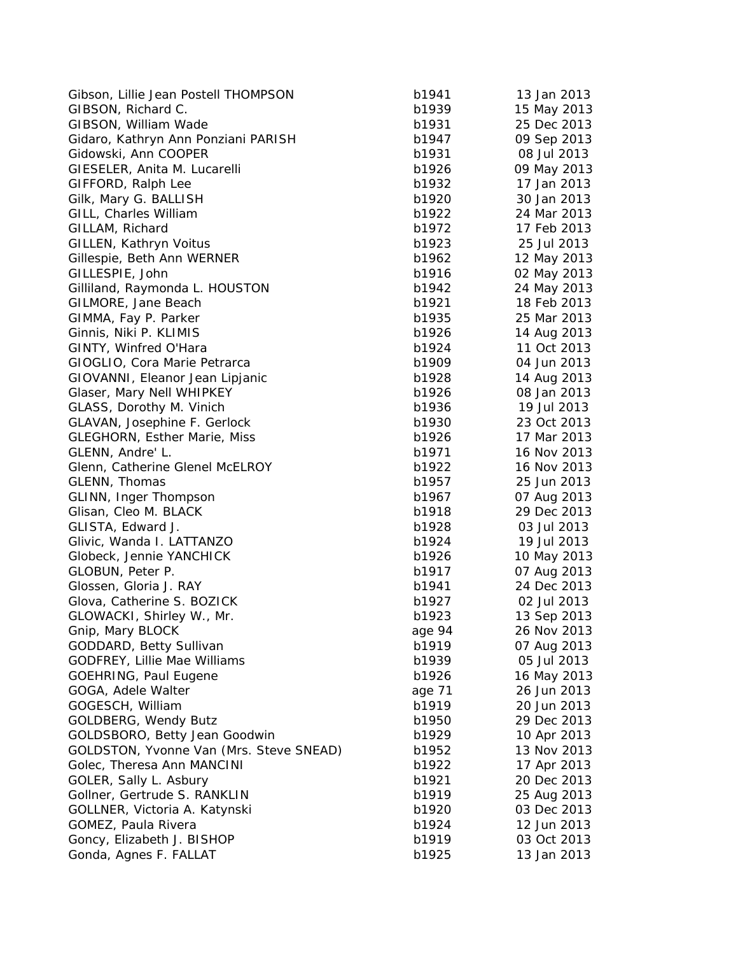| Gibson, Lillie Jean Postell THOMPSON    | b1941  | 13 Jan 2013                |
|-----------------------------------------|--------|----------------------------|
| GIBSON, Richard C.                      | b1939  | 15 May 2013                |
| GIBSON, William Wade                    | b1931  | 25 Dec 2013                |
| Gidaro, Kathryn Ann Ponziani PARISH     | b1947  | 09 Sep 2013                |
| Gidowski, Ann COOPER                    | b1931  | 08 Jul 2013                |
| GIESELER, Anita M. Lucarelli            | b1926  | 09 May 2013                |
| GIFFORD, Ralph Lee                      | b1932  | 17 Jan 2013                |
| Gilk, Mary G. BALLISH                   | b1920  | 30 Jan 2013                |
| GILL, Charles William                   | b1922  | 24 Mar 2013                |
| GILLAM, Richard                         | b1972  | 17 Feb 2013                |
| GILLEN, Kathryn Voitus                  | b1923  | 25 Jul 2013                |
| Gillespie, Beth Ann WERNER              | b1962  | 12 May 2013                |
| GILLESPIE, John                         | b1916  | 02 May 2013                |
| Gilliland, Raymonda L. HOUSTON          | b1942  | 24 May 2013                |
| GILMORE, Jane Beach                     | b1921  | 18 Feb 2013                |
| GIMMA, Fay P. Parker                    | b1935  | 25 Mar 2013                |
| Ginnis, Niki P. KLIMIS                  | b1926  | 14 Aug 2013                |
| GINTY, Winfred O'Hara                   | b1924  | 11 Oct 2013                |
| GIOGLIO, Cora Marie Petrarca            | b1909  | 04 Jun 2013                |
| GIOVANNI, Eleanor Jean Lipjanic         | b1928  | 14 Aug 2013                |
| Glaser, Mary Nell WHIPKEY               | b1926  | 08 Jan 2013                |
| GLASS, Dorothy M. Vinich                | b1936  | 19 Jul 2013                |
| GLAVAN, Josephine F. Gerlock            | b1930  | 23 Oct 2013                |
| <b>GLEGHORN, Esther Marie, Miss</b>     | b1926  | 17 Mar 2013                |
| GLENN, Andre' L.                        | b1971  | 16 Nov 2013                |
| Glenn, Catherine Glenel McELROY         | b1922  | 16 Nov 2013                |
| GLENN, Thomas                           | b1957  | 25 Jun 2013                |
| GLINN, Inger Thompson                   | b1967  | 07 Aug 2013                |
| Glisan, Cleo M. BLACK                   | b1918  | 29 Dec 2013                |
| GLISTA, Edward J.                       | b1928  | 03 Jul 2013                |
| Glivic, Wanda I. LATTANZO               | b1924  | 19 Jul 2013                |
| Globeck, Jennie YANCHICK                | b1926  | 10 May 2013                |
| GLOBUN, Peter P.                        | b1917  | 07 Aug 2013                |
| Glossen, Gloria J. RAY                  | b1941  | 24 Dec 2013                |
| Glova, Catherine S. BOZICK              | b1927  | 02 Jul 2013                |
| GLOWACKI, Shirley W., Mr.               | b1923  | 13 Sep 2013                |
| Gnip, Mary BLOCK                        | age 94 | 26 Nov 2013                |
| GODDARD, Betty Sullivan                 | b1919  | 07 Aug 2013                |
| GODFREY, Lillie Mae Williams            | b1939  | 05 Jul 2013                |
| <b>GOEHRING, Paul Eugene</b>            | b1926  | 16 May 2013                |
| GOGA, Adele Walter                      | age 71 | 26 Jun 2013                |
| GOGESCH, William                        | b1919  | 20 Jun 2013                |
| <b>GOLDBERG, Wendy Butz</b>             | b1950  | 29 Dec 2013                |
| GOLDSBORO, Betty Jean Goodwin           | b1929  | 10 Apr 2013                |
| GOLDSTON, Yvonne Van (Mrs. Steve SNEAD) | b1952  | 13 Nov 2013                |
| Golec, Theresa Ann MANCINI              | b1922  | 17 Apr 2013                |
| GOLER, Sally L. Asbury                  | b1921  | 20 Dec 2013                |
| Gollner, Gertrude S. RANKLIN            | b1919  |                            |
| GOLLNER, Victoria A. Katynski           | b1920  | 25 Aug 2013<br>03 Dec 2013 |
| GOMEZ, Paula Rivera                     | b1924  | 12 Jun 2013                |
| Goncy, Elizabeth J. BISHOP              | b1919  | 03 Oct 2013                |
| Gonda, Agnes F. FALLAT                  | b1925  | 13 Jan 2013                |
|                                         |        |                            |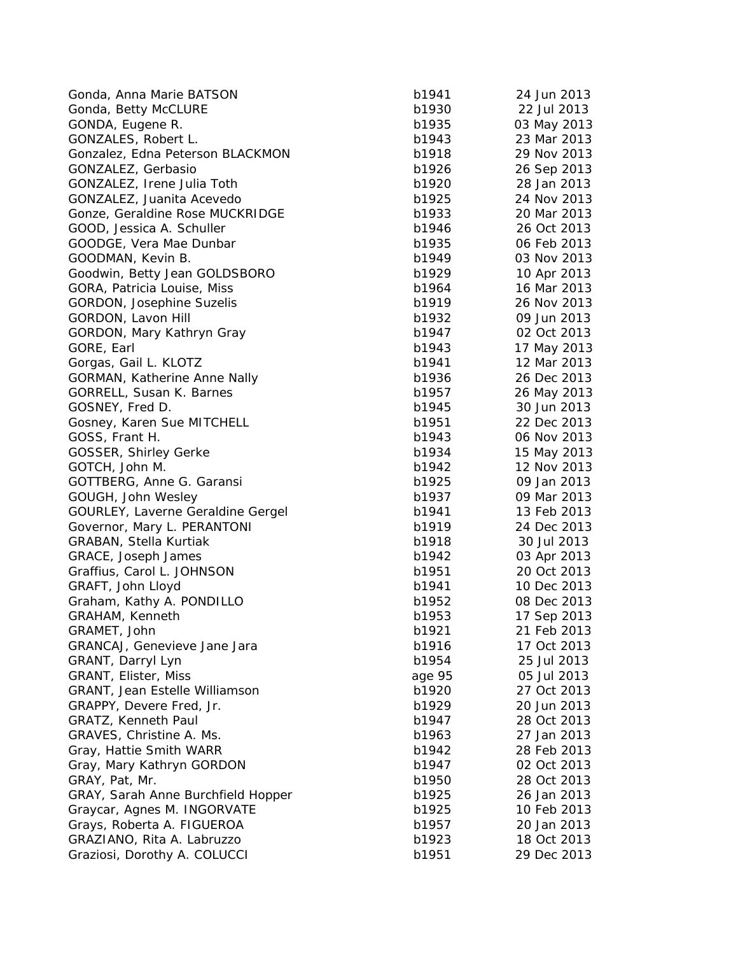| Gonda, Anna Marie BATSON            | b1941  | 24 Jun 2013 |
|-------------------------------------|--------|-------------|
| Gonda, Betty McCLURE                | b1930  | 22 Jul 2013 |
| GONDA, Eugene R.                    | b1935  | 03 May 2013 |
| GONZALES, Robert L.                 | b1943  | 23 Mar 2013 |
| Gonzalez, Edna Peterson BLACKMON    | b1918  | 29 Nov 2013 |
| GONZALEZ, Gerbasio                  | b1926  | 26 Sep 2013 |
| GONZALEZ, Irene Julia Toth          | b1920  | 28 Jan 2013 |
| GONZALEZ, Juanita Acevedo           | b1925  | 24 Nov 2013 |
| Gonze, Geraldine Rose MUCKRIDGE     | b1933  | 20 Mar 2013 |
| GOOD, Jessica A. Schuller           | b1946  | 26 Oct 2013 |
| GOODGE, Vera Mae Dunbar             | b1935  | 06 Feb 2013 |
| GOODMAN, Kevin B.                   | b1949  | 03 Nov 2013 |
| Goodwin, Betty Jean GOLDSBORO       | b1929  | 10 Apr 2013 |
| GORA, Patricia Louise, Miss         | b1964  | 16 Mar 2013 |
| <b>GORDON, Josephine Suzelis</b>    | b1919  | 26 Nov 2013 |
| GORDON, Lavon Hill                  | b1932  | 09 Jun 2013 |
| GORDON, Mary Kathryn Gray           | b1947  | 02 Oct 2013 |
| GORE, Earl                          | b1943  | 17 May 2013 |
| Gorgas, Gail L. KLOTZ               | b1941  | 12 Mar 2013 |
| <b>GORMAN, Katherine Anne Nally</b> | b1936  | 26 Dec 2013 |
| GORRELL, Susan K. Barnes            | b1957  | 26 May 2013 |
| GOSNEY, Fred D.                     | b1945  | 30 Jun 2013 |
| Gosney, Karen Sue MITCHELL          | b1951  | 22 Dec 2013 |
| GOSS, Frant H.                      | b1943  | 06 Nov 2013 |
| <b>GOSSER, Shirley Gerke</b>        | b1934  | 15 May 2013 |
| GOTCH, John M.                      | b1942  | 12 Nov 2013 |
| GOTTBERG, Anne G. Garansi           | b1925  | 09 Jan 2013 |
| GOUGH, John Wesley                  | b1937  | 09 Mar 2013 |
| GOURLEY, Laverne Geraldine Gergel   | b1941  | 13 Feb 2013 |
| Governor, Mary L. PERANTONI         | b1919  | 24 Dec 2013 |
| GRABAN, Stella Kurtiak              | b1918  | 30 Jul 2013 |
| GRACE, Joseph James                 | b1942  | 03 Apr 2013 |
| Graffius, Carol L. JOHNSON          | b1951  | 20 Oct 2013 |
| GRAFT, John Lloyd                   | b1941  | 10 Dec 2013 |
|                                     | b1952  | 08 Dec 2013 |
| Graham, Kathy A. PONDILLO           |        | 17 Sep 2013 |
| GRAHAM, Kenneth                     | b1953  |             |
| GRAMET, John                        | b1921  | 21 Feb 2013 |
| GRANCAJ, Genevieve Jane Jara        | b1916  | 17 Oct 2013 |
| GRANT, Darryl Lyn                   | b1954  | 25 Jul 2013 |
| GRANT, Elister, Miss                | age 95 | 05 Jul 2013 |
| GRANT, Jean Estelle Williamson      | b1920  | 27 Oct 2013 |
| GRAPPY, Devere Fred, Jr.            | b1929  | 20 Jun 2013 |
| GRATZ, Kenneth Paul                 | b1947  | 28 Oct 2013 |
| GRAVES, Christine A. Ms.            | b1963  | 27 Jan 2013 |
| Gray, Hattie Smith WARR             | b1942  | 28 Feb 2013 |
| Gray, Mary Kathryn GORDON           | b1947  | 02 Oct 2013 |
| GRAY, Pat, Mr.                      | b1950  | 28 Oct 2013 |
| GRAY, Sarah Anne Burchfield Hopper  | b1925  | 26 Jan 2013 |
| Graycar, Agnes M. INGORVATE         | b1925  | 10 Feb 2013 |
| Grays, Roberta A. FIGUEROA          | b1957  | 20 Jan 2013 |
| GRAZIANO, Rita A. Labruzzo          | b1923  | 18 Oct 2013 |
| Graziosi, Dorothy A. COLUCCI        | b1951  | 29 Dec 2013 |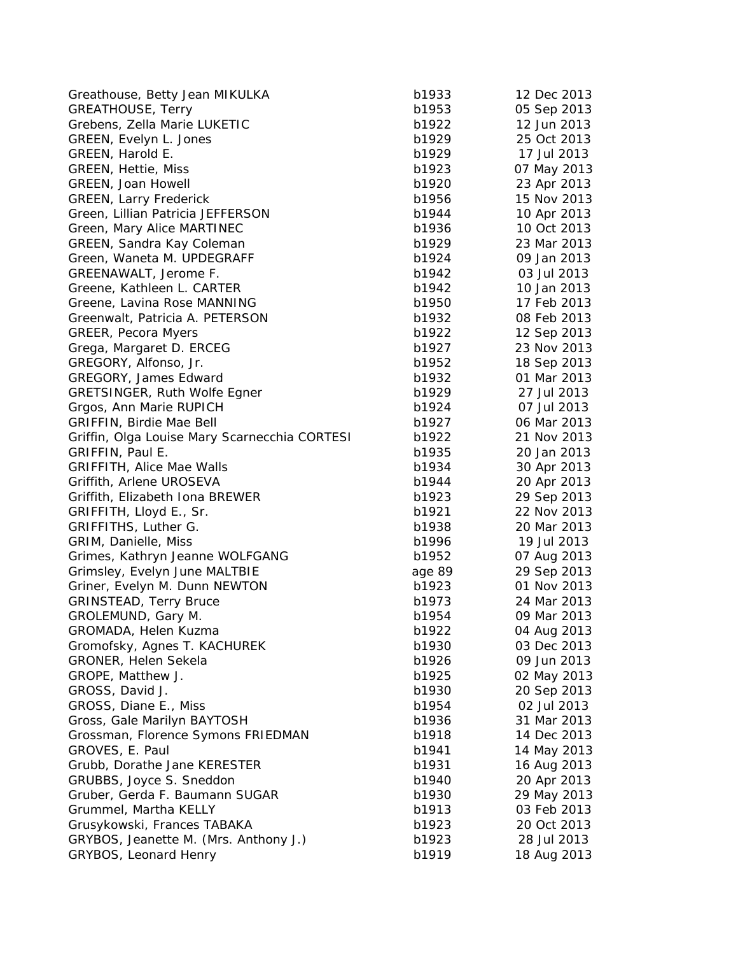| <b>GREATHOUSE, Terry</b><br>b1953                      | 05 Sep 2013 |
|--------------------------------------------------------|-------------|
|                                                        |             |
| Grebens, Zella Marie LUKETIC<br>b1922                  | 12 Jun 2013 |
| GREEN, Evelyn L. Jones<br>b1929                        | 25 Oct 2013 |
| GREEN, Harold E.<br>b1929                              | 17 Jul 2013 |
| b1923<br><b>GREEN, Hettie, Miss</b>                    | 07 May 2013 |
| b1920<br><b>GREEN, Joan Howell</b>                     | 23 Apr 2013 |
| <b>GREEN, Larry Frederick</b><br>b1956                 | 15 Nov 2013 |
| Green, Lillian Patricia JEFFERSON<br>b1944             | 10 Apr 2013 |
| Green, Mary Alice MARTINEC<br>b1936                    | 10 Oct 2013 |
| GREEN, Sandra Kay Coleman<br>b1929                     | 23 Mar 2013 |
| Green, Waneta M. UPDEGRAFF<br>b1924                    | 09 Jan 2013 |
| GREENAWALT, Jerome F.<br>b1942                         | 03 Jul 2013 |
| b1942<br>Greene, Kathleen L. CARTER                    | 10 Jan 2013 |
| b1950<br>Greene, Lavina Rose MANNING                   | 17 Feb 2013 |
| b1932<br>Greenwalt, Patricia A. PETERSON               | 08 Feb 2013 |
| <b>GREER, Pecora Myers</b><br>b1922                    | 12 Sep 2013 |
| Grega, Margaret D. ERCEG<br>b1927                      | 23 Nov 2013 |
| b1952<br>GREGORY, Alfonso, Jr.                         | 18 Sep 2013 |
| b1932<br><b>GREGORY, James Edward</b>                  | 01 Mar 2013 |
| <b>GRETSINGER, Ruth Wolfe Egner</b><br>b1929           | 27 Jul 2013 |
| Grgos, Ann Marie RUPICH<br>b1924                       | 07 Jul 2013 |
| GRIFFIN, Birdie Mae Bell<br>b1927                      | 06 Mar 2013 |
| Griffin, Olga Louise Mary Scarnecchia CORTESI<br>b1922 | 21 Nov 2013 |
| GRIFFIN, Paul E.<br>b1935                              | 20 Jan 2013 |
| <b>GRIFFITH, Alice Mae Walls</b><br>b1934              | 30 Apr 2013 |
| Griffith, Arlene UROSEVA<br>b1944                      | 20 Apr 2013 |
| Griffith, Elizabeth Iona BREWER<br>b1923               | 29 Sep 2013 |
| b1921<br>GRIFFITH, Lloyd E., Sr.                       | 22 Nov 2013 |
| GRIFFITHS, Luther G.<br>b1938                          | 20 Mar 2013 |
| GRIM, Danielle, Miss<br>b1996                          | 19 Jul 2013 |
| Grimes, Kathryn Jeanne WOLFGANG<br>b1952               | 07 Aug 2013 |
| Grimsley, Evelyn June MALTBIE<br>age 89                | 29 Sep 2013 |
| Griner, Evelyn M. Dunn NEWTON<br>b1923                 | 01 Nov 2013 |
| <b>GRINSTEAD, Terry Bruce</b><br>b1973                 | 24 Mar 2013 |
| GROLEMUND, Gary M.<br>b1954                            | 09 Mar 2013 |
| b1922<br>GROMADA, Helen Kuzma                          | 04 Aug 2013 |
| Gromofsky, Agnes T. KACHUREK<br>b1930                  | 03 Dec 2013 |
| GRONER, Helen Sekela<br>b1926                          | 09 Jun 2013 |
| GROPE, Matthew J.<br>b1925                             | 02 May 2013 |
| GROSS, David J.<br>b1930                               | 20 Sep 2013 |
| GROSS, Diane E., Miss<br>b1954                         | 02 Jul 2013 |
| Gross, Gale Marilyn BAYTOSH<br>b1936                   | 31 Mar 2013 |
| Grossman, Florence Symons FRIEDMAN<br>b1918            | 14 Dec 2013 |
| GROVES, E. Paul<br>b1941                               | 14 May 2013 |
| Grubb, Dorathe Jane KERESTER<br>b1931                  | 16 Aug 2013 |
| GRUBBS, Joyce S. Sneddon<br>b1940                      | 20 Apr 2013 |
| Gruber, Gerda F. Baumann SUGAR<br>b1930                | 29 May 2013 |
| Grummel, Martha KELLY<br>b1913                         | 03 Feb 2013 |
| Grusykowski, Frances TABAKA<br>b1923                   | 20 Oct 2013 |
| GRYBOS, Jeanette M. (Mrs. Anthony J.)<br>b1923         | 28 Jul 2013 |
| GRYBOS, Leonard Henry<br>b1919                         | 18 Aug 2013 |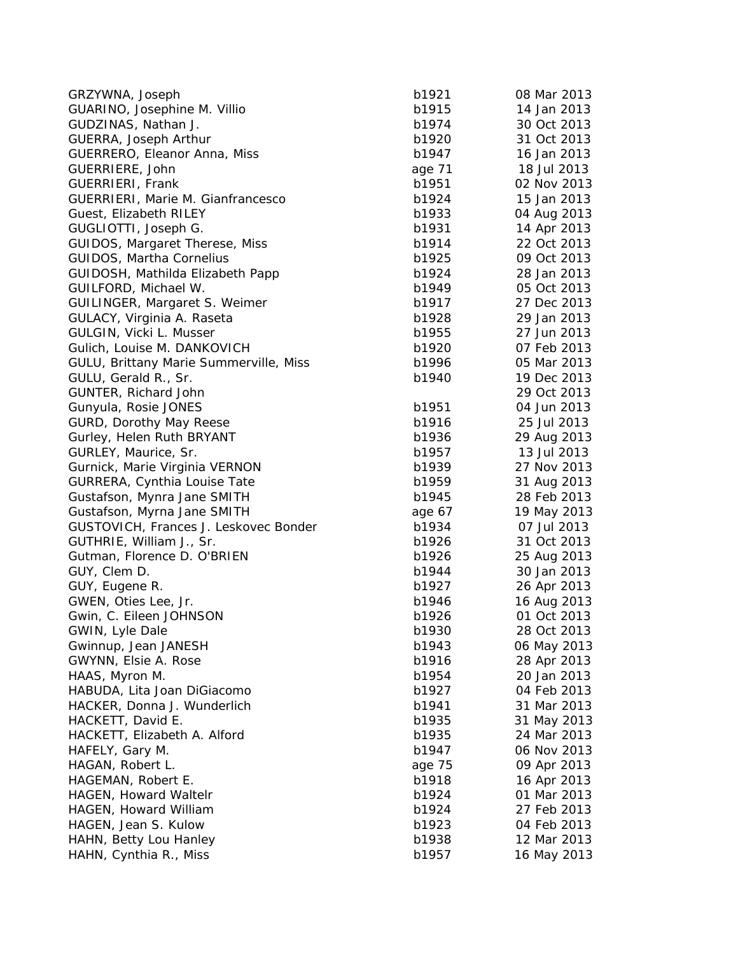| GRZYWNA, Joseph                        | b1921           | 08 Mar 2013 |
|----------------------------------------|-----------------|-------------|
| GUARINO, Josephine M. Villio           | b1915           | 14 Jan 2013 |
| GUDZINAS, Nathan J.                    | b1974           | 30 Oct 2013 |
| GUERRA, Joseph Arthur                  | b1920           | 31 Oct 2013 |
| GUERRERO, Eleanor Anna, Miss           | b1947           | 16 Jan 2013 |
| GUERRIERE, John                        | age 71          | 18 Jul 2013 |
| GUERRIERI, Frank                       | b1951           | 02 Nov 2013 |
| GUERRIERI, Marie M. Gianfrancesco      | b1924           | 15 Jan 2013 |
| Guest, Elizabeth RILEY                 | b1933           | 04 Aug 2013 |
| GUGLIOTTI, Joseph G.                   | b1931           | 14 Apr 2013 |
| GUIDOS, Margaret Therese, Miss         | b1914           | 22 Oct 2013 |
| GUIDOS, Martha Cornelius               | b1925           | 09 Oct 2013 |
| GUIDOSH, Mathilda Elizabeth Papp       | b1924           | 28 Jan 2013 |
| GUILFORD, Michael W.                   | b1949           | 05 Oct 2013 |
| GUILINGER, Margaret S. Weimer          | b1917           | 27 Dec 2013 |
| GULACY, Virginia A. Raseta             | b1928           | 29 Jan 2013 |
| GULGIN, Vicki L. Musser                | b1955           | 27 Jun 2013 |
| Gulich, Louise M. DANKOVICH            | b1920           | 07 Feb 2013 |
| GULU, Brittany Marie Summerville, Miss | b1996           | 05 Mar 2013 |
| GULU, Gerald R., Sr.                   | b1940           | 19 Dec 2013 |
| GUNTER, Richard John                   |                 | 29 Oct 2013 |
| Gunyula, Rosie JONES                   | b1951           | 04 Jun 2013 |
| <b>GURD, Dorothy May Reese</b>         | b1916           | 25 Jul 2013 |
| Gurley, Helen Ruth BRYANT              | b1936           | 29 Aug 2013 |
| GURLEY, Maurice, Sr.                   | b1957           | 13 Jul 2013 |
| Gurnick, Marie Virginia VERNON         | b1939           | 27 Nov 2013 |
| GURRERA, Cynthia Louise Tate           | b1959           | 31 Aug 2013 |
| Gustafson, Mynra Jane SMITH            | b1945           | 28 Feb 2013 |
| Gustafson, Myrna Jane SMITH            | age 67          | 19 May 2013 |
| GUSTOVICH, Frances J. Leskovec Bonder  | b1934           | 07 Jul 2013 |
| GUTHRIE, William J., Sr.               | b1926           | 31 Oct 2013 |
| Gutman, Florence D. O'BRIEN            | b1926           | 25 Aug 2013 |
| GUY, Clem D.                           | b1944           | 30 Jan 2013 |
| GUY, Eugene R.                         | b1927           | 26 Apr 2013 |
| GWEN, Oties Lee, Jr.                   | b1946           | 16 Aug 2013 |
| Gwin, C. Eileen JOHNSON                | b1926           | 01 Oct 2013 |
| GWIN, Lyle Dale                        | b1930           | 28 Oct 2013 |
| Gwinnup, Jean JANESH                   | b1943           | 06 May 2013 |
| GWYNN, Elsie A. Rose                   | b1916           | 28 Apr 2013 |
| HAAS, Myron M.                         | b1954           | 20 Jan 2013 |
| HABUDA, Lita Joan DiGiacomo            | b1927           | 04 Feb 2013 |
| HACKER, Donna J. Wunderlich            | b1941           | 31 Mar 2013 |
| HACKETT, David E.                      | b1935           | 31 May 2013 |
| HACKETT, Elizabeth A. Alford           | b1935           | 24 Mar 2013 |
| HAFELY, Gary M.                        | b1947           | 06 Nov 2013 |
| HAGAN, Robert L.                       |                 |             |
| HAGEMAN, Robert E.                     | age 75<br>b1918 | 09 Apr 2013 |
|                                        |                 | 16 Apr 2013 |
| HAGEN, Howard Waltelr                  | b1924           | 01 Mar 2013 |
| HAGEN, Howard William                  | b1924           | 27 Feb 2013 |
| HAGEN, Jean S. Kulow                   | b1923           | 04 Feb 2013 |
| HAHN, Betty Lou Hanley                 | b1938           | 12 Mar 2013 |
| HAHN, Cynthia R., Miss                 | b1957           | 16 May 2013 |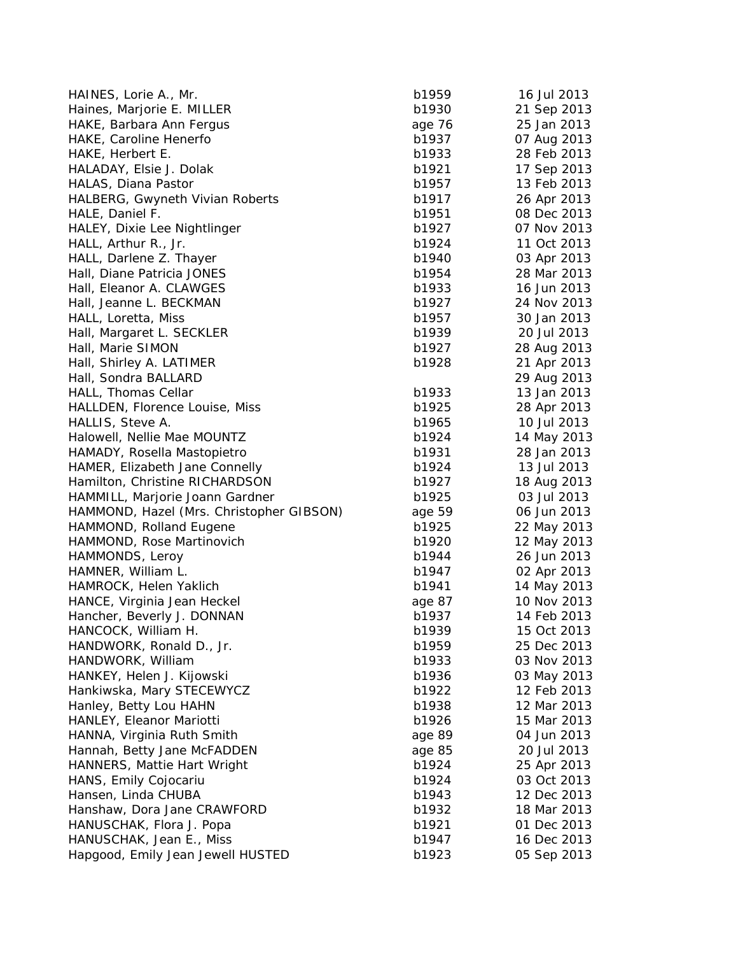| HAINES, Lorie A., Mr.                    | b1959          | 16 Jul 2013                |
|------------------------------------------|----------------|----------------------------|
| Haines, Marjorie E. MILLER               | b1930          | 21 Sep 2013                |
| HAKE, Barbara Ann Fergus                 | age 76         | 25 Jan 2013                |
| HAKE, Caroline Henerfo                   | b1937          | 07 Aug 2013                |
| HAKE, Herbert E.                         | b1933          | 28 Feb 2013                |
| HALADAY, Elsie J. Dolak                  | b1921          | 17 Sep 2013                |
| HALAS, Diana Pastor                      | b1957          | 13 Feb 2013                |
| HALBERG, Gwyneth Vivian Roberts          | b1917          | 26 Apr 2013                |
| HALE, Daniel F.                          | b1951          | 08 Dec 2013                |
| HALEY, Dixie Lee Nightlinger             | b1927          | 07 Nov 2013                |
| HALL, Arthur R., Jr.                     | b1924          | 11 Oct 2013                |
| HALL, Darlene Z. Thayer                  | b1940          | 03 Apr 2013                |
| Hall, Diane Patricia JONES               | b1954          | 28 Mar 2013                |
| Hall, Eleanor A. CLAWGES                 | b1933          | 16 Jun 2013                |
| Hall, Jeanne L. BECKMAN                  | b1927          | 24 Nov 2013                |
| HALL, Loretta, Miss                      | b1957          | 30 Jan 2013                |
| Hall, Margaret L. SECKLER                | b1939          | 20 Jul 2013                |
| Hall, Marie SIMON                        | b1927          | 28 Aug 2013                |
| Hall, Shirley A. LATIMER                 | b1928          | 21 Apr 2013                |
| Hall, Sondra BALLARD                     |                | 29 Aug 2013                |
| HALL, Thomas Cellar                      | b1933          | 13 Jan 2013                |
| HALLDEN, Florence Louise, Miss           | b1925          | 28 Apr 2013                |
| HALLIS, Steve A.                         | b1965          | 10 Jul 2013                |
| Halowell, Nellie Mae MOUNTZ              | b1924          | 14 May 2013                |
| HAMADY, Rosella Mastopietro              | b1931          | 28 Jan 2013                |
| HAMER, Elizabeth Jane Connelly           | b1924          | 13 Jul 2013                |
| Hamilton, Christine RICHARDSON           | b1927          | 18 Aug 2013                |
| HAMMILL, Marjorie Joann Gardner          | b1925          | 03 Jul 2013                |
| HAMMOND, Hazel (Mrs. Christopher GIBSON) | age 59         | 06 Jun 2013                |
| HAMMOND, Rolland Eugene                  | b1925          | 22 May 2013                |
| HAMMOND, Rose Martinovich                | b1920          | 12 May 2013                |
| HAMMONDS, Leroy                          | b1944          | 26 Jun 2013                |
| HAMNER, William L.                       | b1947          | 02 Apr 2013                |
| HAMROCK, Helen Yaklich                   | b1941          | 14 May 2013                |
| HANCE, Virginia Jean Heckel              | age 87         | 10 Nov 2013                |
| Hancher, Beverly J. DONNAN               | b1937          | 14 Feb 2013                |
| HANCOCK, William H.                      | b1939          | 15 Oct 2013                |
| HANDWORK, Ronald D., Jr.                 | b1959          | 25 Dec 2013                |
| HANDWORK, William                        | b1933          | 03 Nov 2013                |
| HANKEY, Helen J. Kijowski                | b1936          | 03 May 2013                |
| Hankiwska, Mary STECEWYCZ                | b1922          | 12 Feb 2013                |
| Hanley, Betty Lou HAHN                   | b1938          | 12 Mar 2013                |
| HANLEY, Eleanor Mariotti                 | b1926          | 15 Mar 2013                |
| HANNA, Virginia Ruth Smith               | age 89         | 04 Jun 2013                |
| Hannah, Betty Jane McFADDEN              | age 85         | 20 Jul 2013                |
| HANNERS, Mattie Hart Wright              |                |                            |
| HANS, Emily Cojocariu                    | b1924<br>b1924 | 25 Apr 2013<br>03 Oct 2013 |
|                                          |                |                            |
| Hansen, Linda CHUBA                      | b1943          | 12 Dec 2013                |
| Hanshaw, Dora Jane CRAWFORD              | b1932          | 18 Mar 2013                |
| HANUSCHAK, Flora J. Popa                 | b1921          | 01 Dec 2013                |
| HANUSCHAK, Jean E., Miss                 | b1947          | 16 Dec 2013                |
| Hapgood, Emily Jean Jewell HUSTED        | b1923          | 05 Sep 2013                |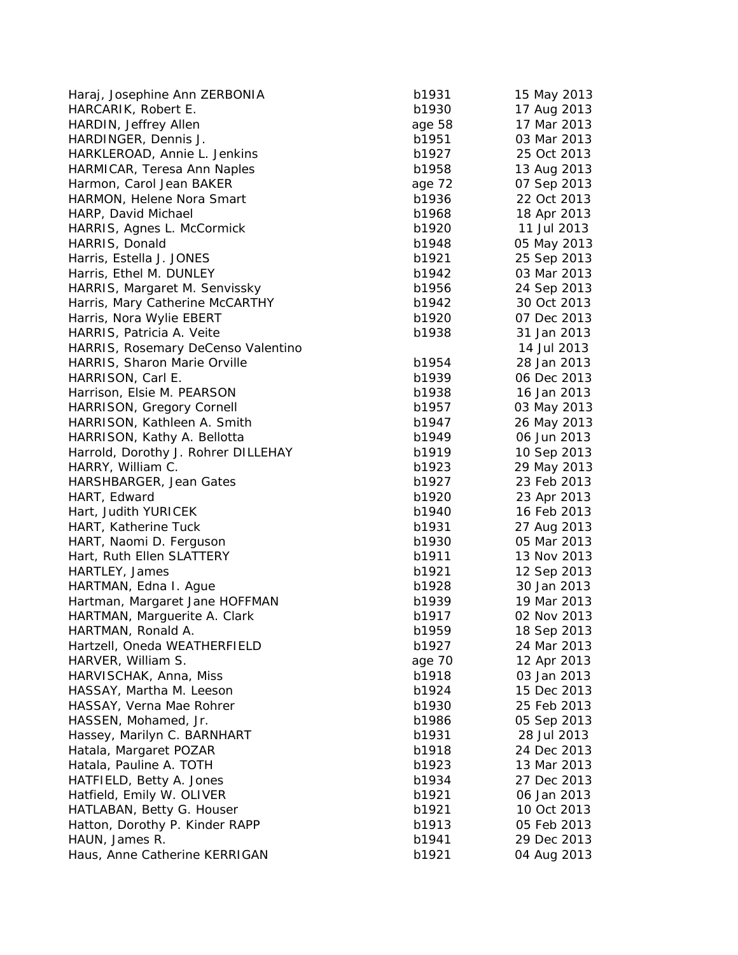| Haraj, Josephine Ann ZERBONIA       | b1931  | 15 May 2013 |
|-------------------------------------|--------|-------------|
| HARCARIK, Robert E.                 | b1930  | 17 Aug 2013 |
| HARDIN, Jeffrey Allen               | age 58 | 17 Mar 2013 |
| HARDINGER, Dennis J.                | b1951  | 03 Mar 2013 |
| HARKLEROAD, Annie L. Jenkins        | b1927  | 25 Oct 2013 |
| HARMICAR, Teresa Ann Naples         | b1958  | 13 Aug 2013 |
| Harmon, Carol Jean BAKER            | age 72 | 07 Sep 2013 |
| HARMON, Helene Nora Smart           | b1936  | 22 Oct 2013 |
| HARP, David Michael                 | b1968  | 18 Apr 2013 |
| HARRIS, Agnes L. McCormick          | b1920  | 11 Jul 2013 |
| HARRIS, Donald                      | b1948  | 05 May 2013 |
| Harris, Estella J. JONES            | b1921  | 25 Sep 2013 |
| Harris, Ethel M. DUNLEY             | b1942  | 03 Mar 2013 |
| HARRIS, Margaret M. Senvissky       | b1956  | 24 Sep 2013 |
| Harris, Mary Catherine McCARTHY     | b1942  | 30 Oct 2013 |
| Harris, Nora Wylie EBERT            | b1920  | 07 Dec 2013 |
| HARRIS, Patricia A. Veite           | b1938  | 31 Jan 2013 |
| HARRIS, Rosemary DeCenso Valentino  |        | 14 Jul 2013 |
| HARRIS, Sharon Marie Orville        | b1954  | 28 Jan 2013 |
| HARRISON, Carl E.                   | b1939  | 06 Dec 2013 |
| Harrison, Elsie M. PEARSON          | b1938  | 16 Jan 2013 |
| HARRISON, Gregory Cornell           | b1957  | 03 May 2013 |
| HARRISON, Kathleen A. Smith         | b1947  | 26 May 2013 |
| HARRISON, Kathy A. Bellotta         | b1949  | 06 Jun 2013 |
| Harrold, Dorothy J. Rohrer DILLEHAY | b1919  | 10 Sep 2013 |
| HARRY, William C.                   | b1923  | 29 May 2013 |
| HARSHBARGER, Jean Gates             | b1927  | 23 Feb 2013 |
| HART, Edward                        | b1920  | 23 Apr 2013 |
| Hart, Judith YURICEK                | b1940  | 16 Feb 2013 |
| HART, Katherine Tuck                | b1931  | 27 Aug 2013 |
| HART, Naomi D. Ferguson             | b1930  | 05 Mar 2013 |
| Hart, Ruth Ellen SLATTERY           | b1911  | 13 Nov 2013 |
| HARTLEY, James                      | b1921  | 12 Sep 2013 |
| HARTMAN, Edna I. Ague               | b1928  | 30 Jan 2013 |
| Hartman, Margaret Jane HOFFMAN      | b1939  | 19 Mar 2013 |
| HARTMAN, Marguerite A. Clark        | b1917  | 02 Nov 2013 |
| HARTMAN, Ronald A.                  | b1959  | 18 Sep 2013 |
| Hartzell, Oneda WEATHERFIELD        | b1927  | 24 Mar 2013 |
| HARVER, William S.                  | age 70 | 12 Apr 2013 |
| HARVISCHAK, Anna, Miss              | b1918  | 03 Jan 2013 |
| HASSAY, Martha M. Leeson            | b1924  | 15 Dec 2013 |
| HASSAY, Verna Mae Rohrer            | b1930  | 25 Feb 2013 |
| HASSEN, Mohamed, Jr.                | b1986  | 05 Sep 2013 |
| Hassey, Marilyn C. BARNHART         | b1931  | 28 Jul 2013 |
| Hatala, Margaret POZAR              | b1918  | 24 Dec 2013 |
| Hatala, Pauline A. TOTH             | b1923  | 13 Mar 2013 |
| HATFIELD, Betty A. Jones            | b1934  | 27 Dec 2013 |
| Hatfield, Emily W. OLIVER           | b1921  | 06 Jan 2013 |
| HATLABAN, Betty G. Houser           | b1921  | 10 Oct 2013 |
| Hatton, Dorothy P. Kinder RAPP      | b1913  | 05 Feb 2013 |
| HAUN, James R.                      | b1941  | 29 Dec 2013 |
| Haus, Anne Catherine KERRIGAN       | b1921  | 04 Aug 2013 |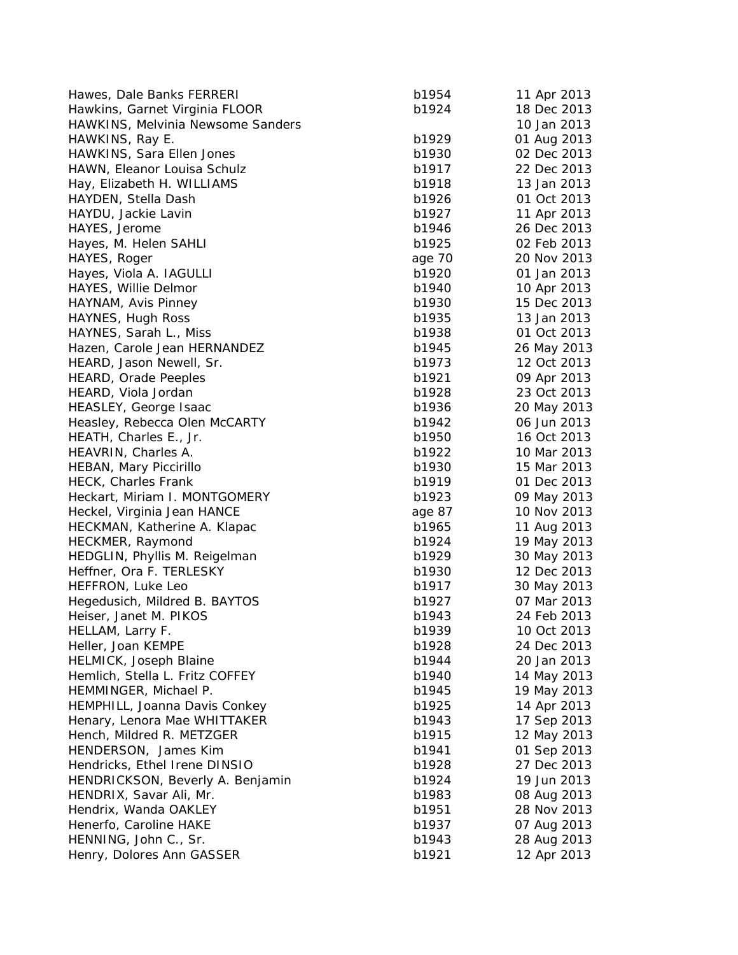| Hawes, Dale Banks FERRERI         | b1954  | 11 Apr 2013                |
|-----------------------------------|--------|----------------------------|
| Hawkins, Garnet Virginia FLOOR    | b1924  | 18 Dec 2013                |
| HAWKINS, Melvinia Newsome Sanders |        | 10 Jan 2013                |
| HAWKINS, Ray E.                   | b1929  | 01 Aug 2013                |
| HAWKINS, Sara Ellen Jones         | b1930  | 02 Dec 2013                |
| HAWN, Eleanor Louisa Schulz       | b1917  | 22 Dec 2013                |
| Hay, Elizabeth H. WILLIAMS        | b1918  | 13 Jan 2013                |
| HAYDEN, Stella Dash               | b1926  | 01 Oct 2013                |
| HAYDU, Jackie Lavin               | b1927  | 11 Apr 2013                |
| HAYES, Jerome                     | b1946  | 26 Dec 2013                |
| Hayes, M. Helen SAHLI             | b1925  | 02 Feb 2013                |
| HAYES, Roger                      | age 70 | 20 Nov 2013                |
| Hayes, Viola A. IAGULLI           | b1920  | 01 Jan 2013                |
| HAYES, Willie Delmor              | b1940  | 10 Apr 2013                |
| HAYNAM, Avis Pinney               | b1930  | 15 Dec 2013                |
| HAYNES, Hugh Ross                 | b1935  | 13 Jan 2013                |
| HAYNES, Sarah L., Miss            | b1938  | 01 Oct 2013                |
| Hazen, Carole Jean HERNANDEZ      | b1945  | 26 May 2013                |
| HEARD, Jason Newell, Sr.          | b1973  | 12 Oct 2013                |
| <b>HEARD, Orade Peeples</b>       | b1921  | 09 Apr 2013                |
| HEARD, Viola Jordan               | b1928  | 23 Oct 2013                |
| HEASLEY, George Isaac             | b1936  | 20 May 2013                |
| Heasley, Rebecca Olen McCARTY     | b1942  | 06 Jun 2013                |
| HEATH, Charles E., Jr.            | b1950  | 16 Oct 2013                |
| HEAVRIN, Charles A.               | b1922  | 10 Mar 2013                |
| HEBAN, Mary Piccirillo            | b1930  | 15 Mar 2013                |
| <b>HECK, Charles Frank</b>        | b1919  | 01 Dec 2013                |
| Heckart, Miriam I. MONTGOMERY     | b1923  | 09 May 2013                |
|                                   | age 87 | 10 Nov 2013                |
| Heckel, Virginia Jean HANCE       | b1965  |                            |
| HECKMAN, Katherine A. Klapac      | b1924  | 11 Aug 2013                |
| HECKMER, Raymond                  | b1929  | 19 May 2013<br>30 May 2013 |
| HEDGLIN, Phyllis M. Reigelman     |        |                            |
| Heffner, Ora F. TERLESKY          | b1930  | 12 Dec 2013                |
| HEFFRON, Luke Leo                 | b1917  | 30 May 2013                |
| Hegedusich, Mildred B. BAYTOS     | b1927  | 07 Mar 2013                |
| Heiser, Janet M. PIKOS            | b1943  | 24 Feb 2013                |
| HELLAM, Larry F.                  | b1939  | 10 Oct 2013                |
| Heller, Joan KEMPE                | b1928  | 24 Dec 2013                |
| <b>HELMICK, Joseph Blaine</b>     | b1944  | 20 Jan 2013                |
| Hemlich, Stella L. Fritz COFFEY   | b1940  | 14 May 2013                |
| HEMMINGER, Michael P.             | b1945  | 19 May 2013                |
| HEMPHILL, Joanna Davis Conkey     | b1925  | 14 Apr 2013                |
| Henary, Lenora Mae WHITTAKER      | b1943  | 17 Sep 2013                |
| Hench, Mildred R. METZGER         | b1915  | 12 May 2013                |
| HENDERSON, James Kim              | b1941  | 01 Sep 2013                |
| Hendricks, Ethel Irene DINSIO     | b1928  | 27 Dec 2013                |
| HENDRICKSON, Beverly A. Benjamin  | b1924  | 19 Jun 2013                |
| HENDRIX, Savar Ali, Mr.           | b1983  | 08 Aug 2013                |
| Hendrix, Wanda OAKLEY             | b1951  | 28 Nov 2013                |
| Henerfo, Caroline HAKE            | b1937  | 07 Aug 2013                |
| HENNING, John C., Sr.             | b1943  | 28 Aug 2013                |
| Henry, Dolores Ann GASSER         | b1921  | 12 Apr 2013                |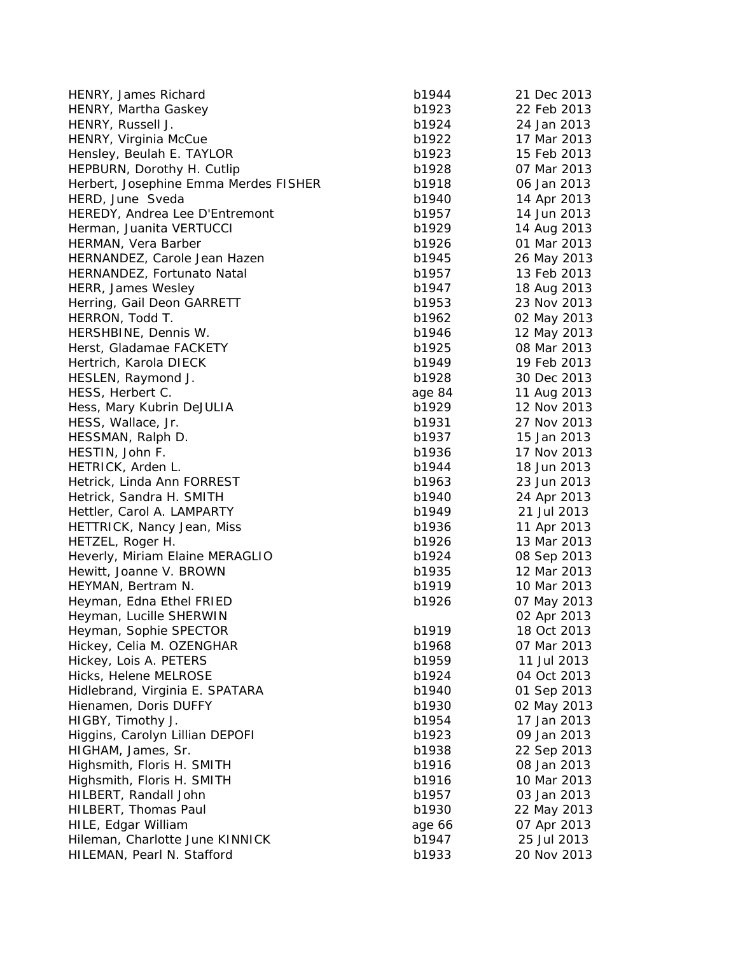| HENRY, James Richard                  | b1944  | 21 Dec 2013 |
|---------------------------------------|--------|-------------|
| HENRY, Martha Gaskey                  | b1923  | 22 Feb 2013 |
| HENRY, Russell J.                     | b1924  | 24 Jan 2013 |
| HENRY, Virginia McCue                 | b1922  | 17 Mar 2013 |
| Hensley, Beulah E. TAYLOR             | b1923  | 15 Feb 2013 |
| HEPBURN, Dorothy H. Cutlip            | b1928  | 07 Mar 2013 |
| Herbert, Josephine Emma Merdes FISHER | b1918  | 06 Jan 2013 |
| HERD, June Sveda                      | b1940  | 14 Apr 2013 |
| HEREDY, Andrea Lee D'Entremont        | b1957  | 14 Jun 2013 |
| Herman, Juanita VERTUCCI              | b1929  | 14 Aug 2013 |
| HERMAN, Vera Barber                   | b1926  | 01 Mar 2013 |
| HERNANDEZ, Carole Jean Hazen          | b1945  | 26 May 2013 |
| HERNANDEZ, Fortunato Natal            | b1957  | 13 Feb 2013 |
| HERR, James Wesley                    | b1947  | 18 Aug 2013 |
| Herring, Gail Deon GARRETT            | b1953  | 23 Nov 2013 |
| HERRON, Todd T.                       | b1962  | 02 May 2013 |
| HERSHBINE, Dennis W.                  | b1946  | 12 May 2013 |
| Herst, Gladamae FACKETY               | b1925  | 08 Mar 2013 |
| Hertrich, Karola DIECK                | b1949  | 19 Feb 2013 |
| HESLEN, Raymond J.                    | b1928  | 30 Dec 2013 |
| HESS, Herbert C.                      | age 84 | 11 Aug 2013 |
| Hess, Mary Kubrin DeJULIA             | b1929  | 12 Nov 2013 |
| HESS, Wallace, Jr.                    | b1931  | 27 Nov 2013 |
| HESSMAN, Ralph D.                     | b1937  | 15 Jan 2013 |
| HESTIN, John F.                       | b1936  | 17 Nov 2013 |
| HETRICK, Arden L.                     | b1944  | 18 Jun 2013 |
| Hetrick, Linda Ann FORREST            | b1963  | 23 Jun 2013 |
| Hetrick, Sandra H. SMITH              | b1940  | 24 Apr 2013 |
| Hettler, Carol A. LAMPARTY            | b1949  | 21 Jul 2013 |
| HETTRICK, Nancy Jean, Miss            | b1936  | 11 Apr 2013 |
| HETZEL, Roger H.                      | b1926  | 13 Mar 2013 |
| Heverly, Miriam Elaine MERAGLIO       | b1924  | 08 Sep 2013 |
| Hewitt, Joanne V. BROWN               | b1935  | 12 Mar 2013 |
| HEYMAN, Bertram N.                    | b1919  | 10 Mar 2013 |
| Heyman, Edna Ethel FRIED              | b1926  | 07 May 2013 |
| Heyman, Lucille SHERWIN               |        | 02 Apr 2013 |
| Heyman, Sophie SPECTOR                | b1919  | 18 Oct 2013 |
| Hickey, Celia M. OZENGHAR             | b1968  | 07 Mar 2013 |
| Hickey, Lois A. PETERS                | b1959  | 11 Jul 2013 |
| Hicks, Helene MELROSE                 | b1924  | 04 Oct 2013 |
| Hidlebrand, Virginia E. SPATARA       | b1940  | 01 Sep 2013 |
| Hienamen, Doris DUFFY                 | b1930  | 02 May 2013 |
| HIGBY, Timothy J.                     | b1954  | 17 Jan 2013 |
| Higgins, Carolyn Lillian DEPOFI       | b1923  | 09 Jan 2013 |
| HIGHAM, James, Sr.                    | b1938  | 22 Sep 2013 |
| Highsmith, Floris H. SMITH            | b1916  | 08 Jan 2013 |
| Highsmith, Floris H. SMITH            | b1916  | 10 Mar 2013 |
| HILBERT, Randall John                 | b1957  | 03 Jan 2013 |
| HILBERT, Thomas Paul                  | b1930  | 22 May 2013 |
| HILE, Edgar William                   | age 66 | 07 Apr 2013 |
| Hileman, Charlotte June KINNICK       | b1947  | 25 Jul 2013 |
| HILEMAN, Pearl N. Stafford            | b1933  | 20 Nov 2013 |
|                                       |        |             |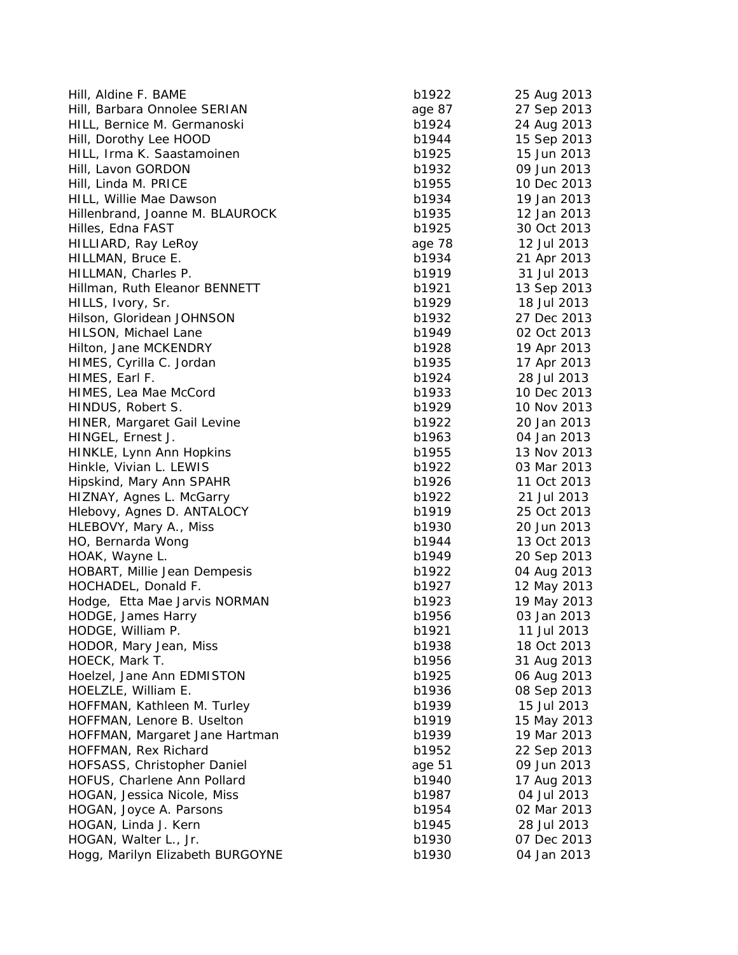| Hill, Aldine F. BAME               | b1922          | 25 Aug 2013 |
|------------------------------------|----------------|-------------|
| Hill, Barbara Onnolee SERIAN       | age 87         | 27 Sep 2013 |
| HILL, Bernice M. Germanoski        | b1924          | 24 Aug 2013 |
| Hill, Dorothy Lee HOOD             | b1944          | 15 Sep 2013 |
| HILL, Irma K. Saastamoinen         | b1925          | 15 Jun 2013 |
| Hill, Lavon GORDON                 | b1932          | 09 Jun 2013 |
| Hill, Linda M. PRICE               | b1955          | 10 Dec 2013 |
| HILL, Willie Mae Dawson            | b1934          | 19 Jan 2013 |
| Hillenbrand, Joanne M. BLAUROCK    | b1935          | 12 Jan 2013 |
| Hilles, Edna FAST                  | b1925          | 30 Oct 2013 |
| HILLIARD, Ray LeRoy                | age 78         | 12 Jul 2013 |
| HILLMAN, Bruce E.                  | b1934          | 21 Apr 2013 |
| HILLMAN, Charles P.                | b1919          | 31 Jul 2013 |
| Hillman, Ruth Eleanor BENNETT      | b1921          | 13 Sep 2013 |
| HILLS, Ivory, Sr.                  | b1929          | 18 Jul 2013 |
| Hilson, Gloridean JOHNSON          | b1932          | 27 Dec 2013 |
| HILSON, Michael Lane               | b1949          | 02 Oct 2013 |
| Hilton, Jane MCKENDRY              | b1928          | 19 Apr 2013 |
| HIMES, Cyrilla C. Jordan           | b1935          | 17 Apr 2013 |
| HIMES, Earl F.                     | b1924          | 28 Jul 2013 |
| HIMES, Lea Mae McCord              | b1933          | 10 Dec 2013 |
|                                    |                |             |
| HINDUS, Robert S.                  | b1929<br>b1922 | 10 Nov 2013 |
| <b>HINER, Margaret Gail Levine</b> |                | 20 Jan 2013 |
| HINGEL, Ernest J.                  | b1963          | 04 Jan 2013 |
| HINKLE, Lynn Ann Hopkins           | b1955          | 13 Nov 2013 |
| Hinkle, Vivian L. LEWIS            | b1922          | 03 Mar 2013 |
| Hipskind, Mary Ann SPAHR           | b1926          | 11 Oct 2013 |
| HIZNAY, Agnes L. McGarry           | b1922          | 21 Jul 2013 |
| Hlebovy, Agnes D. ANTALOCY         | b1919          | 25 Oct 2013 |
| HLEBOVY, Mary A., Miss             | b1930          | 20 Jun 2013 |
| HO, Bernarda Wong                  | b1944          | 13 Oct 2013 |
| HOAK, Wayne L.                     | b1949          | 20 Sep 2013 |
| HOBART, Millie Jean Dempesis       | b1922          | 04 Aug 2013 |
| HOCHADEL, Donald F.                | b1927          | 12 May 2013 |
| Hodge, Etta Mae Jarvis NORMAN      | b1923          | 19 May 2013 |
| HODGE, James Harry                 | b1956          | 03 Jan 2013 |
| HODGE, William P.                  | b1921          | 11 Jul 2013 |
| HODOR, Mary Jean, Miss             | b1938          | 18 Oct 2013 |
| HOECK, Mark T.                     | b1956          | 31 Aug 2013 |
| Hoelzel, Jane Ann EDMISTON         | b1925          | 06 Aug 2013 |
| HOELZLE, William E.                | b1936          | 08 Sep 2013 |
| HOFFMAN, Kathleen M. Turley        | b1939          | 15 Jul 2013 |
| HOFFMAN, Lenore B. Uselton         | b1919          | 15 May 2013 |
| HOFFMAN, Margaret Jane Hartman     | b1939          | 19 Mar 2013 |
| HOFFMAN, Rex Richard               | b1952          | 22 Sep 2013 |
| HOFSASS, Christopher Daniel        | age 51         | 09 Jun 2013 |
| HOFUS, Charlene Ann Pollard        | b1940          | 17 Aug 2013 |
| HOGAN, Jessica Nicole, Miss        | b1987          | 04 Jul 2013 |
| HOGAN, Joyce A. Parsons            | b1954          | 02 Mar 2013 |
| HOGAN, Linda J. Kern               | b1945          | 28 Jul 2013 |
| HOGAN, Walter L., Jr.              | b1930          | 07 Dec 2013 |
| Hogg, Marilyn Elizabeth BURGOYNE   | b1930          | 04 Jan 2013 |
|                                    |                |             |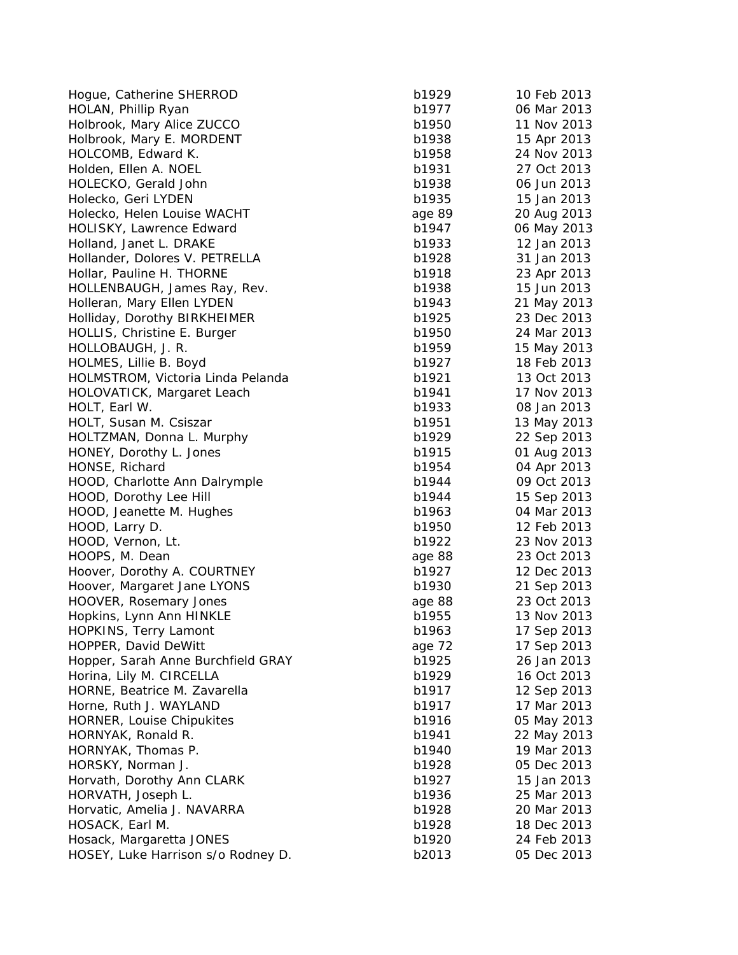Hoque, Catherine SHERROD b1 HOLAN, Phillip Ryan b1977 06 Mar 2013 06 Mar 2013 06 Mar 2013 06 Mar 2013 07 Mar 2013 07 Mar 2013 07 Mar 2013 07 Mar 2013 07 Mar 2013 07 Mar 2013 07 Mar 2013 07 Mar 2013 07 Mar 2013 07 Mar 2013 07 Mar 2013 07 Mar 2013 07 M Holbrook, Mary Alice ZUCCO b1 Holbrook, Mary E. MORDENT b1 HOLCOMB, Edward K. b1958 24 Nov 2014 Holden, Ellen A. NOEL b1931 b1931 b1931 b1931 b1931 b1931 b1931 b1931 b1931 b1931 b1931 b1931 b1931 b1931 b193 HOLECKO, Gerald John b1 Holecko, Geri LYDEN b1 Holecko, Helen Louise WACHT age 89 HOLISKY, Lawrence Edward b1 Holland, Janet L. DRAKE b1 Hollander, Dolores V. PETRELLA b1 Hollar, Pauline H. THORNE b1 HOLLENBAUGH, James Ray, Rev. b1 Holleran, Mary Ellen LYDEN b1 Holliday, Dorothy BIRKHEIMER b1 HOLLIS, Christine E. Burger b1 HOLLOBAUGH, J. R. b1 HOLMES, Lillie B. Boyd b1927 18 Feb 2013 18 Feb 2014 HOLMSTROM, Victoria Linda Pelanda b1 HOLOVATICK, Margaret Leach b1 HOLT, Earl W. b1933 08 Jan 2013 08 Jan 2013 08 Jan 2013 08 Jan 2013 08 Jan 2013 08 Jan 2013 08 Jan 2013 08 Jan 2013 08 Jan 2013 08 Jan 2013 08 Jan 2013 08 Jan 2013 08 Jan 2013 08 Jan 2013 08 Jan 2013 08 Jan 2013 08 Jan 201 HOLT, Susan M. Csiszar b1 HOLTZMAN, Donna L. Murphy b1 HONEY, Dorothy L. Jones b1 HONSE, Richard b1954 04 Apr 2013 04 Apr 2014 04 Apr 2014 04 Apr 2014 04 Apr 2014 04 Apr 2013 04 Apr 2014 04 Apr 2013 04 Apr 2013 04 Apr 2013 04 Apr 2013 04 Apr 2013 04 Apr 2013 04 Apr 2013 04 Apr 2013 04 Apr 2013 04 Apr 20 HOOD, Charlotte Ann Dalrymple b1 HOOD, Dorothy Lee Hill b1 HOOD, Jeanette M. Hughes b1 HOOD, Larry D. b1950 b1950 b1950 b1950 b1950 b1950 b1950 b1950 b1950 b1950 b1950 b1950 b1950 b1950 b1950 b1950 b1950 b1950 b1950 b1950 b1950 b1950 b1950 b1950 b1950 b1950 b1950 b1950 b1950 b1950 b1950 b1950 b1950 b1950 b19 HOOD, Vernon, Lt. b1 HOOPS, M. Dean age 88 23 Oct 2013 1999 Hoover, Dorothy A. COURTNEY b1 Hoover, Margaret Jane LYONS b1 HOOVER, Rosemary Jones age 88 23 23 Oct 2013 Hopkins, Lynn Ann HINKLE b1 HOPKINS, Terry Lamont b1 HOPPER, David DeWitt and The 72 17 September 2014 Hopper, Sarah Anne Burchfield GRAY b1 Horina, Lily M. CIRCELLA b1 HORNE, Beatrice M. Zavarella b1 Horne, Ruth J. WAYLAND b1 HORNER, Louise Chipukites b1 HORNYAK, Ronald R. b1941 22 May 2013 HORNYAK, Thomas P. b1 HORSKY, Norman J. b1 Horvath, Dorothy Ann CLARK b1 HORVATH, Joseph L. b1936 25 Mar 2013 25 Mar 2014 25 Mar 2013 25 Mar 2013 25 Mar 2013 25 Mar 2013 25 Mar 2013 25 Mar 2013 25 Mar 2013 25 Mar 2013 25 Mar 2013 25 Mar 2013 25 Mar 2013 25 Mar 2013 25 Mar 2014 25 Mar 2013 25 Ma Horvatic, Amelia J. NAVARRA b1 HOSACK, Earl M. b1928 18 Dec 2013 18 Dec 2014 18 Dec 2014 18 Dec 2014 18 Dec 2014 18 Dec 2014 18 Dec 2014 18 D Hosack, Margaretta JONES b1 HOSEY, Luke Harrison s/o Rodney D. b2

| 1929  | 10 Feb 2013 |
|-------|-------------|
| 1977  | 06 Mar 2013 |
| 1950  | 11 Nov 2013 |
| 1938  | 15 Apr 2013 |
| 1958  | 24 Nov 2013 |
| 1931  | 27 Oct 2013 |
| 1938  | 06 Jun 2013 |
| 1935  | 15 Jan 2013 |
| le 89 | 20 Aug 2013 |
| 1947  | 06 May 2013 |
| 1933  | 12 Jan 2013 |
| 1928  | 31 Jan 2013 |
| 1918  | 23 Apr 2013 |
| 1938  | 15 Jun 2013 |
| 1943  | 21 May 2013 |
| 1925  | 23 Dec 2013 |
| 1950  |             |
| 1959  | 24 Mar 2013 |
|       | 15 May 2013 |
| 1927  | 18 Feb 2013 |
| 1921  | 13 Oct 2013 |
| 1941  | 17 Nov 2013 |
| 1933  | 08 Jan 2013 |
| 1951  | 13 May 2013 |
| 1929  | 22 Sep 2013 |
| 1915  | 01 Aug 2013 |
| 1954  | 04 Apr 2013 |
| 1944  | 09 Oct 2013 |
| 1944  | 15 Sep 2013 |
| 1963  | 04 Mar 2013 |
| 1950  | 12 Feb 2013 |
| 1922  | 23 Nov 2013 |
| le 88 | 23 Oct 2013 |
| 1927  | 12 Dec 2013 |
| 1930  | 21 Sep 2013 |
| e 88  | 23 Oct 2013 |
| 1955  | 13 Nov 2013 |
| 1963  | 17 Sep 2013 |
| le 72 | 17 Sep 2013 |
| 1925  | 26 Jan 2013 |
| 1929  | 16 Oct 2013 |
| 1917  | 12 Sep 2013 |
| 1917  | 17 Mar 2013 |
| 1916  | 05 May 2013 |
| 1941  | 22 May 2013 |
| 1940  | 19 Mar 2013 |
| 1928  | 05 Dec 2013 |
| 1927  | 15 Jan 2013 |
| 1936  | 25 Mar 2013 |
| 1928  | 20 Mar 2013 |
| 1928  | 18 Dec 2013 |
| 1920  | 24 Feb 2013 |
| 2013  | 05 Dec 2013 |
|       |             |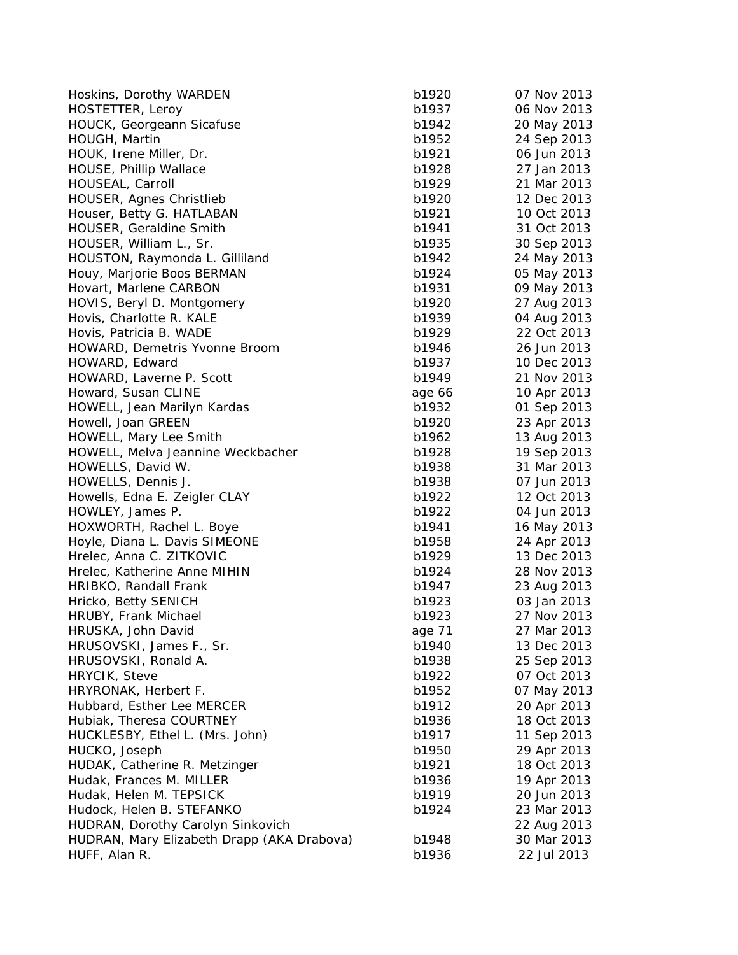| Hoskins, Dorothy WARDEN                    | b1920  | 07 Nov 2013 |
|--------------------------------------------|--------|-------------|
| HOSTETTER, Leroy                           | b1937  | 06 Nov 2013 |
| HOUCK, Georgeann Sicafuse                  | b1942  | 20 May 2013 |
| HOUGH, Martin                              | b1952  | 24 Sep 2013 |
| HOUK, Irene Miller, Dr.                    | b1921  | 06 Jun 2013 |
| <b>HOUSE, Phillip Wallace</b>              | b1928  | 27 Jan 2013 |
| HOUSEAL, Carroll                           | b1929  | 21 Mar 2013 |
| HOUSER, Agnes Christlieb                   | b1920  | 12 Dec 2013 |
| Houser, Betty G. HATLABAN                  | b1921  | 10 Oct 2013 |
| HOUSER, Geraldine Smith                    | b1941  | 31 Oct 2013 |
| HOUSER, William L., Sr.                    | b1935  | 30 Sep 2013 |
| HOUSTON, Raymonda L. Gilliland             | b1942  | 24 May 2013 |
| Houy, Marjorie Boos BERMAN                 | b1924  | 05 May 2013 |
| Hovart, Marlene CARBON                     | b1931  | 09 May 2013 |
| HOVIS, Beryl D. Montgomery                 | b1920  | 27 Aug 2013 |
| Hovis, Charlotte R. KALE                   | b1939  | 04 Aug 2013 |
| Hovis, Patricia B. WADE                    | b1929  | 22 Oct 2013 |
| HOWARD, Demetris Yvonne Broom              | b1946  | 26 Jun 2013 |
|                                            |        |             |
| HOWARD, Edward                             | b1937  | 10 Dec 2013 |
| HOWARD, Laverne P. Scott                   | b1949  | 21 Nov 2013 |
| Howard, Susan CLINE                        | age 66 | 10 Apr 2013 |
| HOWELL, Jean Marilyn Kardas                | b1932  | 01 Sep 2013 |
| Howell, Joan GREEN                         | b1920  | 23 Apr 2013 |
| HOWELL, Mary Lee Smith                     | b1962  | 13 Aug 2013 |
| HOWELL, Melva Jeannine Weckbacher          | b1928  | 19 Sep 2013 |
| HOWELLS, David W.                          | b1938  | 31 Mar 2013 |
| HOWELLS, Dennis J.                         | b1938  | 07 Jun 2013 |
| Howells, Edna E. Zeigler CLAY              | b1922  | 12 Oct 2013 |
| HOWLEY, James P.                           | b1922  | 04 Jun 2013 |
| HOXWORTH, Rachel L. Boye                   | b1941  | 16 May 2013 |
| Hoyle, Diana L. Davis SIMEONE              | b1958  | 24 Apr 2013 |
| Hrelec, Anna C. ZITKOVIC                   | b1929  | 13 Dec 2013 |
| Hrelec, Katherine Anne MIHIN               | b1924  | 28 Nov 2013 |
| HRIBKO, Randall Frank                      | b1947  | 23 Aug 2013 |
| Hricko, Betty SENICH                       | b1923  | 03 Jan 2013 |
| HRUBY, Frank Michael                       | b1923  | 27 Nov 2013 |
| HRUSKA, John David                         | age 71 | 27 Mar 2013 |
| HRUSOVSKI, James F., Sr.                   | b1940  | 13 Dec 2013 |
| HRUSOVSKI, Ronald A.                       | b1938  | 25 Sep 2013 |
| HRYCIK, Steve                              | b1922  | 07 Oct 2013 |
| HRYRONAK, Herbert F.                       | b1952  | 07 May 2013 |
| Hubbard, Esther Lee MERCER                 | b1912  | 20 Apr 2013 |
| Hubiak, Theresa COURTNEY                   | b1936  | 18 Oct 2013 |
| HUCKLESBY, Ethel L. (Mrs. John)            | b1917  | 11 Sep 2013 |
| HUCKO, Joseph                              | b1950  | 29 Apr 2013 |
| HUDAK, Catherine R. Metzinger              | b1921  | 18 Oct 2013 |
| Hudak, Frances M. MILLER                   | b1936  | 19 Apr 2013 |
|                                            |        |             |
| Hudak, Helen M. TEPSICK                    | b1919  | 20 Jun 2013 |
| Hudock, Helen B. STEFANKO                  | b1924  | 23 Mar 2013 |
| HUDRAN, Dorothy Carolyn Sinkovich          |        | 22 Aug 2013 |
| HUDRAN, Mary Elizabeth Drapp (AKA Drabova) | b1948  | 30 Mar 2013 |
| HUFF, Alan R.                              | b1936  | 22 Jul 2013 |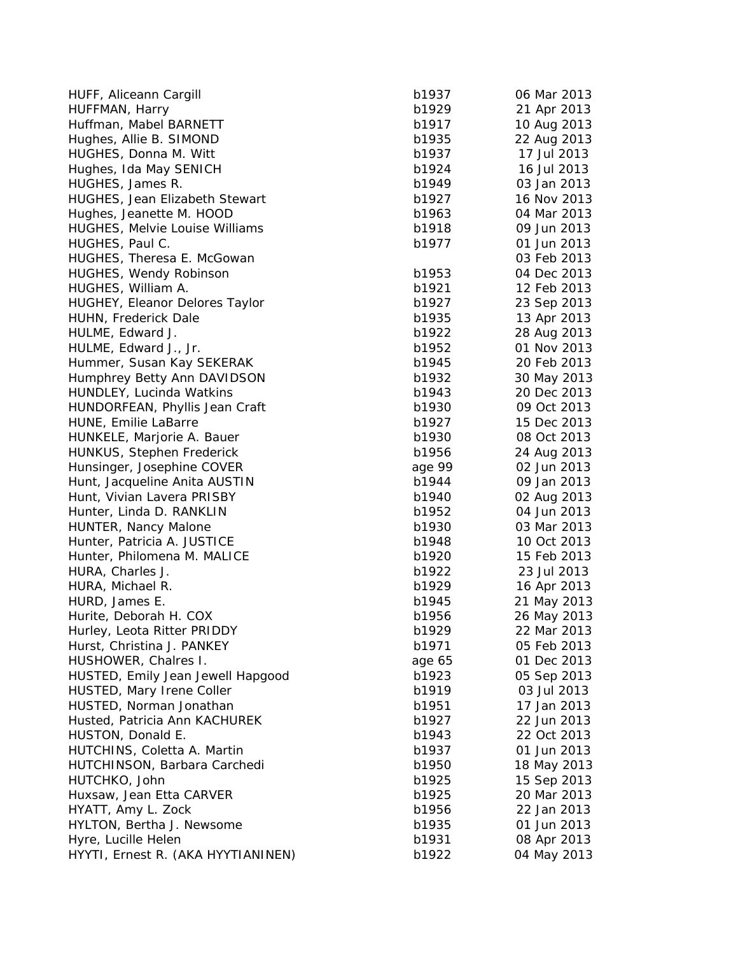| HUFF, Aliceann Cargill                | b1937  | 06 Mar 2013 |
|---------------------------------------|--------|-------------|
| HUFFMAN, Harry                        | b1929  | 21 Apr 2013 |
| Huffman, Mabel BARNETT                | b1917  | 10 Aug 2013 |
| Hughes, Allie B. SIMOND               | b1935  | 22 Aug 2013 |
| HUGHES, Donna M. Witt                 | b1937  | 17 Jul 2013 |
| Hughes, Ida May SENICH                | b1924  | 16 Jul 2013 |
| HUGHES, James R.                      | b1949  | 03 Jan 2013 |
| <b>HUGHES, Jean Elizabeth Stewart</b> | b1927  | 16 Nov 2013 |
| Hughes, Jeanette M. HOOD              | b1963  | 04 Mar 2013 |
| <b>HUGHES, Melvie Louise Williams</b> | b1918  | 09 Jun 2013 |
| HUGHES, Paul C.                       | b1977  | 01 Jun 2013 |
| HUGHES, Theresa E. McGowan            |        | 03 Feb 2013 |
| HUGHES, Wendy Robinson                | b1953  | 04 Dec 2013 |
| HUGHES, William A.                    | b1921  | 12 Feb 2013 |
| HUGHEY, Eleanor Delores Taylor        | b1927  | 23 Sep 2013 |
| HUHN, Frederick Dale                  | b1935  | 13 Apr 2013 |
| HULME, Edward J.                      | b1922  | 28 Aug 2013 |
| HULME, Edward J., Jr.                 | b1952  | 01 Nov 2013 |
| Hummer, Susan Kay SEKERAK             | b1945  | 20 Feb 2013 |
| Humphrey Betty Ann DAVIDSON           | b1932  | 30 May 2013 |
| HUNDLEY, Lucinda Watkins              | b1943  | 20 Dec 2013 |
| HUNDORFEAN, Phyllis Jean Craft        | b1930  | 09 Oct 2013 |
| HUNE, Emilie LaBarre                  | b1927  | 15 Dec 2013 |
| HUNKELE, Marjorie A. Bauer            | b1930  | 08 Oct 2013 |
| HUNKUS, Stephen Frederick             | b1956  | 24 Aug 2013 |
| Hunsinger, Josephine COVER            | age 99 | 02 Jun 2013 |
| Hunt, Jacqueline Anita AUSTIN         | b1944  | 09 Jan 2013 |
| Hunt, Vivian Lavera PRISBY            | b1940  | 02 Aug 2013 |
| Hunter, Linda D. RANKLIN              | b1952  | 04 Jun 2013 |
| HUNTER, Nancy Malone                  | b1930  | 03 Mar 2013 |
| Hunter, Patricia A. JUSTICE           | b1948  | 10 Oct 2013 |
| Hunter, Philomena M. MALICE           | b1920  | 15 Feb 2013 |
| HURA, Charles J.                      | b1922  | 23 Jul 2013 |
|                                       | b1929  |             |
| HURA, Michael R.                      |        | 16 Apr 2013 |
| HURD, James E.                        | b1945  | 21 May 2013 |
| Hurite, Deborah H. COX                | b1956  | 26 May 2013 |
| Hurley, Leota Ritter PRIDDY           | b1929  | 22 Mar 2013 |
| Hurst, Christina J. PANKEY            | b1971  | 05 Feb 2013 |
| HUSHOWER, Chalres I.                  | age 65 | 01 Dec 2013 |
| HUSTED, Emily Jean Jewell Hapgood     | b1923  | 05 Sep 2013 |
| HUSTED, Mary Irene Coller             | b1919  | 03 Jul 2013 |
| HUSTED, Norman Jonathan               | b1951  | 17 Jan 2013 |
| Husted, Patricia Ann KACHUREK         | b1927  | 22 Jun 2013 |
| HUSTON, Donald E.                     | b1943  | 22 Oct 2013 |
| HUTCHINS, Coletta A. Martin           | b1937  | 01 Jun 2013 |
| HUTCHINSON, Barbara Carchedi          | b1950  | 18 May 2013 |
| HUTCHKO, John                         | b1925  | 15 Sep 2013 |
| Huxsaw, Jean Etta CARVER              | b1925  | 20 Mar 2013 |
| HYATT, Amy L. Zock                    | b1956  | 22 Jan 2013 |
| HYLTON, Bertha J. Newsome             | b1935  | 01 Jun 2013 |
| Hyre, Lucille Helen                   | b1931  | 08 Apr 2013 |
| HYYTI, Ernest R. (AKA HYYTIANINEN)    | b1922  | 04 May 2013 |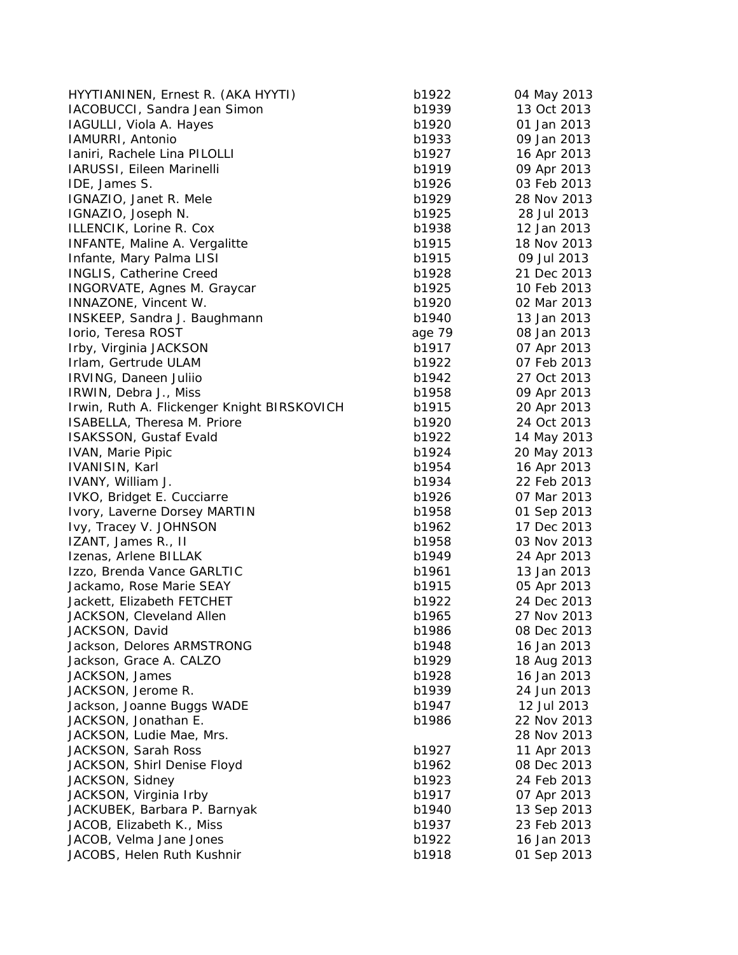| HYYTIANINEN, Ernest R. (AKA HYYTI)          | b1922  | 04 May 2013 |
|---------------------------------------------|--------|-------------|
| IACOBUCCI, Sandra Jean Simon                | b1939  | 13 Oct 2013 |
| IAGULLI, Viola A. Hayes                     | b1920  | 01 Jan 2013 |
| IAMURRI, Antonio                            | b1933  | 09 Jan 2013 |
| Ianiri, Rachele Lina PILOLLI                | b1927  | 16 Apr 2013 |
| IARUSSI, Eileen Marinelli                   | b1919  | 09 Apr 2013 |
| IDE, James S.                               | b1926  | 03 Feb 2013 |
| IGNAZIO, Janet R. Mele                      | b1929  | 28 Nov 2013 |
| IGNAZIO, Joseph N.                          | b1925  | 28 Jul 2013 |
| ILLENCIK, Lorine R. Cox                     | b1938  | 12 Jan 2013 |
| INFANTE, Maline A. Vergalitte               | b1915  | 18 Nov 2013 |
| Infante, Mary Palma LISI                    | b1915  | 09 Jul 2013 |
| INGLIS, Catherine Creed                     | b1928  | 21 Dec 2013 |
| INGORVATE, Agnes M. Graycar                 | b1925  | 10 Feb 2013 |
| INNAZONE, Vincent W.                        | b1920  | 02 Mar 2013 |
| INSKEEP, Sandra J. Baughmann                | b1940  | 13 Jan 2013 |
| Iorio, Teresa ROST                          | age 79 | 08 Jan 2013 |
| Irby, Virginia JACKSON                      | b1917  | 07 Apr 2013 |
| Irlam, Gertrude ULAM                        | b1922  | 07 Feb 2013 |
| IRVING, Daneen Juliio                       | b1942  | 27 Oct 2013 |
| IRWIN, Debra J., Miss                       | b1958  | 09 Apr 2013 |
| Irwin, Ruth A. Flickenger Knight BIRSKOVICH | b1915  | 20 Apr 2013 |
| ISABELLA, Theresa M. Priore                 | b1920  | 24 Oct 2013 |
| ISAKSSON, Gustaf Evald                      | b1922  | 14 May 2013 |
| <b>IVAN, Marie Pipic</b>                    | b1924  | 20 May 2013 |
| IVANISIN, Karl                              | b1954  | 16 Apr 2013 |
| IVANY, William J.                           | b1934  | 22 Feb 2013 |
| IVKO, Bridget E. Cucciarre                  | b1926  | 07 Mar 2013 |
| Ivory, Laverne Dorsey MARTIN                | b1958  | 01 Sep 2013 |
| Ivy, Tracey V. JOHNSON                      | b1962  | 17 Dec 2013 |
| IZANT, James R., II                         | b1958  | 03 Nov 2013 |
| Izenas, Arlene BILLAK                       | b1949  | 24 Apr 2013 |
| Izzo, Brenda Vance GARLTIC                  | b1961  | 13 Jan 2013 |
| Jackamo, Rose Marie SEAY                    | b1915  | 05 Apr 2013 |
| Jackett, Elizabeth FETCHET                  | b1922  | 24 Dec 2013 |
| JACKSON, Cleveland Allen                    | b1965  | 27 Nov 2013 |
| JACKSON, David                              | b1986  | 08 Dec 2013 |
| Jackson, Delores ARMSTRONG                  | b1948  | 16 Jan 2013 |
| Jackson, Grace A. CALZO                     | b1929  | 18 Aug 2013 |
| JACKSON, James                              | b1928  | 16 Jan 2013 |
| JACKSON, Jerome R.                          | b1939  | 24 Jun 2013 |
| Jackson, Joanne Buggs WADE                  | b1947  | 12 Jul 2013 |
| JACKSON, Jonathan E.                        | b1986  | 22 Nov 2013 |
| JACKSON, Ludie Mae, Mrs.                    |        | 28 Nov 2013 |
| JACKSON, Sarah Ross                         | b1927  | 11 Apr 2013 |
| JACKSON, Shirl Denise Floyd                 | b1962  | 08 Dec 2013 |
| JACKSON, Sidney                             | b1923  | 24 Feb 2013 |
| JACKSON, Virginia Irby                      | b1917  | 07 Apr 2013 |
| JACKUBEK, Barbara P. Barnyak                | b1940  | 13 Sep 2013 |
| JACOB, Elizabeth K., Miss                   | b1937  | 23 Feb 2013 |
| JACOB, Velma Jane Jones                     | b1922  | 16 Jan 2013 |
| JACOBS, Helen Ruth Kushnir                  | b1918  | 01 Sep 2013 |
|                                             |        |             |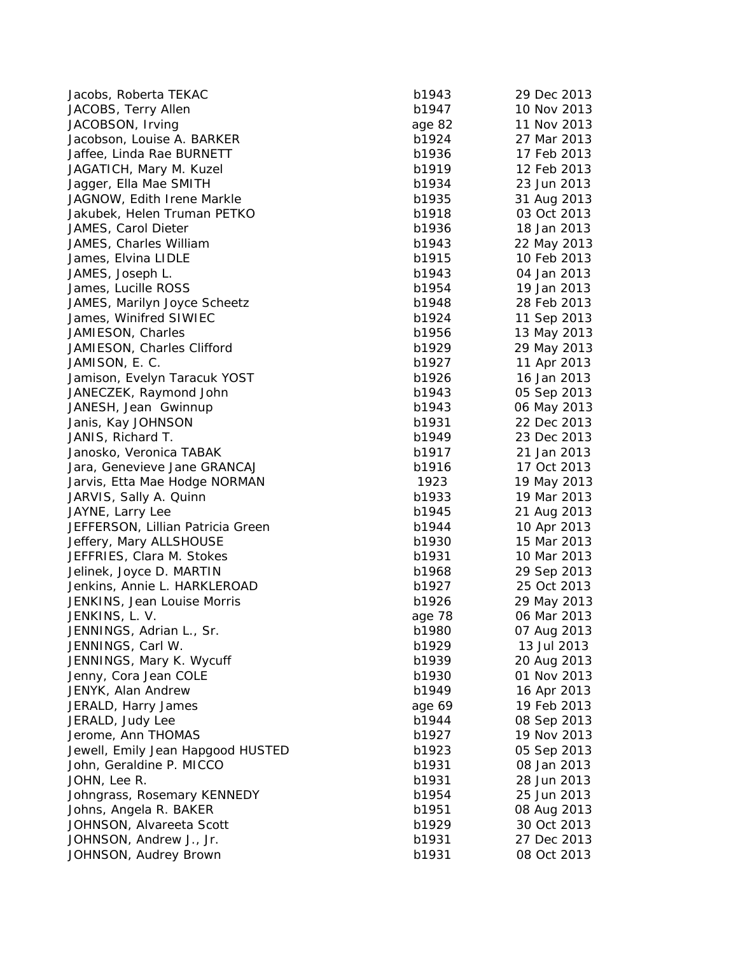| Jacobs, Roberta TEKAC                                    | b1943  | 29 Dec 2013                |
|----------------------------------------------------------|--------|----------------------------|
| JACOBS, Terry Allen                                      | b1947  | 10 Nov 2013                |
| JACOBSON, Irving                                         | age 82 | 11 Nov 2013                |
| Jacobson, Louise A. BARKER                               | b1924  | 27 Mar 2013                |
| Jaffee, Linda Rae BURNETT                                | b1936  | 17 Feb 2013                |
| JAGATICH, Mary M. Kuzel                                  | b1919  | 12 Feb 2013                |
| Jagger, Ella Mae SMITH                                   | b1934  | 23 Jun 2013                |
| JAGNOW, Edith Irene Markle                               | b1935  | 31 Aug 2013                |
| Jakubek, Helen Truman PETKO                              | b1918  | 03 Oct 2013                |
| JAMES, Carol Dieter                                      | b1936  | 18 Jan 2013                |
| JAMES, Charles William                                   | b1943  | 22 May 2013                |
| James, Elvina LIDLE                                      | b1915  | 10 Feb 2013                |
| JAMES, Joseph L.                                         | b1943  | 04 Jan 2013                |
| James, Lucille ROSS                                      | b1954  | 19 Jan 2013                |
| JAMES, Marilyn Joyce Scheetz                             | b1948  | 28 Feb 2013                |
| James, Winifred SIWIEC                                   | b1924  | 11 Sep 2013                |
| JAMIESON, Charles                                        | b1956  | 13 May 2013                |
| JAMIESON, Charles Clifford                               | b1929  | 29 May 2013                |
| JAMISON, E. C.                                           | b1927  | 11 Apr 2013                |
| Jamison, Evelyn Taracuk YOST                             | b1926  | 16 Jan 2013                |
| JANECZEK, Raymond John                                   | b1943  | 05 Sep 2013                |
| JANESH, Jean Gwinnup                                     | b1943  | 06 May 2013                |
| Janis, Kay JOHNSON                                       | b1931  | 22 Dec 2013                |
| JANIS, Richard T.                                        | b1949  | 23 Dec 2013                |
| Janosko, Veronica TABAK                                  | b1917  | 21 Jan 2013                |
| Jara, Genevieve Jane GRANCAJ                             | b1916  | 17 Oct 2013                |
| Jarvis, Etta Mae Hodge NORMAN                            | 1923   | 19 May 2013                |
| JARVIS, Sally A. Quinn                                   | b1933  | 19 Mar 2013                |
| JAYNE, Larry Lee                                         | b1945  | 21 Aug 2013                |
| JEFFERSON, Lillian Patricia Green                        | b1944  | 10 Apr 2013                |
| Jeffery, Mary ALLSHOUSE                                  | b1930  | 15 Mar 2013                |
| JEFFRIES, Clara M. Stokes                                | b1931  | 10 Mar 2013                |
|                                                          | b1968  |                            |
| Jelinek, Joyce D. MARTIN<br>Jenkins, Annie L. HARKLEROAD | b1927  | 29 Sep 2013<br>25 Oct 2013 |
|                                                          | b1926  |                            |
| JENKINS, Jean Louise Morris                              |        | 29 May 2013                |
| JENKINS, L. V.                                           | age 78 | 06 Mar 2013                |
| JENNINGS, Adrian L., Sr.                                 | b1980  | 07 Aug 2013                |
| JENNINGS, Carl W.                                        | b1929  | 13 Jul 2013                |
| JENNINGS, Mary K. Wycuff                                 | b1939  | 20 Aug 2013                |
| Jenny, Cora Jean COLE                                    | b1930  | 01 Nov 2013                |
| JENYK, Alan Andrew                                       | b1949  | 16 Apr 2013                |
| JERALD, Harry James                                      | age 69 | 19 Feb 2013                |
| JERALD, Judy Lee                                         | b1944  | 08 Sep 2013                |
| Jerome, Ann THOMAS                                       | b1927  | 19 Nov 2013                |
| Jewell, Emily Jean Hapgood HUSTED                        | b1923  | 05 Sep 2013                |
| John, Geraldine P. MICCO                                 | b1931  | 08 Jan 2013                |
| JOHN, Lee R.                                             | b1931  | 28 Jun 2013                |
| Johngrass, Rosemary KENNEDY                              | b1954  | 25 Jun 2013                |
| Johns, Angela R. BAKER                                   | b1951  | 08 Aug 2013                |
| JOHNSON, Alvareeta Scott                                 | b1929  | 30 Oct 2013                |
| JOHNSON, Andrew J., Jr.                                  | b1931  | 27 Dec 2013                |
| JOHNSON, Audrey Brown                                    | b1931  | 08 Oct 2013                |

| 943  | 29 Dec 2013 |
|------|-------------|
| 947  | 10 Nov 2013 |
| e 82 | 11 Nov 2013 |
| 924  | 27 Mar 2013 |
| 936  | 17 Feb 2013 |
| 919  | 12 Feb 2013 |
| 934  | 23 Jun 2013 |
| 935  | 31 Aug 2013 |
| 918  | 03 Oct 2013 |
| 936  | 18 Jan 2013 |
| 943  | 22 May 2013 |
| 915  | 10 Feb 2013 |
| 943  | 04 Jan 2013 |
| 954  |             |
|      | 19 Jan 2013 |
| 948  | 28 Feb 2013 |
| 924  | 11 Sep 2013 |
| 956  | 13 May 2013 |
| 929  | 29 May 2013 |
| 927  | 11 Apr 2013 |
| 926  | 16 Jan 2013 |
| 943  | 05 Sep 2013 |
| 943  | 06 May 2013 |
| 931  | 22 Dec 2013 |
| 949  | 23 Dec 2013 |
| 917  | 21 Jan 2013 |
| 916  | 17 Oct 2013 |
| 23   | 19 May 2013 |
| 933  | 19 Mar 2013 |
| 945  | 21 Aug 2013 |
| 944  | 10 Apr 2013 |
| 930  | 15 Mar 2013 |
| 931  | 10 Mar 2013 |
| 968  | 29 Sep 2013 |
| 927  | 25 Oct 2013 |
| 926  | 29 May 2013 |
| e 78 | 06 Mar 2013 |
| 980  | 07 Aug 2013 |
| 929  | 13 Jul 2013 |
| 939  | 20 Aug 2013 |
| 930  | 01 Nov 2013 |
| 949  | 16 Apr 2013 |
| e 69 | 19 Feb 2013 |
| 944  | 08 Sep 2013 |
| 927  | 19 Nov 2013 |
| 923  |             |
|      | 05 Sep 2013 |
| 931  | 08 Jan 2013 |
| 931  | 28 Jun 2013 |
| 954  | 25 Jun 2013 |
| 951  | 08 Aug 2013 |
| 929  | 30 Oct 2013 |
| 931  | 27 Dec 2013 |
| 931  | 08 Oct 2013 |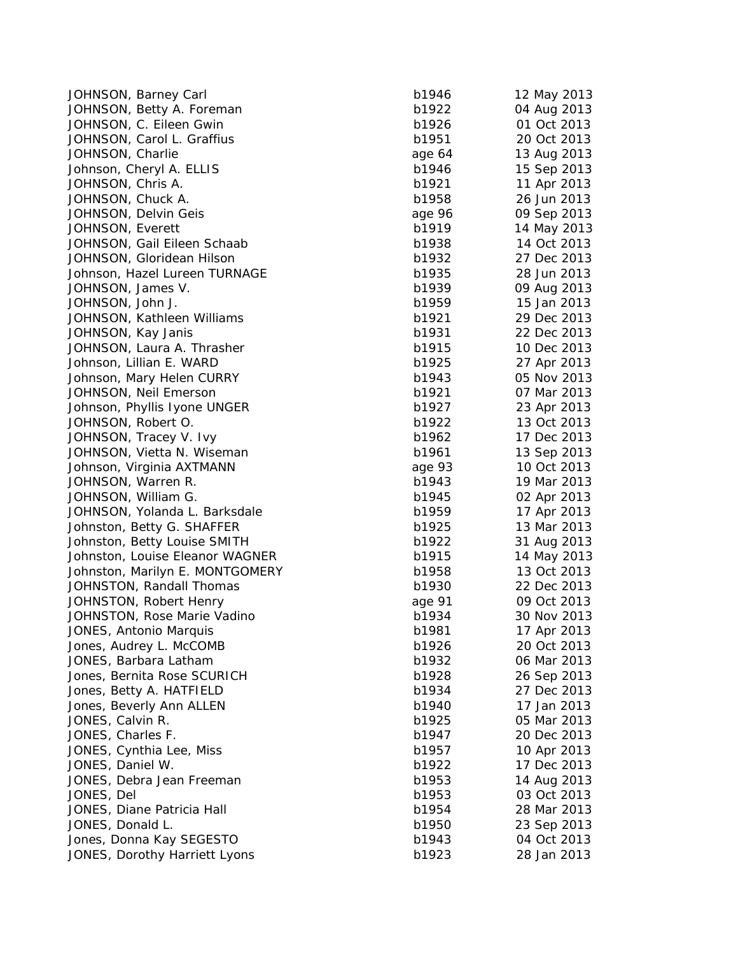| JOHNSON, Barney Carl            | b1946  | 12 May 2013 |
|---------------------------------|--------|-------------|
| JOHNSON, Betty A. Foreman       | b1922  | 04 Aug 2013 |
| JOHNSON, C. Eileen Gwin         | b1926  | 01 Oct 2013 |
| JOHNSON, Carol L. Graffius      | b1951  | 20 Oct 2013 |
| JOHNSON, Charlie                | age 64 | 13 Aug 2013 |
| Johnson, Cheryl A. ELLIS        | b1946  | 15 Sep 2013 |
| JOHNSON, Chris A.               | b1921  | 11 Apr 2013 |
| JOHNSON, Chuck A.               | b1958  | 26 Jun 2013 |
| JOHNSON, Delvin Geis            | age 96 | 09 Sep 2013 |
| JOHNSON, Everett                | b1919  | 14 May 2013 |
| JOHNSON, Gail Eileen Schaab     | b1938  | 14 Oct 2013 |
| JOHNSON, Gloridean Hilson       | b1932  | 27 Dec 2013 |
| Johnson, Hazel Lureen TURNAGE   | b1935  | 28 Jun 2013 |
| JOHNSON, James V.               | b1939  | 09 Aug 2013 |
| JOHNSON, John J.                | b1959  | 15 Jan 2013 |
| JOHNSON, Kathleen Williams      | b1921  | 29 Dec 2013 |
| JOHNSON, Kay Janis              | b1931  | 22 Dec 2013 |
| JOHNSON, Laura A. Thrasher      | b1915  | 10 Dec 2013 |
| Johnson, Lillian E. WARD        | b1925  | 27 Apr 2013 |
| Johnson, Mary Helen CURRY       | b1943  | 05 Nov 2013 |
| JOHNSON, Neil Emerson           | b1921  | 07 Mar 2013 |
| Johnson, Phyllis Iyone UNGER    | b1927  | 23 Apr 2013 |
| JOHNSON, Robert O.              | b1922  | 13 Oct 2013 |
| JOHNSON, Tracey V. Ivy          | b1962  | 17 Dec 2013 |
| JOHNSON, Vietta N. Wiseman      | b1961  | 13 Sep 2013 |
| Johnson, Virginia AXTMANN       | age 93 | 10 Oct 2013 |
| JOHNSON, Warren R.              | b1943  | 19 Mar 2013 |
| JOHNSON, William G.             | b1945  | 02 Apr 2013 |
| JOHNSON, Yolanda L. Barksdale   | b1959  | 17 Apr 2013 |
| Johnston, Betty G. SHAFFER      | b1925  | 13 Mar 2013 |
| Johnston, Betty Louise SMITH    | b1922  | 31 Aug 2013 |
| Johnston, Louise Eleanor WAGNER | b1915  | 14 May 2013 |
| Johnston, Marilyn E. MONTGOMERY | b1958  | 13 Oct 2013 |
| JOHNSTON, Randall Thomas        | b1930  | 22 Dec 2013 |
| JOHNSTON, Robert Henry          | age 91 | 09 Oct 2013 |
| JOHNSTON, Rose Marie Vadino     | b1934  | 30 Nov 2013 |
| JONES, Antonio Marquis          | b1981  | 17 Apr 2013 |
| Jones, Audrey L. McCOMB         | b1926  | 20 Oct 2013 |
| JONES, Barbara Latham           | b1932  | 06 Mar 2013 |
| Jones, Bernita Rose SCURICH     | b1928  | 26 Sep 2013 |
| Jones, Betty A. HATFIELD        | b1934  | 27 Dec 2013 |
| Jones, Beverly Ann ALLEN        | b1940  | 17 Jan 2013 |
| JONES, Calvin R.                | b1925  | 05 Mar 2013 |
| JONES, Charles F.               | b1947  | 20 Dec 2013 |
| JONES, Cynthia Lee, Miss        | b1957  | 10 Apr 2013 |
| JONES, Daniel W.                | b1922  | 17 Dec 2013 |
| JONES, Debra Jean Freeman       | b1953  | 14 Aug 2013 |
| JONES, Del                      | b1953  | 03 Oct 2013 |
| JONES, Diane Patricia Hall      | b1954  | 28 Mar 2013 |
| JONES, Donald L.                | b1950  | 23 Sep 2013 |
| Jones, Donna Kay SEGESTO        | b1943  | 04 Oct 2013 |
| JONES, Dorothy Harriett Lyons   | b1923  | 28 Jan 2013 |
|                                 |        |             |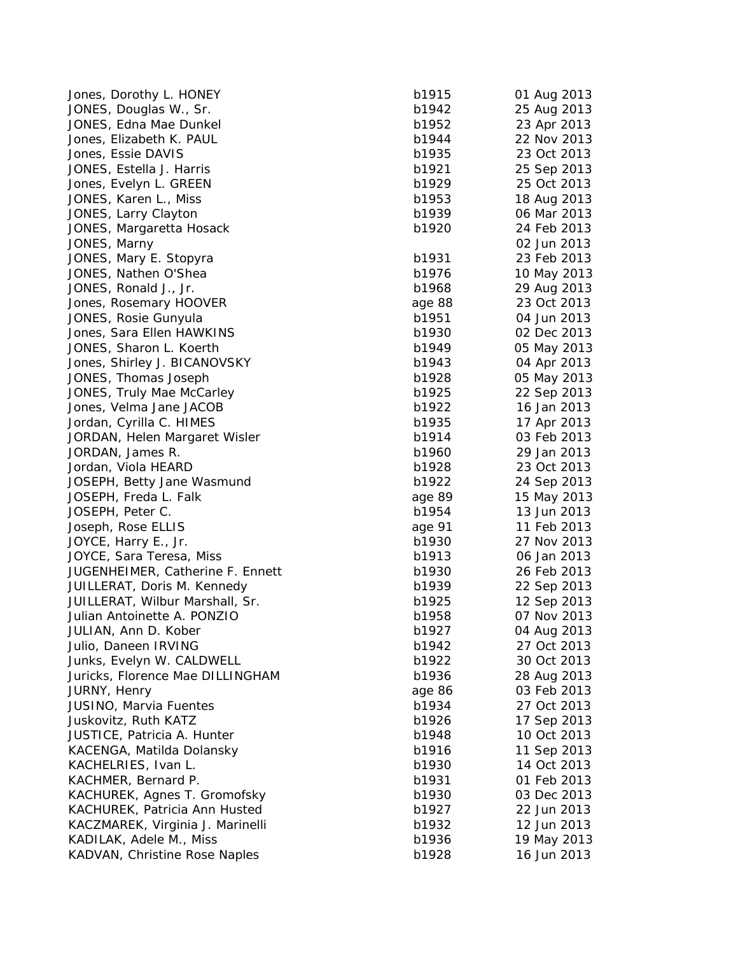| Jones, Dorothy L. HONEY            | b1915  | 01 Aug 2013 |
|------------------------------------|--------|-------------|
| JONES, Douglas W., Sr.             | b1942  | 25 Aug 2013 |
| JONES, Edna Mae Dunkel             | b1952  | 23 Apr 2013 |
| Jones, Elizabeth K. PAUL           | b1944  | 22 Nov 2013 |
| Jones, Essie DAVIS                 | b1935  | 23 Oct 2013 |
| JONES, Estella J. Harris           | b1921  | 25 Sep 2013 |
| Jones, Evelyn L. GREEN             | b1929  | 25 Oct 2013 |
| JONES, Karen L., Miss              | b1953  | 18 Aug 2013 |
| JONES, Larry Clayton               | b1939  | 06 Mar 2013 |
| JONES, Margaretta Hosack           | b1920  | 24 Feb 2013 |
| JONES, Marny                       |        | 02 Jun 2013 |
| JONES, Mary E. Stopyra             | b1931  | 23 Feb 2013 |
| JONES, Nathen O'Shea               | b1976  | 10 May 2013 |
| JONES, Ronald J., Jr.              | b1968  | 29 Aug 2013 |
| Jones, Rosemary HOOVER             | age 88 | 23 Oct 2013 |
| JONES, Rosie Gunyula               | b1951  | 04 Jun 2013 |
| Jones, Sara Ellen HAWKINS          | b1930  | 02 Dec 2013 |
| JONES, Sharon L. Koerth            | b1949  | 05 May 2013 |
| Jones, Shirley J. BICANOVSKY       | b1943  | 04 Apr 2013 |
| JONES, Thomas Joseph               | b1928  | 05 May 2013 |
| JONES, Truly Mae McCarley          | b1925  | 22 Sep 2013 |
| Jones, Velma Jane JACOB            | b1922  | 16 Jan 2013 |
| Jordan, Cyrilla C. HIMES           | b1935  | 17 Apr 2013 |
| JORDAN, Helen Margaret Wisler      | b1914  | 03 Feb 2013 |
| JORDAN, James R.                   | b1960  | 29 Jan 2013 |
| Jordan, Viola HEARD                | b1928  | 23 Oct 2013 |
| JOSEPH, Betty Jane Wasmund         | b1922  | 24 Sep 2013 |
| JOSEPH, Freda L. Falk              | age 89 | 15 May 2013 |
| JOSEPH, Peter C.                   | b1954  | 13 Jun 2013 |
| Joseph, Rose ELLIS                 | age 91 | 11 Feb 2013 |
| JOYCE, Harry E., Jr.               | b1930  | 27 Nov 2013 |
| JOYCE, Sara Teresa, Miss           | b1913  | 06 Jan 2013 |
| JUGENHEIMER, Catherine F. Ennett   | b1930  | 26 Feb 2013 |
| JUILLERAT, Doris M. Kennedy        | b1939  | 22 Sep 2013 |
| JUILLERAT, Wilbur Marshall, Sr.    | b1925  | 12 Sep 2013 |
| Julian Antoinette A. PONZIO        | b1958  | 07 Nov 2013 |
| JULIAN, Ann D. Kober               | b1927  | 04 Aug 2013 |
| Julio, Daneen IRVING               | b1942  | 27 Oct 2013 |
| Junks, Evelyn W. CALDWELL          | b1922  | 30 Oct 2013 |
| Juricks, Florence Mae DILLINGHAM   | b1936  | 28 Aug 2013 |
| JURNY, Henry                       | age 86 | 03 Feb 2013 |
| JUSINO, Marvia Fuentes             | b1934  | 27 Oct 2013 |
| Juskovitz, Ruth KATZ               | b1926  | 17 Sep 2013 |
| <b>JUSTICE, Patricia A. Hunter</b> | b1948  | 10 Oct 2013 |
| KACENGA, Matilda Dolansky          | b1916  | 11 Sep 2013 |
| KACHELRIES, Ivan L.                | b1930  | 14 Oct 2013 |
| KACHMER, Bernard P.                | b1931  | 01 Feb 2013 |
| KACHUREK, Agnes T. Gromofsky       | b1930  | 03 Dec 2013 |
| KACHUREK, Patricia Ann Husted      | b1927  | 22 Jun 2013 |
| KACZMAREK, Virginia J. Marinelli   | b1932  | 12 Jun 2013 |
| KADILAK, Adele M., Miss            | b1936  | 19 May 2013 |
| KADVAN, Christine Rose Naples      | b1928  | 16 Jun 2013 |
|                                    |        |             |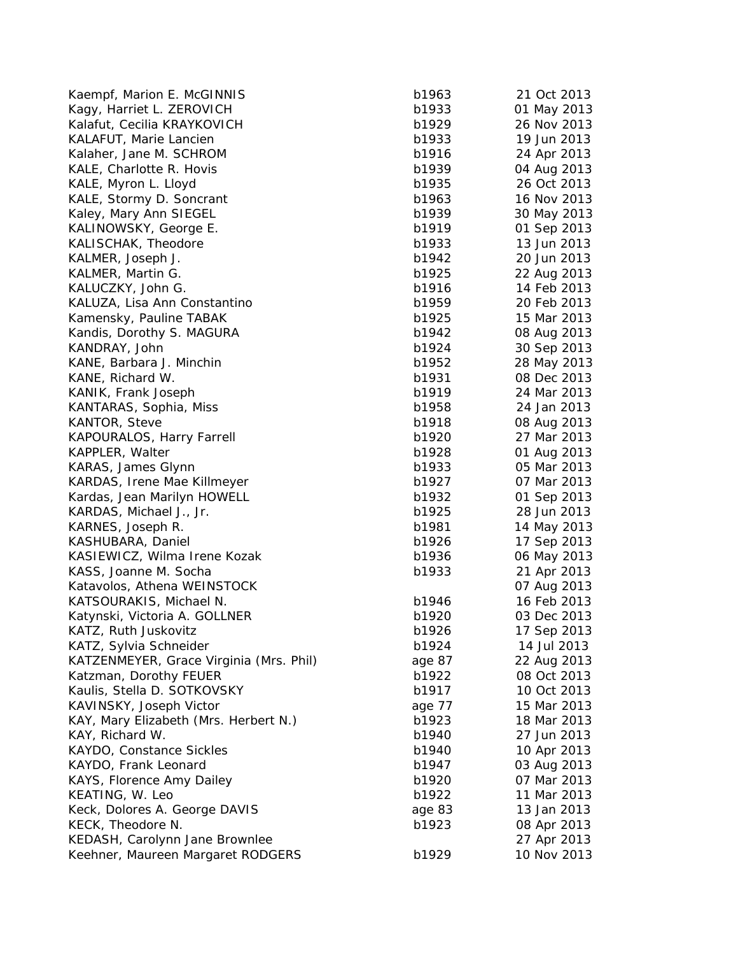| Kaempf, Marion E. McGINNIS              | b1963  |
|-----------------------------------------|--------|
| Kagy, Harriet L. ZEROVICH               | b1933  |
| Kalafut, Cecilia KRAYKOVICH             | b1929  |
| KALAFUT, Marie Lancien                  | b1933  |
| Kalaher, Jane M. SCHROM                 | b1916  |
| KALE, Charlotte R. Hovis                | b1939  |
| KALE, Myron L. Lloyd                    | b1935  |
| KALE, Stormy D. Soncrant                | b1963  |
| Kaley, Mary Ann SIEGEL                  | b1939  |
| KALINOWSKY, George E.                   | b1919  |
| KALISCHAK, Theodore                     | b1933  |
| KALMER, Joseph J.                       | b1942  |
| KALMER, Martin G.                       | b1925  |
| KALUCZKY, John G.                       | b1916  |
| KALUZA, Lisa Ann Constantino            | b1959  |
| Kamensky, Pauline TABAK                 | b1925  |
| Kandis, Dorothy S. MAGURA               | b1942  |
| KANDRAY, John                           | b1924  |
| KANE, Barbara J. Minchin                | b1952  |
| KANE, Richard W.                        | b1931  |
| KANIK, Frank Joseph                     | b1919  |
| KANTARAS, Sophia, Miss                  | b1958  |
| KANTOR, Steve                           | b1918  |
| KAPOURALOS, Harry Farrell               | b1920  |
| KAPPLER, Walter                         | b1928  |
| KARAS, James Glynn                      | b1933  |
| KARDAS, Irene Mae Killmeyer             | b1927  |
| Kardas, Jean Marilyn HOWELL             | b1932  |
| KARDAS, Michael J., Jr.                 | b1925  |
| KARNES, Joseph R.                       | b1981  |
| KASHUBARA, Daniel                       | b1926  |
| KASIEWICZ, Wilma Irene Kozak            | b1936  |
| KASS, Joanne M. Socha                   | b1933  |
| Katavolos, Athena WEINSTOCK             |        |
| KATSOURAKIS, Michael N.                 | b1946  |
| Katynski, Victoria A. GOLLNER           | b1920  |
| KATZ, Ruth Juskovitz                    | b1926  |
| KATZ, Sylvia Schneider                  | b1924  |
| KATZENMEYER, Grace Virginia (Mrs. Phil) | age 87 |
| Katzman, Dorothy FEUER                  | b1922  |
| Kaulis, Stella D. SOTKOVSKY             | b1917  |
| KAVINSKY, Joseph Victor                 | age 77 |
| KAY, Mary Elizabeth (Mrs. Herbert N.)   | b1923  |
| KAY, Richard W.                         | b1940  |
| KAYDO, Constance Sickles                | b1940  |
| KAYDO, Frank Leonard                    | b1947  |
| KAYS, Florence Amy Dailey               | b1920  |
| KEATING, W. Leo                         | b1922  |
| Keck, Dolores A. George DAVIS           | age 83 |
| KECK, Theodore N.                       | b1923  |
| KEDASH, Carolynn Jane Brownlee          |        |
| Keehner, Maureen Margaret RODGERS       | b1929  |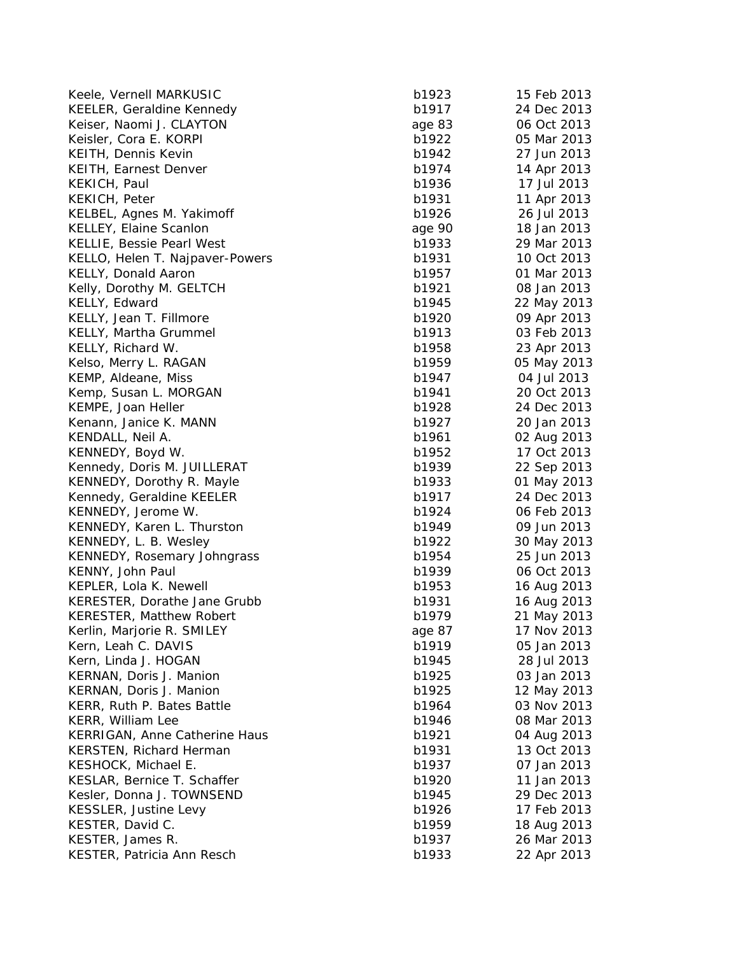| Keele, Vernell MARKUSIC             | b1923  | 15 Feb 2013 |
|-------------------------------------|--------|-------------|
| <b>KEELER, Geraldine Kennedy</b>    | b1917  | 24 Dec 2013 |
| Keiser, Naomi J. CLAYTON            | age 83 | 06 Oct 2013 |
| Keisler, Cora E. KORPI              | b1922  | 05 Mar 2013 |
| KEITH, Dennis Kevin                 | b1942  | 27 Jun 2013 |
| KEITH, Earnest Denver               | b1974  | 14 Apr 2013 |
| KEKICH, Paul                        | b1936  | 17 Jul 2013 |
| KEKICH, Peter                       | b1931  | 11 Apr 2013 |
| KELBEL, Agnes M. Yakimoff           | b1926  | 26 Jul 2013 |
| <b>KELLEY, Elaine Scanlon</b>       | age 90 | 18 Jan 2013 |
| KELLIE, Bessie Pearl West           | b1933  | 29 Mar 2013 |
| KELLO, Helen T. Najpaver-Powers     | b1931  | 10 Oct 2013 |
| KELLY, Donald Aaron                 | b1957  | 01 Mar 2013 |
| Kelly, Dorothy M. GELTCH            | b1921  | 08 Jan 2013 |
| KELLY, Edward                       | b1945  | 22 May 2013 |
| KELLY, Jean T. Fillmore             | b1920  | 09 Apr 2013 |
| KELLY, Martha Grummel               | b1913  | 03 Feb 2013 |
| KELLY, Richard W.                   | b1958  | 23 Apr 2013 |
| Kelso, Merry L. RAGAN               | b1959  | 05 May 2013 |
| KEMP, Aldeane, Miss                 | b1947  | 04 Jul 2013 |
| Kemp, Susan L. MORGAN               | b1941  | 20 Oct 2013 |
| KEMPE, Joan Heller                  | b1928  | 24 Dec 2013 |
| Kenann, Janice K. MANN              | b1927  | 20 Jan 2013 |
| KENDALL, Neil A.                    | b1961  | 02 Aug 2013 |
| KENNEDY, Boyd W.                    | b1952  | 17 Oct 2013 |
| Kennedy, Doris M. JUILLERAT         | b1939  | 22 Sep 2013 |
| KENNEDY, Dorothy R. Mayle           | b1933  | 01 May 2013 |
| Kennedy, Geraldine KEELER           | b1917  | 24 Dec 2013 |
| KENNEDY, Jerome W.                  | b1924  | 06 Feb 2013 |
| KENNEDY, Karen L. Thurston          | b1949  | 09 Jun 2013 |
| KENNEDY, L. B. Wesley               | b1922  | 30 May 2013 |
| KENNEDY, Rosemary Johngrass         | b1954  | 25 Jun 2013 |
| KENNY, John Paul                    | b1939  | 06 Oct 2013 |
| KEPLER, Lola K. Newell              | b1953  | 16 Aug 2013 |
| <b>KERESTER, Dorathe Jane Grubb</b> | b1931  | 16 Aug 2013 |
| KERESTER, Matthew Robert            | b1979  | 21 May 2013 |
| Kerlin, Marjorie R. SMILEY          | age 87 | 17 Nov 2013 |
| Kern, Leah C. DAVIS                 | b1919  | 05 Jan 2013 |
| Kern, Linda J. HOGAN                | b1945  | 28 Jul 2013 |
| KERNAN, Doris J. Manion             | b1925  | 03 Jan 2013 |
| KERNAN, Doris J. Manion             | b1925  | 12 May 2013 |
| KERR, Ruth P. Bates Battle          | b1964  | 03 Nov 2013 |
| KERR, William Lee                   | b1946  | 08 Mar 2013 |
| KERRIGAN, Anne Catherine Haus       | b1921  | 04 Aug 2013 |
| KERSTEN, Richard Herman             | b1931  | 13 Oct 2013 |
| KESHOCK, Michael E.                 | b1937  | 07 Jan 2013 |
| KESLAR, Bernice T. Schaffer         | b1920  | 11 Jan 2013 |
| Kesler, Donna J. TOWNSEND           | b1945  | 29 Dec 2013 |
| KESSLER, Justine Levy               | b1926  | 17 Feb 2013 |
| KESTER, David C.                    | b1959  | 18 Aug 2013 |
| KESTER, James R.                    | b1937  | 26 Mar 2013 |
| KESTER, Patricia Ann Resch          | b1933  | 22 Apr 2013 |
|                                     |        |             |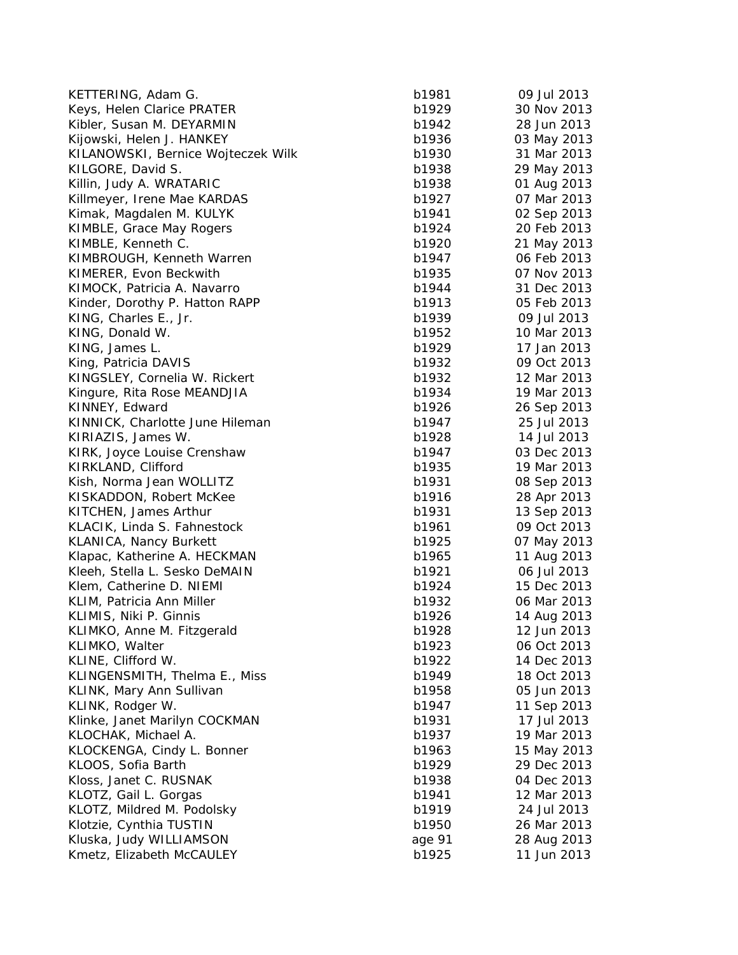| KETTERING, Adam G.                 | b1981  | 09 Jul 2013 |
|------------------------------------|--------|-------------|
| Keys, Helen Clarice PRATER         | b1929  | 30 Nov 2013 |
| Kibler, Susan M. DEYARMIN          | b1942  | 28 Jun 2013 |
| Kijowski, Helen J. HANKEY          | b1936  | 03 May 2013 |
| KILANOWSKI, Bernice Wojteczek Wilk | b1930  | 31 Mar 2013 |
| KILGORE, David S.                  | b1938  | 29 May 2013 |
| Killin, Judy A. WRATARIC           | b1938  | 01 Aug 2013 |
| Killmeyer, Irene Mae KARDAS        | b1927  | 07 Mar 2013 |
| Kimak, Magdalen M. KULYK           | b1941  | 02 Sep 2013 |
| KIMBLE, Grace May Rogers           | b1924  | 20 Feb 2013 |
| KIMBLE, Kenneth C.                 | b1920  | 21 May 2013 |
| KIMBROUGH, Kenneth Warren          | b1947  | 06 Feb 2013 |
| KIMERER, Evon Beckwith             | b1935  | 07 Nov 2013 |
| KIMOCK, Patricia A. Navarro        | b1944  | 31 Dec 2013 |
| Kinder, Dorothy P. Hatton RAPP     | b1913  | 05 Feb 2013 |
| KING, Charles E., Jr.              | b1939  | 09 Jul 2013 |
| KING, Donald W.                    | b1952  | 10 Mar 2013 |
| KING, James L.                     | b1929  | 17 Jan 2013 |
| King, Patricia DAVIS               | b1932  | 09 Oct 2013 |
| KINGSLEY, Cornelia W. Rickert      | b1932  | 12 Mar 2013 |
| Kingure, Rita Rose MEANDJIA        | b1934  | 19 Mar 2013 |
| KINNEY, Edward                     | b1926  | 26 Sep 2013 |
| KINNICK, Charlotte June Hileman    | b1947  | 25 Jul 2013 |
| KIRIAZIS, James W.                 | b1928  | 14 Jul 2013 |
| KIRK, Joyce Louise Crenshaw        | b1947  | 03 Dec 2013 |
| KIRKLAND, Clifford                 | b1935  | 19 Mar 2013 |
| Kish, Norma Jean WOLLITZ           | b1931  | 08 Sep 2013 |
| KISKADDON, Robert McKee            | b1916  | 28 Apr 2013 |
| KITCHEN, James Arthur              | b1931  | 13 Sep 2013 |
| KLACIK, Linda S. Fahnestock        | b1961  | 09 Oct 2013 |
| KLANICA, Nancy Burkett             | b1925  | 07 May 2013 |
| Klapac, Katherine A. HECKMAN       | b1965  | 11 Aug 2013 |
| Kleeh, Stella L. Sesko DeMAIN      | b1921  | 06 Jul 2013 |
| Klem, Catherine D. NIEMI           | b1924  | 15 Dec 2013 |
| KLIM, Patricia Ann Miller          | b1932  | 06 Mar 2013 |
| KLIMIS, Niki P. Ginnis             | b1926  | 14 Aug 2013 |
| KLIMKO, Anne M. Fitzgerald         | b1928  | 12 Jun 2013 |
| KLIMKO, Walter                     | b1923  | 06 Oct 2013 |
| KLINE, Clifford W.                 | b1922  | 14 Dec 2013 |
| KLINGENSMITH, Thelma E., Miss      | b1949  | 18 Oct 2013 |
| KLINK, Mary Ann Sullivan           | b1958  | 05 Jun 2013 |
| KLINK, Rodger W.                   | b1947  | 11 Sep 2013 |
| Klinke, Janet Marilyn COCKMAN      | b1931  | 17 Jul 2013 |
| KLOCHAK, Michael A.                | b1937  | 19 Mar 2013 |
| KLOCKENGA, Cindy L. Bonner         | b1963  | 15 May 2013 |
| KLOOS, Sofia Barth                 | b1929  | 29 Dec 2013 |
| Kloss, Janet C. RUSNAK             | b1938  | 04 Dec 2013 |
| KLOTZ, Gail L. Gorgas              | b1941  | 12 Mar 2013 |
| KLOTZ, Mildred M. Podolsky         | b1919  | 24 Jul 2013 |
| Klotzie, Cynthia TUSTIN            | b1950  | 26 Mar 2013 |
| Kluska, Judy WILLIAMSON            | age 91 | 28 Aug 2013 |
| Kmetz, Elizabeth McCAULEY          | b1925  | 11 Jun 2013 |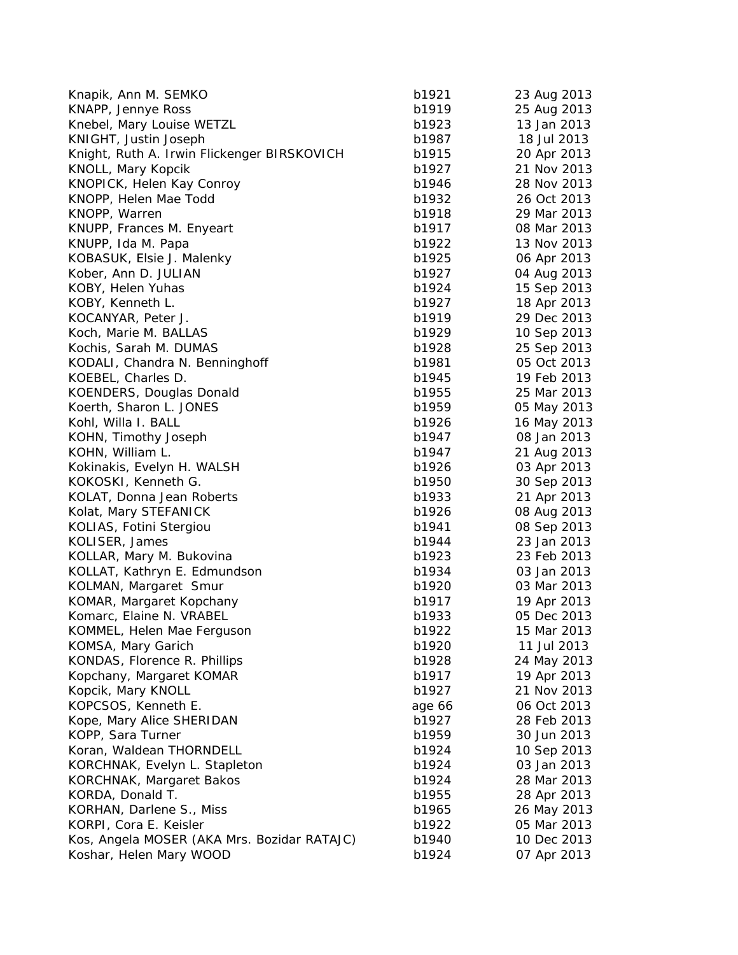| Knapik, Ann M. SEMKO                        | b1921  | 23 Aug 2013 |
|---------------------------------------------|--------|-------------|
| KNAPP, Jennye Ross                          | b1919  | 25 Aug 2013 |
| Knebel, Mary Louise WETZL                   | b1923  | 13 Jan 2013 |
| KNIGHT, Justin Joseph                       | b1987  | 18 Jul 2013 |
| Knight, Ruth A. Irwin Flickenger BIRSKOVICH | b1915  | 20 Apr 2013 |
| KNOLL, Mary Kopcik                          | b1927  | 21 Nov 2013 |
| KNOPICK, Helen Kay Conroy                   | b1946  | 28 Nov 2013 |
| KNOPP, Helen Mae Todd                       | b1932  | 26 Oct 2013 |
| KNOPP, Warren                               | b1918  | 29 Mar 2013 |
| KNUPP, Frances M. Enyeart                   | b1917  | 08 Mar 2013 |
| KNUPP, Ida M. Papa                          | b1922  | 13 Nov 2013 |
| KOBASUK, Elsie J. Malenky                   | b1925  | 06 Apr 2013 |
| Kober, Ann D. JULIAN                        | b1927  | 04 Aug 2013 |
| KOBY, Helen Yuhas                           | b1924  | 15 Sep 2013 |
| KOBY, Kenneth L.                            | b1927  | 18 Apr 2013 |
| KOCANYAR, Peter J.                          | b1919  | 29 Dec 2013 |
| Koch, Marie M. BALLAS                       | b1929  | 10 Sep 2013 |
| Kochis, Sarah M. DUMAS                      | b1928  | 25 Sep 2013 |
| KODALI, Chandra N. Benninghoff              | b1981  | 05 Oct 2013 |
| KOEBEL, Charles D.                          | b1945  | 19 Feb 2013 |
| KOENDERS, Douglas Donald                    | b1955  | 25 Mar 2013 |
| Koerth, Sharon L. JONES                     | b1959  | 05 May 2013 |
| Kohl, Willa I. BALL                         | b1926  | 16 May 2013 |
| KOHN, Timothy Joseph                        | b1947  | 08 Jan 2013 |
| KOHN, William L.                            | b1947  | 21 Aug 2013 |
| Kokinakis, Evelyn H. WALSH                  | b1926  | 03 Apr 2013 |
| KOKOSKI, Kenneth G.                         | b1950  | 30 Sep 2013 |
| KOLAT, Donna Jean Roberts                   | b1933  | 21 Apr 2013 |
| Kolat, Mary STEFANICK                       | b1926  | 08 Aug 2013 |
| KOLIAS, Fotini Stergiou                     | b1941  | 08 Sep 2013 |
| KOLISER, James                              | b1944  | 23 Jan 2013 |
| KOLLAR, Mary M. Bukovina                    | b1923  | 23 Feb 2013 |
| KOLLAT, Kathryn E. Edmundson                | b1934  | 03 Jan 2013 |
| KOLMAN, Margaret Smur                       | b1920  | 03 Mar 2013 |
| KOMAR, Margaret Kopchany                    | b1917  | 19 Apr 2013 |
| Komarc, Elaine N. VRABEL                    | b1933  | 05 Dec 2013 |
| KOMMEL, Helen Mae Ferguson                  | b1922  | 15 Mar 2013 |
| KOMSA, Mary Garich                          | b1920  | 11 Jul 2013 |
| KONDAS, Florence R. Phillips                | b1928  | 24 May 2013 |
| Kopchany, Margaret KOMAR                    | b1917  | 19 Apr 2013 |
| Kopcik, Mary KNOLL                          | b1927  | 21 Nov 2013 |
| KOPCSOS, Kenneth E.                         | age 66 | 06 Oct 2013 |
| Kope, Mary Alice SHERIDAN                   | b1927  | 28 Feb 2013 |
| KOPP, Sara Turner                           | b1959  | 30 Jun 2013 |
| Koran, Waldean THORNDELL                    | b1924  | 10 Sep 2013 |
| KORCHNAK, Evelyn L. Stapleton               | b1924  | 03 Jan 2013 |
| <b>KORCHNAK, Margaret Bakos</b>             | b1924  | 28 Mar 2013 |
| KORDA, Donald T.                            | b1955  | 28 Apr 2013 |
| KORHAN, Darlene S., Miss                    | b1965  | 26 May 2013 |
| KORPI, Cora E. Keisler                      | b1922  | 05 Mar 2013 |
| Kos, Angela MOSER (AKA Mrs. Bozidar RATAJC) | b1940  | 10 Dec 2013 |
| Koshar, Helen Mary WOOD                     | b1924  | 07 Apr 2013 |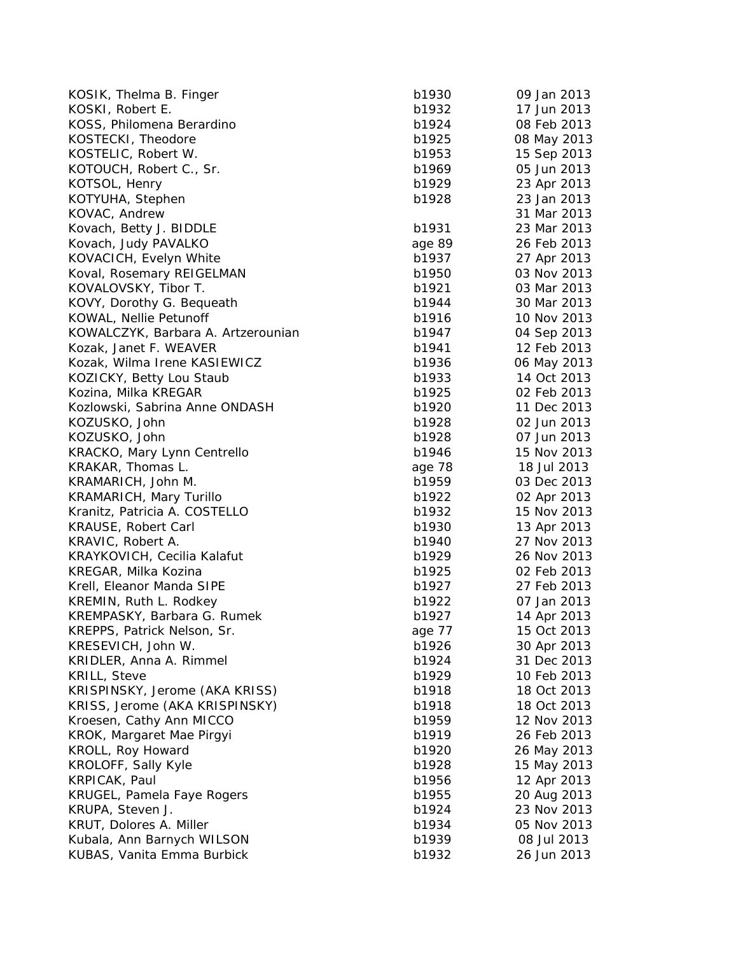| KOSIK, Thelma B. Finger            | b1930  | 09 Jan 2013 |
|------------------------------------|--------|-------------|
| KOSKI, Robert E.                   | b1932  | 17 Jun 2013 |
| KOSS, Philomena Berardino          | b1924  | 08 Feb 2013 |
| KOSTECKI, Theodore                 | b1925  | 08 May 2013 |
| KOSTELIC, Robert W.                | b1953  | 15 Sep 2013 |
| KOTOUCH, Robert C., Sr.            | b1969  | 05 Jun 2013 |
| KOTSOL, Henry                      | b1929  | 23 Apr 2013 |
| KOTYUHA, Stephen                   | b1928  | 23 Jan 2013 |
| KOVAC, Andrew                      |        | 31 Mar 2013 |
| Kovach, Betty J. BIDDLE            | b1931  | 23 Mar 2013 |
| Kovach, Judy PAVALKO               | age 89 | 26 Feb 2013 |
| KOVACICH, Evelyn White             | b1937  | 27 Apr 2013 |
| Koval, Rosemary REIGELMAN          | b1950  | 03 Nov 2013 |
| KOVALOVSKY, Tibor T.               | b1921  | 03 Mar 2013 |
| KOVY, Dorothy G. Bequeath          | b1944  | 30 Mar 2013 |
| KOWAL, Nellie Petunoff             | b1916  | 10 Nov 2013 |
| KOWALCZYK, Barbara A. Artzerounian | b1947  | 04 Sep 2013 |
| Kozak, Janet F. WEAVER             | b1941  | 12 Feb 2013 |
| Kozak, Wilma Irene KASIEWICZ       | b1936  | 06 May 2013 |
| KOZICKY, Betty Lou Staub           | b1933  | 14 Oct 2013 |
| Kozina, Milka KREGAR               | b1925  | 02 Feb 2013 |
| Kozlowski, Sabrina Anne ONDASH     | b1920  | 11 Dec 2013 |
| KOZUSKO, John                      | b1928  | 02 Jun 2013 |
| KOZUSKO, John                      | b1928  | 07 Jun 2013 |
| KRACKO, Mary Lynn Centrello        | b1946  | 15 Nov 2013 |
| KRAKAR, Thomas L.                  | age 78 | 18 Jul 2013 |
| KRAMARICH, John M.                 | b1959  | 03 Dec 2013 |
| <b>KRAMARICH, Mary Turillo</b>     | b1922  | 02 Apr 2013 |
| Kranitz, Patricia A. COSTELLO      | b1932  | 15 Nov 2013 |
| KRAUSE, Robert Carl                | b1930  | 13 Apr 2013 |
| KRAVIC, Robert A.                  | b1940  | 27 Nov 2013 |
| KRAYKOVICH, Cecilia Kalafut        | b1929  | 26 Nov 2013 |
| KREGAR, Milka Kozina               | b1925  | 02 Feb 2013 |
| Krell, Eleanor Manda SIPE          | b1927  | 27 Feb 2013 |
| KREMIN, Ruth L. Rodkey             | b1922  | 07 Jan 2013 |
| KREMPASKY, Barbara G. Rumek        | b1927  | 14 Apr 2013 |
| KREPPS, Patrick Nelson, Sr.        | age 77 | 15 Oct 2013 |
| KRESEVICH, John W.                 | b1926  | 30 Apr 2013 |
| KRIDLER, Anna A. Rimmel            | b1924  | 31 Dec 2013 |
| <b>KRILL, Steve</b>                | b1929  | 10 Feb 2013 |
| KRISPINSKY, Jerome (AKA KRISS)     | b1918  | 18 Oct 2013 |
| KRISS, Jerome (AKA KRISPINSKY)     | b1918  | 18 Oct 2013 |
| Kroesen, Cathy Ann MICCO           | b1959  | 12 Nov 2013 |
| KROK, Margaret Mae Pirgyi          | b1919  | 26 Feb 2013 |
| KROLL, Roy Howard                  | b1920  | 26 May 2013 |
| KROLOFF, Sally Kyle                | b1928  | 15 May 2013 |
| KRPICAK, Paul                      | b1956  | 12 Apr 2013 |
| KRUGEL, Pamela Faye Rogers         | b1955  | 20 Aug 2013 |
| KRUPA, Steven J.                   | b1924  | 23 Nov 2013 |
| KRUT, Dolores A. Miller            | b1934  | 05 Nov 2013 |
| Kubala, Ann Barnych WILSON         | b1939  | 08 Jul 2013 |
| KUBAS, Vanita Emma Burbick         | b1932  | 26 Jun 2013 |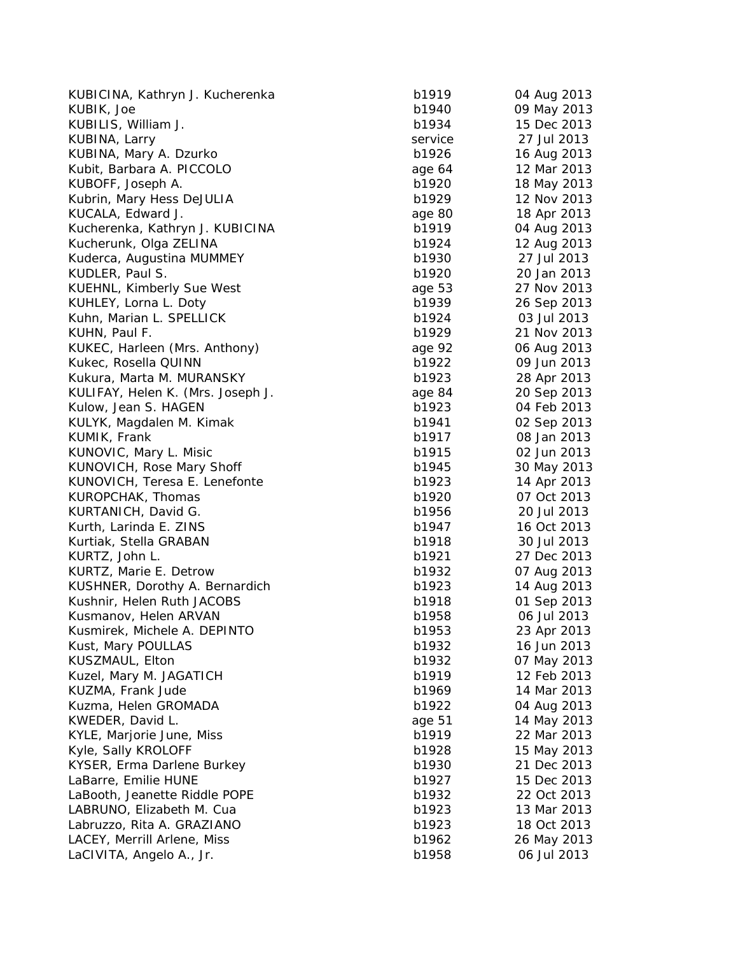| b1919   | 04 Aug 2013                                                                                                                                                                                                                                                                                                                |
|---------|----------------------------------------------------------------------------------------------------------------------------------------------------------------------------------------------------------------------------------------------------------------------------------------------------------------------------|
| b1940   | 09 May 2013                                                                                                                                                                                                                                                                                                                |
| b1934   | 15 Dec 2013                                                                                                                                                                                                                                                                                                                |
| service | 27 Jul 2013                                                                                                                                                                                                                                                                                                                |
| b1926   | 16 Aug 2013                                                                                                                                                                                                                                                                                                                |
| age 64  | 12 Mar 2013                                                                                                                                                                                                                                                                                                                |
| b1920   | 18 May 2013                                                                                                                                                                                                                                                                                                                |
| b1929   | 12 Nov 2013                                                                                                                                                                                                                                                                                                                |
| age 80  | 18 Apr 2013                                                                                                                                                                                                                                                                                                                |
| b1919   | 04 Aug 2013                                                                                                                                                                                                                                                                                                                |
| b1924   | 12 Aug 2013                                                                                                                                                                                                                                                                                                                |
| b1930   | 27 Jul 2013                                                                                                                                                                                                                                                                                                                |
| b1920   | 20 Jan 2013                                                                                                                                                                                                                                                                                                                |
| age 53  | 27 Nov 2013                                                                                                                                                                                                                                                                                                                |
| b1939   | 26 Sep 2013                                                                                                                                                                                                                                                                                                                |
| b1924   | 03 Jul 2013                                                                                                                                                                                                                                                                                                                |
| b1929   | 21 Nov 2013                                                                                                                                                                                                                                                                                                                |
|         | 06 Aug 2013                                                                                                                                                                                                                                                                                                                |
|         | 09 Jun 2013                                                                                                                                                                                                                                                                                                                |
|         | 28 Apr 2013                                                                                                                                                                                                                                                                                                                |
|         | 20 Sep 2013                                                                                                                                                                                                                                                                                                                |
|         | 04 Feb 2013                                                                                                                                                                                                                                                                                                                |
|         | 02 Sep 2013                                                                                                                                                                                                                                                                                                                |
|         | 08 Jan 2013                                                                                                                                                                                                                                                                                                                |
|         | 02 Jun 2013                                                                                                                                                                                                                                                                                                                |
|         | 30 May 2013                                                                                                                                                                                                                                                                                                                |
|         | 14 Apr 2013                                                                                                                                                                                                                                                                                                                |
|         | 07 Oct 2013                                                                                                                                                                                                                                                                                                                |
|         | 20 Jul 2013                                                                                                                                                                                                                                                                                                                |
|         | 16 Oct 2013                                                                                                                                                                                                                                                                                                                |
|         | 30 Jul 2013                                                                                                                                                                                                                                                                                                                |
|         | 27 Dec 2013                                                                                                                                                                                                                                                                                                                |
|         | 07 Aug 2013                                                                                                                                                                                                                                                                                                                |
|         | 14 Aug 2013                                                                                                                                                                                                                                                                                                                |
|         | 01 Sep 2013                                                                                                                                                                                                                                                                                                                |
|         | 06 Jul 2013                                                                                                                                                                                                                                                                                                                |
|         | 23 Apr 2013                                                                                                                                                                                                                                                                                                                |
|         | 16 Jun 2013                                                                                                                                                                                                                                                                                                                |
|         | 07 May 2013                                                                                                                                                                                                                                                                                                                |
|         | 12 Feb 2013                                                                                                                                                                                                                                                                                                                |
|         | 14 Mar 2013                                                                                                                                                                                                                                                                                                                |
|         | 04 Aug 2013                                                                                                                                                                                                                                                                                                                |
|         | 14 May 2013                                                                                                                                                                                                                                                                                                                |
|         | 22 Mar 2013                                                                                                                                                                                                                                                                                                                |
|         | 15 May 2013                                                                                                                                                                                                                                                                                                                |
|         | 21 Dec 2013                                                                                                                                                                                                                                                                                                                |
|         | 15 Dec 2013                                                                                                                                                                                                                                                                                                                |
|         | 22 Oct 2013                                                                                                                                                                                                                                                                                                                |
|         | 13 Mar 2013                                                                                                                                                                                                                                                                                                                |
|         | 18 Oct 2013                                                                                                                                                                                                                                                                                                                |
|         | 26 May 2013                                                                                                                                                                                                                                                                                                                |
|         | 06 Jul 2013                                                                                                                                                                                                                                                                                                                |
|         |                                                                                                                                                                                                                                                                                                                            |
|         | age 92<br>b1922<br>b1923<br>age 84<br>b1923<br>b1941<br>b1917<br>b1915<br>b1945<br>b1923<br>b1920<br>b1956<br>b1947<br>b1918<br>b1921<br>b1932<br>b1923<br>b1918<br>b1958<br>b1953<br>b1932<br>b1932<br>b1919<br>b1969<br>b1922<br>age 51<br>b1919<br>b1928<br>b1930<br>b1927<br>b1932<br>b1923<br>b1923<br>b1962<br>b1958 |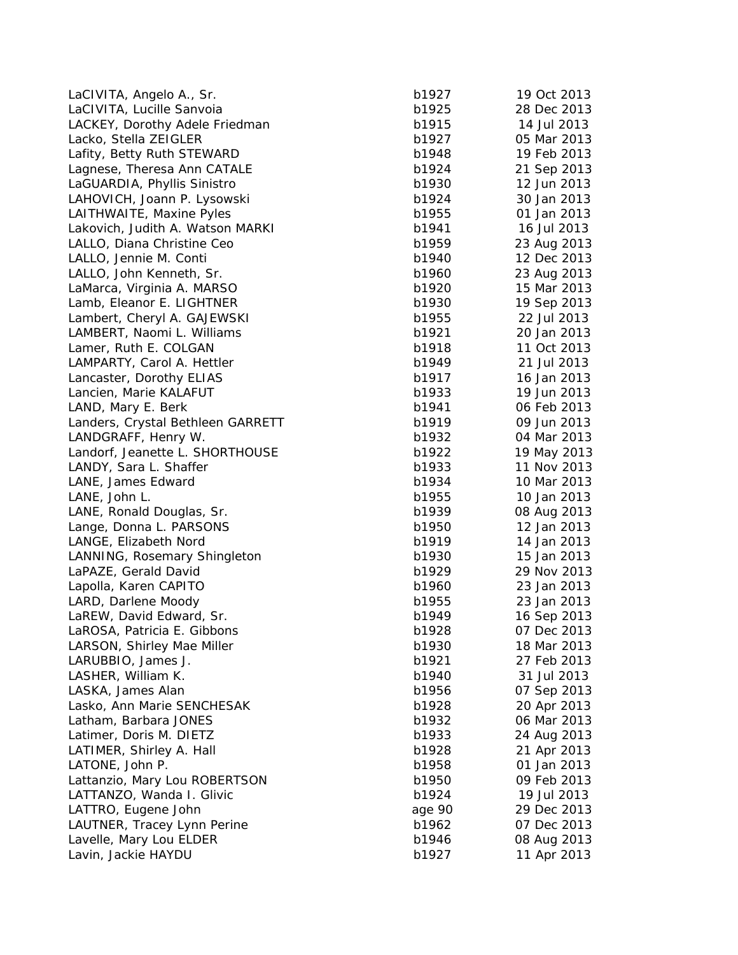| LaCIVITA, Angelo A., Sr.                     | b1927  | 19 Oct 2013                |
|----------------------------------------------|--------|----------------------------|
| LaCIVITA, Lucille Sanvoia                    | b1925  | 28 Dec 2013                |
| LACKEY, Dorothy Adele Friedman               | b1915  | 14 Jul 2013                |
| Lacko, Stella ZEIGLER                        | b1927  | 05 Mar 2013                |
| Lafity, Betty Ruth STEWARD                   | b1948  | 19 Feb 2013                |
| Lagnese, Theresa Ann CATALE                  | b1924  | 21 Sep 2013                |
| LaGUARDIA, Phyllis Sinistro                  | b1930  | 12 Jun 2013                |
| LAHOVICH, Joann P. Lysowski                  | b1924  | 30 Jan 2013                |
| LAITHWAITE, Maxine Pyles                     | b1955  | 01 Jan 2013                |
| Lakovich, Judith A. Watson MARKI             | b1941  | 16 Jul 2013                |
| LALLO, Diana Christine Ceo                   | b1959  | 23 Aug 2013                |
| LALLO, Jennie M. Conti                       | b1940  | 12 Dec 2013                |
| LALLO, John Kenneth, Sr.                     | b1960  | 23 Aug 2013                |
| LaMarca, Virginia A. MARSO                   | b1920  | 15 Mar 2013                |
| Lamb, Eleanor E. LIGHTNER                    | b1930  | 19 Sep 2013                |
| Lambert, Cheryl A. GAJEWSKI                  | b1955  | 22 Jul 2013                |
| LAMBERT, Naomi L. Williams                   | b1921  | 20 Jan 2013                |
| Lamer, Ruth E. COLGAN                        | b1918  | 11 Oct 2013                |
| LAMPARTY, Carol A. Hettler                   | b1949  | 21 Jul 2013                |
| Lancaster, Dorothy ELIAS                     | b1917  |                            |
|                                              | b1933  | 16 Jan 2013<br>19 Jun 2013 |
| Lancien, Marie KALAFUT<br>LAND, Mary E. Berk |        | 06 Feb 2013                |
|                                              | b1941  |                            |
| Landers, Crystal Bethleen GARRETT            | b1919  | 09 Jun 2013                |
| LANDGRAFF, Henry W.                          | b1932  | 04 Mar 2013                |
| Landorf, Jeanette L. SHORTHOUSE              | b1922  | 19 May 2013                |
| LANDY, Sara L. Shaffer                       | b1933  | 11 Nov 2013                |
| LANE, James Edward                           | b1934  | 10 Mar 2013                |
| LANE, John L.                                | b1955  | 10 Jan 2013                |
| LANE, Ronald Douglas, Sr.                    | b1939  | 08 Aug 2013                |
| Lange, Donna L. PARSONS                      | b1950  | 12 Jan 2013                |
| LANGE, Elizabeth Nord                        | b1919  | 14 Jan 2013                |
| LANNING, Rosemary Shingleton                 | b1930  | 15 Jan 2013                |
| LaPAZE, Gerald David                         | b1929  | 29 Nov 2013                |
| Lapolla, Karen CAPITO                        | b1960  | 23 Jan 2013                |
| LARD, Darlene Moody                          | b1955  | 23 Jan 2013                |
| LaREW, David Edward, Sr.                     | b1949  | 16 Sep 2013                |
| LaROSA, Patricia E. Gibbons                  | b1928  | 07 Dec 2013                |
| LARSON, Shirley Mae Miller                   | b1930  | 18 Mar 2013                |
| LARUBBIO, James J.                           | b1921  | 27 Feb 2013                |
| LASHER, William K.                           | b1940  | 31 Jul 2013                |
| LASKA, James Alan                            | b1956  | 07 Sep 2013                |
| Lasko, Ann Marie SENCHESAK                   | b1928  | 20 Apr 2013                |
| Latham, Barbara JONES                        | b1932  | 06 Mar 2013                |
| Latimer, Doris M. DIETZ                      | b1933  | 24 Aug 2013                |
| LATIMER, Shirley A. Hall                     | b1928  | 21 Apr 2013                |
| LATONE, John P.                              | b1958  | 01 Jan 2013                |
| Lattanzio, Mary Lou ROBERTSON                | b1950  | 09 Feb 2013                |
| LATTANZO, Wanda I. Glivic                    | b1924  | 19 Jul 2013                |
| LATTRO, Eugene John                          | age 90 | 29 Dec 2013                |
| LAUTNER, Tracey Lynn Perine                  | b1962  | 07 Dec 2013                |
| Lavelle, Mary Lou ELDER                      | b1946  | 08 Aug 2013                |
| Lavin, Jackie HAYDU                          | b1927  | 11 Apr 2013                |
|                                              |        |                            |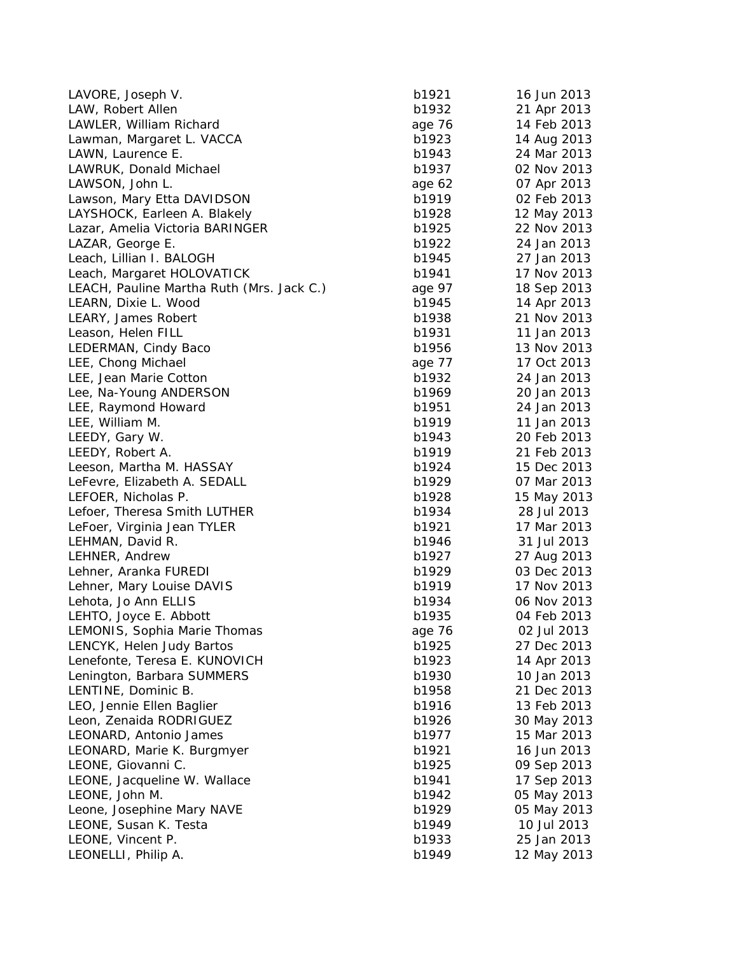| LAVORE, Joseph V.                         | b1921  | 16 Jun 2013 |
|-------------------------------------------|--------|-------------|
| LAW, Robert Allen                         | b1932  | 21 Apr 2013 |
| LAWLER, William Richard                   | age 76 | 14 Feb 2013 |
| Lawman, Margaret L. VACCA                 | b1923  | 14 Aug 2013 |
| LAWN, Laurence E.                         | b1943  | 24 Mar 2013 |
| LAWRUK, Donald Michael                    | b1937  | 02 Nov 2013 |
| LAWSON, John L.                           | age 62 | 07 Apr 2013 |
| Lawson, Mary Etta DAVIDSON                | b1919  | 02 Feb 2013 |
| LAYSHOCK, Earleen A. Blakely              | b1928  | 12 May 2013 |
| Lazar, Amelia Victoria BARINGER           | b1925  | 22 Nov 2013 |
| LAZAR, George E.                          | b1922  | 24 Jan 2013 |
| Leach, Lillian I. BALOGH                  | b1945  | 27 Jan 2013 |
| Leach, Margaret HOLOVATICK                | b1941  | 17 Nov 2013 |
| LEACH, Pauline Martha Ruth (Mrs. Jack C.) | age 97 | 18 Sep 2013 |
| LEARN, Dixie L. Wood                      | b1945  | 14 Apr 2013 |
| LEARY, James Robert                       | b1938  | 21 Nov 2013 |
| Leason, Helen FILL                        | b1931  | 11 Jan 2013 |
| LEDERMAN, Cindy Baco                      | b1956  | 13 Nov 2013 |
| LEE, Chong Michael                        | age 77 | 17 Oct 2013 |
| LEE, Jean Marie Cotton                    | b1932  | 24 Jan 2013 |
| Lee, Na-Young ANDERSON                    | b1969  | 20 Jan 2013 |
| LEE, Raymond Howard                       | b1951  | 24 Jan 2013 |
| LEE, William M.                           | b1919  | 11 Jan 2013 |
| LEEDY, Gary W.                            | b1943  | 20 Feb 2013 |
| LEEDY, Robert A.                          | b1919  | 21 Feb 2013 |
| Leeson, Martha M. HASSAY                  | b1924  | 15 Dec 2013 |
| LeFevre, Elizabeth A. SEDALL              | b1929  | 07 Mar 2013 |
| LEFOER, Nicholas P.                       | b1928  | 15 May 2013 |
| Lefoer, Theresa Smith LUTHER              | b1934  | 28 Jul 2013 |
| LeFoer, Virginia Jean TYLER               | b1921  | 17 Mar 2013 |
| LEHMAN, David R.                          | b1946  | 31 Jul 2013 |
| LEHNER, Andrew                            | b1927  | 27 Aug 2013 |
| Lehner, Aranka FUREDI                     | b1929  | 03 Dec 2013 |
| Lehner, Mary Louise DAVIS                 | b1919  | 17 Nov 2013 |
| Lehota, Jo Ann ELLIS                      | b1934  | 06 Nov 2013 |
| LEHTO, Joyce E. Abbott                    | b1935  | 04 Feb 2013 |
| LEMONIS, Sophia Marie Thomas              | age 76 | 02 Jul 2013 |
| LENCYK, Helen Judy Bartos                 | b1925  | 27 Dec 2013 |
| Lenefonte, Teresa E. KUNOVICH             | b1923  | 14 Apr 2013 |
| Lenington, Barbara SUMMERS                | b1930  | 10 Jan 2013 |
| LENTINE, Dominic B.                       | b1958  | 21 Dec 2013 |
| LEO, Jennie Ellen Baglier                 | b1916  | 13 Feb 2013 |
| Leon, Zenaida RODRIGUEZ                   | b1926  | 30 May 2013 |
| LEONARD, Antonio James                    | b1977  | 15 Mar 2013 |
| LEONARD, Marie K. Burgmyer                | b1921  | 16 Jun 2013 |
| LEONE, Giovanni C.                        | b1925  | 09 Sep 2013 |
| LEONE, Jacqueline W. Wallace              | b1941  | 17 Sep 2013 |
| LEONE, John M.                            | b1942  | 05 May 2013 |
| Leone, Josephine Mary NAVE                | b1929  | 05 May 2013 |
| LEONE, Susan K. Testa                     | b1949  | 10 Jul 2013 |
| LEONE, Vincent P.                         | b1933  | 25 Jan 2013 |
| LEONELLI, Philip A.                       | b1949  | 12 May 2013 |
|                                           |        |             |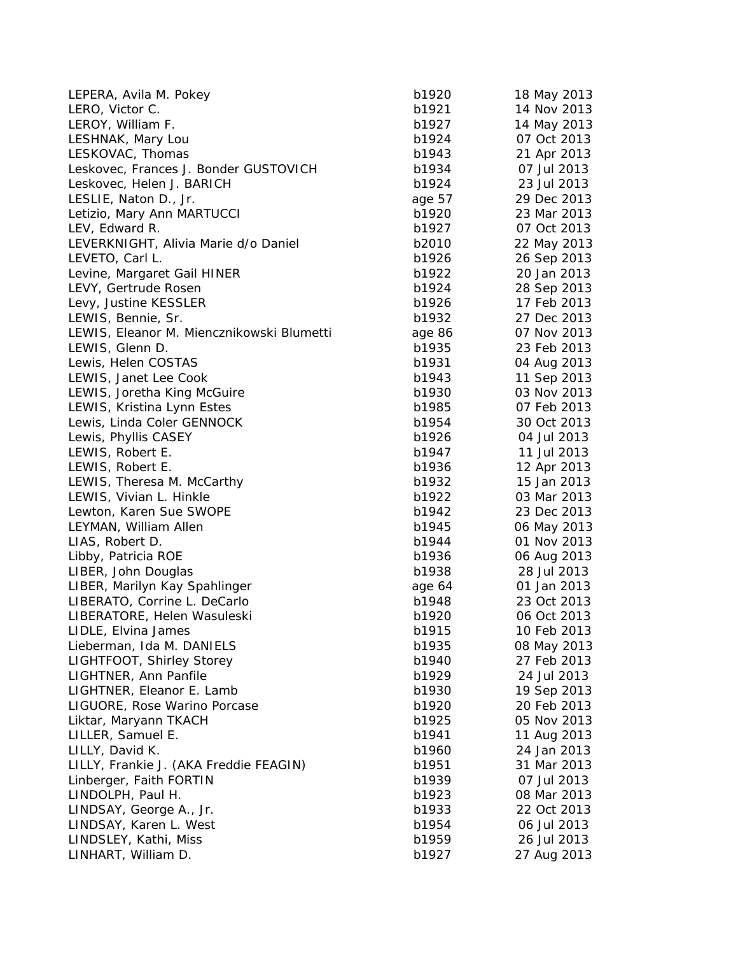| LEPERA, Avila M. Pokey                    | b1920  | 18 May 2013 |
|-------------------------------------------|--------|-------------|
| LERO, Victor C.                           | b1921  | 14 Nov 2013 |
| LEROY, William F.                         | b1927  | 14 May 2013 |
| LESHNAK, Mary Lou                         | b1924  | 07 Oct 2013 |
| LESKOVAC, Thomas                          | b1943  | 21 Apr 2013 |
| Leskovec, Frances J. Bonder GUSTOVICH     | b1934  | 07 Jul 2013 |
| Leskovec, Helen J. BARICH                 | b1924  | 23 Jul 2013 |
| LESLIE, Naton D., Jr.                     | age 57 | 29 Dec 2013 |
| Letizio, Mary Ann MARTUCCI                | b1920  | 23 Mar 2013 |
| LEV, Edward R.                            | b1927  | 07 Oct 2013 |
| LEVERKNIGHT, Alivia Marie d/o Daniel      | b2010  | 22 May 2013 |
| LEVETO, Carl L.                           | b1926  | 26 Sep 2013 |
| Levine, Margaret Gail HINER               | b1922  | 20 Jan 2013 |
| LEVY, Gertrude Rosen                      | b1924  | 28 Sep 2013 |
| Levy, Justine KESSLER                     | b1926  | 17 Feb 2013 |
| LEWIS, Bennie, Sr.                        | b1932  | 27 Dec 2013 |
| LEWIS, Eleanor M. Miencznikowski Blumetti | age 86 | 07 Nov 2013 |
| LEWIS, Glenn D.                           | b1935  | 23 Feb 2013 |
| Lewis, Helen COSTAS                       | b1931  | 04 Aug 2013 |
| LEWIS, Janet Lee Cook                     | b1943  | 11 Sep 2013 |
| LEWIS, Joretha King McGuire               | b1930  | 03 Nov 2013 |
| LEWIS, Kristina Lynn Estes                | b1985  | 07 Feb 2013 |
| Lewis, Linda Coler GENNOCK                | b1954  | 30 Oct 2013 |
| Lewis, Phyllis CASEY                      | b1926  | 04 Jul 2013 |
| LEWIS, Robert E.                          | b1947  | 11 Jul 2013 |
| LEWIS, Robert E.                          | b1936  | 12 Apr 2013 |
| LEWIS, Theresa M. McCarthy                | b1932  | 15 Jan 2013 |
| LEWIS, Vivian L. Hinkle                   | b1922  | 03 Mar 2013 |
| Lewton, Karen Sue SWOPE                   | b1942  | 23 Dec 2013 |
| LEYMAN, William Allen                     | b1945  | 06 May 2013 |
| LIAS, Robert D.                           | b1944  | 01 Nov 2013 |
| Libby, Patricia ROE                       | b1936  | 06 Aug 2013 |
| LIBER, John Douglas                       | b1938  | 28 Jul 2013 |
| LIBER, Marilyn Kay Spahlinger             | age 64 | 01 Jan 2013 |
| LIBERATO, Corrine L. DeCarlo              | b1948  | 23 Oct 2013 |
| LIBERATORE, Helen Wasuleski               | b1920  | 06 Oct 2013 |
| LIDLE, Elvina James                       | b1915  | 10 Feb 2013 |
| Lieberman, Ida M. DANIELS                 | b1935  | 08 May 2013 |
| LIGHTFOOT, Shirley Storey                 | b1940  | 27 Feb 2013 |
| LIGHTNER, Ann Panfile                     | b1929  | 24 Jul 2013 |
| LIGHTNER, Eleanor E. Lamb                 | b1930  | 19 Sep 2013 |
| LIGUORE, Rose Warino Porcase              | b1920  | 20 Feb 2013 |
| Liktar, Maryann TKACH                     | b1925  | 05 Nov 2013 |
| LILLER, Samuel E.                         | b1941  | 11 Aug 2013 |
| LILLY, David K.                           | b1960  | 24 Jan 2013 |
| LILLY, Frankie J. (AKA Freddie FEAGIN)    | b1951  | 31 Mar 2013 |
| Linberger, Faith FORTIN                   | b1939  | 07 Jul 2013 |
| LINDOLPH, Paul H.                         | b1923  | 08 Mar 2013 |
| LINDSAY, George A., Jr.                   | b1933  | 22 Oct 2013 |
| LINDSAY, Karen L. West                    | b1954  | 06 Jul 2013 |
| LINDSLEY, Kathi, Miss                     | b1959  | 26 Jul 2013 |
| LINHART, William D.                       | b1927  | 27 Aug 2013 |
|                                           |        |             |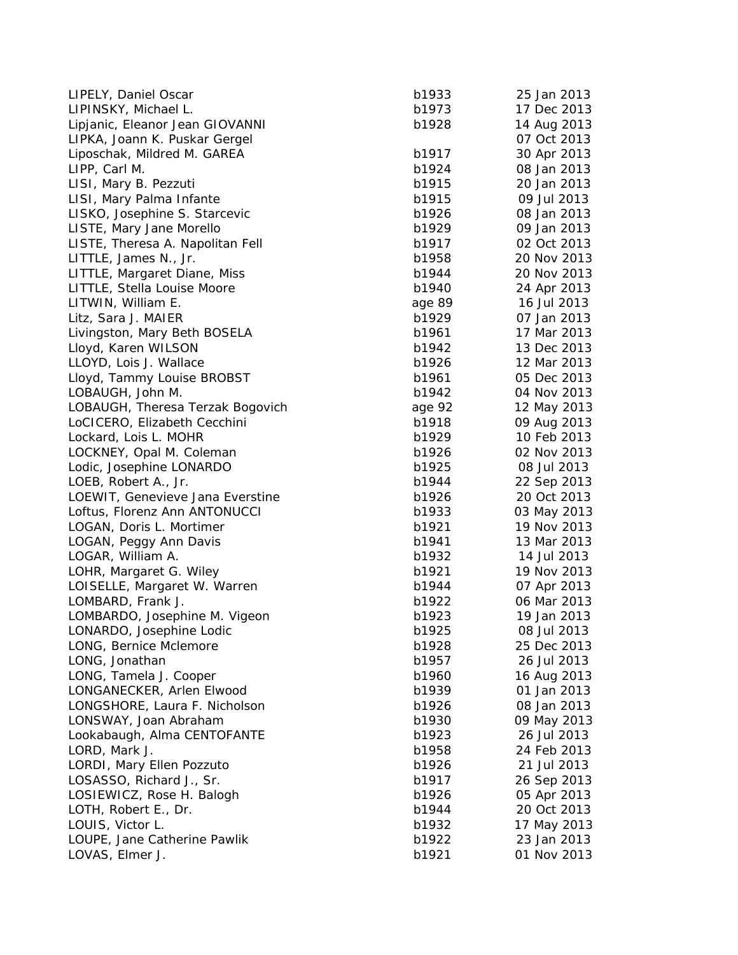| LIPELY, Daniel Oscar             | b1933  | 25 Jan 2013 |
|----------------------------------|--------|-------------|
| LIPINSKY, Michael L.             | b1973  | 17 Dec 2013 |
| Lipjanic, Eleanor Jean GIOVANNI  | b1928  | 14 Aug 2013 |
| LIPKA, Joann K. Puskar Gergel    |        | 07 Oct 2013 |
| Liposchak, Mildred M. GAREA      | b1917  | 30 Apr 2013 |
| LIPP, Carl M.                    | b1924  | 08 Jan 2013 |
| LISI, Mary B. Pezzuti            | b1915  | 20 Jan 2013 |
| LISI, Mary Palma Infante         | b1915  | 09 Jul 2013 |
| LISKO, Josephine S. Starcevic    | b1926  | 08 Jan 2013 |
| LISTE, Mary Jane Morello         | b1929  | 09 Jan 2013 |
| LISTE, Theresa A. Napolitan Fell | b1917  | 02 Oct 2013 |
| LITTLE, James N., Jr.            | b1958  | 20 Nov 2013 |
| LITTLE, Margaret Diane, Miss     | b1944  | 20 Nov 2013 |
| LITTLE, Stella Louise Moore      | b1940  | 24 Apr 2013 |
| LITWIN, William E.               | age 89 | 16 Jul 2013 |
| Litz, Sara J. MAIER              | b1929  | 07 Jan 2013 |
| Livingston, Mary Beth BOSELA     | b1961  | 17 Mar 2013 |
| Lloyd, Karen WILSON              | b1942  | 13 Dec 2013 |
| LLOYD, Lois J. Wallace           | b1926  | 12 Mar 2013 |
| Lloyd, Tammy Louise BROBST       | b1961  | 05 Dec 2013 |
| LOBAUGH, John M.                 | b1942  | 04 Nov 2013 |
| LOBAUGH, Theresa Terzak Bogovich | age 92 | 12 May 2013 |
| LoCICERO, Elizabeth Cecchini     | b1918  | 09 Aug 2013 |
| Lockard, Lois L. MOHR            | b1929  | 10 Feb 2013 |
| LOCKNEY, Opal M. Coleman         | b1926  | 02 Nov 2013 |
| Lodic, Josephine LONARDO         | b1925  | 08 Jul 2013 |
| LOEB, Robert A., Jr.             | b1944  | 22 Sep 2013 |
| LOEWIT, Genevieve Jana Everstine | b1926  | 20 Oct 2013 |
| Loftus, Florenz Ann ANTONUCCI    | b1933  | 03 May 2013 |
| LOGAN, Doris L. Mortimer         | b1921  | 19 Nov 2013 |
| LOGAN, Peggy Ann Davis           | b1941  | 13 Mar 2013 |
| LOGAR, William A.                | b1932  | 14 Jul 2013 |
| LOHR, Margaret G. Wiley          | b1921  | 19 Nov 2013 |
| LOISELLE, Margaret W. Warren     | b1944  | 07 Apr 2013 |
| LOMBARD, Frank J.                | b1922  | 06 Mar 2013 |
| LOMBARDO, Josephine M. Vigeon    | b1923  | 19 Jan 2013 |
| LONARDO, Josephine Lodic         | b1925  | 08 Jul 2013 |
| LONG, Bernice Mclemore           | b1928  | 25 Dec 2013 |
| LONG, Jonathan                   | b1957  | 26 Jul 2013 |
| LONG, Tamela J. Cooper           | b1960  | 16 Aug 2013 |
| LONGANECKER, Arlen Elwood        | b1939  | 01 Jan 2013 |
| LONGSHORE, Laura F. Nicholson    | b1926  | 08 Jan 2013 |
| LONSWAY, Joan Abraham            | b1930  | 09 May 2013 |
| Lookabaugh, Alma CENTOFANTE      | b1923  | 26 Jul 2013 |
| LORD, Mark J.                    | b1958  | 24 Feb 2013 |
| LORDI, Mary Ellen Pozzuto        | b1926  | 21 Jul 2013 |
| LOSASSO, Richard J., Sr.         | b1917  | 26 Sep 2013 |
| LOSIEWICZ, Rose H. Balogh        | b1926  | 05 Apr 2013 |
| LOTH, Robert E., Dr.             | b1944  | 20 Oct 2013 |
| LOUIS, Victor L.                 | b1932  | 17 May 2013 |
| LOUPE, Jane Catherine Pawlik     | b1922  | 23 Jan 2013 |
| LOVAS, Elmer J.                  | b1921  | 01 Nov 2013 |
|                                  |        |             |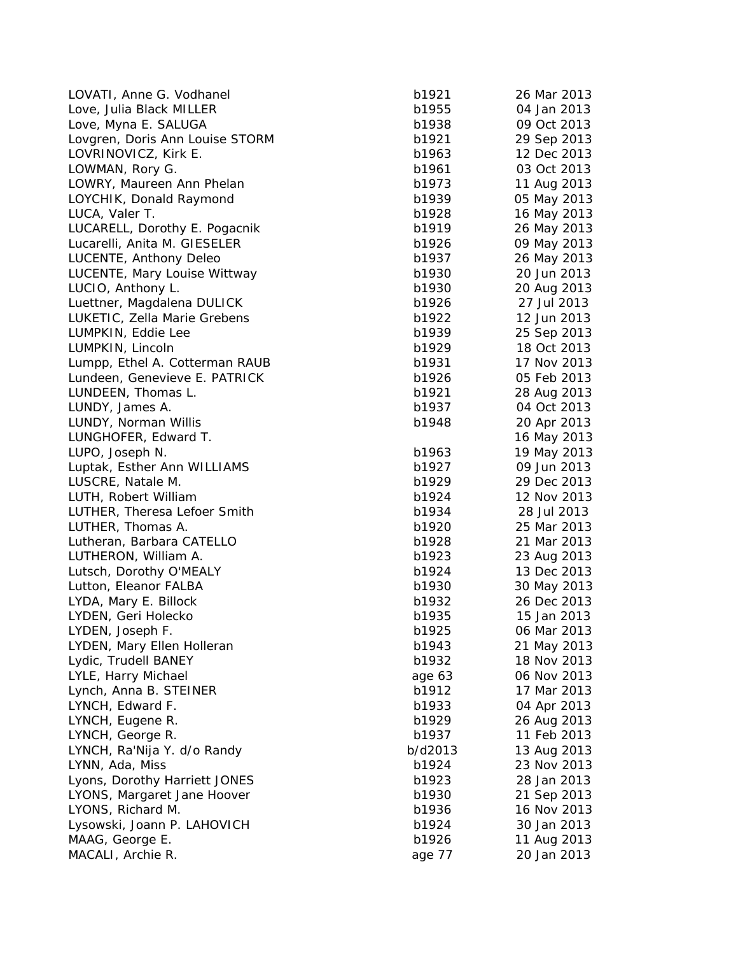| LOVATI, Anne G. Vodhanel        | b1921   | 26 Mar 2013 |
|---------------------------------|---------|-------------|
| Love, Julia Black MILLER        | b1955   | 04 Jan 2013 |
| Love, Myna E. SALUGA            | b1938   | 09 Oct 2013 |
| Lovgren, Doris Ann Louise STORM | b1921   | 29 Sep 2013 |
| LOVRINOVICZ, Kirk E.            | b1963   | 12 Dec 2013 |
| LOWMAN, Rory G.                 | b1961   | 03 Oct 2013 |
| LOWRY, Maureen Ann Phelan       | b1973   | 11 Aug 2013 |
| LOYCHIK, Donald Raymond         | b1939   | 05 May 2013 |
| LUCA, Valer T.                  | b1928   | 16 May 2013 |
| LUCARELL, Dorothy E. Pogacnik   | b1919   | 26 May 2013 |
| Lucarelli, Anita M. GIESELER    | b1926   | 09 May 2013 |
| LUCENTE, Anthony Deleo          | b1937   | 26 May 2013 |
| LUCENTE, Mary Louise Wittway    | b1930   | 20 Jun 2013 |
| LUCIO, Anthony L.               | b1930   | 20 Aug 2013 |
| Luettner, Magdalena DULICK      | b1926   | 27 Jul 2013 |
| LUKETIC, Zella Marie Grebens    | b1922   | 12 Jun 2013 |
| LUMPKIN, Eddie Lee              | b1939   | 25 Sep 2013 |
| LUMPKIN, Lincoln                | b1929   | 18 Oct 2013 |
| Lumpp, Ethel A. Cotterman RAUB  | b1931   | 17 Nov 2013 |
| Lundeen, Genevieve E. PATRICK   | b1926   | 05 Feb 2013 |
| LUNDEEN, Thomas L.              | b1921   | 28 Aug 2013 |
| LUNDY, James A.                 | b1937   | 04 Oct 2013 |
| LUNDY, Norman Willis            | b1948   | 20 Apr 2013 |
| LUNGHOFER, Edward T.            |         | 16 May 2013 |
| LUPO, Joseph N.                 | b1963   | 19 May 2013 |
| Luptak, Esther Ann WILLIAMS     | b1927   | 09 Jun 2013 |
| LUSCRE, Natale M.               | b1929   | 29 Dec 2013 |
| LUTH, Robert William            | b1924   | 12 Nov 2013 |
| LUTHER, Theresa Lefoer Smith    | b1934   | 28 Jul 2013 |
| LUTHER, Thomas A.               | b1920   | 25 Mar 2013 |
| Lutheran, Barbara CATELLO       | b1928   | 21 Mar 2013 |
| LUTHERON, William A.            | b1923   | 23 Aug 2013 |
| Lutsch, Dorothy O'MEALY         | b1924   | 13 Dec 2013 |
| Lutton, Eleanor FALBA           | b1930   | 30 May 2013 |
| LYDA, Mary E. Billock           | b1932   | 26 Dec 2013 |
| LYDEN, Geri Holecko             | b1935   | 15 Jan 2013 |
| LYDEN, Joseph F.                | b1925   | 06 Mar 2013 |
| LYDEN, Mary Ellen Holleran      | b1943   | 21 May 2013 |
| Lydic, Trudell BANEY            | b1932   | 18 Nov 2013 |
| LYLE, Harry Michael             | age 63  | 06 Nov 2013 |
| Lynch, Anna B. STEINER          | b1912   | 17 Mar 2013 |
| LYNCH, Edward F.                | b1933   | 04 Apr 2013 |
| LYNCH, Eugene R.                | b1929   | 26 Aug 2013 |
| LYNCH, George R.                | b1937   | 11 Feb 2013 |
| LYNCH, Ra'Nija Y. d/o Randy     | b/d2013 | 13 Aug 2013 |
| LYNN, Ada, Miss                 | b1924   | 23 Nov 2013 |
| Lyons, Dorothy Harriett JONES   | b1923   | 28 Jan 2013 |
| LYONS, Margaret Jane Hoover     | b1930   | 21 Sep 2013 |
| LYONS, Richard M.               | b1936   | 16 Nov 2013 |
| Lysowski, Joann P. LAHOVICH     | b1924   | 30 Jan 2013 |
| MAAG, George E.                 | b1926   | 11 Aug 2013 |
| MACALI, Archie R.               | age 77  | 20 Jan 2013 |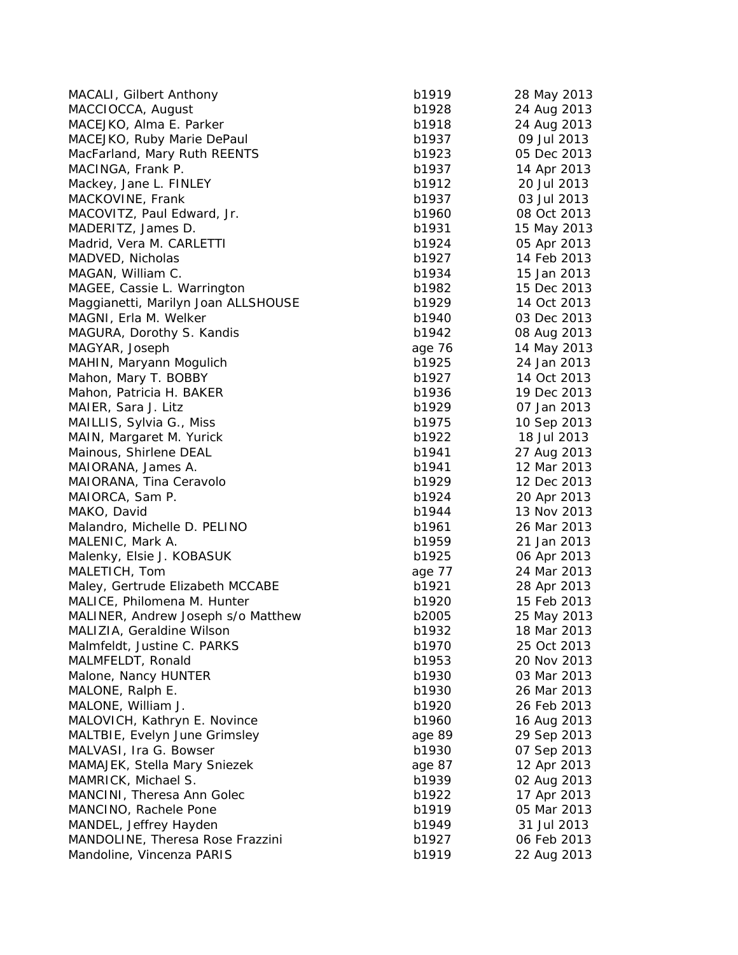| MACALI, Gilbert Anthony                    | b1919  | 28 May 2013 |
|--------------------------------------------|--------|-------------|
| MACCIOCCA, August                          | b1928  | 24 Aug 2013 |
| MACEJKO, Alma E. Parker                    | b1918  | 24 Aug 2013 |
| MACEJKO, Ruby Marie DePaul                 | b1937  | 09 Jul 2013 |
| MacFarland, Mary Ruth REENTS               | b1923  | 05 Dec 2013 |
| MACINGA, Frank P.                          | b1937  | 14 Apr 2013 |
| Mackey, Jane L. FINLEY                     | b1912  | 20 Jul 2013 |
| MACKOVINE, Frank                           | b1937  | 03 Jul 2013 |
| MACOVITZ, Paul Edward, Jr.                 | b1960  | 08 Oct 2013 |
| MADERITZ, James D.                         | b1931  | 15 May 2013 |
| Madrid, Vera M. CARLETTI                   | b1924  | 05 Apr 2013 |
| MADVED, Nicholas                           | b1927  | 14 Feb 2013 |
| MAGAN, William C.                          | b1934  | 15 Jan 2013 |
| MAGEE, Cassie L. Warrington                | b1982  | 15 Dec 2013 |
| Maggianetti, Marilyn Joan ALLSHOUSE        | b1929  | 14 Oct 2013 |
| MAGNI, Erla M. Welker                      | b1940  | 03 Dec 2013 |
| MAGURA, Dorothy S. Kandis                  | b1942  | 08 Aug 2013 |
| MAGYAR, Joseph                             | age 76 | 14 May 2013 |
| MAHIN, Maryann Mogulich                    | b1925  | 24 Jan 2013 |
| Mahon, Mary T. BOBBY                       | b1927  | 14 Oct 2013 |
| Mahon, Patricia H. BAKER                   | b1936  | 19 Dec 2013 |
| MAIER, Sara J. Litz                        | b1929  | 07 Jan 2013 |
| MAILLIS, Sylvia G., Miss                   | b1975  | 10 Sep 2013 |
| MAIN, Margaret M. Yurick                   | b1922  | 18 Jul 2013 |
| Mainous, Shirlene DEAL                     | b1941  | 27 Aug 2013 |
| MAIORANA, James A.                         | b1941  | 12 Mar 2013 |
| MAIORANA, Tina Ceravolo                    | b1929  | 12 Dec 2013 |
| MAIORCA, Sam P.                            | b1924  | 20 Apr 2013 |
| MAKO, David                                | b1944  | 13 Nov 2013 |
| Malandro, Michelle D. PELINO               | b1961  | 26 Mar 2013 |
| MALENIC, Mark A.                           | b1959  | 21 Jan 2013 |
|                                            | b1925  |             |
| Malenky, Elsie J. KOBASUK<br>MALETICH, Tom |        | 06 Apr 2013 |
|                                            | age 77 | 24 Mar 2013 |
| Maley, Gertrude Elizabeth MCCABE           | b1921  | 28 Apr 2013 |
| MALICE, Philomena M. Hunter                | b1920  | 15 Feb 2013 |
| MALINER, Andrew Joseph s/o Matthew         | b2005  | 25 May 2013 |
| MALIZIA, Geraldine Wilson                  | b1932  | 18 Mar 2013 |
| Malmfeldt, Justine C. PARKS                | b1970  | 25 Oct 2013 |
| MALMFELDT, Ronald                          | b1953  | 20 Nov 2013 |
| Malone, Nancy HUNTER                       | b1930  | 03 Mar 2013 |
| MALONE, Ralph E.                           | b1930  | 26 Mar 2013 |
| MALONE, William J.                         | b1920  | 26 Feb 2013 |
| MALOVICH, Kathryn E. Novince               | b1960  | 16 Aug 2013 |
| MALTBIE, Evelyn June Grimsley              | age 89 | 29 Sep 2013 |
| MALVASI, Ira G. Bowser                     | b1930  | 07 Sep 2013 |
| MAMAJEK, Stella Mary Sniezek               | age 87 | 12 Apr 2013 |
| MAMRICK, Michael S.                        | b1939  | 02 Aug 2013 |
| MANCINI, Theresa Ann Golec                 | b1922  | 17 Apr 2013 |
| MANCINO, Rachele Pone                      | b1919  | 05 Mar 2013 |
| MANDEL, Jeffrey Hayden                     | b1949  | 31 Jul 2013 |
| MANDOLINE, Theresa Rose Frazzini           | b1927  | 06 Feb 2013 |
| Mandoline, Vincenza PARIS                  | b1919  | 22 Aug 2013 |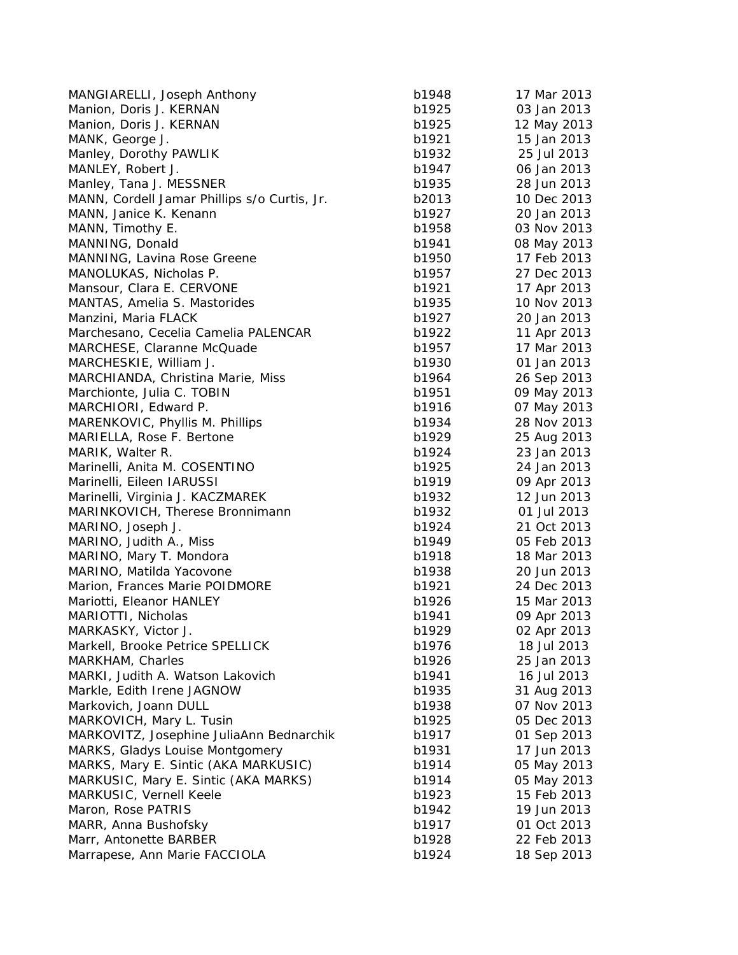| MANGIARELLI, Joseph Anthony                  | b1948 | 17 Mar 2013 |
|----------------------------------------------|-------|-------------|
| Manion, Doris J. KERNAN                      | b1925 | 03 Jan 2013 |
| Manion, Doris J. KERNAN                      | b1925 | 12 May 2013 |
| MANK, George J.                              | b1921 | 15 Jan 2013 |
| Manley, Dorothy PAWLIK                       | b1932 | 25 Jul 2013 |
| MANLEY, Robert J.                            | b1947 | 06 Jan 2013 |
| Manley, Tana J. MESSNER                      | b1935 | 28 Jun 2013 |
| MANN, Cordell Jamar Phillips s/o Curtis, Jr. | b2013 | 10 Dec 2013 |
| MANN, Janice K. Kenann                       | b1927 | 20 Jan 2013 |
| MANN, Timothy E.                             | b1958 | 03 Nov 2013 |
| MANNING, Donald                              | b1941 | 08 May 2013 |
| MANNING, Lavina Rose Greene                  | b1950 | 17 Feb 2013 |
| MANOLUKAS, Nicholas P.                       | b1957 | 27 Dec 2013 |
| Mansour, Clara E. CERVONE                    | b1921 | 17 Apr 2013 |
| MANTAS, Amelia S. Mastorides                 | b1935 | 10 Nov 2013 |
| Manzini, Maria FLACK                         | b1927 | 20 Jan 2013 |
| Marchesano, Cecelia Camelia PALENCAR         | b1922 | 11 Apr 2013 |
| MARCHESE, Claranne McQuade                   | b1957 | 17 Mar 2013 |
| MARCHESKIE, William J.                       | b1930 | 01 Jan 2013 |
| MARCHIANDA, Christina Marie, Miss            | b1964 | 26 Sep 2013 |
| Marchionte, Julia C. TOBIN                   | b1951 | 09 May 2013 |
| MARCHIORI, Edward P.                         | b1916 | 07 May 2013 |
| MARENKOVIC, Phyllis M. Phillips              | b1934 | 28 Nov 2013 |
| MARIELLA, Rose F. Bertone                    | b1929 | 25 Aug 2013 |
| MARIK, Walter R.                             | b1924 | 23 Jan 2013 |
| Marinelli, Anita M. COSENTINO                | b1925 | 24 Jan 2013 |
| Marinelli, Eileen IARUSSI                    | b1919 | 09 Apr 2013 |
| Marinelli, Virginia J. KACZMAREK             | b1932 | 12 Jun 2013 |
| MARINKOVICH, Therese Bronnimann              | b1932 | 01 Jul 2013 |
| MARINO, Joseph J.                            | b1924 | 21 Oct 2013 |
| MARINO, Judith A., Miss                      | b1949 | 05 Feb 2013 |
| MARINO, Mary T. Mondora                      | b1918 | 18 Mar 2013 |
| MARINO, Matilda Yacovone                     | b1938 | 20 Jun 2013 |
| Marion, Frances Marie POIDMORE               | b1921 | 24 Dec 2013 |
| Mariotti, Eleanor HANLEY                     | b1926 | 15 Mar 2013 |
| MARIOTTI, Nicholas                           | b1941 | 09 Apr 2013 |
| MARKASKY, Victor J.                          | b1929 | 02 Apr 2013 |
| Markell, Brooke Petrice SPELLICK             | b1976 | 18 Jul 2013 |
| MARKHAM, Charles                             | b1926 | 25 Jan 2013 |
| MARKI, Judith A. Watson Lakovich             | b1941 | 16 Jul 2013 |
| Markle, Edith Irene JAGNOW                   | b1935 | 31 Aug 2013 |
| Markovich, Joann DULL                        | b1938 | 07 Nov 2013 |
| MARKOVICH, Mary L. Tusin                     | b1925 | 05 Dec 2013 |
| MARKOVITZ, Josephine JuliaAnn Bednarchik     | b1917 | 01 Sep 2013 |
| MARKS, Gladys Louise Montgomery              | b1931 | 17 Jun 2013 |
| MARKS, Mary E. Sintic (AKA MARKUSIC)         | b1914 | 05 May 2013 |
| MARKUSIC, Mary E. Sintic (AKA MARKS)         | b1914 | 05 May 2013 |
| MARKUSIC, Vernell Keele                      | b1923 | 15 Feb 2013 |
| Maron, Rose PATRIS                           | b1942 | 19 Jun 2013 |
| MARR, Anna Bushofsky                         | b1917 | 01 Oct 2013 |
| Marr, Antonette BARBER                       | b1928 | 22 Feb 2013 |
| Marrapese, Ann Marie FACCIOLA                | b1924 | 18 Sep 2013 |
|                                              |       |             |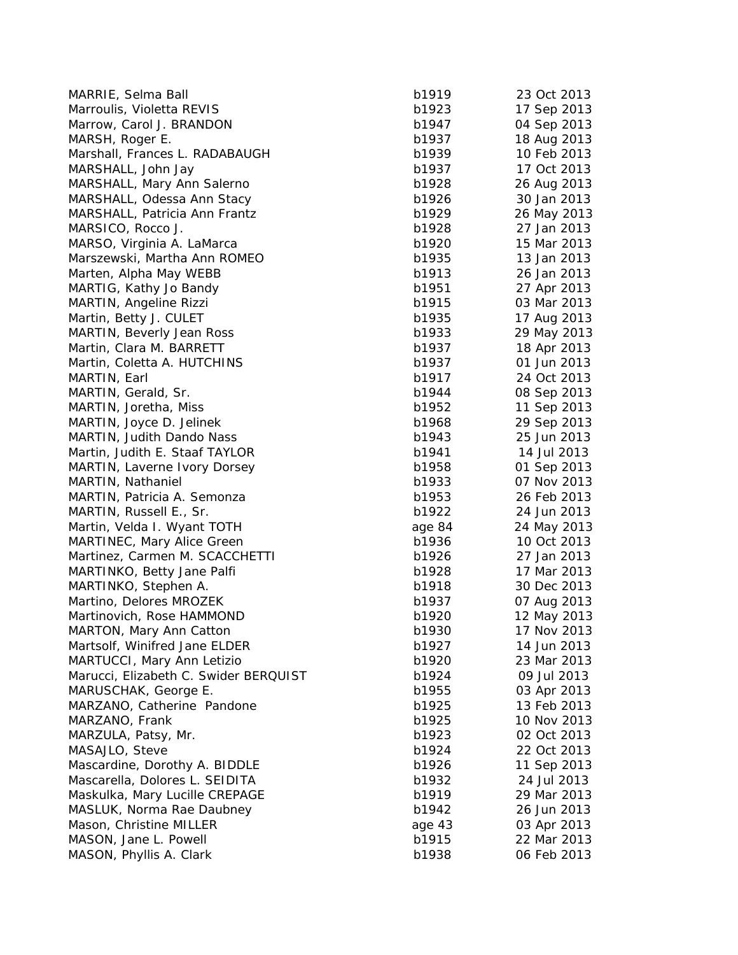| MARRIE, Selma Ball                    | b1919  | 23 Oct 2013 |
|---------------------------------------|--------|-------------|
| Marroulis, Violetta REVIS             | b1923  | 17 Sep 2013 |
| Marrow, Carol J. BRANDON              | b1947  | 04 Sep 2013 |
| MARSH, Roger E.                       | b1937  | 18 Aug 2013 |
| Marshall, Frances L. RADABAUGH        | b1939  | 10 Feb 2013 |
| MARSHALL, John Jay                    | b1937  | 17 Oct 2013 |
| MARSHALL, Mary Ann Salerno            | b1928  | 26 Aug 2013 |
| MARSHALL, Odessa Ann Stacy            | b1926  | 30 Jan 2013 |
| MARSHALL, Patricia Ann Frantz         | b1929  | 26 May 2013 |
| MARSICO, Rocco J.                     | b1928  | 27 Jan 2013 |
| MARSO, Virginia A. LaMarca            | b1920  | 15 Mar 2013 |
| Marszewski, Martha Ann ROMEO          | b1935  | 13 Jan 2013 |
| Marten, Alpha May WEBB                | b1913  | 26 Jan 2013 |
| MARTIG, Kathy Jo Bandy                | b1951  | 27 Apr 2013 |
| MARTIN, Angeline Rizzi                | b1915  | 03 Mar 2013 |
| Martin, Betty J. CULET                | b1935  | 17 Aug 2013 |
| <b>MARTIN, Beverly Jean Ross</b>      | b1933  | 29 May 2013 |
| Martin, Clara M. BARRETT              | b1937  | 18 Apr 2013 |
| Martin, Coletta A. HUTCHINS           | b1937  | 01 Jun 2013 |
| MARTIN, Earl                          | b1917  | 24 Oct 2013 |
| MARTIN, Gerald, Sr.                   | b1944  | 08 Sep 2013 |
| MARTIN, Joretha, Miss                 | b1952  | 11 Sep 2013 |
| MARTIN, Joyce D. Jelinek              | b1968  | 29 Sep 2013 |
| MARTIN, Judith Dando Nass             | b1943  | 25 Jun 2013 |
| Martin, Judith E. Staaf TAYLOR        | b1941  | 14 Jul 2013 |
| MARTIN, Laverne Ivory Dorsey          | b1958  | 01 Sep 2013 |
| MARTIN, Nathaniel                     | b1933  | 07 Nov 2013 |
| MARTIN, Patricia A. Semonza           | b1953  | 26 Feb 2013 |
| MARTIN, Russell E., Sr.               | b1922  | 24 Jun 2013 |
| Martin, Velda I. Wyant TOTH           | age 84 | 24 May 2013 |
| <b>MARTINEC, Mary Alice Green</b>     | b1936  | 10 Oct 2013 |
| Martinez, Carmen M. SCACCHETTI        | b1926  | 27 Jan 2013 |
| MARTINKO, Betty Jane Palfi            | b1928  | 17 Mar 2013 |
| MARTINKO, Stephen A.                  | b1918  | 30 Dec 2013 |
| Martino, Delores MROZEK               | b1937  | 07 Aug 2013 |
| Martinovich, Rose HAMMOND             | b1920  | 12 May 2013 |
| <b>MARTON, Mary Ann Catton</b>        | b1930  | 17 Nov 2013 |
| Martsolf, Winifred Jane ELDER         | b1927  | 14 Jun 2013 |
| MARTUCCI, Mary Ann Letizio            | b1920  | 23 Mar 2013 |
| Marucci, Elizabeth C. Swider BERQUIST | b1924  | 09 Jul 2013 |
| MARUSCHAK, George E.                  | b1955  | 03 Apr 2013 |
| MARZANO, Catherine Pandone            | b1925  | 13 Feb 2013 |
| MARZANO, Frank                        | b1925  | 10 Nov 2013 |
| MARZULA, Patsy, Mr.                   | b1923  | 02 Oct 2013 |
| MASAJLO, Steve                        | b1924  | 22 Oct 2013 |
| Mascardine, Dorothy A. BIDDLE         | b1926  | 11 Sep 2013 |
| Mascarella, Dolores L. SEIDITA        | b1932  | 24 Jul 2013 |
| Maskulka, Mary Lucille CREPAGE        | b1919  | 29 Mar 2013 |
| MASLUK, Norma Rae Daubney             | b1942  | 26 Jun 2013 |
| Mason, Christine MILLER               | age 43 | 03 Apr 2013 |
| MASON, Jane L. Powell                 | b1915  | 22 Mar 2013 |
| MASON, Phyllis A. Clark               | b1938  | 06 Feb 2013 |
|                                       |        |             |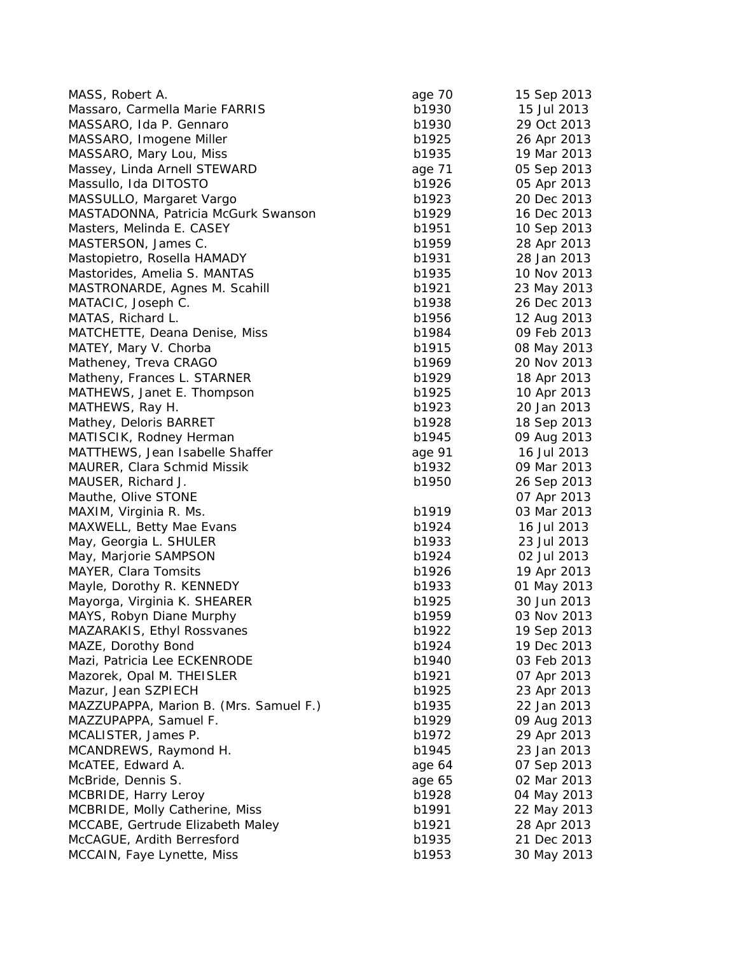| MASS, Robert A.                        | age 70 | 15 Sep 2013 |
|----------------------------------------|--------|-------------|
| Massaro, Carmella Marie FARRIS         | b1930  | 15 Jul 2013 |
| MASSARO, Ida P. Gennaro                | b1930  | 29 Oct 2013 |
| MASSARO, Imogene Miller                | b1925  | 26 Apr 2013 |
| MASSARO, Mary Lou, Miss                | b1935  | 19 Mar 2013 |
| Massey, Linda Arnell STEWARD           | age 71 | 05 Sep 2013 |
| Massullo, Ida DITOSTO                  | b1926  | 05 Apr 2013 |
| MASSULLO, Margaret Vargo               | b1923  | 20 Dec 2013 |
| MASTADONNA, Patricia McGurk Swanson    | b1929  | 16 Dec 2013 |
| Masters, Melinda E. CASEY              | b1951  | 10 Sep 2013 |
| MASTERSON, James C.                    | b1959  | 28 Apr 2013 |
| Mastopietro, Rosella HAMADY            | b1931  | 28 Jan 2013 |
| Mastorides, Amelia S. MANTAS           | b1935  | 10 Nov 2013 |
| MASTRONARDE, Agnes M. Scahill          | b1921  | 23 May 2013 |
| MATACIC, Joseph C.                     | b1938  | 26 Dec 2013 |
| MATAS, Richard L.                      | b1956  | 12 Aug 2013 |
| MATCHETTE, Deana Denise, Miss          | b1984  | 09 Feb 2013 |
| MATEY, Mary V. Chorba                  | b1915  | 08 May 2013 |
| Matheney, Treva CRAGO                  | b1969  | 20 Nov 2013 |
| Matheny, Frances L. STARNER            | b1929  | 18 Apr 2013 |
| MATHEWS, Janet E. Thompson             | b1925  | 10 Apr 2013 |
| MATHEWS, Ray H.                        | b1923  | 20 Jan 2013 |
| Mathey, Deloris BARRET                 | b1928  | 18 Sep 2013 |
| MATISCIK, Rodney Herman                | b1945  | 09 Aug 2013 |
| MATTHEWS, Jean Isabelle Shaffer        | age 91 | 16 Jul 2013 |
| MAURER, Clara Schmid Missik            | b1932  | 09 Mar 2013 |
| MAUSER, Richard J.                     | b1950  | 26 Sep 2013 |
| Mauthe, Olive STONE                    |        | 07 Apr 2013 |
| MAXIM, Virginia R. Ms.                 | b1919  | 03 Mar 2013 |
| MAXWELL, Betty Mae Evans               | b1924  | 16 Jul 2013 |
| May, Georgia L. SHULER                 | b1933  | 23 Jul 2013 |
| May, Marjorie SAMPSON                  | b1924  | 02 Jul 2013 |
| MAYER, Clara Tomsits                   | b1926  | 19 Apr 2013 |
| Mayle, Dorothy R. KENNEDY              | b1933  | 01 May 2013 |
| Mayorga, Virginia K. SHEARER           | b1925  | 30 Jun 2013 |
| MAYS, Robyn Diane Murphy               | b1959  | 03 Nov 2013 |
| MAZARAKIS, Ethyl Rossvanes             | b1922  | 19 Sep 2013 |
| MAZE, Dorothy Bond                     | b1924  | 19 Dec 2013 |
| Mazi, Patricia Lee ECKENRODE           | b1940  | 03 Feb 2013 |
| Mazorek, Opal M. THEISLER              | b1921  | 07 Apr 2013 |
| Mazur, Jean SZPIECH                    | b1925  | 23 Apr 2013 |
| MAZZUPAPPA, Marion B. (Mrs. Samuel F.) | b1935  | 22 Jan 2013 |
| MAZZUPAPPA, Samuel F.                  | b1929  | 09 Aug 2013 |
| MCALISTER, James P.                    | b1972  | 29 Apr 2013 |
| MCANDREWS, Raymond H.                  | b1945  | 23 Jan 2013 |
| McATEE, Edward A.                      | age 64 | 07 Sep 2013 |
| McBride, Dennis S.                     | age 65 | 02 Mar 2013 |
| MCBRIDE, Harry Leroy                   | b1928  | 04 May 2013 |
| MCBRIDE, Molly Catherine, Miss         | b1991  | 22 May 2013 |
| MCCABE, Gertrude Elizabeth Maley       | b1921  | 28 Apr 2013 |
| McCAGUE, Ardith Berresford             | b1935  | 21 Dec 2013 |
| MCCAIN, Faye Lynette, Miss             | b1953  | 30 May 2013 |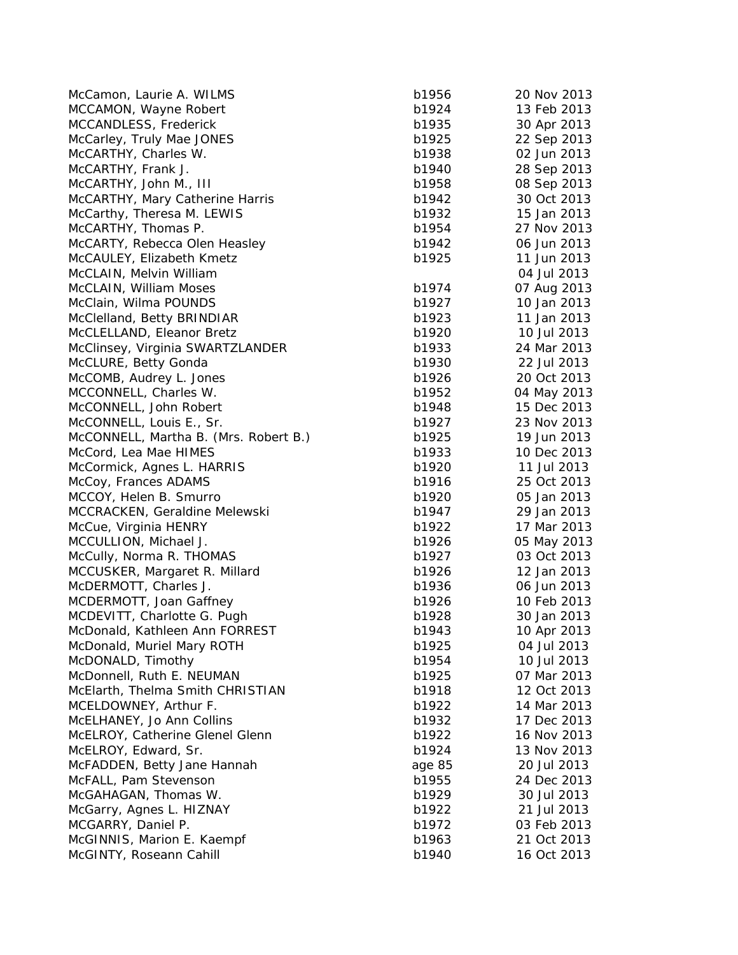| McCamon, Laurie A. WILMS              | b1956  | 20 Nov 2013 |
|---------------------------------------|--------|-------------|
| MCCAMON, Wayne Robert                 | b1924  | 13 Feb 2013 |
| MCCANDLESS, Frederick                 | b1935  | 30 Apr 2013 |
| McCarley, Truly Mae JONES             | b1925  | 22 Sep 2013 |
| McCARTHY, Charles W.                  | b1938  | 02 Jun 2013 |
| McCARTHY, Frank J.                    | b1940  | 28 Sep 2013 |
| McCARTHY, John M., III                | b1958  | 08 Sep 2013 |
| McCARTHY, Mary Catherine Harris       | b1942  | 30 Oct 2013 |
| McCarthy, Theresa M. LEWIS            | b1932  | 15 Jan 2013 |
| McCARTHY, Thomas P.                   | b1954  | 27 Nov 2013 |
| McCARTY, Rebecca Olen Heasley         | b1942  | 06 Jun 2013 |
| McCAULEY, Elizabeth Kmetz             | b1925  | 11 Jun 2013 |
| McCLAIN, Melvin William               |        | 04 Jul 2013 |
| McCLAIN, William Moses                | b1974  | 07 Aug 2013 |
| McClain, Wilma POUNDS                 | b1927  | 10 Jan 2013 |
| McClelland, Betty BRINDIAR            | b1923  | 11 Jan 2013 |
| McCLELLAND, Eleanor Bretz             | b1920  | 10 Jul 2013 |
| McClinsey, Virginia SWARTZLANDER      | b1933  | 24 Mar 2013 |
| McCLURE, Betty Gonda                  | b1930  | 22 Jul 2013 |
| McCOMB, Audrey L. Jones               | b1926  | 20 Oct 2013 |
| MCCONNELL, Charles W.                 | b1952  | 04 May 2013 |
| McCONNELL, John Robert                | b1948  | 15 Dec 2013 |
| McCONNELL, Louis E., Sr.              | b1927  | 23 Nov 2013 |
| McCONNELL, Martha B. (Mrs. Robert B.) | b1925  | 19 Jun 2013 |
| McCord, Lea Mae HIMES                 | b1933  | 10 Dec 2013 |
| McCormick, Agnes L. HARRIS            | b1920  | 11 Jul 2013 |
| McCoy, Frances ADAMS                  | b1916  | 25 Oct 2013 |
| MCCOY, Helen B. Smurro                | b1920  | 05 Jan 2013 |
| MCCRACKEN, Geraldine Melewski         | b1947  | 29 Jan 2013 |
| McCue, Virginia HENRY                 | b1922  | 17 Mar 2013 |
| MCCULLION, Michael J.                 | b1926  | 05 May 2013 |
| McCully, Norma R. THOMAS              | b1927  | 03 Oct 2013 |
| MCCUSKER, Margaret R. Millard         | b1926  | 12 Jan 2013 |
| McDERMOTT, Charles J.                 | b1936  | 06 Jun 2013 |
| MCDERMOTT, Joan Gaffney               | b1926  | 10 Feb 2013 |
| MCDEVITT, Charlotte G. Pugh           | b1928  | 30 Jan 2013 |
| McDonald, Kathleen Ann FORREST        | b1943  | 10 Apr 2013 |
| McDonald, Muriel Mary ROTH            | b1925  | 04 Jul 2013 |
| McDONALD, Timothy                     | b1954  | 10 Jul 2013 |
| McDonnell, Ruth E. NEUMAN             | b1925  | 07 Mar 2013 |
| McElarth, Thelma Smith CHRISTIAN      | b1918  | 12 Oct 2013 |
| MCELDOWNEY, Arthur F.                 | b1922  | 14 Mar 2013 |
| McELHANEY, Jo Ann Collins             | b1932  | 17 Dec 2013 |
| McELROY, Catherine Glenel Glenn       | b1922  | 16 Nov 2013 |
| McELROY, Edward, Sr.                  | b1924  | 13 Nov 2013 |
| McFADDEN, Betty Jane Hannah           | age 85 | 20 Jul 2013 |
| McFALL, Pam Stevenson                 | b1955  | 24 Dec 2013 |
| McGAHAGAN, Thomas W.                  | b1929  | 30 Jul 2013 |
| McGarry, Agnes L. HIZNAY              | b1922  | 21 Jul 2013 |
| MCGARRY, Daniel P.                    | b1972  | 03 Feb 2013 |
| McGINNIS, Marion E. Kaempf            | b1963  | 21 Oct 2013 |
| McGINTY, Roseann Cahill               | b1940  |             |
|                                       |        | 16 Oct 2013 |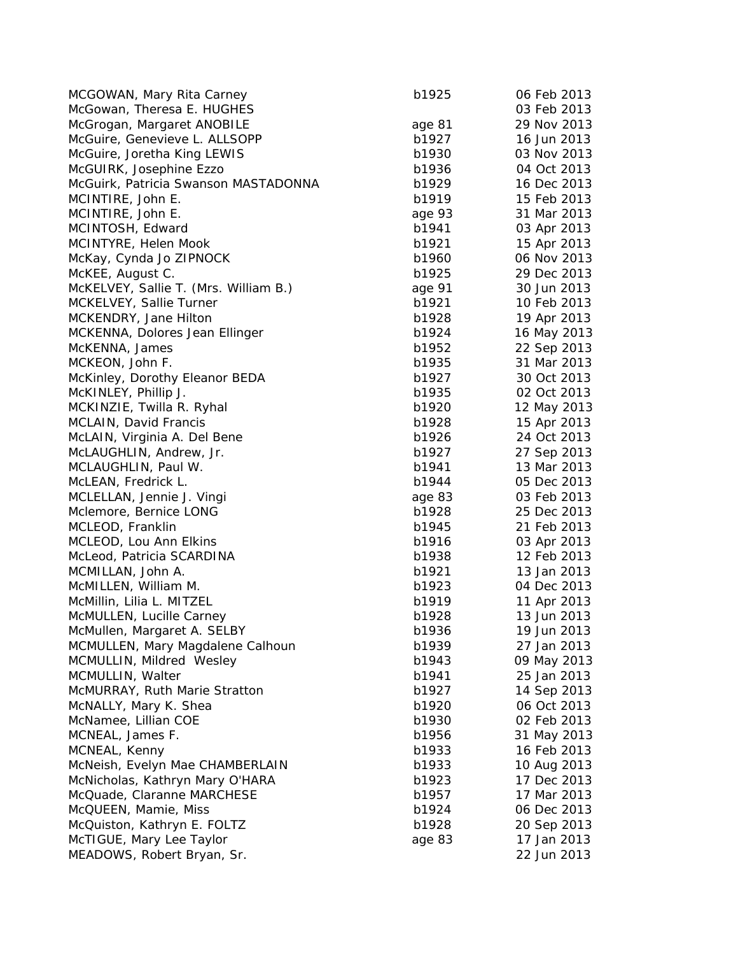| MCGOWAN, Mary Rita Carney             | b1925  | 06 Feb 2013 |
|---------------------------------------|--------|-------------|
| McGowan, Theresa E. HUGHES            |        | 03 Feb 2013 |
| McGrogan, Margaret ANOBILE            | age 81 | 29 Nov 2013 |
| McGuire, Genevieve L. ALLSOPP         | b1927  | 16 Jun 2013 |
| McGuire, Joretha King LEWIS           | b1930  | 03 Nov 2013 |
| McGUIRK, Josephine Ezzo               | b1936  | 04 Oct 2013 |
| McGuirk, Patricia Swanson MASTADONNA  | b1929  | 16 Dec 2013 |
| MCINTIRE, John E.                     | b1919  | 15 Feb 2013 |
| MCINTIRE, John E.                     | age 93 | 31 Mar 2013 |
| MCINTOSH, Edward                      | b1941  | 03 Apr 2013 |
| MCINTYRE, Helen Mook                  | b1921  | 15 Apr 2013 |
| McKay, Cynda Jo ZIPNOCK               | b1960  | 06 Nov 2013 |
| McKEE, August C.                      | b1925  | 29 Dec 2013 |
| McKELVEY, Sallie T. (Mrs. William B.) | age 91 | 30 Jun 2013 |
| MCKELVEY, Sallie Turner               | b1921  | 10 Feb 2013 |
| MCKENDRY, Jane Hilton                 | b1928  | 19 Apr 2013 |
| MCKENNA, Dolores Jean Ellinger        | b1924  | 16 May 2013 |
| McKENNA, James                        | b1952  | 22 Sep 2013 |
| MCKEON, John F.                       | b1935  | 31 Mar 2013 |
| McKinley, Dorothy Eleanor BEDA        | b1927  | 30 Oct 2013 |
| McKINLEY, Phillip J.                  | b1935  | 02 Oct 2013 |
| MCKINZIE, Twilla R. Ryhal             | b1920  | 12 May 2013 |
| MCLAIN, David Francis                 | b1928  | 15 Apr 2013 |
| McLAIN, Virginia A. Del Bene          | b1926  | 24 Oct 2013 |
| McLAUGHLIN, Andrew, Jr.               | b1927  | 27 Sep 2013 |
| MCLAUGHLIN, Paul W.                   | b1941  | 13 Mar 2013 |
| McLEAN, Fredrick L.                   | b1944  | 05 Dec 2013 |
| MCLELLAN, Jennie J. Vingi             | age 83 | 03 Feb 2013 |
| Mclemore, Bernice LONG                | b1928  | 25 Dec 2013 |
| MCLEOD, Franklin                      | b1945  | 21 Feb 2013 |
| MCLEOD, Lou Ann Elkins                | b1916  | 03 Apr 2013 |
| McLeod, Patricia SCARDINA             | b1938  | 12 Feb 2013 |
| MCMILLAN, John A.                     | b1921  | 13 Jan 2013 |
| McMILLEN, William M.                  | b1923  | 04 Dec 2013 |
| McMillin, Lilia L. MITZEL             | b1919  | 11 Apr 2013 |
| McMULLEN, Lucille Carney              | b1928  | 13 Jun 2013 |
| McMullen, Margaret A. SELBY           | b1936  | 19 Jun 2013 |
| MCMULLEN, Mary Magdalene Calhoun      | b1939  | 27 Jan 2013 |
| MCMULLIN, Mildred Wesley              | b1943  | 09 May 2013 |
| MCMULLIN, Walter                      | b1941  | 25 Jan 2013 |
| McMURRAY, Ruth Marie Stratton         | b1927  | 14 Sep 2013 |
| McNALLY, Mary K. Shea                 | b1920  | 06 Oct 2013 |
| McNamee, Lillian COE                  | b1930  | 02 Feb 2013 |
| MCNEAL, James F.                      | b1956  | 31 May 2013 |
| MCNEAL, Kenny                         | b1933  | 16 Feb 2013 |
| McNeish, Evelyn Mae CHAMBERLAIN       | b1933  | 10 Aug 2013 |
| McNicholas, Kathryn Mary O'HARA       | b1923  | 17 Dec 2013 |
| McQuade, Claranne MARCHESE            | b1957  | 17 Mar 2013 |
| McQUEEN, Mamie, Miss                  | b1924  | 06 Dec 2013 |
| McQuiston, Kathryn E. FOLTZ           | b1928  | 20 Sep 2013 |
| McTIGUE, Mary Lee Taylor              | age 83 | 17 Jan 2013 |
| MEADOWS, Robert Bryan, Sr.            |        | 22 Jun 2013 |
|                                       |        |             |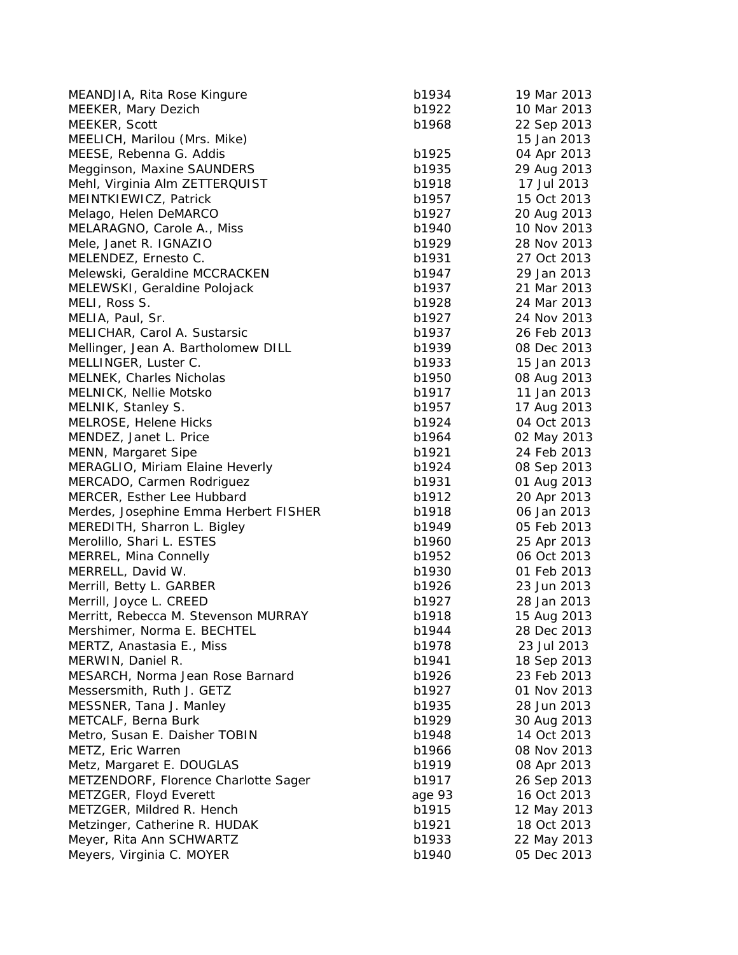| MEANDJIA, Rita Rose Kingure           | b1934  | 19 Mar 2013 |
|---------------------------------------|--------|-------------|
| MEEKER, Mary Dezich                   | b1922  | 10 Mar 2013 |
| MEEKER, Scott                         | b1968  | 22 Sep 2013 |
| MEELICH, Marilou (Mrs. Mike)          |        | 15 Jan 2013 |
| MEESE, Rebenna G. Addis               | b1925  | 04 Apr 2013 |
| Megginson, Maxine SAUNDERS            | b1935  | 29 Aug 2013 |
| Mehl, Virginia Alm ZETTERQUIST        | b1918  | 17 Jul 2013 |
| MEINTKIEWICZ, Patrick                 | b1957  | 15 Oct 2013 |
| Melago, Helen DeMARCO                 | b1927  | 20 Aug 2013 |
| MELARAGNO, Carole A., Miss            | b1940  | 10 Nov 2013 |
| Mele, Janet R. IGNAZIO                | b1929  | 28 Nov 2013 |
| MELENDEZ, Ernesto C.                  | b1931  | 27 Oct 2013 |
| Melewski, Geraldine MCCRACKEN         | b1947  | 29 Jan 2013 |
| MELEWSKI, Geraldine Polojack          | b1937  | 21 Mar 2013 |
| MELI, Ross S.                         | b1928  | 24 Mar 2013 |
| MELIA, Paul, Sr.                      | b1927  | 24 Nov 2013 |
| MELICHAR, Carol A. Sustarsic          | b1937  | 26 Feb 2013 |
| Mellinger, Jean A. Bartholomew DILL   | b1939  | 08 Dec 2013 |
| MELLINGER, Luster C.                  | b1933  | 15 Jan 2013 |
| MELNEK, Charles Nicholas              | b1950  | 08 Aug 2013 |
| MELNICK, Nellie Motsko                | b1917  | 11 Jan 2013 |
| MELNIK, Stanley S.                    | b1957  | 17 Aug 2013 |
| MELROSE, Helene Hicks                 | b1924  | 04 Oct 2013 |
| MENDEZ, Janet L. Price                | b1964  | 02 May 2013 |
| MENN, Margaret Sipe                   | b1921  | 24 Feb 2013 |
| MERAGLIO, Miriam Elaine Heverly       | b1924  | 08 Sep 2013 |
| MERCADO, Carmen Rodriguez             | b1931  | 01 Aug 2013 |
| MERCER, Esther Lee Hubbard            | b1912  | 20 Apr 2013 |
| Merdes, Josephine Emma Herbert FISHER | b1918  | 06 Jan 2013 |
| MEREDITH, Sharron L. Bigley           | b1949  | 05 Feb 2013 |
| Merolillo, Shari L. ESTES             | b1960  | 25 Apr 2013 |
| MERREL, Mina Connelly                 | b1952  | 06 Oct 2013 |
| MERRELL, David W.                     | b1930  | 01 Feb 2013 |
| Merrill, Betty L. GARBER              | b1926  | 23 Jun 2013 |
| Merrill, Joyce L. CREED               | b1927  | 28 Jan 2013 |
| Merritt, Rebecca M. Stevenson MURRAY  | b1918  | 15 Aug 2013 |
| Mershimer, Norma E. BECHTEL           | b1944  | 28 Dec 2013 |
| MERTZ, Anastasia E., Miss             | b1978  | 23 Jul 2013 |
| MERWIN, Daniel R.                     | b1941  | 18 Sep 2013 |
| MESARCH, Norma Jean Rose Barnard      | b1926  | 23 Feb 2013 |
| Messersmith, Ruth J. GETZ             | b1927  | 01 Nov 2013 |
| MESSNER, Tana J. Manley               | b1935  | 28 Jun 2013 |
| METCALF, Berna Burk                   | b1929  | 30 Aug 2013 |
| Metro, Susan E. Daisher TOBIN         | b1948  | 14 Oct 2013 |
| METZ, Eric Warren                     | b1966  | 08 Nov 2013 |
| Metz, Margaret E. DOUGLAS             | b1919  | 08 Apr 2013 |
| METZENDORF, Florence Charlotte Sager  | b1917  | 26 Sep 2013 |
| METZGER, Floyd Everett                | age 93 | 16 Oct 2013 |
| METZGER, Mildred R. Hench             | b1915  | 12 May 2013 |
| Metzinger, Catherine R. HUDAK         | b1921  | 18 Oct 2013 |
| Meyer, Rita Ann SCHWARTZ              | b1933  | 22 May 2013 |
| Meyers, Virginia C. MOYER             | b1940  | 05 Dec 2013 |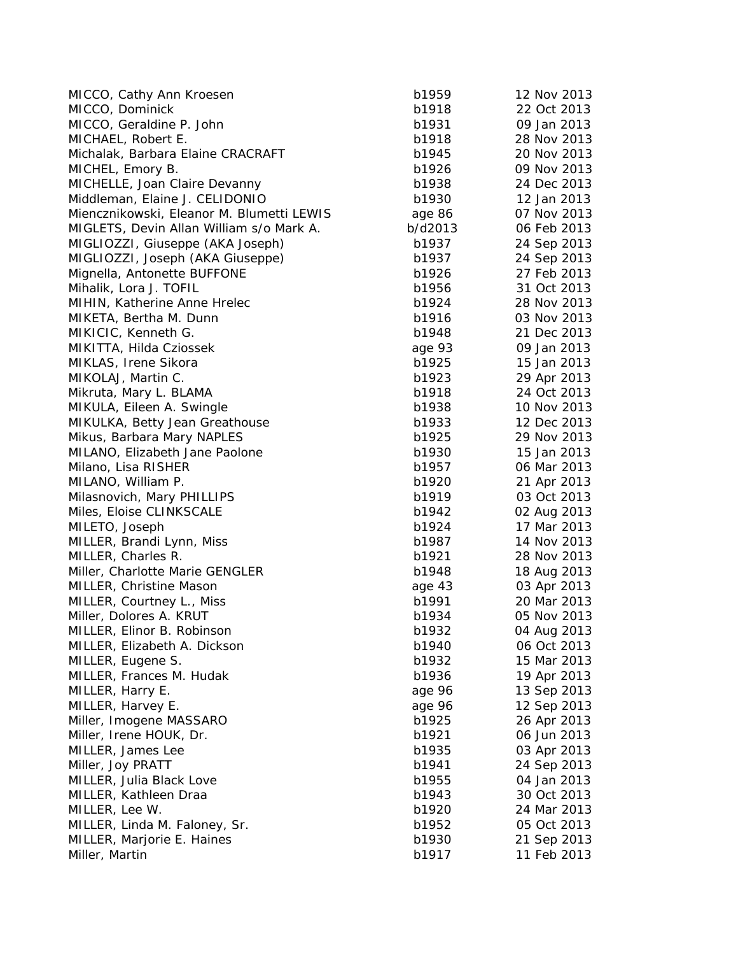| MICCO, Cathy Ann Kroesen                  | b1959   | 12 Nov 2013 |
|-------------------------------------------|---------|-------------|
| MICCO, Dominick                           | b1918   | 22 Oct 2013 |
| MICCO, Geraldine P. John                  | b1931   | 09 Jan 2013 |
| MICHAEL, Robert E.                        | b1918   | 28 Nov 2013 |
| Michalak, Barbara Elaine CRACRAFT         | b1945   | 20 Nov 2013 |
| MICHEL, Emory B.                          | b1926   | 09 Nov 2013 |
| MICHELLE, Joan Claire Devanny             | b1938   | 24 Dec 2013 |
| Middleman, Elaine J. CELIDONIO            | b1930   | 12 Jan 2013 |
| Miencznikowski, Eleanor M. Blumetti LEWIS | age 86  | 07 Nov 2013 |
| MIGLETS, Devin Allan William s/o Mark A.  | b/d2013 | 06 Feb 2013 |
| MIGLIOZZI, Giuseppe (AKA Joseph)          | b1937   | 24 Sep 2013 |
| MIGLIOZZI, Joseph (AKA Giuseppe)          | b1937   | 24 Sep 2013 |
| Mignella, Antonette BUFFONE               | b1926   | 27 Feb 2013 |
| Mihalik, Lora J. TOFIL                    | b1956   | 31 Oct 2013 |
| MIHIN, Katherine Anne Hrelec              | b1924   | 28 Nov 2013 |
| MIKETA, Bertha M. Dunn                    | b1916   | 03 Nov 2013 |
| MIKICIC, Kenneth G.                       | b1948   | 21 Dec 2013 |
| MIKITTA, Hilda Cziossek                   | age 93  | 09 Jan 2013 |
| MIKLAS, Irene Sikora                      | b1925   | 15 Jan 2013 |
| MIKOLAJ, Martin C.                        | b1923   | 29 Apr 2013 |
| Mikruta, Mary L. BLAMA                    | b1918   | 24 Oct 2013 |
| MIKULA, Eileen A. Swingle                 | b1938   | 10 Nov 2013 |
| MIKULKA, Betty Jean Greathouse            | b1933   | 12 Dec 2013 |
| Mikus, Barbara Mary NAPLES                | b1925   | 29 Nov 2013 |
| MILANO, Elizabeth Jane Paolone            | b1930   | 15 Jan 2013 |
| Milano, Lisa RISHER                       | b1957   | 06 Mar 2013 |
| MILANO, William P.                        | b1920   | 21 Apr 2013 |
| Milasnovich, Mary PHILLIPS                | b1919   | 03 Oct 2013 |
| Miles, Eloise CLINKSCALE                  | b1942   | 02 Aug 2013 |
| MILETO, Joseph                            | b1924   | 17 Mar 2013 |
| MILLER, Brandi Lynn, Miss                 | b1987   | 14 Nov 2013 |
| MILLER, Charles R.                        | b1921   | 28 Nov 2013 |
| Miller, Charlotte Marie GENGLER           | b1948   | 18 Aug 2013 |
| <b>MILLER, Christine Mason</b>            | age 43  | 03 Apr 2013 |
| MILLER, Courtney L., Miss                 | b1991   | 20 Mar 2013 |
| Miller, Dolores A. KRUT                   | b1934   | 05 Nov 2013 |
| MILLER, Elinor B. Robinson                | b1932   | 04 Aug 2013 |
| MILLER, Elizabeth A. Dickson              | b1940   | 06 Oct 2013 |
| MILLER, Eugene S.                         | b1932   | 15 Mar 2013 |
| MILLER, Frances M. Hudak                  | b1936   | 19 Apr 2013 |
| MILLER, Harry E.                          | age 96  | 13 Sep 2013 |
| MILLER, Harvey E.                         | age 96  | 12 Sep 2013 |
| Miller, Imogene MASSARO                   | b1925   | 26 Apr 2013 |
| Miller, Irene HOUK, Dr.                   | b1921   | 06 Jun 2013 |
| MILLER, James Lee                         | b1935   | 03 Apr 2013 |
| Miller, Joy PRATT                         | b1941   | 24 Sep 2013 |
| MILLER, Julia Black Love                  | b1955   | 04 Jan 2013 |
| MILLER, Kathleen Draa                     | b1943   | 30 Oct 2013 |
| MILLER, Lee W.                            | b1920   | 24 Mar 2013 |
| MILLER, Linda M. Faloney, Sr.             | b1952   | 05 Oct 2013 |
| MILLER, Marjorie E. Haines                | b1930   | 21 Sep 2013 |
| Miller, Martin                            | b1917   | 11 Feb 2013 |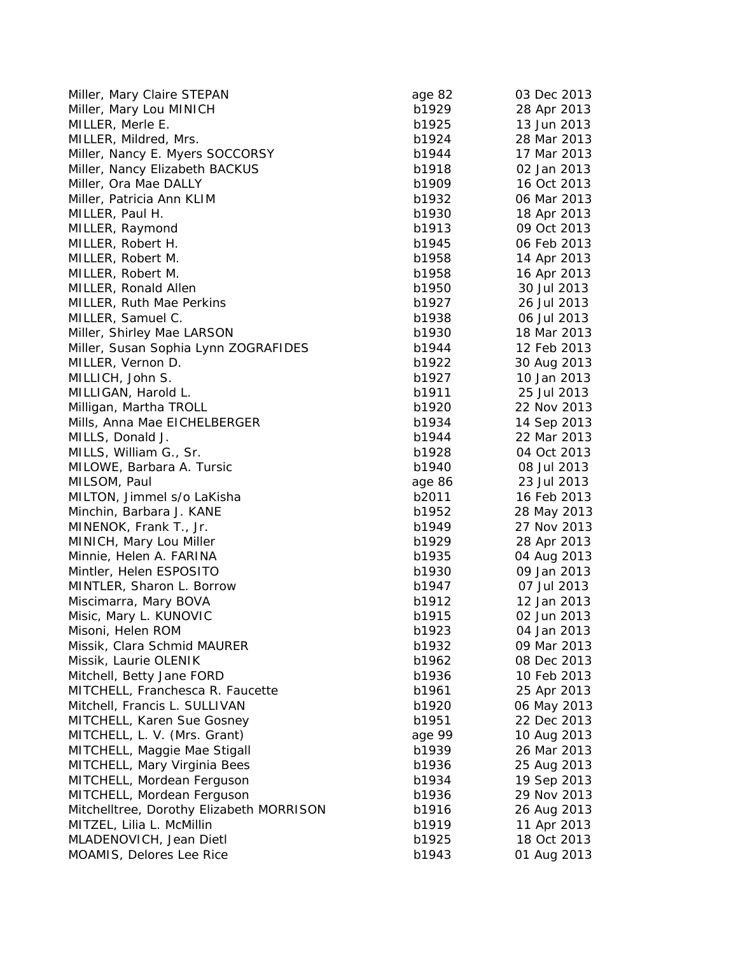| Miller, Mary Claire STEPAN               | age 82 | 03 Dec 2013 |
|------------------------------------------|--------|-------------|
| Miller, Mary Lou MINICH                  | b1929  | 28 Apr 2013 |
| MILLER, Merle E.                         | b1925  | 13 Jun 2013 |
| MILLER, Mildred, Mrs.                    | b1924  | 28 Mar 2013 |
| Miller, Nancy E. Myers SOCCORSY          | b1944  | 17 Mar 2013 |
| Miller, Nancy Elizabeth BACKUS           | b1918  | 02 Jan 2013 |
| Miller, Ora Mae DALLY                    | b1909  | 16 Oct 2013 |
| Miller, Patricia Ann KLIM                | b1932  | 06 Mar 2013 |
| MILLER, Paul H.                          | b1930  | 18 Apr 2013 |
| MILLER, Raymond                          | b1913  | 09 Oct 2013 |
| MILLER, Robert H.                        | b1945  | 06 Feb 2013 |
| MILLER, Robert M.                        | b1958  | 14 Apr 2013 |
| MILLER, Robert M.                        | b1958  | 16 Apr 2013 |
| MILLER, Ronald Allen                     | b1950  | 30 Jul 2013 |
| MILLER, Ruth Mae Perkins                 | b1927  | 26 Jul 2013 |
| MILLER, Samuel C.                        | b1938  | 06 Jul 2013 |
| Miller, Shirley Mae LARSON               | b1930  | 18 Mar 2013 |
| Miller, Susan Sophia Lynn ZOGRAFIDES     | b1944  | 12 Feb 2013 |
| MILLER, Vernon D.                        | b1922  | 30 Aug 2013 |
| MILLICH, John S.                         | b1927  | 10 Jan 2013 |
| MILLIGAN, Harold L.                      | b1911  | 25 Jul 2013 |
| Milligan, Martha TROLL                   | b1920  | 22 Nov 2013 |
| Mills, Anna Mae EICHELBERGER             | b1934  | 14 Sep 2013 |
| MILLS, Donald J.                         | b1944  | 22 Mar 2013 |
| MILLS, William G., Sr.                   | b1928  | 04 Oct 2013 |
| MILOWE, Barbara A. Tursic                | b1940  | 08 Jul 2013 |
| MILSOM, Paul                             | age 86 | 23 Jul 2013 |
| MILTON, Jimmel s/o LaKisha               | b2011  | 16 Feb 2013 |
| Minchin, Barbara J. KANE                 | b1952  | 28 May 2013 |
| MINENOK, Frank T., Jr.                   | b1949  | 27 Nov 2013 |
| MINICH, Mary Lou Miller                  | b1929  | 28 Apr 2013 |
| Minnie, Helen A. FARINA                  | b1935  | 04 Aug 2013 |
| Mintler, Helen ESPOSITO                  | b1930  | 09 Jan 2013 |
| MINTLER, Sharon L. Borrow                | b1947  | 07 Jul 2013 |
| Miscimarra, Mary BOVA                    | b1912  | 12 Jan 2013 |
| Misic, Mary L. KUNOVIC                   | b1915  | 02 Jun 2013 |
| Misoni, Helen ROM                        | b1923  | 04 Jan 2013 |
| Missik, Clara Schmid MAURER              | b1932  | 09 Mar 2013 |
| Missik, Laurie OLENIK                    | b1962  | 08 Dec 2013 |
| Mitchell, Betty Jane FORD                | b1936  | 10 Feb 2013 |
| MITCHELL, Franchesca R. Faucette         | b1961  | 25 Apr 2013 |
| Mitchell, Francis L. SULLIVAN            | b1920  | 06 May 2013 |
| MITCHELL, Karen Sue Gosney               | b1951  | 22 Dec 2013 |
| MITCHELL, L. V. (Mrs. Grant)             | age 99 | 10 Aug 2013 |
| MITCHELL, Maggie Mae Stigall             | b1939  | 26 Mar 2013 |
| MITCHELL, Mary Virginia Bees             | b1936  | 25 Aug 2013 |
| MITCHELL, Mordean Ferguson               | b1934  | 19 Sep 2013 |
| MITCHELL, Mordean Ferguson               | b1936  | 29 Nov 2013 |
| Mitchelltree, Dorothy Elizabeth MORRISON | b1916  | 26 Aug 2013 |
| MITZEL, Lilia L. McMillin                | b1919  | 11 Apr 2013 |
| MLADENOVICH, Jean Dietl                  | b1925  | 18 Oct 2013 |
| MOAMIS, Delores Lee Rice                 | b1943  | 01 Aug 2013 |
|                                          |        |             |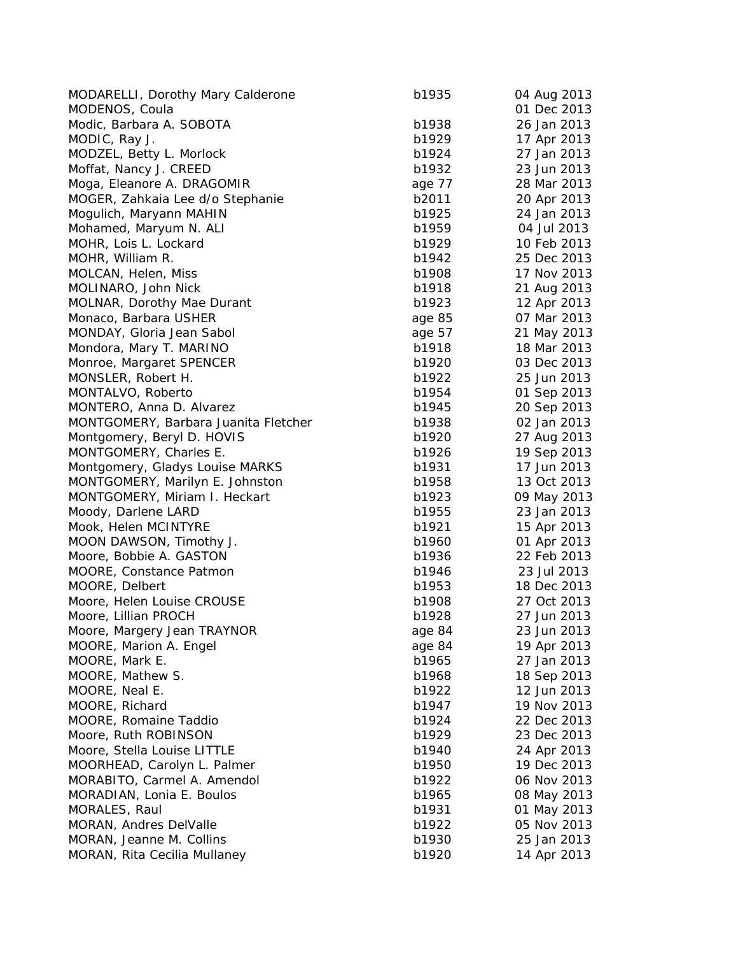| <b>MODARELLI, Dorothy Mary Calderone</b> | b1935  | 04 Aug 2013 |
|------------------------------------------|--------|-------------|
| MODENOS, Coula                           |        | 01 Dec 2013 |
| Modic, Barbara A. SOBOTA                 | b1938  | 26 Jan 2013 |
| MODIC, Ray J.                            | b1929  | 17 Apr 2013 |
| MODZEL, Betty L. Morlock                 | b1924  | 27 Jan 2013 |
| Moffat, Nancy J. CREED                   | b1932  | 23 Jun 2013 |
| Moga, Eleanore A. DRAGOMIR               | age 77 | 28 Mar 2013 |
| MOGER, Zahkaia Lee d/o Stephanie         | b2011  | 20 Apr 2013 |
| Mogulich, Maryann MAHIN                  | b1925  | 24 Jan 2013 |
| Mohamed, Maryum N. ALI                   | b1959  | 04 Jul 2013 |
| MOHR, Lois L. Lockard                    | b1929  | 10 Feb 2013 |
| MOHR, William R.                         | b1942  | 25 Dec 2013 |
| MOLCAN, Helen, Miss                      | b1908  | 17 Nov 2013 |
| MOLINARO, John Nick                      | b1918  | 21 Aug 2013 |
| <b>MOLNAR, Dorothy Mae Durant</b>        | b1923  | 12 Apr 2013 |
| Monaco, Barbara USHER                    | age 85 | 07 Mar 2013 |
| MONDAY, Gloria Jean Sabol                | age 57 | 21 May 2013 |
| Mondora, Mary T. MARINO                  | b1918  | 18 Mar 2013 |
| Monroe, Margaret SPENCER                 | b1920  | 03 Dec 2013 |
| MONSLER, Robert H.                       | b1922  | 25 Jun 2013 |
| MONTALVO, Roberto                        | b1954  | 01 Sep 2013 |
| MONTERO, Anna D. Alvarez                 | b1945  | 20 Sep 2013 |
| MONTGOMERY, Barbara Juanita Fletcher     | b1938  | 02 Jan 2013 |
| Montgomery, Beryl D. HOVIS               | b1920  | 27 Aug 2013 |
| MONTGOMERY, Charles E.                   | b1926  | 19 Sep 2013 |
| Montgomery, Gladys Louise MARKS          | b1931  | 17 Jun 2013 |
| MONTGOMERY, Marilyn E. Johnston          | b1958  | 13 Oct 2013 |
| MONTGOMERY, Miriam I. Heckart            | b1923  | 09 May 2013 |
| Moody, Darlene LARD                      | b1955  | 23 Jan 2013 |
| Mook, Helen MCINTYRE                     | b1921  | 15 Apr 2013 |
| MOON DAWSON, Timothy J.                  | b1960  | 01 Apr 2013 |
| Moore, Bobbie A. GASTON                  | b1936  | 22 Feb 2013 |
| MOORE, Constance Patmon                  | b1946  | 23 Jul 2013 |
| MOORE, Delbert                           | b1953  | 18 Dec 2013 |
| Moore, Helen Louise CROUSE               | b1908  | 27 Oct 2013 |
| Moore, Lillian PROCH                     | b1928  | 27 Jun 2013 |
| Moore, Margery Jean TRAYNOR              | age 84 | 23 Jun 2013 |
| MOORE, Marion A. Engel                   | age 84 | 19 Apr 2013 |
| MOORE, Mark E.                           | b1965  | 27 Jan 2013 |
| MOORE, Mathew S.                         | b1968  | 18 Sep 2013 |
| MOORE, Neal E.                           | b1922  | 12 Jun 2013 |
| MOORE, Richard                           | b1947  | 19 Nov 2013 |
| MOORE, Romaine Taddio                    | b1924  | 22 Dec 2013 |
| Moore, Ruth ROBINSON                     | b1929  | 23 Dec 2013 |
| Moore, Stella Louise LITTLE              | b1940  | 24 Apr 2013 |
| MOORHEAD, Carolyn L. Palmer              | b1950  | 19 Dec 2013 |
| MORABITO, Carmel A. Amendol              | b1922  | 06 Nov 2013 |
| MORADIAN, Lonia E. Boulos                | b1965  | 08 May 2013 |
| MORALES, Raul                            | b1931  | 01 May 2013 |
| MORAN, Andres DelValle                   | b1922  | 05 Nov 2013 |
| MORAN, Jeanne M. Collins                 | b1930  | 25 Jan 2013 |
| MORAN, Rita Cecilia Mullaney             | b1920  | 14 Apr 2013 |
|                                          |        |             |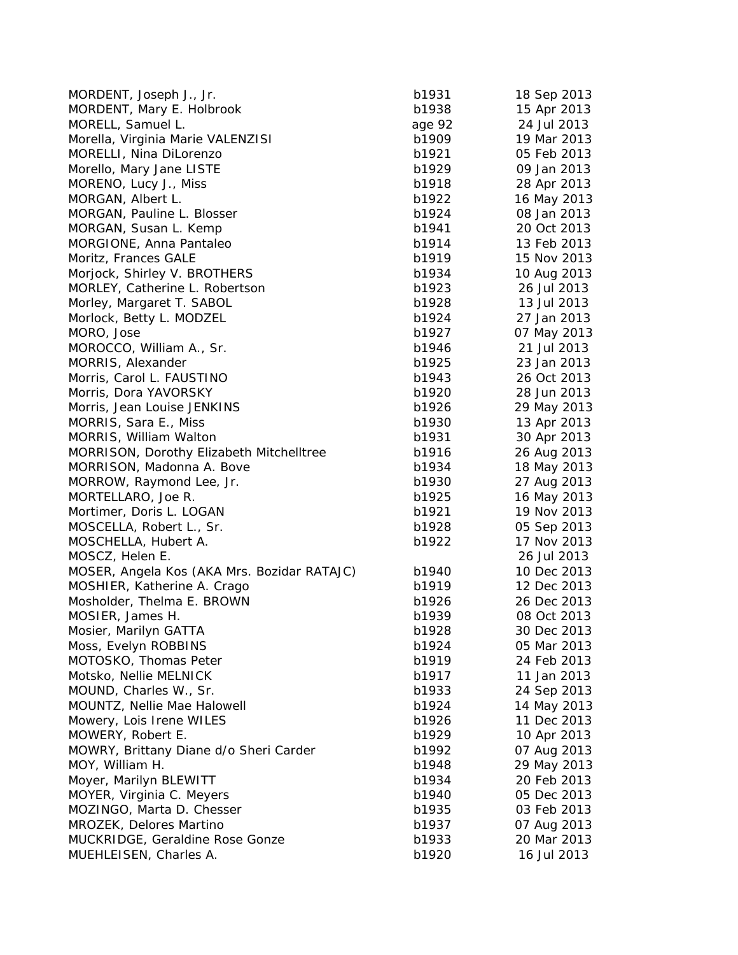| MORDENT, Joseph J., Jr.                     | b1931  | 18 Sep 2013 |
|---------------------------------------------|--------|-------------|
| MORDENT, Mary E. Holbrook                   | b1938  | 15 Apr 2013 |
| MORELL, Samuel L.                           | age 92 | 24 Jul 2013 |
| Morella, Virginia Marie VALENZISI           | b1909  | 19 Mar 2013 |
| MORELLI, Nina DiLorenzo                     | b1921  | 05 Feb 2013 |
| Morello, Mary Jane LISTE                    | b1929  | 09 Jan 2013 |
| MORENO, Lucy J., Miss                       | b1918  | 28 Apr 2013 |
| MORGAN, Albert L.                           | b1922  | 16 May 2013 |
| MORGAN, Pauline L. Blosser                  | b1924  | 08 Jan 2013 |
| MORGAN, Susan L. Kemp                       | b1941  | 20 Oct 2013 |
| MORGIONE, Anna Pantaleo                     | b1914  | 13 Feb 2013 |
| Moritz, Frances GALE                        | b1919  | 15 Nov 2013 |
| Morjock, Shirley V. BROTHERS                | b1934  | 10 Aug 2013 |
| MORLEY, Catherine L. Robertson              | b1923  | 26 Jul 2013 |
| Morley, Margaret T. SABOL                   | b1928  | 13 Jul 2013 |
| Morlock, Betty L. MODZEL                    | b1924  | 27 Jan 2013 |
| MORO, Jose                                  | b1927  | 07 May 2013 |
| MOROCCO, William A., Sr.                    | b1946  | 21 Jul 2013 |
| MORRIS, Alexander                           | b1925  | 23 Jan 2013 |
| Morris, Carol L. FAUSTINO                   | b1943  | 26 Oct 2013 |
| Morris, Dora YAVORSKY                       | b1920  | 28 Jun 2013 |
| Morris, Jean Louise JENKINS                 | b1926  | 29 May 2013 |
| MORRIS, Sara E., Miss                       | b1930  | 13 Apr 2013 |
| MORRIS, William Walton                      | b1931  | 30 Apr 2013 |
| MORRISON, Dorothy Elizabeth Mitchelltree    | b1916  | 26 Aug 2013 |
| MORRISON, Madonna A. Bove                   | b1934  | 18 May 2013 |
| MORROW, Raymond Lee, Jr.                    | b1930  | 27 Aug 2013 |
| MORTELLARO, Joe R.                          | b1925  | 16 May 2013 |
| Mortimer, Doris L. LOGAN                    | b1921  | 19 Nov 2013 |
| MOSCELLA, Robert L., Sr.                    | b1928  | 05 Sep 2013 |
| MOSCHELLA, Hubert A.                        | b1922  | 17 Nov 2013 |
| MOSCZ, Helen E.                             |        | 26 Jul 2013 |
| MOSER, Angela Kos (AKA Mrs. Bozidar RATAJC) | b1940  | 10 Dec 2013 |
| MOSHIER, Katherine A. Crago                 | b1919  | 12 Dec 2013 |
| Mosholder, Thelma E. BROWN                  | b1926  | 26 Dec 2013 |
| MOSIER, James H.                            | b1939  | 08 Oct 2013 |
| Mosier, Marilyn GATTA                       | b1928  | 30 Dec 2013 |
| Moss, Evelyn ROBBINS                        | b1924  | 05 Mar 2013 |
| MOTOSKO, Thomas Peter                       | b1919  | 24 Feb 2013 |
| Motsko, Nellie MELNICK                      | b1917  | 11 Jan 2013 |
| MOUND, Charles W., Sr.                      | b1933  | 24 Sep 2013 |
| MOUNTZ, Nellie Mae Halowell                 | b1924  | 14 May 2013 |
| Mowery, Lois Irene WILES                    | b1926  | 11 Dec 2013 |
| MOWERY, Robert E.                           | b1929  | 10 Apr 2013 |
| MOWRY, Brittany Diane d/o Sheri Carder      | b1992  | 07 Aug 2013 |
| MOY, William H.                             | b1948  | 29 May 2013 |
| Moyer, Marilyn BLEWITT                      | b1934  | 20 Feb 2013 |
| MOYER, Virginia C. Meyers                   | b1940  | 05 Dec 2013 |
| MOZINGO, Marta D. Chesser                   | b1935  | 03 Feb 2013 |
| MROZEK, Delores Martino                     | b1937  | 07 Aug 2013 |
| MUCKRIDGE, Geraldine Rose Gonze             | b1933  | 20 Mar 2013 |
| MUEHLEISEN, Charles A.                      | b1920  | 16 Jul 2013 |
|                                             |        |             |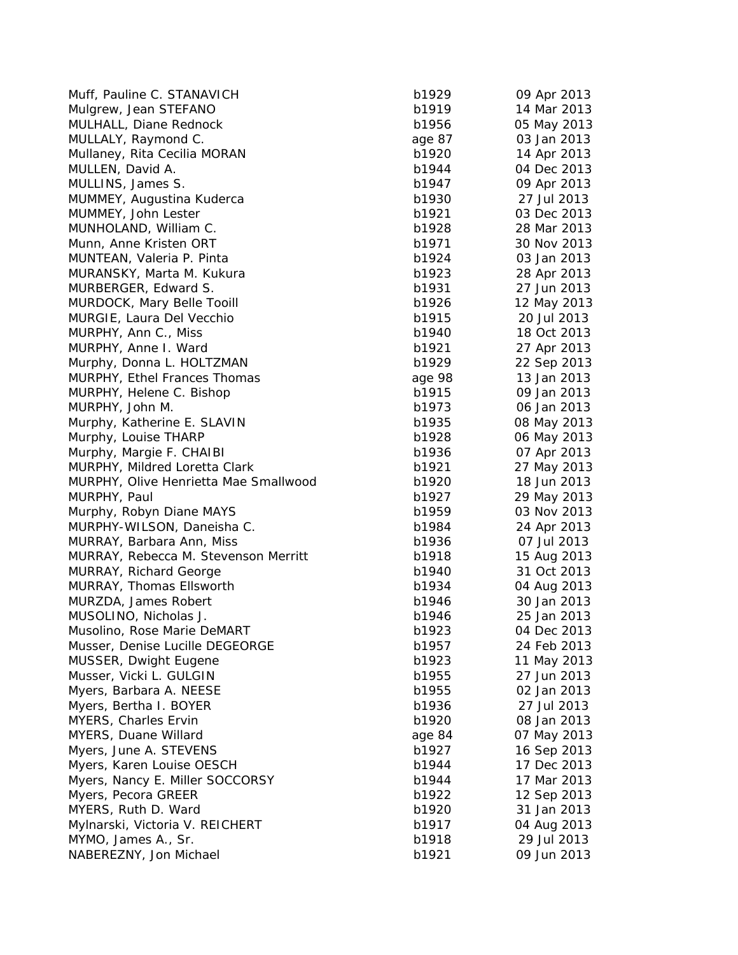| Muff, Pauline C. STANAVICH            | b1929  | 09 Apr 2013 |
|---------------------------------------|--------|-------------|
| Mulgrew, Jean STEFANO                 | b1919  | 14 Mar 2013 |
| MULHALL, Diane Rednock                | b1956  | 05 May 2013 |
| MULLALY, Raymond C.                   | age 87 | 03 Jan 2013 |
| Mullaney, Rita Cecilia MORAN          | b1920  | 14 Apr 2013 |
| MULLEN, David A.                      | b1944  | 04 Dec 2013 |
| MULLINS, James S.                     | b1947  | 09 Apr 2013 |
| MUMMEY, Augustina Kuderca             | b1930  | 27 Jul 2013 |
| MUMMEY, John Lester                   | b1921  | 03 Dec 2013 |
| MUNHOLAND, William C.                 | b1928  | 28 Mar 2013 |
| Munn, Anne Kristen ORT                | b1971  | 30 Nov 2013 |
| MUNTEAN, Valeria P. Pinta             | b1924  | 03 Jan 2013 |
| MURANSKY, Marta M. Kukura             | b1923  | 28 Apr 2013 |
| MURBERGER, Edward S.                  | b1931  | 27 Jun 2013 |
| MURDOCK, Mary Belle Tooill            | b1926  | 12 May 2013 |
| MURGIE, Laura Del Vecchio             | b1915  | 20 Jul 2013 |
| MURPHY, Ann C., Miss                  | b1940  | 18 Oct 2013 |
| MURPHY, Anne I. Ward                  | b1921  | 27 Apr 2013 |
| Murphy, Donna L. HOLTZMAN             | b1929  | 22 Sep 2013 |
| MURPHY, Ethel Frances Thomas          | age 98 | 13 Jan 2013 |
| MURPHY, Helene C. Bishop              | b1915  | 09 Jan 2013 |
| MURPHY, John M.                       | b1973  | 06 Jan 2013 |
| Murphy, Katherine E. SLAVIN           | b1935  | 08 May 2013 |
| Murphy, Louise THARP                  | b1928  | 06 May 2013 |
| Murphy, Margie F. CHAIBI              | b1936  | 07 Apr 2013 |
| MURPHY, Mildred Loretta Clark         | b1921  | 27 May 2013 |
| MURPHY, Olive Henrietta Mae Smallwood | b1920  | 18 Jun 2013 |
| MURPHY, Paul                          | b1927  | 29 May 2013 |
| Murphy, Robyn Diane MAYS              | b1959  | 03 Nov 2013 |
| MURPHY-WILSON, Daneisha C.            | b1984  | 24 Apr 2013 |
| MURRAY, Barbara Ann, Miss             | b1936  | 07 Jul 2013 |
| MURRAY, Rebecca M. Stevenson Merritt  | b1918  | 15 Aug 2013 |
| MURRAY, Richard George                | b1940  | 31 Oct 2013 |
| MURRAY, Thomas Ellsworth              | b1934  | 04 Aug 2013 |
| MURZDA, James Robert                  | b1946  | 30 Jan 2013 |
| MUSOLINO, Nicholas J.                 | b1946  | 25 Jan 2013 |
|                                       | b1923  | 04 Dec 2013 |
| Musolino, Rose Marie DeMART           | b1957  | 24 Feb 2013 |
| Musser, Denise Lucille DEGEORGE       |        |             |
| MUSSER, Dwight Eugene                 | b1923  | 11 May 2013 |
| Musser, Vicki L. GULGIN               | b1955  | 27 Jun 2013 |
| Myers, Barbara A. NEESE               | b1955  | 02 Jan 2013 |
| Myers, Bertha I. BOYER                | b1936  | 27 Jul 2013 |
| MYERS, Charles Ervin                  | b1920  | 08 Jan 2013 |
| MYERS, Duane Willard                  | age 84 | 07 May 2013 |
| Myers, June A. STEVENS                | b1927  | 16 Sep 2013 |
| Myers, Karen Louise OESCH             | b1944  | 17 Dec 2013 |
| Myers, Nancy E. Miller SOCCORSY       | b1944  | 17 Mar 2013 |
| Myers, Pecora GREER                   | b1922  | 12 Sep 2013 |
| MYERS, Ruth D. Ward                   | b1920  | 31 Jan 2013 |
| Mylnarski, Victoria V. REICHERT       | b1917  | 04 Aug 2013 |
| MYMO, James A., Sr.                   | b1918  | 29 Jul 2013 |
| NABEREZNY, Jon Michael                | b1921  | 09 Jun 2013 |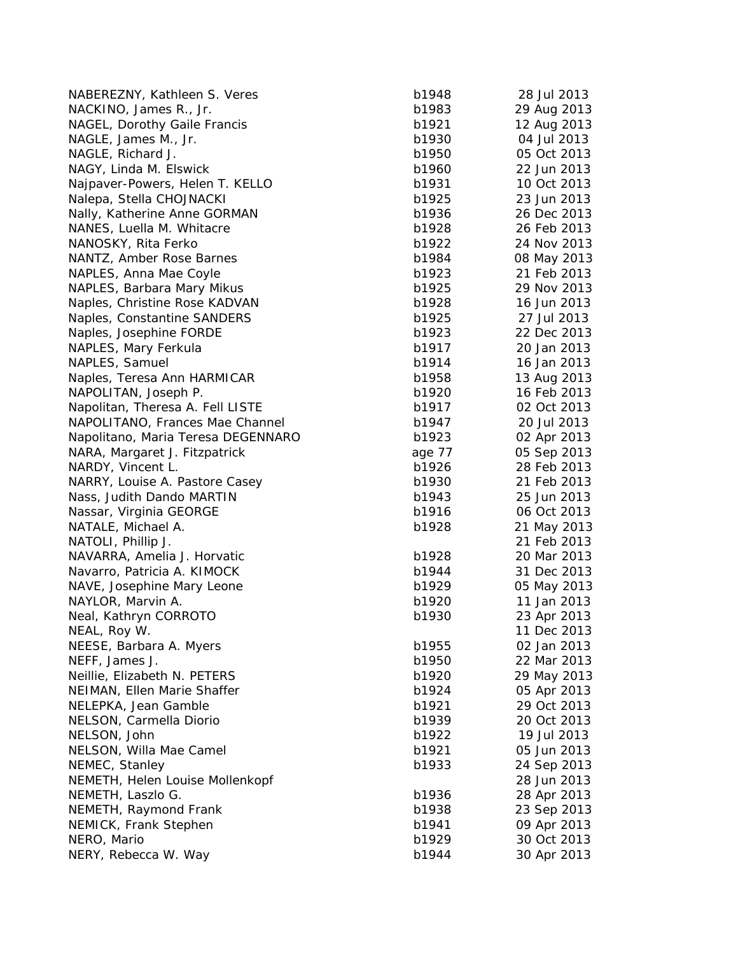| NABEREZNY, Kathleen S. Veres                   | b1948          | 28 Jul 2013 |
|------------------------------------------------|----------------|-------------|
| NACKINO, James R., Jr.                         | b1983          | 29 Aug 2013 |
| NAGEL, Dorothy Gaile Francis                   | b1921          | 12 Aug 2013 |
| NAGLE, James M., Jr.                           | b1930          | 04 Jul 2013 |
| NAGLE, Richard J.                              | b1950          | 05 Oct 2013 |
| NAGY, Linda M. Elswick                         | b1960          | 22 Jun 2013 |
| Najpaver-Powers, Helen T. KELLO                | b1931          | 10 Oct 2013 |
| Nalepa, Stella CHOJNACKI                       | b1925          | 23 Jun 2013 |
| Nally, Katherine Anne GORMAN                   | b1936          | 26 Dec 2013 |
| NANES, Luella M. Whitacre                      | b1928          | 26 Feb 2013 |
| NANOSKY, Rita Ferko                            | b1922          | 24 Nov 2013 |
| NANTZ, Amber Rose Barnes                       | b1984          | 08 May 2013 |
| NAPLES, Anna Mae Coyle                         | b1923          | 21 Feb 2013 |
| NAPLES, Barbara Mary Mikus                     | b1925          | 29 Nov 2013 |
| Naples, Christine Rose KADVAN                  | b1928          | 16 Jun 2013 |
| Naples, Constantine SANDERS                    | b1925          | 27 Jul 2013 |
| Naples, Josephine FORDE                        | b1923          | 22 Dec 2013 |
| NAPLES, Mary Ferkula                           | b1917          | 20 Jan 2013 |
| NAPLES, Samuel                                 | b1914          | 16 Jan 2013 |
| Naples, Teresa Ann HARMICAR                    | b1958          | 13 Aug 2013 |
| NAPOLITAN, Joseph P.                           | b1920          | 16 Feb 2013 |
| Napolitan, Theresa A. Fell LISTE               | b1917          | 02 Oct 2013 |
| NAPOLITANO, Frances Mae Channel                | b1947          | 20 Jul 2013 |
| Napolitano, Maria Teresa DEGENNARO             | b1923          | 02 Apr 2013 |
| NARA, Margaret J. Fitzpatrick                  | age 77         | 05 Sep 2013 |
| NARDY, Vincent L.                              | b1926          | 28 Feb 2013 |
| NARRY, Louise A. Pastore Casey                 | b1930          | 21 Feb 2013 |
| Nass, Judith Dando MARTIN                      | b1943          | 25 Jun 2013 |
| Nassar, Virginia GEORGE                        | b1916          | 06 Oct 2013 |
| NATALE, Michael A.                             | b1928          | 21 May 2013 |
| NATOLI, Phillip J.                             |                | 21 Feb 2013 |
| NAVARRA, Amelia J. Horvatic                    | b1928          | 20 Mar 2013 |
| Navarro, Patricia A. KIMOCK                    | b1944          | 31 Dec 2013 |
| NAVE, Josephine Mary Leone                     | b1929          | 05 May 2013 |
| NAYLOR, Marvin A.                              | b1920          | 11 Jan 2013 |
| Neal, Kathryn CORROTO                          | b1930          | 23 Apr 2013 |
| NEAL, Roy W.                                   |                | 11 Dec 2013 |
| NEESE, Barbara A. Myers                        | b1955          | 02 Jan 2013 |
| NEFF, James J.                                 | b1950          | 22 Mar 2013 |
| Neillie, Elizabeth N. PETERS                   | b1920          | 29 May 2013 |
| NEIMAN, Ellen Marie Shaffer                    | b1924          | 05 Apr 2013 |
| NELEPKA, Jean Gamble                           | b1921          | 29 Oct 2013 |
| NELSON, Carmella Diorio                        | b1939          | 20 Oct 2013 |
| NELSON, John                                   | b1922          | 19 Jul 2013 |
| NELSON, Willa Mae Camel                        | b1921          | 05 Jun 2013 |
| NEMEC, Stanley                                 | b1933          | 24 Sep 2013 |
| NEMETH, Helen Louise Mollenkopf                |                | 28 Jun 2013 |
|                                                |                |             |
| NEMETH, Laszlo G.                              | b1936<br>b1938 | 28 Apr 2013 |
| NEMETH, Raymond Frank<br>NEMICK, Frank Stephen | b1941          | 23 Sep 2013 |
|                                                | b1929          | 09 Apr 2013 |
| NERO, Mario                                    |                | 30 Oct 2013 |
| NERY, Rebecca W. Way                           | b1944          | 30 Apr 2013 |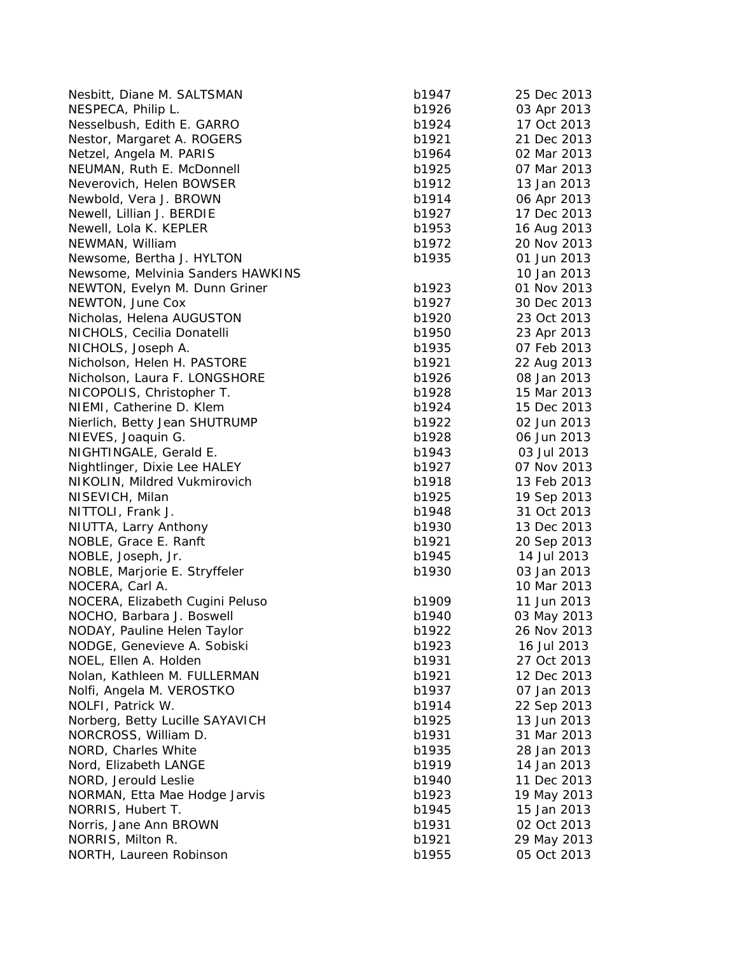| Nesbitt, Diane M. SALTSMAN                     | b1947          | 25 Dec 2013 |
|------------------------------------------------|----------------|-------------|
| NESPECA, Philip L.                             | b1926          | 03 Apr 2013 |
| Nesselbush, Edith E. GARRO                     | b1924          | 17 Oct 2013 |
| Nestor, Margaret A. ROGERS                     | b1921          | 21 Dec 2013 |
| Netzel, Angela M. PARIS                        | b1964          | 02 Mar 2013 |
| NEUMAN, Ruth E. McDonnell                      | b1925          | 07 Mar 2013 |
| Neverovich, Helen BOWSER                       | b1912          | 13 Jan 2013 |
| Newbold, Vera J. BROWN                         | b1914          | 06 Apr 2013 |
| Newell, Lillian J. BERDIE                      | b1927          | 17 Dec 2013 |
| Newell, Lola K. KEPLER                         | b1953          | 16 Aug 2013 |
| NEWMAN, William                                | b1972          | 20 Nov 2013 |
| Newsome, Bertha J. HYLTON                      | b1935          | 01 Jun 2013 |
| Newsome, Melvinia Sanders HAWKINS              |                | 10 Jan 2013 |
| NEWTON, Evelyn M. Dunn Griner                  | b1923          | 01 Nov 2013 |
| NEWTON, June Cox                               | b1927          | 30 Dec 2013 |
| Nicholas, Helena AUGUSTON                      | b1920          | 23 Oct 2013 |
| NICHOLS, Cecilia Donatelli                     | b1950          | 23 Apr 2013 |
| NICHOLS, Joseph A.                             | b1935          | 07 Feb 2013 |
| Nicholson, Helen H. PASTORE                    | b1921          | 22 Aug 2013 |
| Nicholson, Laura F. LONGSHORE                  | b1926          | 08 Jan 2013 |
| NICOPOLIS, Christopher T.                      | b1928          | 15 Mar 2013 |
| NIEMI, Catherine D. Klem                       | b1924          | 15 Dec 2013 |
| Nierlich, Betty Jean SHUTRUMP                  | b1922          | 02 Jun 2013 |
| NIEVES, Joaquin G.                             | b1928          | 06 Jun 2013 |
| NIGHTINGALE, Gerald E.                         | b1943          | 03 Jul 2013 |
| Nightlinger, Dixie Lee HALEY                   | b1927          | 07 Nov 2013 |
| NIKOLIN, Mildred Vukmirovich                   | b1918          | 13 Feb 2013 |
| NISEVICH, Milan                                | b1925          | 19 Sep 2013 |
| NITTOLI, Frank J.                              | b1948          | 31 Oct 2013 |
| NIUTTA, Larry Anthony                          | b1930          | 13 Dec 2013 |
| NOBLE, Grace E. Ranft                          | b1921          | 20 Sep 2013 |
| NOBLE, Joseph, Jr.                             | b1945          | 14 Jul 2013 |
| NOBLE, Marjorie E. Stryffeler                  | b1930          | 03 Jan 2013 |
| NOCERA, Carl A.                                |                | 10 Mar 2013 |
| NOCERA, Elizabeth Cugini Peluso                | b1909          | 11 Jun 2013 |
| NOCHO, Barbara J. Boswell                      | b1940          | 03 May 2013 |
| NODAY, Pauline Helen Taylor                    | b1922          | 26 Nov 2013 |
| NODGE, Genevieve A. Sobiski                    | b1923          | 16 Jul 2013 |
| NOEL, Ellen A. Holden                          | b1931          | 27 Oct 2013 |
| Nolan, Kathleen M. FULLERMAN                   | b1921          | 12 Dec 2013 |
|                                                |                | 07 Jan 2013 |
| Nolfi, Angela M. VEROSTKO<br>NOLFI, Patrick W. | b1937          | 22 Sep 2013 |
|                                                | b1914<br>b1925 | 13 Jun 2013 |
| Norberg, Betty Lucille SAYAVICH                |                |             |
| NORCROSS, William D.                           | b1931          | 31 Mar 2013 |
| NORD, Charles White                            | b1935          | 28 Jan 2013 |
| Nord, Elizabeth LANGE                          | b1919          | 14 Jan 2013 |
| NORD, Jerould Leslie                           | b1940          | 11 Dec 2013 |
| NORMAN, Etta Mae Hodge Jarvis                  | b1923          | 19 May 2013 |
| NORRIS, Hubert T.                              | b1945          | 15 Jan 2013 |
| Norris, Jane Ann BROWN                         | b1931          | 02 Oct 2013 |
| NORRIS, Milton R.                              | b1921          | 29 May 2013 |
| NORTH, Laureen Robinson                        | b1955          | 05 Oct 2013 |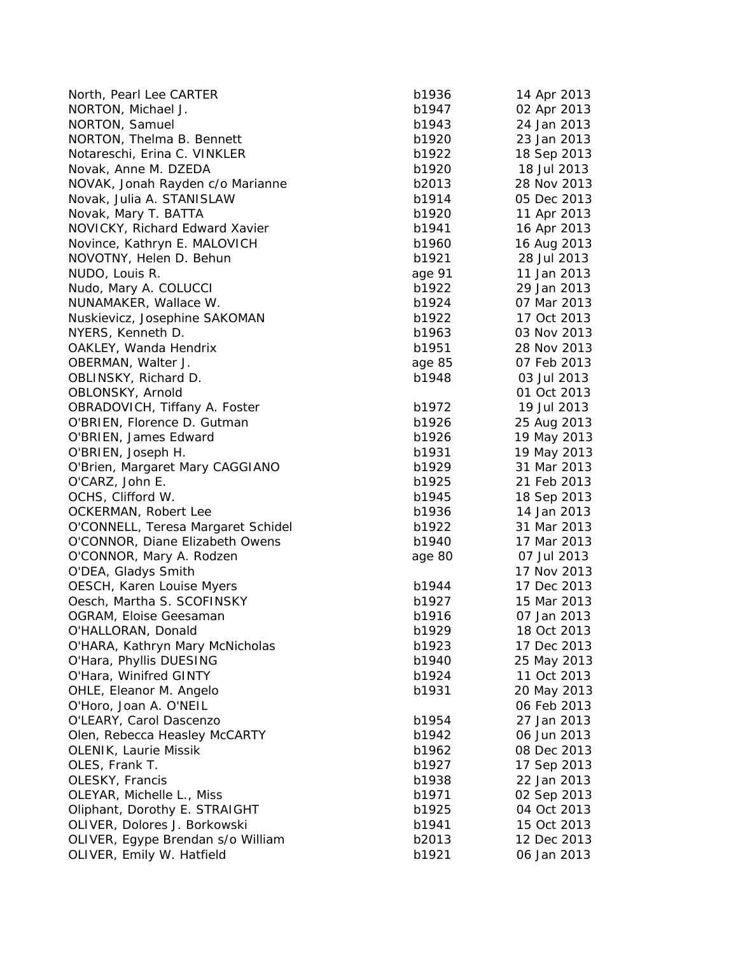| North, Pearl Lee CARTER                                    | b1936  | 14 Apr 2013 |
|------------------------------------------------------------|--------|-------------|
| NORTON, Michael J.                                         | b1947  | 02 Apr 2013 |
| NORTON, Samuel                                             | b1943  | 24 Jan 2013 |
| NORTON, Thelma B. Bennett                                  | b1920  | 23 Jan 2013 |
| Notareschi, Erina C. VINKLER                               | b1922  | 18 Sep 2013 |
| Novak, Anne M. DZEDA                                       | b1920  | 18 Jul 2013 |
| NOVAK, Jonah Rayden c/o Marianne                           | b2013  | 28 Nov 2013 |
| Novak, Julia A. STANISLAW                                  | b1914  | 05 Dec 2013 |
| Novak, Mary T. BATTA                                       | b1920  | 11 Apr 2013 |
| NOVICKY, Richard Edward Xavier                             | b1941  | 16 Apr 2013 |
| Novince, Kathryn E. MALOVICH                               | b1960  | 16 Aug 2013 |
| NOVOTNY, Helen D. Behun                                    | b1921  | 28 Jul 2013 |
| NUDO, Louis R.                                             | age 91 | 11 Jan 2013 |
| Nudo, Mary A. COLUCCI                                      | b1922  | 29 Jan 2013 |
| NUNAMAKER, Wallace W.                                      | b1924  | 07 Mar 2013 |
| Nuskievicz, Josephine SAKOMAN                              | b1922  | 17 Oct 2013 |
| NYERS, Kenneth D.                                          | b1963  | 03 Nov 2013 |
| OAKLEY, Wanda Hendrix                                      | b1951  | 28 Nov 2013 |
| OBERMAN, Walter J.                                         | age 85 | 07 Feb 2013 |
| OBLINSKY, Richard D.                                       | b1948  | 03 Jul 2013 |
| OBLONSKY, Arnold                                           |        | 01 Oct 2013 |
| OBRADOVICH, Tiffany A. Foster                              | b1972  | 19 Jul 2013 |
| O'BRIEN, Florence D. Gutman                                | b1926  | 25 Aug 2013 |
| O'BRIEN, James Edward                                      | b1926  | 19 May 2013 |
| O'BRIEN, Joseph H.                                         | b1931  | 19 May 2013 |
| O'Brien, Margaret Mary CAGGIANO                            | b1929  | 31 Mar 2013 |
| O'CARZ, John E.                                            | b1925  | 21 Feb 2013 |
| OCHS, Clifford W.                                          | b1945  | 18 Sep 2013 |
| OCKERMAN, Robert Lee                                       | b1936  | 14 Jan 2013 |
| O'CONNELL, Teresa Margaret Schidel                         | b1922  | 31 Mar 2013 |
| O'CONNOR, Diane Elizabeth Owens                            | b1940  | 17 Mar 2013 |
|                                                            | age 80 | 07 Jul 2013 |
| O'CONNOR, Mary A. Rodzen<br>O'DEA, Gladys Smith            |        | 17 Nov 2013 |
| OESCH, Karen Louise Myers                                  | b1944  | 17 Dec 2013 |
| Oesch, Martha S. SCOFINSKY                                 | b1927  | 15 Mar 2013 |
|                                                            | b1916  | 07 Jan 2013 |
| OGRAM, Eloise Geesaman                                     | b1929  | 18 Oct 2013 |
| O'HALLORAN, Donald                                         |        |             |
| O'HARA, Kathryn Mary McNicholas<br>O'Hara, Phyllis DUESING | b1923  | 17 Dec 2013 |
| O'Hara, Winifred GINTY                                     | b1940  | 25 May 2013 |
|                                                            | b1924  | 11 Oct 2013 |
| OHLE, Eleanor M. Angelo                                    | b1931  | 20 May 2013 |
| O'Horo, Joan A. O'NEIL                                     |        | 06 Feb 2013 |
| O'LEARY, Carol Dascenzo                                    | b1954  | 27 Jan 2013 |
| Olen, Rebecca Heasley McCARTY                              | b1942  | 06 Jun 2013 |
| <b>OLENIK, Laurie Missik</b>                               | b1962  | 08 Dec 2013 |
| OLES, Frank T.                                             | b1927  | 17 Sep 2013 |
| OLESKY, Francis                                            | b1938  | 22 Jan 2013 |
| OLEYAR, Michelle L., Miss                                  | b1971  | 02 Sep 2013 |
| Oliphant, Dorothy E. STRAIGHT                              | b1925  | 04 Oct 2013 |
| OLIVER, Dolores J. Borkowski                               | b1941  | 15 Oct 2013 |
| OLIVER, Egype Brendan s/o William                          | b2013  | 12 Dec 2013 |
| OLIVER, Emily W. Hatfield                                  | b1921  | 06 Jan 2013 |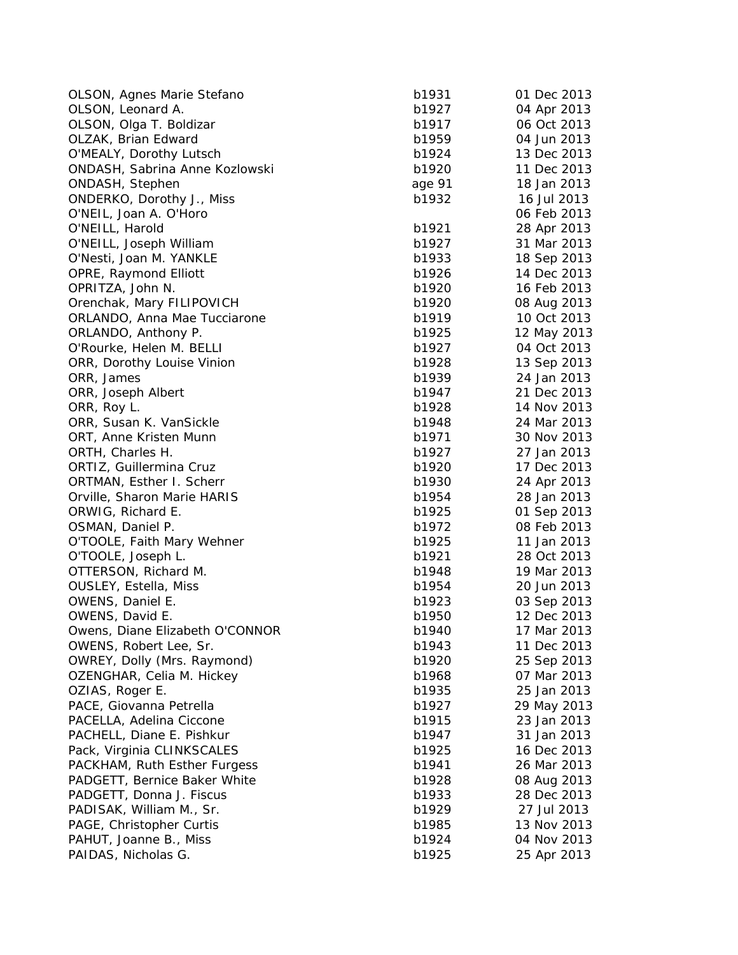| OLSON, Agnes Marie Stefano      | b1931  | 01 Dec 2013 |
|---------------------------------|--------|-------------|
| OLSON, Leonard A.               | b1927  | 04 Apr 2013 |
| OLSON, Olga T. Boldizar         | b1917  | 06 Oct 2013 |
| OLZAK, Brian Edward             | b1959  | 04 Jun 2013 |
| O'MEALY, Dorothy Lutsch         | b1924  | 13 Dec 2013 |
| ONDASH, Sabrina Anne Kozlowski  | b1920  | 11 Dec 2013 |
| ONDASH, Stephen                 | age 91 | 18 Jan 2013 |
| ONDERKO, Dorothy J., Miss       | b1932  | 16 Jul 2013 |
| O'NEIL, Joan A. O'Horo          |        | 06 Feb 2013 |
| O'NEILL, Harold                 | b1921  | 28 Apr 2013 |
| O'NEILL, Joseph William         | b1927  | 31 Mar 2013 |
| O'Nesti, Joan M. YANKLE         | b1933  | 18 Sep 2013 |
| OPRE, Raymond Elliott           | b1926  | 14 Dec 2013 |
| OPRITZA, John N.                | b1920  | 16 Feb 2013 |
| Orenchak, Mary FILIPOVICH       | b1920  | 08 Aug 2013 |
| ORLANDO, Anna Mae Tucciarone    | b1919  | 10 Oct 2013 |
| ORLANDO, Anthony P.             | b1925  | 12 May 2013 |
| O'Rourke, Helen M. BELLI        | b1927  | 04 Oct 2013 |
| ORR, Dorothy Louise Vinion      | b1928  | 13 Sep 2013 |
| ORR, James                      | b1939  | 24 Jan 2013 |
| ORR, Joseph Albert              | b1947  | 21 Dec 2013 |
| ORR, Roy L.                     | b1928  | 14 Nov 2013 |
| ORR, Susan K. VanSickle         | b1948  | 24 Mar 2013 |
| ORT, Anne Kristen Munn          | b1971  | 30 Nov 2013 |
| ORTH, Charles H.                | b1927  | 27 Jan 2013 |
| ORTIZ, Guillermina Cruz         | b1920  | 17 Dec 2013 |
| ORTMAN, Esther I. Scherr        | b1930  | 24 Apr 2013 |
| Orville, Sharon Marie HARIS     | b1954  | 28 Jan 2013 |
| ORWIG, Richard E.               | b1925  | 01 Sep 2013 |
| OSMAN, Daniel P.                | b1972  | 08 Feb 2013 |
| O'TOOLE, Faith Mary Wehner      | b1925  | 11 Jan 2013 |
| O'TOOLE, Joseph L.              | b1921  | 28 Oct 2013 |
| OTTERSON, Richard M.            | b1948  | 19 Mar 2013 |
| <b>OUSLEY, Estella, Miss</b>    | b1954  | 20 Jun 2013 |
| OWENS, Daniel E.                | b1923  | 03 Sep 2013 |
| OWENS, David E.                 | b1950  | 12 Dec 2013 |
| Owens, Diane Elizabeth O'CONNOR | b1940  | 17 Mar 2013 |
| OWENS, Robert Lee, Sr.          | b1943  | 11 Dec 2013 |
| OWREY, Dolly (Mrs. Raymond)     | b1920  | 25 Sep 2013 |
| OZENGHAR, Celia M. Hickey       | b1968  | 07 Mar 2013 |
| OZIAS, Roger E.                 | b1935  | 25 Jan 2013 |
| PACE, Giovanna Petrella         | b1927  | 29 May 2013 |
| PACELLA, Adelina Ciccone        | b1915  | 23 Jan 2013 |
| PACHELL, Diane E. Pishkur       | b1947  | 31 Jan 2013 |
| Pack, Virginia CLINKSCALES      | b1925  | 16 Dec 2013 |
| PACKHAM, Ruth Esther Furgess    | b1941  | 26 Mar 2013 |
| PADGETT, Bernice Baker White    | b1928  | 08 Aug 2013 |
| PADGETT, Donna J. Fiscus        | b1933  | 28 Dec 2013 |
| PADISAK, William M., Sr.        | b1929  | 27 Jul 2013 |
| PAGE, Christopher Curtis        | b1985  | 13 Nov 2013 |
| PAHUT, Joanne B., Miss          | b1924  | 04 Nov 2013 |
| PAIDAS, Nicholas G.             | b1925  | 25 Apr 2013 |
|                                 |        |             |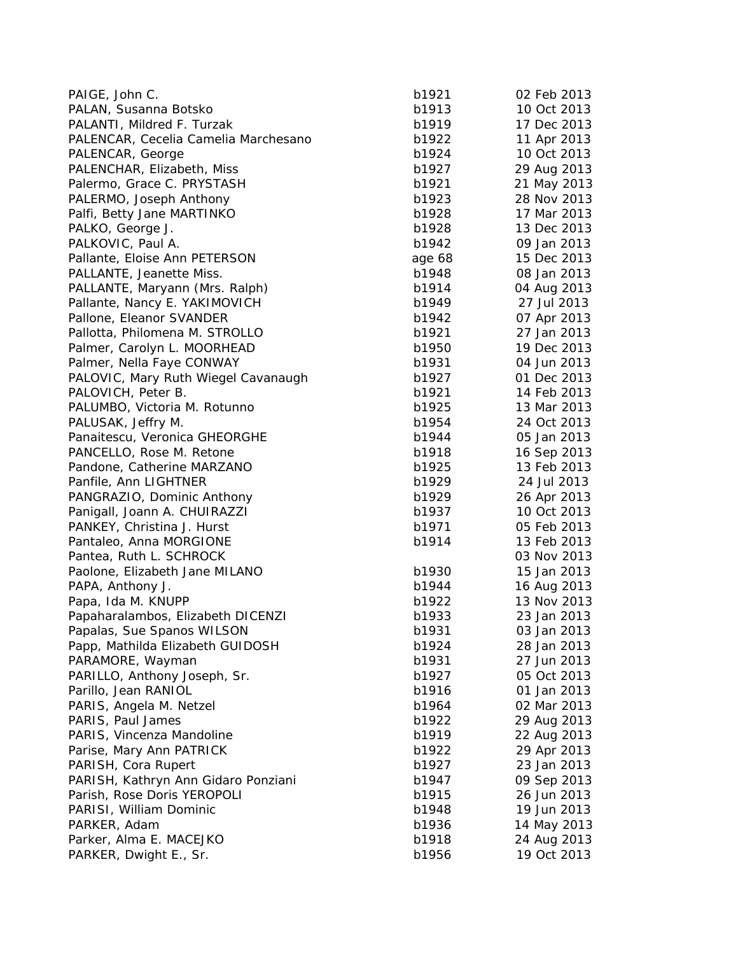| PAIGE, John C.                       | b1921  | 02 Feb 2013 |
|--------------------------------------|--------|-------------|
| PALAN, Susanna Botsko                | b1913  | 10 Oct 2013 |
| PALANTI, Mildred F. Turzak           | b1919  | 17 Dec 2013 |
| PALENCAR, Cecelia Camelia Marchesano | b1922  | 11 Apr 2013 |
| PALENCAR, George                     | b1924  | 10 Oct 2013 |
| PALENCHAR, Elizabeth, Miss           | b1927  | 29 Aug 2013 |
| Palermo, Grace C. PRYSTASH           | b1921  | 21 May 2013 |
| PALERMO, Joseph Anthony              | b1923  | 28 Nov 2013 |
| Palfi, Betty Jane MARTINKO           | b1928  | 17 Mar 2013 |
| PALKO, George J.                     | b1928  | 13 Dec 2013 |
| PALKOVIC, Paul A.                    | b1942  | 09 Jan 2013 |
| Pallante, Eloise Ann PETERSON        | age 68 | 15 Dec 2013 |
| PALLANTE, Jeanette Miss.             | b1948  | 08 Jan 2013 |
| PALLANTE, Maryann (Mrs. Ralph)       | b1914  | 04 Aug 2013 |
| Pallante, Nancy E. YAKIMOVICH        | b1949  | 27 Jul 2013 |
| Pallone, Eleanor SVANDER             | b1942  | 07 Apr 2013 |
| Pallotta, Philomena M. STROLLO       | b1921  | 27 Jan 2013 |
| Palmer, Carolyn L. MOORHEAD          | b1950  | 19 Dec 2013 |
| Palmer, Nella Faye CONWAY            | b1931  | 04 Jun 2013 |
| PALOVIC, Mary Ruth Wiegel Cavanaugh  | b1927  | 01 Dec 2013 |
| PALOVICH, Peter B.                   | b1921  | 14 Feb 2013 |
| PALUMBO, Victoria M. Rotunno         | b1925  | 13 Mar 2013 |
| PALUSAK, Jeffry M.                   | b1954  | 24 Oct 2013 |
| Panaitescu, Veronica GHEORGHE        | b1944  | 05 Jan 2013 |
| PANCELLO, Rose M. Retone             | b1918  | 16 Sep 2013 |
| Pandone, Catherine MARZANO           | b1925  | 13 Feb 2013 |
| Panfile, Ann LIGHTNER                | b1929  | 24 Jul 2013 |
| PANGRAZIO, Dominic Anthony           | b1929  | 26 Apr 2013 |
| Panigall, Joann A. CHUIRAZZI         | b1937  | 10 Oct 2013 |
| PANKEY, Christina J. Hurst           | b1971  | 05 Feb 2013 |
| Pantaleo, Anna MORGIONE              | b1914  | 13 Feb 2013 |
| Pantea, Ruth L. SCHROCK              |        | 03 Nov 2013 |
| Paolone, Elizabeth Jane MILANO       | b1930  | 15 Jan 2013 |
| PAPA, Anthony J.                     | b1944  | 16 Aug 2013 |
| Papa, Ida M. KNUPP                   | b1922  | 13 Nov 2013 |
| Papaharalambos, Elizabeth DICENZI    | b1933  | 23 Jan 2013 |
| Papalas, Sue Spanos WILSON           | b1931  | 03 Jan 2013 |
| Papp, Mathilda Elizabeth GUIDOSH     | b1924  | 28 Jan 2013 |
| PARAMORE, Wayman                     | b1931  | 27 Jun 2013 |
| PARILLO, Anthony Joseph, Sr.         | b1927  | 05 Oct 2013 |
| Parillo, Jean RANIOL                 | b1916  | 01 Jan 2013 |
| PARIS, Angela M. Netzel              | b1964  | 02 Mar 2013 |
| PARIS, Paul James                    | b1922  | 29 Aug 2013 |
| PARIS, Vincenza Mandoline            | b1919  | 22 Aug 2013 |
| Parise, Mary Ann PATRICK             | b1922  | 29 Apr 2013 |
| PARISH, Cora Rupert                  | b1927  | 23 Jan 2013 |
| PARISH, Kathryn Ann Gidaro Ponziani  | b1947  | 09 Sep 2013 |
| Parish, Rose Doris YEROPOLI          | b1915  | 26 Jun 2013 |
| PARISI, William Dominic              | b1948  | 19 Jun 2013 |
| PARKER, Adam                         | b1936  | 14 May 2013 |
| Parker, Alma E. MACEJKO              | b1918  | 24 Aug 2013 |
| PARKER, Dwight E., Sr.               | b1956  | 19 Oct 2013 |
|                                      |        |             |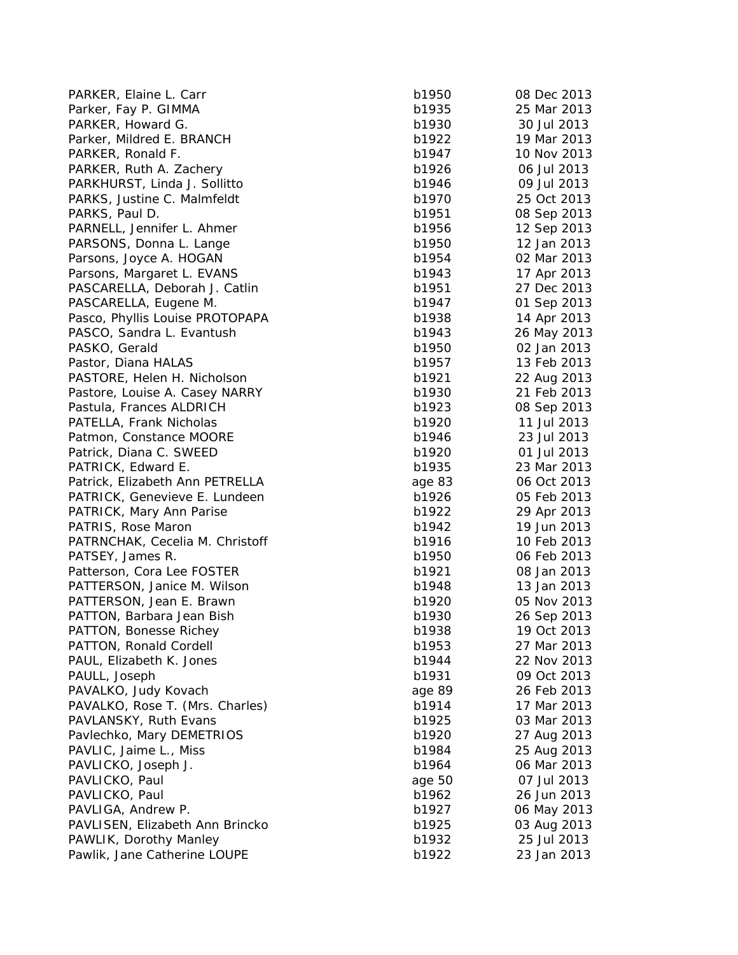PARKER, Elaine L. Carr b1 Parker, Fay P. GIMMA b1 PARKER, Howard G. b1930 30 Jul 2013 30 Jul 2013 30 Jul 2013 30 Jul 2013 30 Jul 2013 30 Jul 2013 30 Jul 2013 30 Jul 2013 30 Jul 2013 30 Jul 2013 30 Jul 2013 30 Jul 2013 30 Jul 2013 30 Jul 2013 30 Jul 2013 30 Jul 2013 30 Jul Parker, Mildred E. BRANCH b1 PARKER, Ronald F. b1947 10 Nov 2014 10 Nov 2014 10 Nov 2014 10 Nov 2014 10 Nov 2014 10 Nov 2014 10 Nov 2014 10 Nov 2014 10 Nov 2014 10 Nov 2014 10 Nov 2014 10 Nov 2014 10 Nov 2014 10 Nov 2014 10 Nov 2014 10 Nov 2014 10 Nov PARKER, Ruth A. Zachery b1 PARKHURST, Linda J. Sollitto b1 PARKS, Justine C. Malmfeldt b1 PARKS, Paul D. b1951 08 Sep 2013 08 Sep 2014 08 Sep 2013 08 Sep 2013 08 Sep 2013 08 Sep 2013 08 Sep 2013 08 Sep 2013 08 Sep 2013 08 Sep 2013 08 Sep 2013 08 Sep 2013 08 Sep 2013 08 Sep 2013 08 Sep 2013 08 Sep 2013 08 Sep 20 PARNELL, Jennifer L. Ahmer b1 PARSONS, Donna L. Lange b1 Parsons, Joyce A. HOGAN b1 Parsons, Margaret L. EVANS b1 PASCARELLA, Deborah J. Catlin b1 PASCARELLA, Eugene M. b1 Pasco, Phyllis Louise PROTOPAPA b1 PASCO, Sandra L. Evantush b1 PASKO, Gerald b1 Pastor, Diana HALAS b1957 13 Feb 2013 13 Feb 2013 13 Feb 2013 13 Feb 2013 13 Feb 2013 13 Feb 2013 13 Feb 2013 PASTORE, Helen H. Nicholson b1 Pastore, Louise A. Casey NARRY b1 Pastula, Frances ALDRICH b1 PATELLA, Frank Nicholas b1 Patmon, Constance MOORE b1 Patrick, Diana C. SWEED b1 PATRICK, Edward E. b1935 23 March 2013 23 March 2014 23 March 2013 23 March 2013 23 March 2013 23 March 2013 23 March 2013 23 March 2013 23 March 2013 23 March 2013 23 March 2013 23 March 2013 23 March 2013 23 March 2013 2 Patrick, Elizabeth Ann PETRELLA age PATRICK, Genevieve E. Lundeen b1 PATRICK, Mary Ann Parise b1 PATRIS, Rose Maron b1 PATRNCHAK, Cecelia M. Christoff **b1** PATSEY, James R. b1950 b1950 b1950 b1950 b1950 b1950 b1950 b1950 b1950 b1950 b1950 b1950 b1950 b1950 b1950 b19 Patterson, Cora Lee FOSTER b1 PATTERSON, Janice M. Wilson b1 PATTERSON, Jean E. Brawn b1 PATTON, Barbara Jean Bish b1 PATTON, Bonesse Richey b1938 19 Oct 2013 PATTON, Ronald Cordell b1 PAUL, Elizabeth K. Jones b1 PAULL, Joseph b1 PAVALKO, Judy Kovach age 89 26 Feb 2014 PAVALKO, Rose T. (Mrs. Charles) b1 PAVLANSKY, Ruth Evans b1 Pavlechko, Mary DEMETRIOS b1 PAVLIC, Jaime L., Miss b1 PAVLICKO, Joseph J. b1964 06 March 2014 06 March 2014 06 March 2014 07:34 PAVLICKO, Paul age 50 07 Jul 2013 PAVLICKO, Paul b1 PAVLIGA, Andrew P. b1 PAVLISEN, Elizabeth Ann Brincko **b1** PAWLIK, Dorothy Manley b1 Pawlik, Jane Catherine LOUPE b1

| 950  | 08 Dec 2013    |
|------|----------------|
| 935  | 25 Mar 2013    |
| 930  | 30 Jul 2013    |
| 922  | 19 Mar 2013    |
| 947  | 10 Nov 2013    |
| 926  | 06 Jul 2013    |
| 946  | 09 Jul 2013    |
| 970  | 25 Oct 2013    |
| 951  | 08 Sep 2013    |
| 956  | 12 Sep 2013    |
| 950  | 12 Jan 2013    |
| 954  | 02 Mar 2013    |
| 943  | 17 Apr 2013    |
| 951  | 27 Dec 2013    |
| 947  | 01 Sep 2013    |
| 938  |                |
| 943  | 14 Apr 2013    |
| 950  | 26 May 2013    |
|      | 02 Jan 2013    |
| 957  | 13 Feb 2013    |
| 921  | 22 Aug 2013    |
| 930  | 21 Feb 2013    |
| 923  | 08 Sep 2013    |
| 920  | 11 Jul 2013    |
| 946  | 23 Jul 2013    |
| 920  | 01 Jul 2013    |
| 935  | 23 Mar 2013    |
| e 83 | 06 Oct 2013    |
| 926  | 2013<br>05 Feb |
| 922  | 29 Apr 2013    |
| 942  | 19 Jun<br>2013 |
| 916  | 10 Feb<br>2013 |
| 950  | 06 Feb<br>2013 |
| 921  | 08 Jan 2013    |
| 948  | 13 Jan 2013    |
| 920  | 05 Nov 2013    |
| 930  | 26 Sep 2013    |
| 938  | 19 Oct 2013    |
| 953  | 27 Mar 2013    |
| 944  | 22 Nov 2013    |
| 931  | 09 Oct 2013    |
| e 89 | 26 Feb 2013    |
| 914  | 17 Mar 2013    |
| 925  | 03 Mar 2013    |
| 920  | 27 Aug 2013    |
| 984  | 25 Aug 2013    |
| 964  | 06 Mar 2013    |
| e 50 | 07 Jul 2013    |
| 962  | 26 Jun 2013    |
| 927  | 06 May 2013    |
| 925  | 03 Aug 2013    |
| 932  | 25 Jul 2013    |
| 922  | 23 Jan 2013    |
|      |                |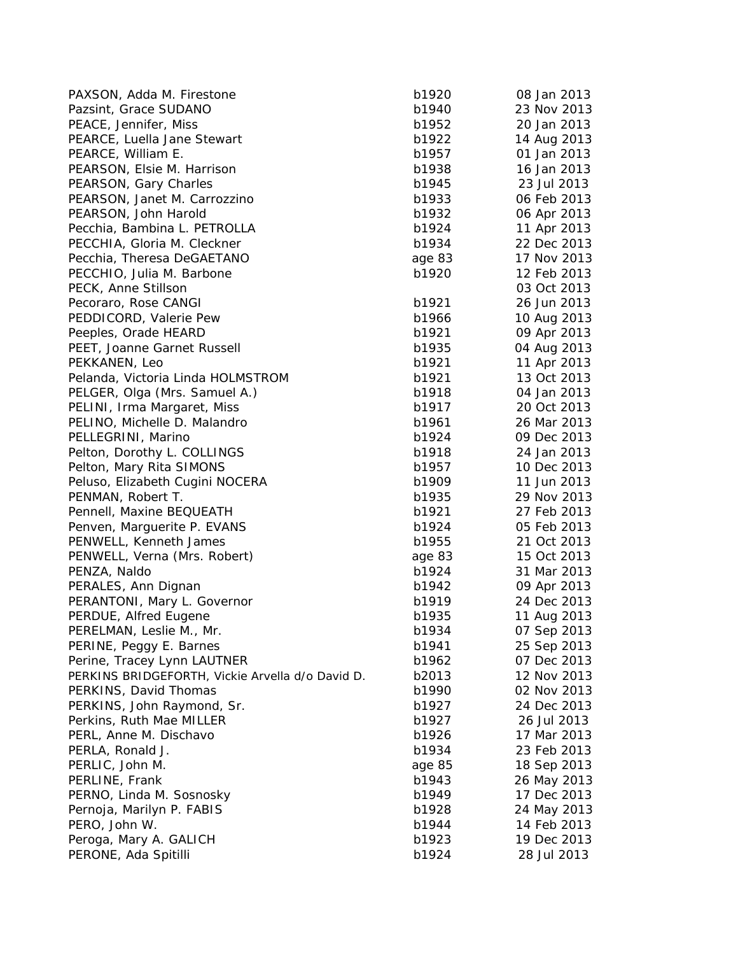| PAXSON, Adda M. Firestone                        | b1920  | 08 Jan 2013 |
|--------------------------------------------------|--------|-------------|
| Pazsint, Grace SUDANO                            | b1940  | 23 Nov 2013 |
| PEACE, Jennifer, Miss                            | b1952  | 20 Jan 2013 |
| PEARCE, Luella Jane Stewart                      | b1922  | 14 Aug 2013 |
| PEARCE, William E.                               | b1957  | 01 Jan 2013 |
| PEARSON, Elsie M. Harrison                       | b1938  | 16 Jan 2013 |
| PEARSON, Gary Charles                            | b1945  | 23 Jul 2013 |
| PEARSON, Janet M. Carrozzino                     | b1933  | 06 Feb 2013 |
| PEARSON, John Harold                             | b1932  | 06 Apr 2013 |
| Pecchia, Bambina L. PETROLLA                     | b1924  | 11 Apr 2013 |
| PECCHIA, Gloria M. Cleckner                      | b1934  | 22 Dec 2013 |
| Pecchia, Theresa DeGAETANO                       | age 83 | 17 Nov 2013 |
| PECCHIO, Julia M. Barbone                        | b1920  | 12 Feb 2013 |
| PECK, Anne Stillson                              |        | 03 Oct 2013 |
| Pecoraro, Rose CANGI                             | b1921  | 26 Jun 2013 |
| PEDDICORD, Valerie Pew                           | b1966  | 10 Aug 2013 |
| Peeples, Orade HEARD                             | b1921  | 09 Apr 2013 |
| PEET, Joanne Garnet Russell                      | b1935  | 04 Aug 2013 |
| PEKKANEN, Leo                                    | b1921  | 11 Apr 2013 |
| Pelanda, Victoria Linda HOLMSTROM                | b1921  | 13 Oct 2013 |
| PELGER, Olga (Mrs. Samuel A.)                    | b1918  | 04 Jan 2013 |
| PELINI, Irma Margaret, Miss                      | b1917  | 20 Oct 2013 |
| PELINO, Michelle D. Malandro                     | b1961  | 26 Mar 2013 |
| PELLEGRINI, Marino                               | b1924  | 09 Dec 2013 |
| Pelton, Dorothy L. COLLINGS                      | b1918  | 24 Jan 2013 |
| Pelton, Mary Rita SIMONS                         | b1957  | 10 Dec 2013 |
| Peluso, Elizabeth Cugini NOCERA                  | b1909  | 11 Jun 2013 |
| PENMAN, Robert T.                                | b1935  | 29 Nov 2013 |
| Pennell, Maxine BEQUEATH                         | b1921  | 27 Feb 2013 |
| Penven, Marguerite P. EVANS                      | b1924  | 05 Feb 2013 |
| PENWELL, Kenneth James                           | b1955  | 21 Oct 2013 |
| PENWELL, Verna (Mrs. Robert)                     | age 83 | 15 Oct 2013 |
| PENZA, Naldo                                     | b1924  | 31 Mar 2013 |
| PERALES, Ann Dignan                              | b1942  | 09 Apr 2013 |
| PERANTONI, Mary L. Governor                      | b1919  | 24 Dec 2013 |
| PERDUE, Alfred Eugene                            | b1935  | 11 Aug 2013 |
| PERELMAN, Leslie M., Mr.                         | b1934  | 07 Sep 2013 |
| PERINE, Peggy E. Barnes                          | b1941  | 25 Sep 2013 |
| Perine, Tracey Lynn LAUTNER                      | b1962  | 07 Dec 2013 |
| PERKINS BRIDGEFORTH, Vickie Arvella d/o David D. | b2013  | 12 Nov 2013 |
| PERKINS, David Thomas                            | b1990  | 02 Nov 2013 |
| PERKINS, John Raymond, Sr.                       | b1927  | 24 Dec 2013 |
| Perkins, Ruth Mae MILLER                         | b1927  | 26 Jul 2013 |
| PERL, Anne M. Dischavo                           | b1926  | 17 Mar 2013 |
| PERLA, Ronald J.                                 | b1934  | 23 Feb 2013 |
| PERLIC, John M.                                  |        |             |
|                                                  | age 85 | 18 Sep 2013 |
| PERLINE, Frank                                   | b1943  | 26 May 2013 |
| PERNO, Linda M. Sosnosky                         | b1949  | 17 Dec 2013 |
| Pernoja, Marilyn P. FABIS                        | b1928  | 24 May 2013 |
| PERO, John W.                                    | b1944  | 14 Feb 2013 |
| Peroga, Mary A. GALICH                           | b1923  | 19 Dec 2013 |
| PERONE, Ada Spitilli                             | b1924  | 28 Jul 2013 |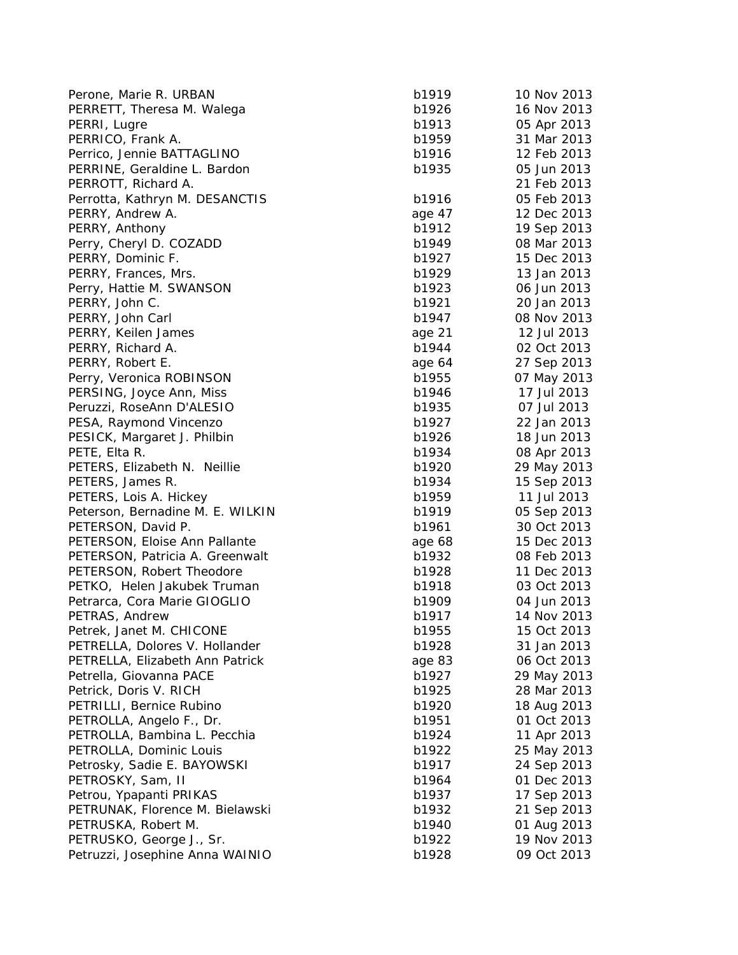| Perone, Marie R. URBAN           | b1919  | 10 Nov 2013 |
|----------------------------------|--------|-------------|
| PERRETT, Theresa M. Walega       | b1926  | 16 Nov 2013 |
| PERRI, Lugre                     | b1913  | 05 Apr 2013 |
| PERRICO, Frank A.                | b1959  | 31 Mar 2013 |
| Perrico, Jennie BATTAGLINO       | b1916  | 12 Feb 2013 |
| PERRINE, Geraldine L. Bardon     | b1935  | 05 Jun 2013 |
| PERROTT, Richard A.              |        | 21 Feb 2013 |
| Perrotta, Kathryn M. DESANCTIS   | b1916  | 05 Feb 2013 |
| PERRY, Andrew A.                 | age 47 | 12 Dec 2013 |
| PERRY, Anthony                   | b1912  | 19 Sep 2013 |
| Perry, Cheryl D. COZADD          | b1949  | 08 Mar 2013 |
| PERRY, Dominic F.                | b1927  | 15 Dec 2013 |
| PERRY, Frances, Mrs.             | b1929  | 13 Jan 2013 |
| Perry, Hattie M. SWANSON         | b1923  | 06 Jun 2013 |
| PERRY, John C.                   | b1921  | 20 Jan 2013 |
| PERRY, John Carl                 | b1947  | 08 Nov 2013 |
| PERRY, Keilen James              | age 21 | 12 Jul 2013 |
| PERRY, Richard A.                | b1944  | 02 Oct 2013 |
| PERRY, Robert E.                 | age 64 | 27 Sep 2013 |
| Perry, Veronica ROBINSON         | b1955  | 07 May 2013 |
| PERSING, Joyce Ann, Miss         | b1946  | 17 Jul 2013 |
| Peruzzi, RoseAnn D'ALESIO        | b1935  | 07 Jul 2013 |
| PESA, Raymond Vincenzo           | b1927  | 22 Jan 2013 |
| PESICK, Margaret J. Philbin      | b1926  | 18 Jun 2013 |
| PETE, Elta R.                    | b1934  | 08 Apr 2013 |
| PETERS, Elizabeth N. Neillie     | b1920  | 29 May 2013 |
| PETERS, James R.                 | b1934  | 15 Sep 2013 |
| PETERS, Lois A. Hickey           | b1959  | 11 Jul 2013 |
| Peterson, Bernadine M. E. WILKIN | b1919  | 05 Sep 2013 |
| PETERSON, David P.               | b1961  | 30 Oct 2013 |
| PETERSON, Eloise Ann Pallante    | age 68 | 15 Dec 2013 |
| PETERSON, Patricia A. Greenwalt  | b1932  | 08 Feb 2013 |
| PETERSON, Robert Theodore        | b1928  | 11 Dec 2013 |
| PETKO, Helen Jakubek Truman      | b1918  | 03 Oct 2013 |
| Petrarca, Cora Marie GIOGLIO     | b1909  | 04 Jun 2013 |
| PETRAS, Andrew                   | b1917  | 14 Nov 2013 |
| Petrek, Janet M. CHICONE         | b1955  | 15 Oct 2013 |
| PETRELLA, Dolores V. Hollander   | b1928  | 31 Jan 2013 |
| PETRELLA, Elizabeth Ann Patrick  | age 83 | 06 Oct 2013 |
| Petrella, Giovanna PACE          | b1927  | 29 May 2013 |
| Petrick, Doris V. RICH           | b1925  | 28 Mar 2013 |
| PETRILLI, Bernice Rubino         | b1920  | 18 Aug 2013 |
| PETROLLA, Angelo F., Dr.         | b1951  | 01 Oct 2013 |
| PETROLLA, Bambina L. Pecchia     | b1924  | 11 Apr 2013 |
| PETROLLA, Dominic Louis          | b1922  | 25 May 2013 |
| Petrosky, Sadie E. BAYOWSKI      | b1917  | 24 Sep 2013 |
| PETROSKY, Sam, II                | b1964  | 01 Dec 2013 |
| Petrou, Ypapanti PRIKAS          | b1937  | 17 Sep 2013 |
| PETRUNAK, Florence M. Bielawski  | b1932  | 21 Sep 2013 |
| PETRUSKA, Robert M.              | b1940  | 01 Aug 2013 |
| PETRUSKO, George J., Sr.         | b1922  | 19 Nov 2013 |
| Petruzzi, Josephine Anna WAINIO  | b1928  | 09 Oct 2013 |
|                                  |        |             |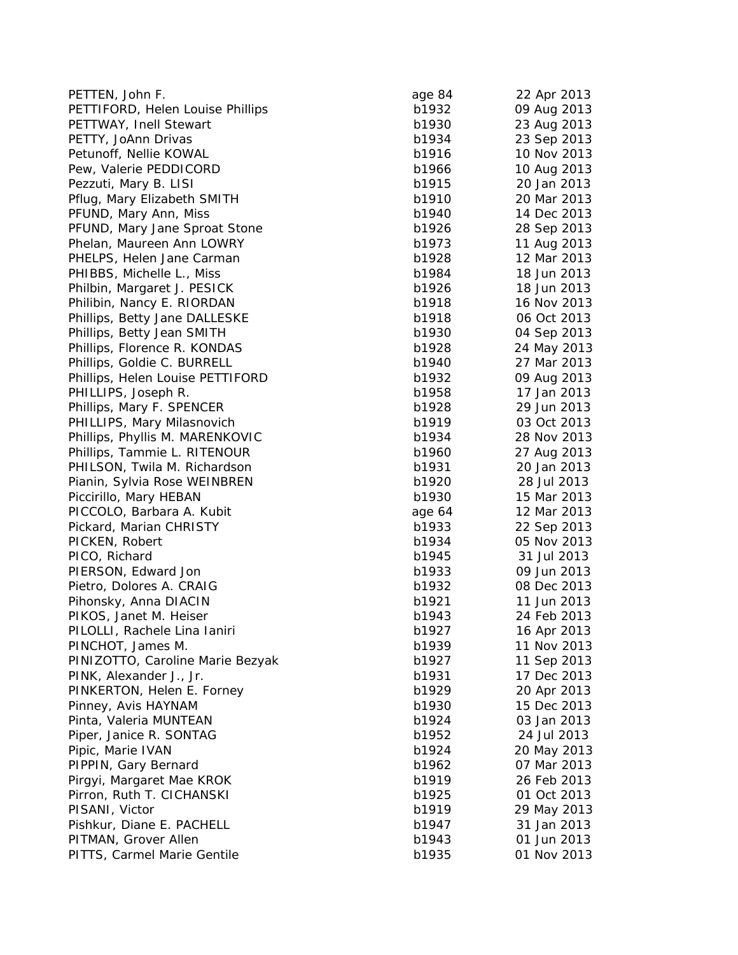| PETTEN, John F.                             | age 84         | 22 Apr 2013 |
|---------------------------------------------|----------------|-------------|
| PETTIFORD, Helen Louise Phillips            | b1932          | 09 Aug 2013 |
| PETTWAY, Inell Stewart                      | b1930          | 23 Aug 2013 |
| PETTY, JoAnn Drivas                         | b1934          | 23 Sep 2013 |
| Petunoff, Nellie KOWAL                      | b1916          | 10 Nov 2013 |
| Pew, Valerie PEDDICORD                      | b1966          | 10 Aug 2013 |
| Pezzuti, Mary B. LISI                       | b1915          | 20 Jan 2013 |
| Pflug, Mary Elizabeth SMITH                 | b1910          | 20 Mar 2013 |
| PFUND, Mary Ann, Miss                       | b1940          | 14 Dec 2013 |
| PFUND, Mary Jane Sproat Stone               | b1926          | 28 Sep 2013 |
| Phelan, Maureen Ann LOWRY                   | b1973          | 11 Aug 2013 |
| PHELPS, Helen Jane Carman                   | b1928          | 12 Mar 2013 |
| PHIBBS, Michelle L., Miss                   | b1984          | 18 Jun 2013 |
| Philbin, Margaret J. PESICK                 | b1926          | 18 Jun 2013 |
| Philibin, Nancy E. RIORDAN                  | b1918          | 16 Nov 2013 |
| Phillips, Betty Jane DALLESKE               | b1918          | 06 Oct 2013 |
| Phillips, Betty Jean SMITH                  | b1930          | 04 Sep 2013 |
| Phillips, Florence R. KONDAS                | b1928          | 24 May 2013 |
| Phillips, Goldie C. BURRELL                 | b1940          | 27 Mar 2013 |
| Phillips, Helen Louise PETTIFORD            | b1932          | 09 Aug 2013 |
| PHILLIPS, Joseph R.                         | b1958          | 17 Jan 2013 |
| Phillips, Mary F. SPENCER                   | b1928          | 29 Jun 2013 |
| PHILLIPS, Mary Milasnovich                  | b1919          | 03 Oct 2013 |
| Phillips, Phyllis M. MARENKOVIC             | b1934          | 28 Nov 2013 |
| Phillips, Tammie L. RITENOUR                | b1960          | 27 Aug 2013 |
| PHILSON, Twila M. Richardson                | b1931          | 20 Jan 2013 |
| Pianin, Sylvia Rose WEINBREN                | b1920          | 28 Jul 2013 |
| Piccirillo, Mary HEBAN                      | b1930          | 15 Mar 2013 |
| PICCOLO, Barbara A. Kubit                   | age 64         | 12 Mar 2013 |
| Pickard, Marian CHRISTY                     | b1933          | 22 Sep 2013 |
| PICKEN, Robert                              | b1934          | 05 Nov 2013 |
| PICO, Richard                               | b1945          | 31 Jul 2013 |
| PIERSON, Edward Jon                         | b1933          | 09 Jun 2013 |
| Pietro, Dolores A. CRAIG                    | b1932          | 08 Dec 2013 |
| Pihonsky, Anna DIACIN                       | b1921          | 11 Jun 2013 |
| PIKOS, Janet M. Heiser                      | b1943          | 24 Feb 2013 |
| PILOLLI, Rachele Lina Ianiri                | b1927          | 16 Apr 2013 |
| PINCHOT, James M.                           | b1939          | 11 Nov 2013 |
| PINIZOTTO, Caroline Marie Bezyak            | b1927          | 11 Sep 2013 |
| PINK, Alexander J., Jr.                     | b1931          | 17 Dec 2013 |
| PINKERTON, Helen E. Forney                  | b1929          | 20 Apr 2013 |
| Pinney, Avis HAYNAM                         | b1930          | 15 Dec 2013 |
| Pinta, Valeria MUNTEAN                      | b1924          | 03 Jan 2013 |
| Piper, Janice R. SONTAG                     | b1952          | 24 Jul 2013 |
| Pipic, Marie IVAN                           | b1924          | 20 May 2013 |
| PIPPIN, Gary Bernard                        | b1962          | 07 Mar 2013 |
| Pirgyi, Margaret Mae KROK                   | b1919          | 26 Feb 2013 |
|                                             |                | 01 Oct 2013 |
| Pirron, Ruth T. CICHANSKI<br>PISANI, Victor | b1925<br>b1919 | 29 May 2013 |
| Pishkur, Diane E. PACHELL                   |                | 31 Jan 2013 |
|                                             | b1947          | 01 Jun 2013 |
| PITMAN, Grover Allen                        | b1943          |             |
| PITTS, Carmel Marie Gentile                 | b1935          | 01 Nov 2013 |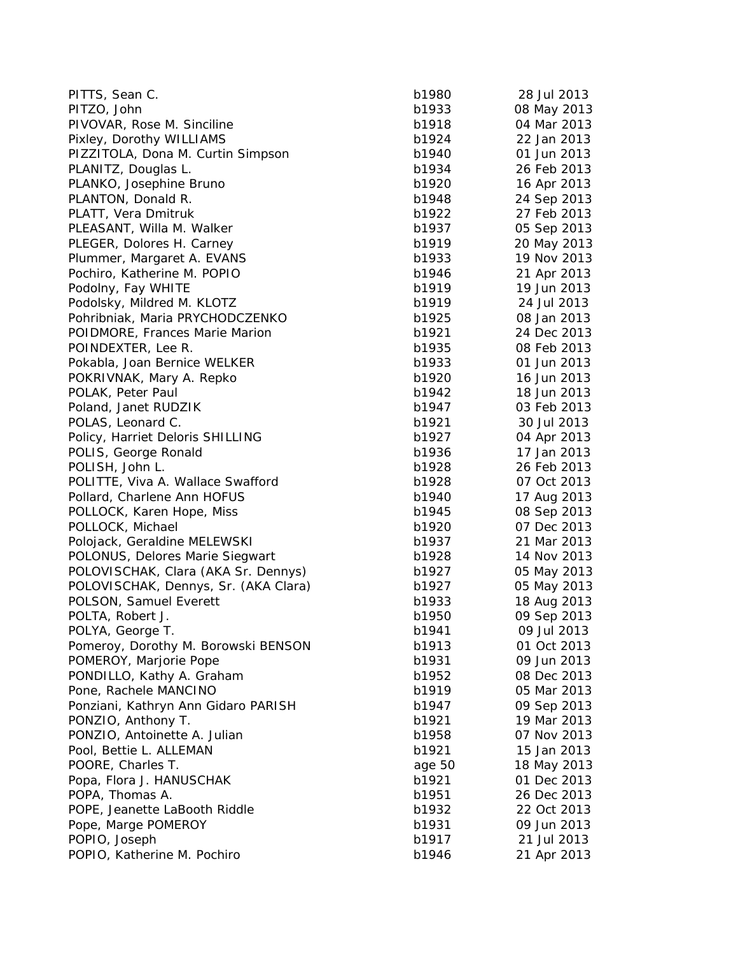| PITTS, Sean C.                       | b1980  | 28 Jul 2013 |
|--------------------------------------|--------|-------------|
| PITZO, John                          | b1933  | 08 May 2013 |
| PIVOVAR, Rose M. Sinciline           | b1918  | 04 Mar 2013 |
| Pixley, Dorothy WILLIAMS             | b1924  | 22 Jan 2013 |
| PIZZITOLA, Dona M. Curtin Simpson    | b1940  | 01 Jun 2013 |
| PLANITZ, Douglas L.                  | b1934  | 26 Feb 2013 |
| PLANKO, Josephine Bruno              | b1920  | 16 Apr 2013 |
| PLANTON, Donald R.                   | b1948  | 24 Sep 2013 |
| PLATT, Vera Dmitruk                  | b1922  | 27 Feb 2013 |
| PLEASANT, Willa M. Walker            | b1937  | 05 Sep 2013 |
| PLEGER, Dolores H. Carney            | b1919  | 20 May 2013 |
| Plummer, Margaret A. EVANS           | b1933  | 19 Nov 2013 |
| Pochiro, Katherine M. POPIO          | b1946  | 21 Apr 2013 |
| Podolny, Fay WHITE                   | b1919  | 19 Jun 2013 |
| Podolsky, Mildred M. KLOTZ           | b1919  | 24 Jul 2013 |
| Pohribniak, Maria PRYCHODCZENKO      | b1925  | 08 Jan 2013 |
| POIDMORE, Frances Marie Marion       | b1921  | 24 Dec 2013 |
| POINDEXTER, Lee R.                   | b1935  | 08 Feb 2013 |
| Pokabla, Joan Bernice WELKER         | b1933  | 01 Jun 2013 |
| POKRIVNAK, Mary A. Repko             | b1920  | 16 Jun 2013 |
| POLAK, Peter Paul                    | b1942  | 18 Jun 2013 |
| Poland, Janet RUDZIK                 | b1947  | 03 Feb 2013 |
| POLAS, Leonard C.                    | b1921  | 30 Jul 2013 |
| Policy, Harriet Deloris SHILLING     | b1927  | 04 Apr 2013 |
| POLIS, George Ronald                 | b1936  | 17 Jan 2013 |
| POLISH, John L.                      | b1928  | 26 Feb 2013 |
| POLITTE, Viva A. Wallace Swafford    | b1928  | 07 Oct 2013 |
| Pollard, Charlene Ann HOFUS          | b1940  | 17 Aug 2013 |
| POLLOCK, Karen Hope, Miss            | b1945  | 08 Sep 2013 |
| POLLOCK, Michael                     | b1920  | 07 Dec 2013 |
| Polojack, Geraldine MELEWSKI         | b1937  | 21 Mar 2013 |
| POLONUS, Delores Marie Siegwart      | b1928  | 14 Nov 2013 |
| POLOVISCHAK, Clara (AKA Sr. Dennys)  | b1927  | 05 May 2013 |
| POLOVISCHAK, Dennys, Sr. (AKA Clara) | b1927  | 05 May 2013 |
| POLSON, Samuel Everett               | b1933  | 18 Aug 2013 |
| POLTA, Robert J.                     | b1950  | 09 Sep 2013 |
| POLYA, George T.                     | b1941  | 09 Jul 2013 |
| Pomeroy, Dorothy M. Borowski BENSON  | b1913  | 01 Oct 2013 |
| POMEROY, Marjorie Pope               | b1931  | 09 Jun 2013 |
| PONDILLO, Kathy A. Graham            | b1952  | 08 Dec 2013 |
| Pone, Rachele MANCINO                | b1919  | 05 Mar 2013 |
| Ponziani, Kathryn Ann Gidaro PARISH  | b1947  | 09 Sep 2013 |
| PONZIO, Anthony T.                   | b1921  | 19 Mar 2013 |
| PONZIO, Antoinette A. Julian         | b1958  | 07 Nov 2013 |
| Pool, Bettie L. ALLEMAN              | b1921  | 15 Jan 2013 |
| POORE, Charles T.                    | age 50 | 18 May 2013 |
| Popa, Flora J. HANUSCHAK             | b1921  | 01 Dec 2013 |
| POPA, Thomas A.                      | b1951  | 26 Dec 2013 |
| POPE, Jeanette LaBooth Riddle        | b1932  | 22 Oct 2013 |
| Pope, Marge POMEROY                  | b1931  | 09 Jun 2013 |
| POPIO, Joseph                        | b1917  | 21 Jul 2013 |
| POPIO, Katherine M. Pochiro          | b1946  | 21 Apr 2013 |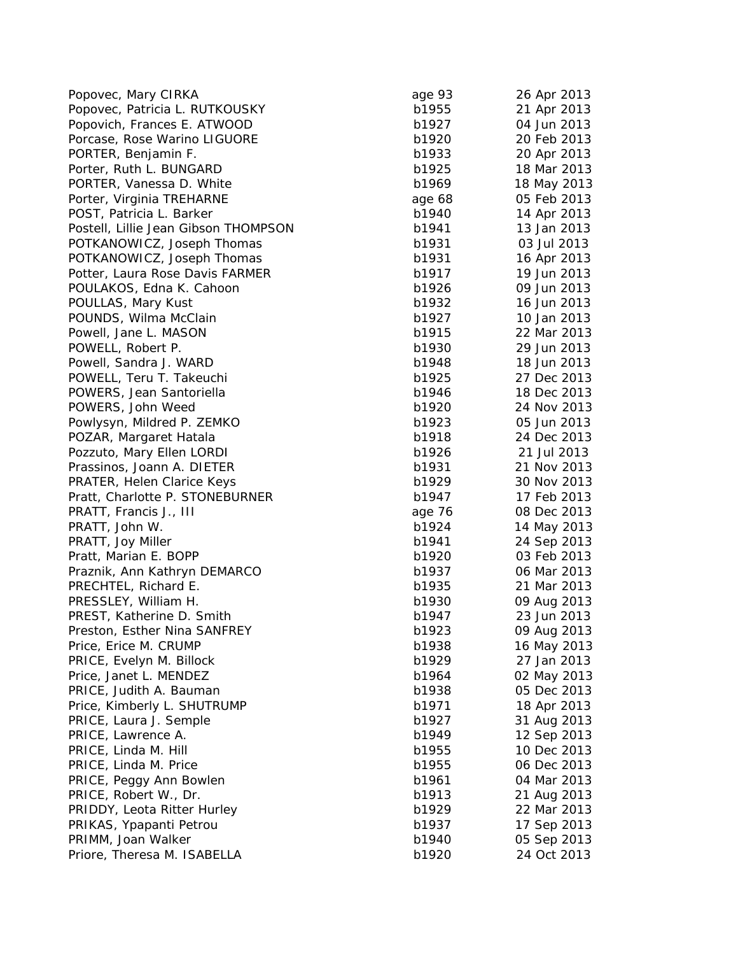| Popovec, Mary CIRKA                  | age 93 | 26 Apr 2013 |
|--------------------------------------|--------|-------------|
| Popovec, Patricia L. RUTKOUSKY       | b1955  | 21 Apr 2013 |
| Popovich, Frances E. ATWOOD          | b1927  | 04 Jun 2013 |
| Porcase, Rose Warino LIGUORE         | b1920  | 20 Feb 2013 |
| PORTER, Benjamin F.                  | b1933  | 20 Apr 2013 |
| Porter, Ruth L. BUNGARD              | b1925  | 18 Mar 2013 |
| PORTER, Vanessa D. White             | b1969  | 18 May 2013 |
| Porter, Virginia TREHARNE            | age 68 | 05 Feb 2013 |
| POST, Patricia L. Barker             | b1940  | 14 Apr 2013 |
| Postell, Lillie Jean Gibson THOMPSON | b1941  | 13 Jan 2013 |
| POTKANOWICZ, Joseph Thomas           | b1931  | 03 Jul 2013 |
| POTKANOWICZ, Joseph Thomas           | b1931  | 16 Apr 2013 |
| Potter, Laura Rose Davis FARMER      | b1917  | 19 Jun 2013 |
| POULAKOS, Edna K. Cahoon             | b1926  | 09 Jun 2013 |
| POULLAS, Mary Kust                   | b1932  | 16 Jun 2013 |
| POUNDS, Wilma McClain                | b1927  | 10 Jan 2013 |
| Powell, Jane L. MASON                | b1915  | 22 Mar 2013 |
| POWELL, Robert P.                    | b1930  | 29 Jun 2013 |
| Powell, Sandra J. WARD               | b1948  | 18 Jun 2013 |
| POWELL, Teru T. Takeuchi             | b1925  | 27 Dec 2013 |
| POWERS, Jean Santoriella             | b1946  | 18 Dec 2013 |
| POWERS, John Weed                    | b1920  | 24 Nov 2013 |
| Powlysyn, Mildred P. ZEMKO           | b1923  | 05 Jun 2013 |
| POZAR, Margaret Hatala               | b1918  | 24 Dec 2013 |
| Pozzuto, Mary Ellen LORDI            | b1926  | 21 Jul 2013 |
| Prassinos, Joann A. DIETER           | b1931  | 21 Nov 2013 |
| PRATER, Helen Clarice Keys           | b1929  | 30 Nov 2013 |
| Pratt, Charlotte P. STONEBURNER      | b1947  | 17 Feb 2013 |
| PRATT, Francis J., III               | age 76 | 08 Dec 2013 |
| PRATT, John W.                       | b1924  | 14 May 2013 |
| PRATT, Joy Miller                    | b1941  | 24 Sep 2013 |
| Pratt, Marian E. BOPP                | b1920  | 03 Feb 2013 |
| Praznik, Ann Kathryn DEMARCO         | b1937  | 06 Mar 2013 |
| PRECHTEL, Richard E.                 | b1935  | 21 Mar 2013 |
| PRESSLEY, William H.                 | b1930  | 09 Aug 2013 |
| PREST, Katherine D. Smith            | b1947  | 23 Jun 2013 |
| Preston, Esther Nina SANFREY         | b1923  | 09 Aug 2013 |
| Price, Erice M. CRUMP                | b1938  | 16 May 2013 |
| PRICE, Evelyn M. Billock             | b1929  | 27 Jan 2013 |
| Price, Janet L. MENDEZ               | b1964  | 02 May 2013 |
| PRICE, Judith A. Bauman              | b1938  | 05 Dec 2013 |
| Price, Kimberly L. SHUTRUMP          | b1971  | 18 Apr 2013 |
| PRICE, Laura J. Semple               | b1927  | 31 Aug 2013 |
| PRICE, Lawrence A.                   | b1949  | 12 Sep 2013 |
| PRICE, Linda M. Hill                 | b1955  | 10 Dec 2013 |
| PRICE, Linda M. Price                | b1955  | 06 Dec 2013 |
| PRICE, Peggy Ann Bowlen              | b1961  | 04 Mar 2013 |
| PRICE, Robert W., Dr.                | b1913  | 21 Aug 2013 |
| PRIDDY, Leota Ritter Hurley          | b1929  | 22 Mar 2013 |
| PRIKAS, Ypapanti Petrou              | b1937  | 17 Sep 2013 |
| PRIMM, Joan Walker                   | b1940  | 05 Sep 2013 |
|                                      |        | 24 Oct 2013 |
| Priore, Theresa M. ISABELLA          | b1920  |             |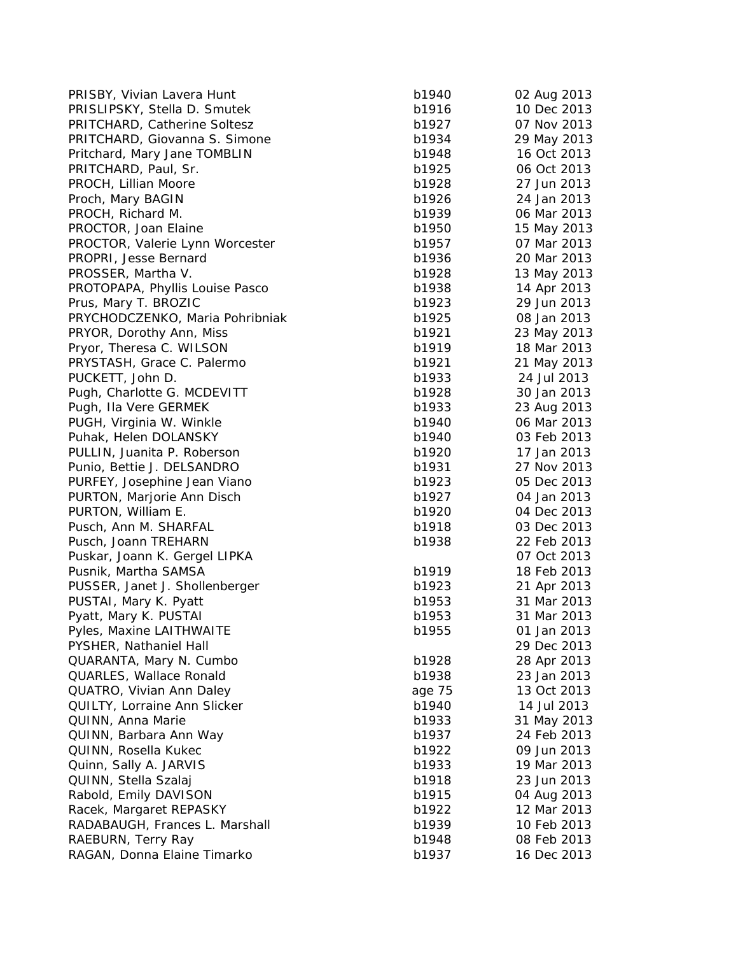| PRISBY, Vivian Lavera Hunt      | b1940  | 02 Aug 2013 |
|---------------------------------|--------|-------------|
| PRISLIPSKY, Stella D. Smutek    | b1916  | 10 Dec 2013 |
| PRITCHARD, Catherine Soltesz    | b1927  | 07 Nov 2013 |
| PRITCHARD, Giovanna S. Simone   | b1934  | 29 May 2013 |
| Pritchard, Mary Jane TOMBLIN    | b1948  | 16 Oct 2013 |
| PRITCHARD, Paul, Sr.            | b1925  | 06 Oct 2013 |
| PROCH, Lillian Moore            | b1928  | 27 Jun 2013 |
| Proch, Mary BAGIN               | b1926  | 24 Jan 2013 |
| PROCH, Richard M.               | b1939  | 06 Mar 2013 |
| PROCTOR, Joan Elaine            | b1950  | 15 May 2013 |
| PROCTOR, Valerie Lynn Worcester | b1957  | 07 Mar 2013 |
| PROPRI, Jesse Bernard           | b1936  | 20 Mar 2013 |
| PROSSER, Martha V.              | b1928  | 13 May 2013 |
| PROTOPAPA, Phyllis Louise Pasco | b1938  | 14 Apr 2013 |
| Prus, Mary T. BROZIC            | b1923  | 29 Jun 2013 |
| PRYCHODCZENKO, Maria Pohribniak | b1925  | 08 Jan 2013 |
| PRYOR, Dorothy Ann, Miss        | b1921  | 23 May 2013 |
| Pryor, Theresa C. WILSON        | b1919  | 18 Mar 2013 |
| PRYSTASH, Grace C. Palermo      | b1921  | 21 May 2013 |
| PUCKETT, John D.                | b1933  | 24 Jul 2013 |
| Pugh, Charlotte G. MCDEVITT     | b1928  | 30 Jan 2013 |
| Pugh, Ila Vere GERMEK           | b1933  | 23 Aug 2013 |
| PUGH, Virginia W. Winkle        | b1940  | 06 Mar 2013 |
| Puhak, Helen DOLANSKY           | b1940  | 03 Feb 2013 |
| PULLIN, Juanita P. Roberson     | b1920  | 17 Jan 2013 |
| Punio, Bettie J. DELSANDRO      | b1931  | 27 Nov 2013 |
| PURFEY, Josephine Jean Viano    | b1923  | 05 Dec 2013 |
| PURTON, Marjorie Ann Disch      | b1927  | 04 Jan 2013 |
| PURTON, William E.              | b1920  | 04 Dec 2013 |
| Pusch, Ann M. SHARFAL           | b1918  | 03 Dec 2013 |
| Pusch, Joann TREHARN            | b1938  | 22 Feb 2013 |
| Puskar, Joann K. Gergel LIPKA   |        | 07 Oct 2013 |
| Pusnik, Martha SAMSA            | b1919  | 18 Feb 2013 |
| PUSSER, Janet J. Shollenberger  | b1923  | 21 Apr 2013 |
| PUSTAI, Mary K. Pyatt           | b1953  | 31 Mar 2013 |
| Pyatt, Mary K. PUSTAI           | b1953  | 31 Mar 2013 |
| Pyles, Maxine LAITHWAITE        | b1955  | 01 Jan 2013 |
| PYSHER, Nathaniel Hall          |        | 29 Dec 2013 |
| QUARANTA, Mary N. Cumbo         | b1928  | 28 Apr 2013 |
| QUARLES, Wallace Ronald         | b1938  | 23 Jan 2013 |
| QUATRO, Vivian Ann Daley        | age 75 | 13 Oct 2013 |
| QUILTY, Lorraine Ann Slicker    | b1940  | 14 Jul 2013 |
| QUINN, Anna Marie               | b1933  | 31 May 2013 |
| QUINN, Barbara Ann Way          | b1937  | 24 Feb 2013 |
| QUINN, Rosella Kukec            | b1922  | 09 Jun 2013 |
| Quinn, Sally A. JARVIS          | b1933  | 19 Mar 2013 |
| QUINN, Stella Szalaj            | b1918  | 23 Jun 2013 |
| Rabold, Emily DAVISON           | b1915  | 04 Aug 2013 |
| Racek, Margaret REPASKY         | b1922  | 12 Mar 2013 |
| RADABAUGH, Frances L. Marshall  | b1939  | 10 Feb 2013 |
| RAEBURN, Terry Ray              | b1948  | 08 Feb 2013 |
| RAGAN, Donna Elaine Timarko     | b1937  | 16 Dec 2013 |
|                                 |        |             |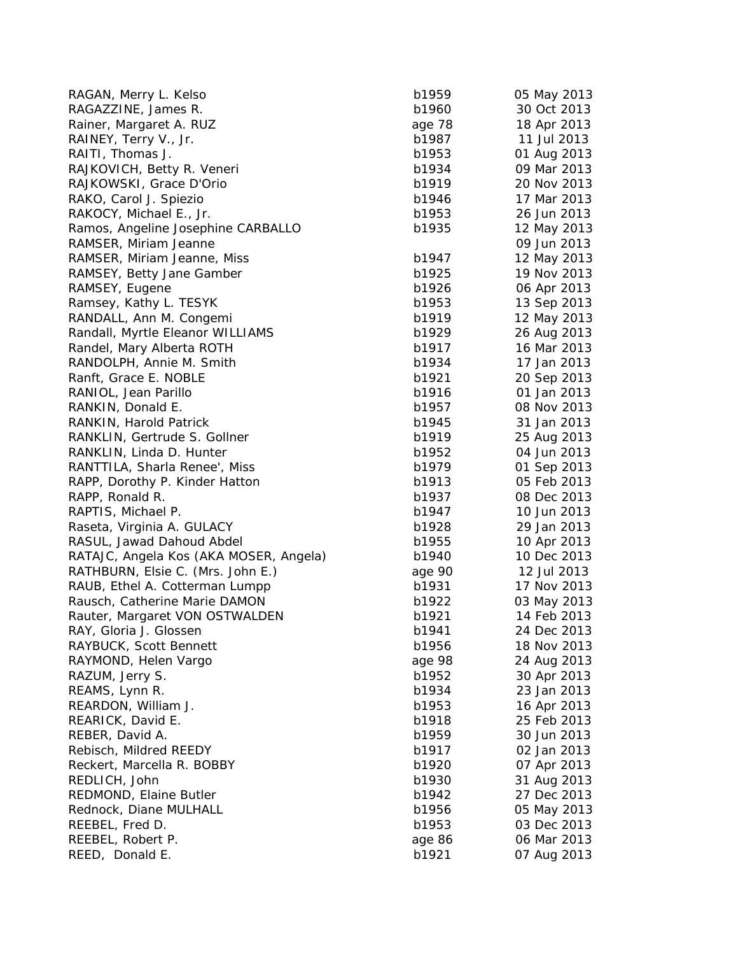| RAGAN, Merry L. Kelso                  | b1959  | 05 May 2013 |
|----------------------------------------|--------|-------------|
| RAGAZZINE, James R.                    | b1960  | 30 Oct 2013 |
| Rainer, Margaret A. RUZ                | age 78 | 18 Apr 2013 |
| RAINEY, Terry V., Jr.                  | b1987  | 11 Jul 2013 |
| RAITI, Thomas J.                       | b1953  | 01 Aug 2013 |
| RAJKOVICH, Betty R. Veneri             | b1934  | 09 Mar 2013 |
| RAJKOWSKI, Grace D'Orio                | b1919  | 20 Nov 2013 |
| RAKO, Carol J. Spiezio                 | b1946  | 17 Mar 2013 |
| RAKOCY, Michael E., Jr.                | b1953  | 26 Jun 2013 |
| Ramos, Angeline Josephine CARBALLO     | b1935  | 12 May 2013 |
| RAMSER, Miriam Jeanne                  |        | 09 Jun 2013 |
| RAMSER, Miriam Jeanne, Miss            | b1947  | 12 May 2013 |
| RAMSEY, Betty Jane Gamber              | b1925  | 19 Nov 2013 |
| RAMSEY, Eugene                         | b1926  | 06 Apr 2013 |
| Ramsey, Kathy L. TESYK                 | b1953  | 13 Sep 2013 |
| RANDALL, Ann M. Congemi                | b1919  | 12 May 2013 |
| Randall, Myrtle Eleanor WILLIAMS       | b1929  | 26 Aug 2013 |
| Randel, Mary Alberta ROTH              | b1917  | 16 Mar 2013 |
| RANDOLPH, Annie M. Smith               | b1934  | 17 Jan 2013 |
| Ranft, Grace E. NOBLE                  | b1921  | 20 Sep 2013 |
| RANIOL, Jean Parillo                   | b1916  | 01 Jan 2013 |
| RANKIN, Donald E.                      | b1957  | 08 Nov 2013 |
| RANKIN, Harold Patrick                 | b1945  | 31 Jan 2013 |
| RANKLIN, Gertrude S. Gollner           | b1919  | 25 Aug 2013 |
| RANKLIN, Linda D. Hunter               | b1952  | 04 Jun 2013 |
| RANTTILA, Sharla Renee', Miss          | b1979  | 01 Sep 2013 |
| RAPP, Dorothy P. Kinder Hatton         | b1913  | 05 Feb 2013 |
| RAPP, Ronald R.                        | b1937  | 08 Dec 2013 |
| RAPTIS, Michael P.                     | b1947  | 10 Jun 2013 |
| Raseta, Virginia A. GULACY             | b1928  | 29 Jan 2013 |
| RASUL, Jawad Dahoud Abdel              | b1955  | 10 Apr 2013 |
| RATAJC, Angela Kos (AKA MOSER, Angela) | b1940  | 10 Dec 2013 |
| RATHBURN, Elsie C. (Mrs. John E.)      | age 90 | 12 Jul 2013 |
| RAUB, Ethel A. Cotterman Lumpp         | b1931  | 17 Nov 2013 |
| Rausch, Catherine Marie DAMON          | b1922  | 03 May 2013 |
| Rauter, Margaret VON OSTWALDEN         | b1921  | 14 Feb 2013 |
| RAY, Gloria J. Glossen                 | b1941  | 24 Dec 2013 |
| RAYBUCK, Scott Bennett                 | b1956  | 18 Nov 2013 |
| RAYMOND, Helen Vargo                   | age 98 | 24 Aug 2013 |
| RAZUM, Jerry S.                        | b1952  | 30 Apr 2013 |
| REAMS, Lynn R.                         | b1934  | 23 Jan 2013 |
| REARDON, William J.                    | b1953  | 16 Apr 2013 |
| REARICK, David E.                      | b1918  | 25 Feb 2013 |
| REBER, David A.                        | b1959  | 30 Jun 2013 |
| Rebisch, Mildred REEDY                 | b1917  | 02 Jan 2013 |
| Reckert, Marcella R. BOBBY             | b1920  | 07 Apr 2013 |
| REDLICH, John                          | b1930  | 31 Aug 2013 |
| REDMOND, Elaine Butler                 | b1942  | 27 Dec 2013 |
| Rednock, Diane MULHALL                 | b1956  | 05 May 2013 |
| REEBEL, Fred D.                        | b1953  | 03 Dec 2013 |
| REEBEL, Robert P.                      | age 86 | 06 Mar 2013 |
| REED, Donald E.                        | b1921  | 07 Aug 2013 |
|                                        |        |             |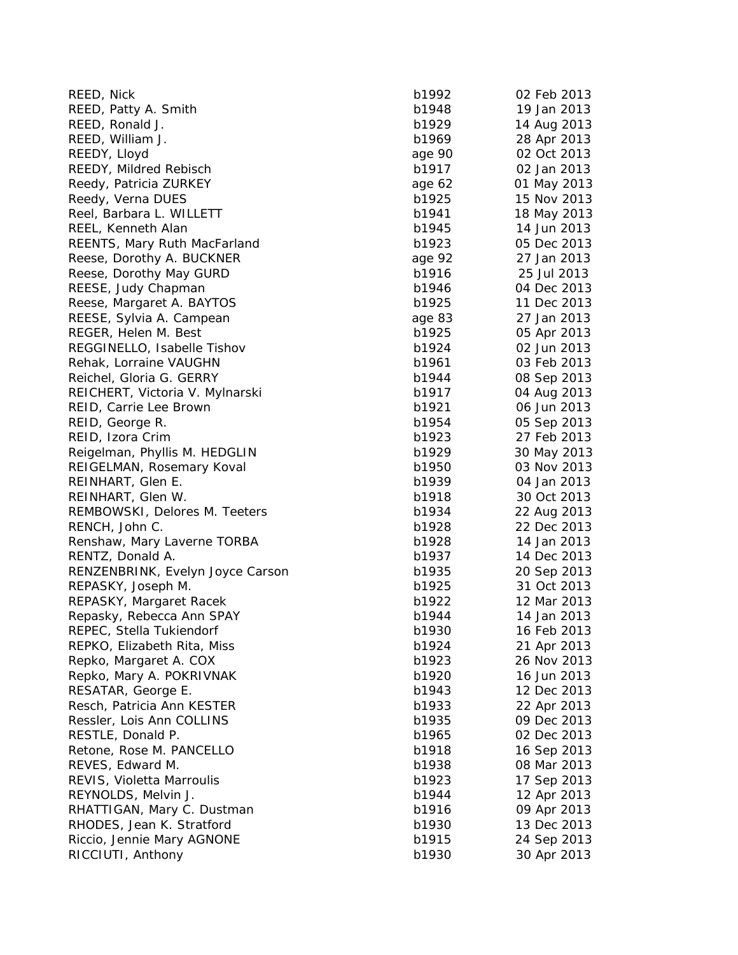| REED, Nick                          | b1992  | 02 Feb 2013 |
|-------------------------------------|--------|-------------|
| REED, Patty A. Smith                | b1948  | 19 Jan 2013 |
| REED, Ronald J.                     | b1929  | 14 Aug 2013 |
| REED, William J.                    | b1969  | 28 Apr 2013 |
| REEDY, Lloyd                        | age 90 | 02 Oct 2013 |
| REEDY, Mildred Rebisch              | b1917  | 02 Jan 2013 |
| Reedy, Patricia ZURKEY              | age 62 | 01 May 2013 |
| Reedy, Verna DUES                   | b1925  | 15 Nov 2013 |
| Reel, Barbara L. WILLETT            | b1941  | 18 May 2013 |
| REEL, Kenneth Alan                  | b1945  | 14 Jun 2013 |
| <b>REENTS, Mary Ruth MacFarland</b> | b1923  | 05 Dec 2013 |
| Reese, Dorothy A. BUCKNER           | age 92 | 27 Jan 2013 |
| Reese, Dorothy May GURD             | b1916  | 25 Jul 2013 |
| REESE, Judy Chapman                 | b1946  | 04 Dec 2013 |
| Reese, Margaret A. BAYTOS           | b1925  | 11 Dec 2013 |
| REESE, Sylvia A. Campean            | age 83 | 27 Jan 2013 |
| REGER, Helen M. Best                | b1925  | 05 Apr 2013 |
| REGGINELLO, Isabelle Tishov         | b1924  | 02 Jun 2013 |
| Rehak, Lorraine VAUGHN              | b1961  | 03 Feb 2013 |
| Reichel, Gloria G. GERRY            | b1944  | 08 Sep 2013 |
| REICHERT, Victoria V. Mylnarski     | b1917  | 04 Aug 2013 |
| REID, Carrie Lee Brown              | b1921  | 06 Jun 2013 |
| REID, George R.                     | b1954  | 05 Sep 2013 |
| REID, Izora Crim                    | b1923  | 27 Feb 2013 |
| Reigelman, Phyllis M. HEDGLIN       | b1929  | 30 May 2013 |
| REIGELMAN, Rosemary Koval           | b1950  | 03 Nov 2013 |
| REINHART, Glen E.                   | b1939  | 04 Jan 2013 |
| REINHART, Glen W.                   | b1918  | 30 Oct 2013 |
| REMBOWSKI, Delores M. Teeters       | b1934  | 22 Aug 2013 |
| RENCH, John C.                      | b1928  | 22 Dec 2013 |
| Renshaw, Mary Laverne TORBA         | b1928  | 14 Jan 2013 |
| RENTZ, Donald A.                    | b1937  | 14 Dec 2013 |
| RENZENBRINK, Evelyn Joyce Carson    | b1935  | 20 Sep 2013 |
| REPASKY, Joseph M.                  | b1925  | 31 Oct 2013 |
| REPASKY, Margaret Racek             | b1922  | 12 Mar 2013 |
| Repasky, Rebecca Ann SPAY           | b1944  | 14 Jan 2013 |
| REPEC, Stella Tukiendorf            | b1930  | 16 Feb 2013 |
| REPKO, Elizabeth Rita, Miss         | b1924  | 21 Apr 2013 |
| Repko, Margaret A. COX              | b1923  | 26 Nov 2013 |
| Repko, Mary A. POKRIVNAK            | b1920  | 16 Jun 2013 |
| RESATAR, George E.                  | b1943  | 12 Dec 2013 |
| Resch, Patricia Ann KESTER          | b1933  | 22 Apr 2013 |
| Ressler, Lois Ann COLLINS           | b1935  | 09 Dec 2013 |
| RESTLE, Donald P.                   | b1965  | 02 Dec 2013 |
| Retone, Rose M. PANCELLO            | b1918  | 16 Sep 2013 |
| REVES, Edward M.                    | b1938  | 08 Mar 2013 |
| REVIS, Violetta Marroulis           | b1923  | 17 Sep 2013 |
| REYNOLDS, Melvin J.                 | b1944  | 12 Apr 2013 |
| RHATTIGAN, Mary C. Dustman          | b1916  | 09 Apr 2013 |
| RHODES, Jean K. Stratford           | b1930  | 13 Dec 2013 |
| Riccio, Jennie Mary AGNONE          | b1915  | 24 Sep 2013 |
| RICCIUTI, Anthony                   | b1930  | 30 Apr 2013 |
|                                     |        |             |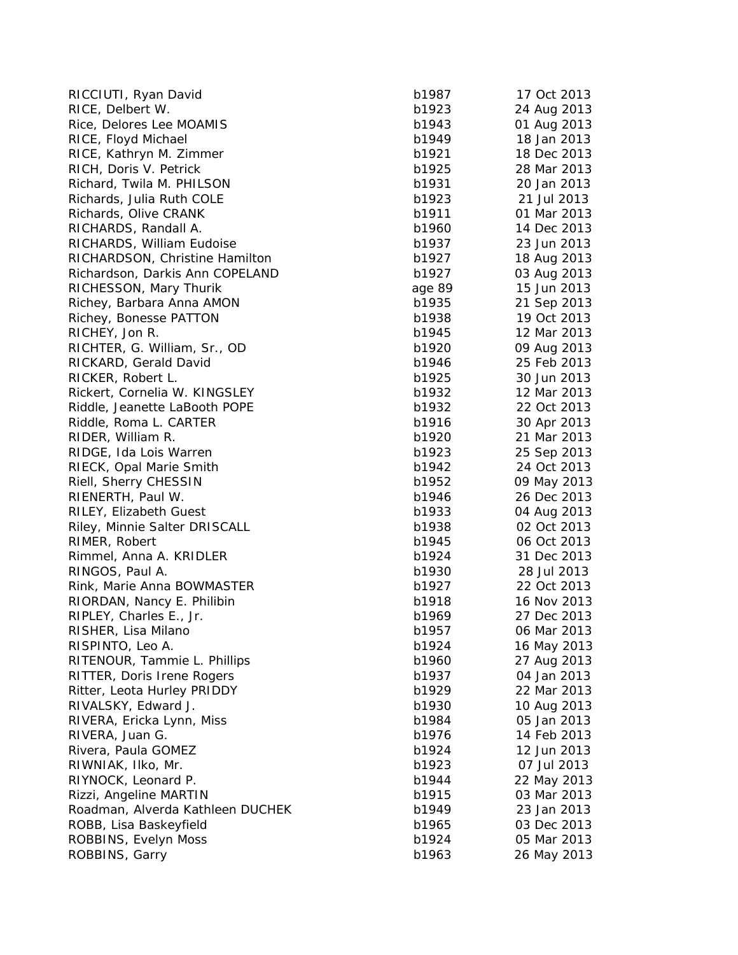| b1987 | 17 Oct 2013                                                                                                                                                                                                                                                                                                                                                                    |
|-------|--------------------------------------------------------------------------------------------------------------------------------------------------------------------------------------------------------------------------------------------------------------------------------------------------------------------------------------------------------------------------------|
| b1923 | 24 Aug 2013                                                                                                                                                                                                                                                                                                                                                                    |
| b1943 | 01 Aug 2013                                                                                                                                                                                                                                                                                                                                                                    |
| b1949 | 18 Jan 2013                                                                                                                                                                                                                                                                                                                                                                    |
| b1921 | 18 Dec 2013                                                                                                                                                                                                                                                                                                                                                                    |
| b1925 | 28 Mar 2013                                                                                                                                                                                                                                                                                                                                                                    |
| b1931 | 20 Jan 2013                                                                                                                                                                                                                                                                                                                                                                    |
| b1923 | 21 Jul 2013                                                                                                                                                                                                                                                                                                                                                                    |
| b1911 | 01 Mar 2013                                                                                                                                                                                                                                                                                                                                                                    |
| b1960 | 14 Dec 2013                                                                                                                                                                                                                                                                                                                                                                    |
| b1937 | 23 Jun 2013                                                                                                                                                                                                                                                                                                                                                                    |
|       | 18 Aug 2013                                                                                                                                                                                                                                                                                                                                                                    |
|       | 03 Aug 2013                                                                                                                                                                                                                                                                                                                                                                    |
|       | 15 Jun 2013                                                                                                                                                                                                                                                                                                                                                                    |
|       | 21 Sep 2013                                                                                                                                                                                                                                                                                                                                                                    |
|       | 19 Oct 2013                                                                                                                                                                                                                                                                                                                                                                    |
|       | 12 Mar 2013                                                                                                                                                                                                                                                                                                                                                                    |
|       | 09 Aug 2013                                                                                                                                                                                                                                                                                                                                                                    |
|       | 25 Feb 2013                                                                                                                                                                                                                                                                                                                                                                    |
|       | 30 Jun 2013                                                                                                                                                                                                                                                                                                                                                                    |
|       | 12 Mar 2013                                                                                                                                                                                                                                                                                                                                                                    |
|       | 22 Oct 2013                                                                                                                                                                                                                                                                                                                                                                    |
|       | 30 Apr 2013                                                                                                                                                                                                                                                                                                                                                                    |
|       | 21 Mar 2013                                                                                                                                                                                                                                                                                                                                                                    |
|       | 25 Sep 2013                                                                                                                                                                                                                                                                                                                                                                    |
|       | 24 Oct 2013                                                                                                                                                                                                                                                                                                                                                                    |
|       | 09 May 2013                                                                                                                                                                                                                                                                                                                                                                    |
|       | 26 Dec 2013                                                                                                                                                                                                                                                                                                                                                                    |
|       | 04 Aug 2013                                                                                                                                                                                                                                                                                                                                                                    |
|       | 02 Oct 2013                                                                                                                                                                                                                                                                                                                                                                    |
|       | 06 Oct 2013                                                                                                                                                                                                                                                                                                                                                                    |
|       | 31 Dec 2013                                                                                                                                                                                                                                                                                                                                                                    |
|       | 28 Jul 2013                                                                                                                                                                                                                                                                                                                                                                    |
|       | 22 Oct 2013                                                                                                                                                                                                                                                                                                                                                                    |
|       | 16 Nov 2013                                                                                                                                                                                                                                                                                                                                                                    |
|       | 27 Dec 2013                                                                                                                                                                                                                                                                                                                                                                    |
|       | 06 Mar 2013                                                                                                                                                                                                                                                                                                                                                                    |
|       | 16 May 2013                                                                                                                                                                                                                                                                                                                                                                    |
|       | 27 Aug 2013                                                                                                                                                                                                                                                                                                                                                                    |
|       | 04 Jan 2013                                                                                                                                                                                                                                                                                                                                                                    |
|       | 22 Mar 2013                                                                                                                                                                                                                                                                                                                                                                    |
|       | 10 Aug 2013                                                                                                                                                                                                                                                                                                                                                                    |
|       |                                                                                                                                                                                                                                                                                                                                                                                |
|       | 05 Jan 2013<br>14 Feb 2013                                                                                                                                                                                                                                                                                                                                                     |
|       |                                                                                                                                                                                                                                                                                                                                                                                |
|       | 12 Jun 2013                                                                                                                                                                                                                                                                                                                                                                    |
|       | 07 Jul 2013                                                                                                                                                                                                                                                                                                                                                                    |
|       | 22 May 2013                                                                                                                                                                                                                                                                                                                                                                    |
|       | 03 Mar 2013                                                                                                                                                                                                                                                                                                                                                                    |
|       | 23 Jan 2013                                                                                                                                                                                                                                                                                                                                                                    |
|       | 03 Dec 2013                                                                                                                                                                                                                                                                                                                                                                    |
|       | 05 Mar 2013                                                                                                                                                                                                                                                                                                                                                                    |
|       | 26 May 2013                                                                                                                                                                                                                                                                                                                                                                    |
|       | b1927<br>b1927<br>age 89<br>b1935<br>b1938<br>b1945<br>b1920<br>b1946<br>b1925<br>b1932<br>b1932<br>b1916<br>b1920<br>b1923<br>b1942<br>b1952<br>b1946<br>b1933<br>b1938<br>b1945<br>b1924<br>b1930<br>b1927<br>b1918<br>b1969<br>b1957<br>b1924<br>b1960<br>b1937<br>b1929<br>b1930<br>b1984<br>b1976<br>b1924<br>b1923<br>b1944<br>b1915<br>b1949<br>b1965<br>b1924<br>b1963 |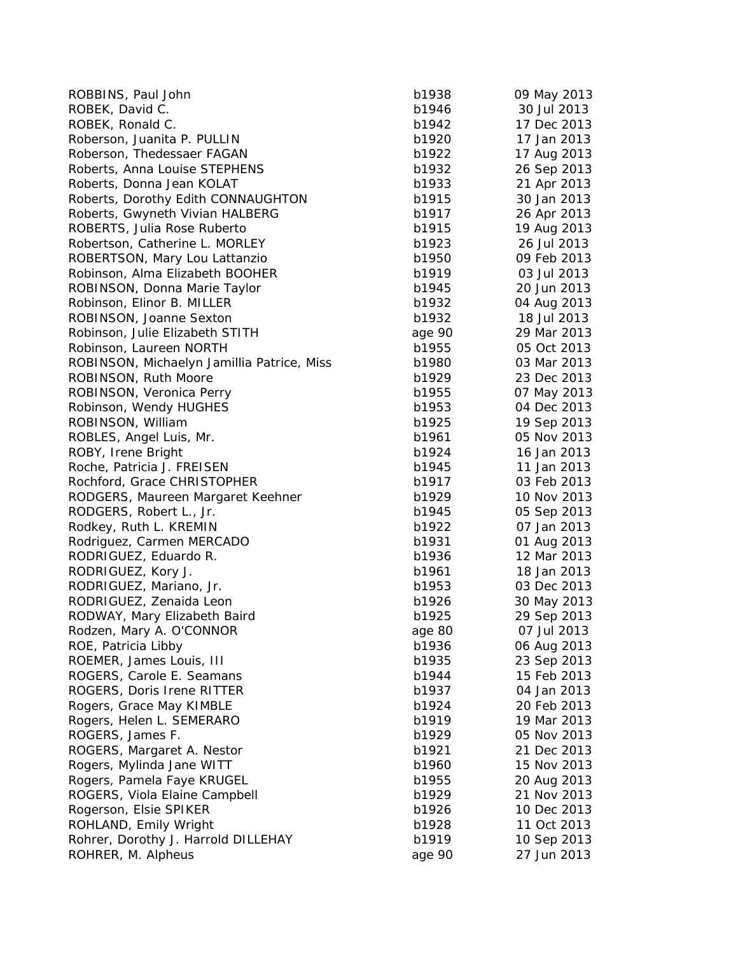| ROBBINS, Paul John                         | b1938  | 09 May 2013 |
|--------------------------------------------|--------|-------------|
| ROBEK, David C.                            | b1946  | 30 Jul 2013 |
| ROBEK, Ronald C.                           | b1942  | 17 Dec 2013 |
| Roberson, Juanita P. PULLIN                | b1920  | 17 Jan 2013 |
| Roberson, Thedessaer FAGAN                 | b1922  | 17 Aug 2013 |
| Roberts, Anna Louise STEPHENS              | b1932  | 26 Sep 2013 |
| Roberts, Donna Jean KOLAT                  | b1933  | 21 Apr 2013 |
| Roberts, Dorothy Edith CONNAUGHTON         | b1915  | 30 Jan 2013 |
| Roberts, Gwyneth Vivian HALBERG            | b1917  | 26 Apr 2013 |
| ROBERTS, Julia Rose Ruberto                | b1915  | 19 Aug 2013 |
| Robertson, Catherine L. MORLEY             | b1923  | 26 Jul 2013 |
| ROBERTSON, Mary Lou Lattanzio              | b1950  | 09 Feb 2013 |
| Robinson, Alma Elizabeth BOOHER            | b1919  | 03 Jul 2013 |
| ROBINSON, Donna Marie Taylor               | b1945  | 20 Jun 2013 |
| Robinson, Elinor B. MILLER                 | b1932  | 04 Aug 2013 |
| ROBINSON, Joanne Sexton                    | b1932  | 18 Jul 2013 |
| Robinson, Julie Elizabeth STITH            | age 90 | 29 Mar 2013 |
| Robinson, Laureen NORTH                    | b1955  | 05 Oct 2013 |
| ROBINSON, Michaelyn Jamillia Patrice, Miss | b1980  | 03 Mar 2013 |
| ROBINSON, Ruth Moore                       | b1929  | 23 Dec 2013 |
| ROBINSON, Veronica Perry                   | b1955  | 07 May 2013 |
| Robinson, Wendy HUGHES                     | b1953  | 04 Dec 2013 |
| ROBINSON, William                          | b1925  | 19 Sep 2013 |
| ROBLES, Angel Luis, Mr.                    | b1961  | 05 Nov 2013 |
| ROBY, Irene Bright                         | b1924  | 16 Jan 2013 |
| Roche, Patricia J. FREISEN                 | b1945  | 11 Jan 2013 |
| Rochford, Grace CHRISTOPHER                | b1917  | 03 Feb 2013 |
| RODGERS, Maureen Margaret Keehner          | b1929  | 10 Nov 2013 |
| RODGERS, Robert L., Jr.                    | b1945  | 05 Sep 2013 |
| Rodkey, Ruth L. KREMIN                     | b1922  | 07 Jan 2013 |
| Rodriguez, Carmen MERCADO                  | b1931  | 01 Aug 2013 |
| RODRIGUEZ, Eduardo R.                      | b1936  | 12 Mar 2013 |
| RODRIGUEZ, Kory J.                         | b1961  | 18 Jan 2013 |
| RODRIGUEZ, Mariano, Jr.                    | b1953  | 03 Dec 2013 |
| RODRIGUEZ, Zenaida Leon                    | b1926  | 30 May 2013 |
| RODWAY, Mary Elizabeth Baird               | b1925  | 29 Sep 2013 |
| Rodzen, Mary A. O'CONNOR                   | age 80 | 07 Jul 2013 |
| ROE, Patricia Libby                        | b1936  | 06 Aug 2013 |
| ROEMER, James Louis, III                   | b1935  | 23 Sep 2013 |
| ROGERS, Carole E. Seamans                  | b1944  | 15 Feb 2013 |
| ROGERS, Doris Irene RITTER                 | b1937  | 04 Jan 2013 |
| Rogers, Grace May KIMBLE                   | b1924  | 20 Feb 2013 |
| Rogers, Helen L. SEMERARO                  | b1919  | 19 Mar 2013 |
| ROGERS, James F.                           | b1929  | 05 Nov 2013 |
| ROGERS, Margaret A. Nestor                 | b1921  | 21 Dec 2013 |
| Rogers, Mylinda Jane WITT                  | b1960  | 15 Nov 2013 |
| Rogers, Pamela Faye KRUGEL                 | b1955  | 20 Aug 2013 |
| ROGERS, Viola Elaine Campbell              | b1929  | 21 Nov 2013 |
| Rogerson, Elsie SPIKER                     | b1926  | 10 Dec 2013 |
| ROHLAND, Emily Wright                      | b1928  | 11 Oct 2013 |
| Rohrer, Dorothy J. Harrold DILLEHAY        | b1919  | 10 Sep 2013 |
| ROHRER, M. Alpheus                         | age 90 | 27 Jun 2013 |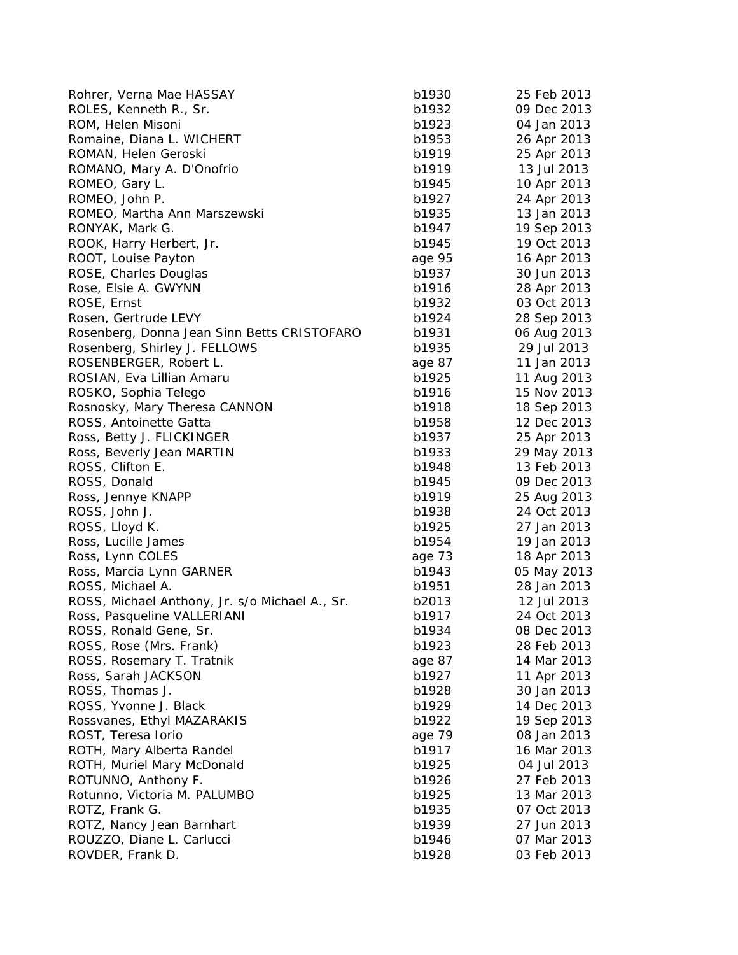| Rohrer, Verna Mae HASSAY                       | b1930  | 25 Feb 2013 |
|------------------------------------------------|--------|-------------|
| ROLES, Kenneth R., Sr.                         | b1932  | 09 Dec 2013 |
| ROM, Helen Misoni                              | b1923  | 04 Jan 2013 |
| Romaine, Diana L. WICHERT                      | b1953  | 26 Apr 2013 |
| ROMAN, Helen Geroski                           | b1919  | 25 Apr 2013 |
| ROMANO, Mary A. D'Onofrio                      | b1919  | 13 Jul 2013 |
| ROMEO, Gary L.                                 | b1945  | 10 Apr 2013 |
| ROMEO, John P.                                 | b1927  | 24 Apr 2013 |
| ROMEO, Martha Ann Marszewski                   | b1935  | 13 Jan 2013 |
| RONYAK, Mark G.                                | b1947  | 19 Sep 2013 |
| ROOK, Harry Herbert, Jr.                       | b1945  | 19 Oct 2013 |
| ROOT, Louise Payton                            | age 95 | 16 Apr 2013 |
| ROSE, Charles Douglas                          | b1937  | 30 Jun 2013 |
| Rose, Elsie A. GWYNN                           | b1916  | 28 Apr 2013 |
| ROSE, Ernst                                    | b1932  | 03 Oct 2013 |
| Rosen, Gertrude LEVY                           | b1924  | 28 Sep 2013 |
| Rosenberg, Donna Jean Sinn Betts CRISTOFARO    | b1931  | 06 Aug 2013 |
| Rosenberg, Shirley J. FELLOWS                  | b1935  | 29 Jul 2013 |
| ROSENBERGER, Robert L.                         | age 87 | 11 Jan 2013 |
| ROSIAN, Eva Lillian Amaru                      | b1925  | 11 Aug 2013 |
| ROSKO, Sophia Telego                           | b1916  | 15 Nov 2013 |
| Rosnosky, Mary Theresa CANNON                  | b1918  | 18 Sep 2013 |
| ROSS, Antoinette Gatta                         | b1958  | 12 Dec 2013 |
| Ross, Betty J. FLICKINGER                      | b1937  | 25 Apr 2013 |
| Ross, Beverly Jean MARTIN                      | b1933  | 29 May 2013 |
| ROSS, Clifton E.                               | b1948  | 13 Feb 2013 |
| ROSS, Donald                                   | b1945  | 09 Dec 2013 |
| Ross, Jennye KNAPP                             | b1919  | 25 Aug 2013 |
| ROSS, John J.                                  | b1938  | 24 Oct 2013 |
| ROSS, Lloyd K.                                 | b1925  | 27 Jan 2013 |
| Ross, Lucille James                            | b1954  | 19 Jan 2013 |
| Ross, Lynn COLES                               | age 73 | 18 Apr 2013 |
| Ross, Marcia Lynn GARNER                       | b1943  | 05 May 2013 |
| ROSS, Michael A.                               | b1951  | 28 Jan 2013 |
| ROSS, Michael Anthony, Jr. s/o Michael A., Sr. | b2013  | 12 Jul 2013 |
| Ross, Pasqueline VALLERIANI                    | b1917  | 24 Oct 2013 |
| ROSS, Ronald Gene, Sr.                         | b1934  | 08 Dec 2013 |
| ROSS, Rose (Mrs. Frank)                        | b1923  | 28 Feb 2013 |
| ROSS, Rosemary T. Tratnik                      | age 87 | 14 Mar 2013 |
| Ross, Sarah JACKSON                            | b1927  | 11 Apr 2013 |
| ROSS, Thomas J.                                | b1928  | 30 Jan 2013 |
| ROSS, Yvonne J. Black                          | b1929  | 14 Dec 2013 |
| Rossvanes, Ethyl MAZARAKIS                     | b1922  | 19 Sep 2013 |
| ROST, Teresa Iorio                             | age 79 | 08 Jan 2013 |
| ROTH, Mary Alberta Randel                      | b1917  | 16 Mar 2013 |
| ROTH, Muriel Mary McDonald                     | b1925  | 04 Jul 2013 |
| ROTUNNO, Anthony F.                            | b1926  | 27 Feb 2013 |
| Rotunno, Victoria M. PALUMBO                   | b1925  | 13 Mar 2013 |
| ROTZ, Frank G.                                 | b1935  | 07 Oct 2013 |
| ROTZ, Nancy Jean Barnhart                      | b1939  | 27 Jun 2013 |
| ROUZZO, Diane L. Carlucci                      | b1946  | 07 Mar 2013 |
| ROVDER, Frank D.                               | b1928  | 03 Feb 2013 |
|                                                |        |             |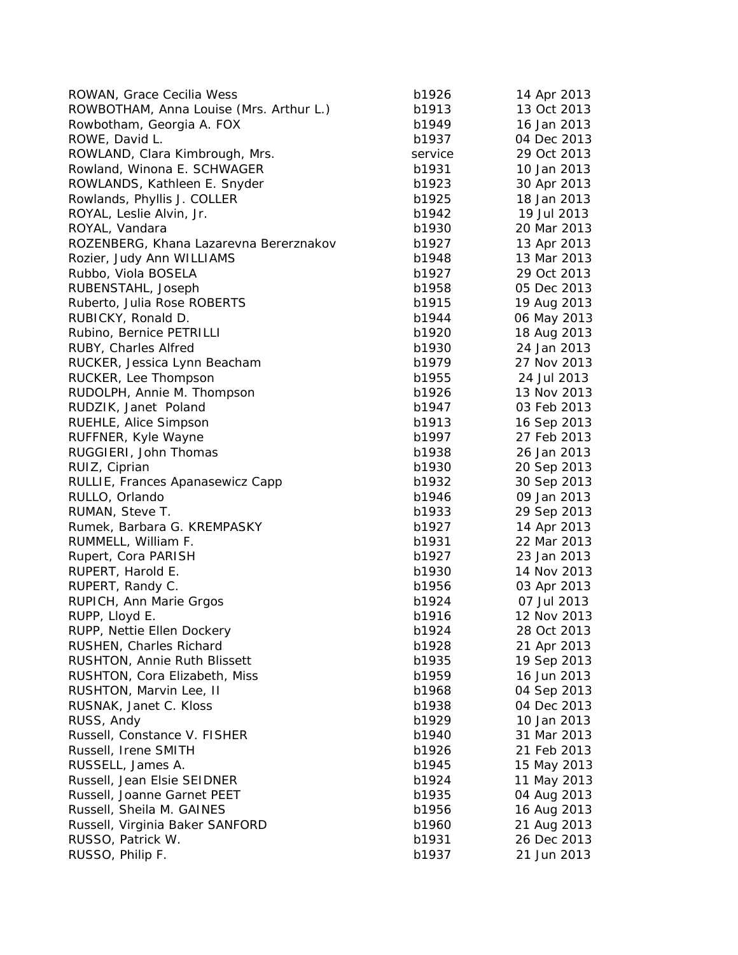| ROWAN, Grace Cecilia Wess               | b1926   | 14 Apr 2013                |
|-----------------------------------------|---------|----------------------------|
| ROWBOTHAM, Anna Louise (Mrs. Arthur L.) | b1913   | 13 Oct 2013                |
| Rowbotham, Georgia A. FOX               | b1949   | 16 Jan 2013                |
| ROWE, David L.                          | b1937   | 04 Dec 2013                |
| ROWLAND, Clara Kimbrough, Mrs.          | service | 29 Oct 2013                |
| Rowland, Winona E. SCHWAGER             | b1931   | 10 Jan 2013                |
| ROWLANDS, Kathleen E. Snyder            | b1923   | 30 Apr 2013                |
| Rowlands, Phyllis J. COLLER             | b1925   | 18 Jan 2013                |
| ROYAL, Leslie Alvin, Jr.                | b1942   | 19 Jul 2013                |
| ROYAL, Vandara                          | b1930   | 20 Mar 2013                |
| ROZENBERG, Khana Lazarevna Bererznakov  | b1927   | 13 Apr 2013                |
| Rozier, Judy Ann WILLIAMS               | b1948   | 13 Mar 2013                |
| Rubbo, Viola BOSELA                     | b1927   | 29 Oct 2013                |
| RUBENSTAHL, Joseph                      | b1958   | 05 Dec 2013                |
| Ruberto, Julia Rose ROBERTS             | b1915   | 19 Aug 2013                |
| RUBICKY, Ronald D.                      | b1944   | 06 May 2013                |
| Rubino, Bernice PETRILLI                | b1920   | 18 Aug 2013                |
| RUBY, Charles Alfred                    | b1930   | 24 Jan 2013                |
| RUCKER, Jessica Lynn Beacham            | b1979   | 27 Nov 2013                |
| RUCKER, Lee Thompson                    | b1955   | 24 Jul 2013                |
| RUDOLPH, Annie M. Thompson              | b1926   | 13 Nov 2013                |
| RUDZIK, Janet Poland                    | b1947   | 03 Feb 2013                |
| RUEHLE, Alice Simpson                   | b1913   | 16 Sep 2013                |
| RUFFNER, Kyle Wayne                     | b1997   | 27 Feb 2013                |
| RUGGIERI, John Thomas                   | b1938   | 26 Jan 2013                |
| RUIZ, Ciprian                           | b1930   | 20 Sep 2013                |
| RULLIE, Frances Apanasewicz Capp        | b1932   | 30 Sep 2013                |
| RULLO, Orlando                          | b1946   | 09 Jan 2013                |
| RUMAN, Steve T.                         | b1933   | 29 Sep 2013                |
| Rumek, Barbara G. KREMPASKY             | b1927   | 14 Apr 2013                |
| RUMMELL, William F.                     | b1931   | 22 Mar 2013                |
| Rupert, Cora PARISH                     | b1927   | 23 Jan 2013                |
| RUPERT, Harold E.                       | b1930   | 14 Nov 2013                |
| RUPERT, Randy C.                        | b1956   | 03 Apr 2013                |
| RUPICH, Ann Marie Grgos                 | b1924   | 07 Jul 2013                |
| RUPP, Lloyd E.                          | b1916   | 12 Nov 2013                |
| RUPP, Nettie Ellen Dockery              | b1924   | 28 Oct 2013                |
| RUSHEN, Charles Richard                 | b1928   | 21 Apr 2013                |
| RUSHTON, Annie Ruth Blissett            | b1935   | 19 Sep 2013                |
| RUSHTON, Cora Elizabeth, Miss           | b1959   | 16 Jun 2013                |
| RUSHTON, Marvin Lee, II                 | b1968   | 04 Sep 2013                |
| RUSNAK, Janet C. Kloss                  | b1938   | 04 Dec 2013                |
| RUSS, Andy                              | b1929   | 10 Jan 2013                |
| Russell, Constance V. FISHER            | b1940   | 31 Mar 2013                |
| Russell, Irene SMITH                    | b1926   | 21 Feb 2013                |
| RUSSELL, James A.                       | b1945   | 15 May 2013                |
| Russell, Jean Elsie SEIDNER             | b1924   | 11 May 2013                |
| Russell, Joanne Garnet PEET             | b1935   |                            |
| Russell, Sheila M. GAINES               | b1956   | 04 Aug 2013                |
| Russell, Virginia Baker SANFORD         | b1960   | 16 Aug 2013                |
| RUSSO, Patrick W.                       | b1931   | 21 Aug 2013<br>26 Dec 2013 |
|                                         |         |                            |
| RUSSO, Philip F.                        | b1937   | 21 Jun 2013                |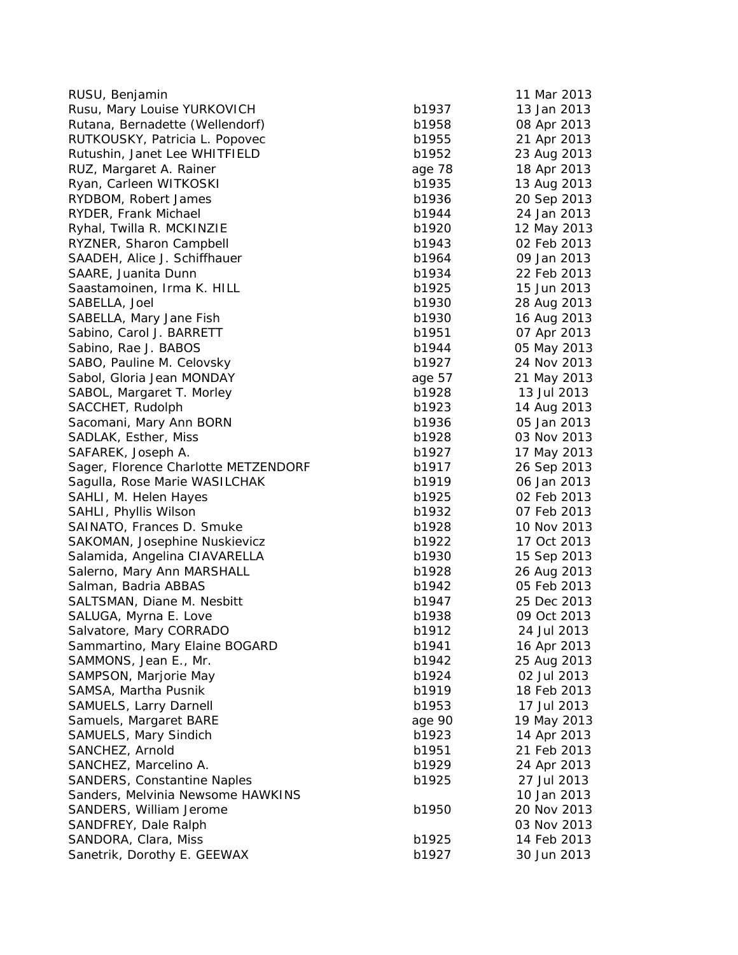| RUSU, Benjamin                                   |                | 11 Mar 2013 |
|--------------------------------------------------|----------------|-------------|
| Rusu, Mary Louise YURKOVICH                      | b1937          | 13 Jan 2013 |
| Rutana, Bernadette (Wellendorf)                  | b1958          | 08 Apr 2013 |
| RUTKOUSKY, Patricia L. Popovec                   | b1955          | 21 Apr 2013 |
| Rutushin, Janet Lee WHITFIELD                    | b1952          | 23 Aug 2013 |
| RUZ, Margaret A. Rainer                          | age 78         | 18 Apr 2013 |
| Ryan, Carleen WITKOSKI                           | b1935          | 13 Aug 2013 |
| RYDBOM, Robert James                             | b1936          | 20 Sep 2013 |
| RYDER, Frank Michael                             | b1944          | 24 Jan 2013 |
| Ryhal, Twilla R. MCKINZIE                        | b1920          | 12 May 2013 |
| RYZNER, Sharon Campbell                          | b1943          | 02 Feb 2013 |
| SAADEH, Alice J. Schiffhauer                     | b1964          | 09 Jan 2013 |
| SAARE, Juanita Dunn                              | b1934          | 22 Feb 2013 |
| Saastamoinen, Irma K. HILL                       | b1925          | 15 Jun 2013 |
| SABELLA, Joel                                    | b1930          | 28 Aug 2013 |
| SABELLA, Mary Jane Fish                          | b1930          | 16 Aug 2013 |
| Sabino, Carol J. BARRETT                         | b1951          | 07 Apr 2013 |
| Sabino, Rae J. BABOS                             | b1944          | 05 May 2013 |
| SABO, Pauline M. Celovsky                        | b1927          | 24 Nov 2013 |
| Sabol, Gloria Jean MONDAY                        | age 57         | 21 May 2013 |
| SABOL, Margaret T. Morley                        | b1928          | 13 Jul 2013 |
| SACCHET, Rudolph                                 | b1923          | 14 Aug 2013 |
| Sacomani, Mary Ann BORN                          | b1936          | 05 Jan 2013 |
| SADLAK, Esther, Miss                             | b1928          | 03 Nov 2013 |
| SAFAREK, Joseph A.                               | b1927          | 17 May 2013 |
| Sager, Florence Charlotte METZENDORF             | b1917          | 26 Sep 2013 |
| Sagulla, Rose Marie WASILCHAK                    | b1919          | 06 Jan 2013 |
| SAHLI, M. Helen Hayes                            | b1925          | 02 Feb 2013 |
| SAHLI, Phyllis Wilson                            | b1932          | 07 Feb 2013 |
| SAINATO, Frances D. Smuke                        | b1928          | 10 Nov 2013 |
| SAKOMAN, Josephine Nuskievicz                    | b1922          | 17 Oct 2013 |
| Salamida, Angelina CIAVARELLA                    | b1930          | 15 Sep 2013 |
| Salerno, Mary Ann MARSHALL                       | b1928          | 26 Aug 2013 |
| Salman, Badria ABBAS                             | b1942          | 05 Feb 2013 |
|                                                  |                | 25 Dec 2013 |
| SALTSMAN, Diane M. Nesbitt                       | b1947<br>b1938 | 09 Oct 2013 |
| SALUGA, Myrna E. Love<br>Salvatore, Mary CORRADO | b1912          | 24 Jul 2013 |
|                                                  |                |             |
| Sammartino, Mary Elaine BOGARD                   | b1941          | 16 Apr 2013 |
| SAMMONS, Jean E., Mr.                            | b1942          | 25 Aug 2013 |
| SAMPSON, Marjorie May                            | b1924          | 02 Jul 2013 |
| SAMSA, Martha Pusnik                             | b1919          | 18 Feb 2013 |
| <b>SAMUELS, Larry Darnell</b>                    | b1953          | 17 Jul 2013 |
| Samuels, Margaret BARE                           | age 90         | 19 May 2013 |
| SAMUELS, Mary Sindich                            | b1923          | 14 Apr 2013 |
| SANCHEZ, Arnold                                  | b1951          | 21 Feb 2013 |
| SANCHEZ, Marcelino A.                            | b1929          | 24 Apr 2013 |
| <b>SANDERS, Constantine Naples</b>               | b1925          | 27 Jul 2013 |
| Sanders, Melvinia Newsome HAWKINS                |                | 10 Jan 2013 |
| SANDERS, William Jerome                          | b1950          | 20 Nov 2013 |
| SANDFREY, Dale Ralph                             |                | 03 Nov 2013 |
| SANDORA, Clara, Miss                             | b1925          | 14 Feb 2013 |
| Sanetrik, Dorothy E. GEEWAX                      | b1927          | 30 Jun 2013 |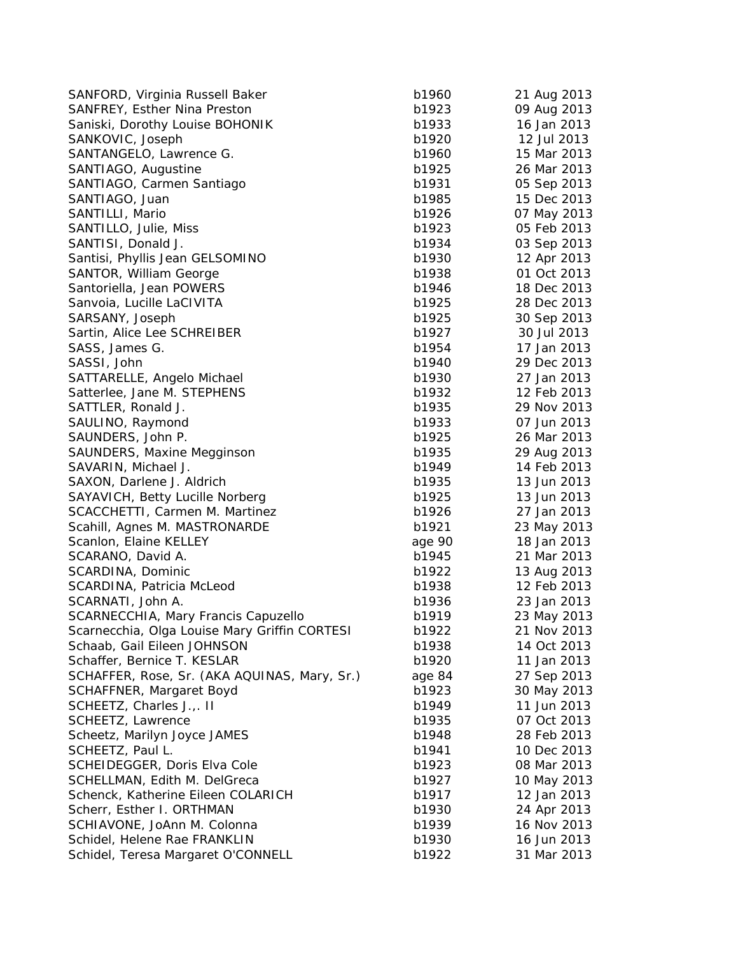| SANFORD, Virginia Russell Baker                            | b1960  | 21 Aug 2013                |
|------------------------------------------------------------|--------|----------------------------|
| SANFREY, Esther Nina Preston                               | b1923  | 09 Aug 2013                |
| Saniski, Dorothy Louise BOHONIK                            | b1933  | 16 Jan 2013                |
| SANKOVIC, Joseph                                           | b1920  | 12 Jul 2013                |
| SANTANGELO, Lawrence G.                                    | b1960  | 15 Mar 2013                |
| SANTIAGO, Augustine                                        | b1925  | 26 Mar 2013                |
| SANTIAGO, Carmen Santiago                                  | b1931  | 05 Sep 2013                |
| SANTIAGO, Juan                                             | b1985  | 15 Dec 2013                |
| SANTILLI, Mario                                            | b1926  | 07 May 2013                |
| SANTILLO, Julie, Miss                                      | b1923  | 05 Feb 2013                |
| SANTISI, Donald J.                                         | b1934  | 03 Sep 2013                |
| Santisi, Phyllis Jean GELSOMINO                            | b1930  | 12 Apr 2013                |
| SANTOR, William George                                     | b1938  | 01 Oct 2013                |
| Santoriella, Jean POWERS                                   | b1946  | 18 Dec 2013                |
| Sanvoia, Lucille LaCIVITA                                  | b1925  | 28 Dec 2013                |
| SARSANY, Joseph                                            | b1925  | 30 Sep 2013                |
| Sartin, Alice Lee SCHREIBER                                | b1927  | 30 Jul 2013                |
| SASS, James G.                                             | b1954  | 17 Jan 2013                |
| SASSI, John                                                | b1940  | 29 Dec 2013                |
| SATTARELLE, Angelo Michael                                 | b1930  | 27 Jan 2013                |
| Satterlee, Jane M. STEPHENS                                | b1932  | 12 Feb 2013                |
| SATTLER, Ronald J.                                         | b1935  | 29 Nov 2013                |
| SAULINO, Raymond                                           | b1933  | 07 Jun 2013                |
| SAUNDERS, John P.                                          | b1925  | 26 Mar 2013                |
| SAUNDERS, Maxine Megginson                                 | b1935  | 29 Aug 2013                |
| SAVARIN, Michael J.                                        | b1949  | 14 Feb 2013                |
| SAXON, Darlene J. Aldrich                                  | b1935  | 13 Jun 2013                |
| SAYAVICH, Betty Lucille Norberg                            | b1925  | 13 Jun 2013                |
| SCACCHETTI, Carmen M. Martinez                             | b1926  | 27 Jan 2013                |
| Scahill, Agnes M. MASTRONARDE                              | b1921  | 23 May 2013                |
| Scanlon, Elaine KELLEY                                     | age 90 | 18 Jan 2013                |
| SCARANO, David A.                                          | b1945  | 21 Mar 2013                |
| SCARDINA, Dominic                                          | b1922  | 13 Aug 2013                |
| SCARDINA, Patricia McLeod                                  | b1938  | 12 Feb 2013                |
| SCARNATI, John A.                                          | b1936  | 23 Jan 2013                |
| SCARNECCHIA, Mary Francis Capuzello                        | b1919  |                            |
| Scarnecchia, Olga Louise Mary Griffin CORTESI              | b1922  | 23 May 2013<br>21 Nov 2013 |
|                                                            | b1938  |                            |
| Schaab, Gail Eileen JOHNSON<br>Schaffer, Bernice T. KESLAR |        | 14 Oct 2013                |
|                                                            | b1920  | 11 Jan 2013<br>27 Sep 2013 |
| SCHAFFER, Rose, Sr. (AKA AQUINAS, Mary, Sr.)               | age 84 |                            |
| SCHAFFNER, Margaret Boyd                                   | b1923  | 30 May 2013                |
| SCHEETZ, Charles J.,. II                                   | b1949  | 11 Jun 2013                |
| SCHEETZ, Lawrence                                          | b1935  | 07 Oct 2013                |
| Scheetz, Marilyn Joyce JAMES                               | b1948  | 28 Feb 2013                |
| SCHEETZ, Paul L.                                           | b1941  | 10 Dec 2013                |
| SCHEIDEGGER, Doris Elva Cole                               | b1923  | 08 Mar 2013                |
| SCHELLMAN, Edith M. DelGreca                               | b1927  | 10 May 2013                |
| Schenck, Katherine Eileen COLARICH                         | b1917  | 12 Jan 2013                |
| Scherr, Esther I. ORTHMAN                                  | b1930  | 24 Apr 2013                |
| SCHIAVONE, JoAnn M. Colonna                                | b1939  | 16 Nov 2013                |
| Schidel, Helene Rae FRANKLIN                               | b1930  | 16 Jun 2013                |
| Schidel, Teresa Margaret O'CONNELL                         | b1922  | 31 Mar 2013                |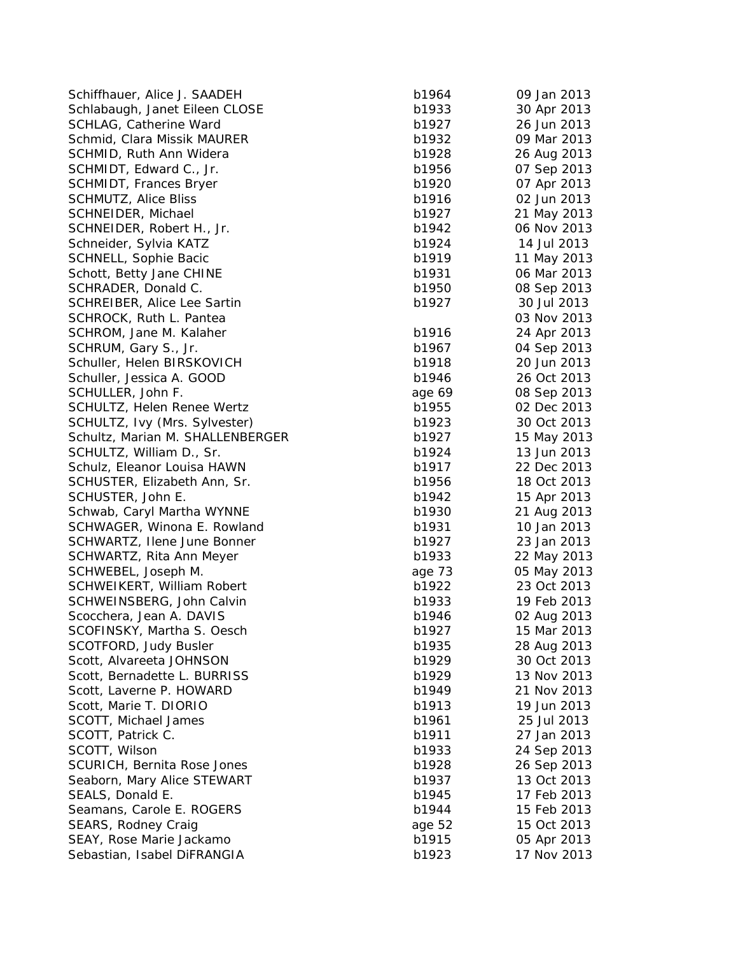Schiffhauer, Alice J. SAADEH b1 Schlabaugh, Janet Eileen CLOSE b1 SCHLAG, Catherine Ward b1 Schmid, Clara Missik MAURER b1 SCHMID, Ruth Ann Widera b1928 26 Aug 2013 26 Aug 2014 26 Aug 2013 26 Aug 2014 26 Aug 2013 26 Aug 2014 27 Aug 20 SCHMIDT, Edward C., Jr. b1956 07 Sep 2014 07 Sep 2014 07 Sep 2014 07 Sep 2013 07 Sep 2014 07 Sep 2013 07 Sep 20 SCHMIDT, Frances Bryer b1 SCHMUTZ, Alice Bliss b1 SCHNEIDER, Michael b1927 21 May 2013 21 May 2014 2014 2014 21 May 2014 2014 2014 2014 2014 2014 2013 2014 2013 SCHNEIDER, Robert H., Jr. b1942 06 Nov 2014 06 Nov 2014 07:30 Nov 2014 07:42 06 Nov 2014 07:42 06 Nov 2014 07:4 Schneider, Sylvia KATZ b1 SCHNELL, Sophie Bacic b1919 11 May 2013 11 May 2014 11 May 2014 12:30 12:30 Schott, Betty Jane CHINE b1 SCHRADER, Donald C. b1950 08 Sep 2013 08 Sep 2013 SCHREIBER, Alice Lee Sartin b1 SCHROCK, Ruth L. Pantea SCHROM, Jane M. Kalaher b1 SCHRUM, Gary S., Jr. b1967 04 Sep 2014 04 Sep 2014 04 Sep 2014 04 Sep 2014 04 Sep 2014 04 Sep 2013 04 Sep 2013 Schuller, Helen BIRSKOVICH b1 Schuller, Jessica A. GOOD b1 SCHULLER, John F. age 69 08 30 08 30 09 09 08 30 09 09 10 10 10 10 10 11 12 13 14 15 16 17 17 18 19 19 19 19 1 SCHULTZ, Helen Renee Wertz b1 SCHULTZ, Ivy (Mrs. Sylvester) b1 Schultz, Marian M. SHALLENBERGER b1 SCHULTZ, William D., Sr. b1924 13 Jun 2014 13 Jun 2014 13 Jun 2014 13 Jun 2014 13 Jun 2014 13 Jun 2013 13 Jun 201 Schulz, Eleanor Louisa HAWN b1 SCHUSTER, Elizabeth Ann, Sr. b1956 18 Oct 2014 SCHUSTER, John E. b1 Schwab, Caryl Martha WYNNE b1 SCHWAGER, Winona E. Rowland b1 SCHWARTZ, Ilene June Bonner b1 SCHWARTZ, Rita Ann Meyer b1 SCHWEBEL, Joseph M. age 73 05 May 2013 SCHWEIKERT, William Robert b1 SCHWEINSBERG, John Calvin b1933 1994 Scocchera, Jean A. DAVIS b1 SCOFINSKY, Martha S. Oesch b1 SCOTFORD, Judy Busler b1935 28 Aug 2013 Scott, Alvareeta JOHNSON b1 Scott, Bernadette L. BURRISS b1 Scott, Laverne P. HOWARD b1 Scott, Marie T. DIORIO b1913 b1913 b1913 b1913 b1913 b1913 b1913 b1913 b1913 b191 SCOTT, Michael James b1 SCOTT, Patrick C. b1911 27 Jan 2013 27 Jan 2014 27 Jan 2014 27 Jan 2014 27 Jan 2014 27 Jan 2014 27 Jan 2014 27 Jan 2014 27 Jan 2014 27 Jan 2014 27 Jan 2014 27 Jan 2014 27 Jan 2014 27 Jan 2014 27 Jan 2014 27 Jan 2014 27 Jan SCOTT, Wilson b1 SCURICH, Bernita Rose Jones b1928 26 Sep 2014 Seaborn, Mary Alice STEWART b1 SEALS, Donald E. b1945 17 Feb 2014 17 Feb 2014 17 Feb 2014 17 Feb 2014 17 Feb 2014 17 Feb 2014 17 Feb 2014 17 Feb 2014 17 Feb 2014 17 Feb 2014 17 Feb 2014 17 Feb 2014 17 Feb 2014 17 Feb 2014 17 Feb 2014 17 Feb 2014 17 Feb Seamans, Carole E. ROGERS b1 SEARS, Rodney Craig and SEARS, and SEARS and SEARS and SEARS and SEARS and SEARS and SEARS and SEARS and SEARS and SEARS and SEARS and SEARS and SEARS and SEARS and SEARS and SEARS and SEARS and SEARS and SEARS and SEARS a SEAY, Rose Marie Jackamo b1 Sebastian, Isabel DiFRANGIA b1

| 964  |             |
|------|-------------|
|      | 09 Jan 2013 |
| 933  | 30 Apr 2013 |
| 927  | 26 Jun 2013 |
| 932  | 09 Mar 2013 |
| 928  | 26 Aug 2013 |
| 956  | 07 Sep 2013 |
| 920  | 07 Apr 2013 |
| 916  |             |
|      | 02 Jun 2013 |
| 927  | 21 May 2013 |
| 942  | 06 Nov 2013 |
| 924  | 14 Jul 2013 |
| 919  | 11 May 2013 |
| 931  | 06 Mar 2013 |
| 950  | 08 Sep 2013 |
| 927  |             |
|      | 30 Jul 2013 |
|      | 03 Nov 2013 |
| 916  | 24 Apr 2013 |
| 967  | 04 Sep 2013 |
| 918  | 20 Jun 2013 |
| 946  | 26 Oct 2013 |
| e 69 | 08 Sep 2013 |
| 955  | 02 Dec 2013 |
|      |             |
| 923  | 30 Oct 2013 |
| 927  | 15 May 2013 |
| 924  | 13 Jun 2013 |
| 917  | 22 Dec 2013 |
| 956  | 18 Oct 2013 |
| 942  | 15 Apr 2013 |
| 930  | 21 Aug 2013 |
| 931  |             |
|      | 10 Jan 2013 |
| 927  | 23 Jan 2013 |
| 933  | 22 May 2013 |
| e 73 | 05 May 2013 |
| 922  | 23 Oct 2013 |
| 933  | 19 Feb 2013 |
| 946  | 02 Aug 2013 |
| 927  | 15 Mar 2013 |
| 935  | 28 Aug 2013 |
|      |             |
| 929  | 30 Oct 2013 |
| 929  | 13 Nov 2013 |
| 949  | 21 Nov 2013 |
| 913  | 19 Jun 2013 |
| 961  | 25 Jul 2013 |
| 911  | 27 Jan 2013 |
| 933  | 24 Sep 2013 |
|      |             |
| 928  | 26 Sep 2013 |
| 937  | 13 Oct 2013 |
| 945  | 17 Feb 2013 |
| 944  | 15 Feb 2013 |
| e 52 | 15 Oct 2013 |
| 915  | 05 Apr 2013 |
| 923  | 17 Nov 2013 |
|      |             |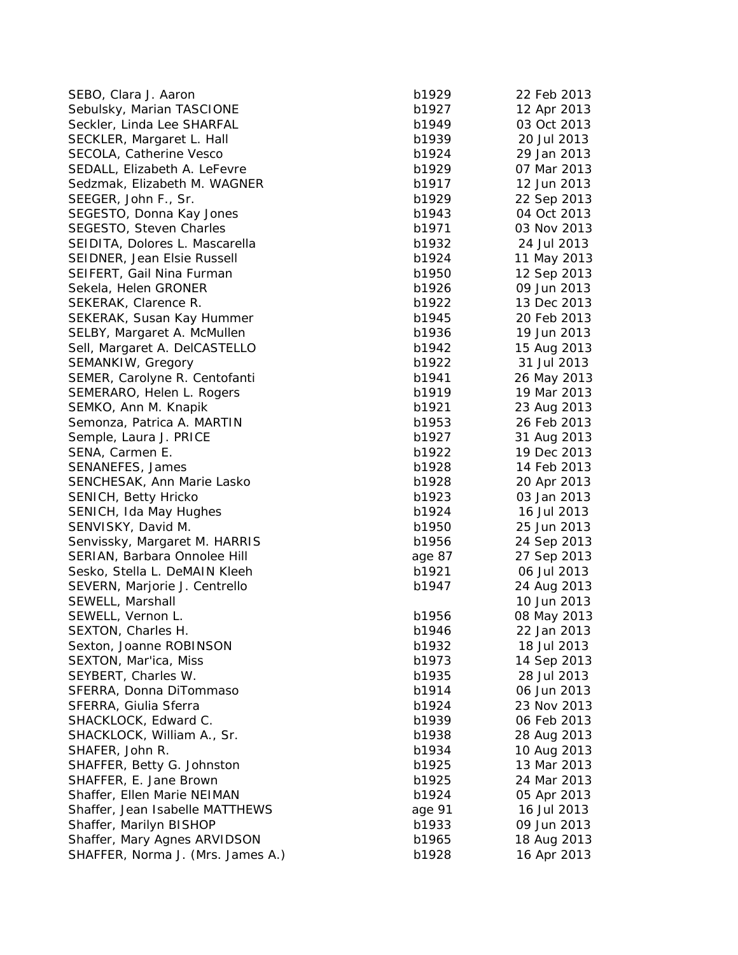SEBO, Clara J. Aaron b19 Sebulsky, Marian TASCIONE b19 Seckler, Linda Lee SHARFAL b19 SECKLER, Margaret L. Hall b1939 2014 SECOLA, Catherine Vesco b19 SEDALL, Elizabeth A. LeFevre b19 Sedzmak, Elizabeth M. WAGNER b19 SEEGER, John F., Sr. b1929 22 Sep 2014 SEGESTO, Donna Kay Jones b1943 04 Oct 2014 SEGESTO, Steven Charles b1971 03 Nov 2014 SEIDITA, Dolores L. Mascarella b19 SEIDNER, Jean Elsie Russell b19 SEIFERT, Gail Nina Furman b19 Sekela, Helen GRONER b19 SEKERAK, Clarence R. b19 SEKERAK, Susan Kay Hummer b19 SELBY, Margaret A. McMullen b19 Sell, Margaret A. DelCASTELLO b19 SEMANKIW, Gregory b19 SEMER, Carolyne R. Centofanti b1941 26 May 2014 SEMERARO, Helen L. Rogers b19 SEMKO, Ann M. Knapik b19 Semonza, Patrica A. MARTIN b19 Semple, Laura J. PRICE b19 SENA, Carmen E. b19 SENANEFES, James b19 SENCHESAK, Ann Marie Lasko b19 SENICH, Betty Hricko b19 SENICH, Ida May Hughes b19 SENVISKY, David M. b19 Senvissky, Margaret M. HARRIS b19 SERIAN, Barbara Onnolee Hill **Annual age 27 Sep 2013** 2014 Sesko, Stella L. DeMAIN Kleeh b19 SEVERN, Marjorie J. Centrello b1947 24 Bulletin b1947 SEWELL, Marshall SEWELL, Vernon L. b19 SEXTON, Charles H. b1946 22 Jan 2014 Sexton, Joanne ROBINSON b1932 18 Jul 2014 SEXTON, Mar'ica, Miss b1973 14 Sep 2014 SEYBERT, Charles W. b1935 28 July 2014 SFERRA, Donna DiTommaso b19 SFERRA, Giulia Sferra b1924 23 Nov 2014 SHACKLOCK, Edward C. b1939 b1939 b1939 b1939 b1939 b1939 b1939 b1939 b1939 b1939 b1939 b1939 b1939 b1939 b1939 SHACKLOCK, William A., Sr. b1938 28 aug 2014 SHAFER, John R. b1934 10 Aug 2014 SHAFFER, Betty G. Johnston b19 SHAFFER, E. Jane Brown b19 Shaffer, Ellen Marie NEIMAN b19 Shaffer, Jean Isabelle MATTHEWS age Shaffer, Marilyn BISHOP b1933 b1933 Shaffer, Mary Agnes ARVIDSON b19 SHAFFER, Norma J. (Mrs. James A.) b19

| 929 | 22 Feb 2013 |
|-----|-------------|
| 927 | 12 Apr 2013 |
| 949 | 03 Oct 2013 |
| 939 | 20 Jul 2013 |
| 924 | 29 Jan 2013 |
| 929 | 07 Mar 2013 |
| 917 | 12 Jun 2013 |
|     |             |
| 929 | 22 Sep 2013 |
| 943 | 04 Oct 2013 |
| 971 | 03 Nov 2013 |
| 932 | 24 Jul 2013 |
| 924 | 11 May 2013 |
| 950 | 12 Sep 2013 |
| 926 | 09 Jun 2013 |
| 922 | 13 Dec 2013 |
| 945 | 20 Feb 2013 |
| 936 | 19 Jun 2013 |
| 942 | 15 Aug 2013 |
|     | 31 Jul 2013 |
| 922 |             |
| 941 | 26 May 2013 |
| 919 | 19 Mar 2013 |
| 921 | 23 Aug 2013 |
| 953 | 26 Feb 2013 |
| 927 | 31 Aug 2013 |
| 922 | 19 Dec 2013 |
| 928 | 14 Feb 2013 |
| 928 | 20 Apr 2013 |
| 923 | 03 Jan 2013 |
| 924 | 16 Jul 2013 |
| 950 | 25 Jun 2013 |
|     |             |
| 956 | 24 Sep 2013 |
| 987 | 27 Sep 2013 |
| 921 | 06 Jul 2013 |
| 947 | 24 Aug 2013 |
|     | 10 Jun 2013 |
| 956 | 08 May 2013 |
| 946 | 22 Jan 2013 |
| 932 | 18 Jul 2013 |
| 973 | 14 Sep 2013 |
| 935 | 28 Jul 2013 |
| 914 | 06 Jun 2013 |
| 924 | 23 Nov 2013 |
| 939 |             |
|     | 06 Feb 2013 |
| 938 | 28 Aug 2013 |
| 934 | 10 Aug 2013 |
| 925 | 13 Mar 2013 |
| 925 | 24 Mar 2013 |
| 924 | 05 Apr 2013 |
| 91  | 16 Jul 2013 |
| 933 | 09 Jun 2013 |
| 965 | 18 Aug 2013 |
| 928 | 16 Apr 2013 |
|     |             |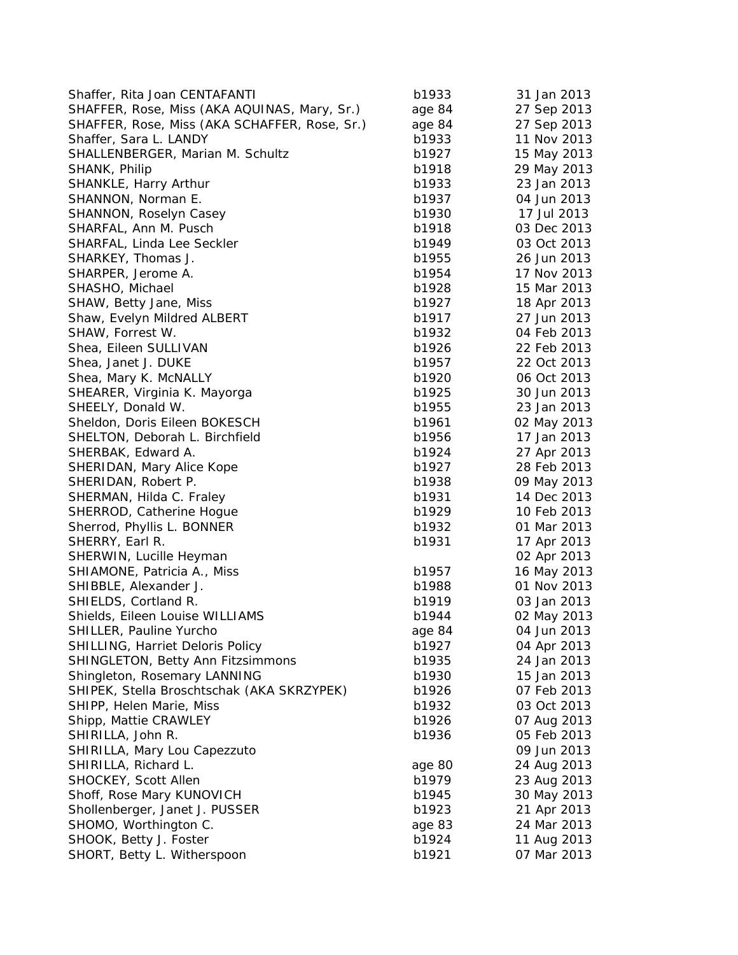| Shaffer, Rita Joan CENTAFANTI                 | b1933  | 31 Jan 2013                |
|-----------------------------------------------|--------|----------------------------|
| SHAFFER, Rose, Miss (AKA AQUINAS, Mary, Sr.)  | age 84 | 27 Sep 2013                |
| SHAFFER, Rose, Miss (AKA SCHAFFER, Rose, Sr.) | age 84 | 27 Sep 2013                |
| Shaffer, Sara L. LANDY                        | b1933  | 11 Nov 2013                |
| SHALLENBERGER, Marian M. Schultz              | b1927  | 15 May 2013                |
| SHANK, Philip                                 | b1918  | 29 May 2013                |
| SHANKLE, Harry Arthur                         | b1933  | 23 Jan 2013                |
| SHANNON, Norman E.                            | b1937  | 04 Jun 2013                |
| SHANNON, Roselyn Casey                        | b1930  | 17 Jul 2013                |
| SHARFAL, Ann M. Pusch                         | b1918  | 03 Dec 2013                |
| SHARFAL, Linda Lee Seckler                    | b1949  | 03 Oct 2013                |
| SHARKEY, Thomas J.                            | b1955  | 26 Jun 2013                |
| SHARPER, Jerome A.                            | b1954  | 17 Nov 2013                |
| SHASHO, Michael                               | b1928  | 15 Mar 2013                |
| SHAW, Betty Jane, Miss                        | b1927  | 18 Apr 2013                |
| Shaw, Evelyn Mildred ALBERT                   | b1917  | 27 Jun 2013                |
| SHAW, Forrest W.                              | b1932  | 04 Feb 2013                |
| Shea, Eileen SULLIVAN                         | b1926  | 22 Feb 2013                |
| Shea, Janet J. DUKE                           | b1957  | 22 Oct 2013                |
| Shea, Mary K. McNALLY                         | b1920  | 06 Oct 2013                |
| SHEARER, Virginia K. Mayorga                  | b1925  | 30 Jun 2013                |
| SHEELY, Donald W.                             | b1955  | 23 Jan 2013                |
| Sheldon, Doris Eileen BOKESCH                 | b1961  | 02 May 2013                |
| SHELTON, Deborah L. Birchfield                | b1956  | 17 Jan 2013                |
| SHERBAK, Edward A.                            | b1924  | 27 Apr 2013                |
| SHERIDAN, Mary Alice Kope                     | b1927  | 28 Feb 2013                |
|                                               | b1938  |                            |
| SHERIDAN, Robert P.                           | b1931  | 09 May 2013<br>14 Dec 2013 |
| SHERMAN, Hilda C. Fraley                      |        | 10 Feb 2013                |
| SHERROD, Catherine Hogue                      | b1929  |                            |
| Sherrod, Phyllis L. BONNER                    | b1932  | 01 Mar 2013                |
| SHERRY, Earl R.                               | b1931  | 17 Apr 2013                |
| SHERWIN, Lucille Heyman                       |        | 02 Apr 2013                |
| SHIAMONE, Patricia A., Miss                   | b1957  | 16 May 2013                |
| SHIBBLE, Alexander J.                         | b1988  | 01 Nov 2013                |
| SHIELDS, Cortland R.                          | b1919  | 03 Jan 2013                |
| Shields, Eileen Louise WILLIAMS               | b1944  | 02 May 2013                |
| SHILLER, Pauline Yurcho                       | age 84 | 04 Jun 2013                |
| SHILLING, Harriet Deloris Policy              | b1927  | 04 Apr 2013                |
| SHINGLETON, Betty Ann Fitzsimmons             | b1935  | 24 Jan 2013                |
| Shingleton, Rosemary LANNING                  | b1930  | 15 Jan 2013                |
| SHIPEK, Stella Broschtschak (AKA SKRZYPEK)    | b1926  | 07 Feb 2013                |
| SHIPP, Helen Marie, Miss                      | b1932  | 03 Oct 2013                |
| Shipp, Mattie CRAWLEY                         | b1926  | 07 Aug 2013                |
| SHIRILLA, John R.                             | b1936  | 05 Feb 2013                |
| SHIRILLA, Mary Lou Capezzuto                  |        | 09 Jun 2013                |
| SHIRILLA, Richard L.                          | age 80 | 24 Aug 2013                |
| SHOCKEY, Scott Allen                          | b1979  | 23 Aug 2013                |
| Shoff, Rose Mary KUNOVICH                     | b1945  | 30 May 2013                |
| Shollenberger, Janet J. PUSSER                | b1923  | 21 Apr 2013                |
| SHOMO, Worthington C.                         | age 83 | 24 Mar 2013                |
| SHOOK, Betty J. Foster                        | b1924  | 11 Aug 2013                |
| SHORT, Betty L. Witherspoon                   | b1921  | 07 Mar 2013                |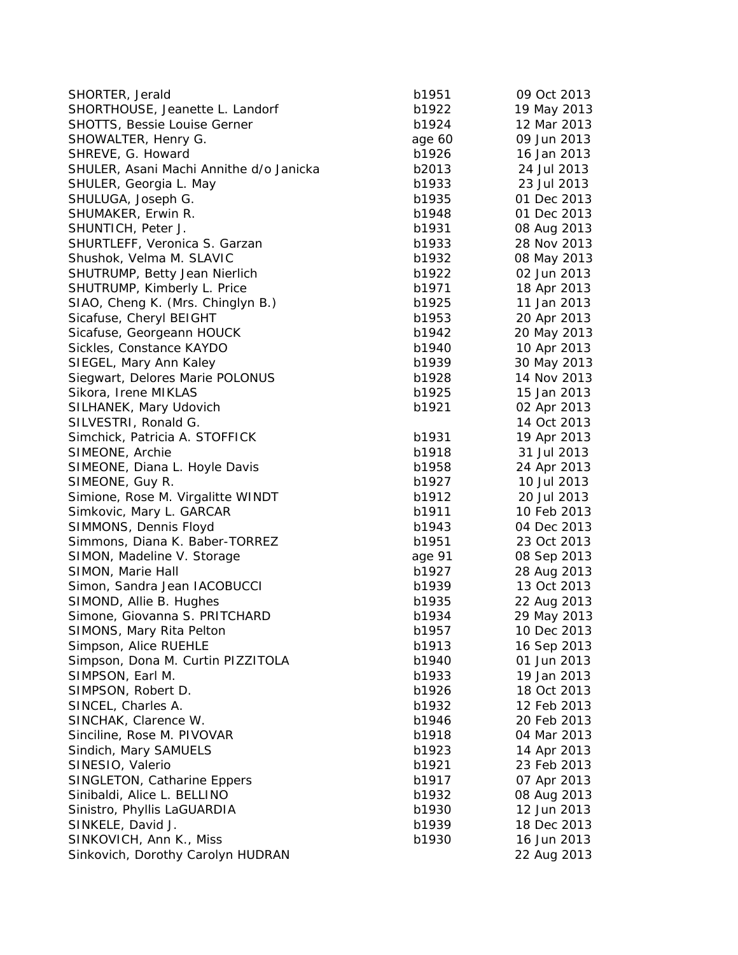| SHORTER, Jerald                         | b1951  | 09 Oct 2013 |
|-----------------------------------------|--------|-------------|
| SHORTHOUSE, Jeanette L. Landorf         | b1922  | 19 May 2013 |
| <b>SHOTTS, Bessie Louise Gerner</b>     | b1924  | 12 Mar 2013 |
| SHOWALTER, Henry G.                     | age 60 | 09 Jun 2013 |
| SHREVE, G. Howard                       | b1926  | 16 Jan 2013 |
| SHULER, Asani Machi Annithe d/o Janicka | b2013  | 24 Jul 2013 |
| SHULER, Georgia L. May                  | b1933  | 23 Jul 2013 |
| SHULUGA, Joseph G.                      | b1935  | 01 Dec 2013 |
| SHUMAKER, Erwin R.                      | b1948  | 01 Dec 2013 |
| SHUNTICH, Peter J.                      | b1931  | 08 Aug 2013 |
| SHURTLEFF, Veronica S. Garzan           | b1933  | 28 Nov 2013 |
| Shushok, Velma M. SLAVIC                | b1932  | 08 May 2013 |
| SHUTRUMP, Betty Jean Nierlich           | b1922  | 02 Jun 2013 |
| SHUTRUMP, Kimberly L. Price             | b1971  | 18 Apr 2013 |
| SIAO, Cheng K. (Mrs. Chinglyn B.)       | b1925  | 11 Jan 2013 |
| Sicafuse, Cheryl BEIGHT                 | b1953  | 20 Apr 2013 |
| Sicafuse, Georgeann HOUCK               | b1942  | 20 May 2013 |
| Sickles, Constance KAYDO                | b1940  | 10 Apr 2013 |
| SIEGEL, Mary Ann Kaley                  | b1939  | 30 May 2013 |
| Siegwart, Delores Marie POLONUS         | b1928  | 14 Nov 2013 |
| Sikora, Irene MIKLAS                    | b1925  | 15 Jan 2013 |
| SILHANEK, Mary Udovich                  | b1921  | 02 Apr 2013 |
| SILVESTRI, Ronald G.                    |        | 14 Oct 2013 |
| Simchick, Patricia A. STOFFICK          | b1931  | 19 Apr 2013 |
| SIMEONE, Archie                         | b1918  | 31 Jul 2013 |
| SIMEONE, Diana L. Hoyle Davis           | b1958  | 24 Apr 2013 |
| SIMEONE, Guy R.                         | b1927  | 10 Jul 2013 |
| Simione, Rose M. Virgalitte WINDT       | b1912  | 20 Jul 2013 |
| Simkovic, Mary L. GARCAR                | b1911  | 10 Feb 2013 |
| SIMMONS, Dennis Floyd                   | b1943  | 04 Dec 2013 |
| Simmons, Diana K. Baber-TORREZ          | b1951  | 23 Oct 2013 |
| SIMON, Madeline V. Storage              | age 91 | 08 Sep 2013 |
| SIMON, Marie Hall                       | b1927  | 28 Aug 2013 |
| Simon, Sandra Jean IACOBUCCI            | b1939  | 13 Oct 2013 |
| SIMOND, Allie B. Hughes                 | b1935  | 22 Aug 2013 |
| Simone, Giovanna S. PRITCHARD           | b1934  | 29 May 2013 |
| SIMONS, Mary Rita Pelton                | b1957  | 10 Dec 2013 |
| Simpson, Alice RUEHLE                   | b1913  | 16 Sep 2013 |
| Simpson, Dona M. Curtin PIZZITOLA       | b1940  | 01 Jun 2013 |
| SIMPSON, Earl M.                        | b1933  | 19 Jan 2013 |
| SIMPSON, Robert D.                      | b1926  | 18 Oct 2013 |
| SINCEL, Charles A.                      | b1932  | 12 Feb 2013 |
| SINCHAK, Clarence W.                    | b1946  | 20 Feb 2013 |
| Sinciline, Rose M. PIVOVAR              | b1918  | 04 Mar 2013 |
| Sindich, Mary SAMUELS                   | b1923  | 14 Apr 2013 |
| SINESIO, Valerio                        | b1921  | 23 Feb 2013 |
| SINGLETON, Catharine Eppers             | b1917  | 07 Apr 2013 |
| Sinibaldi, Alice L. BELLINO             | b1932  | 08 Aug 2013 |
| Sinistro, Phyllis LaGUARDIA             | b1930  | 12 Jun 2013 |
| SINKELE, David J.                       | b1939  | 18 Dec 2013 |
| SINKOVICH, Ann K., Miss                 | b1930  | 16 Jun 2013 |
| Sinkovich, Dorothy Carolyn HUDRAN       |        | 22 Aug 2013 |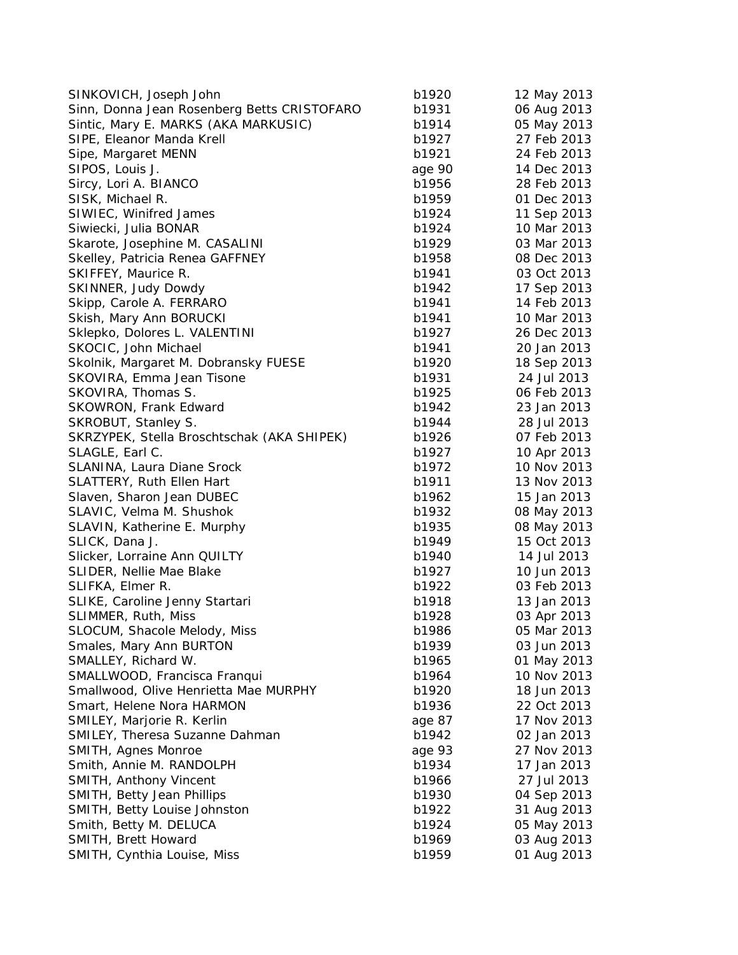| SINKOVICH, Joseph John                      | b1920  | 12 May 2013 |
|---------------------------------------------|--------|-------------|
| Sinn, Donna Jean Rosenberg Betts CRISTOFARO | b1931  | 06 Aug 2013 |
| Sintic, Mary E. MARKS (AKA MARKUSIC)        | b1914  | 05 May 2013 |
| SIPE, Eleanor Manda Krell                   | b1927  | 27 Feb 2013 |
| Sipe, Margaret MENN                         | b1921  | 24 Feb 2013 |
| SIPOS, Louis J.                             | age 90 | 14 Dec 2013 |
| Sircy, Lori A. BIANCO                       | b1956  | 28 Feb 2013 |
| SISK, Michael R.                            | b1959  | 01 Dec 2013 |
| SIWIEC, Winifred James                      | b1924  | 11 Sep 2013 |
| Siwiecki, Julia BONAR                       | b1924  | 10 Mar 2013 |
| Skarote, Josephine M. CASALINI              | b1929  | 03 Mar 2013 |
| Skelley, Patricia Renea GAFFNEY             | b1958  | 08 Dec 2013 |
| SKIFFEY, Maurice R.                         | b1941  | 03 Oct 2013 |
| SKINNER, Judy Dowdy                         | b1942  | 17 Sep 2013 |
| Skipp, Carole A. FERRARO                    | b1941  | 14 Feb 2013 |
| Skish, Mary Ann BORUCKI                     | b1941  | 10 Mar 2013 |
| Sklepko, Dolores L. VALENTINI               | b1927  | 26 Dec 2013 |
| SKOCIC, John Michael                        | b1941  | 20 Jan 2013 |
| Skolnik, Margaret M. Dobransky FUESE        | b1920  | 18 Sep 2013 |
| SKOVIRA, Emma Jean Tisone                   | b1931  | 24 Jul 2013 |
| SKOVIRA, Thomas S.                          | b1925  | 06 Feb 2013 |
| <b>SKOWRON, Frank Edward</b>                | b1942  | 23 Jan 2013 |
| SKROBUT, Stanley S.                         | b1944  | 28 Jul 2013 |
| SKRZYPEK, Stella Broschtschak (AKA SHIPEK)  | b1926  | 07 Feb 2013 |
| SLAGLE, Earl C.                             | b1927  | 10 Apr 2013 |
| SLANINA, Laura Diane Srock                  | b1972  | 10 Nov 2013 |
| SLATTERY, Ruth Ellen Hart                   | b1911  | 13 Nov 2013 |
| Slaven, Sharon Jean DUBEC                   | b1962  | 15 Jan 2013 |
| SLAVIC, Velma M. Shushok                    | b1932  | 08 May 2013 |
| SLAVIN, Katherine E. Murphy                 | b1935  | 08 May 2013 |
| SLICK, Dana J.                              | b1949  | 15 Oct 2013 |
| Slicker, Lorraine Ann QUILTY                | b1940  | 14 Jul 2013 |
| SLIDER, Nellie Mae Blake                    | b1927  | 10 Jun 2013 |
| SLIFKA, Elmer R.                            | b1922  | 03 Feb 2013 |
| SLIKE, Caroline Jenny Startari              | b1918  | 13 Jan 2013 |
| SLIMMER, Ruth, Miss                         | b1928  | 03 Apr 2013 |
| SLOCUM, Shacole Melody, Miss                | b1986  | 05 Mar 2013 |
| Smales, Mary Ann BURTON                     | b1939  | 03 Jun 2013 |
| SMALLEY, Richard W.                         | b1965  | 01 May 2013 |
| SMALLWOOD, Francisca Franqui                | b1964  | 10 Nov 2013 |
| Smallwood, Olive Henrietta Mae MURPHY       | b1920  | 18 Jun 2013 |
| Smart, Helene Nora HARMON                   | b1936  | 22 Oct 2013 |
| SMILEY, Marjorie R. Kerlin                  | age 87 | 17 Nov 2013 |
| SMILEY, Theresa Suzanne Dahman              | b1942  | 02 Jan 2013 |
| SMITH, Agnes Monroe                         | age 93 | 27 Nov 2013 |
| Smith, Annie M. RANDOLPH                    | b1934  | 17 Jan 2013 |
| SMITH, Anthony Vincent                      | b1966  | 27 Jul 2013 |
| SMITH, Betty Jean Phillips                  | b1930  | 04 Sep 2013 |
| SMITH, Betty Louise Johnston                | b1922  | 31 Aug 2013 |
| Smith, Betty M. DELUCA                      | b1924  | 05 May 2013 |
| SMITH, Brett Howard                         | b1969  | 03 Aug 2013 |
| SMITH, Cynthia Louise, Miss                 | b1959  | 01 Aug 2013 |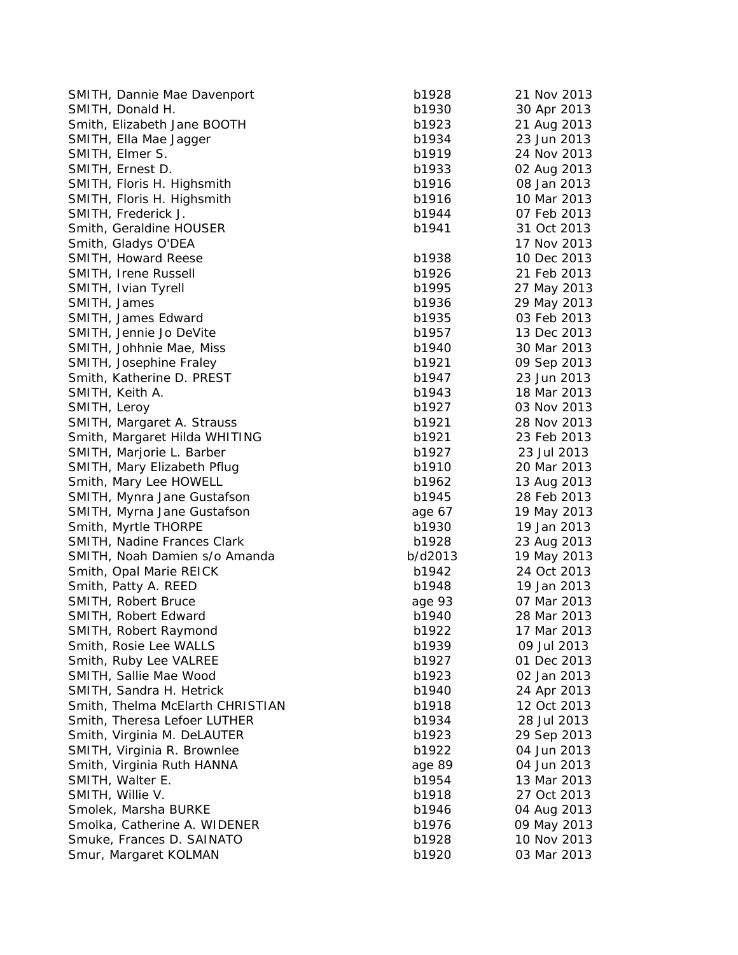| SMITH, Dannie Mae Davenport      | b1928   | 21 Nov 2013 |
|----------------------------------|---------|-------------|
| SMITH, Donald H.                 | b1930   | 30 Apr 2013 |
| Smith, Elizabeth Jane BOOTH      | b1923   | 21 Aug 2013 |
| SMITH, Ella Mae Jagger           | b1934   | 23 Jun 2013 |
| SMITH, Elmer S.                  | b1919   | 24 Nov 2013 |
| SMITH, Ernest D.                 | b1933   | 02 Aug 2013 |
| SMITH, Floris H. Highsmith       | b1916   | 08 Jan 2013 |
| SMITH, Floris H. Highsmith       | b1916   | 10 Mar 2013 |
| SMITH, Frederick J.              | b1944   | 07 Feb 2013 |
| Smith, Geraldine HOUSER          | b1941   | 31 Oct 2013 |
| Smith, Gladys O'DEA              |         | 17 Nov 2013 |
| SMITH, Howard Reese              | b1938   | 10 Dec 2013 |
| SMITH, Irene Russell             | b1926   | 21 Feb 2013 |
| SMITH, Ivian Tyrell              | b1995   | 27 May 2013 |
| SMITH, James                     | b1936   | 29 May 2013 |
| SMITH, James Edward              | b1935   | 03 Feb 2013 |
| SMITH, Jennie Jo DeVite          | b1957   | 13 Dec 2013 |
| SMITH, Johhnie Mae, Miss         | b1940   | 30 Mar 2013 |
| SMITH, Josephine Fraley          | b1921   | 09 Sep 2013 |
| Smith, Katherine D. PREST        | b1947   | 23 Jun 2013 |
| SMITH, Keith A.                  | b1943   | 18 Mar 2013 |
| SMITH, Leroy                     | b1927   | 03 Nov 2013 |
| SMITH, Margaret A. Strauss       | b1921   | 28 Nov 2013 |
| Smith, Margaret Hilda WHITING    | b1921   | 23 Feb 2013 |
| SMITH, Marjorie L. Barber        | b1927   | 23 Jul 2013 |
| SMITH, Mary Elizabeth Pflug      | b1910   | 20 Mar 2013 |
| Smith, Mary Lee HOWELL           | b1962   | 13 Aug 2013 |
| SMITH, Mynra Jane Gustafson      | b1945   | 28 Feb 2013 |
| SMITH, Myrna Jane Gustafson      | age 67  | 19 May 2013 |
| Smith, Myrtle THORPE             | b1930   | 19 Jan 2013 |
| SMITH, Nadine Frances Clark      | b1928   | 23 Aug 2013 |
| SMITH, Noah Damien s/o Amanda    | b/d2013 | 19 May 2013 |
| Smith, Opal Marie REICK          | b1942   | 24 Oct 2013 |
| Smith, Patty A. REED             | b1948   | 19 Jan 2013 |
| SMITH, Robert Bruce              | age 93  | 07 Mar 2013 |
| SMITH, Robert Edward             | b1940   | 28 Mar 2013 |
| SMITH, Robert Raymond            | b1922   | 17 Mar 2013 |
| Smith, Rosie Lee WALLS           | b1939   | 09 Jul 2013 |
| Smith, Ruby Lee VALREE           | b1927   | 01 Dec 2013 |
| SMITH, Sallie Mae Wood           | b1923   | 02 Jan 2013 |
| SMITH, Sandra H. Hetrick         | b1940   | 24 Apr 2013 |
| Smith, Thelma McElarth CHRISTIAN | b1918   | 12 Oct 2013 |
| Smith, Theresa Lefoer LUTHER     | b1934   | 28 Jul 2013 |
| Smith, Virginia M. DeLAUTER      | b1923   | 29 Sep 2013 |
| SMITH, Virginia R. Brownlee      | b1922   | 04 Jun 2013 |
| Smith, Virginia Ruth HANNA       | age 89  | 04 Jun 2013 |
| SMITH, Walter E.                 | b1954   | 13 Mar 2013 |
| SMITH, Willie V.                 | b1918   | 27 Oct 2013 |
| Smolek, Marsha BURKE             | b1946   | 04 Aug 2013 |
| Smolka, Catherine A. WIDENER     | b1976   | 09 May 2013 |
| Smuke, Frances D. SAINATO        | b1928   | 10 Nov 2013 |
| Smur, Margaret KOLMAN            | b1920   | 03 Mar 2013 |
|                                  |         |             |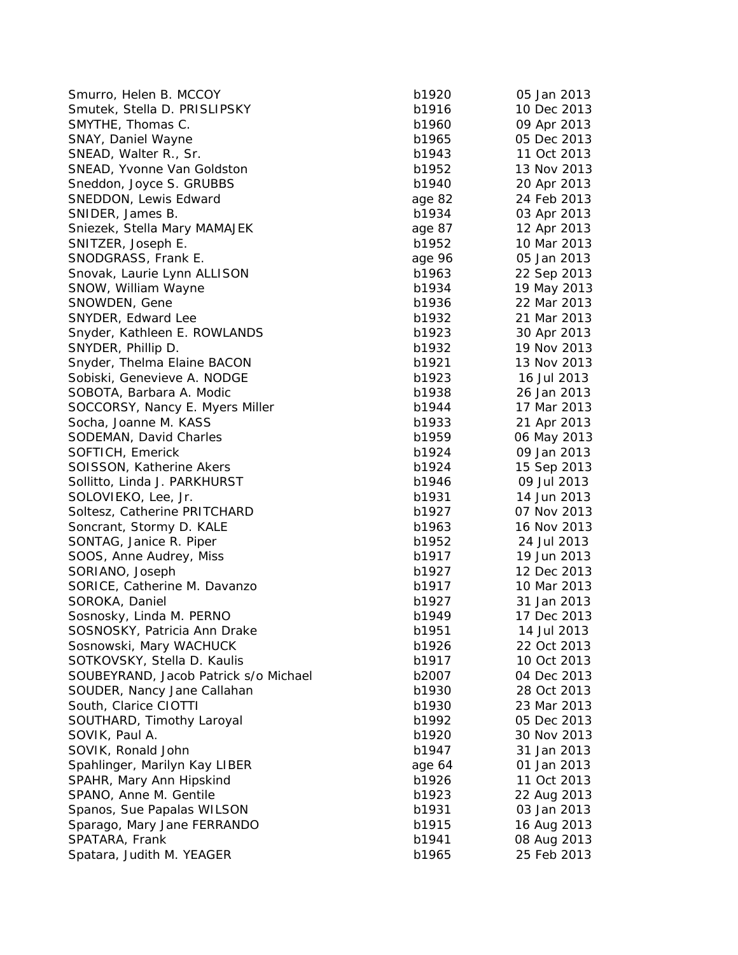| Smurro, Helen B. MCCOY                | b1920  | 05 Jan 2013 |
|---------------------------------------|--------|-------------|
| Smutek, Stella D. PRISLIPSKY          | b1916  | 10 Dec 2013 |
| SMYTHE, Thomas C.                     | b1960  | 09 Apr 2013 |
| SNAY, Daniel Wayne                    | b1965  | 05 Dec 2013 |
| SNEAD, Walter R., Sr.                 | b1943  | 11 Oct 2013 |
| SNEAD, Yvonne Van Goldston            | b1952  | 13 Nov 2013 |
| Sneddon, Joyce S. GRUBBS              | b1940  | 20 Apr 2013 |
| SNEDDON, Lewis Edward                 | age 82 | 24 Feb 2013 |
| SNIDER, James B.                      | b1934  | 03 Apr 2013 |
| Sniezek, Stella Mary MAMAJEK          | age 87 | 12 Apr 2013 |
| SNITZER, Joseph E.                    | b1952  | 10 Mar 2013 |
| SNODGRASS, Frank E.                   | age 96 | 05 Jan 2013 |
| Snovak, Laurie Lynn ALLISON           | b1963  | 22 Sep 2013 |
| SNOW, William Wayne                   | b1934  | 19 May 2013 |
| SNOWDEN, Gene                         | b1936  | 22 Mar 2013 |
| SNYDER, Edward Lee                    | b1932  | 21 Mar 2013 |
| Snyder, Kathleen E. ROWLANDS          | b1923  | 30 Apr 2013 |
| SNYDER, Phillip D.                    | b1932  | 19 Nov 2013 |
| Snyder, Thelma Elaine BACON           | b1921  | 13 Nov 2013 |
| Sobiski, Genevieve A. NODGE           | b1923  | 16 Jul 2013 |
| SOBOTA, Barbara A. Modic              | b1938  | 26 Jan 2013 |
| SOCCORSY, Nancy E. Myers Miller       | b1944  | 17 Mar 2013 |
| Socha, Joanne M. KASS                 | b1933  | 21 Apr 2013 |
| SODEMAN, David Charles                | b1959  | 06 May 2013 |
| SOFTICH, Emerick                      | b1924  | 09 Jan 2013 |
| SOISSON, Katherine Akers              | b1924  | 15 Sep 2013 |
| Sollitto, Linda J. PARKHURST          | b1946  | 09 Jul 2013 |
| SOLOVIEKO, Lee, Jr.                   | b1931  | 14 Jun 2013 |
| Soltesz, Catherine PRITCHARD          | b1927  | 07 Nov 2013 |
| Soncrant, Stormy D. KALE              | b1963  | 16 Nov 2013 |
| SONTAG, Janice R. Piper               | b1952  | 24 Jul 2013 |
| SOOS, Anne Audrey, Miss               | b1917  | 19 Jun 2013 |
| SORIANO, Joseph                       | b1927  | 12 Dec 2013 |
| SORICE, Catherine M. Davanzo          | b1917  | 10 Mar 2013 |
| SOROKA, Daniel                        | b1927  | 31 Jan 2013 |
| Sosnosky, Linda M. PERNO              | b1949  | 17 Dec 2013 |
| SOSNOSKY, Patricia Ann Drake          | b1951  | 14 Jul 2013 |
| Sosnowski, Mary WACHUCK               | b1926  | 22 Oct 2013 |
| SOTKOVSKY, Stella D. Kaulis           | b1917  | 10 Oct 2013 |
| SOUBEYRAND, Jacob Patrick s/o Michael | b2007  | 04 Dec 2013 |
| SOUDER, Nancy Jane Callahan           | b1930  | 28 Oct 2013 |
| South, Clarice CIOTTI                 | b1930  | 23 Mar 2013 |
| SOUTHARD, Timothy Laroyal             | b1992  | 05 Dec 2013 |
| SOVIK, Paul A.                        | b1920  | 30 Nov 2013 |
| SOVIK, Ronald John                    | b1947  | 31 Jan 2013 |
| Spahlinger, Marilyn Kay LIBER         | age 64 | 01 Jan 2013 |
| SPAHR, Mary Ann Hipskind              | b1926  | 11 Oct 2013 |
| SPANO, Anne M. Gentile                | b1923  | 22 Aug 2013 |
| Spanos, Sue Papalas WILSON            | b1931  | 03 Jan 2013 |
| Sparago, Mary Jane FERRANDO           | b1915  | 16 Aug 2013 |
| SPATARA, Frank                        | b1941  | 08 Aug 2013 |
| Spatara, Judith M. YEAGER             | b1965  | 25 Feb 2013 |
|                                       |        |             |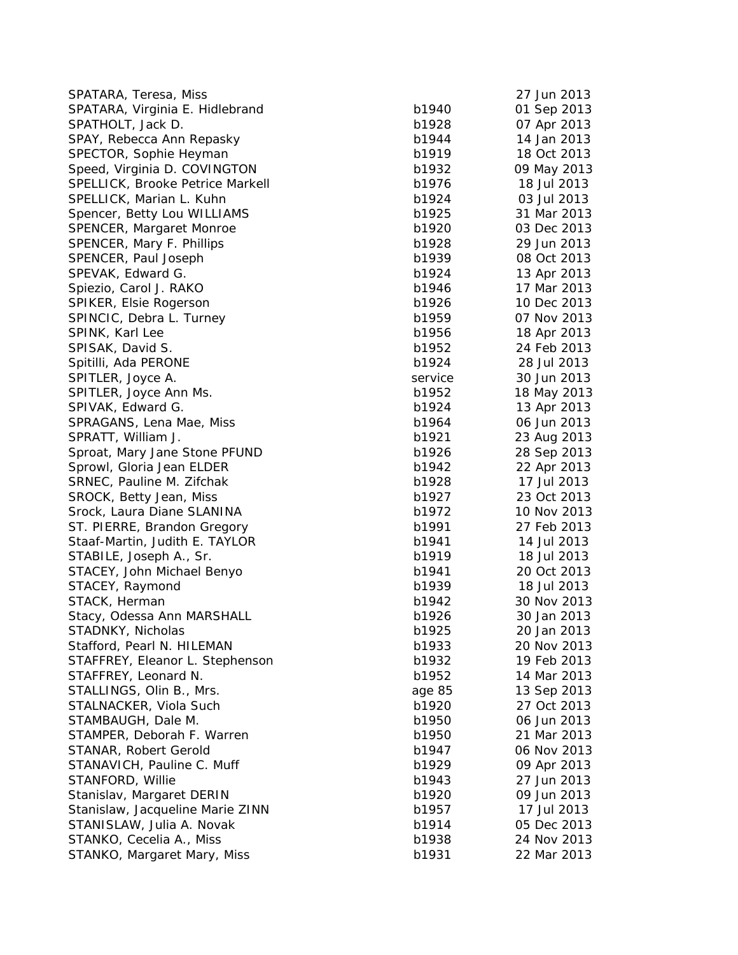| SPATARA, Teresa, Miss                               |                | 27 Jun 2013                |
|-----------------------------------------------------|----------------|----------------------------|
| SPATARA, Virginia E. Hidlebrand                     | b1940          | 01 Sep 2013                |
| SPATHOLT, Jack D.                                   | b1928          | 07 Apr 2013                |
| SPAY, Rebecca Ann Repasky                           | b1944          | 14 Jan 2013                |
| SPECTOR, Sophie Heyman                              | b1919          | 18 Oct 2013                |
| Speed, Virginia D. COVINGTON                        | b1932          | 09 May 2013                |
| SPELLICK, Brooke Petrice Markell                    | b1976          | 18 Jul 2013                |
| SPELLICK, Marian L. Kuhn                            | b1924          | 03 Jul 2013                |
| Spencer, Betty Lou WILLIAMS                         | b1925          | 31 Mar 2013                |
| SPENCER, Margaret Monroe                            | b1920          | 03 Dec 2013                |
| SPENCER, Mary F. Phillips                           | b1928          | 29 Jun 2013                |
| SPENCER, Paul Joseph                                | b1939          | 08 Oct 2013                |
| SPEVAK, Edward G.                                   | b1924          | 13 Apr 2013                |
| Spiezio, Carol J. RAKO                              | b1946          | 17 Mar 2013                |
| SPIKER, Elsie Rogerson                              | b1926          | 10 Dec 2013                |
| SPINCIC, Debra L. Turney                            | b1959          | 07 Nov 2013                |
| SPINK, Karl Lee                                     | b1956          | 18 Apr 2013                |
| SPISAK, David S.                                    | b1952          | 24 Feb 2013                |
| Spitilli, Ada PERONE                                | b1924          | 28 Jul 2013                |
| SPITLER, Joyce A.                                   | service        | 30 Jun 2013                |
| SPITLER, Joyce Ann Ms.                              | b1952          | 18 May 2013                |
| SPIVAK, Edward G.                                   | b1924          | 13 Apr 2013                |
| SPRAGANS, Lena Mae, Miss                            | b1964          | 06 Jun 2013                |
| SPRATT, William J.                                  | b1921          | 23 Aug 2013                |
| Sproat, Mary Jane Stone PFUND                       | b1926          | 28 Sep 2013                |
| Sprowl, Gloria Jean ELDER                           | b1942          | 22 Apr 2013                |
| SRNEC, Pauline M. Zifchak                           | b1928          | 17 Jul 2013                |
| SROCK, Betty Jean, Miss                             | b1927          | 23 Oct 2013                |
| Srock, Laura Diane SLANINA                          | b1972          | 10 Nov 2013                |
| ST. PIERRE, Brandon Gregory                         | b1991          | 27 Feb 2013                |
| Staaf-Martin, Judith E. TAYLOR                      | b1941          | 14 Jul 2013                |
| STABILE, Joseph A., Sr.                             | b1919          | 18 Jul 2013                |
| STACEY, John Michael Benyo                          | b1941          | 20 Oct 2013                |
| STACEY, Raymond                                     | b1939          | 18 Jul 2013                |
| STACK, Herman                                       | b1942          | 30 Nov 2013                |
| Stacy, Odessa Ann MARSHALL                          | b1926          | 30 Jan 2013                |
| STADNKY, Nicholas                                   | b1925          | 20 Jan 2013                |
| Stafford, Pearl N. HILEMAN                          |                | 20 Nov 2013                |
| STAFFREY, Eleanor L. Stephenson                     | b1933<br>b1932 | 19 Feb 2013                |
| STAFFREY, Leonard N.                                | b1952          | 14 Mar 2013                |
| STALLINGS, Olin B., Mrs.                            | age 85         | 13 Sep 2013                |
|                                                     |                |                            |
| STALNACKER, Viola Such                              | b1920          | 27 Oct 2013<br>06 Jun 2013 |
| STAMBAUGH, Dale M.                                  | b1950<br>b1950 | 21 Mar 2013                |
| STAMPER, Deborah F. Warren                          |                | 06 Nov 2013                |
| STANAR, Robert Gerold<br>STANAVICH, Pauline C. Muff | b1947          |                            |
|                                                     | b1929          | 09 Apr 2013                |
| STANFORD, Willie                                    | b1943          | 27 Jun 2013                |
| Stanislav, Margaret DERIN                           | b1920          | 09 Jun 2013                |
| Stanislaw, Jacqueline Marie ZINN                    | b1957          | 17 Jul 2013                |
| STANISLAW, Julia A. Novak                           | b1914          | 05 Dec 2013                |
| STANKO, Cecelia A., Miss                            | b1938          | 24 Nov 2013                |
| STANKO, Margaret Mary, Miss                         | b1931          | 22 Mar 2013                |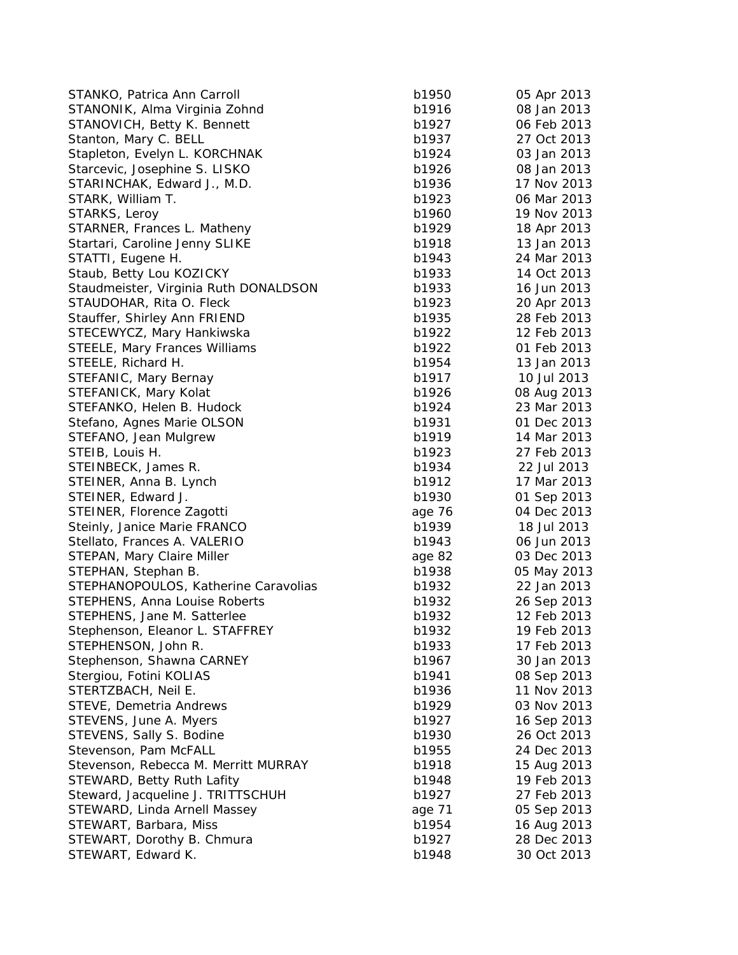| STANKO, Patrica Ann Carroll                                   | b1950  | 05 Apr 2013 |
|---------------------------------------------------------------|--------|-------------|
| STANONIK, Alma Virginia Zohnd                                 | b1916  | 08 Jan 2013 |
| STANOVICH, Betty K. Bennett                                   | b1927  | 06 Feb 2013 |
| Stanton, Mary C. BELL                                         | b1937  | 27 Oct 2013 |
| Stapleton, Evelyn L. KORCHNAK                                 | b1924  | 03 Jan 2013 |
| Starcevic, Josephine S. LISKO                                 | b1926  | 08 Jan 2013 |
| STARINCHAK, Edward J., M.D.                                   | b1936  | 17 Nov 2013 |
| STARK, William T.                                             | b1923  | 06 Mar 2013 |
| STARKS, Leroy                                                 | b1960  | 19 Nov 2013 |
| STARNER, Frances L. Matheny                                   | b1929  | 18 Apr 2013 |
| Startari, Caroline Jenny SLIKE                                | b1918  | 13 Jan 2013 |
| STATTI, Eugene H.                                             | b1943  | 24 Mar 2013 |
| Staub, Betty Lou KOZICKY                                      | b1933  | 14 Oct 2013 |
| Staudmeister, Virginia Ruth DONALDSON                         | b1933  | 16 Jun 2013 |
| STAUDOHAR, Rita O. Fleck                                      | b1923  | 20 Apr 2013 |
| Stauffer, Shirley Ann FRIEND                                  | b1935  | 28 Feb 2013 |
| STECEWYCZ, Mary Hankiwska                                     | b1922  | 12 Feb 2013 |
| <b>STEELE, Mary Frances Williams</b>                          | b1922  | 01 Feb 2013 |
| STEELE, Richard H.                                            | b1954  | 13 Jan 2013 |
| STEFANIC, Mary Bernay                                         | b1917  | 10 Jul 2013 |
| STEFANICK, Mary Kolat                                         | b1926  | 08 Aug 2013 |
| STEFANKO, Helen B. Hudock                                     | b1924  | 23 Mar 2013 |
| Stefano, Agnes Marie OLSON                                    | b1931  | 01 Dec 2013 |
| STEFANO, Jean Mulgrew                                         | b1919  | 14 Mar 2013 |
| STEIB, Louis H.                                               | b1923  | 27 Feb 2013 |
| STEINBECK, James R.                                           | b1934  | 22 Jul 2013 |
| STEINER, Anna B. Lynch                                        | b1912  | 17 Mar 2013 |
| STEINER, Edward J.                                            | b1930  | 01 Sep 2013 |
| STEINER, Florence Zagotti                                     | age 76 | 04 Dec 2013 |
| Steinly, Janice Marie FRANCO                                  | b1939  | 18 Jul 2013 |
| Stellato, Frances A. VALERIO                                  | b1943  | 06 Jun 2013 |
| STEPAN, Mary Claire Miller                                    | age 82 | 03 Dec 2013 |
| STEPHAN, Stephan B.                                           | b1938  | 05 May 2013 |
| STEPHANOPOULOS, Katherine Caravolias                          | b1932  | 22 Jan 2013 |
| <b>STEPHENS, Anna Louise Roberts</b>                          | b1932  | 26 Sep 2013 |
| STEPHENS, Jane M. Satterlee                                   | b1932  | 12 Feb 2013 |
| Stephenson, Eleanor L. STAFFREY                               | b1932  | 19 Feb 2013 |
| STEPHENSON, John R.                                           | b1933  | 17 Feb 2013 |
| Stephenson, Shawna CARNEY                                     | b1967  | 30 Jan 2013 |
| Stergiou, Fotini KOLIAS                                       | b1941  | 08 Sep 2013 |
| STERTZBACH, Neil E.                                           | b1936  | 11 Nov 2013 |
| STEVE, Demetria Andrews                                       | b1929  | 03 Nov 2013 |
| STEVENS, June A. Myers                                        | b1927  | 16 Sep 2013 |
| STEVENS, Sally S. Bodine                                      | b1930  | 26 Oct 2013 |
|                                                               | b1955  | 24 Dec 2013 |
| Stevenson, Pam McFALL<br>Stevenson, Rebecca M. Merritt MURRAY |        |             |
|                                                               | b1918  | 15 Aug 2013 |
| STEWARD, Betty Ruth Lafity                                    | b1948  | 19 Feb 2013 |
| Steward, Jacqueline J. TRITTSCHUH                             | b1927  | 27 Feb 2013 |
| STEWARD, Linda Arnell Massey                                  | age 71 | 05 Sep 2013 |
| STEWART, Barbara, Miss                                        | b1954  | 16 Aug 2013 |
| STEWART, Dorothy B. Chmura                                    | b1927  | 28 Dec 2013 |
| STEWART, Edward K.                                            | b1948  | 30 Oct 2013 |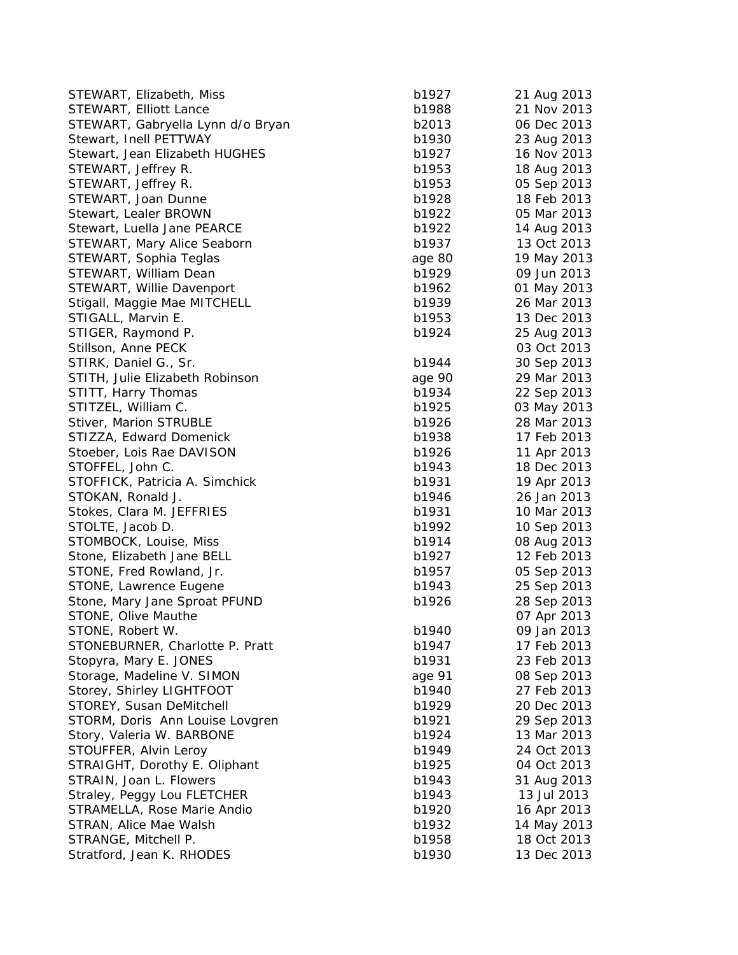| STEWART, Elizabeth, Miss                                   | b1927  | 21 Aug 2013                |
|------------------------------------------------------------|--------|----------------------------|
| STEWART, Elliott Lance                                     | b1988  | 21 Nov 2013                |
| STEWART, Gabryella Lynn d/o Bryan                          | b2013  | 06 Dec 2013                |
| Stewart, Inell PETTWAY                                     | b1930  | 23 Aug 2013                |
| Stewart, Jean Elizabeth HUGHES                             | b1927  | 16 Nov 2013                |
| STEWART, Jeffrey R.                                        | b1953  | 18 Aug 2013                |
| STEWART, Jeffrey R.                                        | b1953  | 05 Sep 2013                |
| STEWART, Joan Dunne                                        | b1928  | 18 Feb 2013                |
| Stewart, Lealer BROWN                                      | b1922  | 05 Mar 2013                |
| Stewart, Luella Jane PEARCE                                | b1922  | 14 Aug 2013                |
| STEWART, Mary Alice Seaborn                                | b1937  | 13 Oct 2013                |
| STEWART, Sophia Teglas                                     | age 80 | 19 May 2013                |
| STEWART, William Dean                                      | b1929  | 09 Jun 2013                |
| STEWART, Willie Davenport                                  | b1962  | 01 May 2013                |
| Stigall, Maggie Mae MITCHELL                               | b1939  | 26 Mar 2013                |
| STIGALL, Marvin E.                                         | b1953  | 13 Dec 2013                |
| STIGER, Raymond P.                                         | b1924  | 25 Aug 2013                |
| Stillson, Anne PECK                                        |        | 03 Oct 2013                |
| STIRK, Daniel G., Sr.                                      | b1944  | 30 Sep 2013                |
| STITH, Julie Elizabeth Robinson                            | age 90 | 29 Mar 2013                |
| STITT, Harry Thomas                                        | b1934  | 22 Sep 2013                |
| STITZEL, William C.                                        | b1925  | 03 May 2013                |
| Stiver, Marion STRUBLE                                     | b1926  | 28 Mar 2013                |
| STIZZA, Edward Domenick                                    | b1938  | 17 Feb 2013                |
| Stoeber, Lois Rae DAVISON                                  | b1926  | 11 Apr 2013                |
| STOFFEL, John C.                                           | b1943  | 18 Dec 2013                |
| STOFFICK, Patricia A. Simchick                             | b1931  | 19 Apr 2013                |
| STOKAN, Ronald J.                                          | b1946  | 26 Jan 2013                |
| Stokes, Clara M. JEFFRIES                                  | b1931  | 10 Mar 2013                |
| STOLTE, Jacob D.                                           | b1992  | 10 Sep 2013                |
| STOMBOCK, Louise, Miss                                     | b1914  | 08 Aug 2013                |
| Stone, Elizabeth Jane BELL                                 | b1927  | 12 Feb 2013                |
| STONE, Fred Rowland, Jr.                                   | b1957  | 05 Sep 2013                |
| STONE, Lawrence Eugene                                     | b1943  | 25 Sep 2013                |
| Stone, Mary Jane Sproat PFUND                              | b1926  | 28 Sep 2013                |
| STONE, Olive Mauthe                                        |        | 07 Apr 2013                |
| STONE, Robert W.                                           | b1940  | 09 Jan 2013                |
| STONEBURNER, Charlotte P. Pratt                            | b1947  | 17 Feb 2013                |
| Stopyra, Mary E. JONES                                     | b1931  | 23 Feb 2013                |
| Storage, Madeline V. SIMON                                 | age 91 | 08 Sep 2013                |
| Storey, Shirley LIGHTFOOT                                  | b1940  | 27 Feb 2013                |
| STOREY, Susan DeMitchell                                   | b1929  | 20 Dec 2013                |
| STORM, Doris Ann Louise Lovgren                            | b1921  | 29 Sep 2013                |
| Story, Valeria W. BARBONE                                  | b1924  | 13 Mar 2013                |
| STOUFFER, Alvin Leroy                                      | b1949  | 24 Oct 2013                |
| STRAIGHT, Dorothy E. Oliphant                              | b1925  | 04 Oct 2013                |
| STRAIN, Joan L. Flowers                                    | b1943  | 31 Aug 2013                |
|                                                            | b1943  |                            |
| Straley, Peggy Lou FLETCHER<br>STRAMELLA, Rose Marie Andio | b1920  | 13 Jul 2013                |
| STRAN, Alice Mae Walsh                                     | b1932  | 16 Apr 2013                |
| STRANGE, Mitchell P.                                       | b1958  | 14 May 2013<br>18 Oct 2013 |
|                                                            | b1930  |                            |
| Stratford, Jean K. RHODES                                  |        | 13 Dec 2013                |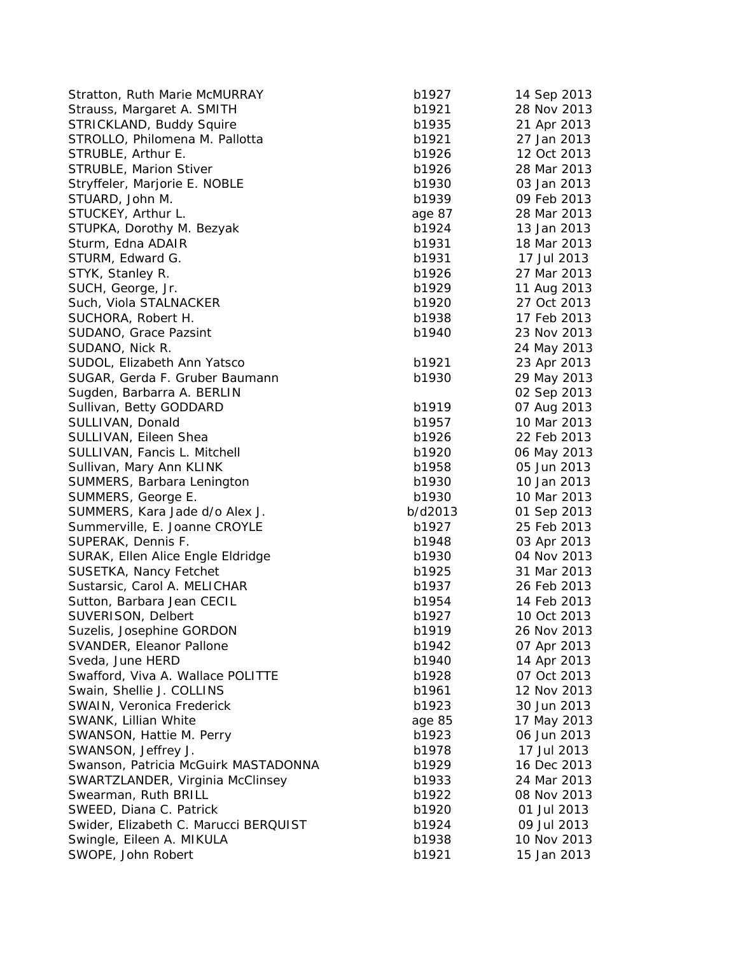| Stratton, Ruth Marie McMURRAY         | b1927   | 14 Sep 2013 |
|---------------------------------------|---------|-------------|
| Strauss, Margaret A. SMITH            | b1921   | 28 Nov 2013 |
| STRICKLAND, Buddy Squire              | b1935   | 21 Apr 2013 |
| STROLLO, Philomena M. Pallotta        | b1921   | 27 Jan 2013 |
| STRUBLE, Arthur E.                    | b1926   | 12 Oct 2013 |
| <b>STRUBLE, Marion Stiver</b>         | b1926   | 28 Mar 2013 |
| Stryffeler, Marjorie E. NOBLE         | b1930   | 03 Jan 2013 |
| STUARD, John M.                       | b1939   | 09 Feb 2013 |
| STUCKEY, Arthur L.                    | age 87  | 28 Mar 2013 |
| STUPKA, Dorothy M. Bezyak             | b1924   | 13 Jan 2013 |
| Sturm, Edna ADAIR                     | b1931   | 18 Mar 2013 |
| STURM, Edward G.                      | b1931   | 17 Jul 2013 |
| STYK, Stanley R.                      | b1926   | 27 Mar 2013 |
| SUCH, George, Jr.                     | b1929   | 11 Aug 2013 |
| Such, Viola STALNACKER                | b1920   | 27 Oct 2013 |
| SUCHORA, Robert H.                    | b1938   | 17 Feb 2013 |
| SUDANO, Grace Pazsint                 | b1940   | 23 Nov 2013 |
| SUDANO, Nick R.                       |         | 24 May 2013 |
| SUDOL, Elizabeth Ann Yatsco           | b1921   | 23 Apr 2013 |
| SUGAR, Gerda F. Gruber Baumann        | b1930   | 29 May 2013 |
| Sugden, Barbarra A. BERLIN            |         | 02 Sep 2013 |
| Sullivan, Betty GODDARD               | b1919   | 07 Aug 2013 |
| SULLIVAN, Donald                      | b1957   | 10 Mar 2013 |
| SULLIVAN, Eileen Shea                 | b1926   | 22 Feb 2013 |
| SULLIVAN, Fancis L. Mitchell          | b1920   | 06 May 2013 |
| Sullivan, Mary Ann KLINK              | b1958   | 05 Jun 2013 |
| SUMMERS, Barbara Lenington            | b1930   | 10 Jan 2013 |
| SUMMERS, George E.                    | b1930   | 10 Mar 2013 |
| SUMMERS, Kara Jade d/o Alex J.        | b/d2013 | 01 Sep 2013 |
| Summerville, E. Joanne CROYLE         | b1927   | 25 Feb 2013 |
| SUPERAK, Dennis F.                    | b1948   | 03 Apr 2013 |
| SURAK, Ellen Alice Engle Eldridge     | b1930   | 04 Nov 2013 |
| SUSETKA, Nancy Fetchet                | b1925   | 31 Mar 2013 |
| Sustarsic, Carol A. MELICHAR          | b1937   | 26 Feb 2013 |
| Sutton, Barbara Jean CECIL            | b1954   | 14 Feb 2013 |
| SUVERISON, Delbert                    | b1927   | 10 Oct 2013 |
| Suzelis, Josephine GORDON             | b1919   | 26 Nov 2013 |
| SVANDER, Eleanor Pallone              | b1942   | 07 Apr 2013 |
| Sveda, June HERD                      | b1940   | 14 Apr 2013 |
| Swafford, Viva A. Wallace POLITTE     | b1928   | 07 Oct 2013 |
| Swain, Shellie J. COLLINS             | b1961   | 12 Nov 2013 |
| SWAIN, Veronica Frederick             | b1923   | 30 Jun 2013 |
| SWANK, Lillian White                  | age 85  | 17 May 2013 |
| SWANSON, Hattie M. Perry              | b1923   | 06 Jun 2013 |
| SWANSON, Jeffrey J.                   | b1978   | 17 Jul 2013 |
| Swanson, Patricia McGuirk MASTADONNA  | b1929   | 16 Dec 2013 |
| SWARTZLANDER, Virginia McClinsey      | b1933   | 24 Mar 2013 |
| Swearman, Ruth BRILL                  | b1922   | 08 Nov 2013 |
| SWEED, Diana C. Patrick               | b1920   | 01 Jul 2013 |
| Swider, Elizabeth C. Marucci BERQUIST | b1924   | 09 Jul 2013 |
| Swingle, Eileen A. MIKULA             | b1938   | 10 Nov 2013 |
| SWOPE, John Robert                    | b1921   | 15 Jan 2013 |
|                                       |         |             |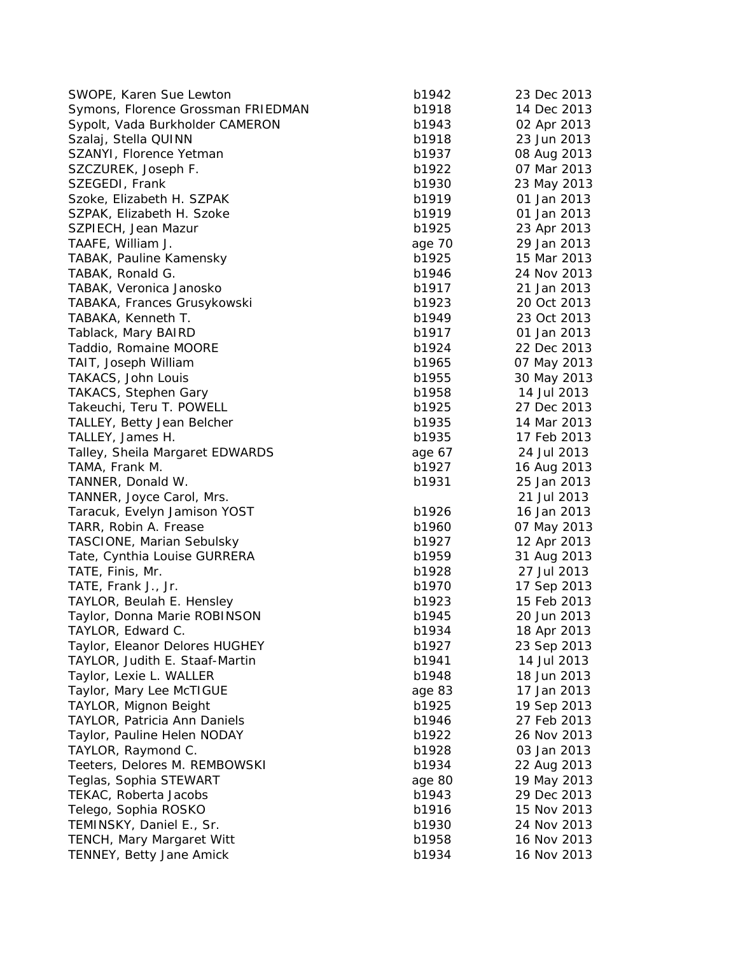| SWOPE, Karen Sue Lewton             | b1942          | 23 Dec 2013                |
|-------------------------------------|----------------|----------------------------|
| Symons, Florence Grossman FRIEDMAN  | b1918          | 14 Dec 2013                |
| Sypolt, Vada Burkholder CAMERON     | b1943          | 02 Apr 2013                |
| Szalaj, Stella QUINN                | b1918          | 23 Jun 2013                |
| SZANYI, Florence Yetman             | b1937          | 08 Aug 2013                |
| SZCZUREK, Joseph F.                 | b1922          | 07 Mar 2013                |
| SZEGEDI, Frank                      | b1930          | 23 May 2013                |
| Szoke, Elizabeth H. SZPAK           | b1919          | 01 Jan 2013                |
| SZPAK, Elizabeth H. Szoke           | b1919          | 01 Jan 2013                |
| SZPIECH, Jean Mazur                 | b1925          | 23 Apr 2013                |
| TAAFE, William J.                   | age 70         | 29 Jan 2013                |
| TABAK, Pauline Kamensky             | b1925          | 15 Mar 2013                |
| TABAK, Ronald G.                    | b1946          | 24 Nov 2013                |
| TABAK, Veronica Janosko             | b1917          | 21 Jan 2013                |
| TABAKA, Frances Grusykowski         | b1923          | 20 Oct 2013                |
| TABAKA, Kenneth T.                  | b1949          | 23 Oct 2013                |
| Tablack, Mary BAIRD                 | b1917          | 01 Jan 2013                |
| Taddio, Romaine MOORE               | b1924          | 22 Dec 2013                |
| TAIT, Joseph William                | b1965          | 07 May 2013                |
| TAKACS, John Louis                  | b1955          | 30 May 2013                |
| <b>TAKACS, Stephen Gary</b>         | b1958          | 14 Jul 2013                |
| Takeuchi, Teru T. POWELL            | b1925          | 27 Dec 2013                |
| TALLEY, Betty Jean Belcher          | b1935          | 14 Mar 2013                |
| TALLEY, James H.                    | b1935          | 17 Feb 2013                |
| Talley, Sheila Margaret EDWARDS     | age 67         | 24 Jul 2013                |
| TAMA, Frank M.                      | b1927          | 16 Aug 2013                |
| TANNER, Donald W.                   | b1931          | 25 Jan 2013                |
| TANNER, Joyce Carol, Mrs.           |                | 21 Jul 2013                |
| Taracuk, Evelyn Jamison YOST        | b1926          | 16 Jan 2013                |
| TARR, Robin A. Frease               | b1960          | 07 May 2013                |
| <b>TASCIONE, Marian Sebulsky</b>    | b1927          | 12 Apr 2013                |
| Tate, Cynthia Louise GURRERA        | b1959          | 31 Aug 2013                |
| TATE, Finis, Mr.                    | b1928          | 27 Jul 2013                |
| TATE, Frank J., Jr.                 | b1970          | 17 Sep 2013                |
| TAYLOR, Beulah E. Hensley           | b1923          | 15 Feb 2013                |
| Taylor, Donna Marie ROBINSON        | b1945          | 20 Jun 2013                |
| TAYLOR, Edward C.                   | b1934          | 18 Apr 2013                |
| Taylor, Eleanor Delores HUGHEY      | b1927          | 23 Sep 2013                |
| TAYLOR, Judith E. Staaf-Martin      | b1941          | 14 Jul 2013                |
| Taylor, Lexie L. WALLER             | b1948          | 18 Jun 2013                |
| Taylor, Mary Lee McTIGUE            | age 83         | 17 Jan 2013                |
| TAYLOR, Mignon Beight               | b1925          | 19 Sep 2013                |
| <b>TAYLOR, Patricia Ann Daniels</b> | b1946          | 27 Feb 2013                |
| Taylor, Pauline Helen NODAY         | b1922          | 26 Nov 2013                |
| TAYLOR, Raymond C.                  | b1928          | 03 Jan 2013                |
| Teeters, Delores M. REMBOWSKI       | b1934          |                            |
| Teglas, Sophia STEWART              |                | 22 Aug 2013                |
|                                     | age 80         | 19 May 2013                |
| TEKAC, Roberta Jacobs               | b1943          | 29 Dec 2013                |
| Telego, Sophia ROSKO                | b1916          | 15 Nov 2013                |
| TEMINSKY, Daniel E., Sr.            | b1930<br>b1958 | 24 Nov 2013<br>16 Nov 2013 |
| <b>TENCH, Mary Margaret Witt</b>    |                |                            |
| TENNEY, Betty Jane Amick            | b1934          | 16 Nov 2013                |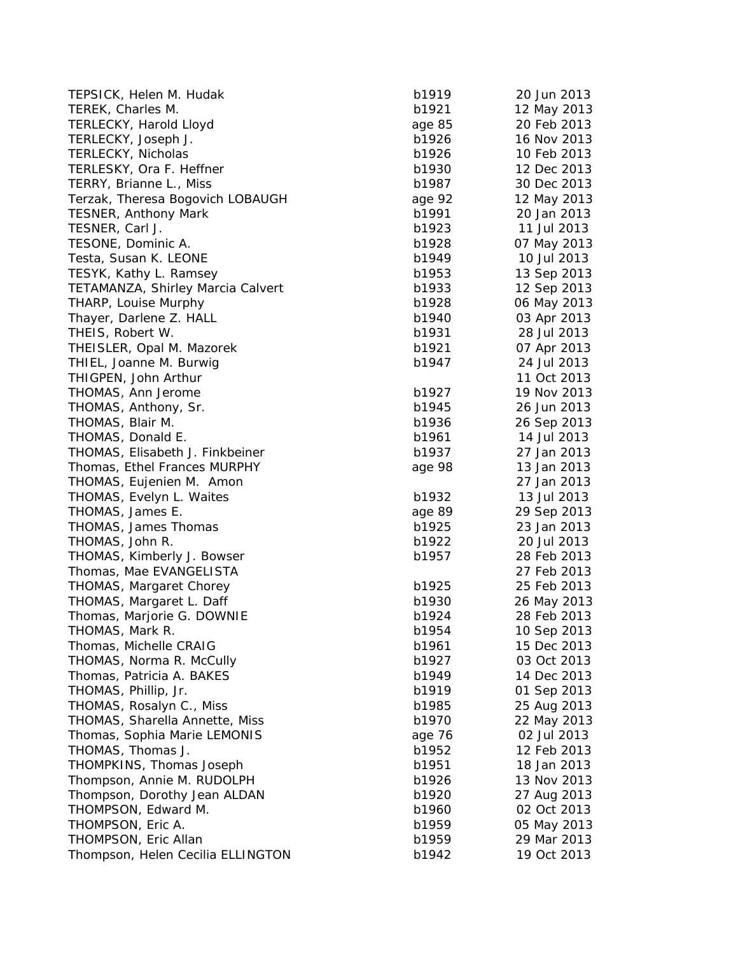| TEPSICK, Helen M. Hudak                             | b1919          | 20 Jun 2013 |
|-----------------------------------------------------|----------------|-------------|
| TEREK, Charles M.                                   | b1921          | 12 May 2013 |
| TERLECKY, Harold Lloyd                              | age 85         | 20 Feb 2013 |
| TERLECKY, Joseph J.                                 | b1926          | 16 Nov 2013 |
| TERLECKY, Nicholas                                  | b1926          | 10 Feb 2013 |
| TERLESKY, Ora F. Heffner                            | b1930          | 12 Dec 2013 |
| TERRY, Brianne L., Miss                             | b1987          | 30 Dec 2013 |
| Terzak, Theresa Bogovich LOBAUGH                    | age 92         | 12 May 2013 |
| <b>TESNER, Anthony Mark</b>                         | b1991          | 20 Jan 2013 |
| TESNER, Carl J.                                     | b1923          | 11 Jul 2013 |
| TESONE, Dominic A.                                  | b1928          | 07 May 2013 |
| Testa, Susan K. LEONE                               | b1949          | 10 Jul 2013 |
| TESYK, Kathy L. Ramsey                              | b1953          | 13 Sep 2013 |
| TETAMANZA, Shirley Marcia Calvert                   | b1933          | 12 Sep 2013 |
| THARP, Louise Murphy                                | b1928          | 06 May 2013 |
| Thayer, Darlene Z. HALL                             | b1940          | 03 Apr 2013 |
| THEIS, Robert W.                                    | b1931          | 28 Jul 2013 |
| THEISLER, Opal M. Mazorek                           | b1921          | 07 Apr 2013 |
| THIEL, Joanne M. Burwig                             | b1947          | 24 Jul 2013 |
| THIGPEN, John Arthur                                |                | 11 Oct 2013 |
| THOMAS, Ann Jerome                                  | b1927          | 19 Nov 2013 |
| THOMAS, Anthony, Sr.                                | b1945          | 26 Jun 2013 |
| THOMAS, Blair M.                                    | b1936          | 26 Sep 2013 |
| THOMAS, Donald E.                                   | b1961          | 14 Jul 2013 |
| THOMAS, Elisabeth J. Finkbeiner                     | b1937          | 27 Jan 2013 |
| Thomas, Ethel Frances MURPHY                        | age 98         | 13 Jan 2013 |
| THOMAS, Eujenien M. Amon                            |                | 27 Jan 2013 |
| THOMAS, Evelyn L. Waites                            | b1932          | 13 Jul 2013 |
| THOMAS, James E.                                    | age 89         | 29 Sep 2013 |
| THOMAS, James Thomas                                | b1925          | 23 Jan 2013 |
| THOMAS, John R.                                     | b1922          | 20 Jul 2013 |
| THOMAS, Kimberly J. Bowser                          | b1957          | 28 Feb 2013 |
| Thomas, Mae EVANGELISTA                             |                | 27 Feb 2013 |
| <b>THOMAS, Margaret Chorey</b>                      | b1925          | 25 Feb 2013 |
| THOMAS, Margaret L. Daff                            | b1930          | 26 May 2013 |
| Thomas, Marjorie G. DOWNIE                          | b1924          | 28 Feb 2013 |
| THOMAS, Mark R.                                     | b1954          | 10 Sep 2013 |
| Thomas, Michelle CRAIG                              | b1961          | 15 Dec 2013 |
| THOMAS, Norma R. McCully                            | b1927          | 03 Oct 2013 |
| Thomas, Patricia A. BAKES                           | b1949          | 14 Dec 2013 |
| THOMAS, Phillip, Jr.                                | b1919          | 01 Sep 2013 |
| THOMAS, Rosalyn C., Miss                            | b1985          | 25 Aug 2013 |
| THOMAS, Sharella Annette, Miss                      | b1970          | 22 May 2013 |
| Thomas, Sophia Marie LEMONIS                        | age 76         | 02 Jul 2013 |
| THOMAS, Thomas J.                                   | b1952          | 12 Feb 2013 |
| THOMPKINS, Thomas Joseph                            | b1951          | 18 Jan 2013 |
| Thompson, Annie M. RUDOLPH                          | b1926          | 13 Nov 2013 |
|                                                     |                |             |
| Thompson, Dorothy Jean ALDAN<br>THOMPSON, Edward M. | b1920<br>b1960 | 27 Aug 2013 |
|                                                     |                | 02 Oct 2013 |
| THOMPSON, Eric A.                                   | b1959          | 05 May 2013 |
| THOMPSON, Eric Allan                                | b1959          | 29 Mar 2013 |
| Thompson, Helen Cecilia ELLINGTON                   | b1942          | 19 Oct 2013 |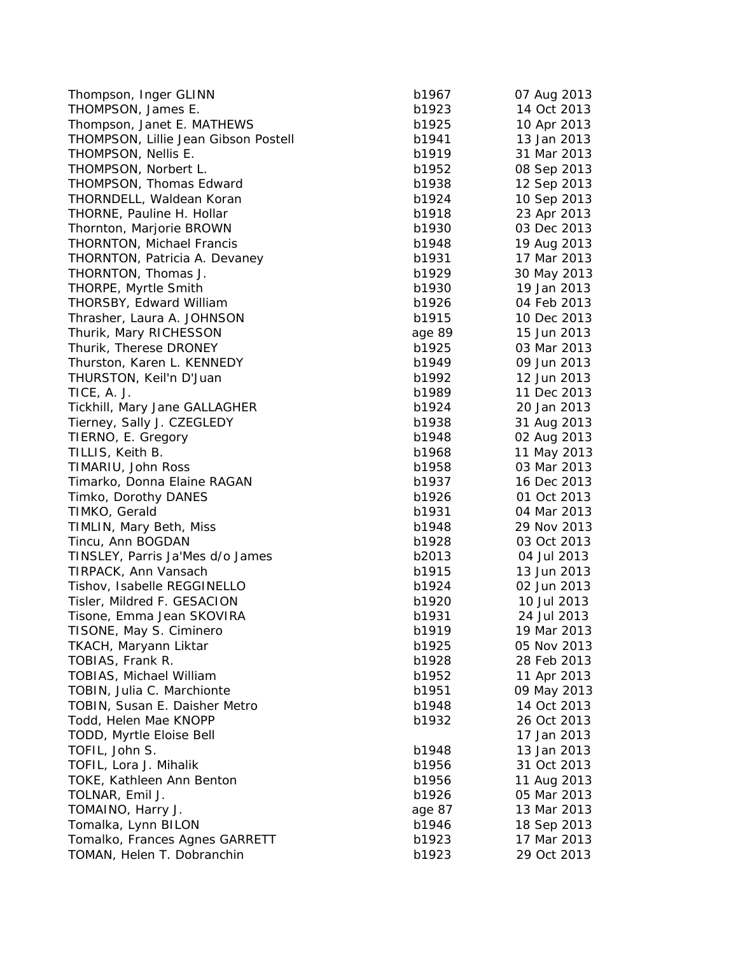| Thompson, Inger GLINN                | b1967  | 07 Aug 2013 |
|--------------------------------------|--------|-------------|
| THOMPSON, James E.                   | b1923  | 14 Oct 2013 |
| Thompson, Janet E. MATHEWS           | b1925  | 10 Apr 2013 |
| THOMPSON, Lillie Jean Gibson Postell | b1941  | 13 Jan 2013 |
| THOMPSON, Nellis E.                  | b1919  | 31 Mar 2013 |
| THOMPSON, Norbert L.                 | b1952  | 08 Sep 2013 |
| THOMPSON, Thomas Edward              | b1938  | 12 Sep 2013 |
| THORNDELL, Waldean Koran             | b1924  | 10 Sep 2013 |
| THORNE, Pauline H. Hollar            | b1918  | 23 Apr 2013 |
| Thornton, Marjorie BROWN             | b1930  | 03 Dec 2013 |
| <b>THORNTON, Michael Francis</b>     | b1948  | 19 Aug 2013 |
| THORNTON, Patricia A. Devaney        | b1931  | 17 Mar 2013 |
| THORNTON, Thomas J.                  | b1929  | 30 May 2013 |
| THORPE, Myrtle Smith                 | b1930  | 19 Jan 2013 |
| THORSBY, Edward William              | b1926  | 04 Feb 2013 |
| Thrasher, Laura A. JOHNSON           | b1915  | 10 Dec 2013 |
| Thurik, Mary RICHESSON               | age 89 | 15 Jun 2013 |
| Thurik, Therese DRONEY               | b1925  | 03 Mar 2013 |
| Thurston, Karen L. KENNEDY           | b1949  | 09 Jun 2013 |
| THURSTON, Keil'n D'Juan              | b1992  | 12 Jun 2013 |
| TICE, A. J.                          | b1989  | 11 Dec 2013 |
| Tickhill, Mary Jane GALLAGHER        | b1924  | 20 Jan 2013 |
| Tierney, Sally J. CZEGLEDY           | b1938  | 31 Aug 2013 |
| TIERNO, E. Gregory                   | b1948  | 02 Aug 2013 |
| TILLIS, Keith B.                     | b1968  | 11 May 2013 |
| TIMARIU, John Ross                   | b1958  | 03 Mar 2013 |
| Timarko, Donna Elaine RAGAN          | b1937  | 16 Dec 2013 |
| Timko, Dorothy DANES                 | b1926  | 01 Oct 2013 |
| TIMKO, Gerald                        | b1931  | 04 Mar 2013 |
| <b>TIMLIN, Mary Beth, Miss</b>       | b1948  | 29 Nov 2013 |
| Tincu, Ann BOGDAN                    | b1928  | 03 Oct 2013 |
| TINSLEY, Parris Ja'Mes d/o James     | b2013  | 04 Jul 2013 |
| TIRPACK, Ann Vansach                 | b1915  | 13 Jun 2013 |
| Tishov, Isabelle REGGINELLO          | b1924  | 02 Jun 2013 |
| Tisler, Mildred F. GESACION          | b1920  | 10 Jul 2013 |
|                                      | b1931  | 24 Jul 2013 |
| Tisone, Emma Jean SKOVIRA            | b1919  | 19 Mar 2013 |
| TISONE, May S. Ciminero              | b1925  | 05 Nov 2013 |
| TKACH, Maryann Liktar                |        |             |
| TOBIAS, Frank R.                     | b1928  | 28 Feb 2013 |
| TOBIAS, Michael William              | b1952  | 11 Apr 2013 |
| TOBIN, Julia C. Marchionte           | b1951  | 09 May 2013 |
| TOBIN, Susan E. Daisher Metro        | b1948  | 14 Oct 2013 |
| Todd, Helen Mae KNOPP                | b1932  | 26 Oct 2013 |
| TODD, Myrtle Eloise Bell             |        | 17 Jan 2013 |
| TOFIL, John S.                       | b1948  | 13 Jan 2013 |
| TOFIL, Lora J. Mihalik               | b1956  | 31 Oct 2013 |
| <b>TOKE, Kathleen Ann Benton</b>     | b1956  | 11 Aug 2013 |
| TOLNAR, Emil J.                      | b1926  | 05 Mar 2013 |
| TOMAINO, Harry J.                    | age 87 | 13 Mar 2013 |
| Tomalka, Lynn BILON                  | b1946  | 18 Sep 2013 |
| Tomalko, Frances Agnes GARRETT       | b1923  | 17 Mar 2013 |
| TOMAN, Helen T. Dobranchin           | b1923  | 29 Oct 2013 |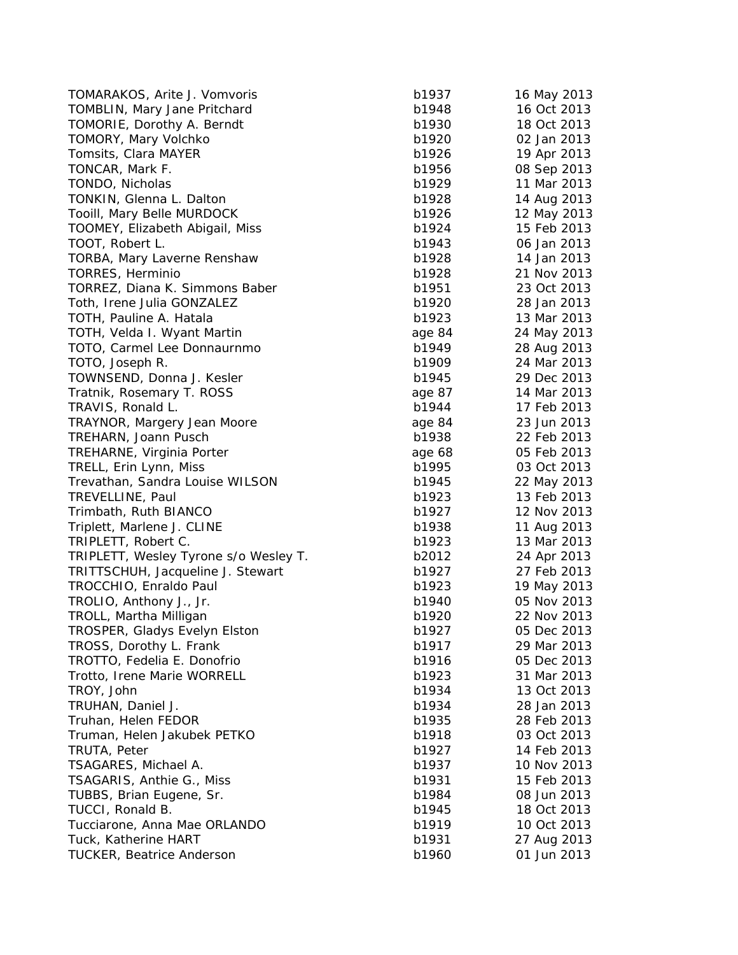| TOMARAKOS, Arite J. Vomvoris          | b1937  | 16 May 2013 |
|---------------------------------------|--------|-------------|
| TOMBLIN, Mary Jane Pritchard          | b1948  | 16 Oct 2013 |
| TOMORIE, Dorothy A. Berndt            | b1930  | 18 Oct 2013 |
| TOMORY, Mary Volchko                  | b1920  | 02 Jan 2013 |
| Tomsits, Clara MAYER                  | b1926  | 19 Apr 2013 |
| TONCAR, Mark F.                       | b1956  | 08 Sep 2013 |
| TONDO, Nicholas                       | b1929  | 11 Mar 2013 |
| TONKIN, Glenna L. Dalton              | b1928  | 14 Aug 2013 |
| Tooill, Mary Belle MURDOCK            | b1926  | 12 May 2013 |
| TOOMEY, Elizabeth Abigail, Miss       | b1924  | 15 Feb 2013 |
| TOOT, Robert L.                       | b1943  | 06 Jan 2013 |
| TORBA, Mary Laverne Renshaw           | b1928  | 14 Jan 2013 |
| TORRES, Herminio                      | b1928  | 21 Nov 2013 |
| TORREZ, Diana K. Simmons Baber        | b1951  | 23 Oct 2013 |
| Toth, Irene Julia GONZALEZ            | b1920  | 28 Jan 2013 |
| TOTH, Pauline A. Hatala               | b1923  | 13 Mar 2013 |
| TOTH, Velda I. Wyant Martin           | age 84 | 24 May 2013 |
| TOTO, Carmel Lee Donnaurnmo           | b1949  | 28 Aug 2013 |
| TOTO, Joseph R.                       | b1909  | 24 Mar 2013 |
| TOWNSEND, Donna J. Kesler             | b1945  | 29 Dec 2013 |
| Tratnik, Rosemary T. ROSS             | age 87 | 14 Mar 2013 |
| TRAVIS, Ronald L.                     | b1944  | 17 Feb 2013 |
| TRAYNOR, Margery Jean Moore           | age 84 | 23 Jun 2013 |
| TREHARN, Joann Pusch                  | b1938  | 22 Feb 2013 |
| TREHARNE, Virginia Porter             | age 68 | 05 Feb 2013 |
| TRELL, Erin Lynn, Miss                | b1995  | 03 Oct 2013 |
| Trevathan, Sandra Louise WILSON       | b1945  | 22 May 2013 |
| TREVELLINE, Paul                      | b1923  | 13 Feb 2013 |
| Trimbath, Ruth BIANCO                 | b1927  | 12 Nov 2013 |
| Triplett, Marlene J. CLINE            | b1938  | 11 Aug 2013 |
| TRIPLETT, Robert C.                   | b1923  | 13 Mar 2013 |
| TRIPLETT, Wesley Tyrone s/o Wesley T. | b2012  | 24 Apr 2013 |
| TRITTSCHUH, Jacqueline J. Stewart     | b1927  | 27 Feb 2013 |
| TROCCHIO, Enraldo Paul                | b1923  | 19 May 2013 |
| TROLIO, Anthony J., Jr.               | b1940  | 05 Nov 2013 |
| TROLL, Martha Milligan                | b1920  | 22 Nov 2013 |
| TROSPER, Gladys Evelyn Elston         | b1927  | 05 Dec 2013 |
| TROSS, Dorothy L. Frank               | b1917  | 29 Mar 2013 |
| TROTTO, Fedelia E. Donofrio           | b1916  | 05 Dec 2013 |
| Trotto, Irene Marie WORRELL           | b1923  | 31 Mar 2013 |
| TROY, John                            | b1934  | 13 Oct 2013 |
| TRUHAN, Daniel J.                     | b1934  | 28 Jan 2013 |
| Truhan, Helen FEDOR                   | b1935  | 28 Feb 2013 |
| Truman, Helen Jakubek PETKO           | b1918  | 03 Oct 2013 |
| TRUTA, Peter                          | b1927  | 14 Feb 2013 |
| TSAGARES, Michael A.                  | b1937  | 10 Nov 2013 |
| TSAGARIS, Anthie G., Miss             | b1931  | 15 Feb 2013 |
| TUBBS, Brian Eugene, Sr.              | b1984  | 08 Jun 2013 |
| TUCCI, Ronald B.                      | b1945  | 18 Oct 2013 |
| Tucciarone, Anna Mae ORLANDO          | b1919  | 10 Oct 2013 |
| Tuck, Katherine HART                  | b1931  | 27 Aug 2013 |
| <b>TUCKER, Beatrice Anderson</b>      | b1960  | 01 Jun 2013 |
|                                       |        |             |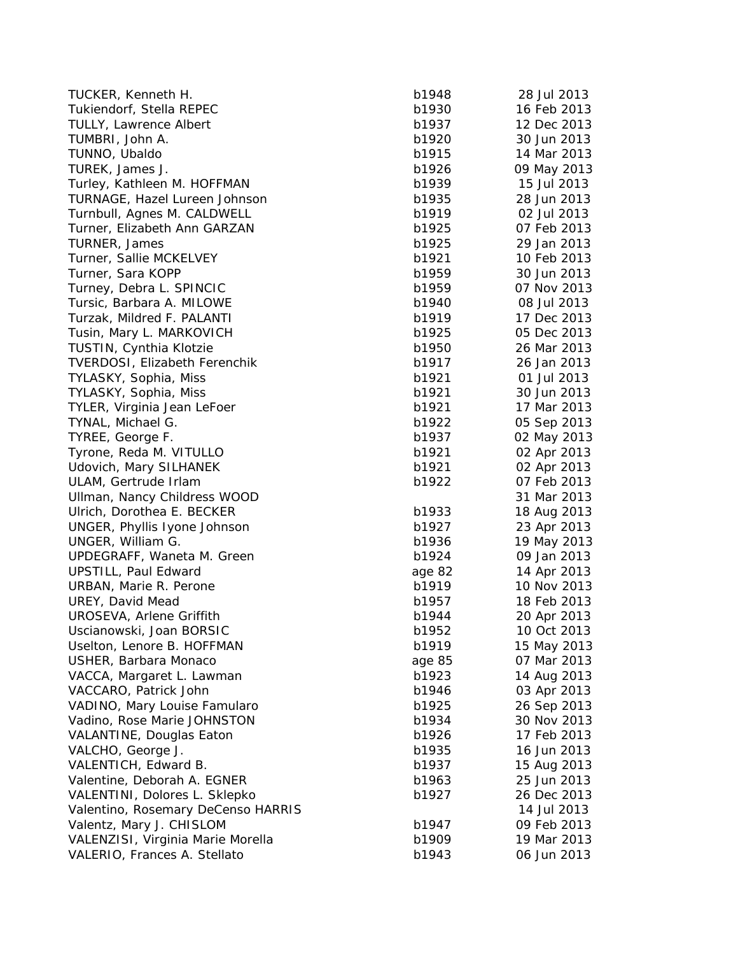| TUCKER, Kenneth H.                                             | b1948  | 28 Jul 2013 |
|----------------------------------------------------------------|--------|-------------|
| Tukiendorf, Stella REPEC                                       | b1930  | 16 Feb 2013 |
| <b>TULLY, Lawrence Albert</b>                                  | b1937  | 12 Dec 2013 |
| TUMBRI, John A.                                                | b1920  | 30 Jun 2013 |
| TUNNO, Ubaldo                                                  | b1915  | 14 Mar 2013 |
| TUREK, James J.                                                | b1926  | 09 May 2013 |
| Turley, Kathleen M. HOFFMAN                                    | b1939  | 15 Jul 2013 |
| TURNAGE, Hazel Lureen Johnson                                  | b1935  | 28 Jun 2013 |
| Turnbull, Agnes M. CALDWELL                                    | b1919  | 02 Jul 2013 |
| Turner, Elizabeth Ann GARZAN                                   | b1925  | 07 Feb 2013 |
| TURNER, James                                                  | b1925  | 29 Jan 2013 |
| Turner, Sallie MCKELVEY                                        | b1921  | 10 Feb 2013 |
| Turner, Sara KOPP                                              | b1959  | 30 Jun 2013 |
| Turney, Debra L. SPINCIC                                       | b1959  | 07 Nov 2013 |
| Tursic, Barbara A. MILOWE                                      | b1940  | 08 Jul 2013 |
| Turzak, Mildred F. PALANTI                                     | b1919  | 17 Dec 2013 |
| Tusin, Mary L. MARKOVICH                                       | b1925  | 05 Dec 2013 |
| TUSTIN, Cynthia Klotzie                                        | b1950  | 26 Mar 2013 |
| <b>TVERDOSI, Elizabeth Ferenchik</b>                           | b1917  | 26 Jan 2013 |
| TYLASKY, Sophia, Miss                                          | b1921  | 01 Jul 2013 |
| TYLASKY, Sophia, Miss                                          | b1921  | 30 Jun 2013 |
| TYLER, Virginia Jean LeFoer                                    | b1921  | 17 Mar 2013 |
| TYNAL, Michael G.                                              | b1922  | 05 Sep 2013 |
| TYREE, George F.                                               | b1937  | 02 May 2013 |
| Tyrone, Reda M. VITULLO                                        | b1921  | 02 Apr 2013 |
| Udovich, Mary SILHANEK                                         | b1921  | 02 Apr 2013 |
| ULAM, Gertrude Irlam                                           | b1922  | 07 Feb 2013 |
| Ullman, Nancy Childress WOOD                                   |        | 31 Mar 2013 |
| Ulrich, Dorothea E. BECKER                                     | b1933  | 18 Aug 2013 |
| UNGER, Phyllis Iyone Johnson                                   | b1927  | 23 Apr 2013 |
| UNGER, William G.                                              | b1936  | 19 May 2013 |
| UPDEGRAFF, Waneta M. Green                                     | b1924  | 09 Jan 2013 |
| UPSTILL, Paul Edward                                           | age 82 | 14 Apr 2013 |
| URBAN, Marie R. Perone                                         | b1919  | 10 Nov 2013 |
| UREY, David Mead                                               | b1957  | 18 Feb 2013 |
| UROSEVA, Arlene Griffith                                       | b1944  | 20 Apr 2013 |
| Uscianowski, Joan BORSIC                                       | b1952  | 10 Oct 2013 |
| Uselton, Lenore B. HOFFMAN                                     | b1919  | 15 May 2013 |
| USHER, Barbara Monaco                                          | age 85 | 07 Mar 2013 |
| VACCA, Margaret L. Lawman                                      | b1923  | 14 Aug 2013 |
| VACCARO, Patrick John                                          | b1946  | 03 Apr 2013 |
| VADINO, Mary Louise Famularo                                   | b1925  | 26 Sep 2013 |
| Vadino, Rose Marie JOHNSTON                                    | b1934  | 30 Nov 2013 |
| VALANTINE, Douglas Eaton                                       | b1926  | 17 Feb 2013 |
| VALCHO, George J.                                              | b1935  | 16 Jun 2013 |
| VALENTICH, Edward B.                                           | b1937  | 15 Aug 2013 |
| Valentine, Deborah A. EGNER                                    | b1963  | 25 Jun 2013 |
|                                                                |        | 26 Dec 2013 |
| VALENTINI, Dolores L. Sklepko                                  | b1927  | 14 Jul 2013 |
| Valentino, Rosemary DeCenso HARRIS<br>Valentz, Mary J. CHISLOM | b1947  | 09 Feb 2013 |
|                                                                |        | 19 Mar 2013 |
| VALENZISI, Virginia Marie Morella                              | b1909  |             |
| VALERIO, Frances A. Stellato                                   | b1943  | 06 Jun 2013 |

| 48              | 28 Jul 2013 |
|-----------------|-------------|
| 30              | 16 Feb 2013 |
| 37              | 12 Dec 2013 |
|                 |             |
| 20              | 30 Jun 2013 |
| 15              | 14 Mar 2013 |
| 26              | 09 May 2013 |
|                 |             |
| 39              | 15 Jul 2013 |
| 35              | 28 Jun 2013 |
| 19              | 02 Jul 2013 |
|                 |             |
| 25              | 07 Feb 2013 |
| 25              | 29 Jan 2013 |
| 21              | 10 Feb 2013 |
| 59              | 30 Jun 2013 |
|                 |             |
| 59              | 07 Nov 2013 |
| 40              | 08 Jul 2013 |
| 19              | 17 Dec 2013 |
| 25              | 05 Dec 2013 |
|                 |             |
| 50              | 26 Mar 2013 |
| 17              | 26 Jan 2013 |
| $\overline{21}$ | 01 Jul 2013 |
| $\overline{21}$ | 30 Jun 2013 |
|                 |             |
| 21              | 17 Mar 2013 |
| $\overline{22}$ | 05 Sep 2013 |
| 37              | 02 May 2013 |
| 21              | 02 Apr 2013 |
|                 |             |
| $\overline{21}$ | 02 Apr 2013 |
| $\overline{2}$  | 07 Feb 2013 |
|                 | 31 Mar 2013 |
| 33              | 18 Aug 2013 |
| 27              | 23 Apr 2013 |
|                 |             |
| 36              | 19 May 2013 |
| 24              | 09 Jan 2013 |
| 82              | 14 Apr 2013 |
| 19              | 10 Nov 2013 |
| 57              | 18 Feb 2013 |
|                 |             |
| 44              | 20 Apr 2013 |
| 52              | 10 Oct 2013 |
| 19              | 15 May 2013 |
| 85              | 07 Mar 2013 |
|                 |             |
| 23              | 14 Aug 2013 |
| 46              | 03 Apr 2013 |
| 25              | 26 Sep 2013 |
| 34              | 30 Nov 2013 |
|                 |             |
| 26              | 17 Feb 2013 |
| 35              | 16 Jun 2013 |
| 37              | 15 Aug 2013 |
| 53              | 25 Jun 2013 |
|                 |             |
| 27              | 26 Dec 2013 |
|                 | 14 Jul 2013 |
| 47              | 09 Feb 2013 |
| 99              | 19 Mar 2013 |
| 43              | 06 Jun 2013 |
|                 |             |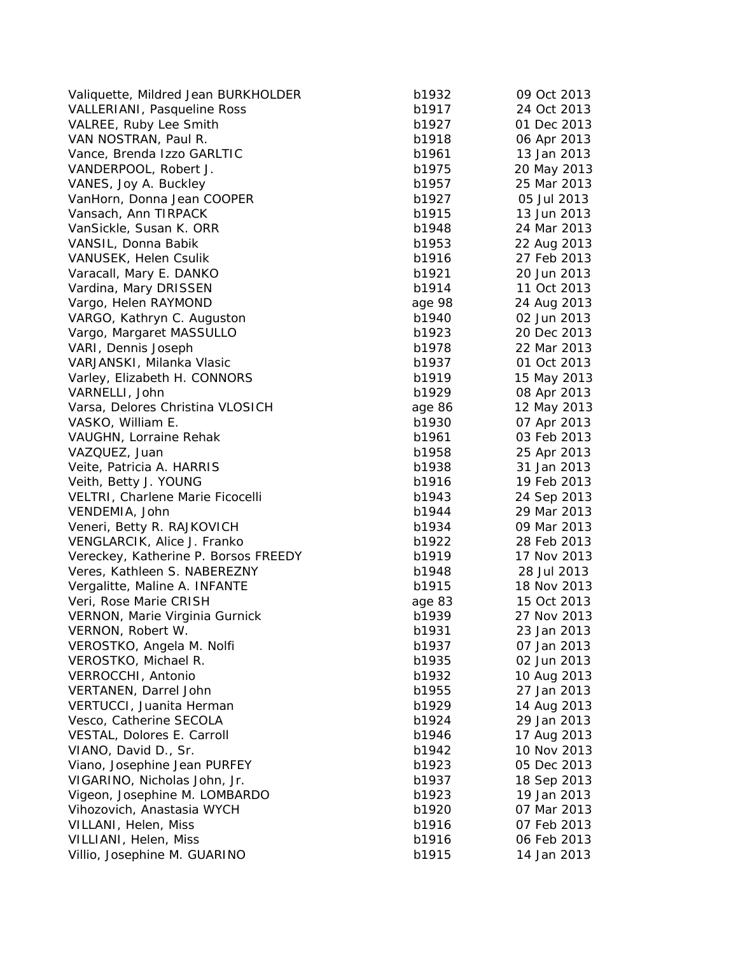| Valiquette, Mildred Jean BURKHOLDER  | b1932  | 09 Oct 2013 |
|--------------------------------------|--------|-------------|
| VALLERIANI, Pasqueline Ross          | b1917  | 24 Oct 2013 |
| VALREE, Ruby Lee Smith               | b1927  | 01 Dec 2013 |
| VAN NOSTRAN, Paul R.                 | b1918  | 06 Apr 2013 |
| Vance, Brenda Izzo GARLTIC           | b1961  | 13 Jan 2013 |
| VANDERPOOL, Robert J.                | b1975  | 20 May 2013 |
| VANES, Joy A. Buckley                | b1957  | 25 Mar 2013 |
| VanHorn, Donna Jean COOPER           | b1927  | 05 Jul 2013 |
| Vansach, Ann TIRPACK                 | b1915  | 13 Jun 2013 |
| VanSickle, Susan K. ORR              | b1948  | 24 Mar 2013 |
| VANSIL, Donna Babik                  | b1953  | 22 Aug 2013 |
| VANUSEK, Helen Csulik                | b1916  | 27 Feb 2013 |
| Varacall, Mary E. DANKO              | b1921  | 20 Jun 2013 |
| Vardina, Mary DRISSEN                | b1914  | 11 Oct 2013 |
| Vargo, Helen RAYMOND                 | age 98 | 24 Aug 2013 |
| VARGO, Kathryn C. Auguston           | b1940  | 02 Jun 2013 |
| Vargo, Margaret MASSULLO             | b1923  | 20 Dec 2013 |
| VARI, Dennis Joseph                  | b1978  | 22 Mar 2013 |
| VARJANSKI, Milanka Vlasic            | b1937  | 01 Oct 2013 |
| Varley, Elizabeth H. CONNORS         | b1919  | 15 May 2013 |
| VARNELLI, John                       | b1929  | 08 Apr 2013 |
| Varsa, Delores Christina VLOSICH     | age 86 | 12 May 2013 |
| VASKO, William E.                    | b1930  | 07 Apr 2013 |
| VAUGHN, Lorraine Rehak               | b1961  | 03 Feb 2013 |
| VAZQUEZ, Juan                        | b1958  | 25 Apr 2013 |
| Veite, Patricia A. HARRIS            | b1938  | 31 Jan 2013 |
| Veith, Betty J. YOUNG                | b1916  | 19 Feb 2013 |
| VELTRI, Charlene Marie Ficocelli     | b1943  | 24 Sep 2013 |
| VENDEMIA, John                       | b1944  | 29 Mar 2013 |
| Veneri, Betty R. RAJKOVICH           | b1934  | 09 Mar 2013 |
| VENGLARCIK, Alice J. Franko          | b1922  | 28 Feb 2013 |
| Vereckey, Katherine P. Borsos FREEDY | b1919  | 17 Nov 2013 |
| Veres, Kathleen S. NABEREZNY         | b1948  | 28 Jul 2013 |
| Vergalitte, Maline A. INFANTE        | b1915  | 18 Nov 2013 |
| Veri, Rose Marie CRISH               | age 83 | 15 Oct 2013 |
| VERNON, Marie Virginia Gurnick       | b1939  | 27 Nov 2013 |
| VERNON, Robert W.                    | b1931  | 23 Jan 2013 |
| VEROSTKO, Angela M. Nolfi            | b1937  | 07 Jan 2013 |
| VEROSTKO, Michael R.                 | b1935  | 02 Jun 2013 |
| VERROCCHI, Antonio                   | b1932  | 10 Aug 2013 |
| VERTANEN, Darrel John                | b1955  | 27 Jan 2013 |
| VERTUCCI, Juanita Herman             | b1929  | 14 Aug 2013 |
| Vesco, Catherine SECOLA              | b1924  | 29 Jan 2013 |
| VESTAL, Dolores E. Carroll           | b1946  | 17 Aug 2013 |
| VIANO, David D., Sr.                 | b1942  | 10 Nov 2013 |
| Viano, Josephine Jean PURFEY         | b1923  | 05 Dec 2013 |
| VIGARINO, Nicholas John, Jr.         | b1937  | 18 Sep 2013 |
| Vigeon, Josephine M. LOMBARDO        | b1923  | 19 Jan 2013 |
| Vihozovich, Anastasia WYCH           | b1920  | 07 Mar 2013 |
| VILLANI, Helen, Miss                 | b1916  | 07 Feb 2013 |
| VILLIANI, Helen, Miss                | b1916  | 06 Feb 2013 |
| Villio, Josephine M. GUARINO         | b1915  | 14 Jan 2013 |
|                                      |        |             |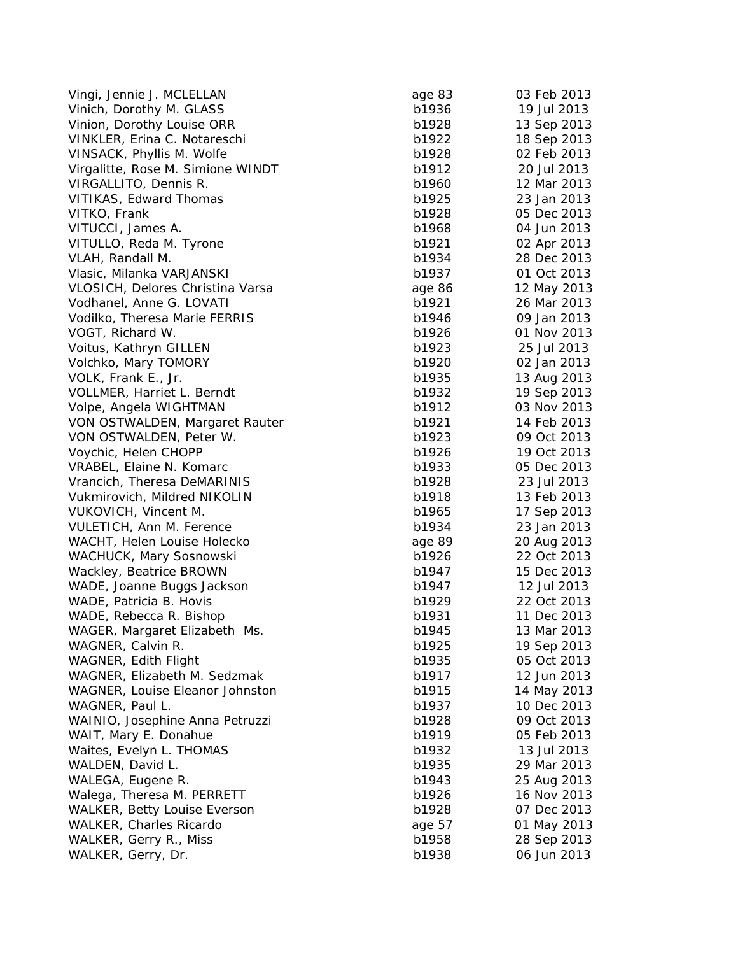| Vingi, Jennie J. MCLELLAN           | age 83 | 03 Feb 2013 |
|-------------------------------------|--------|-------------|
| Vinich, Dorothy M. GLASS            | b1936  | 19 Jul 2013 |
| Vinion, Dorothy Louise ORR          | b1928  | 13 Sep 2013 |
| VINKLER, Erina C. Notareschi        | b1922  | 18 Sep 2013 |
| VINSACK, Phyllis M. Wolfe           | b1928  | 02 Feb 2013 |
| Virgalitte, Rose M. Simione WINDT   | b1912  | 20 Jul 2013 |
| VIRGALLITO, Dennis R.               | b1960  | 12 Mar 2013 |
| VITIKAS, Edward Thomas              | b1925  | 23 Jan 2013 |
| VITKO, Frank                        | b1928  | 05 Dec 2013 |
| VITUCCI, James A.                   | b1968  | 04 Jun 2013 |
| VITULLO, Reda M. Tyrone             | b1921  | 02 Apr 2013 |
| VLAH, Randall M.                    | b1934  | 28 Dec 2013 |
| Vlasic, Milanka VARJANSKI           | b1937  | 01 Oct 2013 |
| VLOSICH, Delores Christina Varsa    | age 86 | 12 May 2013 |
| Vodhanel, Anne G. LOVATI            | b1921  | 26 Mar 2013 |
| Vodilko, Theresa Marie FERRIS       | b1946  | 09 Jan 2013 |
| VOGT, Richard W.                    | b1926  | 01 Nov 2013 |
| Voitus, Kathryn GILLEN              | b1923  | 25 Jul 2013 |
| Volchko, Mary TOMORY                | b1920  | 02 Jan 2013 |
| VOLK, Frank E., Jr.                 | b1935  | 13 Aug 2013 |
| VOLLMER, Harriet L. Berndt          | b1932  | 19 Sep 2013 |
| Volpe, Angela WIGHTMAN              | b1912  | 03 Nov 2013 |
| VON OSTWALDEN, Margaret Rauter      | b1921  | 14 Feb 2013 |
| VON OSTWALDEN, Peter W.             | b1923  | 09 Oct 2013 |
| Voychic, Helen CHOPP                | b1926  | 19 Oct 2013 |
| VRABEL, Elaine N. Komarc            | b1933  | 05 Dec 2013 |
| Vrancich, Theresa DeMARINIS         | b1928  | 23 Jul 2013 |
| Vukmirovich, Mildred NIKOLIN        | b1918  | 13 Feb 2013 |
| VUKOVICH, Vincent M.                | b1965  | 17 Sep 2013 |
| VULETICH, Ann M. Ference            | b1934  | 23 Jan 2013 |
| WACHT, Helen Louise Holecko         | age 89 | 20 Aug 2013 |
| WACHUCK, Mary Sosnowski             | b1926  | 22 Oct 2013 |
| Wackley, Beatrice BROWN             | b1947  | 15 Dec 2013 |
| WADE, Joanne Buggs Jackson          | b1947  | 12 Jul 2013 |
| WADE, Patricia B. Hovis             | b1929  | 22 Oct 2013 |
| WADE, Rebecca R. Bishop             | b1931  | 11 Dec 2013 |
| WAGER, Margaret Elizabeth Ms.       | b1945  | 13 Mar 2013 |
| WAGNER, Calvin R.                   | b1925  | 19 Sep 2013 |
| WAGNER, Edith Flight                | b1935  | 05 Oct 2013 |
| WAGNER, Elizabeth M. Sedzmak        | b1917  | 12 Jun 2013 |
| WAGNER, Louise Eleanor Johnston     | b1915  | 14 May 2013 |
| WAGNER, Paul L.                     | b1937  | 10 Dec 2013 |
| WAINIO, Josephine Anna Petruzzi     | b1928  | 09 Oct 2013 |
| WAIT, Mary E. Donahue               | b1919  | 05 Feb 2013 |
| Waites, Evelyn L. THOMAS            | b1932  | 13 Jul 2013 |
| WALDEN, David L.                    | b1935  | 29 Mar 2013 |
| WALEGA, Eugene R.                   | b1943  | 25 Aug 2013 |
| Walega, Theresa M. PERRETT          | b1926  | 16 Nov 2013 |
| <b>WALKER, Betty Louise Everson</b> | b1928  | 07 Dec 2013 |
| WALKER, Charles Ricardo             | age 57 | 01 May 2013 |
| WALKER, Gerry R., Miss              | b1958  | 28 Sep 2013 |
| WALKER, Gerry, Dr.                  | b1938  | 06 Jun 2013 |
|                                     |        |             |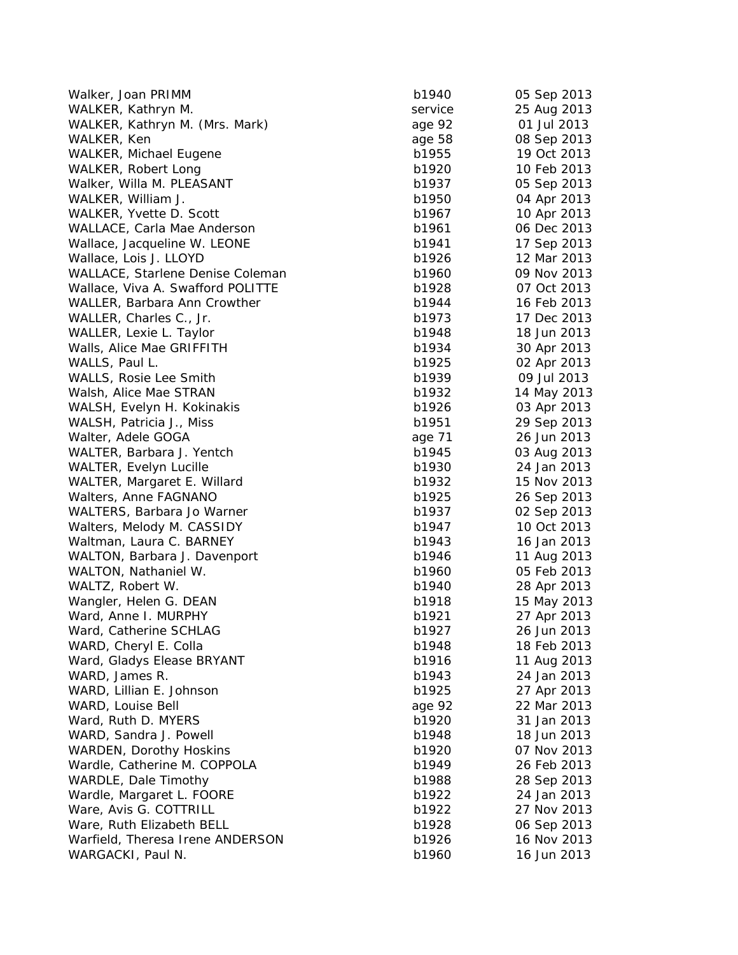| Walker, Joan PRIMM                | b1940   | 05 Sep 2013 |
|-----------------------------------|---------|-------------|
| WALKER, Kathryn M.                | service | 25 Aug 2013 |
| WALKER, Kathryn M. (Mrs. Mark)    | age 92  | 01 Jul 2013 |
| WALKER, Ken                       | age 58  | 08 Sep 2013 |
| <b>WALKER, Michael Eugene</b>     | b1955   | 19 Oct 2013 |
| WALKER, Robert Long               | b1920   | 10 Feb 2013 |
| Walker, Willa M. PLEASANT         | b1937   | 05 Sep 2013 |
| WALKER, William J.                | b1950   | 04 Apr 2013 |
| WALKER, Yvette D. Scott           | b1967   | 10 Apr 2013 |
| WALLACE, Carla Mae Anderson       | b1961   | 06 Dec 2013 |
| Wallace, Jacqueline W. LEONE      | b1941   | 17 Sep 2013 |
| Wallace, Lois J. LLOYD            | b1926   | 12 Mar 2013 |
| WALLACE, Starlene Denise Coleman  | b1960   | 09 Nov 2013 |
| Wallace, Viva A. Swafford POLITTE | b1928   | 07 Oct 2013 |
| WALLER, Barbara Ann Crowther      | b1944   | 16 Feb 2013 |
| WALLER, Charles C., Jr.           | b1973   | 17 Dec 2013 |
| WALLER, Lexie L. Taylor           | b1948   | 18 Jun 2013 |
| Walls, Alice Mae GRIFFITH         | b1934   | 30 Apr 2013 |
| WALLS, Paul L.                    | b1925   | 02 Apr 2013 |
| WALLS, Rosie Lee Smith            | b1939   | 09 Jul 2013 |
| Walsh, Alice Mae STRAN            | b1932   | 14 May 2013 |
| WALSH, Evelyn H. Kokinakis        | b1926   | 03 Apr 2013 |
| WALSH, Patricia J., Miss          | b1951   | 29 Sep 2013 |
| Walter, Adele GOGA                | age 71  | 26 Jun 2013 |
| WALTER, Barbara J. Yentch         | b1945   | 03 Aug 2013 |
| WALTER, Evelyn Lucille            | b1930   | 24 Jan 2013 |
| WALTER, Margaret E. Willard       | b1932   | 15 Nov 2013 |
| Walters, Anne FAGNANO             | b1925   | 26 Sep 2013 |
| WALTERS, Barbara Jo Warner        | b1937   | 02 Sep 2013 |
| Walters, Melody M. CASSIDY        | b1947   | 10 Oct 2013 |
| Waltman, Laura C. BARNEY          | b1943   | 16 Jan 2013 |
| WALTON, Barbara J. Davenport      | b1946   | 11 Aug 2013 |
| WALTON, Nathaniel W.              | b1960   | 05 Feb 2013 |
| WALTZ, Robert W.                  | b1940   | 28 Apr 2013 |
| Wangler, Helen G. DEAN            | b1918   | 15 May 2013 |
| Ward, Anne I. MURPHY              | b1921   | 27 Apr 2013 |
| Ward, Catherine SCHLAG            | b1927   | 26 Jun 2013 |
| WARD, Cheryl E. Colla             | b1948   | 18 Feb 2013 |
| Ward, Gladys Elease BRYANT        | b1916   | 11 Aug 2013 |
| WARD, James R.                    | b1943   | 24 Jan 2013 |
| WARD, Lillian E. Johnson          | b1925   | 27 Apr 2013 |
| WARD, Louise Bell                 | age 92  | 22 Mar 2013 |
| Ward, Ruth D. MYERS               | b1920   | 31 Jan 2013 |
| WARD, Sandra J. Powell            | b1948   | 18 Jun 2013 |
| <b>WARDEN, Dorothy Hoskins</b>    | b1920   | 07 Nov 2013 |
| Wardle, Catherine M. COPPOLA      | b1949   | 26 Feb 2013 |
| WARDLE, Dale Timothy              | b1988   | 28 Sep 2013 |
| Wardle, Margaret L. FOORE         | b1922   | 24 Jan 2013 |
| Ware, Avis G. COTTRILL            | b1922   | 27 Nov 2013 |
| Ware, Ruth Elizabeth BELL         | b1928   | 06 Sep 2013 |
| Warfield, Theresa Irene ANDERSON  | b1926   | 16 Nov 2013 |
| WARGACKI, Paul N.                 | b1960   | 16 Jun 2013 |
|                                   |         |             |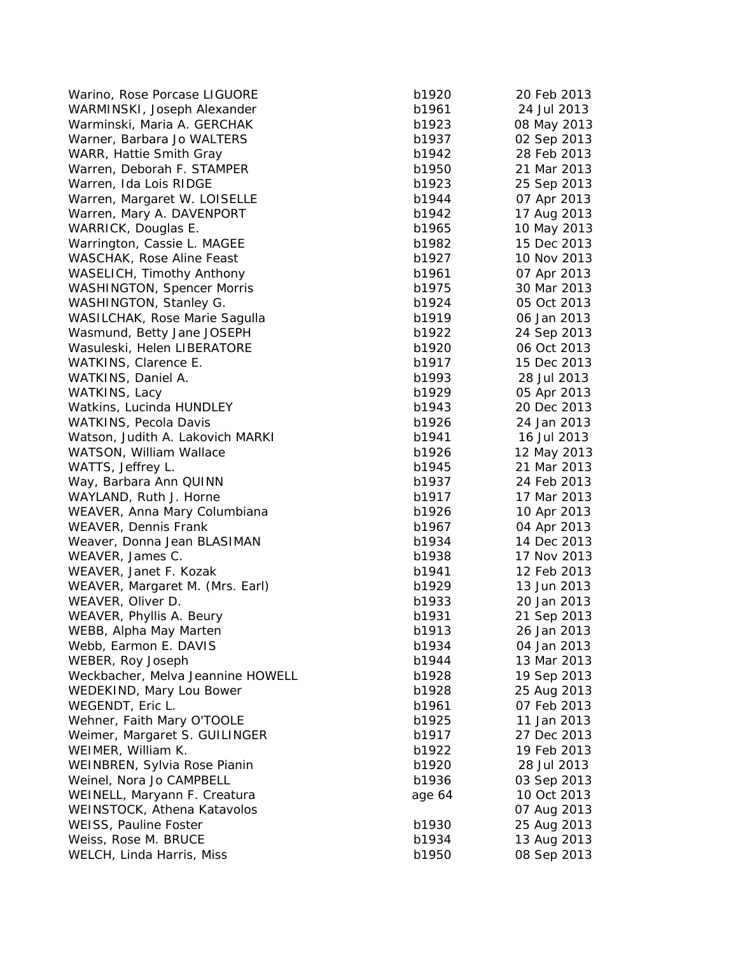Warino, Rose Porcase LIGUORE b1920 2013 WARMINSKI, Joseph Alexander b1961 24 Jul 2013 Warminski, Maria A. GERCHAK b1923 b1933 b1933 b1933 b1933 b1933 b1933 b1933 b1933 b1933 b1933 b1933 b1933 b193 Warner, Barbara Jo WALTERS b1937 b1937 b1937 b1937 b1937 b1937 b1937 b1937 b1937 b1937 b1937 b1937 b1937 b1937 WARR, Hattie Smith Gray b1942 28 Feb 2013 28 Beauty b1942 28 Feb 2013 28 Feb 2014 28 Feb 2014 28 Feb 2013 28 Feb 2013 28 Feb 2013 28 Feb 2013 28 Feb 2013 28 Feb 2013 28 Feb 2014 28 Feb 2014 28 Feb 2014 28 Feb 2014 28 Feb 2 Warren, Deborah F. STAMPER b1950 21 Mar 2014 21 Mar 2019 21 Mar 2019 21 Mar 2019 21 Mar 2019 21 Mar 2019 21 Ma Warren, Ida Lois RIDGE b1923 b1933 b1933 b1933 b1933 b1933 b1933 b1933 b1933 b1933 b1933 b1933 b1933 b1933 b19 Warren, Margaret W. LOISELLE b1944 b1944 b1944 b1944 b1944 b1944 b1944 b1944 b1944 b1944 b1944 b1944 b1944 b19 Warren, Mary A. DAVENPORT b1942 b1942 b1942 b1942 b1942 b1942 b1942 b1942 b1942 b WARRICK, Douglas E. b1965 10 May 2014 10 May 2014 10 May 2014 10 May 2014 10 May 2014 10 May 2014 10 May 2014 10 May 2014 10 May 2014 10 May 2014 10 May 2014 10 May 2014 10 May 2014 10 May 2014 10 May 2014 10 May 2014 10 M Warrington, Cassie L. MAGEE b1982 b1982 b1982 b1982 b1982 b1982 b1982 b1982 b1982 b1982 b1982 b1982 b1982 b1982 b1982 b1982 b1982 b1982 b1982 b1982 b1982 b1982 b1982 b1982 b1982 b1982 b1982 b1982 b1982 b1982 b1982 b1982 b1 WASCHAK, Rose Aline Feast b1927 10 Nov 2014 10 Nov 2014 10 Nov 2014 10 Nov 2014 10 Nov 2014 10 Nov 2014 10 Nov WASELICH, Timothy Anthony b1961 07 Apr 2013 WASHINGTON, Spencer Morris 30 March 2013 30 March 2013 30 March 2013 30 March 2013 30 March 2013 30 March 2013 WASHINGTON, Stanley G. b1924 05 Oct 2013 05 Oct 2014 05 Oct 2014 05 Oct 2014 05 Oct 2014 05 Oct 2014 05 Oct 20 WASILCHAK, Rose Marie Sagulla b1919 b1919 b1919 b1919 b1919 b1919 b1919 b1919 b1919 b1919 b1919 b191 Wasmund, Betty Jane JOSEPH b1922 24 Betty 24 Betty 2014 Wasuleski, Helen LIBERATORE b1920 b1920 b1930 b1930 b1930 b1930 b1930 b1930 b1930 b1930 b1930 b1930 b1930 b1930 b1930 b1930 b1930 b1930 b1930 b1930 b1930 b1930 b1930 b1930 b1930 b1930 b1930 b1930 b1930 b1930 b1930 b1930 b1 WATKINS, Clarence E. b1917 15 Dec 2013 15 Dec 2014 15 Dec 2013 15 Dec 2014 15 Dec 2014 15 Dec 2014 15 Dec 2013 WATKINS, Daniel A. b1993 28 Jul 2013 28 Jul 2013 28 Jul 2013 28 Jul 2013 28 Jul 2013 28 Jul 2013 28 Jul 2013 2 WATKINS, Lacy b1929 05 apr 2013 05 b2 b2 b2 b2 b2 b3 b3 b3 b3 b3 b3 b3 b3 b3 b3 b Watkins, Lucinda HUNDLEY b1943 b1943 b1943 b1943 b1943 b1943 b1943 b1943 b1943 b1943 b1943 b1943 b1943 b1943 b WATKINS, Pecola Davis b1926 24 Jan 2014 24 Jan 2014 24 Jan 2014 24 Jan 2014 25 Jan 2014 25 Jan 2014 26 Jan 201 Watson, Judith A. Lakovich MARKI 1941 16 Jul 2014 16 Jul 2014 16 Jul 2014 16 Jul 2014 16 Jul 2014 16 Jul 2014 1 WATSON, William Wallace b1926 12 May 2014 WATTS, Jeffrey L. b1945 21 Mar 2014 21 Mar 2014 21 Mar 2014 21 Mar 2014 21 Mar 2014 21 Mar 2014 21 Mar 2014 21 Mar 2014 21 Mar 2014 21 Mar 2014 21 Mar 2014 21 Mar 2014 21 Mar 2014 21 Mar 2014 21 Mar 2014 21 Mar 2014 21 Mar Way, Barbara Ann QUINN b1937 24 Feb 2013 24 Feb 2014 WAYLAND, Ruth J. Horne b1917 17 Mar 2014 17 Mar 2014 17 Mar 2014 17 Mar 2014 17 Mar 2014 17 Mar 2014 17 Mar 20 WEAVER, Anna Mary Columbiana b1926 10 Apr 2014 10 Apr 2014 10 Apr 2014 10 Apr 2013 10 Apr 2014 10 Apr 2013 10 Apr 2013 10 Apr 2013 10 Apr 2013 10 Apr 2013 10 Apr 2013 10 Apr 2014 10 Apr 2014 10 Apr 2014 10 Apr 2014 10 Apr WEAVER, Dennis Frank b1967 04 Apr 2014 04 Apr 2014 04 Apr 2014 04 Apr 2014 04 Apr 2014 04 Apr 2014 04 Apr 2013 Weaver, Donna Jean BLASIMAN b1934 14 Dec 2014 WEAVER, James C. b1938 17 Nov 2013 17 Nov 2013 17 Nov 2013 18:38 WEAVER, Janet F. Kozak b1941 12 Feb 2014 12 Feb 2014 12 Feb 2014 12 Feb 2014 12 Feb 2014 12 Feb 2014 12 Feb 20 WEAVER, Margaret M. (Mrs. Earl) b1929 13 b2 WEAVER, Oliver D. b1933 20 Jan 2013 WEAVER, Phyllis A. Beury b1931 21 Sep 2013 21 B WEBB, Alpha May Marten b1913 26 Jan 2013 26 Jan 2013 26 Jan 2013 26 Jan 2013 26 Jan 2013 26 Jan 2013 26 Jan 20 Webb, Earmon E. DAVIS b1934 04 Jan 2013 1934 04 Jan 2013 1934 04 Jan 2013 1934 04 Jan 2013 1934 04 Jan 2013 19 WEBER, Roy Joseph b1944 13 Mar 2014 13 Mar 2014 13 Mar 2014 13 Mar 2014 13 Mar 2014 13 Mar 2014 13 Mar 2014 13 Mar 2014 13 Mar 2014 13 Mar 2014 13 Mar 2014 13 Mar 2014 13 Mar 2014 13 Mar 2014 13 Mar 2014 13 Mar 2014 13 Mar Weckbacher, Melva Jeannine HOWELL b1938 b1928 b1938 b1938 1939 b1938 1939 b1938 b WEDEKIND, Mary Lou Bower b1928 25 Aug 2013 25 Aug 2014 25 Aug 2014 25 Aug 2013 26 Aug 2014 25 Aug 2013 26 Aug 2014 25 Aug 2013 26 Aug 2013 27 Aug 2014 27 Aug 2014 27 Aug 2014 27 Aug 2014 27 Aug 2014 27 Aug 2014 27 Aug 2014 WEGENDT, Eric L. b1961 b1961 b1961 b1961 b1961 b1961 b1961 b1961 b1961 b1961 b1961 b1961 b1961 b1961 b1961 b19 Wehner, Faith Mary O'TOOLE b1935 11 b1935 b1935 b1935 b1935 b1935 b1935 b1935 b1935 b1935 b1935 b1935 b1935 b19 Weimer, Margaret S. GUILINGER b1917 b1917 b1917 b1917 b1917 b1917 b1917 b1917 b1917 b1917 b1917 b1917 b1917 b19 WEIMER, William K. b1922 19 Feb 2013 WEINBREN, Sylvia Rose Pianin b1920 28 Jul 2013 29 Jul 2014 28 Jul 2013 28 Jul 2013 28 Jul 2013 28 Jul 2013 28 Jul 2013 28 Jul 2013 28 Jul 2013 28 Jul 2013 28 Jul 2013 28 Jul 2013 28 Jul 2013 28 Jul 2013 28 Jul 2013 28 Jul Weinel, Nora Jo CAMPBELL b1936 b1936 b1936 b1936 b1936 b1936 b1936 b1936 b1936 b1936 b1936 b1936 b1936 b1936 b WEINELL, Maryann F. Creatura **64 10 Oct 2014** 10 Oct 2013 WEINSTOCK, Athena Katavolos WEISS, Pauline Foster b1930 25 Aug 2013 25 Aug 2014 Weiss, Rose M. BRUCE b1934 13 Aug 2013 13 Aug 2013 WELCH, Linda Harris, Miss b1950 08 Sep 2013

| 1920  | 20 Feb 2013 |
|-------|-------------|
| 1961  | 24 Jul 2013 |
| 1923  | 08 May 2013 |
| 1937  | 02 Sep 2013 |
| 1942  | 28 Feb 2013 |
| 1950  | 21 Mar 2013 |
| 1923  | 25 Sep 2013 |
| 1944  | 07 Apr 2013 |
| 1942  | 17 Aug 2013 |
| 1965  | 10 May 2013 |
| 1982  | 15 Dec 2013 |
| 1927  | 10 Nov 2013 |
| 1961  | 07 Apr 2013 |
| 1975  | 30 Mar 2013 |
| 1924  | 05 Oct 2013 |
|       |             |
| 1919  | 06 Jan 2013 |
| 1922  | 24 Sep 2013 |
| 1920  | 06 Oct 2013 |
| 1917  | 15 Dec 2013 |
| 1993  | 28 Jul 2013 |
| 1929  | 05 Apr 2013 |
| 1943  | 20 Dec 2013 |
| 1926  | 24 Jan 2013 |
| 1941  | 16 Jul 2013 |
| 1926  | 12 May 2013 |
| 1945  | 21 Mar 2013 |
| 1937  | 24 Feb 2013 |
| 1917  | 17 Mar 2013 |
| 1926  | 10 Apr 2013 |
| 1967  | 04 Apr 2013 |
| 1934  | 14 Dec 2013 |
| 1938  | 17 Nov 2013 |
| 1941  | 12 Feb 2013 |
| 1929  | 13 Jun 2013 |
| 1933  | 20 Jan 2013 |
| 1931  | 21 Sep 2013 |
| 1913  | 26 Jan 2013 |
| 1934  | 04 Jan 2013 |
| 1944  | 13 Mar 2013 |
| 1928  | 19 Sep 2013 |
| 1928  | 25 Aug 2013 |
| 1961  | 07 Feb 2013 |
| 1925  | 11 Jan 2013 |
| 1917  | 27 Dec 2013 |
| 1922  | 19 Feb 2013 |
| 1920  | 28 Jul 2013 |
| 1936  | 03 Sep 2013 |
| je 64 | 10 Oct 2013 |
|       | 07 Aug 2013 |
| 1930  | 25 Aug 2013 |
| 1934  | 13 Aug 2013 |
| 1950  | 08 Sep 2013 |
|       |             |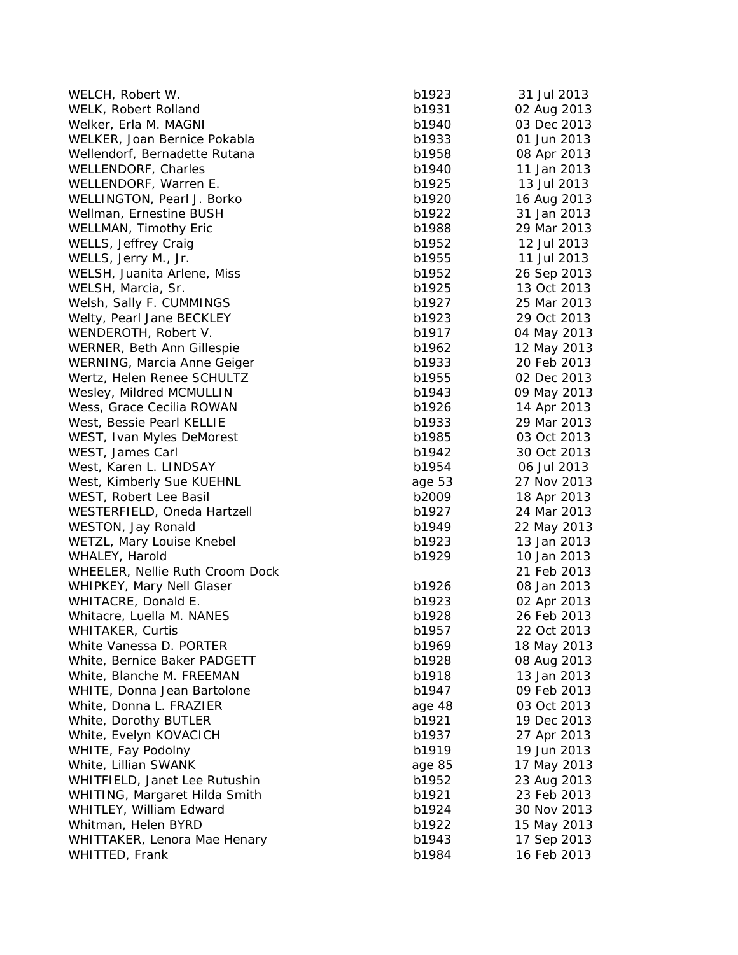| WELCH, Robert W.                | b1923  | 31 Jul 2013 |
|---------------------------------|--------|-------------|
| WELK, Robert Rolland            | b1931  | 02 Aug 2013 |
| Welker, Erla M. MAGNI           | b1940  | 03 Dec 2013 |
| WELKER, Joan Bernice Pokabla    | b1933  | 01 Jun 2013 |
| Wellendorf, Bernadette Rutana   | b1958  | 08 Apr 2013 |
| WELLENDORF, Charles             | b1940  | 11 Jan 2013 |
| WELLENDORF, Warren E.           | b1925  | 13 Jul 2013 |
| WELLINGTON, Pearl J. Borko      | b1920  | 16 Aug 2013 |
| Wellman, Ernestine BUSH         | b1922  | 31 Jan 2013 |
| WELLMAN, Timothy Eric           | b1988  | 29 Mar 2013 |
| WELLS, Jeffrey Craig            | b1952  | 12 Jul 2013 |
| WELLS, Jerry M., Jr.            | b1955  | 11 Jul 2013 |
| WELSH, Juanita Arlene, Miss     | b1952  | 26 Sep 2013 |
| WELSH, Marcia, Sr.              | b1925  | 13 Oct 2013 |
| Welsh, Sally F. CUMMINGS        | b1927  | 25 Mar 2013 |
| Welty, Pearl Jane BECKLEY       | b1923  | 29 Oct 2013 |
| WENDEROTH, Robert V.            | b1917  | 04 May 2013 |
| WERNER, Beth Ann Gillespie      | b1962  | 12 May 2013 |
| WERNING, Marcia Anne Geiger     | b1933  | 20 Feb 2013 |
| Wertz, Helen Renee SCHULTZ      | b1955  | 02 Dec 2013 |
| Wesley, Mildred MCMULLIN        | b1943  | 09 May 2013 |
| Wess, Grace Cecilia ROWAN       | b1926  | 14 Apr 2013 |
| West, Bessie Pearl KELLIE       | b1933  | 29 Mar 2013 |
| WEST, Ivan Myles DeMorest       | b1985  | 03 Oct 2013 |
| WEST, James Carl                | b1942  | 30 Oct 2013 |
| West, Karen L. LINDSAY          | b1954  | 06 Jul 2013 |
| West, Kimberly Sue KUEHNL       | age 53 | 27 Nov 2013 |
| WEST, Robert Lee Basil          | b2009  | 18 Apr 2013 |
| WESTERFIELD, Oneda Hartzell     | b1927  | 24 Mar 2013 |
| WESTON, Jay Ronald              | b1949  | 22 May 2013 |
| WETZL, Mary Louise Knebel       | b1923  | 13 Jan 2013 |
| WHALEY, Harold                  | b1929  | 10 Jan 2013 |
| WHEELER, Nellie Ruth Croom Dock |        | 21 Feb 2013 |
| WHIPKEY, Mary Nell Glaser       | b1926  | 08 Jan 2013 |
| WHITACRE, Donald E.             | b1923  | 02 Apr 2013 |
| Whitacre, Luella M. NANES       | b1928  | 26 Feb 2013 |
| WHITAKER, Curtis                | b1957  | 22 Oct 2013 |
| White Vanessa D. PORTER         | b1969  | 18 May 2013 |
| White, Bernice Baker PADGETT    | b1928  | 08 Aug 2013 |
| White, Blanche M. FREEMAN       | b1918  | 13 Jan 2013 |
| WHITE, Donna Jean Bartolone     | b1947  | 09 Feb 2013 |
| White, Donna L. FRAZIER         | age 48 | 03 Oct 2013 |
| White, Dorothy BUTLER           | b1921  | 19 Dec 2013 |
| White, Evelyn KOVACICH          | b1937  | 27 Apr 2013 |
| WHITE, Fay Podolny              | b1919  | 19 Jun 2013 |
| White, Lillian SWANK            | age 85 | 17 May 2013 |
| WHITFIELD, Janet Lee Rutushin   | b1952  | 23 Aug 2013 |
| WHITING, Margaret Hilda Smith   | b1921  | 23 Feb 2013 |
| WHITLEY, William Edward         | b1924  | 30 Nov 2013 |
| Whitman, Helen BYRD             | b1922  | 15 May 2013 |
| WHITTAKER, Lenora Mae Henary    | b1943  | 17 Sep 2013 |
| WHITTED, Frank                  | b1984  | 16 Feb 2013 |
|                                 |        |             |

| 1923  | 31 Jul 2013 |
|-------|-------------|
| 1931  | 02 Aug 2013 |
| 1940  | 03 Dec 2013 |
| 1933  | 01 Jun 2013 |
| 1958  | 08 Apr 2013 |
| 1940  | 11 Jan 2013 |
| 1925  | 13 Jul 2013 |
| 1920  | 16 Aug 2013 |
| 1922  | 31 Jan 2013 |
| 1988  | 29 Mar 2013 |
| 1952  | 12 Jul 2013 |
| 1955  | 11 Jul 2013 |
| 1952  | 26 Sep 2013 |
| 1925  | 13 Oct 2013 |
| 1927  | 25 Mar 2013 |
| 1923  | 29 Oct 2013 |
| 1917  | 04 May 2013 |
| 1962  |             |
|       | 12 May 2013 |
| 1933  | 20 Feb 2013 |
| 1955  | 02 Dec 2013 |
| 1943  | 09 May 2013 |
| 1926  | 14 Apr 2013 |
| 1933  | 29 Mar 2013 |
| 1985  | 03 Oct 2013 |
| 1942  | 30 Oct 2013 |
| 1954  | 06 Jul 2013 |
| e 53  | 27 Nov 2013 |
| 2009  | 18 Apr 2013 |
| 1927  | 24 Mar 2013 |
| 1949  | 22 May 2013 |
| 1923  | 13 Jan 2013 |
| 1929  | 10 Jan 2013 |
|       | 21 Feb 2013 |
| 1926  | 08 Jan 2013 |
| 1923  | 02 Apr 2013 |
| 1928  | 26 Feb 2013 |
| 1957  | 22 Oct 2013 |
| 1969  | 18 May 2013 |
| 1928  | 08 Aug 2013 |
| 1918  | 13 Jan 2013 |
| 1947  | 09 Feb 2013 |
| le 48 | 03 Oct 2013 |
| 1921  | 19 Dec 2013 |
| 1937  | 27 Apr 2013 |
| 1919  | 19 Jun 2013 |
| le 85 | 17 May 2013 |
| 1952  | 23 Aug 2013 |
| 1921  | 23 Feb 2013 |
| 1924  | 30 Nov 2013 |
| 1922  | 15 May 2013 |
| 1943  | 17 Sep 2013 |
| 1984  | 16 Feb 2013 |
|       |             |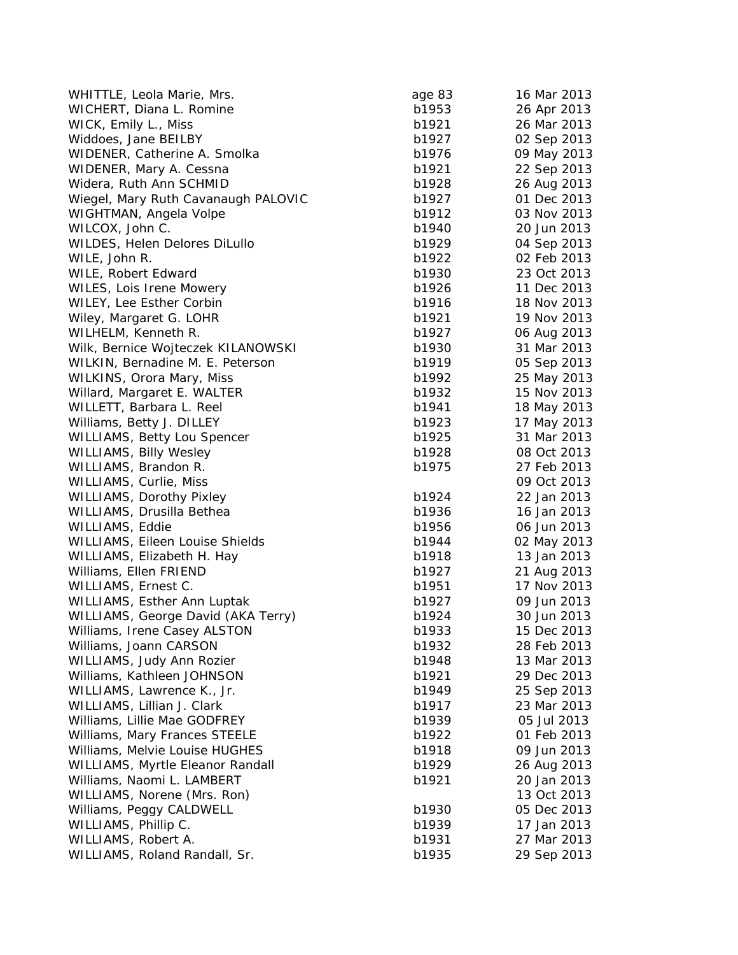| WHITTLE, Leola Marie, Mrs.          | age 83         | 16 Mar 2013                |
|-------------------------------------|----------------|----------------------------|
| WICHERT, Diana L. Romine            | b1953          | 26 Apr 2013                |
| WICK, Emily L., Miss                | b1921          | 26 Mar 2013                |
| Widdoes, Jane BEILBY                | b1927          | 02 Sep 2013                |
| WIDENER, Catherine A. Smolka        | b1976          | 09 May 2013                |
| WIDENER, Mary A. Cessna             | b1921          | 22 Sep 2013                |
| Widera, Ruth Ann SCHMID             | b1928          | 26 Aug 2013                |
| Wiegel, Mary Ruth Cavanaugh PALOVIC | b1927          | 01 Dec 2013                |
| WIGHTMAN, Angela Volpe              | b1912          | 03 Nov 2013                |
| WILCOX, John C.                     | b1940          | 20 Jun 2013                |
| WILDES, Helen Delores DiLullo       | b1929          | 04 Sep 2013                |
| WILE, John R.                       | b1922          | 02 Feb 2013                |
| WILE, Robert Edward                 | b1930          | 23 Oct 2013                |
| WILES, Lois Irene Mowery            | b1926          | 11 Dec 2013                |
| WILEY, Lee Esther Corbin            | b1916          | 18 Nov 2013                |
| Wiley, Margaret G. LOHR             | b1921          | 19 Nov 2013                |
| WILHELM, Kenneth R.                 | b1927          | 06 Aug 2013                |
| Wilk, Bernice Wojteczek KILANOWSKI  | b1930          | 31 Mar 2013                |
| WILKIN, Bernadine M. E. Peterson    | b1919          | 05 Sep 2013                |
| WILKINS, Orora Mary, Miss           | b1992          | 25 May 2013                |
| Willard, Margaret E. WALTER         | b1932          | 15 Nov 2013                |
| WILLETT, Barbara L. Reel            | b1941          | 18 May 2013                |
| Williams, Betty J. DILLEY           | b1923          | 17 May 2013                |
| <b>WILLIAMS, Betty Lou Spencer</b>  | b1925          | 31 Mar 2013                |
| <b>WILLIAMS, Billy Wesley</b>       | b1928          | 08 Oct 2013                |
| WILLIAMS, Brandon R.                | b1975          | 27 Feb 2013                |
| WILLIAMS, Curlie, Miss              |                | 09 Oct 2013                |
| <b>WILLIAMS, Dorothy Pixley</b>     | b1924          | 22 Jan 2013                |
| WILLIAMS, Drusilla Bethea           | b1936          | 16 Jan 2013                |
| WILLIAMS, Eddie                     | b1956          | 06 Jun 2013                |
| WILLIAMS, Eileen Louise Shields     | b1944          | 02 May 2013                |
| WILLIAMS, Elizabeth H. Hay          | b1918          | 13 Jan 2013                |
| Williams, Ellen FRIEND              | b1927          | 21 Aug 2013                |
| WILLIAMS, Ernest C.                 | b1951          | 17 Nov 2013                |
| WILLIAMS, Esther Ann Luptak         | b1927          | 09 Jun 2013                |
| WILLIAMS, George David (AKA Terry)  | b1924          | 30 Jun 2013                |
| Williams, Irene Casey ALSTON        | b1933          | 15 Dec 2013                |
| Williams, Joann CARSON              | b1932          | 28 Feb 2013                |
| WILLIAMS, Judy Ann Rozier           | b1948          | 13 Mar 2013                |
| Williams, Kathleen JOHNSON          | b1921          | 29 Dec 2013                |
| WILLIAMS, Lawrence K., Jr.          | b1949          | 25 Sep 2013                |
| WILLIAMS, Lillian J. Clark          | b1917          | 23 Mar 2013                |
| Williams, Lillie Mae GODFREY        | b1939          | 05 Jul 2013                |
| Williams, Mary Frances STEELE       | b1922          | 01 Feb 2013                |
| Williams, Melvie Louise HUGHES      | b1918          | 09 Jun 2013                |
| WILLIAMS, Myrtle Eleanor Randall    |                | 26 Aug 2013                |
| Williams, Naomi L. LAMBERT          | b1929<br>b1921 | 20 Jan 2013                |
|                                     |                |                            |
| WILLIAMS, Norene (Mrs. Ron)         | b1930          | 13 Oct 2013<br>05 Dec 2013 |
| Williams, Peggy CALDWELL            |                |                            |
| WILLIAMS, Phillip C.                | b1939          | 17 Jan 2013                |
| WILLIAMS, Robert A.                 | b1931          | 27 Mar 2013                |
| WILLIAMS, Roland Randall, Sr.       | b1935          | 29 Sep 2013                |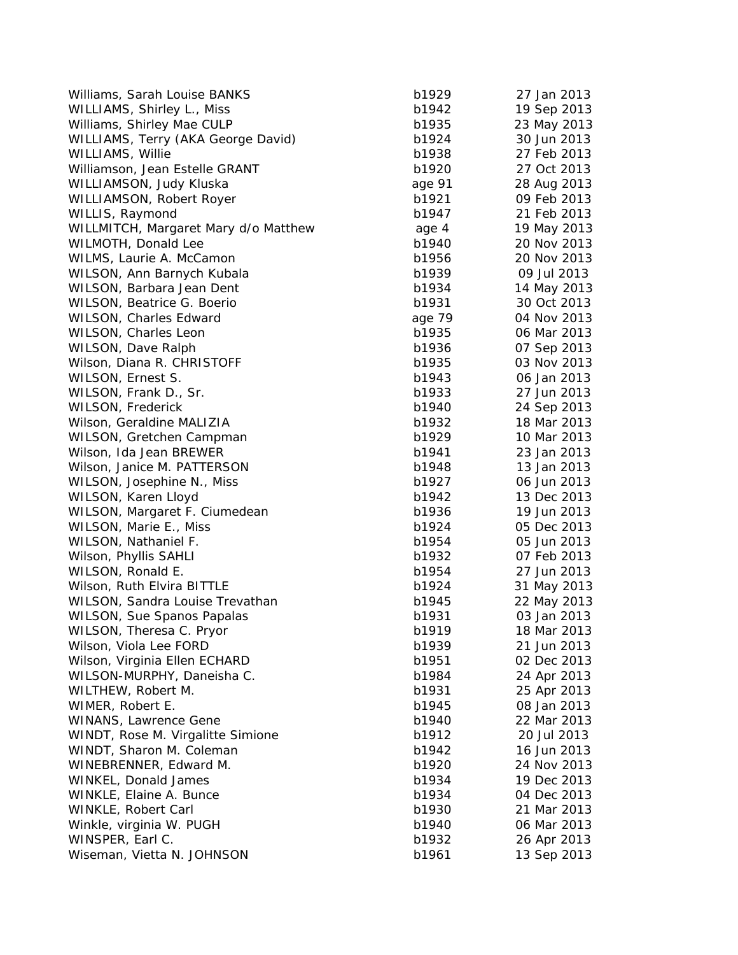| Williams, Sarah Louise BANKS                   | b1929          | 27 Jan 2013 |
|------------------------------------------------|----------------|-------------|
| WILLIAMS, Shirley L., Miss                     | b1942          | 19 Sep 2013 |
| Williams, Shirley Mae CULP                     | b1935          | 23 May 2013 |
| WILLIAMS, Terry (AKA George David)             | b1924          | 30 Jun 2013 |
| WILLIAMS, Willie                               | b1938          | 27 Feb 2013 |
| Williamson, Jean Estelle GRANT                 | b1920          | 27 Oct 2013 |
| WILLIAMSON, Judy Kluska                        | age 91         | 28 Aug 2013 |
| WILLIAMSON, Robert Royer                       | b1921          | 09 Feb 2013 |
| WILLIS, Raymond                                | b1947          | 21 Feb 2013 |
| WILLMITCH, Margaret Mary d/o Matthew           | age 4          | 19 May 2013 |
| WILMOTH, Donald Lee                            | b1940          | 20 Nov 2013 |
| WILMS, Laurie A. McCamon                       | b1956          | 20 Nov 2013 |
| WILSON, Ann Barnych Kubala                     | b1939          | 09 Jul 2013 |
| WILSON, Barbara Jean Dent                      | b1934          | 14 May 2013 |
| WILSON, Beatrice G. Boerio                     | b1931          | 30 Oct 2013 |
| WILSON, Charles Edward                         | age 79         | 04 Nov 2013 |
| WILSON, Charles Leon                           | b1935          | 06 Mar 2013 |
| WILSON, Dave Ralph                             | b1936          | 07 Sep 2013 |
| Wilson, Diana R. CHRISTOFF                     | b1935          | 03 Nov 2013 |
| WILSON, Ernest S.                              | b1943          | 06 Jan 2013 |
| WILSON, Frank D., Sr.                          | b1933          | 27 Jun 2013 |
| WILSON, Frederick                              | b1940          | 24 Sep 2013 |
| Wilson, Geraldine MALIZIA                      | b1932          | 18 Mar 2013 |
| WILSON, Gretchen Campman                       | b1929          | 10 Mar 2013 |
| Wilson, Ida Jean BREWER                        | b1941          | 23 Jan 2013 |
| Wilson, Janice M. PATTERSON                    | b1948          | 13 Jan 2013 |
| WILSON, Josephine N., Miss                     | b1927          | 06 Jun 2013 |
| WILSON, Karen Lloyd                            | b1942          | 13 Dec 2013 |
| WILSON, Margaret F. Ciumedean                  | b1936          | 19 Jun 2013 |
| WILSON, Marie E., Miss                         | b1924          | 05 Dec 2013 |
| WILSON, Nathaniel F.                           | b1954          | 05 Jun 2013 |
| Wilson, Phyllis SAHLI                          | b1932          | 07 Feb 2013 |
| WILSON, Ronald E.                              | b1954          | 27 Jun 2013 |
| Wilson, Ruth Elvira BITTLE                     | b1924          | 31 May 2013 |
| WILSON, Sandra Louise Trevathan                | b1945          | 22 May 2013 |
| <b>WILSON, Sue Spanos Papalas</b>              | b1931          | 03 Jan 2013 |
| WILSON, Theresa C. Pryor                       | b1919          | 18 Mar 2013 |
| Wilson, Viola Lee FORD                         | b1939          | 21 Jun 2013 |
| Wilson, Virginia Ellen ECHARD                  | b1951          | 02 Dec 2013 |
| WILSON-MURPHY, Daneisha C.                     | b1984          | 24 Apr 2013 |
| WILTHEW, Robert M.                             | b1931          | 25 Apr 2013 |
| WIMER, Robert E.                               | b1945          | 08 Jan 2013 |
| <b>WINANS, Lawrence Gene</b>                   | b1940          | 22 Mar 2013 |
| WINDT, Rose M. Virgalitte Simione              | b1912          | 20 Jul 2013 |
| WINDT, Sharon M. Coleman                       | b1942          | 16 Jun 2013 |
| WINEBRENNER, Edward M.                         | b1920          | 24 Nov 2013 |
| WINKEL, Donald James                           | b1934          | 19 Dec 2013 |
|                                                |                |             |
| WINKLE, Elaine A. Bunce<br>WINKLE, Robert Carl | b1934          | 04 Dec 2013 |
|                                                | b1930          | 21 Mar 2013 |
| Winkle, virginia W. PUGH<br>WINSPER, Earl C.   | b1940<br>b1932 | 06 Mar 2013 |
|                                                |                | 26 Apr 2013 |
| Wiseman, Vietta N. JOHNSON                     | b1961          | 13 Sep 2013 |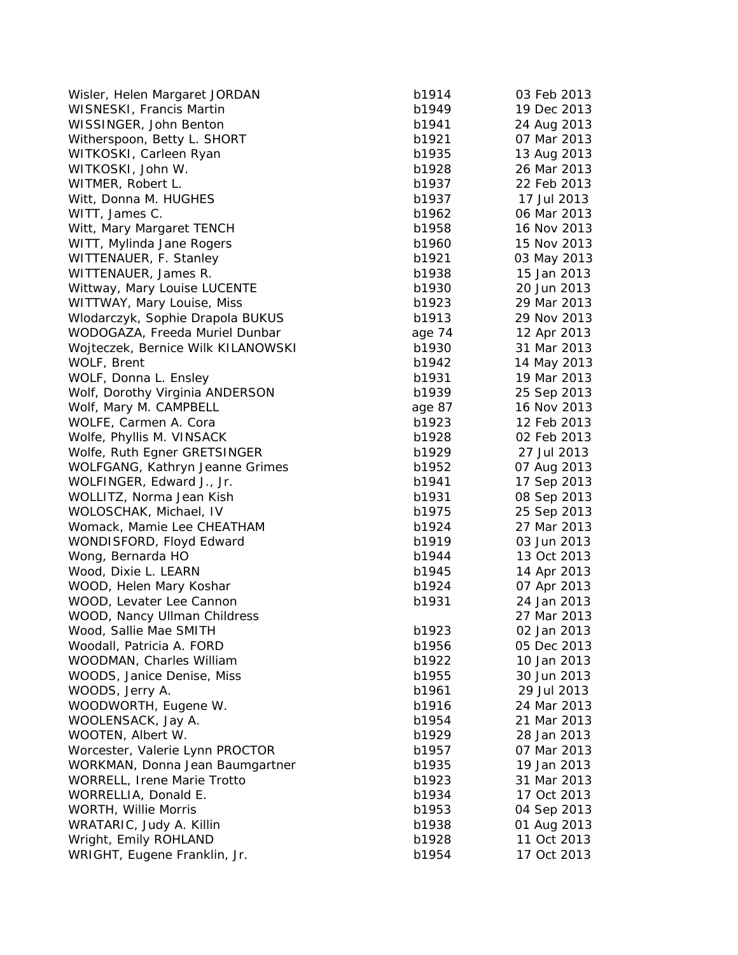Wisler, Helen Margaret JORDAN b19 WISNESKI, Francis Martin b19 WISSINGER, John Benton b1941 24 Aug 2014 Witherspoon, Betty L. SHORT b19 WITKOSKI, Carleen Ryan b1935 13 Aug 2014 WITKOSKI, John W. b19 WITMER, Robert L. b1937 22 Feb 2014 Witt, Donna M. HUGHES b19 WITT, James C. b1962 06 March 2014 Witt, Mary Margaret TENCH b19 WITT, Mylinda Jane Rogers b19 WITTENAUER, F. Stanley b19 WITTENAUER, James R. b1938 15 Jan 2014 Wittway, Mary Louise LUCENTE b1930 b19 WITTWAY, Mary Louise, Miss b19 Wlodarczyk, Sophie Drapola BUKUS b19 WODOGAZA, Freeda Muriel Dunbar age 74 12 12 12 13 14 12 12 13 14 12 13 14 13 14 13 14 14 13 14 14 14 14 14 15 1 Woiteczek, Bernice Wilk KILANOWSKI b19 WOLF, Brent b1942 14 May 2014 WOLF, Donna L. Ensley b1931 19 March 2019 Wolf, Dorothy Virginia ANDERSON b19 Wolf, Mary M. CAMPBELL and age 87 16 Nov 2014 WOLFE, Carmen A. Cora b19 Wolfe, Phyllis M. VINSACK b19 Wolfe, Ruth Egner GRETSINGER b19 WOLFGANG, Kathryn Jeanne Grimes b19 WOLFINGER, Edward J., Jr. b1941 17 September 2014 17 September 2014 17 September 2014 17 September 2014 17 Sep 2014 17 Sep 2014 17 Sep 2014 17 Sep 2014 17 Sep 2014 17 Sep 2014 17 Sep 2014 17 Sep 2014 17 Sep 2014 17 Sep 201 WOLLITZ, Norma Jean Kish b1931 08 Sep 2014 WOLOSCHAK, Michael, IV b19 Womack, Mamie Lee CHEATHAM b19 WONDISFORD, Floyd Edward b19 Wong, Bernarda HO b1944 13 Oct 2014 13 Oct 2014 13 Oct 2014 13 Oct 2014 13 Oct 2014 13 Oct 2014 13 Oct 2014 13 Oct 2014 13 Oct 2014 13 Oct 2014 13 Oct 2014 13 Oct 2014 13 Oct 2014 13 Oct 2014 13 Oct 2014 13 Oct 2014 13 Oct Wood, Dixie L. LEARN b19 WOOD, Helen Mary Koshar b1924 07 Apr 2014 07 Apr 2014 07 Apr 2014 07 Apr 2014 07 Apr 2014 07 Apr 2014 07 Apr 20 WOOD, Levater Lee Cannon b1931 24 Jan 2014 WOOD, Nancy Ullman Childress Wood, Sallie Mae SMITH b19 Woodall, Patricia A. FORD b1956 b1956 b1956 b1956 b1956 b1956 b1956 b1956 b1956 b1956 b1956 b1956 b19 WOODMAN, Charles William b19 WOODS, Janice Denise, Miss both and the base of the base base WOODS, Jerry A. b19 WOODWORTH, Eugene W. b19 WOOLENSACK, Jay A. b1954 21 March 2014 WOOTEN, Albert W. b19 Worcester, Valerie Lynn PROCTOR b19 WORKMAN, Donna Jean Baumgartner b19 WORRELL, Irene Marie Trotto b19 WORRELLIA, Donald E. b1934 17 Oct 2014 WORTH, Willie Morris b19 WRATARIC, Judy A. Killin b1938 019 Wright, Emily ROHLAND b19 WRIGHT, Eugene Franklin, Jr. b1954 17 Oct 2014

| 914  | 03 Feb 2013 |
|------|-------------|
| 949  | 19 Dec 2013 |
| 941  | 24 Aug 2013 |
| 921  | 07 Mar 2013 |
| 935  | 13 Aug 2013 |
| 928  | 26 Mar 2013 |
|      | 22 Feb 2013 |
| 937  |             |
| 937  | 17 Jul 2013 |
| 962  | 06 Mar 2013 |
| 958  | 16 Nov 2013 |
| 960  | 15 Nov 2013 |
| 921  | 03 May 2013 |
| 938  | 15 Jan 2013 |
| 930  | 20 Jun 2013 |
| 923  | 29 Mar 2013 |
| 913  | 29 Nov 2013 |
| 74 ؛ | 12 Apr 2013 |
| 930  | 31 Mar 2013 |
| 942  | 14 May 2013 |
|      |             |
| 931  | 19 Mar 2013 |
| 939  | 25 Sep 2013 |
| .87  | 16 Nov 2013 |
| 923  | 12 Feb 2013 |
| 928  | 02 Feb 2013 |
| 929  | 27 Jul 2013 |
| 952  | 07 Aug 2013 |
| 941  | 17 Sep 2013 |
| 931  | 08 Sep 2013 |
| 975  | 25 Sep 2013 |
| 924  | 27 Mar 2013 |
| 919  | 03 Jun 2013 |
| 944  | 13 Oct 2013 |
| 945  | 14 Apr 2013 |
|      |             |
| 924  | 07 Apr 2013 |
| 931  | 24 Jan 2013 |
|      | 27 Mar 2013 |
| 923  | 02 Jan 2013 |
| 956  | 05 Dec 2013 |
| 922  | 10 Jan 2013 |
| 955  | 30 Jun 2013 |
| 961  | 29 Jul 2013 |
| 916  | 24 Mar 2013 |
| 954  | 21 Mar 2013 |
| 929  | 28 Jan 2013 |
| 957  | 07 Mar 2013 |
| 935  | 19 Jan 2013 |
| 923  | 31 Mar 2013 |
| 934  | 17 Oct 2013 |
|      | 04 Sep 2013 |
| 953  |             |
| 938  | 01 Aug 2013 |
| 928  | 11 Oct 2013 |
| 954  | 17 Oct 2013 |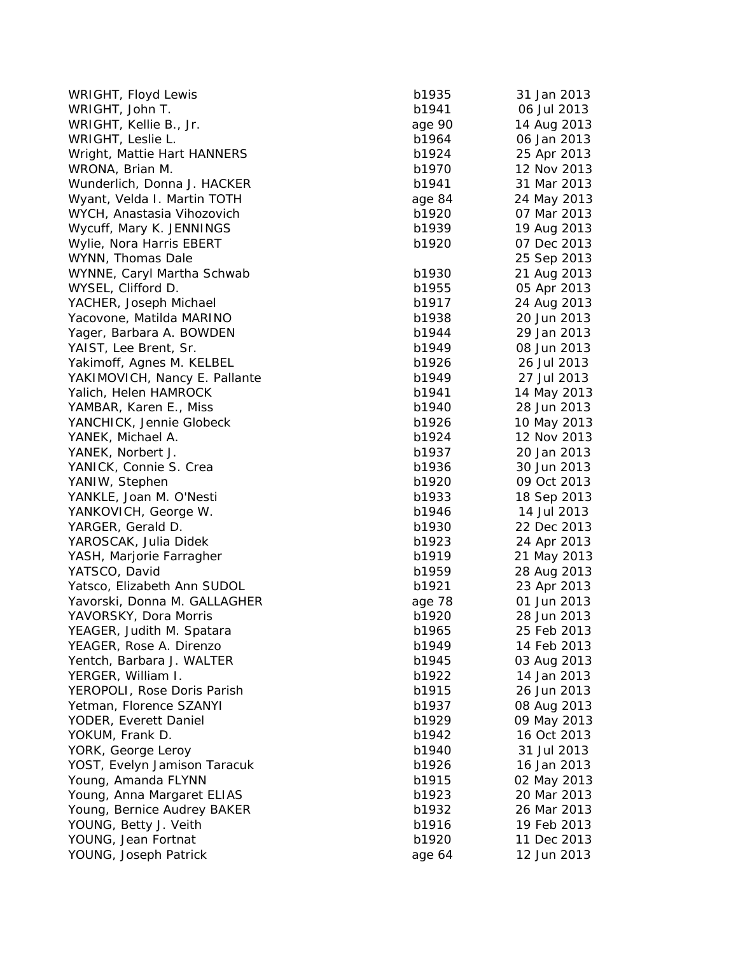| b1935  | 31 Jan 2013                       |
|--------|-----------------------------------|
| b1941  | 06 Jul 2013                       |
| age 90 | 14 Aug 2013                       |
| b1964  | 06 Jan 2013                       |
| b1924  | 25 Apr 2013                       |
| b1970  | 12 Nov 2013                       |
| b1941  | 31 Mar 2013                       |
| age 84 | 24 May 2013                       |
| b1920  | 07 Mar 2013                       |
| b1939  | 19 Aug 2013                       |
| b1920  | 07 Dec 2013                       |
|        | 25 Sep 2013                       |
| b1930  | 21 Aug 2013                       |
| b1955  | 05 Apr 2013                       |
| b1917  | 24 Aug 2013                       |
| b1938  | 20 Jun 2013                       |
| b1944  | 29 Jan 2013                       |
| b1949  | 08 Jun 2013                       |
| b1926  | 26 Jul 2013                       |
| b1949  | 27 Jul 2013                       |
| b1941  | 14 May 2013                       |
| b1940  | 28 Jun 2013                       |
| b1926  | 10 May 2013                       |
| b1924  | 12 Nov 2013                       |
|        | 20 Jan 2013                       |
|        | 30 Jun 2013                       |
|        | 09 Oct 2013                       |
| b1933  | 18 Sep 2013                       |
| b1946  | 14 Jul 2013                       |
| b1930  | 22 Dec 2013                       |
| b1923  | 24 Apr 2013                       |
| b1919  | 21 May 2013                       |
| b1959  | 28 Aug 2013                       |
| b1921  | 23 Apr 2013                       |
|        | 01 Jun 2013                       |
| b1920  | 28 Jun 2013                       |
| b1965  | 25 Feb 2013                       |
| b1949  | 14 Feb 2013                       |
| b1945  | 03 Aug 2013                       |
| b1922  | 14 Jan 2013                       |
| b1915  | 26 Jun 2013                       |
| b1937  | 08 Aug 2013                       |
| b1929  | 09 May 2013                       |
| b1942  | 16 Oct 2013                       |
| b1940  | 31 Jul 2013                       |
| b1926  | 16 Jan 2013                       |
| b1915  | 02 May 2013                       |
| b1923  | 20 Mar 2013                       |
| b1932  | 26 Mar 2013                       |
| b1916  | 19 Feb 2013                       |
| b1920  | 11 Dec 2013                       |
| age 64 | 12 Jun 2013                       |
|        | b1937<br>b1936<br>b1920<br>age 78 |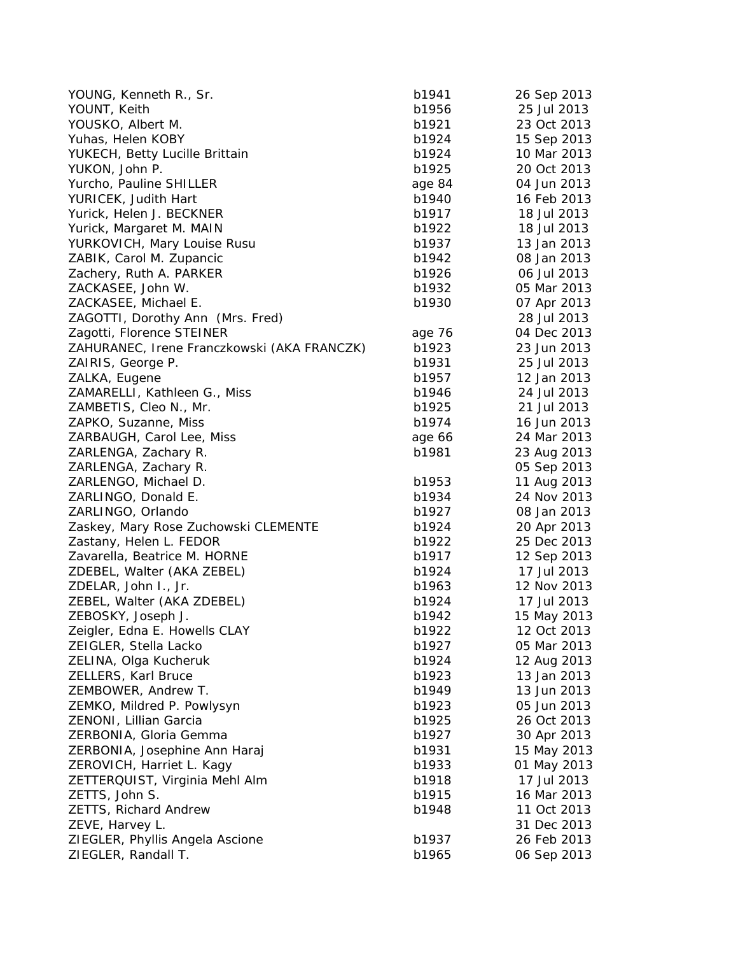| YOUNG, Kenneth R., Sr.                      | b1941  | 26 Sep 2013 |
|---------------------------------------------|--------|-------------|
| YOUNT, Keith                                | b1956  | 25 Jul 2013 |
| YOUSKO, Albert M.                           | b1921  | 23 Oct 2013 |
| Yuhas, Helen KOBY                           | b1924  | 15 Sep 2013 |
| YUKECH, Betty Lucille Brittain              | b1924  | 10 Mar 2013 |
| YUKON, John P.                              | b1925  | 20 Oct 2013 |
| Yurcho, Pauline SHILLER                     | age 84 | 04 Jun 2013 |
| YURICEK, Judith Hart                        | b1940  | 16 Feb 2013 |
| Yurick, Helen J. BECKNER                    | b1917  | 18 Jul 2013 |
| Yurick, Margaret M. MAIN                    | b1922  | 18 Jul 2013 |
| YURKOVICH, Mary Louise Rusu                 | b1937  | 13 Jan 2013 |
| ZABIK, Carol M. Zupancic                    | b1942  | 08 Jan 2013 |
| Zachery, Ruth A. PARKER                     | b1926  | 06 Jul 2013 |
| ZACKASEE, John W.                           | b1932  | 05 Mar 2013 |
| ZACKASEE, Michael E.                        | b1930  | 07 Apr 2013 |
| ZAGOTTI, Dorothy Ann (Mrs. Fred)            |        | 28 Jul 2013 |
| Zagotti, Florence STEINER                   | age 76 | 04 Dec 2013 |
| ZAHURANEC, Irene Franczkowski (AKA FRANCZK) | b1923  | 23 Jun 2013 |
| ZAIRIS, George P.                           | b1931  | 25 Jul 2013 |
| ZALKA, Eugene                               | b1957  | 12 Jan 2013 |
| ZAMARELLI, Kathleen G., Miss                | b1946  | 24 Jul 2013 |
| ZAMBETIS, Cleo N., Mr.                      | b1925  | 21 Jul 2013 |
| ZAPKO, Suzanne, Miss                        | b1974  | 16 Jun 2013 |
| ZARBAUGH, Carol Lee, Miss                   | age 66 | 24 Mar 2013 |
| ZARLENGA, Zachary R.                        | b1981  | 23 Aug 2013 |
| ZARLENGA, Zachary R.                        |        | 05 Sep 2013 |
| ZARLENGO, Michael D.                        | b1953  | 11 Aug 2013 |
| ZARLINGO, Donald E.                         | b1934  | 24 Nov 2013 |
| ZARLINGO, Orlando                           | b1927  | 08 Jan 2013 |
| Zaskey, Mary Rose Zuchowski CLEMENTE        | b1924  | 20 Apr 2013 |
| Zastany, Helen L. FEDOR                     | b1922  | 25 Dec 2013 |
| Zavarella, Beatrice M. HORNE                | b1917  | 12 Sep 2013 |
| ZDEBEL, Walter (AKA ZEBEL)                  | b1924  | 17 Jul 2013 |
| ZDELAR, John I., Jr.                        | b1963  | 12 Nov 2013 |
| ZEBEL, Walter (AKA ZDEBEL)                  | b1924  | 17 Jul 2013 |
| ZEBOSKY, Joseph J.                          | b1942  | 15 May 2013 |
| Zeigler, Edna E. Howells CLAY               | b1922  | 12 Oct 2013 |
| ZEIGLER, Stella Lacko                       | b1927  | 05 Mar 2013 |
| ZELINA, Olga Kucheruk                       | b1924  | 12 Aug 2013 |
| ZELLERS, Karl Bruce                         | b1923  | 13 Jan 2013 |
| ZEMBOWER, Andrew T.                         | b1949  | 13 Jun 2013 |
| ZEMKO, Mildred P. Powlysyn                  | b1923  | 05 Jun 2013 |
| ZENONI, Lillian Garcia                      | b1925  | 26 Oct 2013 |
| ZERBONIA, Gloria Gemma                      | b1927  | 30 Apr 2013 |
| ZERBONIA, Josephine Ann Haraj               | b1931  | 15 May 2013 |
| ZEROVICH, Harriet L. Kagy                   | b1933  | 01 May 2013 |
| ZETTERQUIST, Virginia Mehl Alm              | b1918  | 17 Jul 2013 |
| ZETTS, John S.                              | b1915  | 16 Mar 2013 |
| <b>ZETTS, Richard Andrew</b>                | b1948  | 11 Oct 2013 |
| ZEVE, Harvey L.                             |        | 31 Dec 2013 |
| ZIEGLER, Phyllis Angela Ascione             | b1937  | 26 Feb 2013 |
| ZIEGLER, Randall T.                         | b1965  | 06 Sep 2013 |
|                                             |        |             |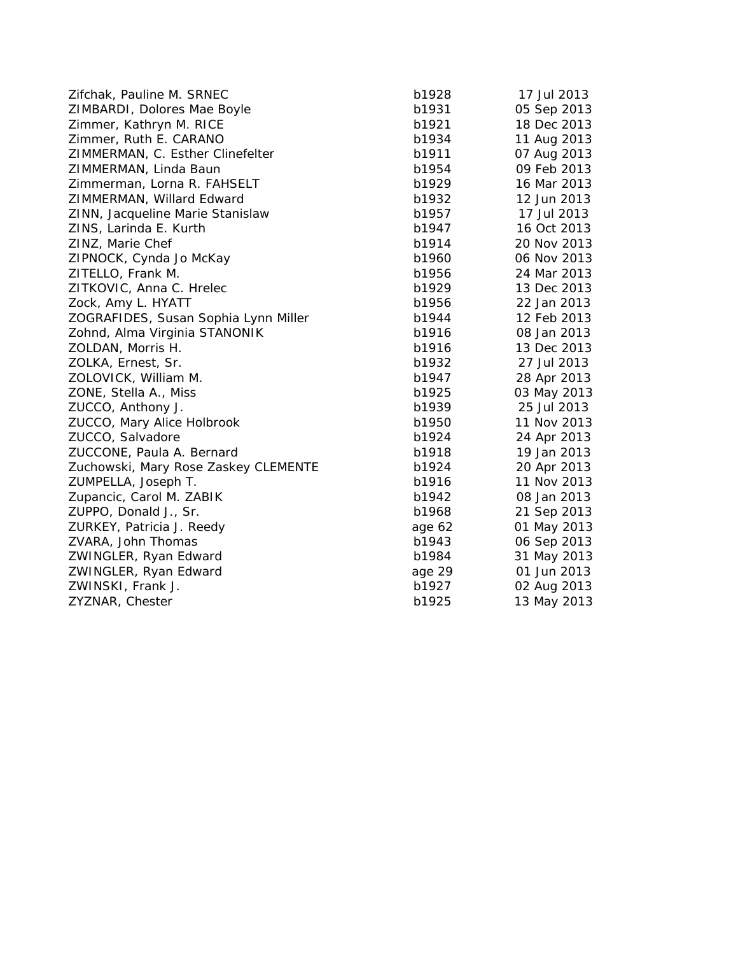| Zifchak, Pauline M. SRNEC            | b1928  | 17 Jul 2013 |
|--------------------------------------|--------|-------------|
| ZIMBARDI, Dolores Mae Boyle          | b1931  | 05 Sep 2013 |
| Zimmer, Kathryn M. RICE              | b1921  | 18 Dec 2013 |
| Zimmer, Ruth E. CARANO               | b1934  | 11 Aug 2013 |
| ZIMMERMAN, C. Esther Clinefelter     | b1911  | 07 Aug 2013 |
| ZIMMERMAN, Linda Baun                | b1954  | 09 Feb 2013 |
| Zimmerman, Lorna R. FAHSELT          | b1929  | 16 Mar 2013 |
| ZIMMERMAN, Willard Edward            | b1932  | 12 Jun 2013 |
| ZINN, Jacqueline Marie Stanislaw     | b1957  | 17 Jul 2013 |
| ZINS, Larinda E. Kurth               | b1947  | 16 Oct 2013 |
| ZINZ, Marie Chef                     | b1914  | 20 Nov 2013 |
| ZIPNOCK, Cynda Jo McKay              | b1960  | 06 Nov 2013 |
| ZITELLO, Frank M.                    | b1956  | 24 Mar 2013 |
| ZITKOVIC, Anna C. Hrelec             | b1929  | 13 Dec 2013 |
| Zock, Amy L. HYATT                   | b1956  | 22 Jan 2013 |
| ZOGRAFIDES, Susan Sophia Lynn Miller | b1944  | 12 Feb 2013 |
| Zohnd, Alma Virginia STANONIK        | b1916  | 08 Jan 2013 |
| ZOLDAN, Morris H.                    | b1916  | 13 Dec 2013 |
| ZOLKA, Ernest, Sr.                   | b1932  | 27 Jul 2013 |
| ZOLOVICK, William M.                 | b1947  | 28 Apr 2013 |
| ZONE, Stella A., Miss                | b1925  | 03 May 2013 |
| ZUCCO, Anthony J.                    | b1939  | 25 Jul 2013 |
| ZUCCO, Mary Alice Holbrook           | b1950  | 11 Nov 2013 |
| ZUCCO, Salvadore                     | b1924  | 24 Apr 2013 |
| ZUCCONE, Paula A. Bernard            | b1918  | 19 Jan 2013 |
| Zuchowski, Mary Rose Zaskey CLEMENTE | b1924  | 20 Apr 2013 |
| ZUMPELLA, Joseph T.                  | b1916  | 11 Nov 2013 |
| Zupancic, Carol M. ZABIK             | b1942  | 08 Jan 2013 |
| ZUPPO, Donald J., Sr.                | b1968  | 21 Sep 2013 |
| ZURKEY, Patricia J. Reedy            | age 62 | 01 May 2013 |
| ZVARA, John Thomas                   | b1943  | 06 Sep 2013 |
| ZWINGLER, Ryan Edward                | b1984  | 31 May 2013 |
| ZWINGLER, Ryan Edward                | age 29 | 01 Jun 2013 |
| ZWINSKI, Frank J.                    | b1927  | 02 Aug 2013 |
| ZYZNAR, Chester                      | b1925  | 13 May 2013 |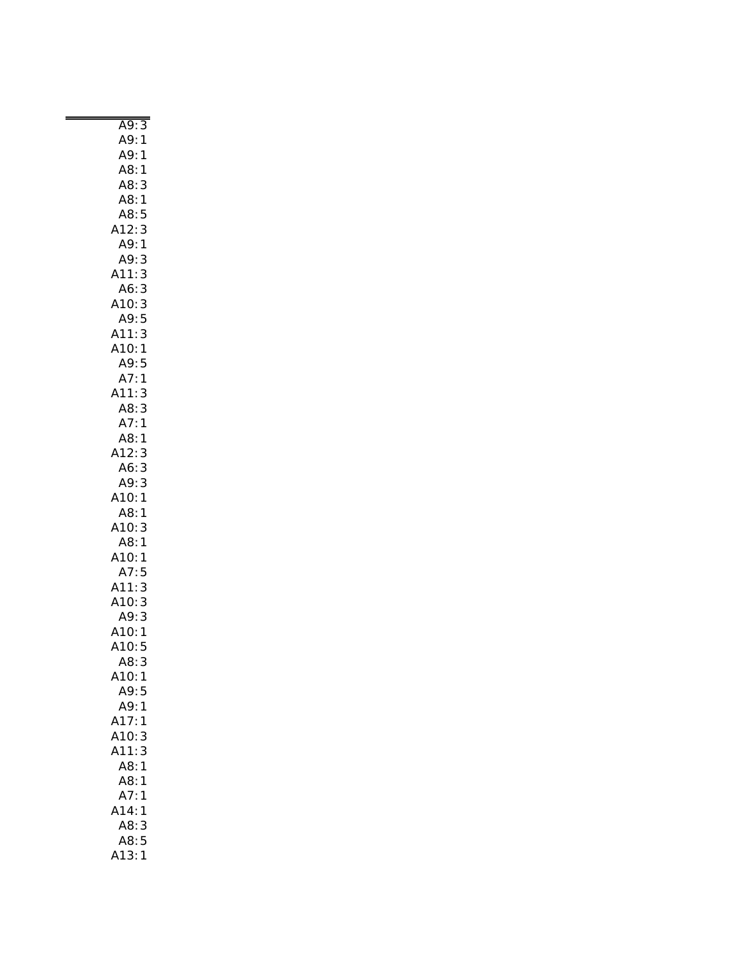| A9:3<br>A9:1<br>A9:1                                              |
|-------------------------------------------------------------------|
| A8:<br>$\mathbf{1}$                                               |
| Ao<br>A8:3<br>A8:5<br>A12:3                                       |
|                                                                   |
|                                                                   |
|                                                                   |
|                                                                   |
|                                                                   |
| A9:1<br>A9:3                                                      |
| A11:3                                                             |
| A6:3                                                              |
| A10:                                                              |
| .10:3<br>.10:3<br>.49:5<br>.11:3                                  |
|                                                                   |
|                                                                   |
|                                                                   |
| A11:3<br>A11:3<br>A10:1<br>A9:5<br>A7:1<br>A11:3                  |
| $\begin{array}{c} 1 \\ 3 \end{array}$                             |
|                                                                   |
| A8:                                                               |
|                                                                   |
| A8:3<br>A7:1<br>A8:1<br>A12:3                                     |
|                                                                   |
|                                                                   |
| A6:<br>$\mathbf{3}$                                               |
| A9:3                                                              |
| A10:1                                                             |
| A8:1                                                              |
| 3<br>A10:                                                         |
| A8:1                                                              |
|                                                                   |
|                                                                   |
|                                                                   |
|                                                                   |
|                                                                   |
|                                                                   |
| A3.1<br>A10:1<br>A7:5<br>A11:3<br>A10:3<br>A9:3<br>A10:1<br>A10:5 |
|                                                                   |
| A8:<br>3                                                          |
| A10:<br>1                                                         |
| A9:                                                               |
| 5                                                                 |
| A9:<br>1                                                          |
| A17:<br>1                                                         |
| 3<br>A10:                                                         |
| 3<br>A11:                                                         |
| A8:<br>1                                                          |
| A8:<br>1                                                          |
| A7:<br>1                                                          |
|                                                                   |
| A14:<br>1                                                         |
| A8:<br>3                                                          |
| A8:<br>5                                                          |
| A13:<br>1                                                         |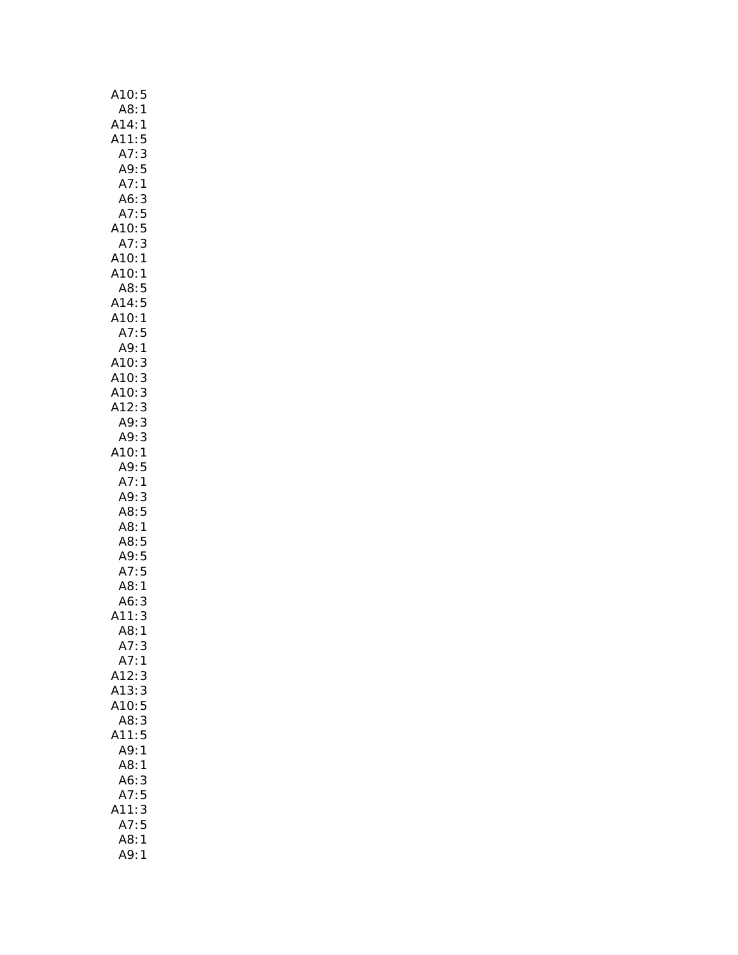| A10:<br>5                          |
|------------------------------------|
| A8:1                               |
| A14:<br>1                          |
| A11:<br>5                          |
| 3<br>A7:                           |
| A9:<br>5                           |
| A7:1                               |
| A6:<br>3                           |
| A7:<br>5                           |
| 5<br>A10:                          |
| 3<br>A7:                           |
| A10:1                              |
| A10:<br>1                          |
| A8:5                               |
| A14:5<br>A10:1<br>$\frac{5}{2}$    |
|                                    |
| A7:<br>5                           |
| A9:1                               |
| A10:<br>A10:<br>3                  |
| 3                                  |
| A10: 3<br>A12: 3                   |
|                                    |
| A9:3                               |
| 3<br>A9:                           |
| A10:1                              |
| A9:5                               |
| A7:<br>$\mathbf{1}$<br>3           |
| A9:<br>A8:<br>5                    |
| A8:<br>1                           |
| A8:5                               |
|                                    |
| .<br>A9: 5<br>A7: 5                |
| A8:<br>$\mathbf{1}$                |
| A6:<br>3                           |
| A11:<br>3                          |
| 1<br>A8:                           |
| A7:<br>3                           |
| A7:<br>1                           |
| A12:<br>3                          |
| A13:<br>3                          |
| A10:5                              |
| A8:<br>3                           |
| A11:5                              |
| A9:<br>$\mathbf{1}$                |
|                                    |
| A8:<br>1                           |
|                                    |
| A6:<br>3<br>5                      |
| A7:<br>A11:                        |
| $\frac{1}{3}$                      |
| A7:5<br>A8:<br>$\mathbf{1}$<br>A9: |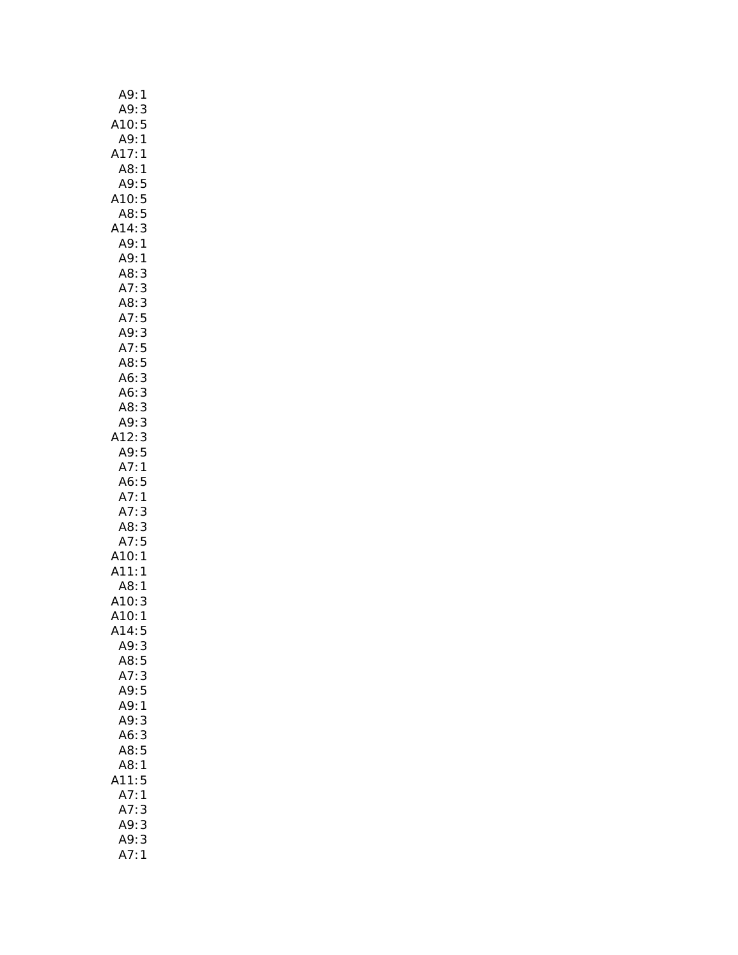| A9:<br>$\mathbf{1}$   |
|-----------------------|
| A9:<br>$\mathsf{3}$   |
| 10:<br>5              |
| A9:<br>1              |
| A17:1                 |
| A8:1                  |
| A9:<br>5              |
| A10:5                 |
| A8:5                  |
| A14:3                 |
| A9:1                  |
| A9:1                  |
| A8:<br>3              |
| A7:<br>3              |
| A8:<br>3              |
| A7:5                  |
| 3<br>A9:              |
|                       |
| A7:5<br>A8:5          |
| A6:<br>3              |
| A6:3                  |
| A8:3                  |
| A9:3                  |
| .12:3                 |
| A9:5                  |
| A7:1                  |
| A6:5                  |
| A7:1                  |
| A7:3                  |
| A8:3                  |
| A7:5                  |
| A10:1                 |
| A11:1                 |
| A8:1                  |
| A10: 3<br>A10: 1<br>3 |
|                       |
| A14:5                 |
| A9:<br>3              |
| 5<br>A8:<br>A7:       |
| 3<br>A9:5             |
| A9:<br>$\mathbf{1}$   |
| A9:3                  |
| 3<br>A6:              |
| A8:5                  |
| A8:1                  |
| A11:5                 |
| A7:1                  |
| A7:<br>3              |
| 3<br>A9:              |
| 3<br>A9:              |
| A7:<br>1              |
|                       |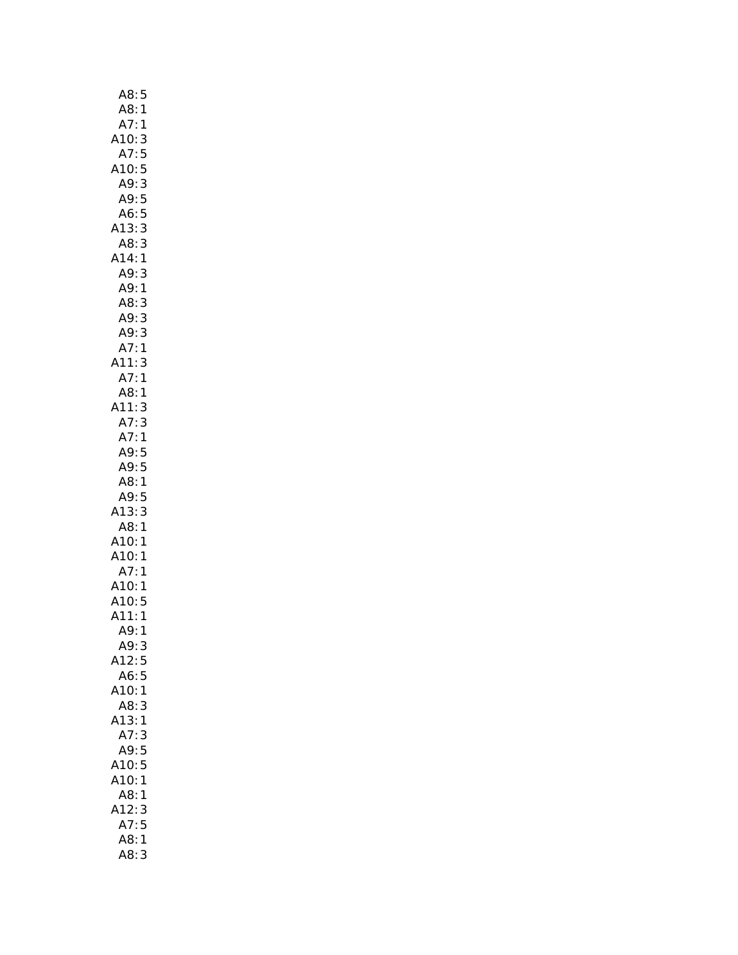| A8:<br>5                   |
|----------------------------|
| A8:<br>1                   |
| A7:1                       |
| A10:<br>3                  |
| A7:<br>5                   |
| A10:<br>5                  |
| A9:                        |
| A9: 3<br>A9: 5             |
| A6:5                       |
|                            |
| 3<br>A13:                  |
| 3<br>A8:                   |
| A14:1                      |
| A9:<br>3                   |
| A9:1                       |
| A8:<br>3                   |
| A9:3                       |
|                            |
| .<br>A9: 3<br>A7: 1<br>A7: |
| A11:<br>3                  |
| A7:1                       |
| A8:1                       |
| 3                          |
| A11:                       |
| A7:<br>3                   |
| A7:1                       |
| A9:5                       |
|                            |
| A9:5                       |
| A8:1                       |
| A9:5                       |
| A13:<br>3                  |
| A8:1                       |
|                            |
| A10:1                      |
| A10:1                      |
| A7:1                       |
| A10:1                      |
| A10:5                      |
| A11:1                      |
| A9:<br>1                   |
| A9:3                       |
| 5<br>A12:                  |
| 5<br>A6:                   |
| A10:<br>$\mathbf{1}$       |
| A8:<br>3                   |
| A13:1                      |
| 3<br>A7:                   |
|                            |
| A9:5<br>A10:5              |
|                            |
| A10:1                      |
| A8:<br>1                   |
| A12:<br>3                  |
| A7:5                       |
| A8:<br>1<br>A8:3           |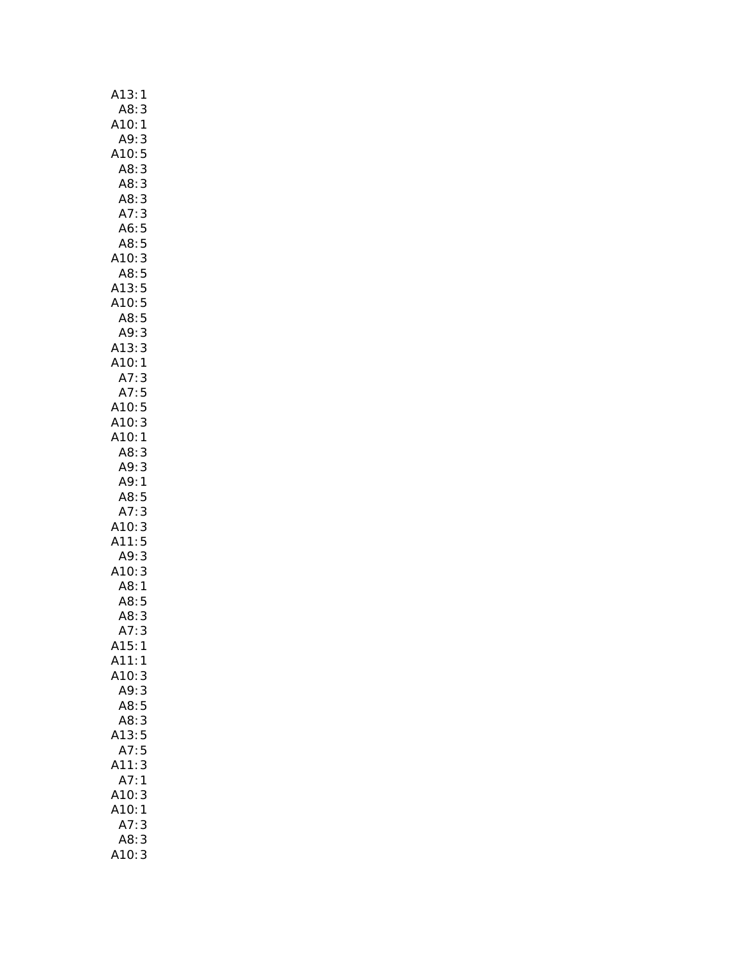| A13:1                                                                                                                   |
|-------------------------------------------------------------------------------------------------------------------------|
| A8:<br>3                                                                                                                |
|                                                                                                                         |
| A10:1<br>A9:3                                                                                                           |
|                                                                                                                         |
|                                                                                                                         |
|                                                                                                                         |
|                                                                                                                         |
|                                                                                                                         |
|                                                                                                                         |
|                                                                                                                         |
|                                                                                                                         |
|                                                                                                                         |
|                                                                                                                         |
|                                                                                                                         |
|                                                                                                                         |
| A9: 3<br>A10: 5<br>A8: 3<br>A8: 3<br>A8: 3<br>A7: 3<br>A6: 5<br>A8: 5<br>A13: 5<br>A13: 3<br>A13: 3<br>A13: 3<br>A13: 3 |
|                                                                                                                         |
| A10:1                                                                                                                   |
|                                                                                                                         |
|                                                                                                                         |
|                                                                                                                         |
| A7: 3<br>A7: 5<br>A7: 5<br>A10: 5<br>A10: 1                                                                             |
|                                                                                                                         |
|                                                                                                                         |
|                                                                                                                         |
|                                                                                                                         |
|                                                                                                                         |
| A7: 3<br>A10: 3<br>A11: 5<br>A9: 3<br>A3: 1<br>A8: 5<br>A8: 3<br>A7: 3                                                  |
|                                                                                                                         |
|                                                                                                                         |
|                                                                                                                         |
|                                                                                                                         |
|                                                                                                                         |
|                                                                                                                         |
|                                                                                                                         |
| A15:<br>1                                                                                                               |
| A11:<br>1                                                                                                               |
| A10:<br>3                                                                                                               |
| A9:<br>3                                                                                                                |
| 5<br>A8:                                                                                                                |
| A8:<br>3                                                                                                                |
| A13:<br>5                                                                                                               |
| A7:<br>5                                                                                                                |
| 3<br>A11:<br>:A7                                                                                                        |
|                                                                                                                         |
| 1                                                                                                                       |
|                                                                                                                         |
| 3<br>1                                                                                                                  |
| A10:<br>A10:<br>3<br>A7:                                                                                                |
| 3<br>A8:<br>3                                                                                                           |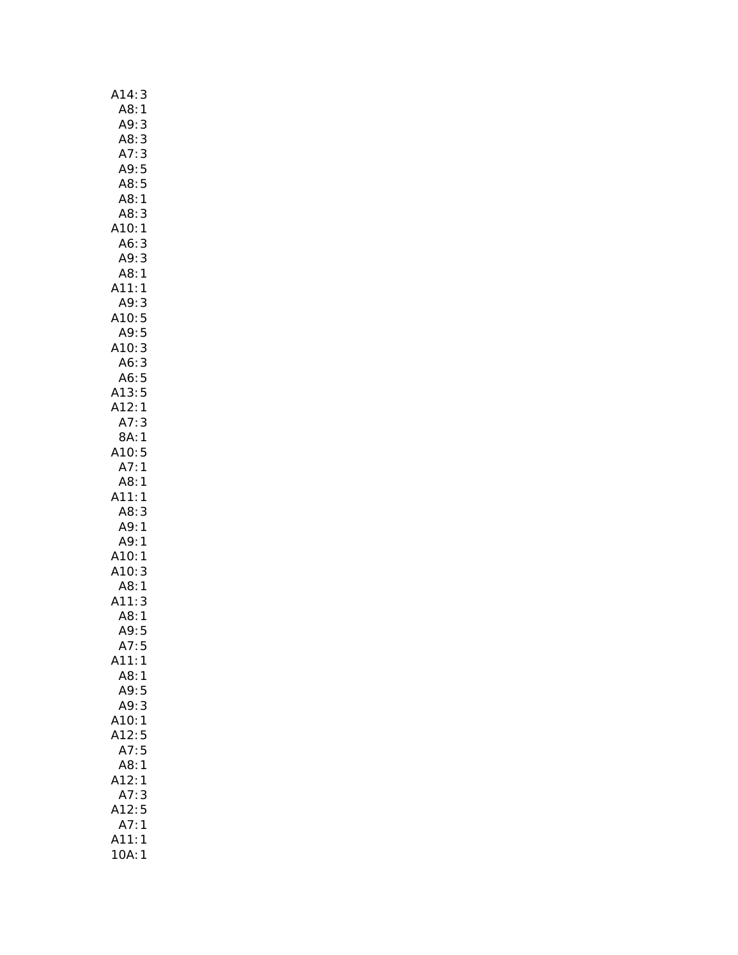| A14:<br>3                                                |
|----------------------------------------------------------|
| A8:<br>$\mathbf{1}$                                      |
| A9:<br>3                                                 |
| A8:<br>3                                                 |
|                                                          |
| A7: 3<br>A9: 5<br>A8: 5                                  |
|                                                          |
|                                                          |
| A8:1                                                     |
| A8:<br>3                                                 |
| A10:<br>$\mathbf{1}$                                     |
| A6:                                                      |
| $\begin{array}{c} 3 \\ 3 \\ 1 \end{array}$<br>A9:<br>A8: |
|                                                          |
| A11:<br>$\mathbf{1}$                                     |
|                                                          |
|                                                          |
|                                                          |
|                                                          |
| A<br>10:3<br>A10:5<br>A10:3                              |
| A6:3                                                     |
| A6:5                                                     |
| A13:5                                                    |
| A12:1                                                    |
| A7:<br>3                                                 |
| 8A: 1                                                    |
| A10:5                                                    |
| A7:1                                                     |
| A8:1                                                     |
| $\mathbf{1}$<br>A11:                                     |
| A8:<br>3                                                 |
| $A9$ :                                                   |
| $\mathbf{1}$                                             |
| A9:<br>$\mathbf{1}$                                      |
| $\mathbf{1}$                                             |
| A10:<br>A10:<br>3                                        |
| A8:1                                                     |
| 3<br>A11:                                                |
| A8:<br>1                                                 |
| A9:<br>5                                                 |
| A7:5                                                     |
| A11:1                                                    |
| A8:1                                                     |
| A9:<br>5                                                 |
|                                                          |
| A9:<br>3                                                 |
| A10:<br>1                                                |
| A12:<br>5                                                |
| A7:<br>5                                                 |
| A8:<br>$\mathbf{1}$                                      |
|                                                          |
|                                                          |
| A12:<br>1                                                |
| $\overline{A7}$ :<br>3                                   |
| A12:<br>5                                                |
| A7:<br>$\mathbf{1}$                                      |
| A11:<br>$\mathbf{1}$<br>10A:<br>$\mathbf{1}$             |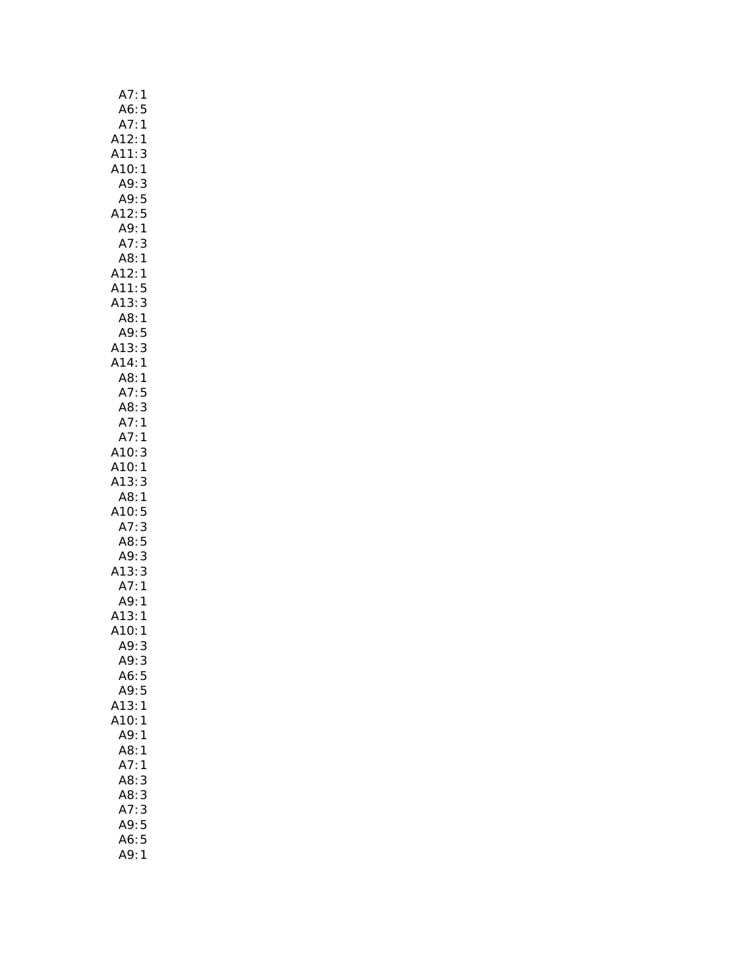| A7:<br>1                                                          |
|-------------------------------------------------------------------|
| A6:                                                               |
| 5<br>1                                                            |
| $\mathbf{1}$                                                      |
| A7:<br>A12:<br>A11:<br>3                                          |
| A10:1<br>A9:3                                                     |
|                                                                   |
| A9:<br>5                                                          |
| A12:5                                                             |
| A9:<br>$\mathbf{1}$                                               |
| A7:<br>3                                                          |
| A8:1                                                              |
| A12:1                                                             |
| A11:<br>5<br>3<br>1                                               |
| A13:                                                              |
| A8:                                                               |
| A9:<br>5<br>3<br>1                                                |
| A13:<br>A14:                                                      |
| A8:<br>$\mathbf{1}$                                               |
| 5                                                                 |
| 3                                                                 |
| A3:<br>A7:<br>A8:<br>A7:<br>1                                     |
| A7:1                                                              |
| A10:<br>3                                                         |
| A10:1                                                             |
| A13:<br>3                                                         |
| A8:1                                                              |
|                                                                   |
| A10:5<br>A7:3<br>A8:5<br>A9:3<br>A13:3<br>A13:1<br>A13:1<br>A10:1 |
|                                                                   |
|                                                                   |
|                                                                   |
|                                                                   |
|                                                                   |
|                                                                   |
|                                                                   |
| A9:<br>3                                                          |
| A9:<br>3                                                          |
| A6:<br>5                                                          |
| A9:<br>5                                                          |
| 1<br>A13:                                                         |
| A10:<br>1                                                         |
| A9:<br>1                                                          |
| A8:<br>1                                                          |
| A7:<br>1                                                          |
| A8:<br>3                                                          |
| A8:3                                                              |
| A7:<br>3                                                          |
| A9:5                                                              |
| 5<br>A6:                                                          |
| A9:<br>1                                                          |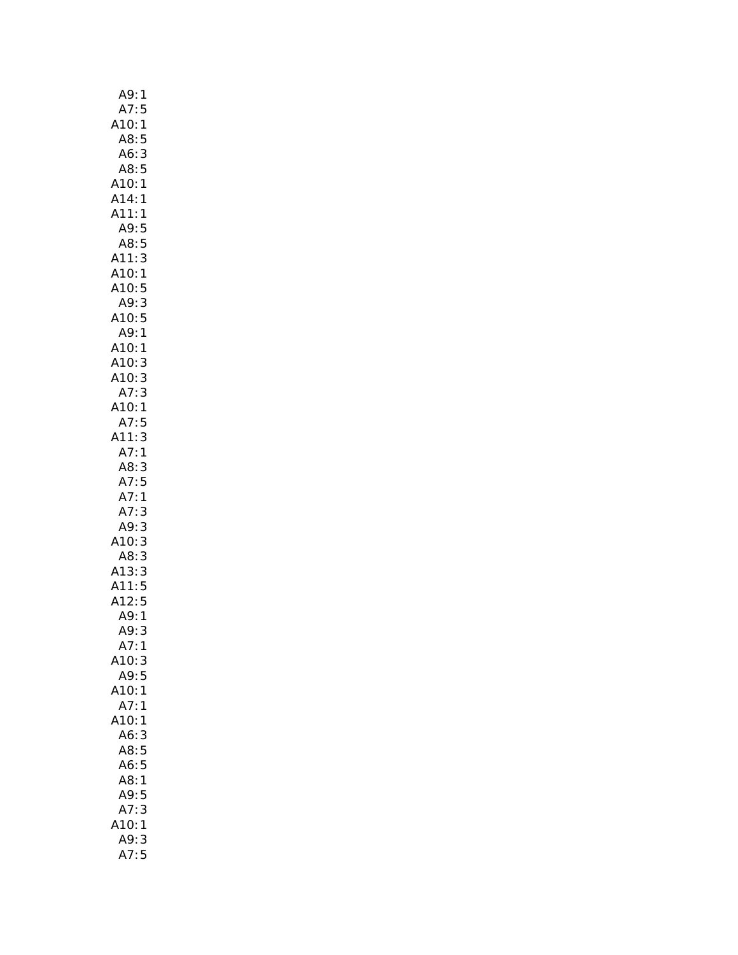| A9:<br>1                                        |
|-------------------------------------------------|
| A7:5                                            |
| 1                                               |
| A10:<br>A8:<br>5                                |
| A6:<br>3<br>5                                   |
| A8:                                             |
| A10:1                                           |
| A14:1                                           |
| A11:<br>$\mathbf{1}$                            |
| A9:<br>5                                        |
| 5<br>A8:                                        |
| 3<br>A11:                                       |
| A10:<br>1                                       |
| A10:<br>A9:<br>5                                |
| 3                                               |
| A10:<br>A9:<br>5                                |
| $\mathbf{1}$                                    |
| A10:<br>A10:<br>A10:<br>A7:<br>$\mathbf{1}$     |
| 3                                               |
| 3<br>3                                          |
|                                                 |
| A10:1<br>A7:5                                   |
| 3<br>A11:                                       |
| A7:1                                            |
| A8:<br>3                                        |
|                                                 |
|                                                 |
| A7:5                                            |
| A7:1                                            |
| A7:<br>3                                        |
| 3<br>A9:                                        |
| 10:                                             |
| A8:                                             |
| A13:                                            |
|                                                 |
| 3<br>3<br>3<br>5<br>5<br>5<br>.<br>A11:<br>A12: |
| .<br>A9: 1<br>A9:<br>3                          |
| A7:1                                            |
| A10:3                                           |
| A9:<br>5                                        |
| A10:<br>$\mathbf{1}$                            |
| A7:<br>$\mathbf{1}$                             |
| 410:1                                           |
| A6:<br>3                                        |
| A8:5                                            |
| A6:5                                            |
| A8:<br>1                                        |
| A9:<br>5                                        |
| 3<br>A7:                                        |
| 10:<br>$\mathbf{1}$                             |
| A9:<br>3<br>A7:5                                |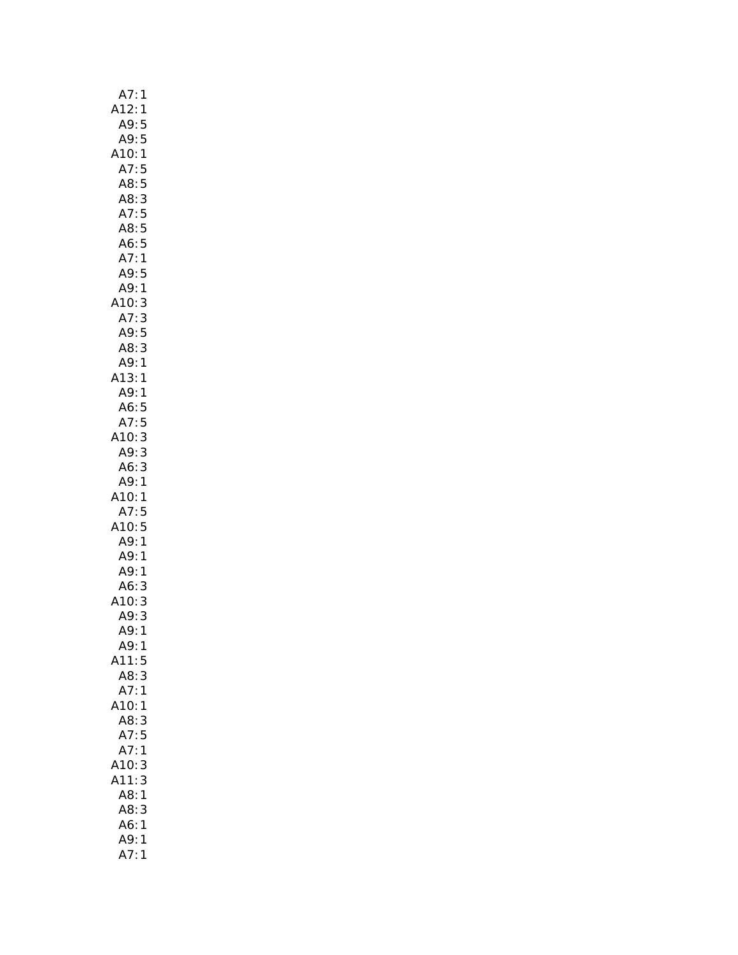| A7:1                |
|---------------------|
| A12:1               |
| A9:<br>5            |
| A9:5                |
| A10:1               |
| A7:5                |
| A8:5                |
|                     |
| A8:3                |
| A7:5                |
| A8:5                |
| A6:5                |
| A7:1                |
| A9:5                |
| A9:1                |
| A10:<br>3           |
| A7:3                |
| A9:5                |
| A8:3                |
| A9:1                |
| A13:1               |
|                     |
| A9:1                |
| A6:5                |
| A7:5                |
| A10:3               |
| A9:3                |
| A6:3                |
| A9:1                |
| A10:1               |
| A7:5                |
| A10:5               |
| A9:1                |
| ,<br>A9: 1          |
| A9:1                |
| A6:3                |
|                     |
| A10: 3<br>A9: 3     |
|                     |
| A9:<br>$\mathbf{1}$ |
| A9:1                |
| A11:5               |
| 3<br>A8:            |
| A7:1                |
| A10:1               |
| A8:<br>3            |
| A7:5                |
| A7:<br>1            |
| A10:<br>3           |
| A11:<br>3           |
| A8:<br>1            |
| A8:<br>3            |
|                     |
| A6:<br>$\mathbf{1}$ |
| A9:<br>1            |
| A7:<br>$\mathbf{1}$ |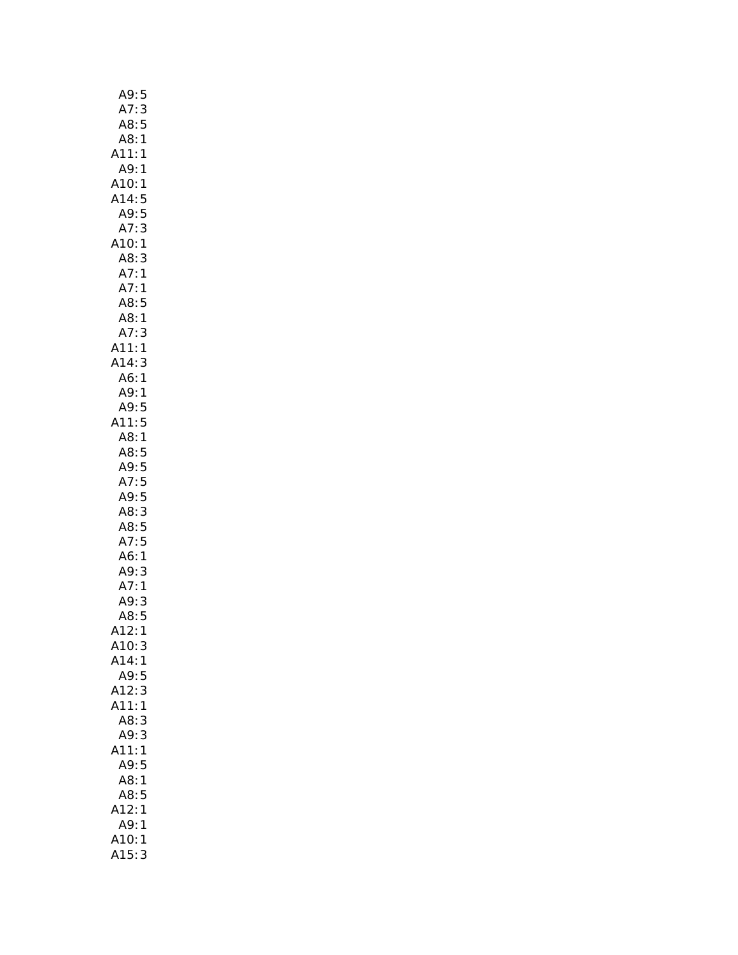| A9:<br>5             |
|----------------------|
| A7:<br>3             |
| A8:<br>5             |
| A8:<br>$\mathbf{1}$  |
| A11:<br>$\mathbf{1}$ |
| A9:1                 |
| A10:1                |
| A14:<br>5            |
| A9:<br>5             |
| A7:<br>3             |
| A10:1                |
| 3<br>A8:             |
| A7:1                 |
| A7:1                 |
| A8:5                 |
| A8:1                 |
| A7:3                 |
| A11:<br>1            |
| A14:<br>3            |
| A6:                  |
| $\mathbf{1}$<br>A9:1 |
|                      |
| A9:5                 |
| A11:5                |
| A8:1                 |
| A8:5                 |
| A9:5                 |
| A7:5                 |
| A9:5                 |
| A8:3                 |
| A8:5                 |
| A7:5                 |
| A6:1                 |
| A9:<br>3             |
| A7:1                 |
| 3<br>A9:             |
| A8:5                 |
| A12:1                |
| A10:3                |
| A14:<br>1            |
| A9:<br>5             |
| A12:<br>3            |
| A11:<br>1            |
| A8:<br>3             |
| 3<br>A9:             |
| A11:<br>$\mathbf{1}$ |
| A9:5                 |
| A8:1                 |
| A8:5                 |
| 12:1                 |
| A9:<br>1             |
| A10:<br>1            |
| A15:<br>3            |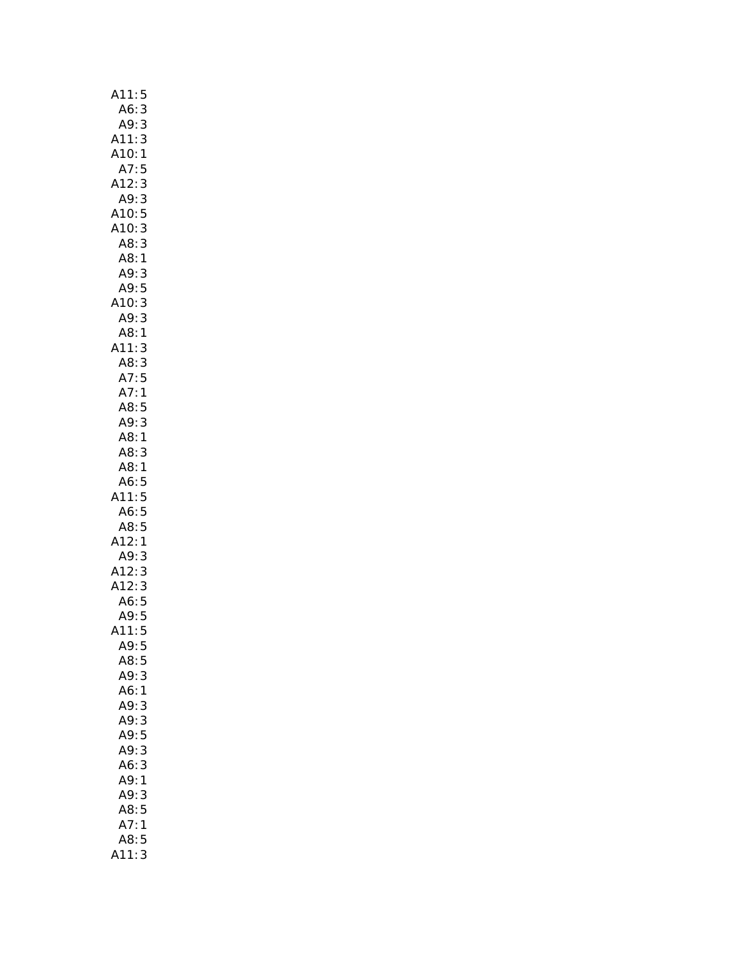| A11:<br>5                          |  |
|------------------------------------|--|
| A6:<br>A9:<br>3                    |  |
| 3                                  |  |
| A11:3                              |  |
| A10:<br>$\mathbf{1}$               |  |
| A7:<br>5                           |  |
| 3<br>A12:                          |  |
| 3<br>A9:                           |  |
| A10:5                              |  |
| A10:3                              |  |
| 3<br>A8:                           |  |
| A8:<br>A9:<br>1                    |  |
| 3                                  |  |
| 5<br>A9:                           |  |
| 10:3<br>A9:3<br>A8:1<br>11<br>A10: |  |
|                                    |  |
|                                    |  |
| A11:<br>3                          |  |
|                                    |  |
| A8:3<br>A7:5                       |  |
| A7:1                               |  |
| A8:5                               |  |
|                                    |  |
| A9:3                               |  |
| A8:1                               |  |
| A8:<br>3                           |  |
| A8:1                               |  |
| A6:5<br>11:5                       |  |
|                                    |  |
| A6:5                               |  |
| A8:5                               |  |
| A12:<br>1                          |  |
| A9:<br>:A12<br>A12<br>3            |  |
| 3                                  |  |
| .12: 3<br>A6: 5                    |  |
|                                    |  |
| A9:<br>$\frac{5}{5}$               |  |
| (11)                               |  |
| A9:5                               |  |
| A8:5                               |  |
| A9:3                               |  |
| A6:<br>$\mathbf{1}$                |  |
| A9:<br>3                           |  |
| A9: 3                              |  |
| A9:5                               |  |
| A9:3                               |  |
| 3<br>A6:                           |  |
| A9:<br>1                           |  |
| A9:<br>3                           |  |
| 5<br>A8:                           |  |
| A7:<br>$\mathbf{1}$                |  |
| A8:<br>5                           |  |
|                                    |  |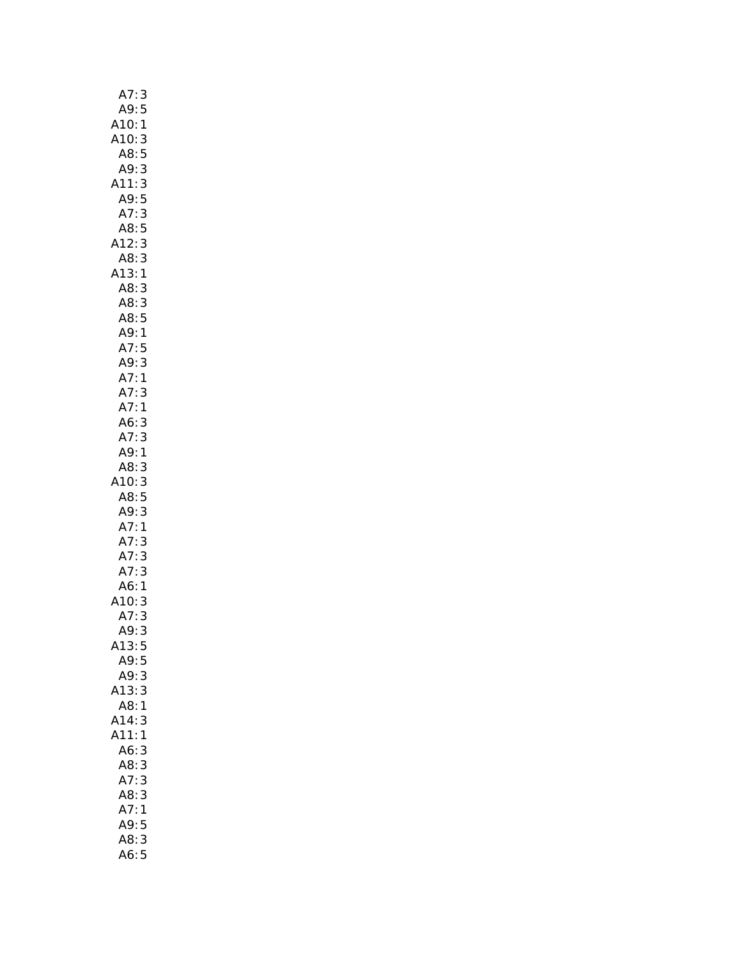| A7:<br>3                                          |  |
|---------------------------------------------------|--|
| A9:5                                              |  |
| 1                                                 |  |
| 3                                                 |  |
| 5                                                 |  |
| 3                                                 |  |
| A10:<br>A10:<br>A8:<br>A9:<br>A11:<br>A9:<br>3    |  |
| 5                                                 |  |
| A7:3                                              |  |
| A8:<br>5                                          |  |
| 3<br>A12:                                         |  |
| 3<br>A8:                                          |  |
| A13:1                                             |  |
| A8:<br>3                                          |  |
| A8:<br>3                                          |  |
| A8:5                                              |  |
| A9:1                                              |  |
| A7:5                                              |  |
| 3<br>A9:                                          |  |
|                                                   |  |
| <br>A7:1<br>A7:1<br>A7:1<br>3                     |  |
|                                                   |  |
| .<br>A6: 3<br>A7: 3                               |  |
|                                                   |  |
| A9:<br>1                                          |  |
| A8:<br>3                                          |  |
| .10: 3<br>A8: 5                                   |  |
|                                                   |  |
| 3<br>A9:                                          |  |
| A7:1                                              |  |
| A7:<br>3                                          |  |
| A7:3                                              |  |
| A7:                                               |  |
| $\begin{array}{c} 3 \\ 1 \\ 3 \end{array}$<br>A6: |  |
| 10:<br>A7:                                        |  |
| 3                                                 |  |
| A9:3                                              |  |
| A13:5                                             |  |
| A9:<br>5                                          |  |
| A9:<br>3                                          |  |
| A13:3                                             |  |
| A8:1                                              |  |
| A14:<br>3                                         |  |
| A11:1                                             |  |
| A6:<br>3                                          |  |
| A8:3                                              |  |
| A7:3                                              |  |
| A8:3                                              |  |
| A7:1                                              |  |
| A9:5                                              |  |
| A8:3                                              |  |
| A6:5                                              |  |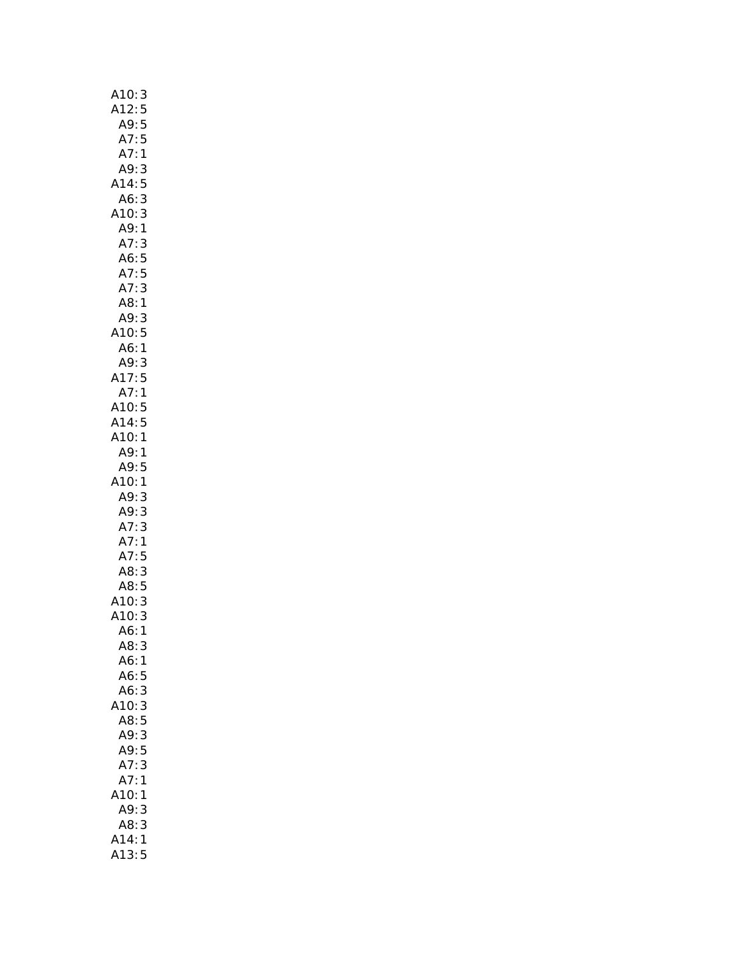| 3                                    |  |
|--------------------------------------|--|
| A10:<br>A12:<br>5                    |  |
| 5<br>A9:                             |  |
| A7:<br>5                             |  |
| A7:<br>$\mathbf{1}$                  |  |
| A9:<br>3                             |  |
| A14:                                 |  |
| 5                                    |  |
| 3<br>A6:                             |  |
| A10:<br>3                            |  |
| A9: 1<br>A7: 3                       |  |
| 3                                    |  |
| A6:5                                 |  |
| A7:5<br>A7:3                         |  |
|                                      |  |
| A8:1                                 |  |
| A9:<br>3                             |  |
| A10:5                                |  |
|                                      |  |
| A6: 1<br>A9: 3                       |  |
|                                      |  |
| A17:5                                |  |
| A7:1                                 |  |
| A10: 5<br>A14: 5                     |  |
|                                      |  |
| A10:1                                |  |
| A9:1                                 |  |
| A9:5                                 |  |
| 10:1<br>A                            |  |
| A9:<br>3                             |  |
| A9:<br>3                             |  |
|                                      |  |
| A7: 3<br>A7: 1                       |  |
|                                      |  |
| A7:5                                 |  |
| A8: 3                                |  |
| - 2:<br>8 : A8<br>3 : A10<br>3 : A10 |  |
|                                      |  |
|                                      |  |
| A6:<br>$\mathbf{1}$                  |  |
| A8: 3                                |  |
| A6:1                                 |  |
| A6:<br>5                             |  |
|                                      |  |
|                                      |  |
| A6:3                                 |  |
| 10:<br>3                             |  |
| A8:5                                 |  |
| A9:<br>3                             |  |
| A9:<br>5                             |  |
| 3<br>A7:                             |  |
| A7:<br>1                             |  |
| A10:<br>1                            |  |
| 3                                    |  |
| A9:<br>A8:                           |  |
| 3<br>A14:<br>$\mathbf{1}$            |  |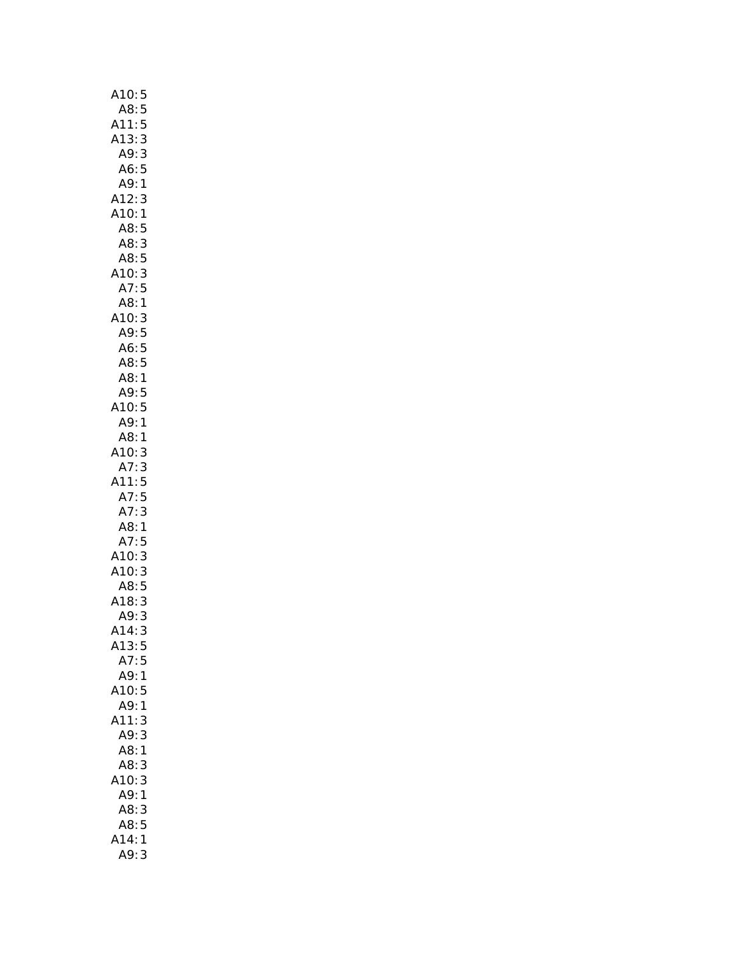| A10:<br>5                        |
|----------------------------------|
| A8:<br>5                         |
| 5<br>A11:                        |
| A13:<br>3                        |
| 3<br>A9:                         |
| A6:5                             |
| A9:<br>$\mathbf{1}$              |
| A12:<br>A10:<br>3                |
| 1                                |
| A8:<br>5                         |
| A8:<br>3                         |
| A8:<br>$\frac{5}{3}$             |
| A10:                             |
| A7:<br>5                         |
| :A8<br>:A10<br>:A9<br>1          |
| $\frac{3}{5}$                    |
|                                  |
| A6:<br>5                         |
| A8:5                             |
| A8:<br>$\mathbf{1}$              |
| A9:5                             |
| A10:<br>5<br>A9:1                |
| A8:1                             |
| 3                                |
| :10<br>A7:<br>3                  |
| 5<br>411:                        |
|                                  |
|                                  |
| A7:                              |
| $\frac{5}{3}$                    |
| A7:<br>A8:<br>1                  |
| A7:<br>5                         |
| 3                                |
| A10:<br>A10:<br>3                |
| 5<br>A8:                         |
| A18:<br>3<br>A9:<br>3            |
| A14:<br>3                        |
| A13:5                            |
| A7:5                             |
| A9:1                             |
| A10:5                            |
| A9:<br>1                         |
| 3<br>411:                        |
| 3<br>A9:                         |
| A8:<br>1                         |
| A8:<br>3                         |
| A10:<br>3                        |
| A9:<br>1                         |
| 3<br>A8:                         |
| 5<br>A8:                         |
| A14:<br>$\mathbf{1}$<br>A9:<br>3 |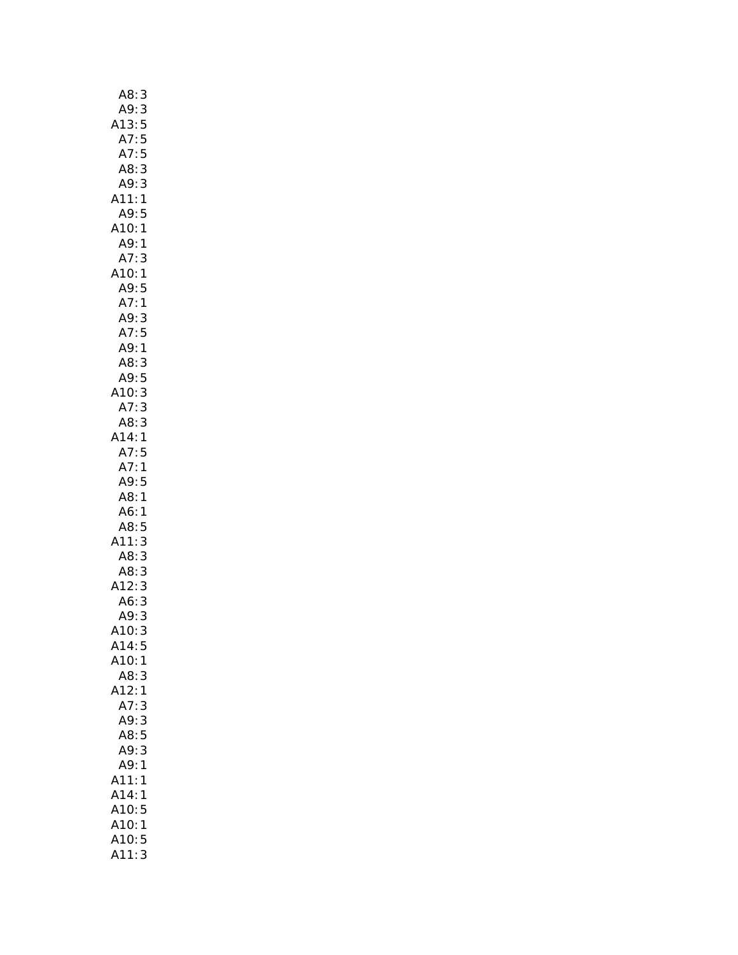| A8:3           |  |
|----------------|--|
| A9:3           |  |
|                |  |
| A13:5<br>A13:5 |  |
| A7:5           |  |
| A8:3           |  |
| A9:3           |  |
| A11:1          |  |
|                |  |
| A9:5           |  |
| A10:1          |  |
| A9:1           |  |
| A7:3           |  |
| A10:1          |  |
| A9:5           |  |
| A7:1           |  |
| A9:3           |  |
| A7:5           |  |
| A9:1           |  |
| A8:3           |  |
| A9:5           |  |
|                |  |
| A10: 3         |  |
| A7:3           |  |
| A8: 3          |  |
| A14:1          |  |
| A7:5           |  |
| A7:1           |  |
| A9:5           |  |
| A8:1           |  |
| A6:1           |  |
| A8:5           |  |
| A11:3          |  |
| A8:3           |  |
|                |  |
| A8:3<br>A12:   |  |
| 3              |  |
| 3<br>A6:       |  |
| 3<br>A9:       |  |
| A10:<br>3      |  |
| A14:<br>5      |  |
| A10:<br>1      |  |
| A8:<br>3       |  |
| A12:<br>1      |  |
| A7:<br>3       |  |
| A9:<br>3       |  |
| A8:5           |  |
| 3<br>A9:       |  |
| A9:<br>1       |  |
| A11:           |  |
| 1              |  |
| A14:<br>1      |  |
| A10:5          |  |
| A10:<br>1      |  |
| A10:5          |  |
| 3<br>A11:      |  |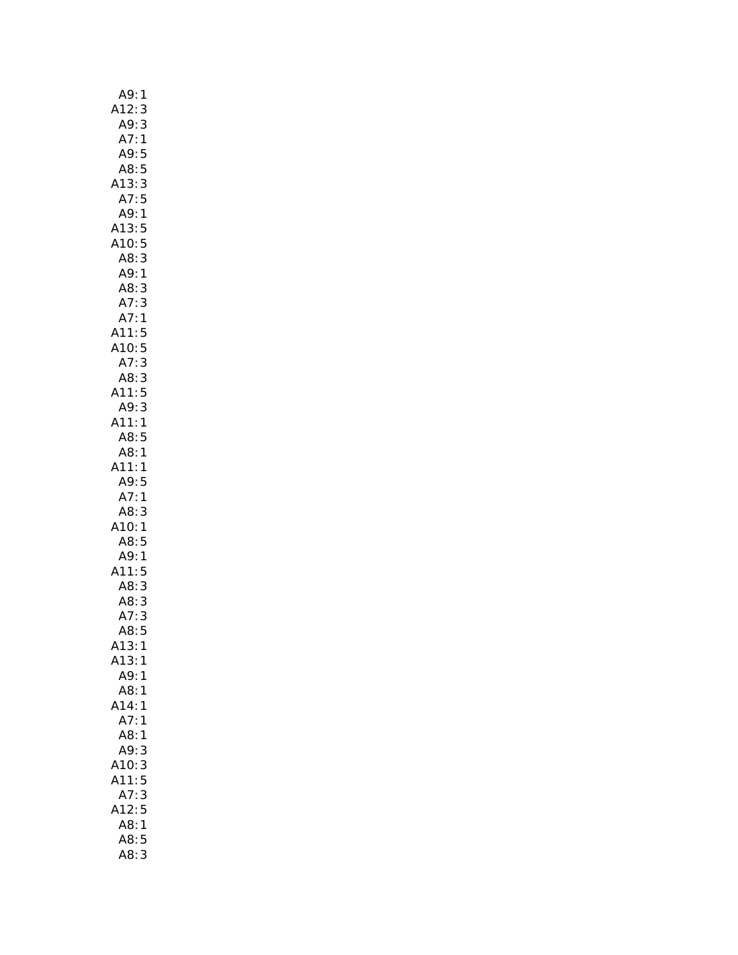| A9:<br>1                                               |
|--------------------------------------------------------|
| A12:3                                                  |
|                                                        |
| ----<br>A9: 3<br>A7: 1<br>A9: 5                        |
|                                                        |
| A8:5                                                   |
| A13:3<br>A7:5                                          |
|                                                        |
| A9:1                                                   |
| A13:5                                                  |
|                                                        |
| A10:5<br>A10:5<br>A8:3<br>A8:3                         |
|                                                        |
|                                                        |
|                                                        |
|                                                        |
|                                                        |
|                                                        |
| A8<br>A7: 3<br>A7: 1<br>A11: 5<br>A10: 5<br>A7: 3<br>3 |
| A8: 3<br>A11: 5                                        |
| A9:3                                                   |
| A11:1                                                  |
| A8:5                                                   |
| A8:1                                                   |
| A11:1                                                  |
| A9:5                                                   |
| A7:1                                                   |
| A8:<br>3                                               |
| A10:1                                                  |
| A8:5                                                   |
| A9:1                                                   |
| A11:5                                                  |
|                                                        |
| A8: 3<br>A8: 3<br>A7: 3                                |
| 5<br>A8:                                               |
| A13:1                                                  |
| A13:<br>1                                              |
| A9:<br>1                                               |
| A8:<br>1                                               |
| A14:<br>1                                              |
| A7:<br>1                                               |
| A8:<br>1                                               |
| A9:<br>3                                               |
| A10:<br>3                                              |
| A11:<br>5                                              |
| A7:<br>3                                               |
| A12:5                                                  |
| A8:<br>$\mathbf{1}$                                    |
| A8:5                                                   |
| A8:<br>3                                               |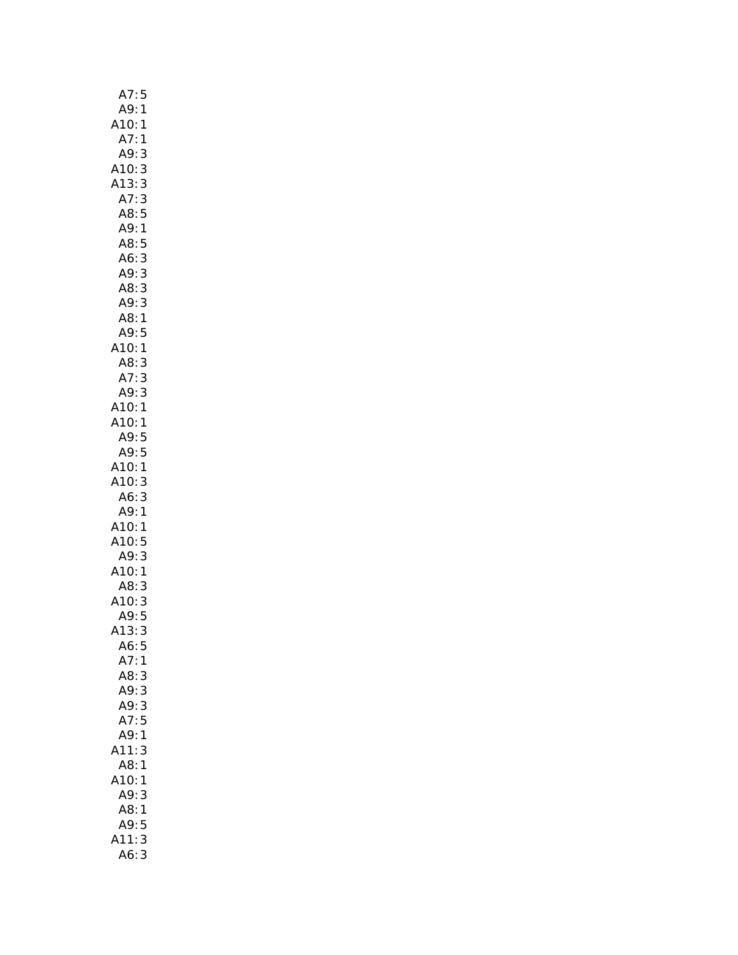| A7:<br>5               |
|------------------------|
| A9:<br>1               |
| 10:<br>$\mathbf{1}$    |
| A7:<br>$\mathbf{1}$    |
| A9:<br>3               |
| 3                      |
| A10:<br>A13:           |
| 3<br>A7:               |
| $\mathbf{3}$           |
| A8:5                   |
| A9:1                   |
| A8:<br>5               |
| A6:<br>3               |
| 3<br>A9:               |
| 3<br>A8:               |
| A9:                    |
| 3<br>1<br>A8:          |
| A9:<br>5               |
| A10:1                  |
|                        |
| .<br>A8: 3<br>A7: 3    |
|                        |
| A9:<br>3               |
| A10: 1<br>A10: 1       |
|                        |
| A9:5                   |
| A9:5                   |
| A10:1                  |
| A10:3                  |
| A6:<br>3               |
| A9:1                   |
| A10:1                  |
|                        |
| A10:5                  |
| A9:3                   |
| A10:1                  |
| A8:<br>3               |
| A10:<br>$\overline{3}$ |
| A9:5                   |
| 3<br>A13:              |
| A6:<br>5               |
| A7:<br>1               |
| A8:<br>3               |
|                        |
| A9:3                   |
| A9:3                   |
| A7:5                   |
| A9:1                   |
| 11:<br>3               |
| A8:1                   |
| 10:1                   |
| A9:3                   |
| A8:<br>1               |
| A9:<br>5               |
| 11:<br>3               |
| 3<br>A6:               |
|                        |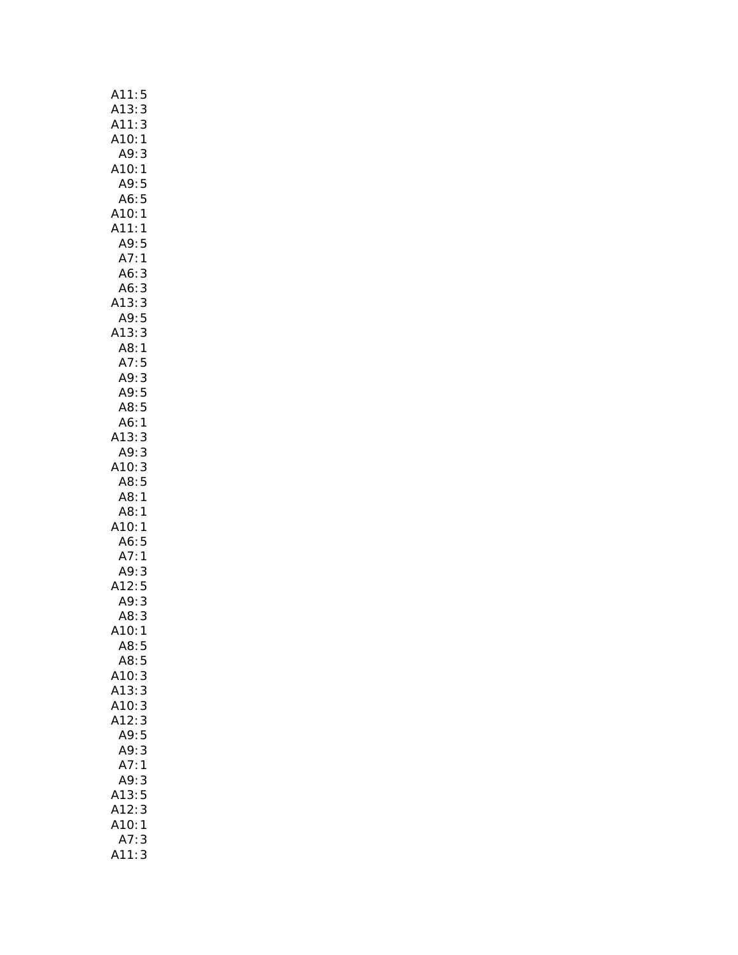| A11:<br>5                         |
|-----------------------------------|
| A13:<br>3                         |
| A11:3<br>A10:1<br>3               |
|                                   |
| A9:3                              |
| A10:<br>$\mathbf{1}$              |
| A9: 5<br>A6: 5                    |
|                                   |
| A10:1                             |
| A11:1                             |
| A9:5                              |
| A7: 1<br>A6: 3                    |
|                                   |
| 33353<br>A6:                      |
| A13:<br>A9:<br>A13:<br>A8:<br>A7: |
|                                   |
|                                   |
| $\mathbf{1}$                      |
| $\frac{5}{3}$                     |
| A9:                               |
| A9:5                              |
| A8:5                              |
| A6:1<br>A13:3                     |
| A9:3                              |
| A10:                              |
| 10:3<br>A8:5<br>A8:1              |
|                                   |
| A8:1                              |
| A10:1                             |
| A6:5                              |
|                                   |
| A7:1<br>A9:3<br>A12:5             |
|                                   |
| 3                                 |
| A9:<br>A8:<br>3                   |
| 410:<br>1                         |
| A8:5                              |
| A8:<br>5                          |
| 3<br>A10:                         |
| A13:<br>3                         |
| A10:<br>3                         |
| 3<br>A12:                         |
| A9:5                              |
| 3<br>A9:                          |
| A7:1                              |
| 3<br>A9:                          |
| A13:5<br>A12:3<br>A10:1           |
|                                   |
|                                   |
| A7:<br>3                          |
| 3<br>A11:                         |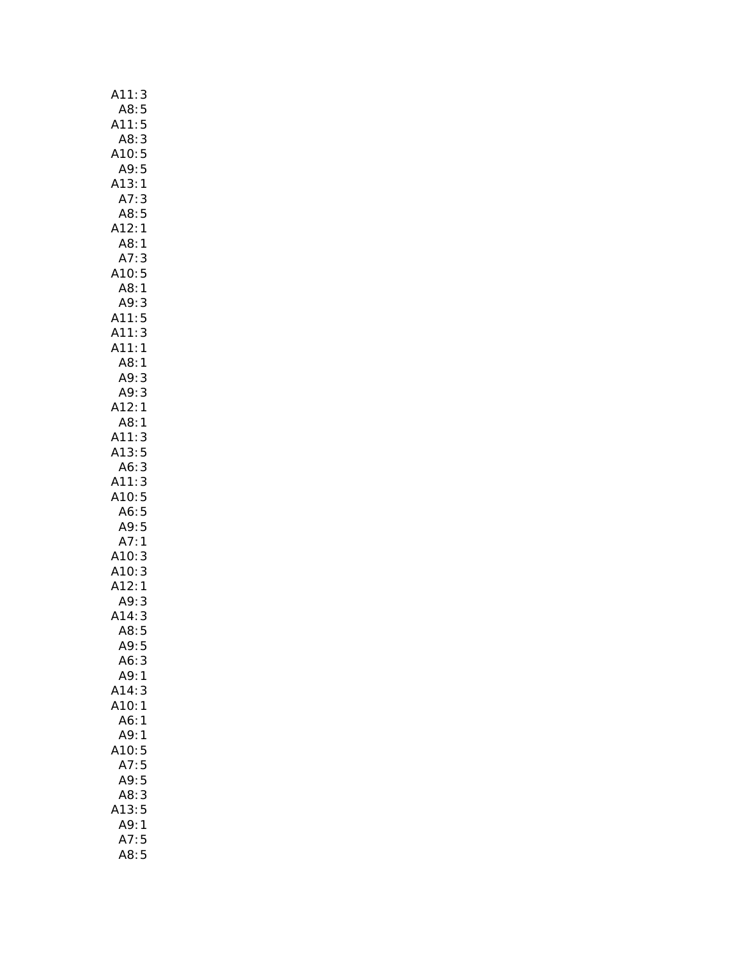| 3<br>A11:                                                |
|----------------------------------------------------------|
| A8:<br>5                                                 |
| 5<br>A11:                                                |
| A8:<br>3                                                 |
| 5<br>A10:                                                |
| 5<br>A9:                                                 |
| A13:1                                                    |
| A7:<br>3                                                 |
| A8:<br>5                                                 |
| 1<br>A12:                                                |
| A8:<br>1                                                 |
| A7:<br>3                                                 |
| A10: 5<br>A8: 1                                          |
|                                                          |
| A9: 3<br>A9: 3<br>A11: 5<br>A11: 3                       |
|                                                          |
|                                                          |
| A11:<br>$\mathbf{1}$                                     |
| A8:1                                                     |
| A9:<br>3                                                 |
| A9:<br>3                                                 |
| A12:<br>1                                                |
| A8:1                                                     |
| A11:<br>3                                                |
| A13:<br>5                                                |
| A6:<br>3                                                 |
|                                                          |
| 3                                                        |
| A11:<br>A10:                                             |
| $\frac{5}{5}$                                            |
| 5                                                        |
|                                                          |
|                                                          |
| 3                                                        |
| A10:5<br>A6:5<br>A9:5<br>A7:1<br>A10:3<br>A10:3<br>A12:1 |
| A9:<br>3                                                 |
| A14:<br>3                                                |
| A8:<br>5                                                 |
| A9:5                                                     |
| 3<br>A6:                                                 |
| A9:1                                                     |
| A14:<br>3                                                |
| A10:<br>1                                                |
| A6:<br>1                                                 |
| A9:<br>1                                                 |
| A10:<br>5                                                |
| 5<br>A7:                                                 |
| 5<br>A9:                                                 |
| A8:<br>3                                                 |
| A13:<br>5                                                |
| A9:<br>1<br>5<br>A7:                                     |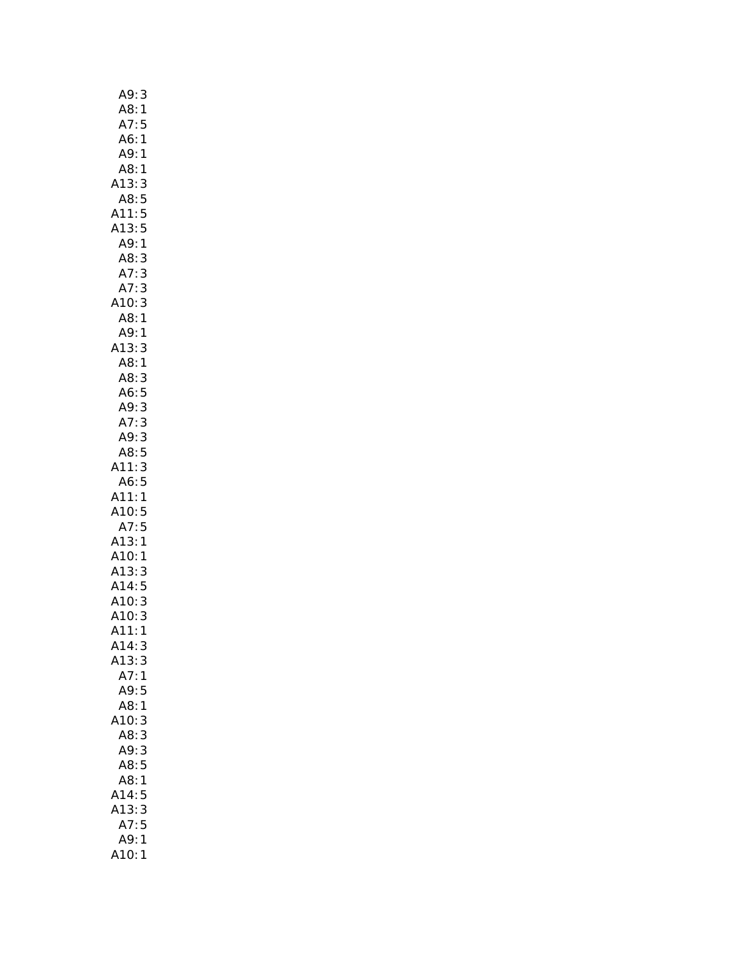| A9:<br>3                         |
|----------------------------------|
| A8:<br>$\mathbf{1}$              |
| A7:<br>5                         |
| A6:<br>$\mathbf{1}$              |
| A9: 1                            |
| A8:1                             |
| A13:3                            |
| 8:5 A<br>5:11A                   |
|                                  |
| A13:5                            |
| A9:1                             |
| A8:<br>3                         |
| A7:<br>3<br>3<br>3               |
| A7:                              |
| A10:                             |
| A8:<br>$\mathbf{1}$              |
| A9:<br>1                         |
| A13:3                            |
| A8:<br>A8:<br>$\mathbf{1}$       |
| 3<br>5                           |
| A6:                              |
| A9: 3                            |
| A7:3                             |
| A9:3                             |
| $\frac{AB:5}{1}$                 |
| A11:3                            |
| A6:5<br>A11:<br>$\mathbf{1}$     |
| A10:5                            |
| A7:5                             |
| A13:1                            |
| A10:<br>$\mathbf{1}$             |
| --<br>A13: 3<br>A14: 5<br>A10: 3 |
|                                  |
|                                  |
| A10:<br>A10:<br>3                |
| A11:<br>1                        |
| A14:<br>3                        |
| A13:3                            |
| A7:<br>$\mathbf{1}$              |
| A9:5                             |
| A8:1                             |
| A10:<br>3                        |
| 3<br>A8:                         |
| A9:<br>3                         |
| 5<br>A8:                         |
| A8:<br>1                         |
| 5<br>A14:                        |
| A13:<br>3                        |
| 5<br>A7:                         |
| A9:<br>1                         |
| A10:1                            |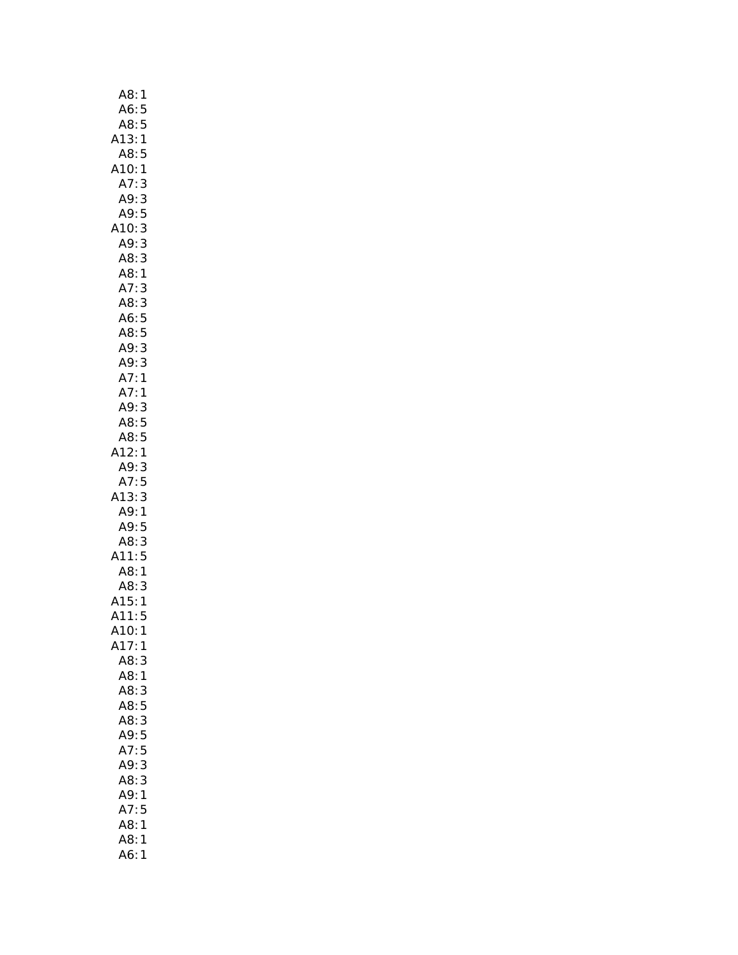| A8:1           |                |
|----------------|----------------|
| A6:5           |                |
| $7.5$<br>A8:5  |                |
| A13:1          |                |
| A8:5           |                |
| A10:           | $\mathbf{1}$   |
| A7:            | 3              |
| A9:            | 3              |
| A9:            | 5              |
| A10:           | 3              |
| A9:            | 3              |
| A8:            | 3              |
| A8:1           |                |
| A7:            | 3              |
| A8:            | 3              |
| A6:5<br>A8:5   |                |
| A9:            | 3              |
| A9:3           |                |
| A7:1           |                |
| .<br>A7: 1     |                |
| A9:3           |                |
|                |                |
| A8: 5<br>A8: 5 |                |
| A12:1          |                |
| A9:3           |                |
| A7:5           |                |
| A13:           | 3              |
| A9: 1          |                |
| A9:5           |                |
| A8:3           |                |
| A11:5          |                |
| A8:1           |                |
| A8:3           |                |
| A15:           | $\mathbf{1}$   |
| A11:           | 5              |
| A10:1          |                |
| A17:           | 1              |
| A8:            | 3              |
| A8:            | 1              |
| A8:3           |                |
| A8:            | 5              |
| A8:3           |                |
| A9:5           |                |
| A7:5           |                |
| A9:3           |                |
| A8:3           |                |
| A9:1           |                |
| A7:5<br>A8:    | $\overline{1}$ |
| A8:            | 1              |
| A6:            | 1              |
|                |                |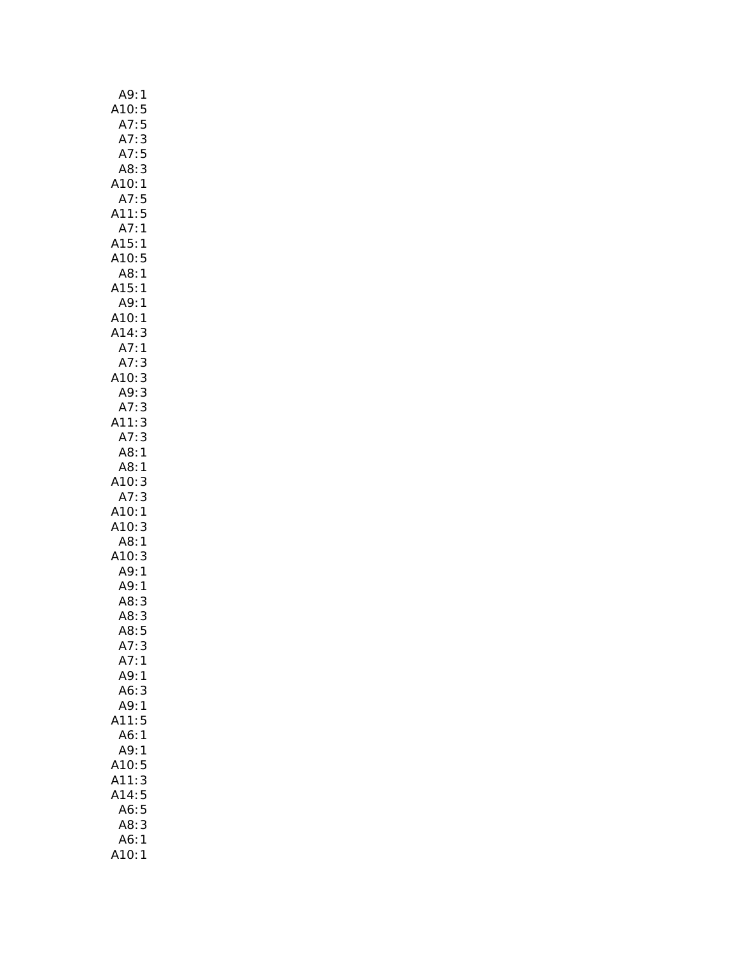| A9:<br>1                                                               |
|------------------------------------------------------------------------|
|                                                                        |
|                                                                        |
|                                                                        |
| A10:5<br>A10:5<br>A7:5<br>A7:5<br>A8:3                                 |
|                                                                        |
| A10:1                                                                  |
| A7:5                                                                   |
| A11:5                                                                  |
| A7:1                                                                   |
| A15:1<br>A10:5                                                         |
|                                                                        |
| A8:1                                                                   |
| A15:<br>1                                                              |
|                                                                        |
|                                                                        |
|                                                                        |
|                                                                        |
|                                                                        |
|                                                                        |
|                                                                        |
|                                                                        |
|                                                                        |
|                                                                        |
| A9:1<br>A10:1<br>A14:3<br>A7:1<br>A7:3<br>A7:3<br>A7:3<br>A8:1<br>A8:1 |
|                                                                        |
| 10:<br>A7:<br>3                                                        |
| A7: 3<br>A10: 1<br>A10: 3                                              |
|                                                                        |
| A8:1                                                                   |
|                                                                        |
|                                                                        |
| Ao. 1<br>A10: 3<br>A9: 1<br>A8: 3<br>A8: 3                             |
|                                                                        |
|                                                                        |
| A8:<br>5                                                               |
| A7:<br>3                                                               |
| A7:<br>1                                                               |
| A9:<br>1                                                               |
| A6:<br>3                                                               |
| A9:<br>1                                                               |
| A11:<br>5                                                              |
| A6:<br>1                                                               |
| A9:<br>1                                                               |
| A10:<br>5                                                              |
| A11:<br>3                                                              |
| A14:<br>5                                                              |
| 5<br>A6:                                                               |
| A8:<br>3                                                               |
| A6:<br>1                                                               |
| A10:<br>1                                                              |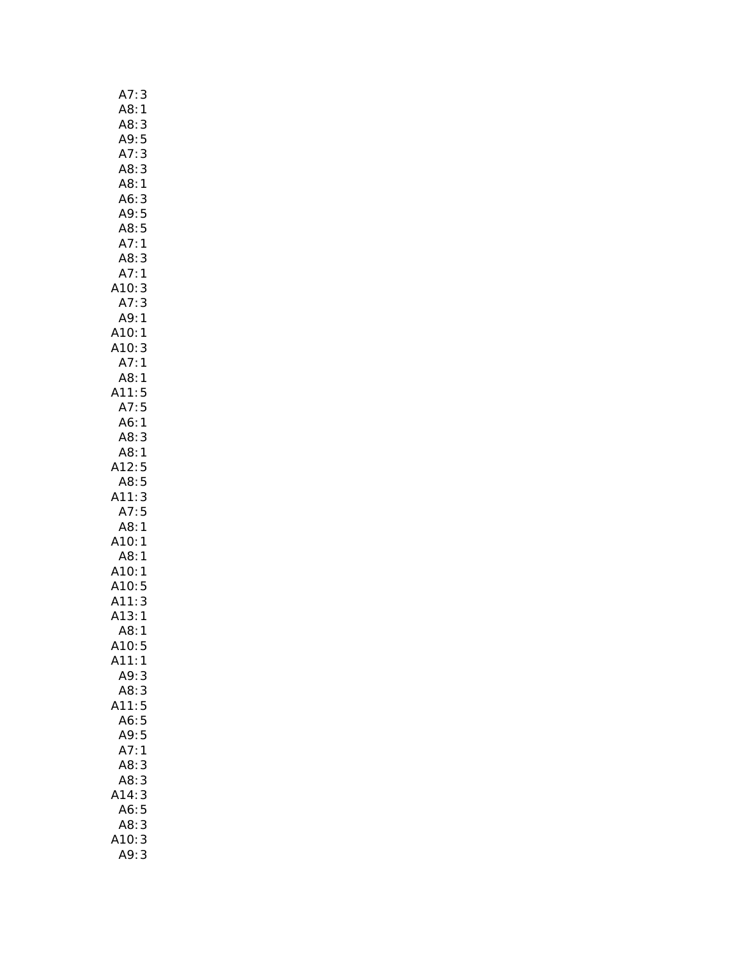| A7:<br>$\overline{3}$  |
|------------------------|
| A8:1                   |
| A8:<br>3               |
| $A9$ :<br>5            |
| A7:<br>3               |
| A8:3                   |
| A8:1                   |
| A6:3                   |
| A9: 5<br>A8: 5         |
|                        |
| A7:1                   |
| A8:<br>3               |
| A7:1                   |
| 3<br>A10:              |
| A7:<br>3               |
| A9:<br>1               |
|                        |
|                        |
| A10:1<br>A10:3<br>A7:1 |
| A8:1                   |
|                        |
| A11:5<br>A7:5          |
| A6:1                   |
| A8:<br>3               |
| A8:1                   |
| 12:5                   |
| A8:5                   |
| A11:3                  |
| A7:5                   |
| A8:1                   |
| A10:1                  |
| A8:1                   |
| A10:1<br>A10:5         |
|                        |
|                        |
|                        |
| A11:<br>3              |
| .<br>A13: 1<br>1       |
| A8:<br>A10:<br>5       |
| 1                      |
| A11:<br>A9:<br>3       |
| A8:3                   |
|                        |
| A11:5                  |
| A6:5<br>A9:<br>5       |
| A7:<br>$\mathbf{1}$    |
| A8:<br>3               |
| A8:<br>3               |
| 14:<br>3<br>Д          |
| A6:5                   |
| A8:<br>3               |
| 10:<br>3<br>A9:        |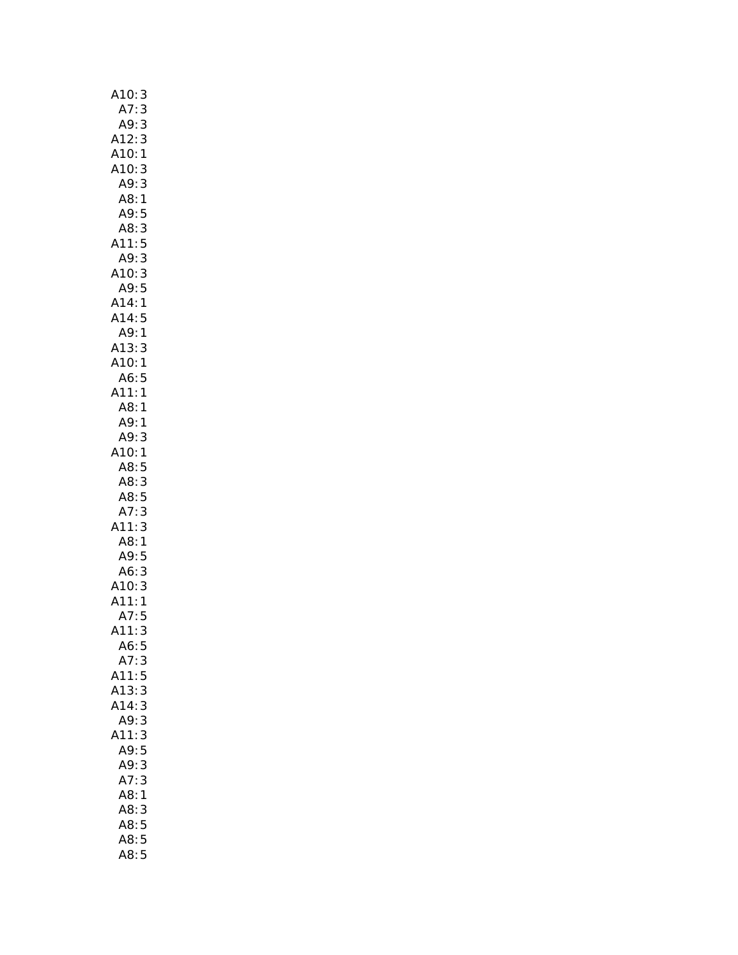| A10:<br>3                       |
|---------------------------------|
| A7:3                            |
| A9:3                            |
| A12:<br>3                       |
| A10:1                           |
| A10:<br>3                       |
| A9:<br>3                        |
| A8:1                            |
| A9:5                            |
| $\overline{3}$<br>A8:           |
| 5<br>A11:                       |
| 3<br>A9:                        |
| $\frac{1}{3}$<br>A10:           |
| A18:5<br>A9:5<br>A14:1<br>A14:5 |
|                                 |
|                                 |
| A9:1                            |
| A13:3                           |
| A10:1                           |
| A6:<br>5                        |
| A11:<br>$\mathbf{1}$            |
| A8:1                            |
| A9:1<br>A9:<br>3                |
| A10:<br>1                       |
| A8:<br>5                        |
| A8:<br>3                        |
| $A8:5$<br>$A7:3$<br>$A11:3$     |
|                                 |
|                                 |
| A8:1                            |
| A9:5                            |
| A6:<br>A10:<br>3                |
| $\mathsf{3}$                    |
| A11:1                           |
| A7:5                            |
| A11:<br>3                       |
| A6:5                            |
| A7:3                            |
| A11:5                           |
| A13:<br>3                       |
| A14:<br>3                       |
| A9:<br>3                        |
| A11:<br>3                       |
| A9:<br>5                        |
| 3<br>A9:                        |
| A7:<br>3                        |
| A8:<br>$\mathbf{1}$             |
| A8:<br>3                        |
| $\frac{5}{1}$<br>A8:            |
| $\overline{5}$<br>A8:           |
| A8:5                            |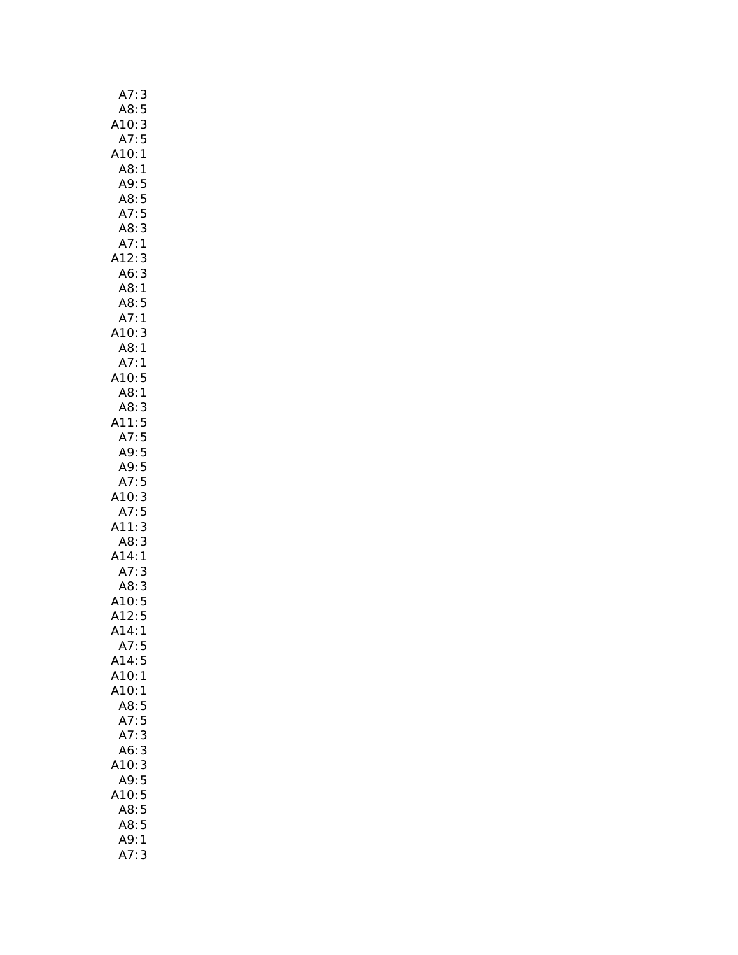| A7:3                           |
|--------------------------------|
| A8:5                           |
| A10: 3<br>A7: 5                |
|                                |
| A10:1                          |
| A8:1                           |
| A9:<br>5                       |
| A8:<br>5                       |
| 5<br>A7:                       |
| A8:<br>3                       |
| $\mathbf{1}$<br>A7:            |
| A12:<br>3                      |
| A6:<br>3                       |
| A8:<br>1                       |
| A8:<br>5                       |
| A7:<br>$\mathbf{1}$            |
| A10:                           |
| 3<br>A8:                       |
| $\mathbf{1}$<br>A7:<br>1       |
|                                |
| A10:<br>5                      |
| A8:1                           |
| A8:3                           |
| A11:5                          |
| A7:<br>5                       |
| A9:5                           |
| A9:5                           |
| A7:5                           |
| A10:<br>3                      |
| A7:<br>5                       |
|                                |
| 3<br>A11:                      |
| A8:<br>3                       |
| A14:<br>$\mathbf{1}$           |
| 3                              |
| A7:                            |
|                                |
|                                |
| A8: 3<br>A10: 5<br>A12: 5<br>1 |
| A14:<br>5                      |
| A7:                            |
| A14:5<br>$\mathbf 1$           |
| A10:<br>1                      |
| A10:                           |
| A8:<br>5                       |
| A7:5<br>3                      |
| A7:<br>3                       |
| A6:<br>Δ                       |
| 10:<br>3                       |
| A9:<br>5                       |
| 5<br>A10:                      |
| A8:<br>5                       |
| 5<br>A8:                       |
| A9:<br>1<br>A7:<br>3           |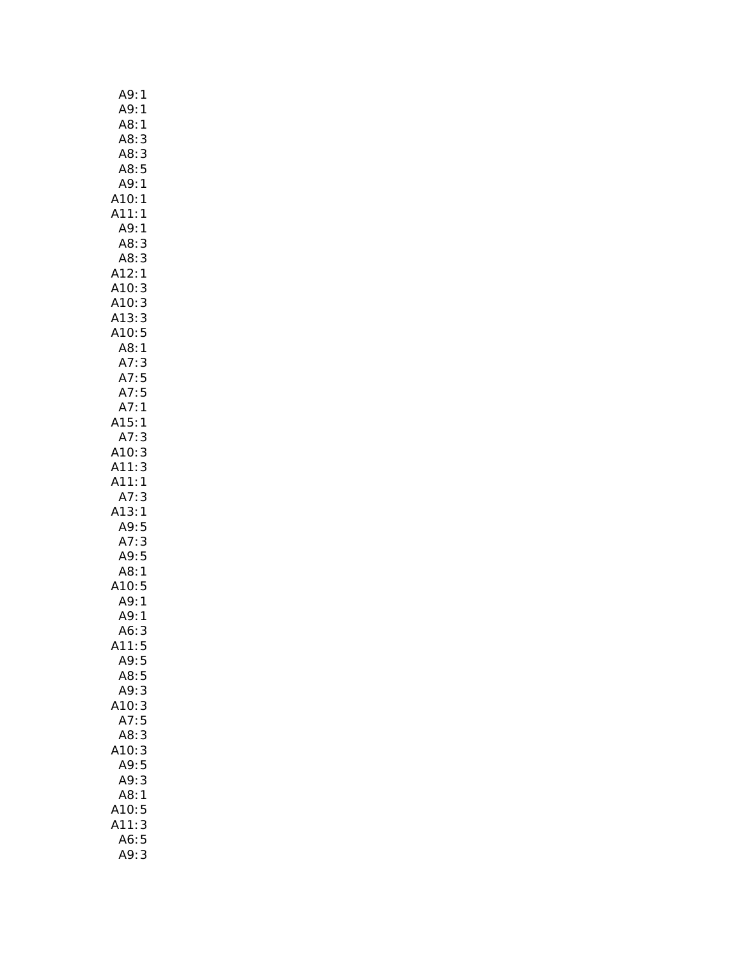| A9:<br>1                                            |  |
|-----------------------------------------------------|--|
| A9:<br>$\mathbf{1}$                                 |  |
| A8:<br>$\mathbf{1}$                                 |  |
| A8:<br>3                                            |  |
| A8: 3<br>A8: 5                                      |  |
|                                                     |  |
| A9:1                                                |  |
| A10:1                                               |  |
| A11:1                                               |  |
| A9:1                                                |  |
| 3<br>A8:                                            |  |
| A8:<br>3                                            |  |
| A12:<br>1                                           |  |
| A12:1<br>A10:3<br>A10:3<br>A13:3<br>A10:5<br>A8:1   |  |
|                                                     |  |
|                                                     |  |
|                                                     |  |
|                                                     |  |
|                                                     |  |
|                                                     |  |
|                                                     |  |
|                                                     |  |
| Ao: 1<br>A7: 3<br>A7: 5<br>A7: 5<br>A7: 1<br>A15: 1 |  |
| A7:<br>3                                            |  |
| 3<br>3<br>A10:                                      |  |
| A11:                                                |  |
| A11:1                                               |  |
| A7:<br>3                                            |  |
| A13:1                                               |  |
| A9:5                                                |  |
| A7: 3<br>A9: 5                                      |  |
|                                                     |  |
| A8:1                                                |  |
| Au.<br>A10:5<br>A9:1<br>A9:1                        |  |
|                                                     |  |
|                                                     |  |
| A6:<br>3                                            |  |
| A11:<br>5<br>A9:                                    |  |
| 5                                                   |  |
| 5<br>A8:<br>A9:<br>3                                |  |
| 3<br>A10:                                           |  |
|                                                     |  |
| A7:5<br>3<br>A8:                                    |  |
|                                                     |  |
| A10:<br>3<br>A9:5                                   |  |
| 3<br>A9:                                            |  |
| 1                                                   |  |
| A8:<br>A10:<br>5                                    |  |
| A11:<br>3                                           |  |
| 5<br>A6:                                            |  |
| A9:<br>3                                            |  |
|                                                     |  |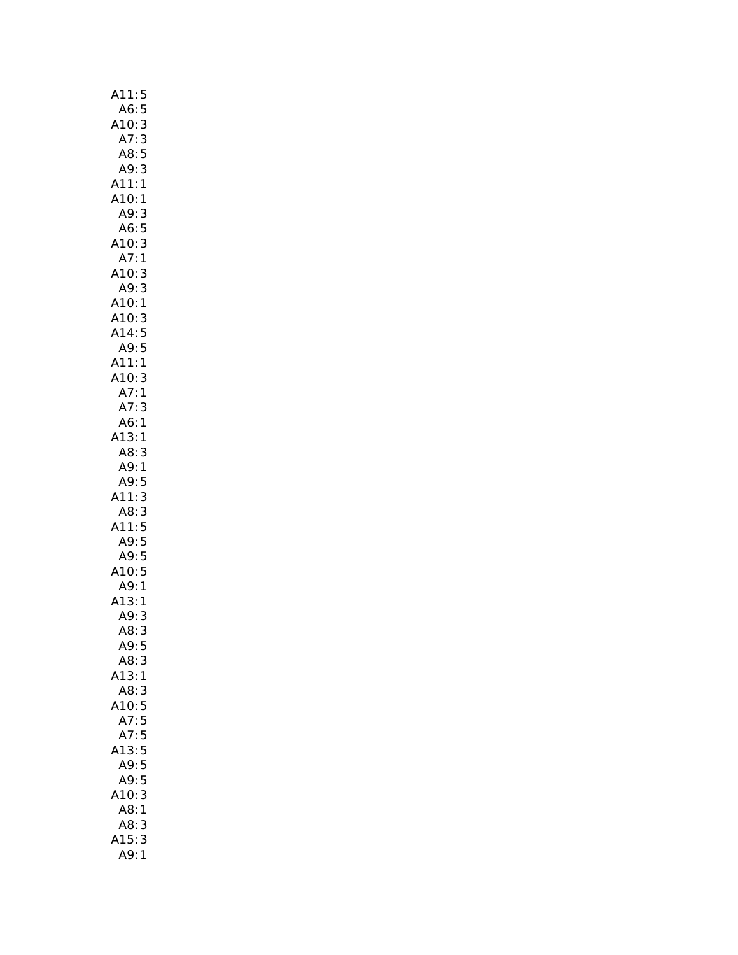| A11:<br>5                                                                                                      |
|----------------------------------------------------------------------------------------------------------------|
| A6:<br>5                                                                                                       |
| 3                                                                                                              |
| A10:<br>:A7                                                                                                    |
| $\frac{3}{5}$<br>A8:                                                                                           |
| A9:                                                                                                            |
| A11:<br>A10:<br>$\mathbf{1}$                                                                                   |
| 1                                                                                                              |
| A9:<br>3                                                                                                       |
| 5<br>3<br>1<br>A6:                                                                                             |
|                                                                                                                |
|                                                                                                                |
| $\begin{array}{c} 3 \\ 3 \\ 1 \end{array}$                                                                     |
|                                                                                                                |
|                                                                                                                |
|                                                                                                                |
|                                                                                                                |
| A10:<br>A7:<br>A10:<br>A10:<br>A10:<br>A14:<br>A14:<br>A11:<br>$\begin{array}{c} 3 \\ 5 \\ 5 \\ 1 \end{array}$ |
|                                                                                                                |
| A10:<br>3                                                                                                      |
| A7:<br>$\mathbf{1}$                                                                                            |
| A7: 3<br>A6: 1<br>A13: 1<br>3                                                                                  |
|                                                                                                                |
|                                                                                                                |
| A8:<br>3                                                                                                       |
| A9:<br>A9:<br>1                                                                                                |
| 5<br>3                                                                                                         |
| A11:                                                                                                           |
| $-355$<br>A8:                                                                                                  |
| A11:                                                                                                           |
| A9:5<br>A9:5<br>A9:5<br>A10:5<br>A9:1<br>A13:1<br>A9:3                                                         |
|                                                                                                                |
|                                                                                                                |
|                                                                                                                |
|                                                                                                                |
| A8:<br>3                                                                                                       |
| A9:<br>5                                                                                                       |
| A8:<br>3                                                                                                       |
| A13:1                                                                                                          |
| A8:<br>3                                                                                                       |
| <b>10:</b><br>5                                                                                                |
| A7:<br>5                                                                                                       |
| A7:<br>5                                                                                                       |
| 5<br>A13:                                                                                                      |
| 5<br>A9:                                                                                                       |
| 5<br>A9:                                                                                                       |
| A10:<br>3                                                                                                      |
| A8:<br>1                                                                                                       |
| A8:<br>3                                                                                                       |
| A15:<br>3                                                                                                      |
| A9:<br>1                                                                                                       |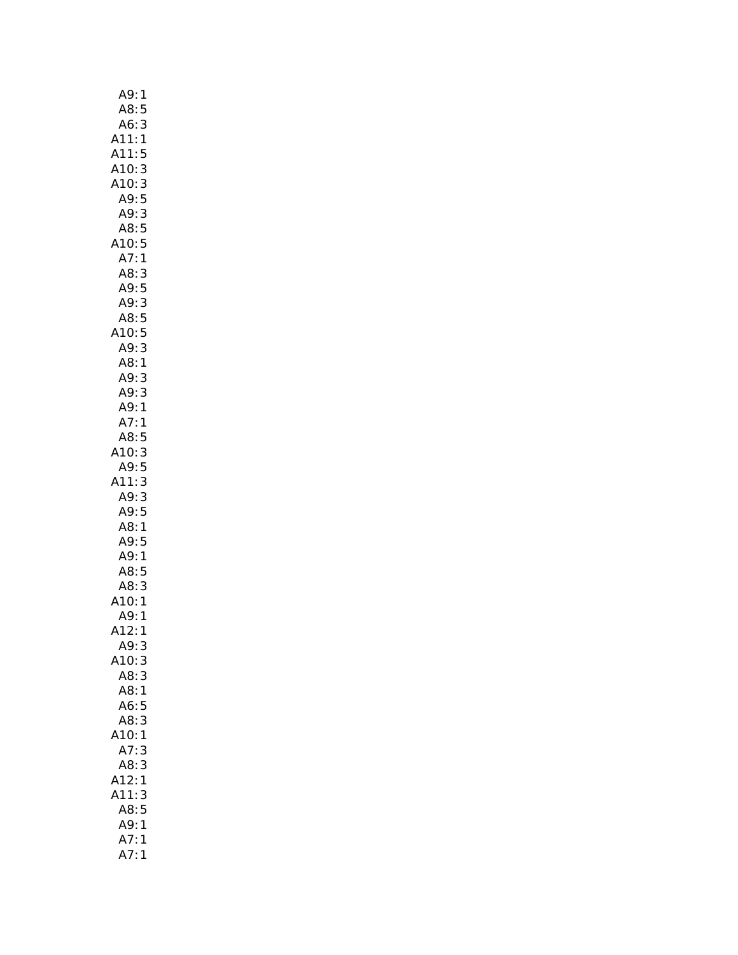| A9:<br>1                                 |
|------------------------------------------|
| A8:<br>5                                 |
| 3<br>A6:                                 |
| A11:<br>A11:<br>A10:<br>A10:<br>A9:<br>1 |
| 5                                        |
| 3                                        |
|                                          |
| 3<br>5                                   |
| A9: 3<br>A8: 5                           |
|                                          |
| A10:5                                    |
| $\mathbf{1}$<br>A7:                      |
| A8: 3<br>A9: 5<br>A9: 3<br>A8: 5         |
|                                          |
|                                          |
|                                          |
|                                          |
|                                          |
| A10:5<br>A9:3<br>A8:1<br>A9:3            |
|                                          |
| A9:<br>3                                 |
| 1<br>A9:                                 |
| A7:<br>$\mathbf{1}$                      |
| A8:<br>5                                 |
|                                          |
|                                          |
| 10:3<br>A9:5<br>.11:3<br>11:             |
| 3<br>A9:                                 |
|                                          |
| A9: 5<br>A8: 1                           |
| A9:5                                     |
| A9:1                                     |
| A8:5                                     |
| A8:<br>3                                 |
| 10:<br>1                                 |
| A9:<br>1                                 |
| $\lambda$ 12:<br>1                       |
| A9:3                                     |
| A10:<br>3                                |
| A8:<br>3                                 |
| A8:<br>1                                 |
| A6:<br>5                                 |
| 3<br>A8:                                 |
| A10:1                                    |
| A7:<br>3                                 |
| A8:<br>3                                 |
| A12:<br>$\mathbf{1}$                     |
| A11:<br>3                                |
| A8:5                                     |
| A9:1                                     |
| 1                                        |
| A7:<br>A7:<br>1                          |
|                                          |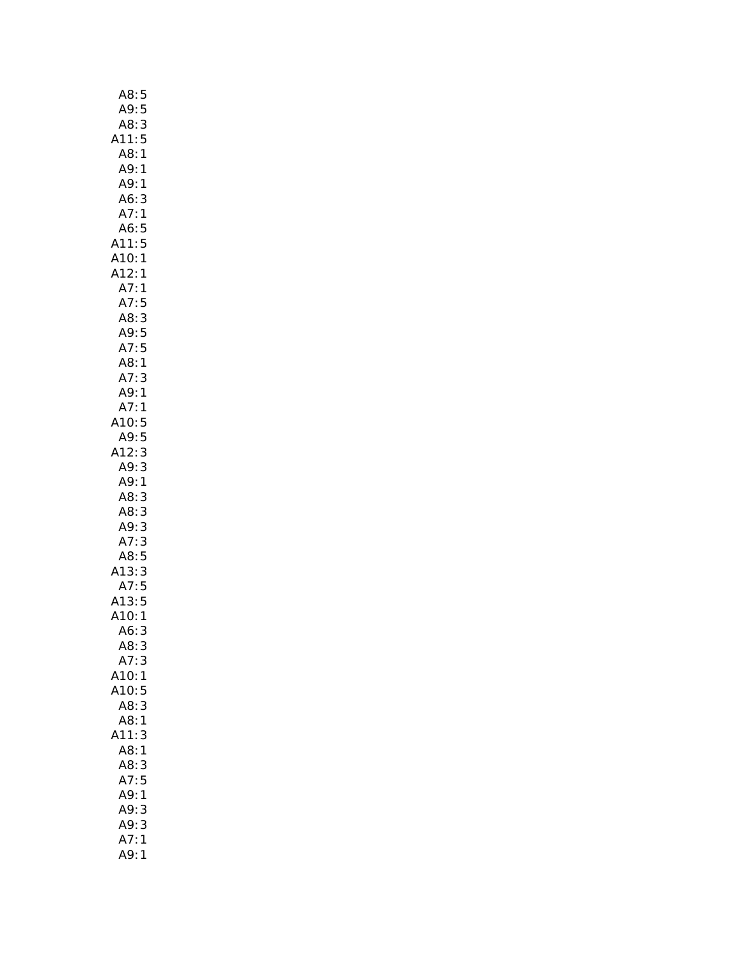| A8:5                                   |              |
|----------------------------------------|--------------|
| A9:5                                   |              |
| A8:                                    | 3            |
| A11:                                   | 5            |
|                                        |              |
| A8:                                    | $\mathbf{1}$ |
| A9:                                    | $\mathbf{1}$ |
| A9:                                    | $\mathbf{1}$ |
| A6:                                    | 3            |
| A7:                                    | $\mathbf{1}$ |
| A6:                                    | 5            |
| A11:5                                  |              |
| A10:1                                  |              |
|                                        |              |
| A12:                                   | 1            |
| A7:                                    | 1            |
| A7:                                    | 5            |
| A8:3                                   |              |
|                                        |              |
|                                        |              |
| A9:5<br>A7:5<br>A8:1                   |              |
| A7:3                                   |              |
|                                        |              |
| A9:1                                   |              |
| A7:                                    | 1            |
| A10:                                   | 5            |
| A9:5                                   |              |
| A12:3                                  |              |
| A9: 3                                  |              |
| A9:1                                   |              |
|                                        |              |
| A8:                                    | 3            |
| A8:3                                   |              |
| A9:3                                   |              |
| A7: 3<br>A8: 5                         |              |
|                                        |              |
| A13:3                                  |              |
|                                        |              |
|                                        |              |
|                                        |              |
| A7:5<br>A7:5<br>A13:5<br>A10:1<br>A6:3 |              |
|                                        |              |
| A8:3                                   |              |
| A7:3                                   |              |
| A10:                                   | 1            |
| A10:                                   | 5            |
| A8:3                                   |              |
| A8:1                                   |              |
| A11:                                   | 3            |
|                                        |              |
| A8:1                                   |              |
| A8:3                                   |              |
| A7:5                                   |              |
| A9:1                                   |              |
| A9:                                    | 3            |
| A9:3                                   |              |
| A7:                                    | 1            |
| A9:                                    | 1            |
|                                        |              |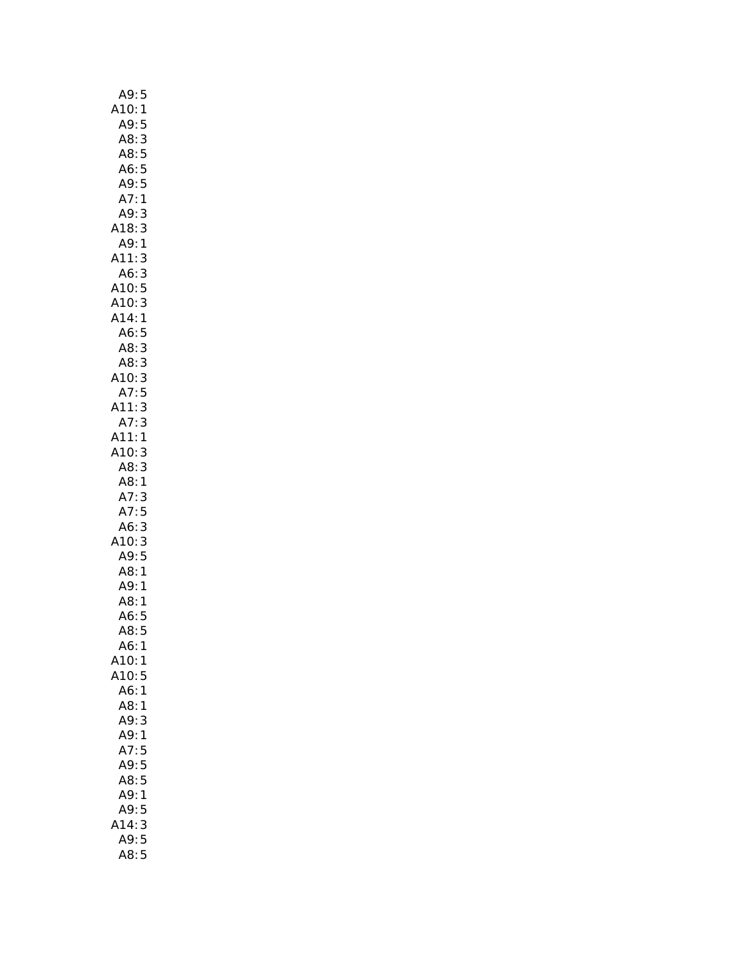| A9:<br>5                                                          |
|-------------------------------------------------------------------|
| A10:<br>$\mathbf{1}$                                              |
|                                                                   |
|                                                                   |
|                                                                   |
|                                                                   |
| A9:5<br>A8:3<br>A8:5<br>A6:5<br>A9:5                              |
| A7:1                                                              |
| A9:<br>3                                                          |
| A18:<br>3                                                         |
| $\mathbf{1}$<br>A9:                                               |
| A11:                                                              |
| A6:                                                               |
| - - - - -<br>A10:<br>A14:                                         |
|                                                                   |
|                                                                   |
| 335315<br>A6:5<br>A8:3<br>A8:3<br>A10:3<br>A11:3<br>A7:3<br>A11:1 |
|                                                                   |
|                                                                   |
|                                                                   |
|                                                                   |
|                                                                   |
|                                                                   |
|                                                                   |
| A10:<br>3                                                         |
| 3                                                                 |
| A8:<br>A8:<br>A7:<br>$\mathbf{1}$                                 |
| 3                                                                 |
| A7:5<br>A7:5<br>A6:3<br>A9:5<br>A8:1<br>A9:1<br>A8:1              |
|                                                                   |
|                                                                   |
|                                                                   |
|                                                                   |
|                                                                   |
| A6:5                                                              |
| A8:<br>5                                                          |
| A6:<br>1                                                          |
| A10:<br>1                                                         |
| A10:<br>5                                                         |
| A6:<br>1                                                          |
| A8:<br>1                                                          |
| A9:<br>3                                                          |
| A9:<br>1                                                          |
| A7:<br>5                                                          |
| 5<br>A9:                                                          |
| A8:<br>5                                                          |
| A9:<br>1                                                          |
| A9:<br>5                                                          |
| A14:<br>3                                                         |
| 5<br>A9:                                                          |
| A8:<br>5                                                          |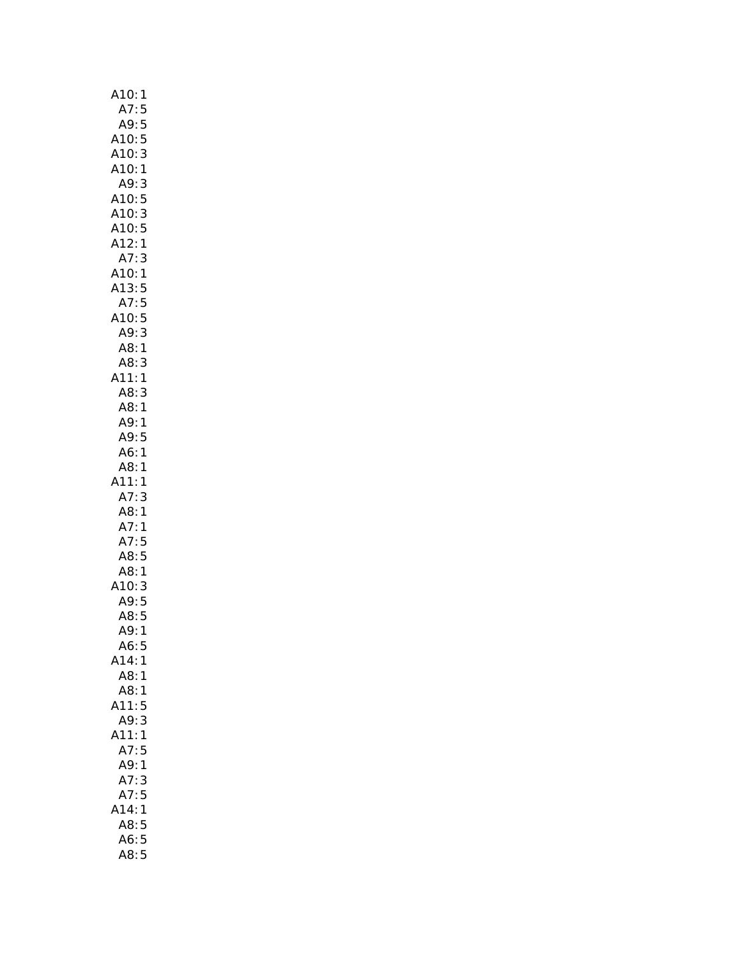| A10:<br>1                |
|--------------------------|
| A7:<br>5                 |
| A9:<br>5                 |
| A10:<br>5                |
| 3<br>A10:                |
| A10:1                    |
| A9:<br>3                 |
| A10:5                    |
| 3<br>A10:                |
| $\frac{5}{1}$            |
| A10:<br>A12:<br>A7:      |
| 3                        |
| A10:<br>1                |
| A13:<br>5<br>5<br>5<br>5 |
| A7:                      |
| A10:<br><br>A9:          |
| 3                        |
| A8:<br>1                 |
| A8:<br>3                 |
| A11:<br>1                |
| A8:<br>3<br>A8:          |
| $\mathbf{1}$<br>A9:1     |
| A9:<br>5                 |
| A6:<br>1                 |
| A8:<br>1                 |
| $\sqrt{11}$<br>1         |
| A7:<br>3                 |
| A8:<br>1                 |
| 1                        |
| A7:<br>A7:               |
| д7:5<br>А8:5<br>А¤       |
| A8:<br>$\mathbf{1}$      |
| .ت<br>:A10<br>:A9        |
| $\frac{3}{5}$            |
| 5<br>A8:                 |
| A9:<br>1                 |
| A6:<br>5                 |
| A14:<br>1                |
| A8:<br>1                 |
| A8:<br>1                 |
| A11:<br>5                |
| A9:<br>3                 |
| A11:<br>1                |
| A7:<br>5                 |
| A9:<br>1                 |
| $A7$ :<br>3              |
| A7:<br>5                 |
| A14:<br>1                |
| 5<br>A8:                 |
| 5<br>A6:                 |
| A8:<br>5                 |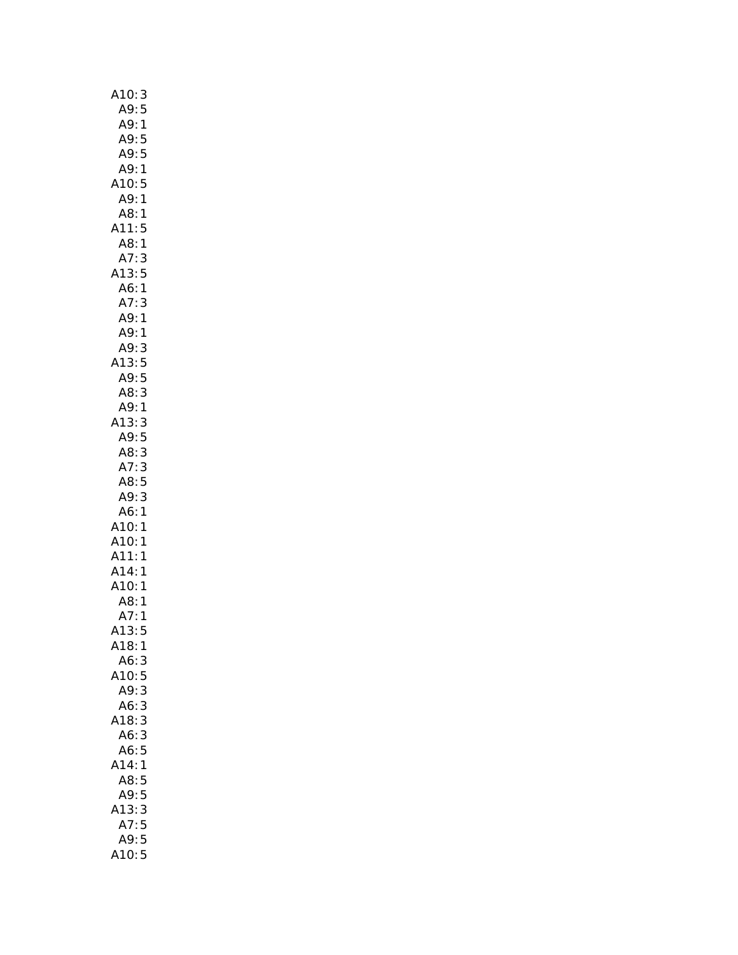| A10: 3                  |
|-------------------------|
| A9:<br>5                |
| A9:<br>$\mathbf{1}$     |
| A9:<br>5                |
| A9:5                    |
| A9:<br>$\mathbf{1}$     |
| A10:5                   |
| A9:1                    |
| A8:<br>1                |
| A11:<br>5               |
| A8:<br>$\mathbf{1}$     |
| A7:<br>3                |
| A13:5<br>A6:1           |
|                         |
| A7:<br>3                |
| A9:1                    |
| A9:<br>1                |
| A9:<br>3                |
| A13:5                   |
| A9:5                    |
| 3<br>A8:                |
| A9:1                    |
| A13:<br>3<br>A9:5       |
| 3<br>A8:                |
| A7:<br>3                |
| A8:<br>5                |
|                         |
|                         |
| A9:<br>3                |
| $\mathbf{1}$<br>A6:     |
|                         |
|                         |
| A10:1<br>A10:1<br>A11:1 |
| A14:1                   |
|                         |
| .<br>A10:1<br>A8:1      |
| A7:<br>1                |
| A13:5<br>A18:1          |
| A6:3                    |
| A10:5                   |
| A9:3                    |
| A6:3                    |
| A18:3                   |
| A6:<br>3                |
| 5<br>A6:                |
| A14:<br>1               |
| A8:<br>5                |
| A9:<br>5                |
| A13:<br>3               |
| 5<br>A7:                |
| A9:5<br>A10:5           |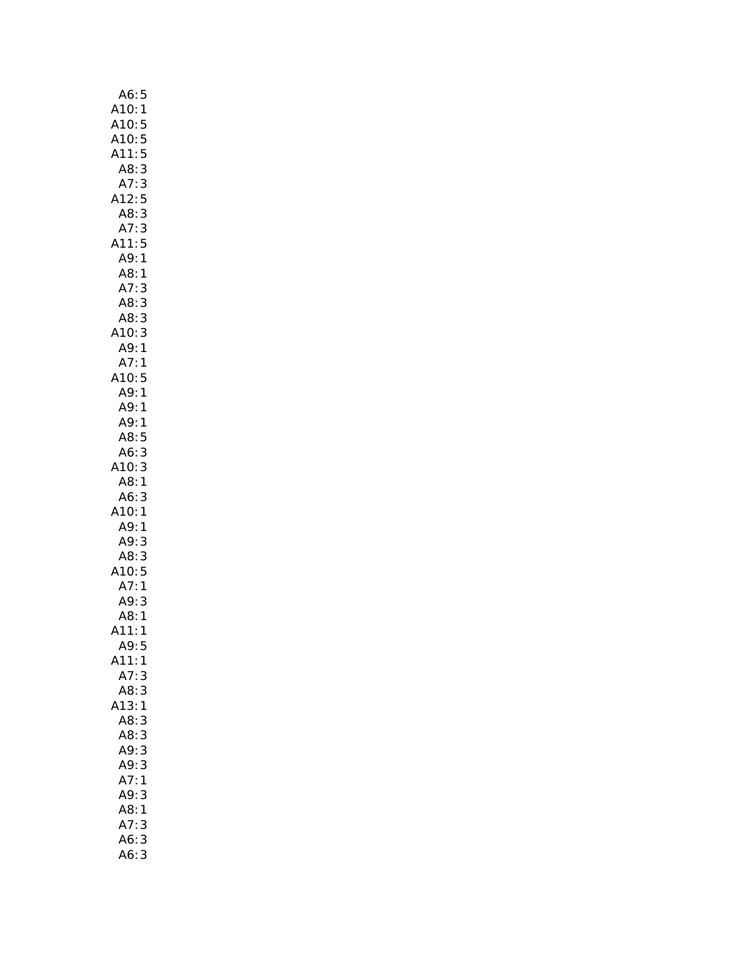| A6:5               |              |
|--------------------|--------------|
| A10:1              |              |
|                    |              |
| <br>A10:5<br>A10:5 |              |
| A11:               | 5            |
| A8:                | $\mathsf{3}$ |
| A7:                | 3            |
| A12:               | 5            |
|                    |              |
| A8: 3              |              |
| A7:3               |              |
| A11:5              |              |
| A9:1               |              |
| A8:1               |              |
| A7:                | 3            |
| A8:3               |              |
| A8:3               |              |
| A10:3              |              |
| A9:1               |              |
| A7:1               |              |
| A10:5              |              |
| A9:1               |              |
|                    |              |
| A9:                | 1            |
| A9:1               |              |
| A8:                | 5            |
| A6:3               |              |
| A10: 3             |              |
| A8:1               |              |
| A6:                | 3            |
| A10:1              |              |
| A9:1               |              |
| A9:3               |              |
| A8:3               |              |
| A10:5              |              |
|                    |              |
| A7:1               |              |
| A9:                | 3            |
| A8:1               |              |
| 11:1<br>Λ          |              |
| A9:5               |              |
| A11:               | 1            |
| A7:                | 3            |
| A8:3               |              |
| A13:1              |              |
| A8:3               |              |
| A8:3               |              |
| A9:3               |              |
| A9:3               |              |
|                    |              |
| A7:1               |              |
| A9:                | 3            |
| A8:1               |              |
| A7:3               |              |
| A6:                | 3            |
| A6:3               |              |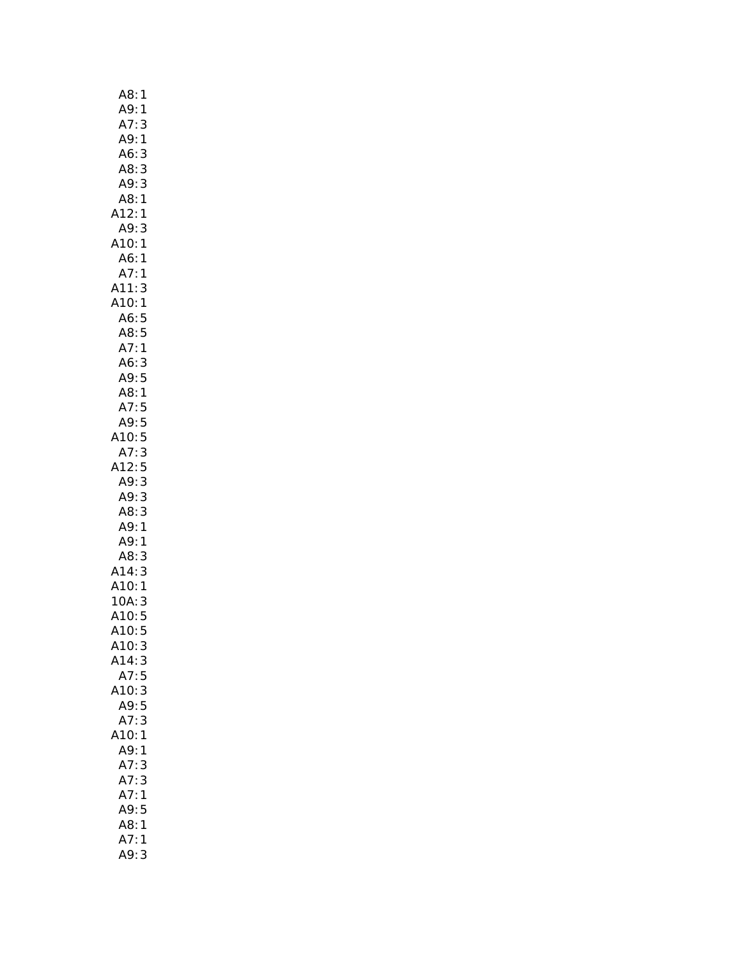| A8:<br>1                               |
|----------------------------------------|
| A9:<br>1                               |
| A7:<br>3                               |
| A9:<br>$\mathbf{1}$                    |
| A6:<br>3                               |
| A8:3                                   |
| 3<br>A9:                               |
| A8:1                                   |
| A12:1                                  |
| 3<br>A9:                               |
| A10:1                                  |
| A6:1                                   |
| A7:1                                   |
| A11:3<br>A10:1                         |
|                                        |
| A6:5<br>A8:5                           |
|                                        |
| A7:1                                   |
| A6:<br>3                               |
| 5<br>A9:                               |
| A8:1                                   |
| A7:5                                   |
| A9:5                                   |
| A10:5<br>A7:3                          |
| A12:5                                  |
| A9:3                                   |
| A9:3                                   |
| 3<br>A8:                               |
| A9:1                                   |
|                                        |
| $A9:1$<br>$A8:3$<br>$A14:3$<br>$A10:1$ |
|                                        |
|                                        |
| 10A:3                                  |
| A10:5                                  |
| A10:<br>5                              |
| A10:<br>3                              |
| A14:3                                  |
| A7:5                                   |
| A10:3                                  |
| A9:5                                   |
| 3<br>A7:                               |
| A10:1                                  |
| A9:1                                   |
| A7:<br>3                               |
| A7:3                                   |
| A7:<br>1                               |
| A9:5                                   |
| A8:1                                   |
| A7:<br>1                               |
| A9: 3                                  |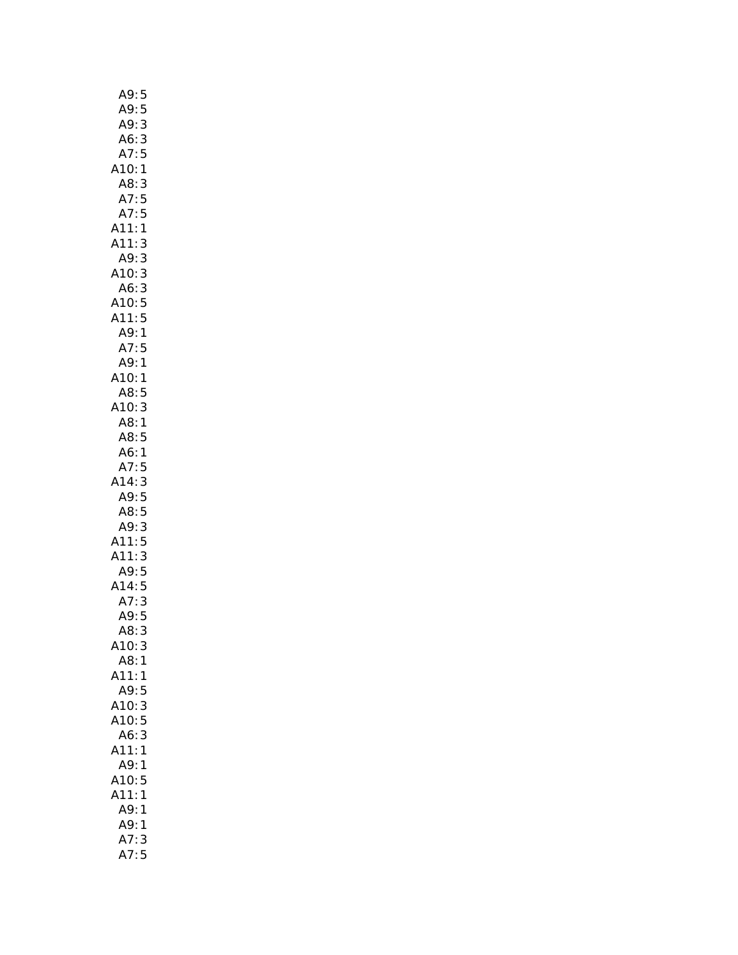| A9:5                     |                |
|--------------------------|----------------|
| A9:                      | 5              |
| A9:                      | 3              |
| A6:                      | $\overline{3}$ |
| A7:5                     |                |
| A10:1                    |                |
| A8:3                     |                |
| A7:5                     |                |
| A7:5                     |                |
| A11:1                    |                |
| A11:                     | 3              |
| A9:3                     |                |
| A10:3                    |                |
| A6:3                     |                |
| A10:5                    |                |
| A11:5                    |                |
| A9:                      | $\mathbf{1}$   |
| A7:5                     |                |
| A9:1                     |                |
| A10:1                    |                |
|                          |                |
| $A = 5$<br>A8:5<br>A10:3 |                |
|                          |                |
| A8:1                     |                |
| A8:5                     |                |
| A6:1                     |                |
| A7:5                     |                |
| A14:3                    |                |
| A9:5                     |                |
| A8:5                     |                |
| A9:3                     |                |
| A11:5                    |                |
| A11:                     | 3              |
| A9:5                     |                |
| A14:5                    |                |
| A7:                      | 3              |
| A9:5                     |                |
| A8:3                     |                |
| A10:                     | 3              |
| A8:                      | 1              |
| A11:                     | 1              |
| A9:                      | 5              |
| A10:                     | 3              |
| A10:                     | 5              |
| A6:                      | 3              |
| A11:                     | $\mathbf{1}$   |
| A9:                      | 1              |
| A10:                     | 5              |
| A11:                     | 1              |
| A9:                      | 1              |
| A9:                      |                |
|                          | 1              |
| A7:<br>A7:               | 3              |
|                          | 5              |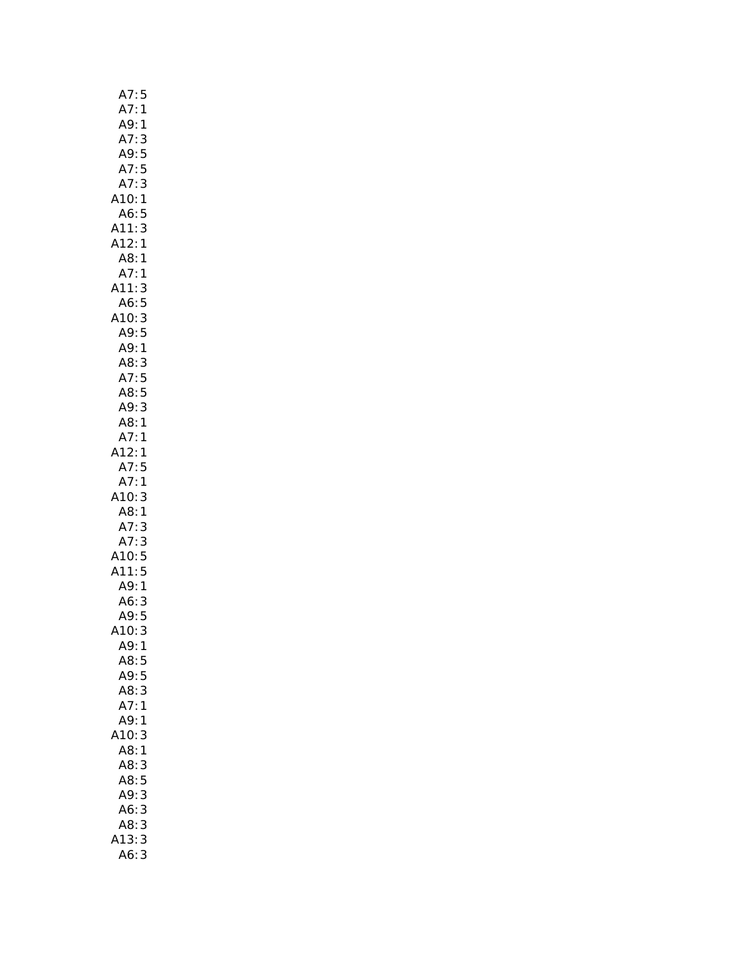| A7:5                       |
|----------------------------|
| A7:1                       |
| .<br>A9: 1                 |
| A7:3                       |
| A9:5                       |
| A7:<br>5                   |
| A7:3                       |
| A10:1                      |
|                            |
| A6:5                       |
| A11:3                      |
| A12:1                      |
| A8:1                       |
| A7:1                       |
| A11:3                      |
| A6:5                       |
| A10:3                      |
| A9:5                       |
| A9:1                       |
| A8:<br>3                   |
| A7:5                       |
|                            |
| A8: 5<br>A9: 3             |
|                            |
| A8:1                       |
| A7:1                       |
| A12:1                      |
| A7:5                       |
| A7:1                       |
| A10:<br>3                  |
| A8:1                       |
| A7:3                       |
| A7:3                       |
| A10:5                      |
| A11:5                      |
|                            |
| A9:1                       |
| A6:3                       |
| A9:5                       |
| (10<br>3<br>$\mathbf{)}$ : |
| A9:1                       |
| A8:<br>5                   |
| A9:<br>5                   |
| A8:<br>3                   |
| A7:<br>1                   |
| A9:<br>1                   |
| .10:<br>3                  |
| A8:1                       |
| A8:<br>3                   |
|                            |
| A8:5                       |
| A9:3                       |
| 3<br>A6:                   |
| A8:<br>3                   |
| 13:<br>3                   |
| A6:<br>3<br>€              |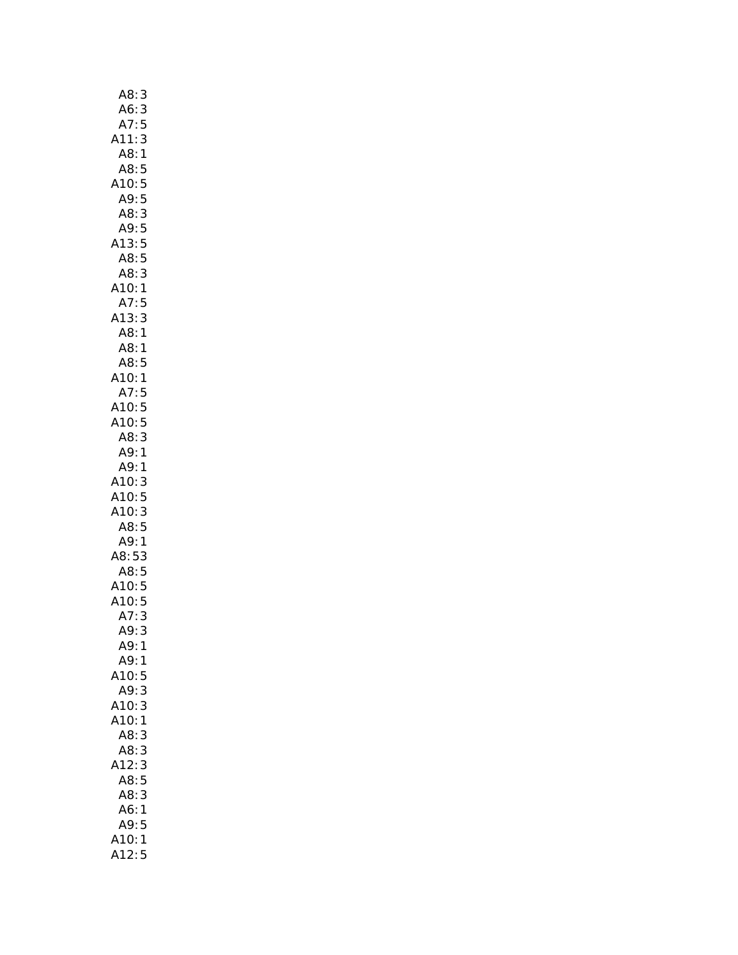| A8:<br>3             |
|----------------------|
| A6:<br>3             |
| A7:<br>5             |
| A11:<br>3            |
| A8:<br>1             |
| A8:<br>5             |
| A10:<br>5            |
| 5<br>A9:             |
| A8:<br>3             |
| A9:<br>5             |
| A13:<br>5            |
| 5<br>A8:             |
| A8:<br>3             |
| A10:<br>1            |
| A7:<br>5             |
| 3<br>A13:            |
| A8:<br>1             |
| A8:<br>1             |
| AB:<br>5             |
| A10:<br>$\mathbf{1}$ |
| A7:<br>5             |
| 5<br>A10:            |
| A10:5                |
| A8:<br>3             |
| A9:1                 |
| A9:1                 |
| A10:<br>3            |
| A10:<br>5            |
| A10:<br>3            |
| A8:5                 |
| A9:<br>1             |
| A8:5<br>3            |
| .<br>A8: 5           |
|                      |
|                      |
| A7:3                 |
|                      |
| A9:<br>3             |
| A9:1                 |
| A9:<br>1             |
| A10:<br>5            |
| A9:<br>3             |
| A10:<br>3            |
| A10:<br>1            |
| A8:<br>3             |
| A8:<br>3             |
| A12:<br>3            |
| 5<br>A8:             |
| A8:<br>3             |
| A6:<br>1             |
| A9:<br>5             |
| A10:<br>$\mathbf{1}$ |
| 12:<br>5             |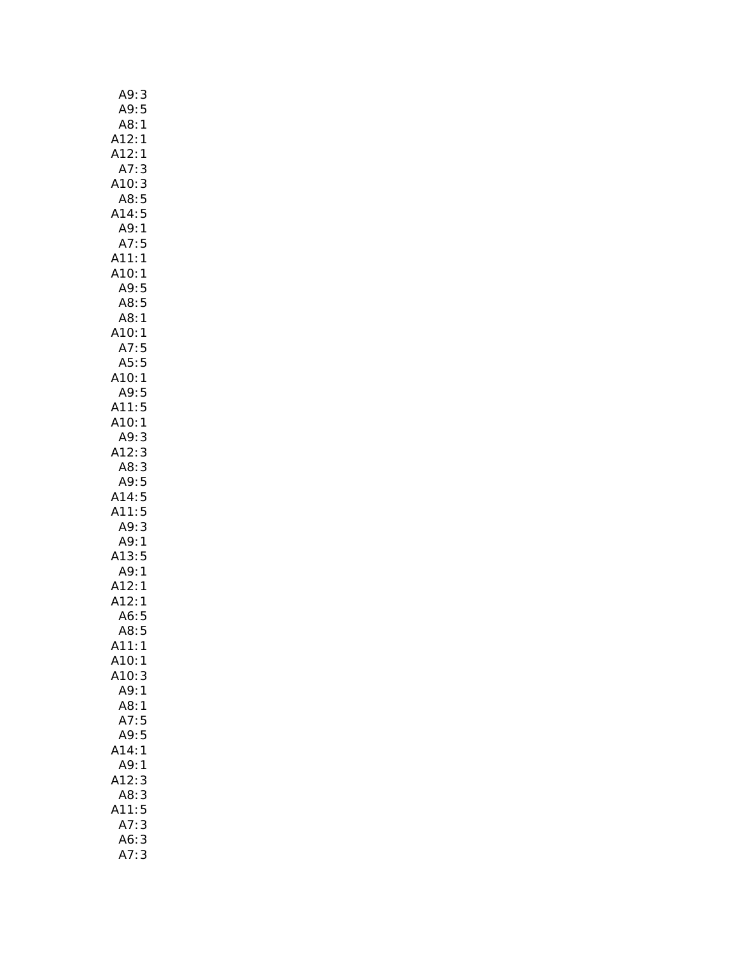| A9:<br>3                       |
|--------------------------------|
| A9:5                           |
| A8:<br>1                       |
|                                |
| ا<br>1:A12<br>1 - ^<br>1 - ^   |
| A7:3                           |
| A10:3                          |
| A8:5                           |
| A14:5                          |
| A9:1                           |
| A7:5                           |
| A11:1                          |
| A10:1                          |
| A9:5                           |
| A8:5                           |
| A8:1                           |
| A10:1                          |
|                                |
| A7:5                           |
| A5:5<br>A10:1                  |
|                                |
| .1u.<br>A9:5<br>11:5           |
| A11:                           |
| A10:1                          |
| A9:3                           |
| A12:3                          |
| A8:3                           |
| A9:5                           |
| A14:5                          |
| A11:5                          |
| A9:3                           |
| A9:1                           |
| A13:5                          |
| بوبر<br>49:1<br>412:1<br>412:1 |
|                                |
|                                |
| A6:5                           |
| A8:5                           |
| A11:<br>1                      |
| A10:<br>1                      |
| A10:<br>3                      |
| A9:<br>$\mathbf{1}$            |
| A8:<br>$\mathbf{1}$            |
| A7:<br>5                       |
| 5<br>A9:                       |
| A14:<br>1                      |
| A9:<br>1                       |
| A12:<br>3                      |
| A8:<br>3                       |
| 5<br>A11:                      |
| A7:<br>3                       |
| 3                              |
| A6:<br>A7:<br>3                |
|                                |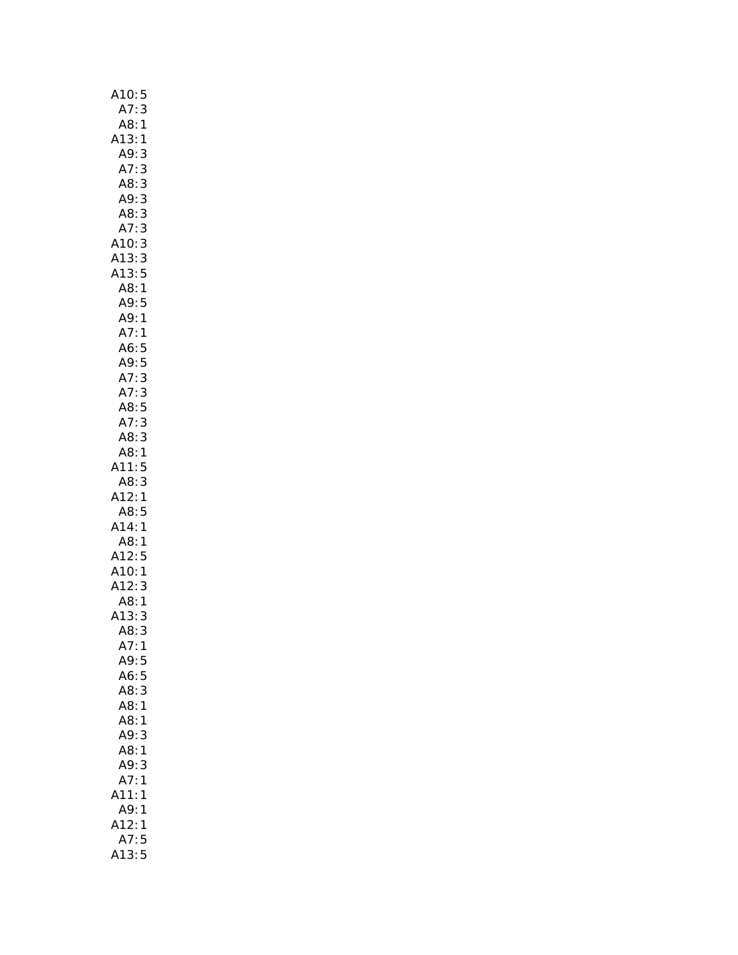| A10:5                            |  |
|----------------------------------|--|
| A7:<br>3                         |  |
| A8:<br>1                         |  |
| A13:1                            |  |
| A9:<br>3                         |  |
| A7:<br>A8:                       |  |
| 3<br>3<br>3<br>3                 |  |
| A9:                              |  |
| A8:                              |  |
| 3<br>A7:                         |  |
| A10:3<br>A10:3<br>A13:5<br>A13:5 |  |
|                                  |  |
|                                  |  |
| A8:1                             |  |
| AS<br>49:5<br>49:1<br>47:1       |  |
|                                  |  |
|                                  |  |
|                                  |  |
| A6:5<br>A9:5<br>A7:3             |  |
|                                  |  |
| A7:3                             |  |
|                                  |  |
| A8:5<br>A7:3<br>A8:3             |  |
| A8:1                             |  |
| 11:5                             |  |
| 3                                |  |
| A8:<br>A12:<br>1                 |  |
| A8:5                             |  |
| A14:1                            |  |
| A8:<br>$\mathbf{1}$              |  |
| A3.<br>A12:<br>A10:<br>A12:      |  |
| $\frac{5}{1}$                    |  |
| 3                                |  |
| A8:<br>1                         |  |
| A13:<br>3                        |  |
| A8:<br>3                         |  |
| A7:<br>$\mathbf{1}$              |  |
| A9:5                             |  |
| A6:<br>5                         |  |
| 3<br>A8:                         |  |
| A8:1                             |  |
| A8:<br>1                         |  |
| A9:<br>3                         |  |
| A8:<br>1                         |  |
| A9:<br>3                         |  |
| A7:<br>1                         |  |
| A11:<br>1                        |  |
| A9:<br>1                         |  |
| A12:<br>1                        |  |
| A7:5                             |  |
| A13:<br>5                        |  |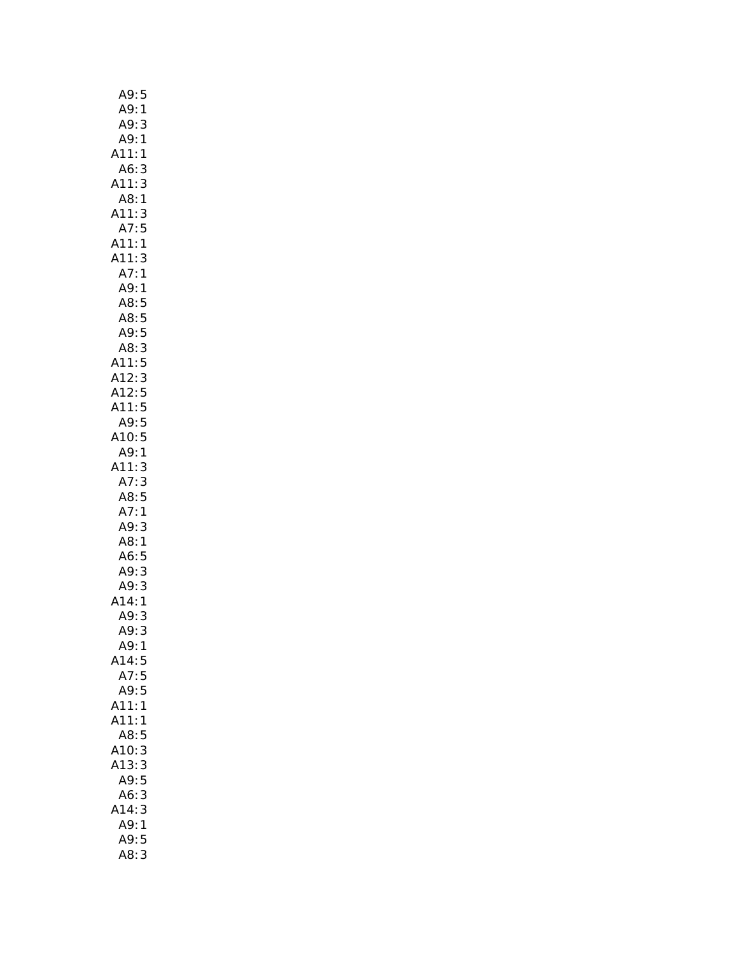| A9:5                                                         |  |
|--------------------------------------------------------------|--|
| A9:<br>1                                                     |  |
|                                                              |  |
| A9: 3<br>A9: 1<br>1                                          |  |
| A11:<br>1                                                    |  |
| A6:<br>3                                                     |  |
| 3<br>A11:                                                    |  |
| A8:1                                                         |  |
| A11:<br>3                                                    |  |
| A7:5                                                         |  |
| : 1<br>A11                                                   |  |
| A11<br>3<br>$\vdots$                                         |  |
| $\vdots$<br>A7:<br>A9:<br>A8:<br>1                           |  |
| 1                                                            |  |
| 5                                                            |  |
| AS:<br>A8:5<br>A9:5                                          |  |
|                                                              |  |
| A <sub>3</sub> .3<br>A8:3<br>A11:5<br>A12:5<br>A11:5<br>A9:5 |  |
|                                                              |  |
|                                                              |  |
|                                                              |  |
|                                                              |  |
|                                                              |  |
| A10:5                                                        |  |
| A9: 1<br>A11:                                                |  |
| 3                                                            |  |
| A7:<br>3<br>5<br>A8:                                         |  |
| A7:1                                                         |  |
| A9:<br>3                                                     |  |
| A8:<br>1                                                     |  |
| A6:5<br>A9:3                                                 |  |
|                                                              |  |
| A9:                                                          |  |
| $\begin{array}{c} 3 \\ 3 \\ 1 \end{array}$<br>14.            |  |
| A9:<br>3                                                     |  |
| A9:<br>3                                                     |  |
| A9:1                                                         |  |
| A14:5                                                        |  |
| A7:5                                                         |  |
| A9:5                                                         |  |
| A11:1                                                        |  |
| A11:1                                                        |  |
| A8:<br>5                                                     |  |
| A10:<br>3                                                    |  |
| A13:<br>3                                                    |  |
| A9:5                                                         |  |
| 3<br>A6:                                                     |  |
| 3<br>A14:                                                    |  |
| A9:<br>1                                                     |  |
| A9:5                                                         |  |
| A8:3                                                         |  |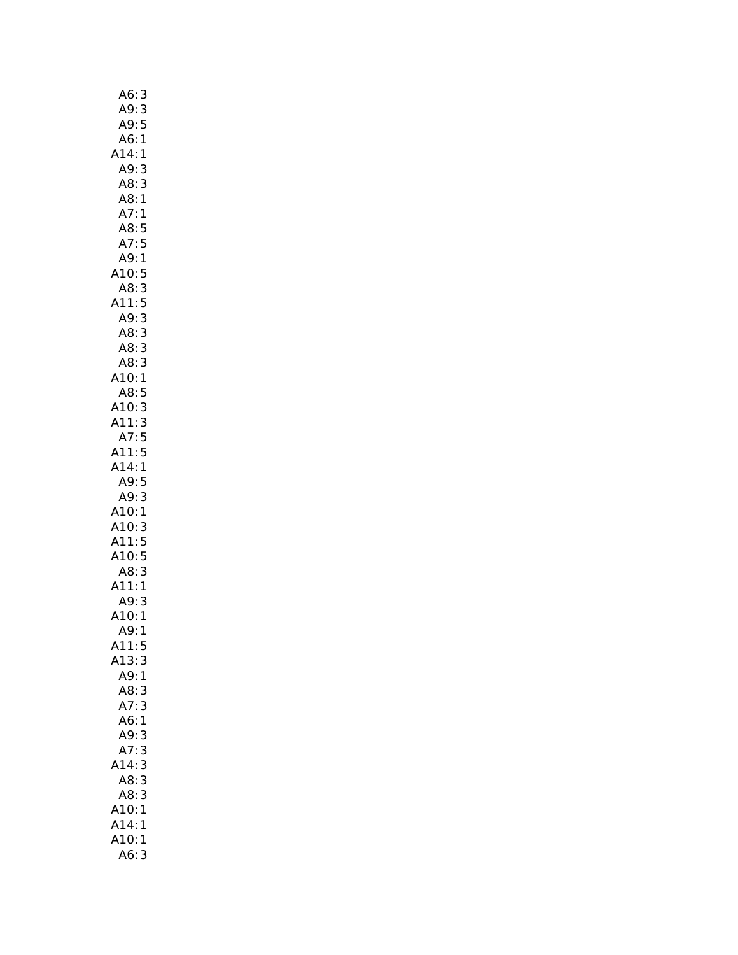| A6:<br>3                               |
|----------------------------------------|
| A9:<br>3                               |
| A9:<br>5                               |
| A6:<br>$\mathbf{1}$                    |
| A14:<br>1                              |
| A9:<br>3                               |
| A8:<br>3                               |
| A8:1                                   |
| A7:1                                   |
| A8:5                                   |
| A7:5                                   |
| A9:1                                   |
| A10:<br>5                              |
| A8:<br>3                               |
| $\frac{5}{3}$<br>A11:                  |
| A9:                                    |
| A8:<br>3                               |
| $\overline{AB}$<br>3                   |
| A8:<br>3                               |
| A10:<br>1                              |
| A8:<br>5                               |
| A10:3                                  |
| A11:3                                  |
| A7:5                                   |
| A11:<br>5                              |
| A14:<br>$\mathbf{1}$                   |
| A9:5                                   |
|                                        |
| A9:<br>3                               |
| A10:<br>1                              |
| A10:<br>3                              |
| A11:5                                  |
|                                        |
| A10:5<br>A8:3                          |
| A11:<br>$\mathbf{1}$                   |
| A9:<br>3                               |
| A10:1                                  |
| A9:<br>1                               |
| A11:<br>5                              |
| 3<br>A13:                              |
| A9:<br>1                               |
| A8:<br>3                               |
| A7:<br>3                               |
| A6:1                                   |
| A9:<br>3<br>3                          |
| A7:                                    |
| A14:<br>3                              |
| 3<br>A8:                               |
| A8:<br>3                               |
| A10:<br>1                              |
| .<br>A14:<br>1<br>A10:<br>$\mathbf{1}$ |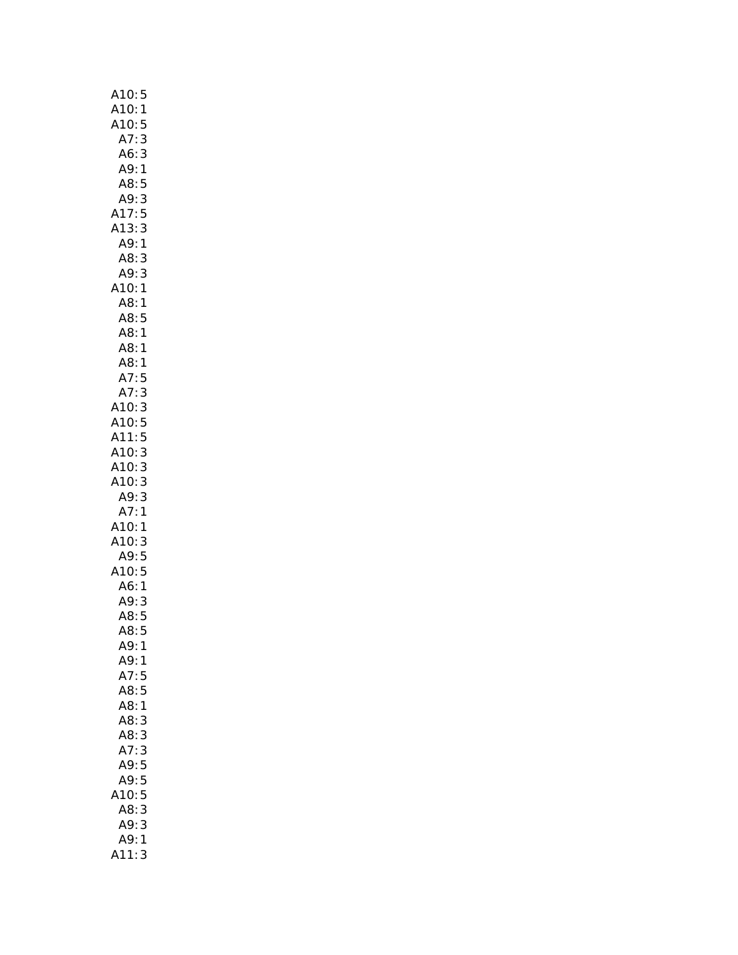| A10:5                            |
|----------------------------------|
| $\mathbf{1}$                     |
| 5                                |
| A10:<br>A10:<br>A10:<br>A7:<br>3 |
| A6:3                             |
| A9:1                             |
| A8:<br>5                         |
| 3<br>A9:                         |
| 5<br>A17:                        |
| 3<br>A13:                        |
| A9: 1                            |
| A8:<br>3                         |
| A9:<br>3                         |
| A10:1                            |
| A8:<br>1                         |
| .<br>A8:5                        |
|                                  |
| A8:<br>$\mathbf{1}$              |
| A8:1                             |
| A7:<br>5                         |
| 3<br>A7:                         |
| A10:3                            |
| A10:5                            |
| A11:5                            |
| 3<br>A10:                        |
|                                  |
| A10:3                            |
| A10:3                            |
| A9:3                             |
| A7:1                             |
| A10:1                            |
| A10:3                            |
| A9:5                             |
| A10:5                            |
| A6: 1<br>A9: 3                   |
|                                  |
| A8:5                             |
| A8:<br>5                         |
| A9:<br>1                         |
| A9:<br>$\mathbf{1}$              |
| A7:<br>5                         |
| A8:5                             |
| A8:1                             |
| A8:<br>3                         |
| A8:<br>3                         |
| A7:<br>3                         |
| A9:5                             |
| A9:<br>5                         |
| 5<br>10:                         |
| A8:<br>3                         |
| A9:<br>3                         |
|                                  |
| A9:<br>1                         |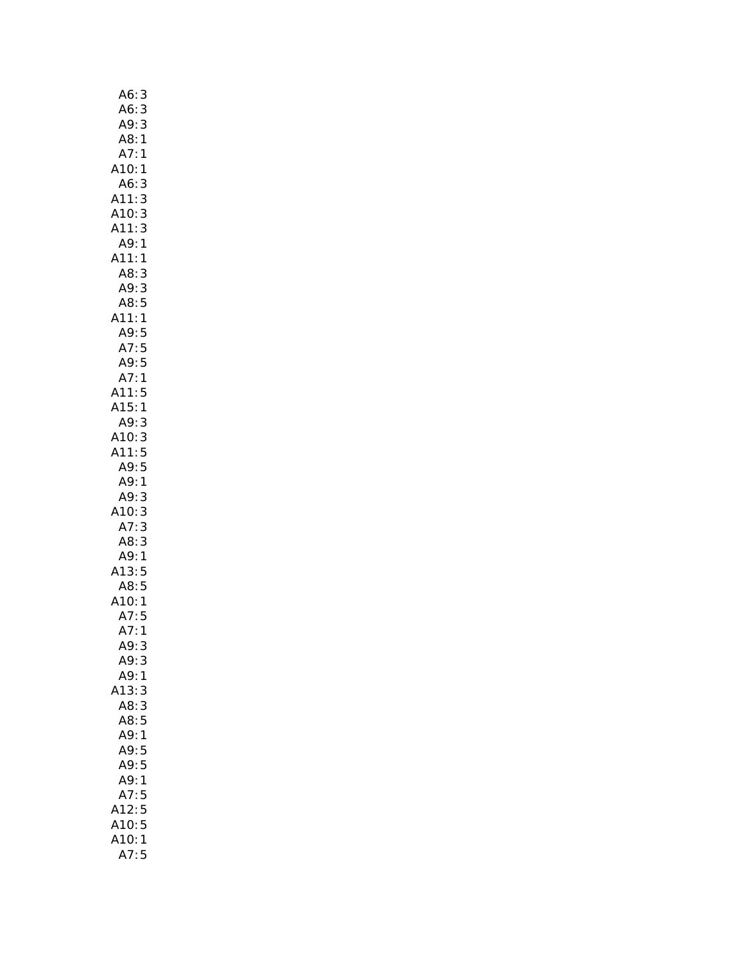| 3<br>A6:                 |
|--------------------------|
| 3                        |
| A6:<br>A9:<br>3          |
| A8:<br>$\mathbf{1}$      |
| A7:<br>$\mathbf{1}$      |
| A10:<br>1                |
| A6:<br>3                 |
| A11:3                    |
| 3<br>A10:                |
| 3<br>A11:                |
| A9:1                     |
| A11:1                    |
| A8:<br>3                 |
| A9:<br>3                 |
| A8:5                     |
| A11:<br>$\mathbf{1}$     |
| <br>A9:5<br>A9:5<br>A9:5 |
|                          |
| $\overline{1}$<br>A7:    |
|                          |
| A11:5<br>A15:1           |
| A9:<br>3                 |
| A10:3                    |
| A11:5                    |
| A9:5                     |
| A9:1                     |
| A9:<br>3                 |
| A10: 3                   |
| A7:3                     |
| AB:3                     |
| A9:1                     |
| A13:5                    |
| A8:5                     |
| A10:1                    |
| A7:5                     |
| A7:<br>1                 |
| A9:<br>3                 |
| A9:<br>3                 |
| A9:<br>1                 |
| 13:<br>3<br>Δ            |
| 3<br>A8:                 |
| 5<br>A8:                 |
| A9:<br>$\overline{1}$    |
| A9:5                     |
| A9:5                     |
| A9:1                     |
| A7:5                     |
| A12:<br>5                |
| 5<br>A10:                |
| A10:<br>1<br>5<br>A7:    |
|                          |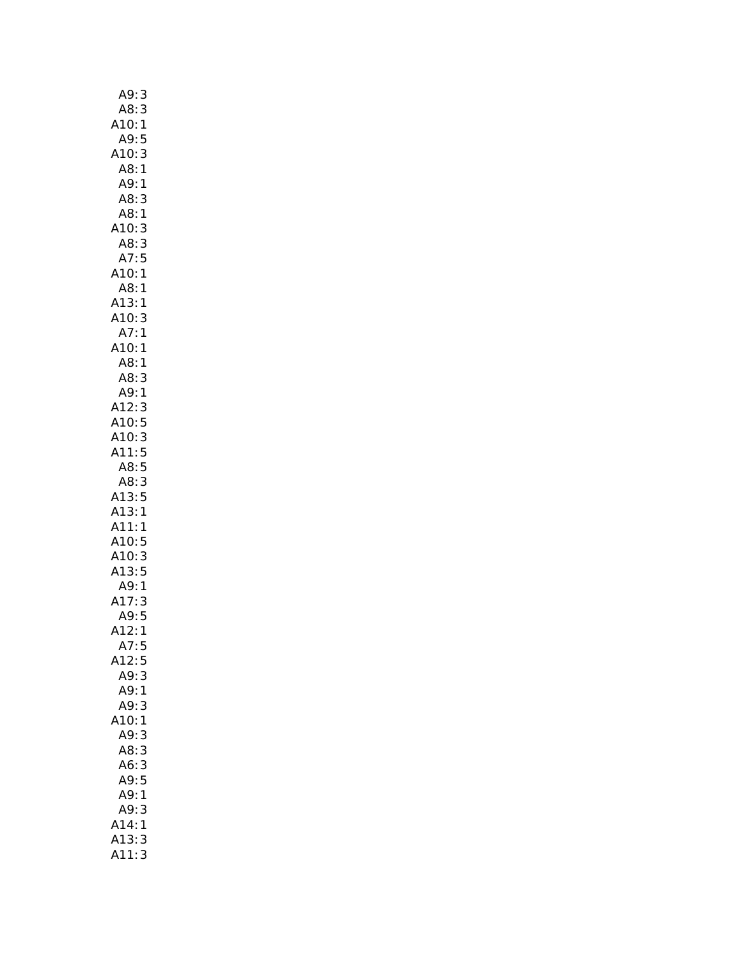| A9:<br>3                                 |
|------------------------------------------|
| A8:<br>3                                 |
| $.10$<br>A9:<br>A9:<br>$\mathbf{1}$      |
| 5                                        |
| A10:<br>3                                |
| A8:                                      |
| $\mathbf{1}$<br>A9:                      |
| $\overline{\phantom{a}}$                 |
| A8:<br>3                                 |
| A8:1                                     |
| 3<br>A10:                                |
| 3<br>A8:                                 |
| A7:5                                     |
| A10:1                                    |
| A8:1                                     |
| A13:<br>$\mathbf{1}$                     |
| A10:<br>3                                |
| A7:<br>$\mathbf{1}$                      |
|                                          |
| A10:<br>A8:<br>$\mathbf{1}$              |
| $\mathbf{1}$                             |
| 3                                        |
| AB: A9: A12:<br>$\mathbf{1}$             |
| 3                                        |
| 5<br>A10:                                |
| A10:3                                    |
|                                          |
|                                          |
| A11:5                                    |
| A8:5                                     |
| 3<br>A8:                                 |
| A13:<br>5                                |
| A13:1                                    |
| A11:1                                    |
|                                          |
|                                          |
|                                          |
|                                          |
|                                          |
| A10:5<br>A10:5<br>A13:5<br>A9:1<br>A17:3 |
| A9:5                                     |
| 412:<br>1                                |
| A7:<br>5                                 |
| A12:<br>5                                |
| A9:<br>3                                 |
| A9:<br>1                                 |
| A9:<br>3                                 |
| 10:<br>$\mathbf{1}$                      |
| A9:<br>3                                 |
| 3<br>A8:                                 |
|                                          |
| A6:<br>3                                 |
| A9:<br>5                                 |
| A9:<br>1                                 |
| A9:<br>3                                 |
| A14:<br>1                                |
| A13:<br>3<br>A11:<br>3                   |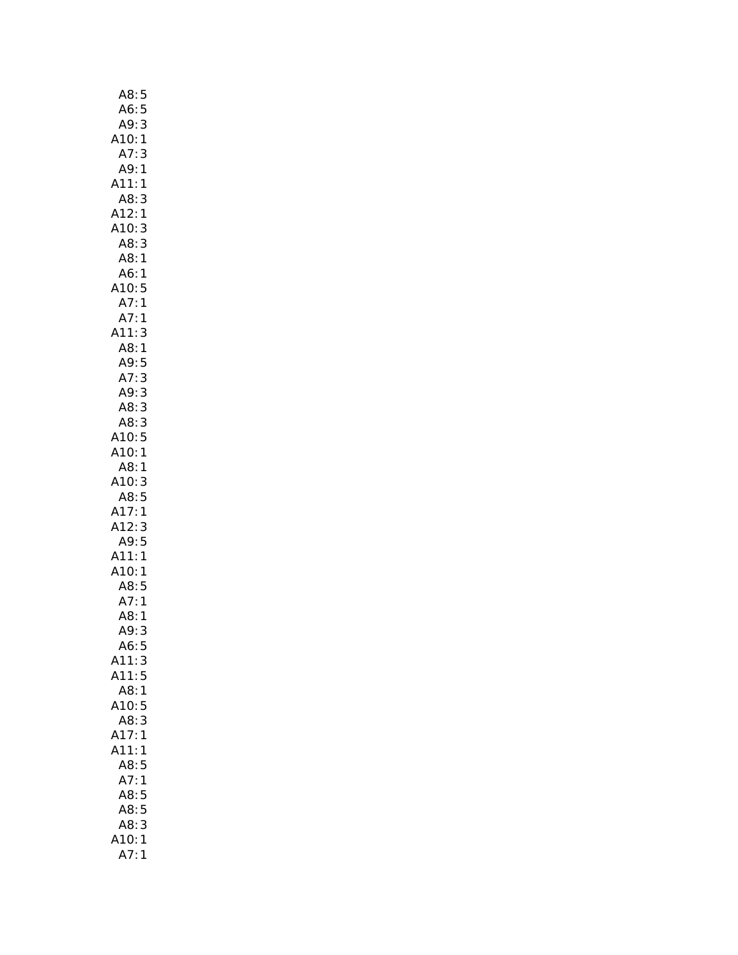| A8:<br>5             |
|----------------------|
| 5                    |
| A6:<br>A9:<br>3      |
| A10:<br>$\mathbf{1}$ |
| A7:<br>3             |
| A9:<br>$\mathbf{1}$  |
| A11:<br>1            |
|                      |
| A8:<br>3             |
| A12:1                |
| A10:<br>3            |
| A8:<br>3             |
| A8:1                 |
| A6:1                 |
| A10:5                |
| A7:1                 |
| A7:1                 |
| A11:<br>3            |
| A8:<br>$\mathbf{1}$  |
| A9:<br>5             |
| A7:                  |
| 3                    |
| A9:<br>3             |
| A8:3                 |
| A8: 3                |
| A10:<br>5            |
| A10:1                |
| A8:1                 |
| A10:3                |
| A8:5                 |
| A17:1                |
| A12:3                |
| A9:5                 |
|                      |
| A11:1                |
| A10:1                |
| A8:5<br>A7:1         |
| A7:1<br>A8:1<br>A9:3 |
|                      |
|                      |
| A6:<br>5             |
| A11:<br>3            |
| A11:<br>5            |
| A8:<br>$\mathbf{1}$  |
| A10:<br>5            |
| 3                    |
| A8:                  |
| A17:<br>$\mathbf{1}$ |
| A11:<br>1            |
| A8:5                 |
| A7:<br>$\mathbf{1}$  |
| A8:<br>5             |
| A8:<br>5             |
| A8:<br>3             |
| 10:<br>1             |
| A7:<br>1             |
|                      |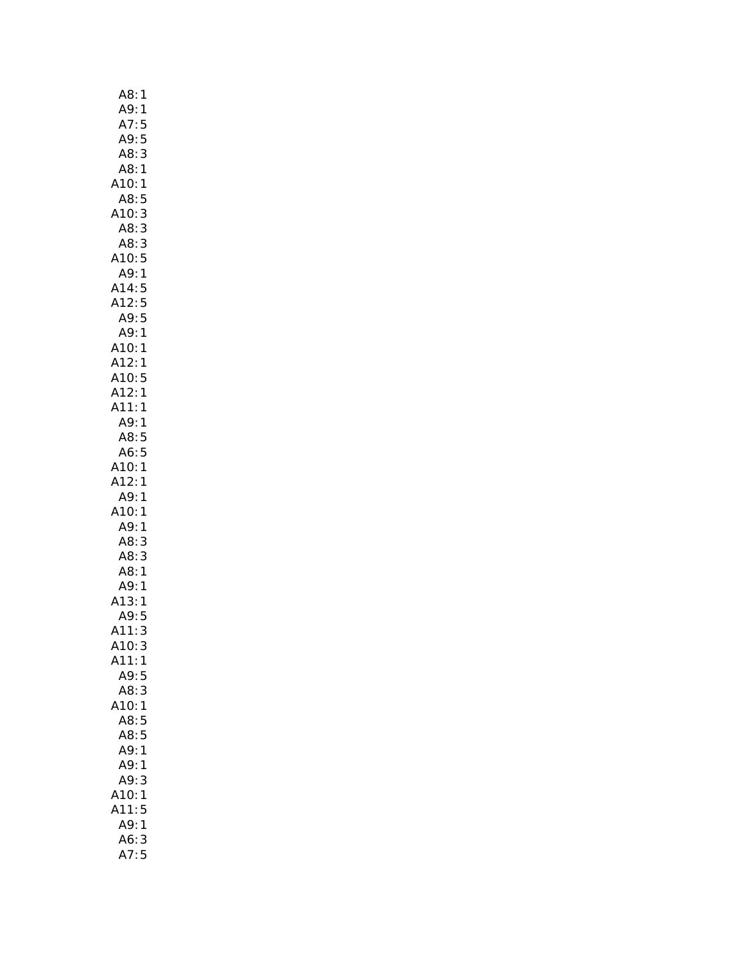| A8:<br>1                     |
|------------------------------|
| A9:1                         |
| A7:5                         |
| A9:5                         |
| A8:3                         |
| A8:1                         |
| A10:1                        |
| A8:<br>5                     |
| 3<br>A10:                    |
| 3<br>A8:                     |
| 3<br>A8:                     |
| A10:5                        |
| A9:1                         |
| A14:5                        |
| A12:5                        |
| A9:5                         |
| A9:1                         |
| A10:<br>A12:<br>$\mathbf{1}$ |
| $\mathbf{1}$                 |
| A10:5<br>A12:1               |
|                              |
| A11:<br>1                    |
| A9:1<br>A8:5                 |
| A6:5                         |
| A10:1                        |
| A12:1                        |
| A9:<br>1                     |
| A10:<br>1                    |
| 1<br>A9:                     |
| 3<br>A8:                     |
| A8:<br>3                     |
| A8:1                         |
| A9:<br>1                     |
| 13:<br>1                     |
| A9:5                         |
| A11:<br>3                    |
| A10:<br>3                    |
| A11:<br>1                    |
| A9:<br>5                     |
| A8:3                         |
| A10:<br>$\mathbf{1}$         |
| A8:5                         |
| A8:5                         |
| A9:<br>1                     |
| A9:<br>1                     |
| A9:<br>3                     |
| A10:<br>1                    |
| A11:<br>5                    |
| A9:<br>$\mathbf{1}$          |
| A6:<br>3                     |
| A7:<br>5                     |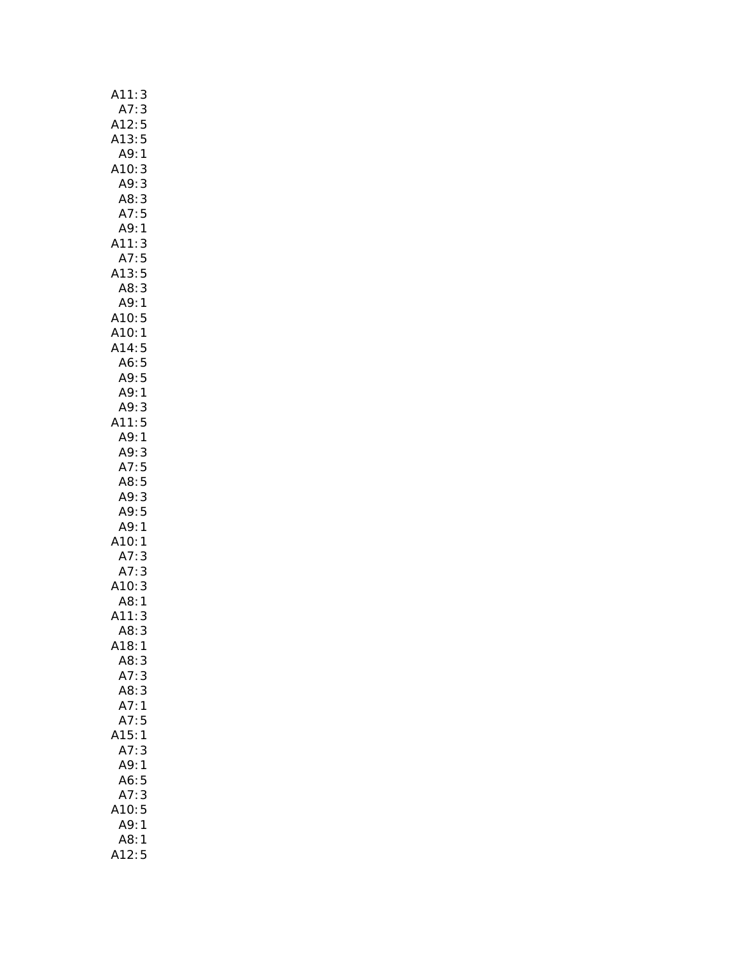| A11:<br>3             |
|-----------------------|
| A7:<br>3              |
| A12:                  |
| 5<br>5<br>A13:        |
| A9:<br>$\mathbf{1}$   |
| 3<br>A10:             |
| 3<br>A9:              |
| 3<br>A8:              |
| A7:5                  |
| A9:1                  |
| A11:<br>3             |
| 5<br>A7:              |
| $A13:5$<br>$A8:3$     |
| A9:1                  |
|                       |
| A10:5<br>A10:1<br>A1  |
|                       |
|                       |
| A14:5<br>A6:5<br>A9:5 |
| A9:1                  |
| A9:3                  |
| 11:5                  |
| A9:1                  |
| A9:<br>3              |
| A7:5                  |
| A8:5                  |
| A9:<br>3              |
| A9:5                  |
| A9:1                  |
| A10:1                 |
| A7:<br>A7:<br>3       |
| 3                     |
| A10:<br>A8:<br>3      |
| $\mathbf{1}$          |
| A11:<br>3<br>3        |
| A8:<br>A18:1          |
| A8:3                  |
| A7:3                  |
| A8:3                  |
| A7:1                  |
| A7:5                  |
| 15:1                  |
| A7:<br>3              |
| A9:<br>1              |
| A6:5                  |
| 3<br>A7:              |
| 10:5                  |
| A9:1                  |
| A8:1                  |
| 412:5                 |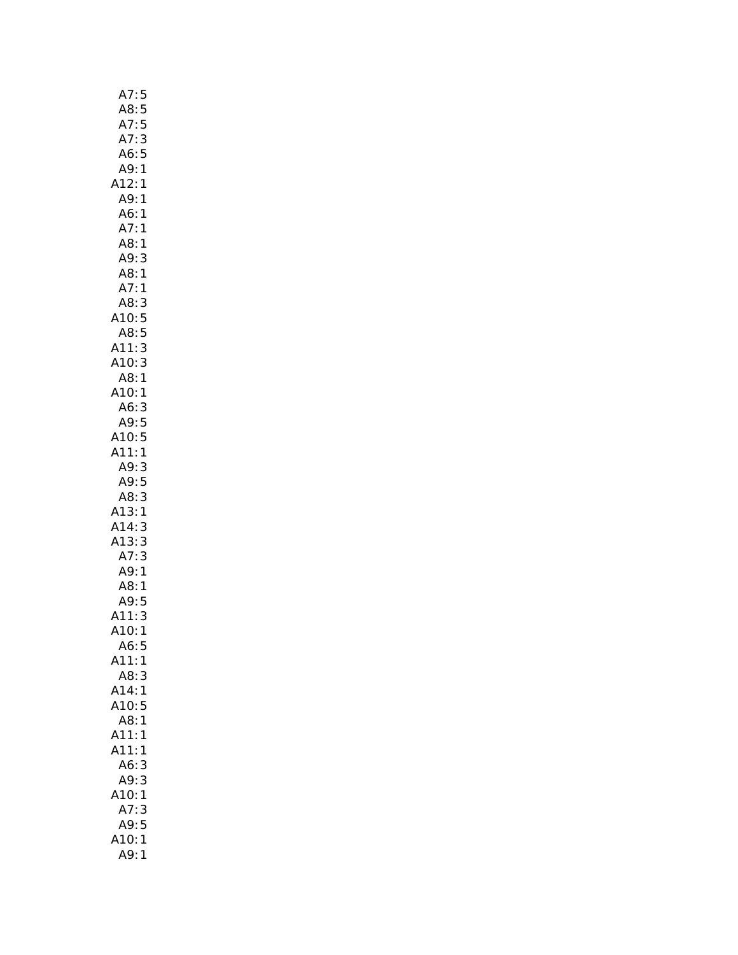| A7:<br>5                         |
|----------------------------------|
| A8:<br>5                         |
| 5<br>A7:                         |
| A7:3                             |
| A6:5                             |
| A9:1                             |
| A12:1                            |
| A9: 1                            |
| A6:1                             |
| A7:1                             |
| A8:1                             |
| A9:<br>3                         |
| A8:1                             |
| A7:<br>1                         |
| A8:<br>3                         |
| A10:<br>5                        |
| . 5<br>.11: 3                    |
| A11: 3<br>A10: 3                 |
|                                  |
| 1 :A8<br>1 :A10                  |
|                                  |
| A6:3                             |
| A9:5<br>A10:5                    |
| A11:1                            |
|                                  |
|                                  |
| A9:3                             |
| A9:5                             |
| 3<br>A8:                         |
| A13:1                            |
|                                  |
|                                  |
| A14:3<br>A13:3<br>A7:3           |
| A9:1                             |
| A8:1                             |
| A9:5<br>3                        |
| $\mathbf{1}$                     |
| A11:<br>A10:<br>A6:<br>5         |
| A11:<br>1                        |
| A8:<br>3                         |
| A14:<br>$\mathbf{1}$             |
| A10:<br>5                        |
| A8:<br>1                         |
| A11:<br>1                        |
| A11:<br>1                        |
| A6:<br>3                         |
| A9:<br>3                         |
| A10:<br>1                        |
| A7:<br>3                         |
| A9:5                             |
| A10:<br>$\mathbf{1}$<br>A9:<br>1 |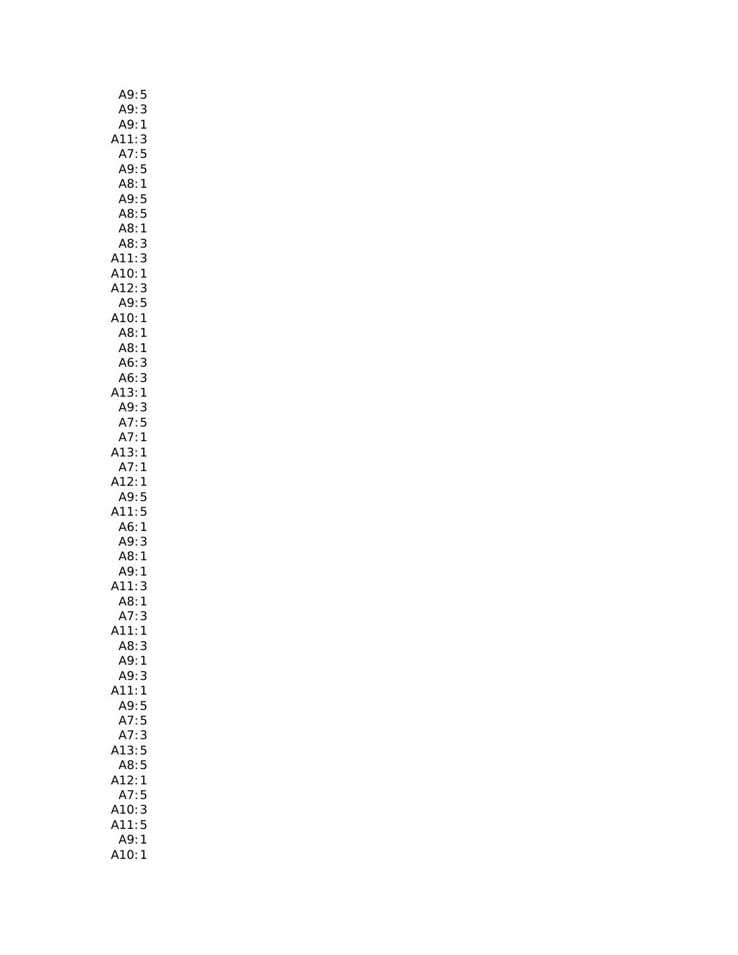| A9:5                       |
|----------------------------|
| A9:<br>3                   |
| A9:<br>$\mathbf{1}$        |
| A11:<br>3                  |
| A7:                        |
| 5<br>5<br>A9:              |
| A8:<br>$\mathbf{1}$        |
|                            |
| A9:<br>5                   |
| A8:5                       |
| A8:1                       |
| A8:<br>3                   |
| A11:<br>3                  |
| A10:1                      |
| A12:<br>3                  |
| A9:<br>5                   |
| A10:1                      |
| A8:1                       |
| A8:                        |
| $\mathbf{1}$<br>.<br>A6: 3 |
|                            |
| A6: 3<br>A13: 1            |
|                            |
| A9:3                       |
| A7:5                       |
| A7:1                       |
| A13:1                      |
| A7:1                       |
| A12:1                      |
| A9:5                       |
| A11:5                      |
|                            |
| A6:1                       |
| A9:3                       |
| A8: 1<br>A9: 1             |
|                            |
| A11:<br>3                  |
|                            |
| A8: 1<br>A7: 3             |
| 411:<br>$\mathbf{1}$       |
| A8:<br>3                   |
| A9:1                       |
| A9:<br>3                   |
| .11:<br>$\mathbf{1}$       |
|                            |
| A9:<br>5                   |
| A7:5                       |
| A7:<br>3                   |
| 5<br>13:                   |
| 5<br>A8:                   |
| A12:<br>1                  |
| A7:<br>5                   |
| 3<br>A10:                  |
| A11:<br>$\overline{5}$     |
| A9:<br>1                   |
| A10:<br>1                  |
|                            |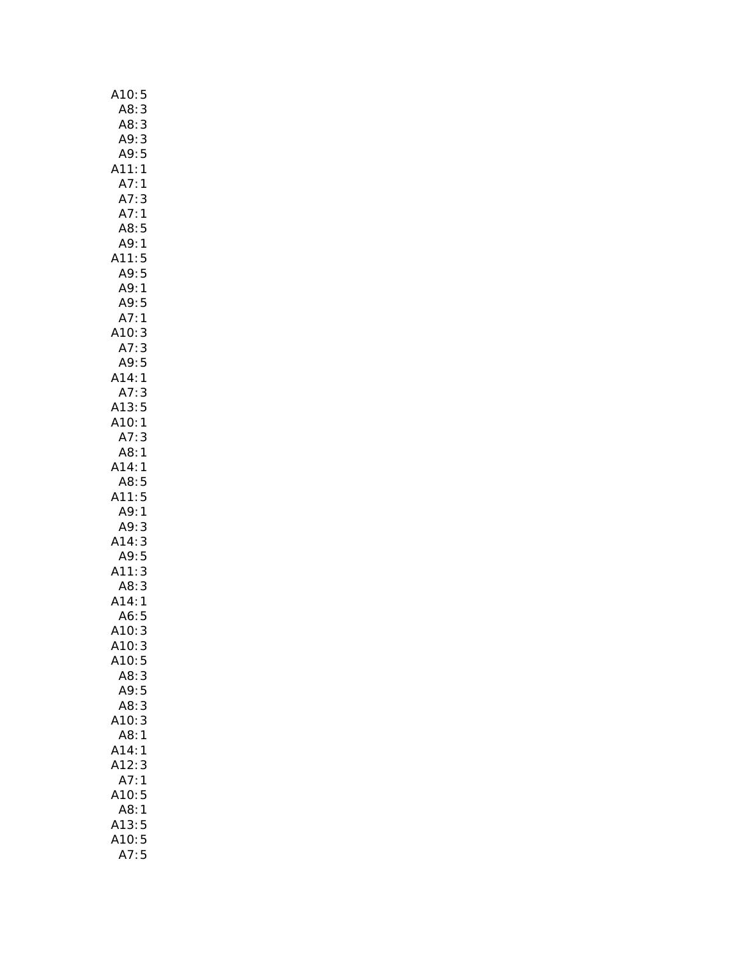| A10:<br>5             |
|-----------------------|
| A8:<br>3              |
| A8:<br>3              |
| A9:<br>3              |
| A9:5                  |
| $\mathbf{1}$<br>A11:  |
| A7:<br>$\mathbf{1}$   |
| A7:<br>3              |
| : 1<br>A <sub>7</sub> |
| A8:5                  |
| A9:<br>$\mathbf{1}$   |
| A11:5<br>A9:5         |
|                       |
| A9:1                  |
| A9:5                  |
| A7:<br>$\mathbf{1}$   |
| A10:<br>3             |
| A7:3                  |
| A9:5                  |
| A14:1                 |
| A7:3                  |
| A13:5                 |
| A10:1                 |
| A7:<br>3              |
| A8:1                  |
| A14:<br>1             |
| A8:5<br>A11:5         |
| A9:1                  |
| A9:<br>3              |
| A14:<br>$\mathsf{3}$  |
| A9:5                  |
| A11:3                 |
| A8:3                  |
| A14:1                 |
| A6:<br>5              |
| A10:<br>3             |
| A10:3                 |
| A10:5                 |
| A8:3                  |
| A9:5                  |
| 3<br>A8:              |
| A10:<br>3             |
| A8:<br>1              |
| A14:<br>1             |
| A12:<br>3             |
| A7:<br>$\mathbf{1}$   |
| A10:<br>5             |
| A8:1                  |
| A13:<br>5             |
| A10:                  |
| 5<br>5<br>A7:         |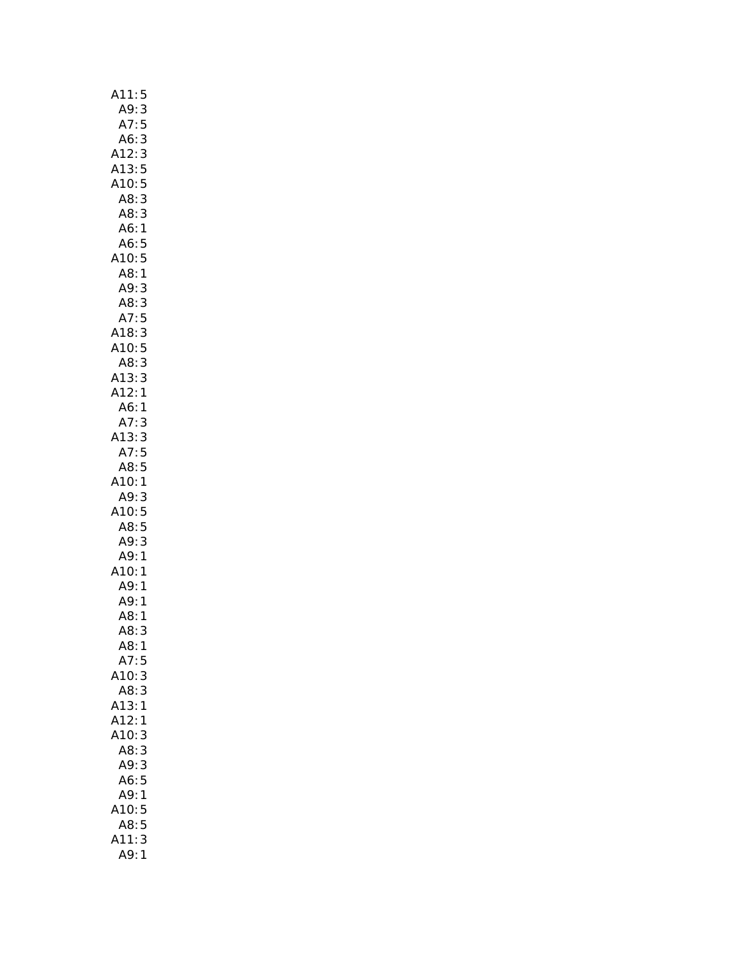| A11:<br>5                                                     |
|---------------------------------------------------------------|
| A9:<br>3                                                      |
| A7:<br>5                                                      |
| A6:<br>3                                                      |
| A12:<br>3<br>5<br>5                                           |
| A13:                                                          |
| A10:                                                          |
| 3<br>A8:                                                      |
| A8:<br>3                                                      |
| A6:<br>1                                                      |
| A6:<br>5                                                      |
| A10:<br>5                                                     |
| A8<br>1                                                       |
| A9:<br>3                                                      |
| A8:<br>3                                                      |
| 5<br>A7:                                                      |
| A18:                                                          |
| 3<br>5<br>A10:                                                |
| A8:<br>3                                                      |
| A13:<br>3                                                     |
| .<br>A12:<br>1                                                |
| A6:<br>$\mathbf{1}$                                           |
| A7:<br>3                                                      |
| A13:<br>3                                                     |
| A7:<br>5                                                      |
| 5<br>A8:                                                      |
| A10:<br>1                                                     |
| A9:<br>3                                                      |
| A10.<br>5                                                     |
| A8                                                            |
| 5<br>3<br>A8: 3<br>A9: 3<br>A9: 1<br>A10: 1<br>A9: 1<br>A8: 1 |
| $\mathbf{1}$                                                  |
|                                                               |
|                                                               |
|                                                               |
|                                                               |
| A8:<br>3                                                      |
| A8:1                                                          |
| A7:<br>5                                                      |
| 3<br>A10:                                                     |
| A8:<br>3                                                      |
| A13:<br>1                                                     |
| A12:<br>1                                                     |
| A10:<br>3                                                     |
| A8:<br>3                                                      |
| 3<br>A9:                                                      |
| $\frac{1}{5}$<br>A6:                                          |
| A9:<br>1                                                      |
| 5<br>A10:                                                     |
| 5<br>A8:                                                      |
| 3<br>\11:                                                     |
| A9:<br>1                                                      |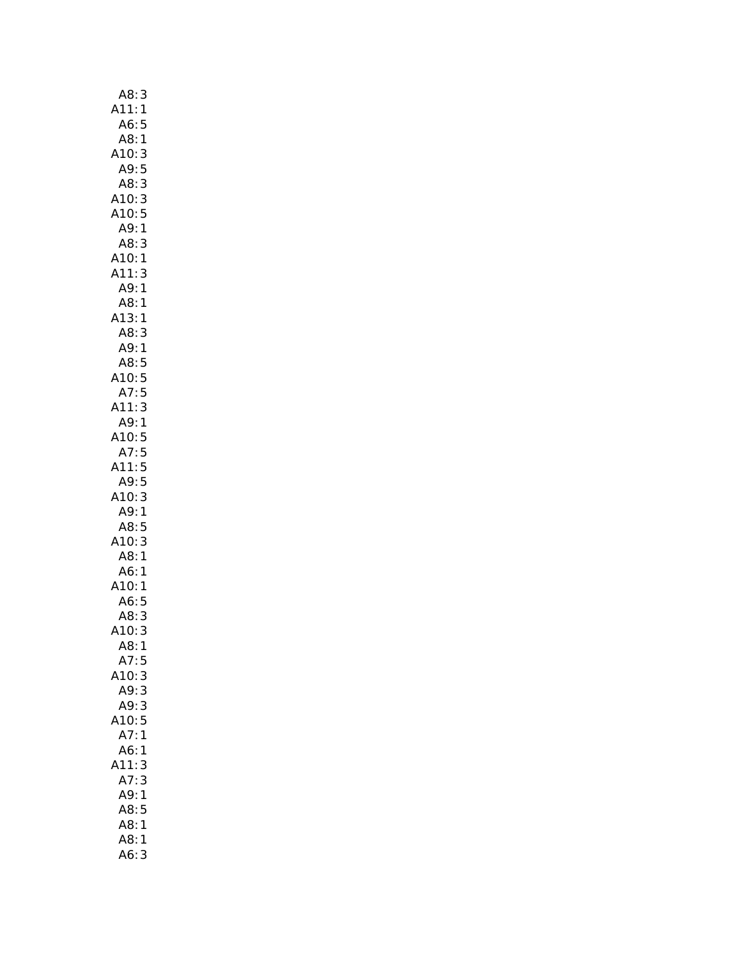| A8:<br>3                       |
|--------------------------------|
| A11:<br>$\mathbf{1}$           |
| A6:<br>5                       |
| A8:1                           |
| A10:<br>3                      |
| A9:5                           |
| 3<br>A8:                       |
| A10:<br>3                      |
| A10:5                          |
| A9:1                           |
| A8:<br>3                       |
| A10:<br>1                      |
| A11:<br>3                      |
| A9:<br>$\mathbf{1}$            |
| A8:<br>1                       |
| A13:1<br>A13:1<br>A8:3<br>A9:1 |
|                                |
|                                |
| A8:<br>5                       |
| A10:5                          |
| A7:5                           |
| A11:<br>3<br>A9:1              |
| 410:5                          |
| A7:5                           |
| 5<br>411:                      |
| A9:<br>5                       |
| 3<br>A10:                      |
| 1                              |
| A9:<br>A8:<br>5                |
| $\overline{3}$                 |
| A10:<br>A8:<br>$\mathbf{1}$    |
| A6:<br>1                       |
| A10:1                          |
| A6:<br>5                       |
| A8:<br>3                       |
| 3<br>A10:                      |
| A8:1                           |
| A7:<br>5                       |
| A10:3                          |
| A9:3                           |
| A9:<br>3                       |
| 5<br>A10:                      |
| A7:<br>1                       |
| A6:<br>1                       |
| A11:<br>3                      |
| A7:<br>3                       |
| A9:<br>$\mathbf{1}$            |
| A8:<br>5                       |
| A8:<br>1                       |
| A8:<br>1                       |
| A6:<br>3                       |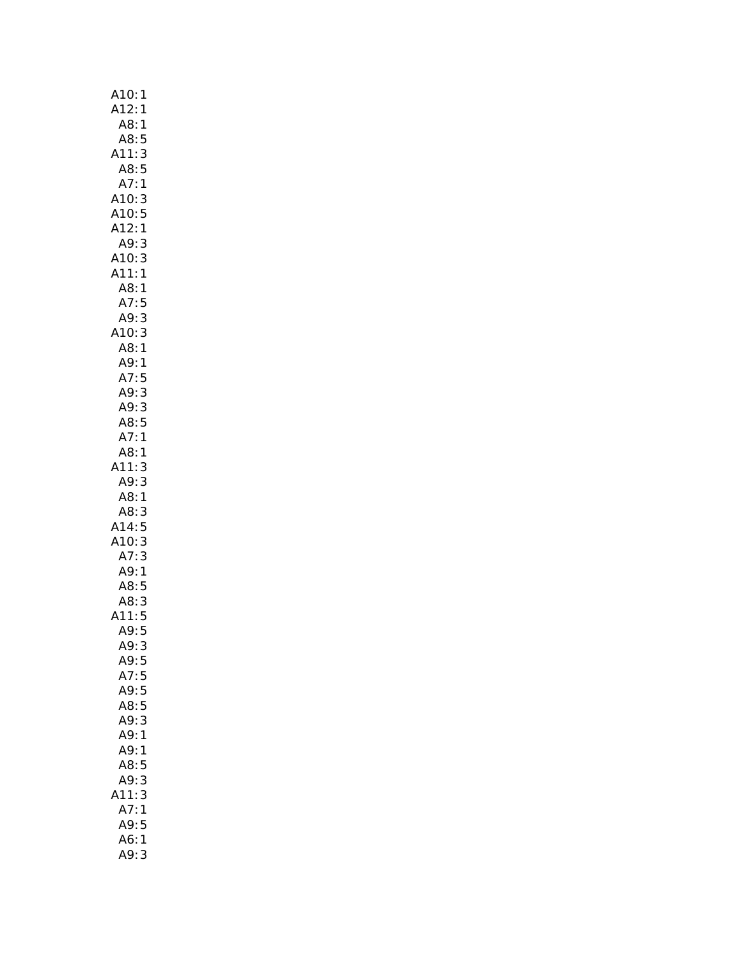| A10:<br>1            |
|----------------------|
| A12:<br>$\mathbf{1}$ |
| A8:<br>1             |
| A8:<br>5             |
| A11:<br>3            |
| A8:5                 |
| A7:1                 |
| A10:3                |
| A10:5                |
| A12:1                |
| 3<br>A9:             |
| A10:<br>3            |
| A11:1                |
| A8:<br>1             |
| A7:5                 |
| 3<br>A9:             |
| 3<br>A10:            |
| A8<br>$\mathbf{1}$   |
|                      |
| AS:<br>A9:1<br>A7:5  |
| A9:3                 |
| A9:3                 |
| A8:5                 |
| A7:1                 |
| A8:1                 |
| A11:3                |
| A9:3                 |
| A8:1                 |
| A8:<br>3             |
| A14:5                |
| A10:3                |
| A7:3                 |
| A9:1                 |
| A8:5                 |
| A8: 3                |
| A11:5                |
| 5<br>A9:             |
| A9:3                 |
| A9:5                 |
| A7:<br>5             |
|                      |
| A9:5<br>A8:5         |
| A9:3                 |
| A9:1                 |
|                      |
| A9:<br>1             |
| A8:<br>5             |
| 3<br>A9:<br>3        |
| A11:                 |
| A7:<br>1             |
| A9:5                 |
| A6:<br>1             |
| A9:<br>3             |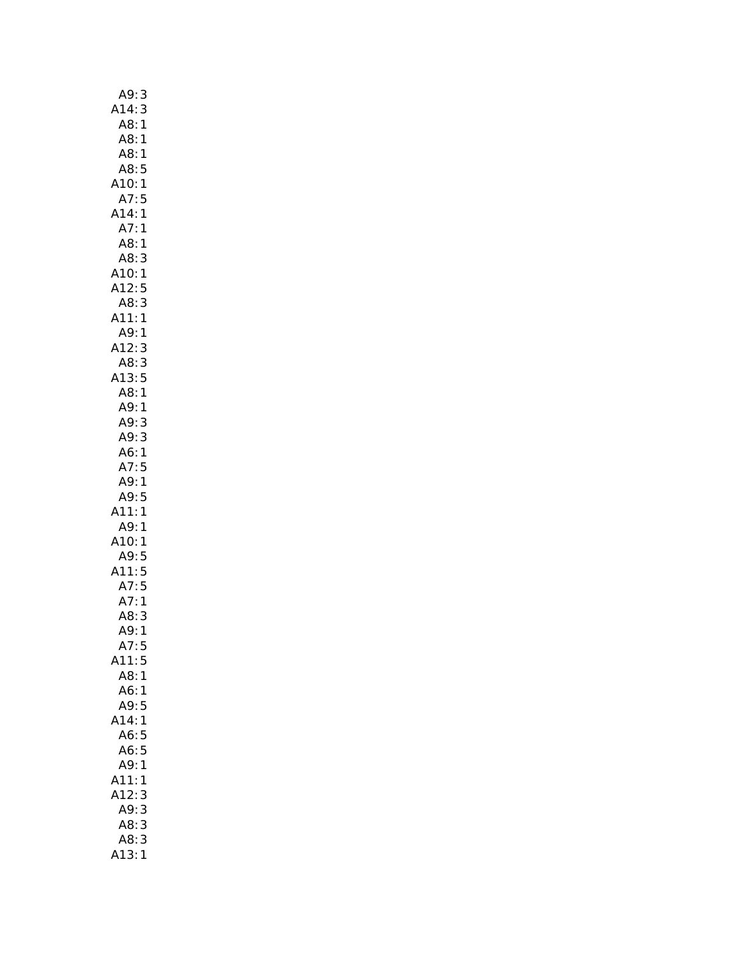| A9:<br>3                 |
|--------------------------|
| A14:3                    |
| A8:1                     |
| A8:1                     |
| A8:1                     |
| A8:5                     |
| A10:1                    |
| A7:5                     |
| A14:1                    |
| A7:1                     |
| A8:<br>1                 |
| A8:<br>3                 |
| A10:1                    |
| A12:<br>12:5<br>A8:3     |
|                          |
| A11:<br>$\mathbf{1}$     |
| A9:1                     |
| A12:<br>3                |
| AB:3                     |
| A13:5                    |
| A8:1                     |
| A9:1                     |
| A9:3                     |
| A9:3                     |
| A6:1                     |
| A7:5                     |
| A9: 1<br>A9:5            |
| A11:<br>$\overline{1}$   |
| A9:<br>1                 |
|                          |
|                          |
|                          |
| 410:1<br>A9:5            |
|                          |
| A11:5<br>A7:5            |
| A7:1                     |
| A8:<br>3                 |
| $\mathbf{1}$<br>A9:      |
| A7:5                     |
| A11:5                    |
| A8:1                     |
| A6:<br>$\mathbf{1}$<br>5 |
| A9:<br>$\overline{1}$    |
| A14:<br>A6:              |
| 5<br>A6:<br>5            |
| 1                        |
| A9:                      |
| A11:<br>1<br>3           |
| A12:<br>A9:<br>3         |
| A8:<br>3                 |
| A8:<br>3                 |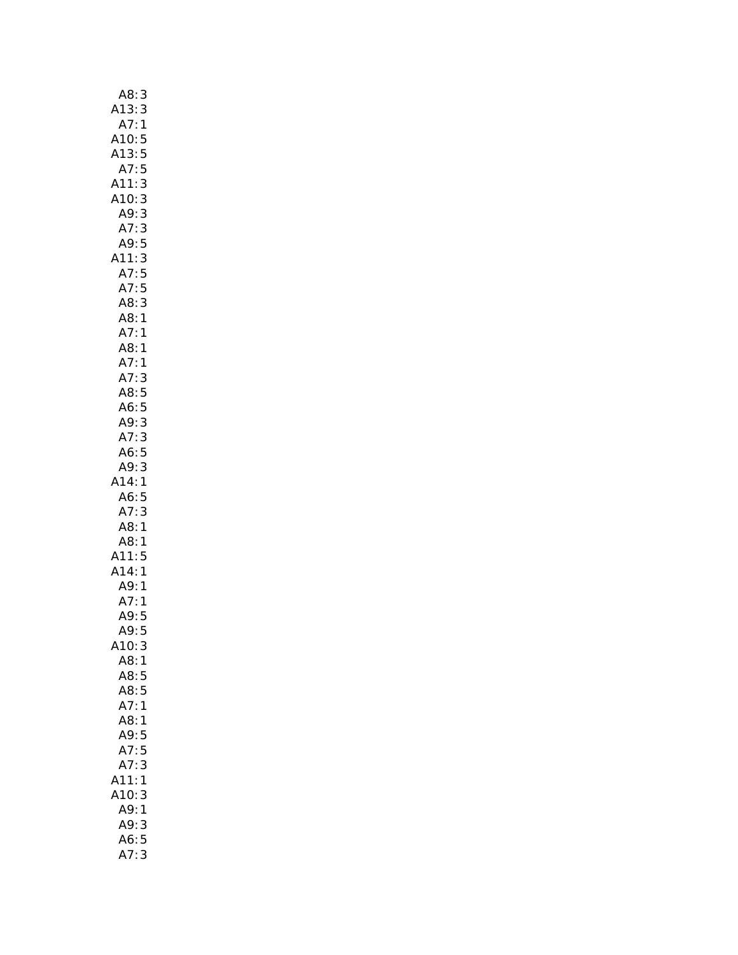| A8:                     |              |
|-------------------------|--------------|
| A13:                    | 3<br>3       |
|                         |              |
| $A7:1$<br>$A10:5$       |              |
| A13:5                   |              |
| A7:5                    |              |
| A11:                    | 3            |
| A10:                    | 3            |
| A9:3                    |              |
|                         |              |
| A7: 3<br>A9: 5          |              |
|                         |              |
| A11:3                   |              |
| A7:5                    |              |
| A7:5                    |              |
| A8:3                    |              |
| A8:1                    |              |
| A7:1                    |              |
| A8:1                    |              |
|                         |              |
| .<br>A7: 1<br>A7: 3     |              |
| A8:5                    |              |
| A6:5                    |              |
| A9:3                    |              |
| A7:3                    |              |
| A6:5                    |              |
| A9:3                    |              |
| A14:1                   |              |
|                         |              |
| A6:5                    |              |
| A7:3                    |              |
| A8:1                    |              |
| A8:1                    |              |
| A11:5<br>A14:1          |              |
|                         |              |
| A9: 1<br>A7: 1<br>A9: 5 |              |
|                         |              |
|                         |              |
| A9:5                    |              |
| A10:                    | 3            |
| A8:                     | $\mathbf{1}$ |
| A8:                     | 5            |
| A8:5                    |              |
| A7:                     | $\mathbf{1}$ |
| A8:1                    |              |
| A9:                     | 5            |
| A7:5                    |              |
| A7:                     | 3            |
| A11:                    | 1            |
| A10:                    | 3            |
| A9:                     | 1            |
| A9:                     | 3            |
|                         | 5            |
| A6:                     | 3            |
| A7:                     |              |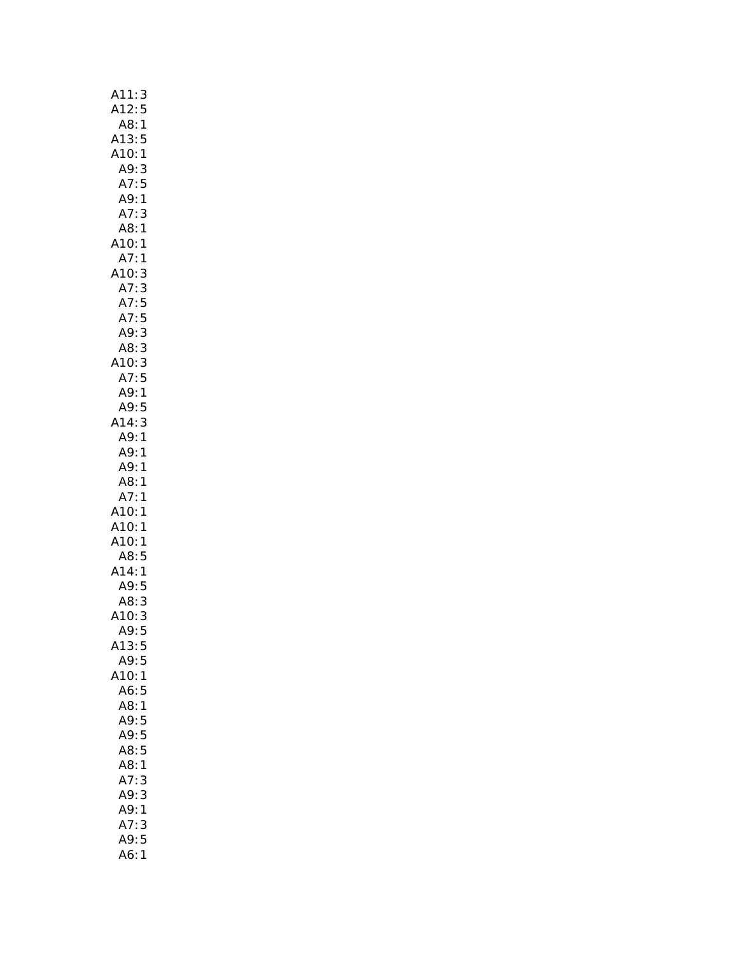| A11:3                    |
|--------------------------|
| A12:5                    |
| A8:1                     |
| A13:5                    |
| A10:1                    |
| A9:3                     |
| A7:5                     |
| A9:1                     |
| A7:<br>3                 |
| A8:1                     |
| A10:1                    |
| A7:1                     |
| A10:<br>3                |
| A7:<br>3                 |
| A7:5<br>A7:5             |
| A9:3                     |
|                          |
| A8: 3<br>A10: 3<br>A7: 5 |
|                          |
| A9:1                     |
| A9:5                     |
| A14:3                    |
| A9:1                     |
| A9:1                     |
| A9:1                     |
| A8:<br>1                 |
| A7:<br>1                 |
| A10:<br>1                |
| A10:<br>1                |
| A10:1                    |
| A8:5                     |
| A14:<br>$\mathbf{1}$     |
| A9:5                     |
| :A8<br>:A10<br>3         |
| 3                        |
| A9:<br>5                 |
| A13:5                    |
| A9:5                     |
| A10:1                    |
| A6:<br>5                 |
| A8:1                     |
| A9:5                     |
| A9:5                     |
| 5<br>A8:<br>A8:<br>1     |
| 3<br>A7:                 |
| 3<br>A9:                 |
| A9:<br>1                 |
| A7:<br>3                 |
| A9:5                     |
| A6:<br>$\mathbf{1}$      |
|                          |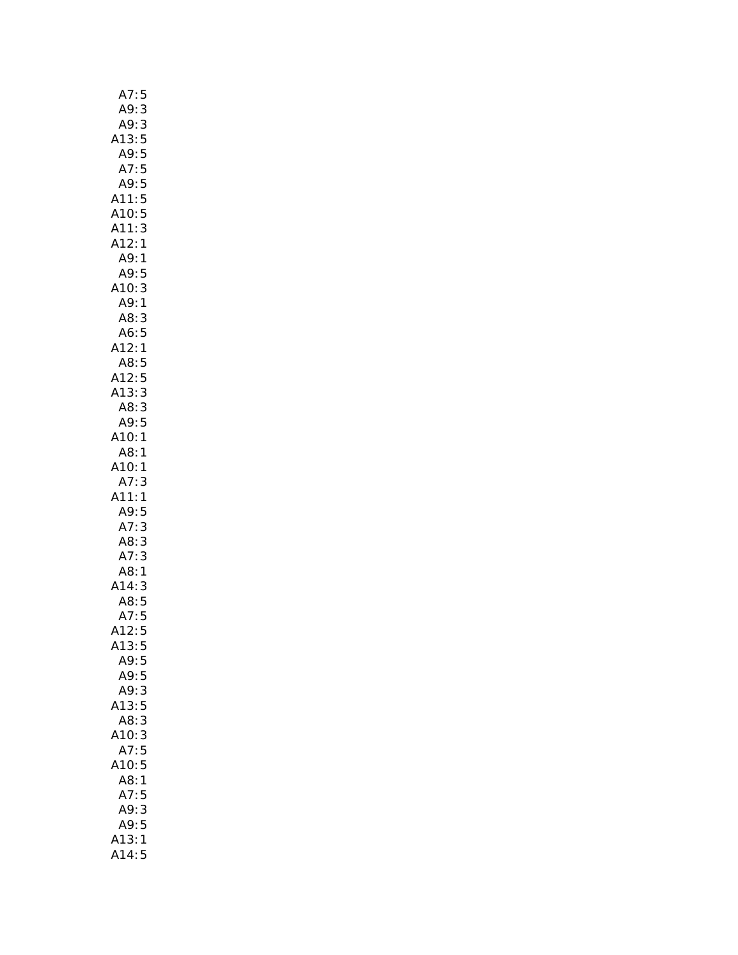| A7:5                             |
|----------------------------------|
| A9:                              |
| $A9$ :<br>3                      |
| A13:<br>5                        |
| A9:                              |
| 5<br>5<br>A7:                    |
| A9:                              |
| 5                                |
| A11:5                            |
| 5<br>A10:                        |
| 3<br>A11:                        |
| A12:1                            |
| A9:1                             |
| A9:5                             |
| A10:<br>3                        |
| A9:1                             |
| A8:<br>3                         |
| A6:<br>5                         |
| A12:<br>$\mathbf{1}$             |
| A8:<br>5                         |
| 5                                |
| A12:<br>A13:                     |
| 3                                |
| A8:3                             |
| A9:<br>5                         |
| A10:1                            |
| A8:1                             |
| A10:1                            |
| A7:<br>3                         |
| A11:1                            |
| A9:5                             |
| A7:<br>3                         |
|                                  |
|                                  |
| A8:3                             |
|                                  |
| A7: 3<br>A8: 1                   |
| A14:                             |
|                                  |
| 14:3<br>A8:5<br>A7:5             |
| A12:<br>$\overline{\phantom{a}}$ |
| A13:<br>5                        |
| A9:<br>5                         |
| A9:<br>5                         |
| A9:3                             |
| A13:5                            |
| A8:<br>3                         |
| A10: 3                           |
|                                  |
| A7:5                             |
| A10:5                            |
| A8:<br>1                         |
| A7:5                             |
| 3<br>A9:                         |
| A9:5                             |
| A13:1<br>A14:5                   |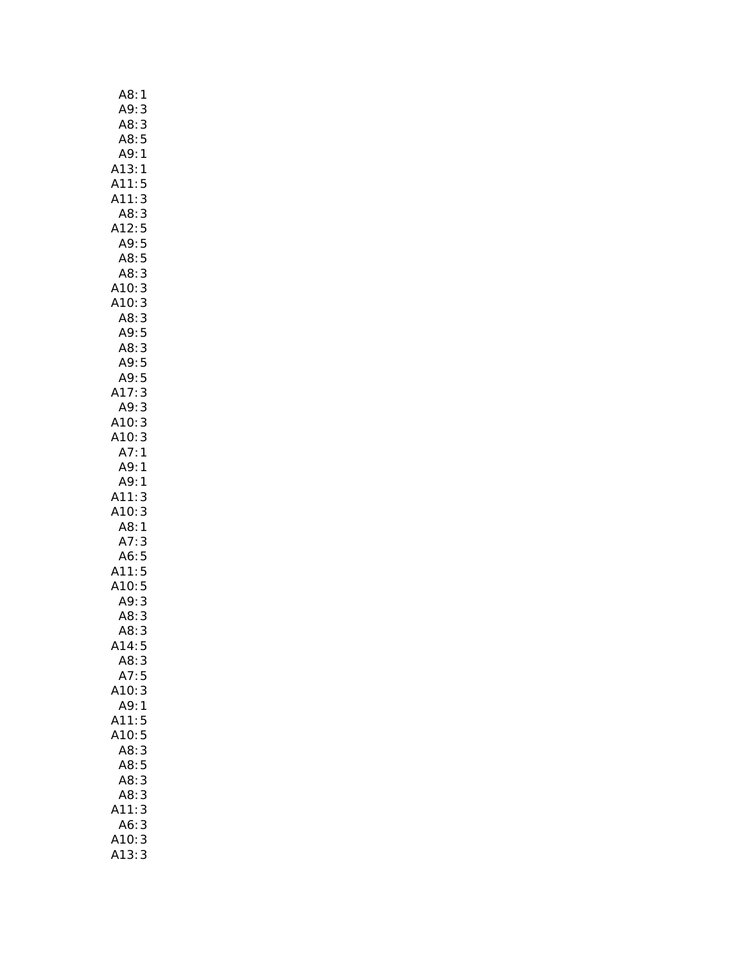| A8:<br>1                                                |  |
|---------------------------------------------------------|--|
| A9:<br>3                                                |  |
| A8:<br>3                                                |  |
| A8:5                                                    |  |
| A9:1                                                    |  |
| A13:1                                                   |  |
| A11:<br>5                                               |  |
| 3<br>A11:                                               |  |
| A8:<br>3                                                |  |
| A12:<br>5<br>5                                          |  |
| A9:                                                     |  |
| A8:<br>5<br>A8:                                         |  |
| 3                                                       |  |
| 3<br>3<br>.ت.<br>:A10<br>:A8                            |  |
|                                                         |  |
| 3<br>$7.88$<br>A9:5                                     |  |
|                                                         |  |
| A8: 3<br>A9: 5<br>A9: 5                                 |  |
|                                                         |  |
| 3<br>17:                                                |  |
| 3<br>A9:                                                |  |
| A10:3                                                   |  |
| A10:3                                                   |  |
| A7:1                                                    |  |
| A9:1                                                    |  |
| 1<br>A9:                                                |  |
| A11:<br>A10:<br>3                                       |  |
| 3                                                       |  |
| ATO.5<br>A8:1<br>A7:3<br>A6:5<br>A11:5<br>A10:5<br>A9:3 |  |
|                                                         |  |
|                                                         |  |
|                                                         |  |
|                                                         |  |
|                                                         |  |
| A8:<br>3                                                |  |
| A8:<br>3                                                |  |
| A14:5                                                   |  |
| 3<br>A8:                                                |  |
| A7:5<br>A10:<br>3                                       |  |
| A9:<br>$\mathbf{1}$                                     |  |
| A11:<br>5                                               |  |
| 5<br>A10:                                               |  |
| A8:<br>3                                                |  |
| A8:<br>5                                                |  |
| A8:<br>3                                                |  |
| 3<br>A8:                                                |  |
| A11:<br>3                                               |  |
| A6:<br>3                                                |  |
| A10:<br>3                                               |  |
| 13:<br>3                                                |  |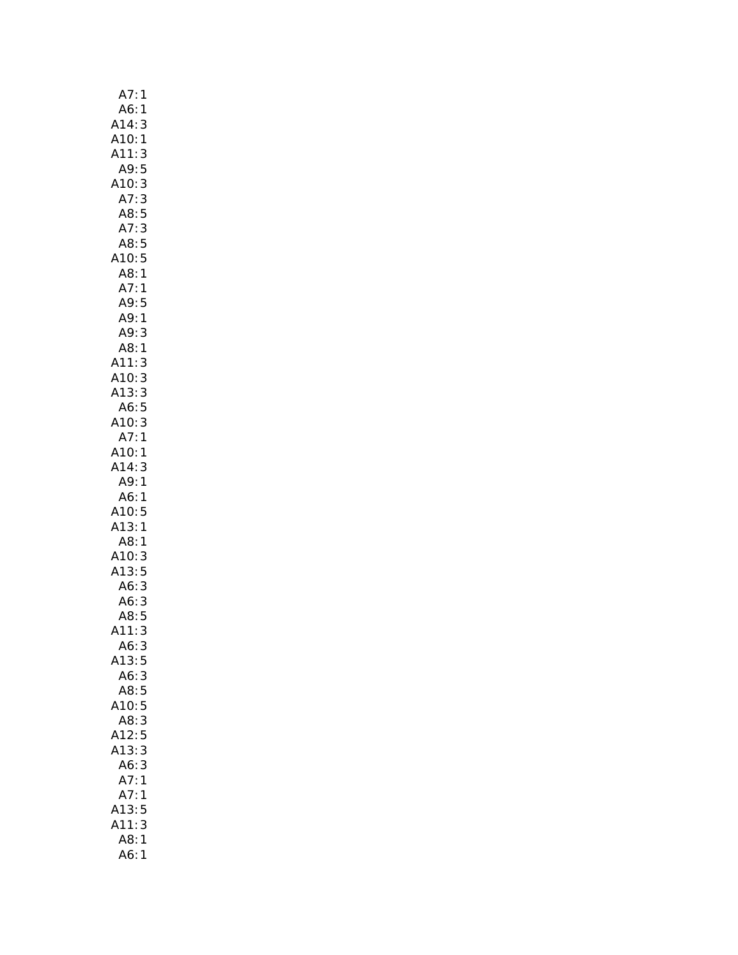| A7:<br>1                        |  |
|---------------------------------|--|
| A6:<br>1                        |  |
|                                 |  |
| A14:<br>A10:<br>$\frac{3}{1}$   |  |
| A11:                            |  |
| 3<br>5<br>A9:                   |  |
| A10:<br>3                       |  |
| A7:3<br>A8:5<br>A7:3            |  |
|                                 |  |
|                                 |  |
| A8:5                            |  |
| A10:5                           |  |
| A8:1                            |  |
| A7:<br>1                        |  |
| A9:<br>5                        |  |
| A9:<br>1                        |  |
| A9:<br>3                        |  |
| A8:<br>$\mathbf{1}$             |  |
|                                 |  |
| A11:<br>A10:                    |  |
|                                 |  |
| A11:3<br>A10:3<br>A13:3<br>A6:5 |  |
|                                 |  |
| A10:3<br>A7:1                   |  |
|                                 |  |
| A10:1                           |  |
| A14:<br>3                       |  |
| A9:1                            |  |
| A6:1                            |  |
| A10:<br>5                       |  |
| A13:1                           |  |
| A8:1                            |  |
| A10:<br>3                       |  |
| A13:5                           |  |
| A6: 3<br>A6: 3<br>A8: 5         |  |
|                                 |  |
|                                 |  |
| (11)<br>3                       |  |
| A6:<br>3                        |  |
| 5<br>A13:                       |  |
| A6:<br>3                        |  |
| $\overline{5}$<br>A8:           |  |
| A10:<br>5                       |  |
| 3<br>A8:                        |  |
| A12:<br>5                       |  |
| 3<br>A13:                       |  |
| A6:<br>3                        |  |
| A7:<br>1                        |  |
| A7:<br>1                        |  |
| A13:<br>5                       |  |
|                                 |  |
|                                 |  |
| A11:<br>3<br>A8:<br>1           |  |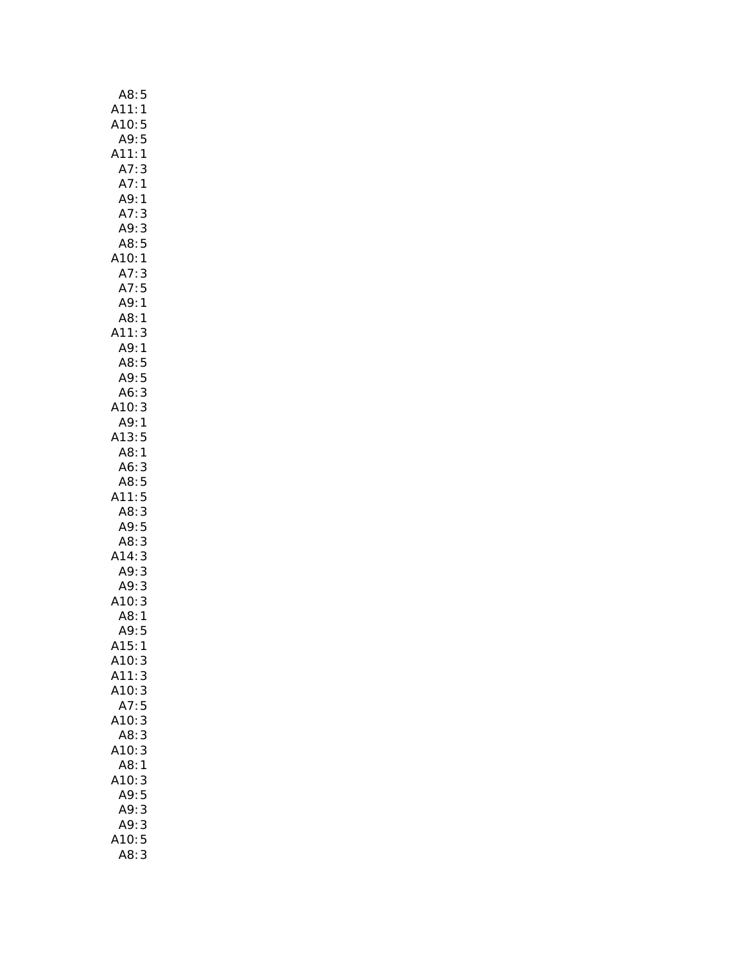| A8:5                                          |
|-----------------------------------------------|
| A11:<br>:A10<br>:A9<br>1                      |
| 5                                             |
| 5                                             |
| A11:<br>1                                     |
| A7:<br>3                                      |
| A7:                                           |
| $\mathbf{1}$                                  |
| A9: 1                                         |
| A7:<br>3                                      |
| A9:3                                          |
| A8:5                                          |
| A10:1                                         |
| A7:<br>3                                      |
| A7:5                                          |
| A9:1                                          |
| A8:<br>$\mathbf{1}$                           |
| A11:<br>3                                     |
| A9:<br>$\mathbf{1}$                           |
| A8:5                                          |
| .<br>A9: 5                                    |
|                                               |
| $A6$ :<br>3                                   |
| A10:3                                         |
| A9:1                                          |
| A13:5                                         |
| A8:1                                          |
| A6:3                                          |
| A8:5                                          |
| A11:5                                         |
| A8:3                                          |
| A9:5                                          |
| A8:                                           |
| $\begin{array}{c} 3 \\ 3 \end{array}$<br>A14: |
| A9:                                           |
|                                               |
| A10:                                          |
|                                               |
| د<br>49:3<br>10:3<br>A8:1<br>A9               |
| A9:                                           |
| A15:<br>1                                     |
| A10:<br>3                                     |
| A11:<br>3                                     |
| A10:<br>3                                     |
| A7:<br>5                                      |
| 3<br>A10:                                     |
| A8:<br>3                                      |
| A10:<br>3                                     |
| A8:<br>1                                      |
| A10:<br>3                                     |
| A9:<br>5                                      |
| 3<br>A9:                                      |
|                                               |
|                                               |
| 3<br>A9:                                      |
| 10:5<br>A8:<br>3                              |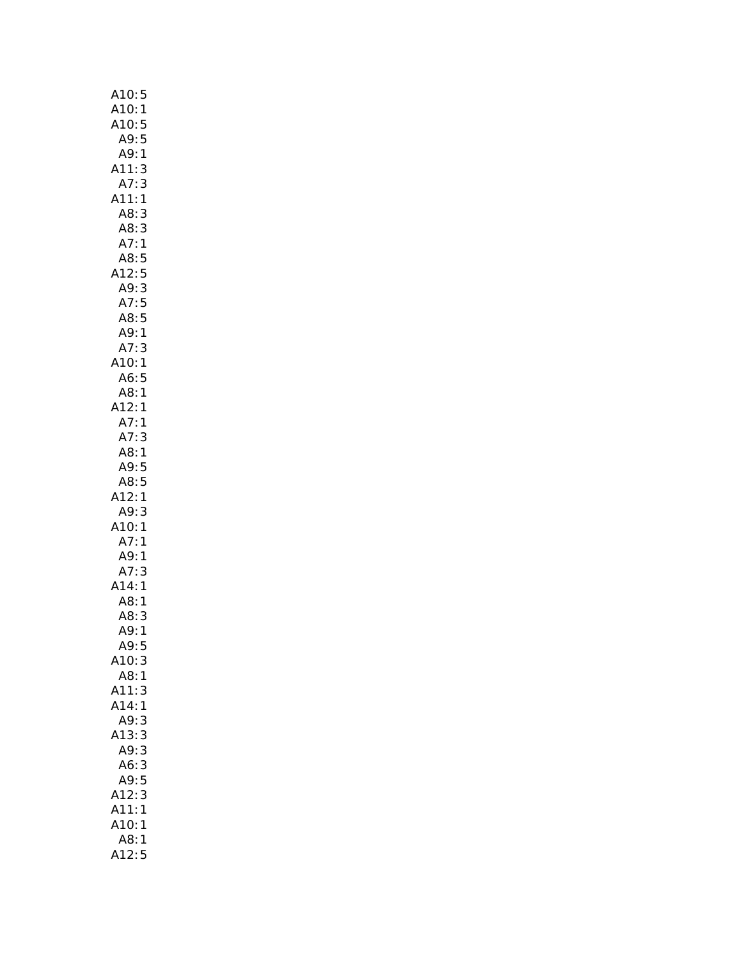| A10:5                           |
|---------------------------------|
|                                 |
|                                 |
| A10.5<br>A10:1<br>A10:5<br>A9:5 |
| A9: 1                           |
| A11:3                           |
| A7:3                            |
| A11:1                           |
| A8:3                            |
| A8:3                            |
| A7:1                            |
| A8:5                            |
| A12:5                           |
| A9:3                            |
| A7:5                            |
| $\frac{AB:5}{1}$                |
| A9:1<br>.<br>A7: 3              |
|                                 |
| A10:1                           |
| A6:<br>5                        |
| A8:1<br>A12:1                   |
|                                 |
| A7:1<br>A7:3                    |
| A8:1                            |
| A9:5                            |
| A8:5                            |
| A12:1                           |
| A9:<br>3                        |
| A10:1                           |
| A7:1                            |
| A9:<br>1                        |
| A7:3                            |
| A14:1                           |
| A8:<br>1                        |
| A8:<br>3                        |
| A9:<br>$\mathbf{1}$             |
| A9:<br>5                        |
| A10:3                           |
| A8:1                            |
| A11:<br>3                       |
| A14:1                           |
| A9:<br>3                        |
| A13:<br>3                       |
| A9:3                            |
| 3<br>A6:                        |
| A9:5                            |
| 3<br>A12:                       |
| A11:<br>1                       |
| A10:<br>1                       |
| A8:<br>$\mathbf{1}$             |
| A12:5                           |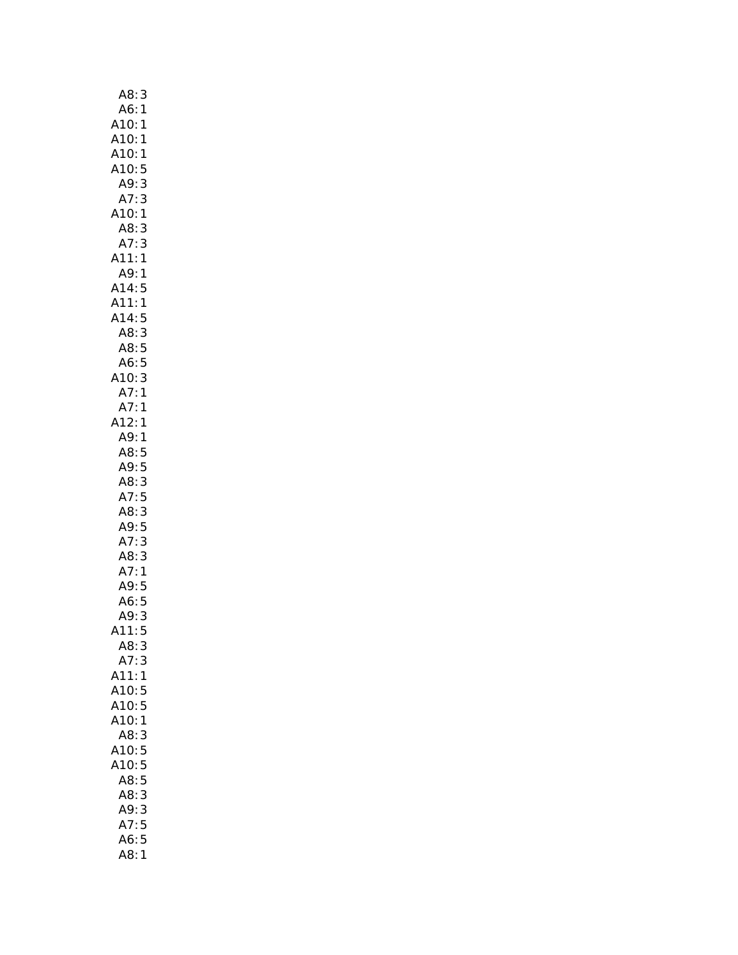| A8:<br>3                                                                         |
|----------------------------------------------------------------------------------|
| $\begin{array}{c} 1 \\ 1 \end{array}$<br>A6:1<br>A6:1<br>A10:1<br>A10:1<br>A10:5 |
|                                                                                  |
|                                                                                  |
|                                                                                  |
| 5                                                                                |
| 3<br>A9:                                                                         |
| A7:3                                                                             |
| A10:1                                                                            |
| 3<br>A8:                                                                         |
| 3<br>1<br>A7:                                                                    |
| A11:                                                                             |
| A9:<br>1                                                                         |
| A14:<br>5                                                                        |
| <br>A11:<br>$\mathbf{1}$                                                         |
|                                                                                  |
|                                                                                  |
|                                                                                  |
| A14:5<br>A8:3<br>A8:5<br>A6:5<br>A10:3<br>A7:1<br>A7:1                           |
|                                                                                  |
|                                                                                  |
|                                                                                  |
| A12:1                                                                            |
| A9:1                                                                             |
| A8: 5<br>A9: 5                                                                   |
|                                                                                  |
| A8:3<br>A7:5<br>A8:3<br>A9:5<br>A7:3<br>A8:3                                     |
|                                                                                  |
|                                                                                  |
|                                                                                  |
|                                                                                  |
|                                                                                  |
| A7:<br>$\mathbf{1}$                                                              |
| A9: 5<br>A6: 5                                                                   |
|                                                                                  |
| A9:<br>3                                                                         |
| 5<br>411:                                                                        |
| A8:<br>3                                                                         |
| A7:3                                                                             |
| A11:<br>1                                                                        |
| A10:<br>5                                                                        |
| A10:5                                                                            |
| A10:1                                                                            |
| A8:<br>3                                                                         |
| 5<br>A10:                                                                        |
| 5<br>A10:                                                                        |
| A8:<br>5                                                                         |
| A8:<br>3                                                                         |
| 3<br>A9:                                                                         |
| 5<br>A7:                                                                         |
| 5<br>A6:                                                                         |
| A8:<br>$\mathbf{1}$                                                              |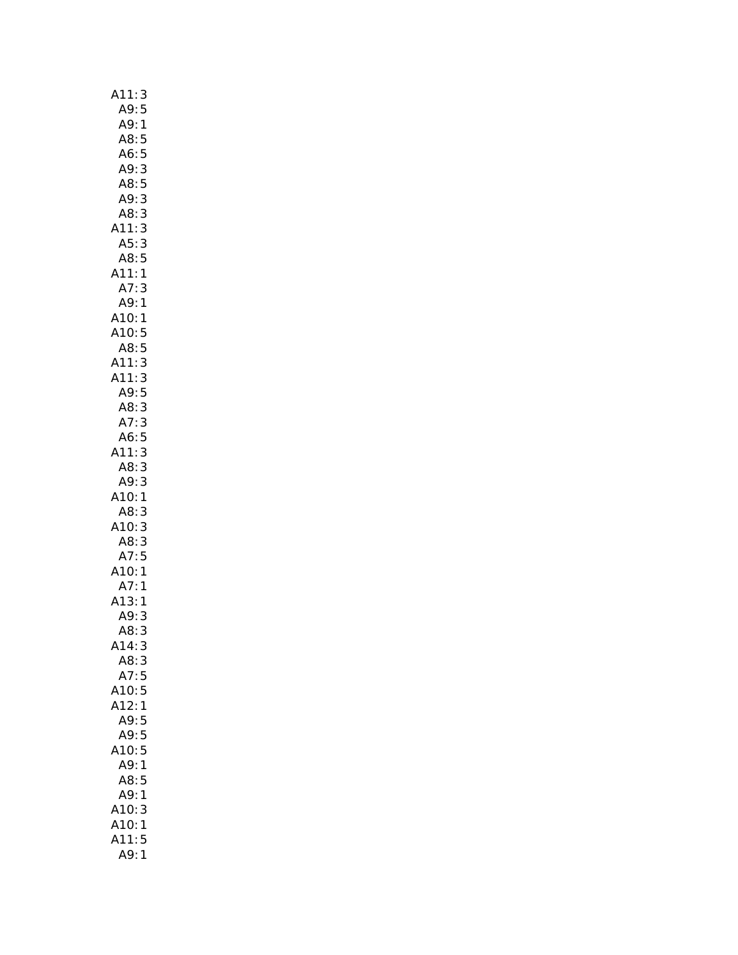| A11:3                                               |
|-----------------------------------------------------|
| 5<br>A9:                                            |
| A9:<br>$\mathbf{1}$                                 |
| A8:5                                                |
| A6:5                                                |
| A9:                                                 |
| A8:                                                 |
| 533351<br>A9:                                       |
| A8:                                                 |
| A11:                                                |
| A5:                                                 |
| A8:<br>:411<br>:47                                  |
| 3                                                   |
|                                                     |
| A7: 3<br>A9: 1<br>A10: 1<br>A10: 5                  |
|                                                     |
| A8:5                                                |
| 3<br>A11:                                           |
| A11:                                                |
| 11:3<br>A9:5                                        |
| A8:3                                                |
| $\frac{3}{1}$<br>A7:                                |
| A6:                                                 |
| (11)                                                |
|                                                     |
|                                                     |
|                                                     |
| 5333133<br>A8:<br>A9:<br>A10:<br>A8:<br>A10:<br>A8: |
|                                                     |
| A8:3<br>A7:5<br>A10:1<br>A7:1                       |
|                                                     |
|                                                     |
| A13:1                                               |
| A9:<br>3                                            |
| A8:<br>3                                            |
| A14:3                                               |
| A8:<br>3                                            |
| A7:5                                                |
| 5<br>A10:                                           |
| A12:<br>1                                           |
| A9:<br>5<br>5                                       |
| A9:<br>A10:<br>5                                    |
| A9:<br>1                                            |
| 5<br>A8:                                            |
| A9:<br>1                                            |
| A10:<br>3                                           |
| A10:<br>1                                           |
| A11:<br>5                                           |
| A9:<br>$\mathbf{1}$                                 |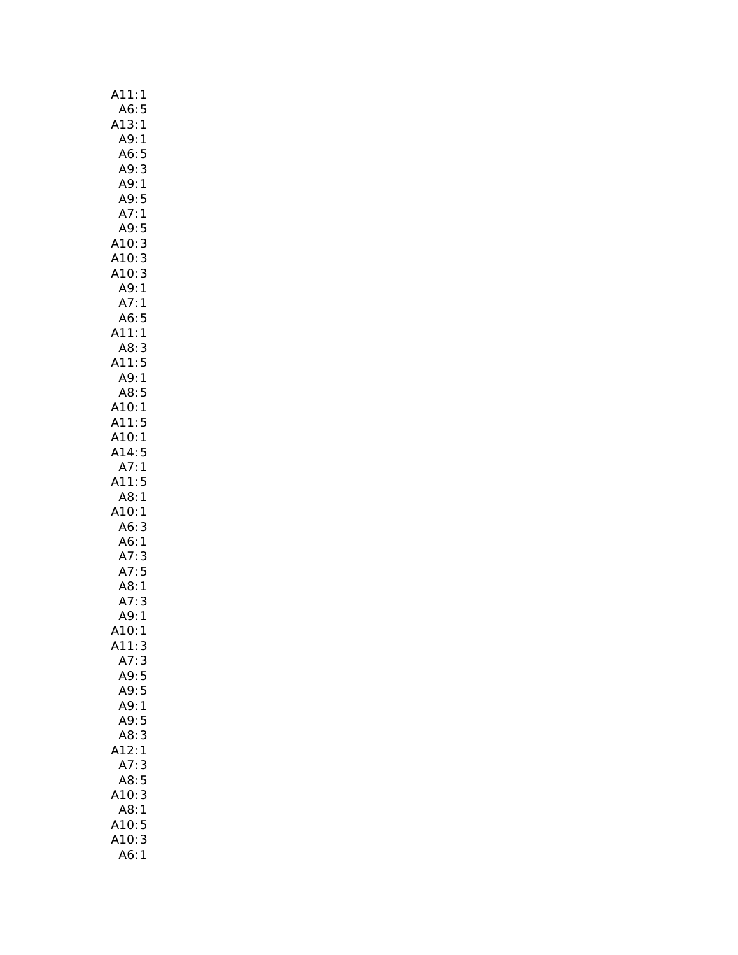| 1<br>A11:                    |
|------------------------------|
| A6:<br>5                     |
| A13:1                        |
| A9:1                         |
| 5<br>A6:                     |
| 3<br>A9:                     |
| A9:1                         |
| A9:<br>5                     |
| A7:1                         |
| A9:<br>5                     |
| 3<br>3<br>A10:               |
| A10:                         |
| A10:<br>A9:<br>3             |
| $\mathbf{1}$                 |
| A7:<br>1                     |
| A6:5                         |
| A11:1                        |
| A8:<br>$\frac{3}{5}$         |
| A11:                         |
| A9:1                         |
| A8:5                         |
| A10:1                        |
| A11:<br>5                    |
| A10:<br>$\mathbf{1}$         |
| A14:5<br>1                   |
| A7:<br>A11:                  |
| 5                            |
| A8:1<br>A10:<br>$\mathbf{1}$ |
| A6:<br>3                     |
| A6: 1<br>A7: 3<br>^-         |
| 3                            |
| A7:5                         |
| A8:1                         |
| A7:<br>3                     |
| A9:1                         |
| A10:<br>L                    |
| A11:3                        |
| A7:3                         |
| A9:5                         |
| A9:5                         |
| A9:<br>$\mathbf{1}$          |
| A9:5                         |
| A8:<br>3                     |
| A12:<br>1                    |
| A7:<br>3                     |
| 5<br>A8:                     |
| A10:<br>3                    |
| A8:<br>$\mathbf{1}$          |
| 5                            |
| A10:<br>A10:<br>3            |
| A6:<br>$\mathbf{1}$          |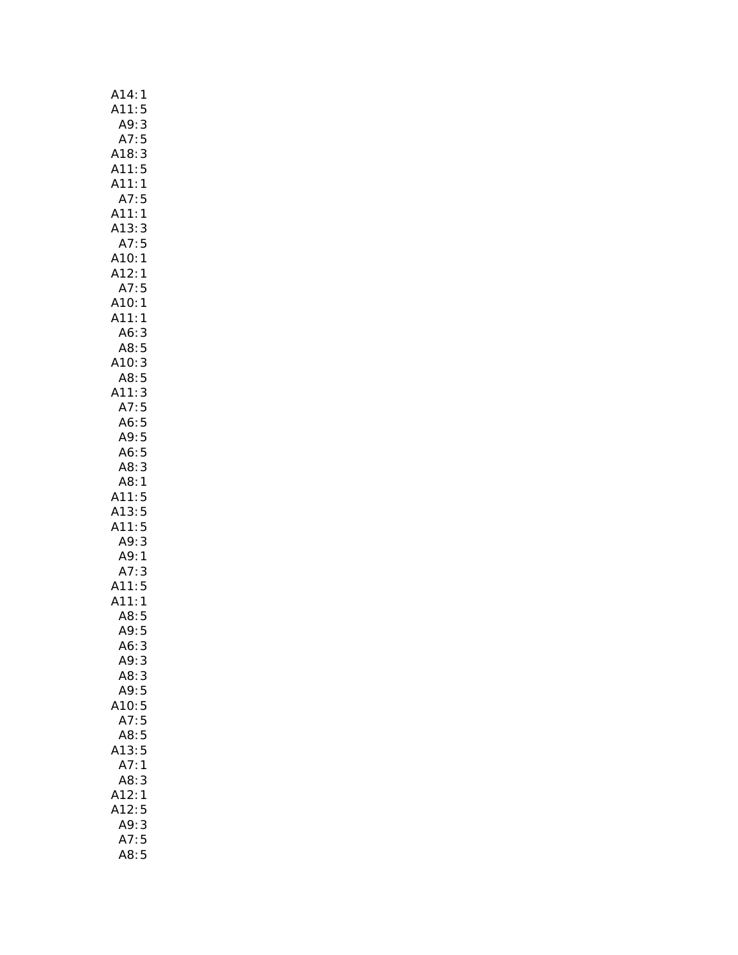| A14:<br>1                                                                               |
|-----------------------------------------------------------------------------------------|
| A11:<br>5                                                                               |
|                                                                                         |
|                                                                                         |
| A9:3<br>A7:5<br>A18:3<br>A11:5                                                          |
|                                                                                         |
| $\mathbf{1}$<br>A11:                                                                    |
| A7:<br>5                                                                                |
| A11:<br>A13:<br>$\mathbf{1}$                                                            |
|                                                                                         |
|                                                                                         |
|                                                                                         |
|                                                                                         |
| 3: 3<br>A7: 5<br>A10: 1<br>A12: 1<br>A7: 5<br>A10: 1<br>A11: 1<br>A                     |
|                                                                                         |
|                                                                                         |
|                                                                                         |
|                                                                                         |
|                                                                                         |
|                                                                                         |
|                                                                                         |
|                                                                                         |
|                                                                                         |
| .o: 3<br>A8: 5<br>A10: 3<br>A3: 5<br>A3: 5<br>A6: 5<br>A6: 5<br>A6: 5<br>A6: 5<br>A8: 3 |
|                                                                                         |
|                                                                                         |
| A11:<br>A13:<br>A11:<br>5                                                               |
|                                                                                         |
|                                                                                         |
| 5531<br>A9: A9: A7: A11: A11: A12: A2                                                   |
|                                                                                         |
| $\frac{3}{5}$                                                                           |
|                                                                                         |
| $\mathbf{1}$                                                                            |
| A8:<br>5                                                                                |
| A9:<br>5<br>A6:3                                                                        |
| A9:3                                                                                    |
| A8:3                                                                                    |
| A9:5                                                                                    |
| 5<br>10:                                                                                |
| A7:<br>5                                                                                |
| A8:<br>5                                                                                |
| A13:<br>5                                                                               |
| A7:<br>1                                                                                |
| A8:<br>3                                                                                |
| A12:<br>1                                                                               |
| A12:<br>5                                                                               |
| 3<br>A9:                                                                                |
| 5<br>A7:                                                                                |
| A8:<br>5                                                                                |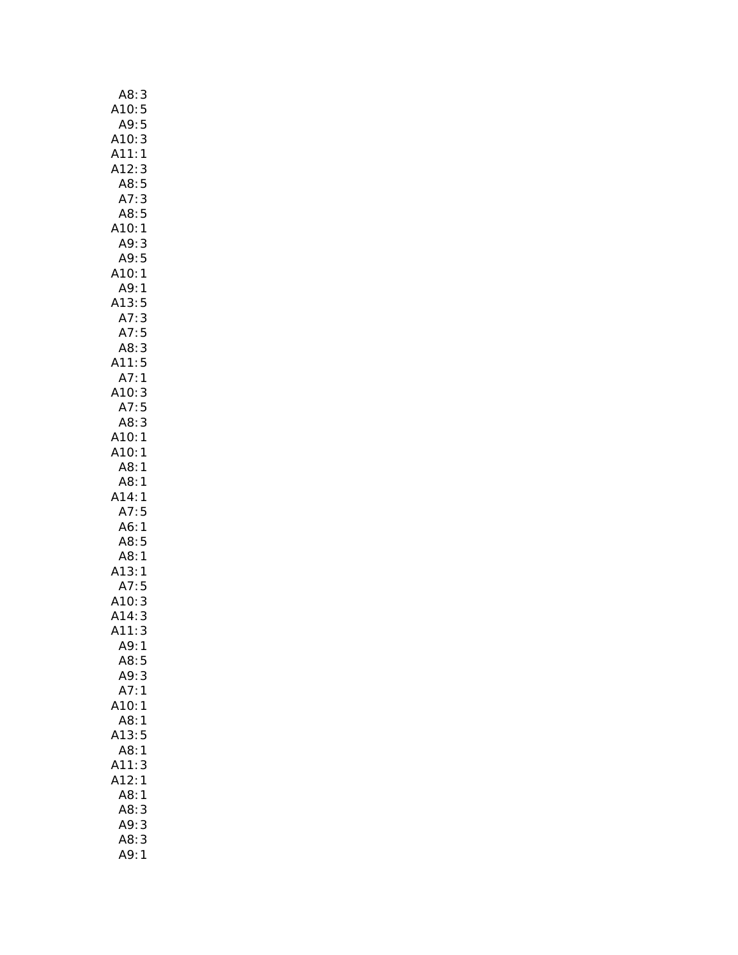| A8:<br>$\mathbf{3}$  |
|----------------------|
| 5<br>A10:            |
| A9:5                 |
| A10:<br>3            |
| A11:<br>$\mathbf{1}$ |
| A12:<br>3            |
| A8:5                 |
| A7:<br>3             |
| A8:5                 |
| A10:1                |
| A9:<br>3             |
| A9:5                 |
| A10:<br>1            |
| A9:<br>$\mathbf{1}$  |
| A13: A7: A7:<br>5    |
| 3                    |
| 5<br>A7:             |
| A8:3                 |
| A11:5                |
| A7:1                 |
| A10:<br>3            |
| A7:5                 |
| 3<br>A8:             |
| A10:1                |
| A10:<br>1            |
| A8:<br>1             |
| A8:<br>1             |
| A14:<br>1            |
| A7:5                 |
| A6:<br>$\mathbf{1}$  |
| A8:5                 |
| A8: 1<br>A13: 1      |
|                      |
| A7:<br>5             |
| 3<br>A10:            |
| A14:<br>3            |
| A11:<br>3            |
| A9:1                 |
| A8:<br>5             |
| 3<br>A9:             |
| A7:<br>1             |
| 10:<br>1             |
| A8:<br>1             |
| A13:<br>5            |
| A8:<br>1             |
| A11:<br>3            |
| A12:<br>1            |
| A8:<br>1             |
| A8:<br>3             |
| A9:<br>3             |
| A8:3                 |
| A9:<br>$\mathbf{1}$  |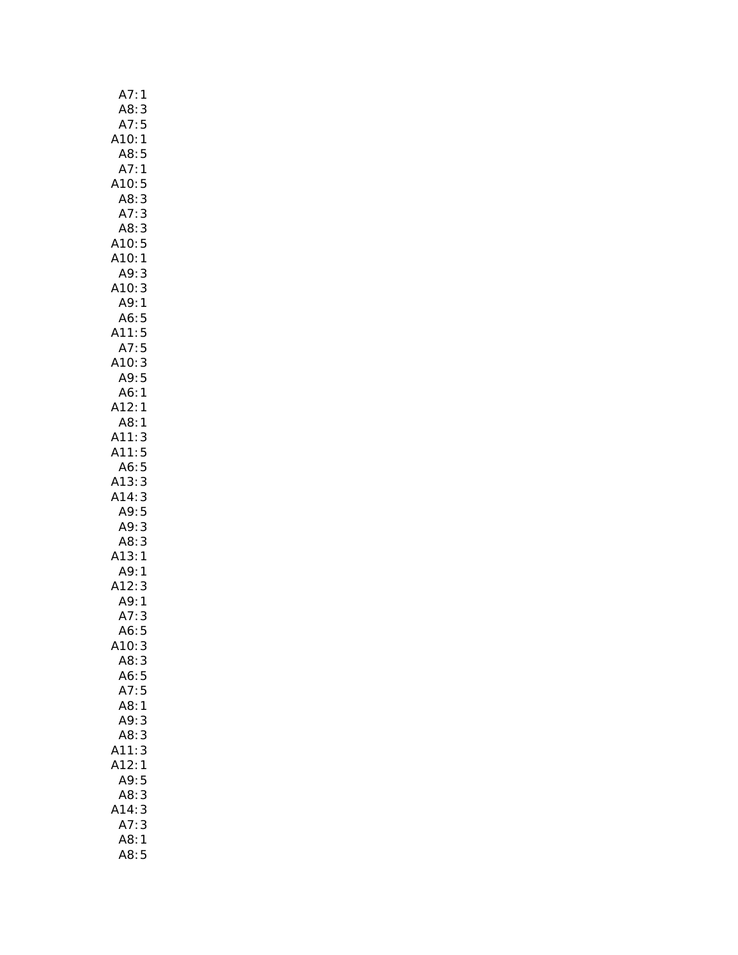| A7:<br>1                                       |
|------------------------------------------------|
| A8:3                                           |
| A7:<br>5                                       |
| A10:1                                          |
| A8:<br>5                                       |
| A7:<br>$\mathbf{1}$                            |
| A10:<br>5                                      |
| A8: 3<br>A7: 3                                 |
|                                                |
| A8:3                                           |
| A10:5                                          |
| A10:1                                          |
| A9:<br>3                                       |
| A10:3                                          |
| A9:1                                           |
| A6:5<br>A6:5<br>A11:5<br>A7:5<br>A10:3<br>A9:5 |
|                                                |
|                                                |
|                                                |
|                                                |
| A6: 1<br>A12: 1                                |
|                                                |
| A8:1                                           |
| A11:3<br>A11:5                                 |
|                                                |
| A6:5                                           |
| A13:3                                          |
| A14:3                                          |
| A9:5                                           |
| A9: 3                                          |
| A8:3                                           |
| A13:1                                          |
| A9:1                                           |
| A12:<br>3                                      |
| A9:1                                           |
| A7:<br>3                                       |
| 5<br>A6:                                       |
| A10:<br>3                                      |
| A8:3                                           |
| A6:5                                           |
| A7:<br>5                                       |
| A8:<br>$\overline{1}$                          |
| A9:<br>3                                       |
| A8:<br>3                                       |
| A11:<br>3                                      |
| A12:<br>1                                      |
| A9:<br>5                                       |
| 3<br>A8:                                       |
| 3<br>A14:                                      |
| A7:<br>3                                       |
| A8:<br>1                                       |
| A8:<br>5                                       |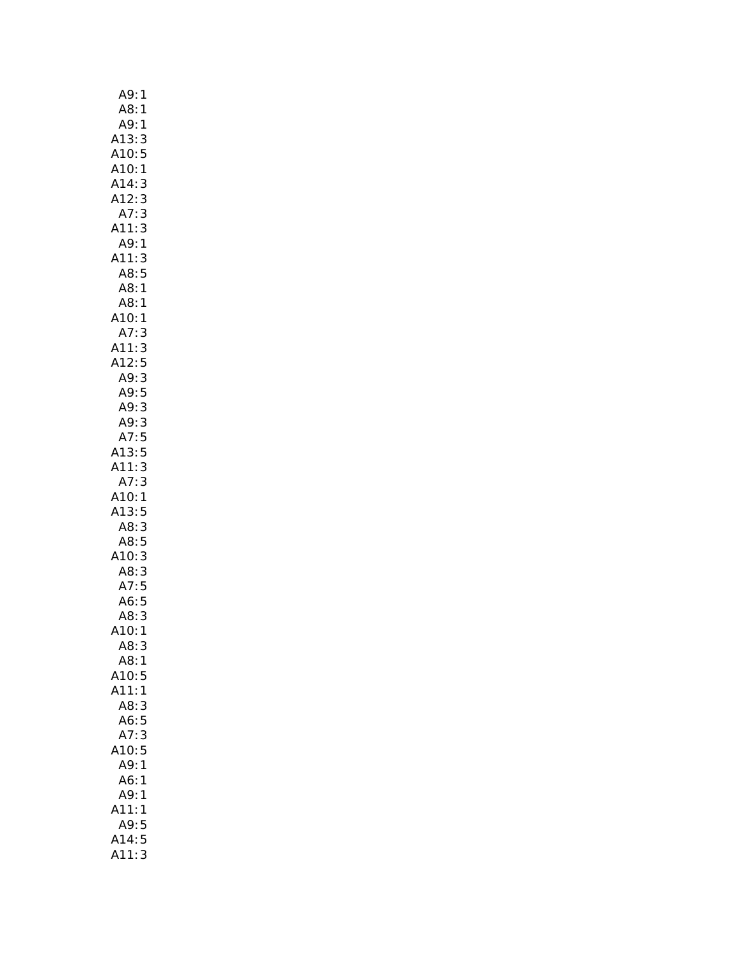| A9:<br>1                                                                          |
|-----------------------------------------------------------------------------------|
| A8:<br>1                                                                          |
| A9:1                                                                              |
| A13:<br>A10:<br>A10:<br>A14:<br>A12:<br>A7:<br>$\frac{3}{5}$                      |
|                                                                                   |
| $\mathbf{1}$                                                                      |
|                                                                                   |
| $\begin{array}{c} 3 \\ 3 \end{array}$                                             |
|                                                                                   |
| 3<br>A11:                                                                         |
| A9:1                                                                              |
| A11:3                                                                             |
| A8:5                                                                              |
| A8: 1<br>A8: 1                                                                    |
|                                                                                   |
|                                                                                   |
|                                                                                   |
|                                                                                   |
|                                                                                   |
|                                                                                   |
|                                                                                   |
|                                                                                   |
|                                                                                   |
| A10:1<br>A7:3<br>A11:3<br>A12:5<br>A9:3<br>A9:5<br>A9:3<br>A7:5<br>A13:5<br>A11:3 |
|                                                                                   |
|                                                                                   |
| A7:3                                                                              |
| A10:1                                                                             |
| A13:5<br>A8:3                                                                     |
|                                                                                   |
|                                                                                   |
|                                                                                   |
|                                                                                   |
| A8:5<br>A10:3<br>A3:5<br>A3:5<br>A6:5                                             |
|                                                                                   |
| .<br>3<br>A8:                                                                     |
| 10:<br>1                                                                          |
| A8:<br>3                                                                          |
| A8:<br>1                                                                          |
| A10:<br>5                                                                         |
| A11:<br>1                                                                         |
| A8:<br>3                                                                          |
| A6:<br>5                                                                          |
| 3<br>A7:                                                                          |
| 5<br>A10:                                                                         |
| A9:<br>1                                                                          |
| A6:<br>1                                                                          |
| A9:<br>1                                                                          |
| 11:<br>1                                                                          |
| A9:<br>5                                                                          |
| A14:5                                                                             |
| A11:<br>3                                                                         |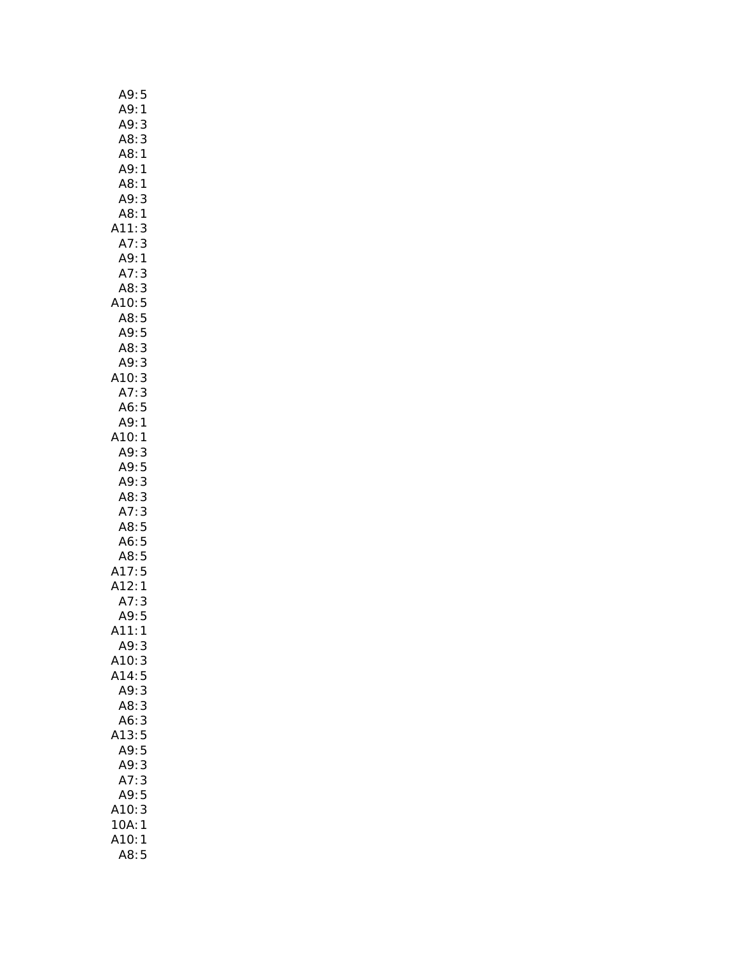| A9:<br>5                              |
|---------------------------------------|
| A9:<br>$\mathbf{1}$                   |
| A9:<br>3                              |
| A8:<br>3                              |
| A8:<br>$\mathbf{1}$                   |
| A9: 1                                 |
| A8:1                                  |
| 3<br>A9:                              |
| A8:1                                  |
| 3<br>A11:                             |
| $\vdots$<br>A7<br>3                   |
| A9:<br>$\mathbf{1}$                   |
| A7:<br>3<br>A8:                       |
| 3<br>$A = 5$<br>A10:5<br>A8:5<br>A9:5 |
|                                       |
|                                       |
| A8:3                                  |
| A9: 3                                 |
| A10: 3                                |
| 3<br>A7:                              |
| A6:5                                  |
| A9:1                                  |
| 10:1                                  |
| A9:<br>3                              |
|                                       |
| A9:5<br>A9:3                          |
| 3<br>A8:                              |
| 3<br>A7:                              |
| -----<br>A8:5<br>A6:5                 |
|                                       |
| A8:5                                  |
| A17:5<br>A12:1                        |
|                                       |
| A7:<br>3                              |
| A9:5<br>$\mathbf{1}$                  |
| A11:<br>A9:3                          |
| A10:3                                 |
| A14:5                                 |
| A9:3                                  |
| A8:3                                  |
| A6:<br>3                              |
| A13:<br>5                             |
| A9:<br>5                              |
| 3<br>A9:                              |
| 3<br>A7:                              |
| A9:<br>5                              |
| A10:<br>3                             |
| 10A:1                                 |
| A10:1                                 |
| A8:5                                  |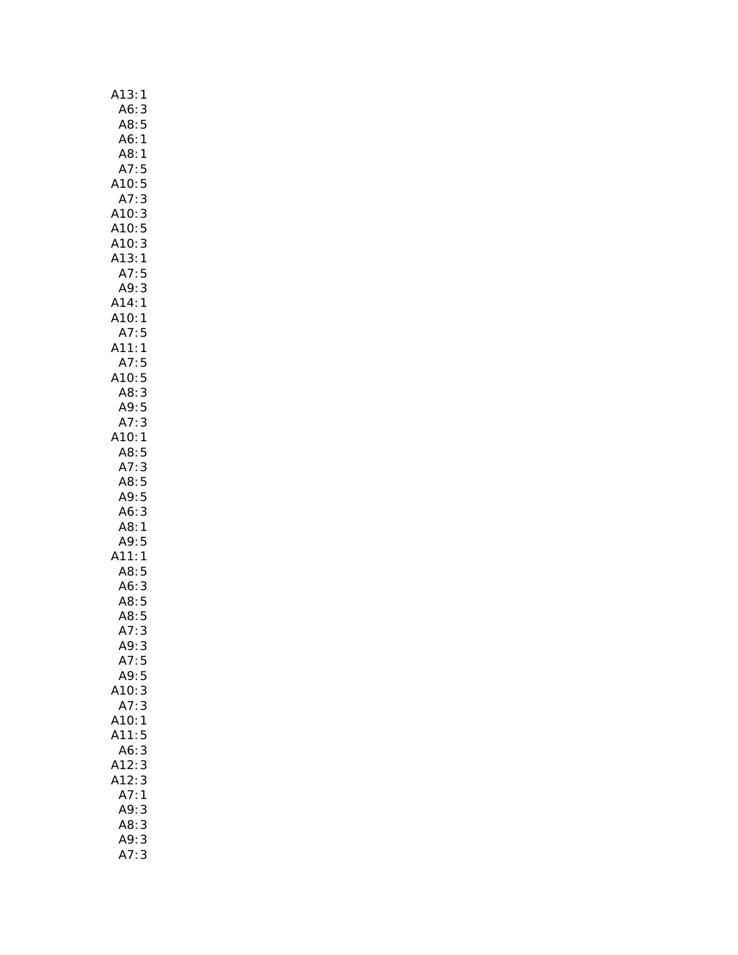| A13:<br>$\mathbf{1}$             |
|----------------------------------|
| A6:3                             |
| 5<br>A8: 5<br>A6: 1              |
|                                  |
| A8:1                             |
| A7:5<br>A10:5                    |
|                                  |
| A7:3                             |
| A10:<br>3                        |
| A10:5<br>A10:3<br>A13:1          |
|                                  |
|                                  |
| A10:<br>A10:<br>A13:<br>A7:<br>5 |
| 3<br>A9:                         |
| $\mathbf{1}$                     |
| A14:<br>A10:<br>1                |
| A7:5                             |
| A11:<br>$\mathbf{1}$             |
| A7:5                             |
| A10:5                            |
|                                  |
| A8: 3<br>A9: 5                   |
| 3<br>A7:                         |
| A10:1                            |
| A8:5                             |
|                                  |
| A7: 3<br>A8: 5                   |
| A9:5                             |
| A6:3                             |
|                                  |
| A8: 1<br>A9: 5                   |
| A11:<br>$\mathbf{1}$             |
| A8:5                             |
|                                  |
|                                  |
| .<br>A6: 3<br>A8: 5<br>A8: 5     |
| 3<br>A7:                         |
| A9:3                             |
| A7:5                             |
| A9:5                             |
| A10:3                            |
| A7:<br>3                         |
| A10:<br>1                        |
| A11:<br>5                        |
| A6:<br>3                         |
| A12:<br>3                        |
| 3<br>A12:                        |
| A7:<br>1                         |
| A9:<br>3                         |
|                                  |
| A8: 3<br>A9:<br>3                |
| A7:3                             |
|                                  |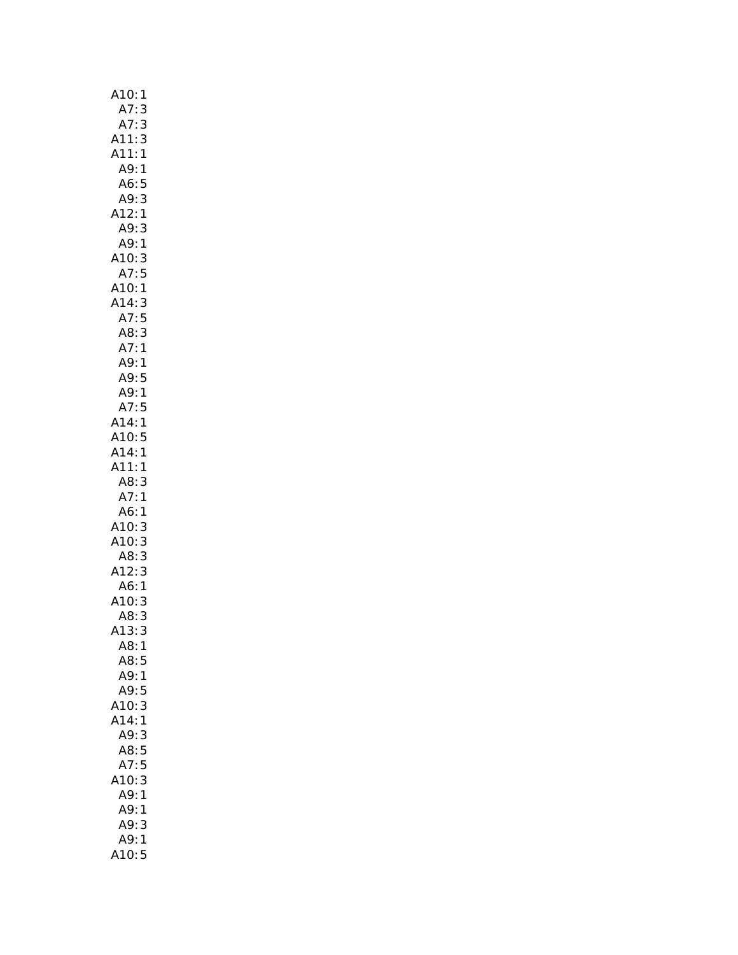| A10:1                                                                                                                                             |
|---------------------------------------------------------------------------------------------------------------------------------------------------|
| A7:<br>3                                                                                                                                          |
|                                                                                                                                                   |
| A7: 3<br>A11: 3<br>A11: 1<br>A<br>A 11<br>A 9 : 1<br>A 6 : 5<br>A 9 : 3<br>A 12 : 1<br>A 9 : 1<br>A 10 : 3<br>A 7 : 5<br>A 10 : 3<br>A 7 : 5<br>1 |
|                                                                                                                                                   |
|                                                                                                                                                   |
|                                                                                                                                                   |
|                                                                                                                                                   |
|                                                                                                                                                   |
|                                                                                                                                                   |
|                                                                                                                                                   |
|                                                                                                                                                   |
|                                                                                                                                                   |
|                                                                                                                                                   |
|                                                                                                                                                   |
|                                                                                                                                                   |
|                                                                                                                                                   |
|                                                                                                                                                   |
|                                                                                                                                                   |
|                                                                                                                                                   |
|                                                                                                                                                   |
| A7:5<br>A7:5<br>A14:3<br>A7:5<br>A8:3<br>A7:1<br>A9:1<br>A7:5<br>A7:5<br>A14:1<br>A11:1<br>A11:1                                                  |
|                                                                                                                                                   |
|                                                                                                                                                   |
|                                                                                                                                                   |
| 3<br>1                                                                                                                                            |
|                                                                                                                                                   |
| 1                                                                                                                                                 |
| A8:<br>A7:<br>A6:<br>A10:<br>A10:<br>A8:<br>A12:<br>$\begin{array}{c} 3 \\ 3 \end{array}$                                                         |
|                                                                                                                                                   |
|                                                                                                                                                   |
| 3                                                                                                                                                 |
| A6: 1<br>A10: 3<br>3                                                                                                                              |
| 3<br>A8:                                                                                                                                          |
| A13:<br>3                                                                                                                                         |
| A8:1                                                                                                                                              |
| A8:<br>5                                                                                                                                          |
| A9:1                                                                                                                                              |
| A9:<br>5                                                                                                                                          |
| 3<br>A10:                                                                                                                                         |
| A14:<br>1                                                                                                                                         |
| 3<br>A9:                                                                                                                                          |
| 5<br>A8:                                                                                                                                          |
| 5<br>A7:                                                                                                                                          |
| A10:<br>3                                                                                                                                         |
| A9:<br>1                                                                                                                                          |
| A9:<br>1                                                                                                                                          |
| A9:<br>3                                                                                                                                          |
| A9:<br>$\mathbf{1}$                                                                                                                               |
| A10:5                                                                                                                                             |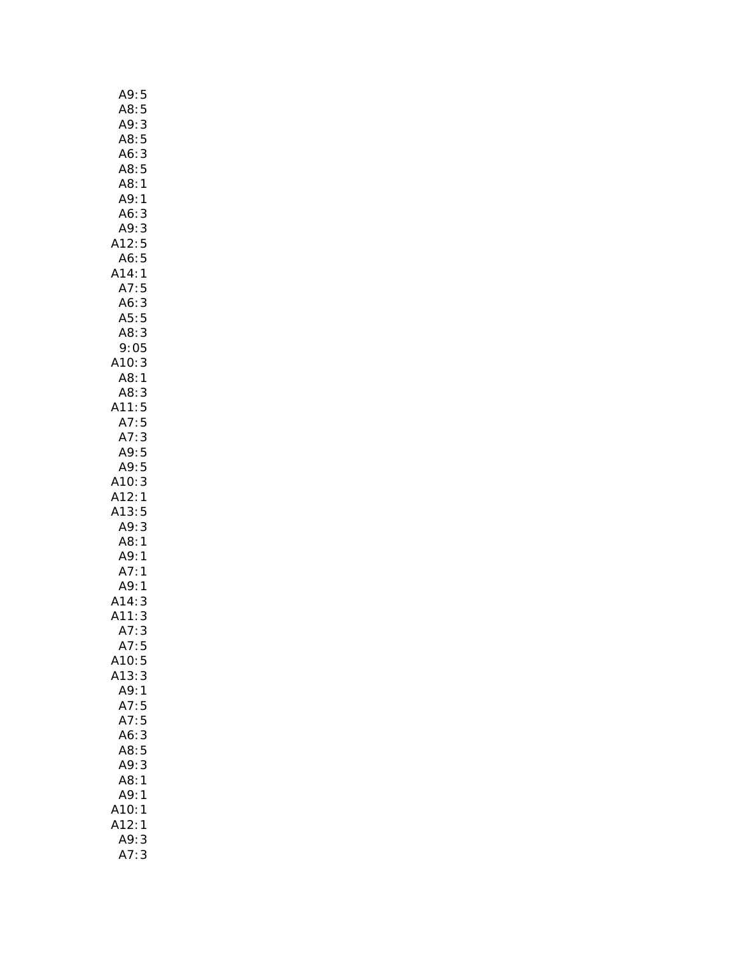| A9:5                                  |  |
|---------------------------------------|--|
| A8:5                                  |  |
| A9:<br>$\mathsf{3}$                   |  |
| 5<br>A8:                              |  |
| A6:                                   |  |
| $\frac{3}{5}$<br>A8:                  |  |
| A8:1                                  |  |
|                                       |  |
| A9:1                                  |  |
| A6:3                                  |  |
| A9:3                                  |  |
| A12:5                                 |  |
| A6:5                                  |  |
| A14:1                                 |  |
| A7:5                                  |  |
| A6:3                                  |  |
|                                       |  |
|                                       |  |
| $A5:5$<br>$A8:3$<br>$9:05$<br>$A10:3$ |  |
|                                       |  |
|                                       |  |
| A8:1<br>A8:3<br>A11:5                 |  |
|                                       |  |
|                                       |  |
| 5<br>A7:                              |  |
| A7:3                                  |  |
| A9: 5<br>A9: 5                        |  |
|                                       |  |
| A10:3                                 |  |
| A12:1                                 |  |
| A13:5                                 |  |
| A9:3                                  |  |
|                                       |  |
| A8: 1<br>A9: 1<br>A7: 1               |  |
|                                       |  |
| A,<br>A9:1<br>14:3                    |  |
|                                       |  |
|                                       |  |
| A14:<br>A11:<br>--<br>3               |  |
| A7:3                                  |  |
| A7:<br>5                              |  |
| 5<br>A10:                             |  |
| A13:<br>3                             |  |
| A9:<br>1                              |  |
| A7:<br>5                              |  |
| A7:5                                  |  |
| A6:3                                  |  |
| A8:5                                  |  |
| 3<br>A9:                              |  |
|                                       |  |
| 1<br>A8:                              |  |
| A9:<br>1                              |  |
| A10:<br>1                             |  |
| A12:<br>1                             |  |
| A9:<br>3                              |  |
| A7:<br>3                              |  |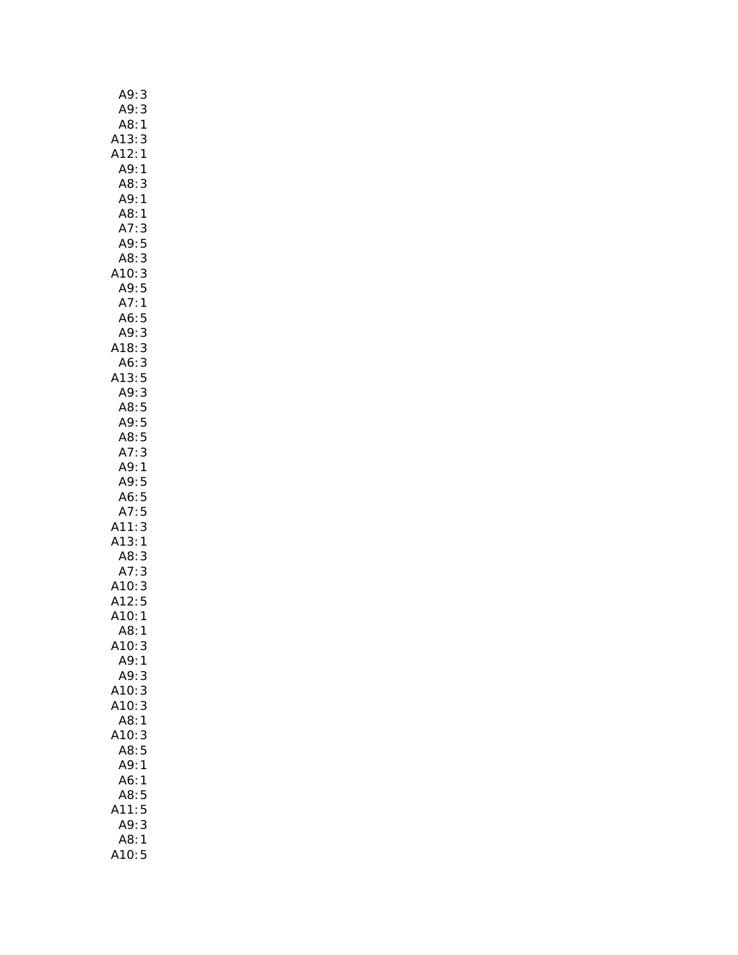| A9:                                                  | 3            |
|------------------------------------------------------|--------------|
| A9:                                                  | 3            |
| A8:                                                  | 1            |
|                                                      | 3            |
| .<br>A13:<br>A12:                                    | $\mathbf{1}$ |
| A9:                                                  | 1            |
| A8:3                                                 |              |
|                                                      |              |
| A9:1                                                 |              |
| A8:1                                                 |              |
| A7:                                                  | 3            |
| A9: 5<br>A8: 3                                       |              |
|                                                      |              |
| A10:3                                                |              |
| A9:5                                                 |              |
| A7:1                                                 |              |
| A6:5                                                 |              |
| A9:                                                  | 3            |
| A18:                                                 | 3            |
|                                                      |              |
|                                                      |              |
|                                                      |              |
|                                                      |              |
|                                                      |              |
| A 16:3<br>A 6:3<br>A 13:5<br>A 9:3<br>A 8:5<br>A 3:5 |              |
|                                                      |              |
| A7:3                                                 |              |
|                                                      |              |
|                                                      |              |
| A9:1                                                 |              |
|                                                      |              |
| A9: 5<br>A6: 5                                       |              |
| A7:5                                                 |              |
| A11:                                                 | 3            |
| A13:1                                                |              |
| A8:3                                                 |              |
|                                                      |              |
|                                                      |              |
| A7: 3<br>A7: 3<br>A10: 3<br>A12: 5                   |              |
| A10:1                                                |              |
| A8:                                                  | 1            |
| A10:                                                 | 3            |
| A9:                                                  | 1            |
| A9:                                                  | 3            |
| A10:                                                 |              |
|                                                      | 3            |
| A10:3<br>A8:1                                        |              |
|                                                      |              |
| A10:                                                 | 3            |
| A8:5                                                 |              |
| A9:1                                                 |              |
| A6:                                                  | 1            |
| A8:                                                  | 5            |
| A11:5                                                |              |
| A9:                                                  | 3            |
| A8:<br>A10:5                                         | 1            |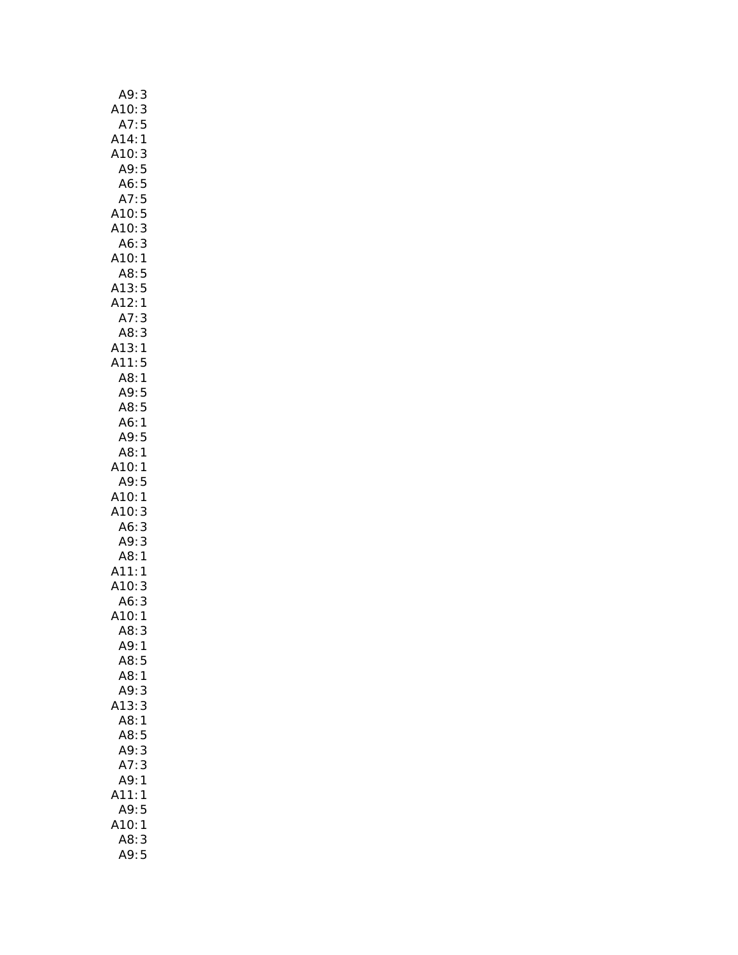| A9:<br>3                        |
|---------------------------------|
| A10:3                           |
| 5<br>A7:                        |
| A14:<br>$\mathbf{1}$            |
| A10:3                           |
| A9: 5<br>A6: 5                  |
|                                 |
| 5<br>A7:                        |
| A10:5                           |
| 3<br>A10:                       |
| A6:<br>3                        |
| A10:<br>$\mathbf{1}$<br>A8:5    |
|                                 |
| .<br>A13: 5<br>A12: 1           |
| A7:<br>3                        |
| 3                               |
| A8: 3<br>A13: 1<br>A11: 5       |
|                                 |
| A8:1                            |
| A9:5                            |
| A8:5                            |
| A6:1                            |
| A9:5                            |
| A8:<br>$\overline{1}$           |
| 10:<br>1                        |
| A9:<br>5                        |
| A10:<br>1                       |
| A10:<br>3                       |
| 3<br>A6:                        |
| $\frac{1}{3}$<br>A9:            |
| .<br>A8:1                       |
| A11:<br>A10:<br>$\mathbf{1}$    |
| 3                               |
| A6:<br>3<br>A10:1               |
|                                 |
| A8:<br>3<br>A9:<br>$\mathbf{1}$ |
| A8:<br>5                        |
| A8:1                            |
| A9:<br>3                        |
| 13:<br>3                        |
| A8:<br>1                        |
| A8:<br>5                        |
| A9:<br>3                        |
| 3<br>A7:                        |
| A9:<br>1                        |
| A11:<br>1                       |
| A9:<br>5                        |
| 410:<br>$\mathbf{1}$            |
| A8:<br>3                        |
| A9:5                            |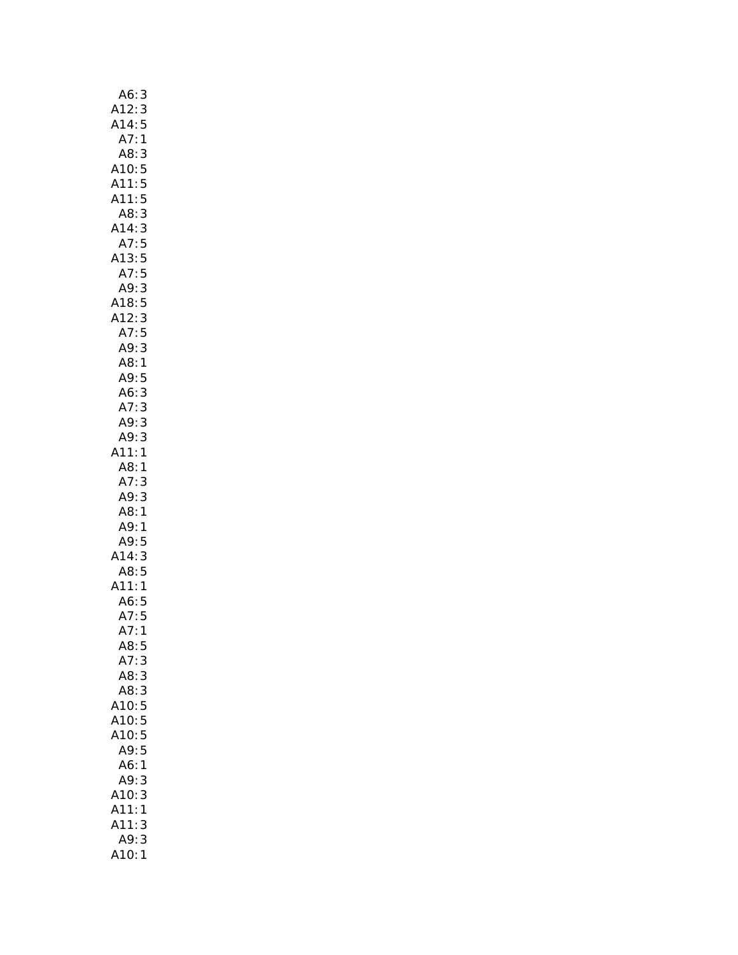| 3                                                                                     |
|---------------------------------------------------------------------------------------|
|                                                                                       |
| A6:<br>A12:<br>A14:<br>A7:<br>$\begin{array}{c} 3 \\ 5 \\ 1 \end{array}$              |
|                                                                                       |
| A8: 3<br>A10: 5<br>A11: 5<br>A11: 5<br>A8: 3                                          |
|                                                                                       |
|                                                                                       |
|                                                                                       |
|                                                                                       |
| A14:3                                                                                 |
| A7:5<br>A13:5<br>A7:5<br>A7:5<br>A9:3<br>A7:5<br>A9:5<br>A8:1<br>A9:3<br>A9:3<br>A9:3 |
|                                                                                       |
|                                                                                       |
|                                                                                       |
|                                                                                       |
|                                                                                       |
|                                                                                       |
|                                                                                       |
|                                                                                       |
|                                                                                       |
|                                                                                       |
|                                                                                       |
|                                                                                       |
|                                                                                       |
|                                                                                       |
| A11:1                                                                                 |
| A8:1                                                                                  |
| A7: 3<br>A9: 3                                                                        |
|                                                                                       |
| A8:1                                                                                  |
| A9:1                                                                                  |
| A9:5                                                                                  |
| $A14:3$<br>$A8:5$                                                                     |
|                                                                                       |
| A11:1<br>A6:5<br>A7:5                                                                 |
|                                                                                       |
|                                                                                       |
| .<br>A7:<br>$\mathbf{1}$                                                              |
| A8:<br>5                                                                              |
| A7:<br>3                                                                              |
| A8:3                                                                                  |
| A8:3                                                                                  |
| A10:5                                                                                 |
| A10:5                                                                                 |
| 5<br>A10:                                                                             |
| 5<br>A9:                                                                              |
| A6:<br>1                                                                              |
| A9:<br>3                                                                              |
| 3<br>A10:                                                                             |
| A11:<br>1                                                                             |
| A11:<br>3                                                                             |
| A9:<br>3                                                                              |
| 1<br>A10:                                                                             |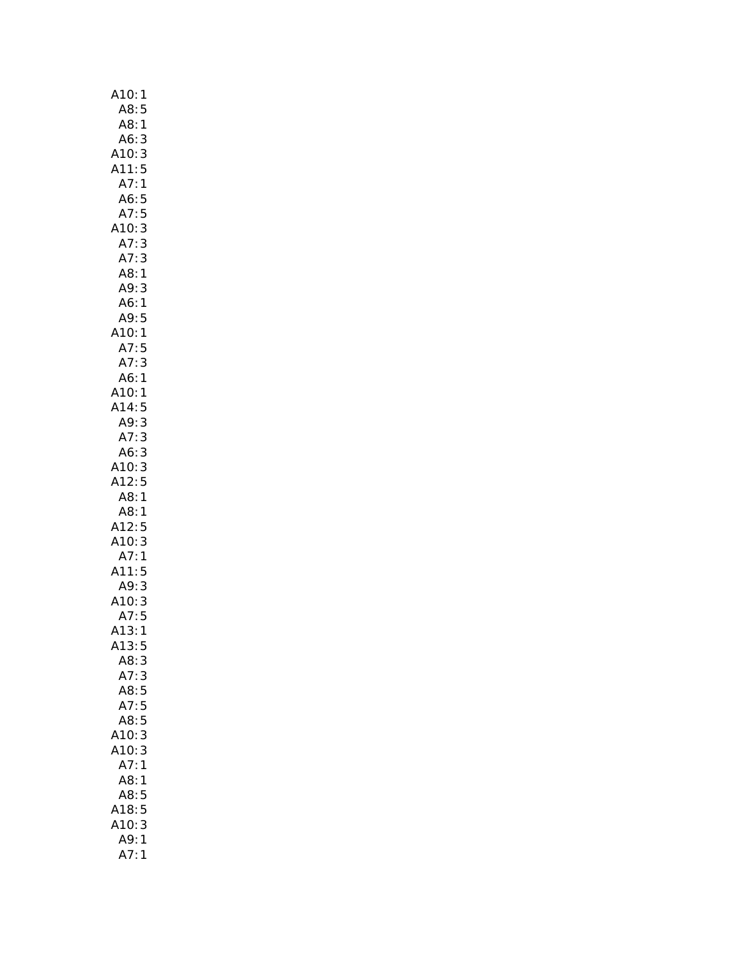| A10:<br>1                                      |
|------------------------------------------------|
| A8:<br>5                                       |
| A8:1                                           |
| A6:3                                           |
| A10: 3                                         |
|                                                |
| A11:5                                          |
| $\mathbf{1}$<br>A7:                            |
| A6:5                                           |
| A7:5                                           |
| 3<br>A10:                                      |
| 3<br>A7:                                       |
| $\begin{array}{c}\n3 \\ 1\n\end{array}$<br>A7: |
| A8:                                            |
| A9:3                                           |
| A6:1                                           |
| A9:<br>5                                       |
| A10:1                                          |
| A7:<br>5                                       |
| A7:<br>3                                       |
|                                                |
| A6:1                                           |
| A10:1                                          |
| A14:5                                          |
| A9:3                                           |
| A7:3                                           |
| A6:3                                           |
| 3<br>A10:                                      |
| A12:<br>5                                      |
| A8:1                                           |
| A8:1                                           |
| A12:5                                          |
| A10:3                                          |
| A7:1                                           |
| A11:<br>5                                      |
|                                                |
| A9:<br>3                                       |
| A10:3                                          |
| A7:5                                           |
| A13:<br>1                                      |
| A13:5                                          |
| 3<br>A8:                                       |
| A7:3                                           |
| A8:5                                           |
| A7:5                                           |
| A8:5                                           |
| A10:<br>3                                      |
| A10:<br>3                                      |
| A7:1                                           |
| A8:<br>$\mathbf{1}$                            |
|                                                |
| A8:5                                           |
| A18:5                                          |
| A10:<br>3                                      |
| <br>A9:<br>$\mathbf{1}$                        |
| A7:<br>$\mathbf{1}$                            |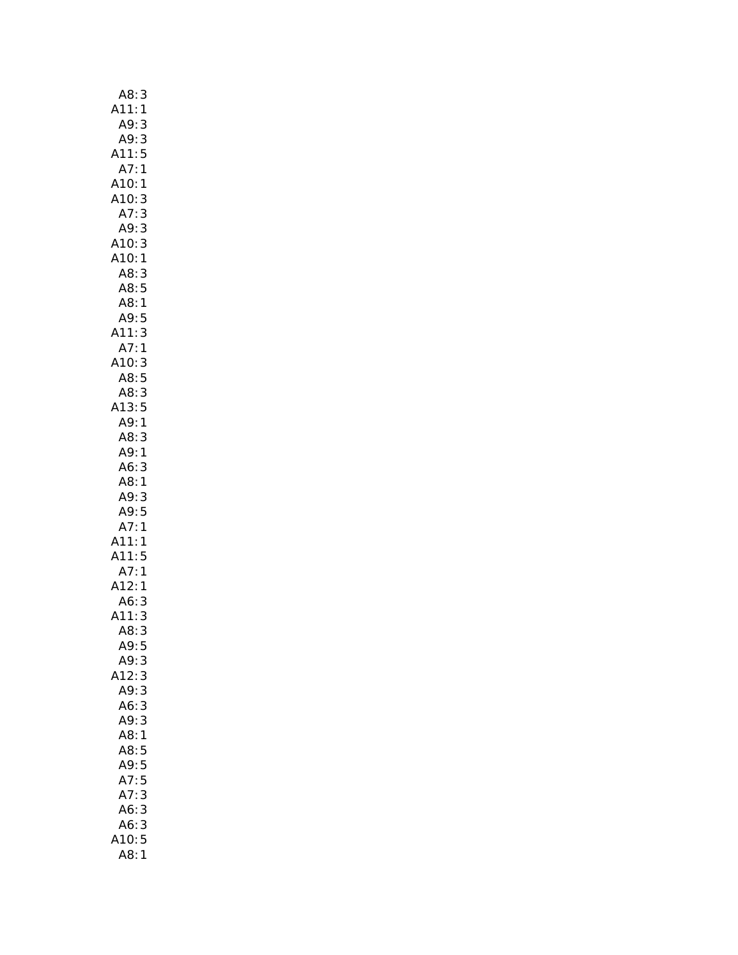| A8:<br>3                            |
|-------------------------------------|
| A11:<br>1                           |
| A9:<br>3                            |
| A9:3                                |
| A11:5                               |
| A7:1                                |
| A10:1                               |
| A10:<br>3                           |
| 3<br>A7:                            |
| 3<br>A9:                            |
| 3                                   |
| A10: 3<br>A10: 1                    |
| A8:                                 |
| 3<br>A8:5                           |
| .<br>:A8                            |
| $\mathbf{1}$                        |
| 5                                   |
| 3                                   |
| A9:<br>:A11<br>:A7:<br>$\mathbf{1}$ |
| 410: 3<br>48: 5                     |
|                                     |
| A8: 3                               |
| A13:<br>5                           |
| A9:1                                |
| A8:<br>3                            |
| A9:1                                |
| A6:<br>3                            |
| A8:1                                |
| A9:<br>3                            |
| 5                                   |
| A9:<br>A7:<br>1                     |
| A11:<br>1                           |
| .<br>A11: 5                         |
| A7:                                 |
| $\mathbf{1}$<br>A12:                |
| $\mathbf{1}$<br>A6:                 |
| 3                                   |
| A11:<br>3                           |
| A8:<br>3                            |
| A9:<br>5                            |
| A9:<br>3                            |
| 3<br>A12:                           |
| A9:3                                |
| A6:3                                |
| A9:<br>3                            |
| A8:<br>$\mathbf 1$                  |
| A8:<br>5                            |
| A9:<br>5                            |
| 5<br>A7<br>$\vdots$                 |
| A7:<br>3                            |
| 3<br>A6:                            |
| A6:<br>3                            |
| 5<br>A10:                           |
| A8:<br>1                            |
|                                     |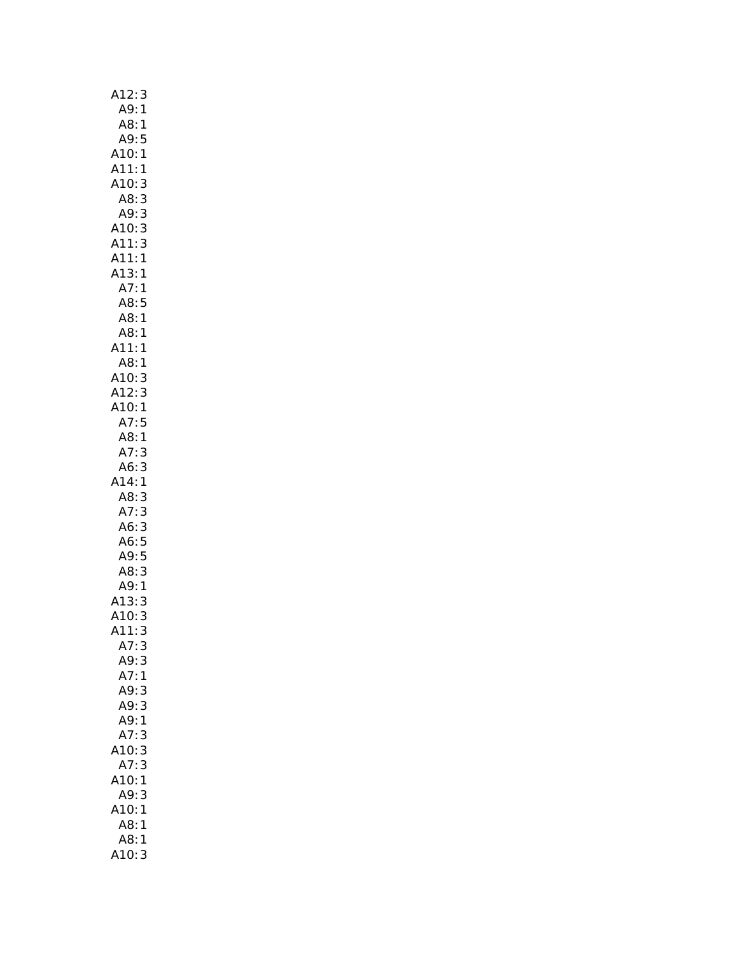| A12:3                |
|----------------------|
| A9:1                 |
| A8:1                 |
| A9:5                 |
| A10:1                |
|                      |
| A11:1                |
| A10:<br>3            |
| 3<br>A8:             |
| A9:3                 |
| A10:3                |
| A11:3                |
| A11:1                |
| A13:1                |
| A7:1                 |
| A8:5                 |
| .<br>A8:1            |
| A8:1                 |
| A11:1                |
|                      |
| A8:1                 |
| A10: 3<br>A12: 3     |
|                      |
| A10:1                |
| A7:5                 |
| A8:1                 |
| A7:3                 |
| A6:<br>3             |
| A14:1                |
| A8:                  |
| A8:3<br>A7:3<br>A6:3 |
|                      |
|                      |
| A6:5                 |
| A9:5<br>A8:3         |
|                      |
| A9:1                 |
| A13:<br>3            |
| A10:3                |
| A11:<br>3            |
| A7:3                 |
| A9:3                 |
| A7:1                 |
| A9:3                 |
|                      |
| A9:3                 |
| A9:1                 |
| A7:<br>3             |
| 10:3                 |
| A7:3                 |
| A10:<br>1            |
| A9:<br>3             |
| A10:<br>1            |
| A8:<br>1             |
| $\mathbf{1}$         |
| A8:                  |
| A10: 3               |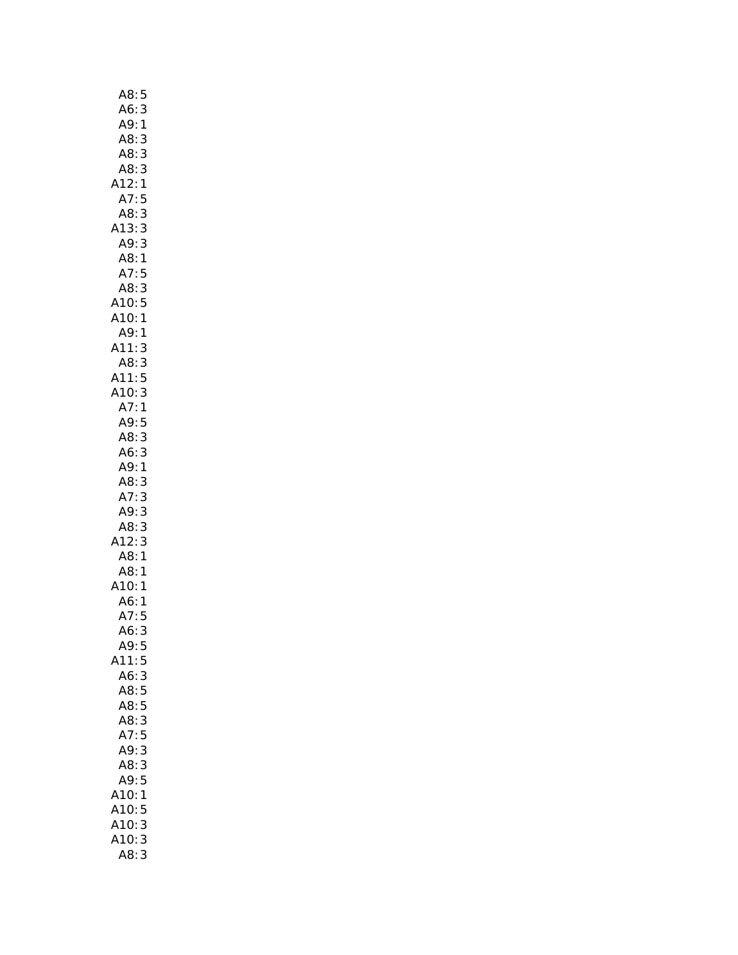| A8:                                     | 5            |
|-----------------------------------------|--------------|
| A6:                                     | 3            |
| A9:                                     | $\mathbf{1}$ |
| A8:                                     | 3            |
| A8:                                     | 3            |
|                                         |              |
| $A8:3$<br>$A12:1$                       |              |
| A7:5                                    |              |
| A8:3                                    |              |
| A13:3                                   |              |
| A9:3                                    |              |
| .<br>A8:1<br>A7:5<br>A8:3               |              |
|                                         |              |
|                                         |              |
| A10:5                                   |              |
| A10:1                                   |              |
| A9:1                                    |              |
|                                         |              |
|                                         |              |
|                                         |              |
|                                         |              |
| A11:3<br>A3:3<br>A11:5<br>A10:3<br>A7:1 |              |
| A9:                                     | 5            |
| A8:3                                    |              |
| A6:3                                    |              |
| A9:1                                    |              |
| AB:3                                    |              |
| A7:3                                    |              |
| A9:3                                    |              |
| A8:3                                    |              |
| $A12:3$<br>$A8:1$                       |              |
|                                         |              |
| A8:1                                    |              |
| A10:                                    | $\mathbf{1}$ |
| A6:                                     | 1            |
| A7:5                                    |              |
| A6:<br>A9:5                             | 3            |
|                                         |              |
| A11:                                    | 5            |
| A6:<br>A8:5                             | $\mathbf{3}$ |
| A8:5                                    |              |
| A8:3                                    |              |
| A7:5                                    |              |
| A9:3                                    |              |
| A8:3                                    |              |
| A9:5                                    |              |
| A10:                                    | 1            |
| A10:                                    | 5            |
| A10:                                    | 3            |
| A10:                                    | 3            |
| A8:                                     | 3            |
|                                         |              |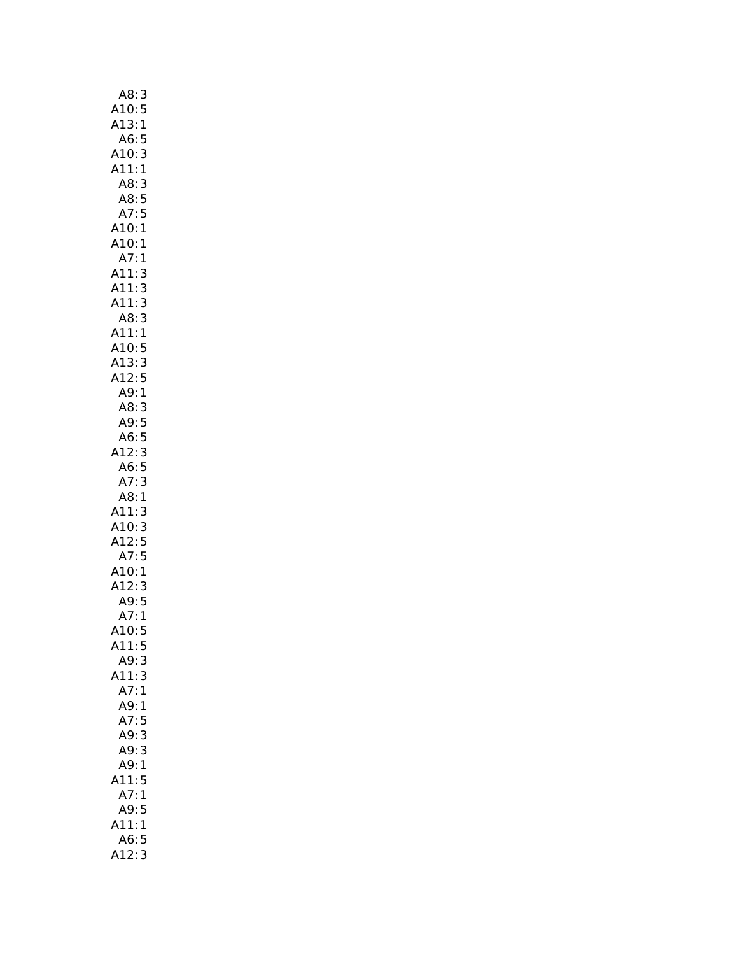| 3                                                                         |
|---------------------------------------------------------------------------|
|                                                                           |
| A8:<br>:A10<br>A13<br>5<br>1                                              |
| A6:<br>5                                                                  |
| 3<br>A10:                                                                 |
| A11:1                                                                     |
| A8:<br>A8: 3<br>A8: 5<br>A7: 5                                            |
|                                                                           |
|                                                                           |
| A10:<br>1                                                                 |
| A10:<br>1                                                                 |
| .<br>: A7<br>: A11<br>: A11<br>1                                          |
|                                                                           |
|                                                                           |
| A11:                                                                      |
|                                                                           |
|                                                                           |
| 33315<br>A11: 3<br>A8: 3<br>A11: 1<br>A10: 5<br>A13: 3<br>A12: 5<br>A9: 1 |
|                                                                           |
|                                                                           |
|                                                                           |
| A8:                                                                       |
| $\begin{array}{c}\n3 \\ 5 \\ 3\n\end{array}$<br>A9: A6: A12:              |
|                                                                           |
|                                                                           |
| 5                                                                         |
| A6:<br>A7:<br>3                                                           |
| A8:<br>1                                                                  |
| A11:<br>A10:<br>A12:                                                      |
| $\begin{array}{c}\n3 \\ 3 \\ 5\n\end{array}$                              |
|                                                                           |
| A12.5<br>A7:5<br>A10:1<br>A12:3<br>A9:5<br>A7:1                           |
|                                                                           |
|                                                                           |
|                                                                           |
|                                                                           |
| A10:<br>5                                                                 |
| A11:5                                                                     |
| A9:3                                                                      |
| 3<br>A11:                                                                 |
| A7:<br>$\mathbf{1}$                                                       |
| A9:1                                                                      |
| A7:5                                                                      |
| A9:3                                                                      |
| 3<br>A9:                                                                  |
| A9:<br>1                                                                  |
| 5<br>11:                                                                  |
| A7:<br>1                                                                  |
| 5<br>A9:                                                                  |
| A11:<br>$\mathbf{1}$                                                      |
| A6:5                                                                      |
| 412:<br>3                                                                 |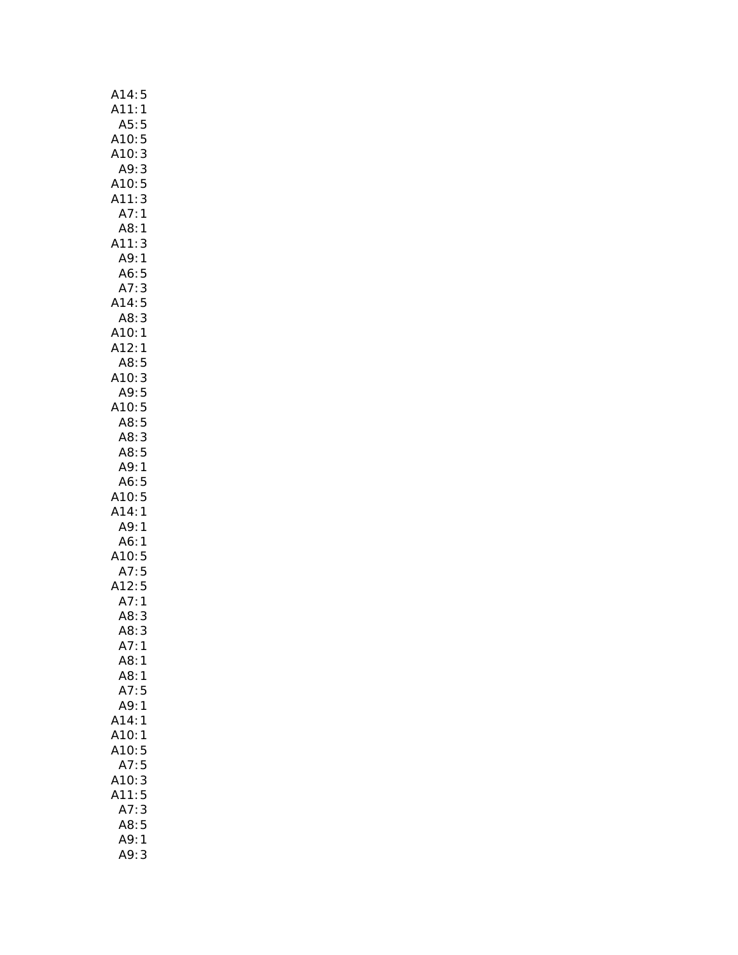| A14:5                     |
|---------------------------|
| A11:1                     |
| A5:<br>5                  |
| 5<br>A10:                 |
| A10:3                     |
| A9:3                      |
| A10: 5<br>A11: 3          |
| A11:                      |
| A7:1                      |
| A8:1                      |
| A11:<br>3                 |
| A9:1                      |
| A6:5                      |
| A7:3                      |
| A14:5<br>A8:3             |
|                           |
|                           |
| ۔ ـ .<br>A10: 1<br>A12: 1 |
| A8:<br>5                  |
|                           |
| A10: 3<br>A9: 5           |
| A10:5                     |
|                           |
| A8:5                      |
| A8:3                      |
| A8:5                      |
| A9:1                      |
| 5<br>A6:                  |
| A10:5                     |
| A14:1                     |
| A9:<br>1                  |
| A6:<br>1                  |
| A10:5<br>A10:5<br>A12:5   |
|                           |
|                           |
| A7:1                      |
| A8:<br>3                  |
| A8:<br>3                  |
| A7:<br>1                  |
| A8:<br>1                  |
| A8:<br>1                  |
| A7:<br>5                  |
| A9:<br>1                  |
| A14:<br>1                 |
| A10:<br>1                 |
| A10:<br>5                 |
| A7:<br>5                  |
| 3<br>A10:                 |
| 5<br>A11:                 |
| 3<br>A7:                  |
| A8:<br>5                  |
| A9:<br>1                  |
| A9:<br>3                  |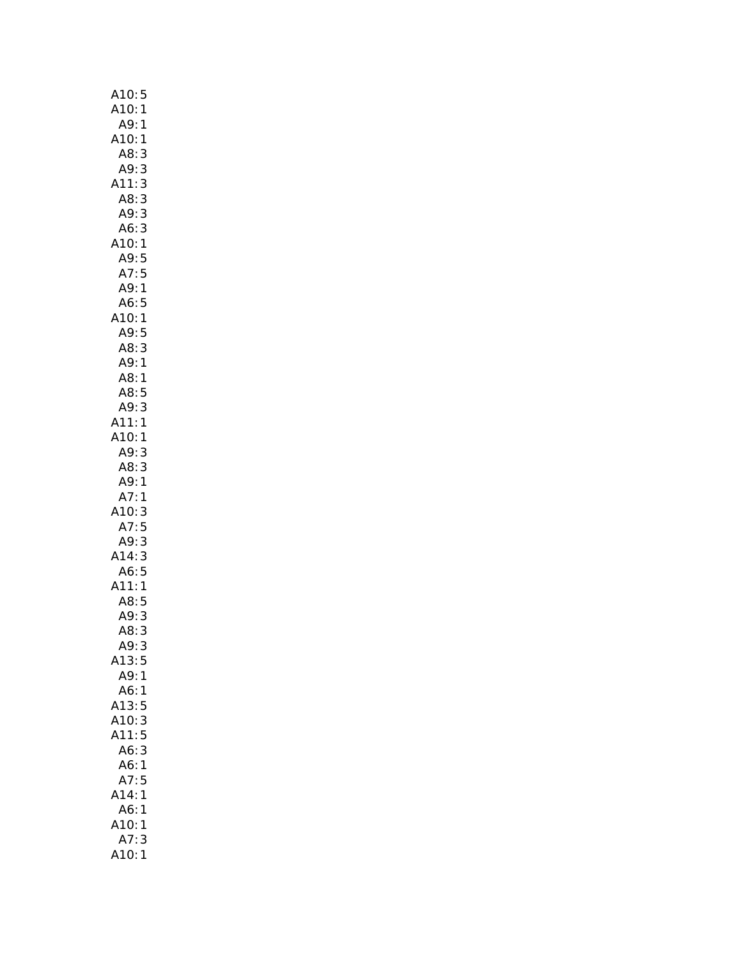| A10:5                  |
|------------------------|
| A10:1                  |
| A9:1                   |
| A10:1                  |
| A8:<br>3               |
| A9:3                   |
| 3<br>A11:              |
| A8:3                   |
| A9:3                   |
| A6:3                   |
| A10:1                  |
| A9:5                   |
| A7:5                   |
| A9:1                   |
| A6:5                   |
| .<br>A10:1<br><br>A9:5 |
|                        |
| A8:3                   |
| A9:1                   |
| A8:1                   |
| A8:5                   |
| A9:3<br>A11:1          |
| A10:1                  |
| A9:3                   |
| A8:3                   |
| A9:1                   |
| A7:1                   |
| A10:3                  |
| A7:5                   |
| A9:3                   |
| A14:3                  |
| A6:5                   |
| A11:1                  |
|                        |
| A8: 5<br>A9: 3         |
| A8:<br>3               |
| A9:3                   |
| A13:5                  |
| A9:<br>$\mathbf{1}$    |
| A6:<br>1               |
| A13:<br>5              |
|                        |
| A10:<br>3              |
| A11:<br>5              |
| A6:<br>3               |
| A6:<br>1               |
| A7:                    |
| 5<br>A14:<br>1         |
| A6:<br>1               |
| A10:<br>1              |
| A7:<br>3<br>1<br>A10:  |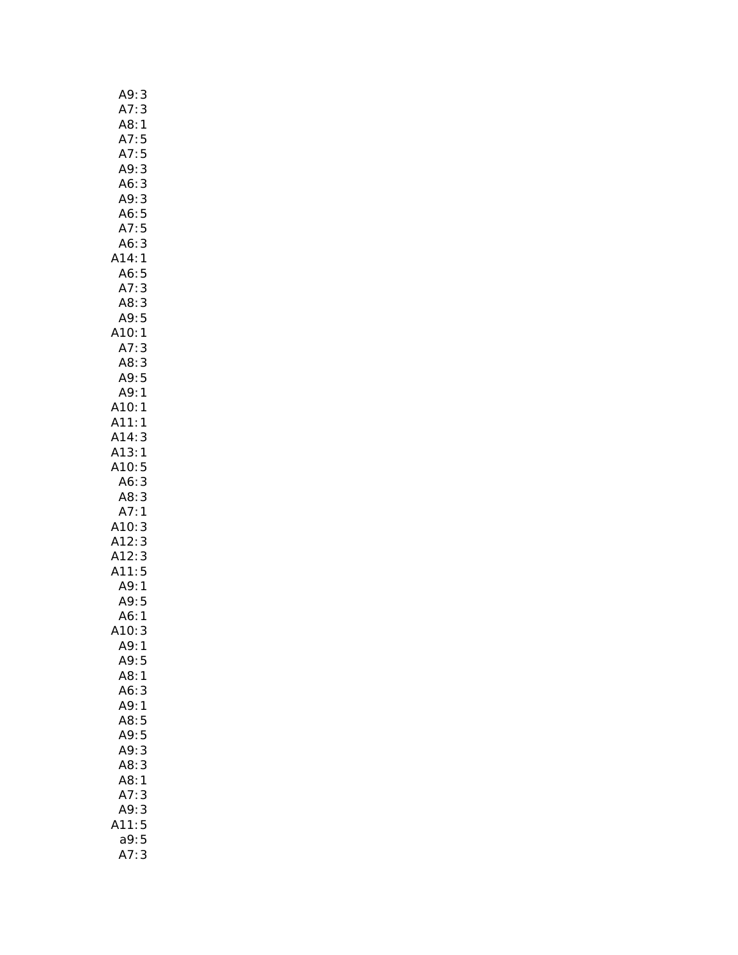| A9:<br>$\frac{3}{3}$          |  |
|-------------------------------|--|
| A7:                           |  |
| A8:<br>1                      |  |
| A7:<br>5                      |  |
| A7:<br>5                      |  |
| A9:<br>3                      |  |
| A6:3                          |  |
| A9:3                          |  |
|                               |  |
| A6:5                          |  |
| A7:5                          |  |
| A6:3                          |  |
| A14:1                         |  |
| A6:5                          |  |
| A7:3                          |  |
| A8:3                          |  |
| $A9:5$<br>A10:1<br>A7:3       |  |
|                               |  |
|                               |  |
| A8:                           |  |
| $\frac{3}{5}$<br>A9:          |  |
| A9:1                          |  |
|                               |  |
| A10:1                         |  |
| A11:1                         |  |
| A14:3                         |  |
| A13:1                         |  |
|                               |  |
| A10:5<br>A6:3                 |  |
| AB:3                          |  |
| A7:1                          |  |
| A10:3                         |  |
|                               |  |
| A12:<br>A12:<br>$\frac{3}{3}$ |  |
| . .<br>A11:5                  |  |
|                               |  |
|                               |  |
| A9:1<br>A9:5<br>A6:1<br>10:3  |  |
|                               |  |
| 10:                           |  |
| A9:<br>1                      |  |
| A9:<br>5                      |  |
| A8:<br>1                      |  |
| A6:3                          |  |
| A9:1                          |  |
| A8:<br>5                      |  |
| A9:5                          |  |
| 3<br>A9:                      |  |
| A8:<br>3                      |  |
| A8:<br>1                      |  |
| 3                             |  |
| A7:                           |  |
|                               |  |
| 3<br>A9:                      |  |
| .11:5                         |  |
| 5<br>a9:<br>3<br>A7:          |  |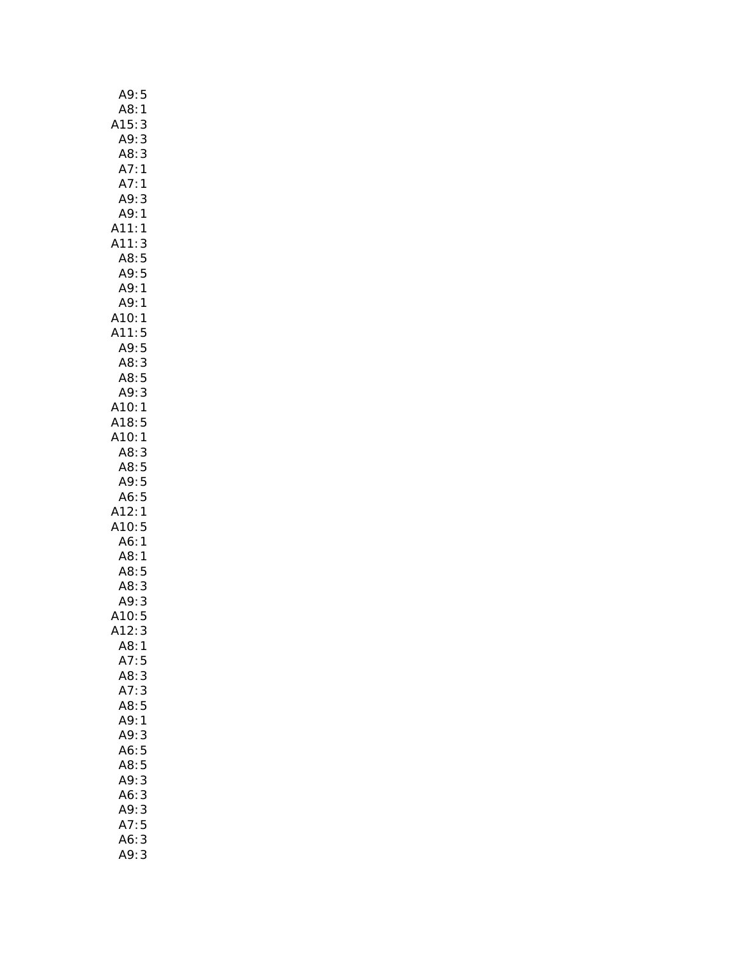| A9:<br>5            |  |
|---------------------|--|
| A8:<br>1            |  |
| A15:<br>3           |  |
| A9:<br>3            |  |
|                     |  |
| A8: 3               |  |
| A7:<br>$\mathbf{1}$ |  |
| A7:1                |  |
| A9:<br>3            |  |
| A9: 1               |  |
| A11:1               |  |
| 3<br>A11:           |  |
| A8:5                |  |
| A9:5                |  |
| A9:1                |  |
| A9:1                |  |
| A10:<br>1           |  |
|                     |  |
| A11:5<br>A9:5       |  |
|                     |  |
| AB:3                |  |
| A8: 5<br>A9: 3      |  |
| 3                   |  |
| A10:1               |  |
| A18:5               |  |
| A10:1               |  |
| A8:3                |  |
| A8:5                |  |
| A9:5                |  |
| A6:5                |  |
| A12:1               |  |
| A10:5               |  |
| A6:1                |  |
| A8:<br>1            |  |
| A8:5                |  |
| A8:<br>3            |  |
| A9:<br>3            |  |
| A10:5               |  |
|                     |  |
| 412:3               |  |
| A8:1                |  |
| A7:<br>5            |  |
| A8:3                |  |
| A7:3                |  |
| A8:5                |  |
| A9:1                |  |
| A9:<br>3            |  |
| A6:5                |  |
| A8:5                |  |
| A9:<br>3            |  |
| 3<br>A6:            |  |
| 3<br>A9:            |  |
| 5<br>A7:            |  |
| 3<br>A6:            |  |
|                     |  |
| A9:<br>3            |  |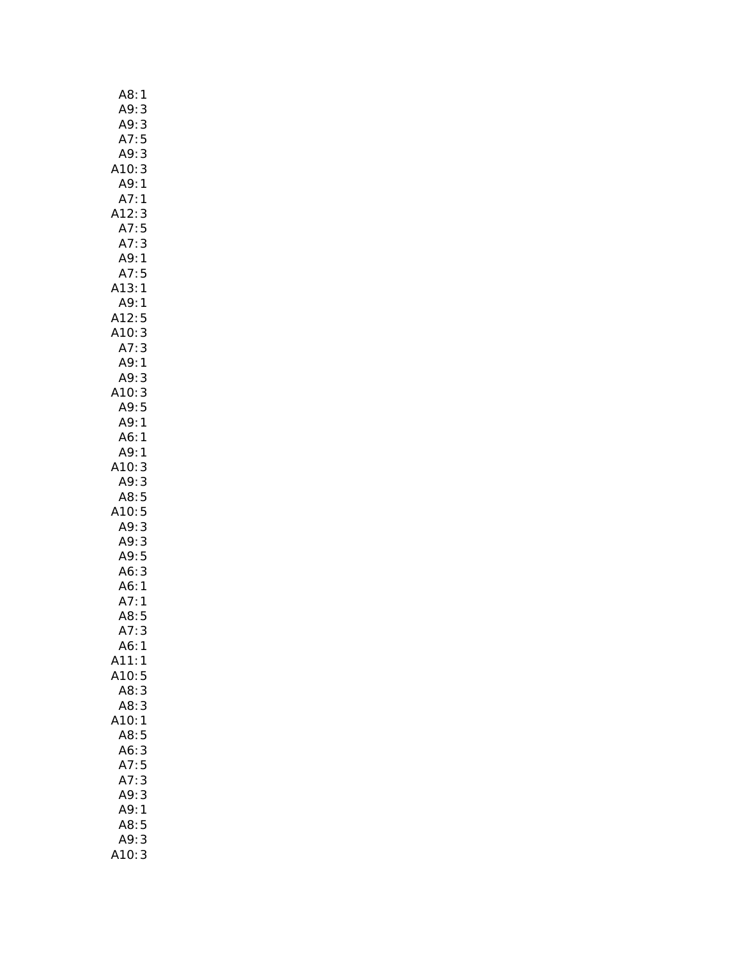| A8:<br>$\mathbf{1}$      |
|--------------------------|
| A9:<br>3                 |
| A9:                      |
| $\frac{3}{5}$<br>A7:     |
| A9:<br>3                 |
| A10:3                    |
| A9:1                     |
|                          |
| A7:1                     |
| A12:3                    |
| A7:5                     |
| A7:3                     |
| A9:1                     |
| A7:5                     |
| A13:1                    |
| A9:1                     |
| A12:5                    |
| A10:<br>3                |
|                          |
| A7: 3<br>A9: 1           |
| A9:<br>3                 |
|                          |
| $A10:3$<br>A10: 5        |
|                          |
| A9:1                     |
| A6:1                     |
| A9:1                     |
| .10:3                    |
| A9: 3<br>A8: 5<br>A10: 5 |
|                          |
|                          |
| A9:3                     |
| A9:3                     |
| A9:5                     |
| A6:3                     |
|                          |
| A6:1                     |
| A7:1<br>A8:5             |
|                          |
| A7:<br>3                 |
| A6:<br>1                 |
| A11:<br>1                |
| A10:<br>5                |
| A8:<br>3                 |
| A8:3                     |
| A10:<br>$\mathbf{1}$     |
| A8:<br>5                 |
| A6:<br>3                 |
| A7:5                     |
| A7:3                     |
| A9:3                     |
|                          |
| A9:1                     |
| A8:5                     |
| A9:<br>3                 |
| 10:<br>3                 |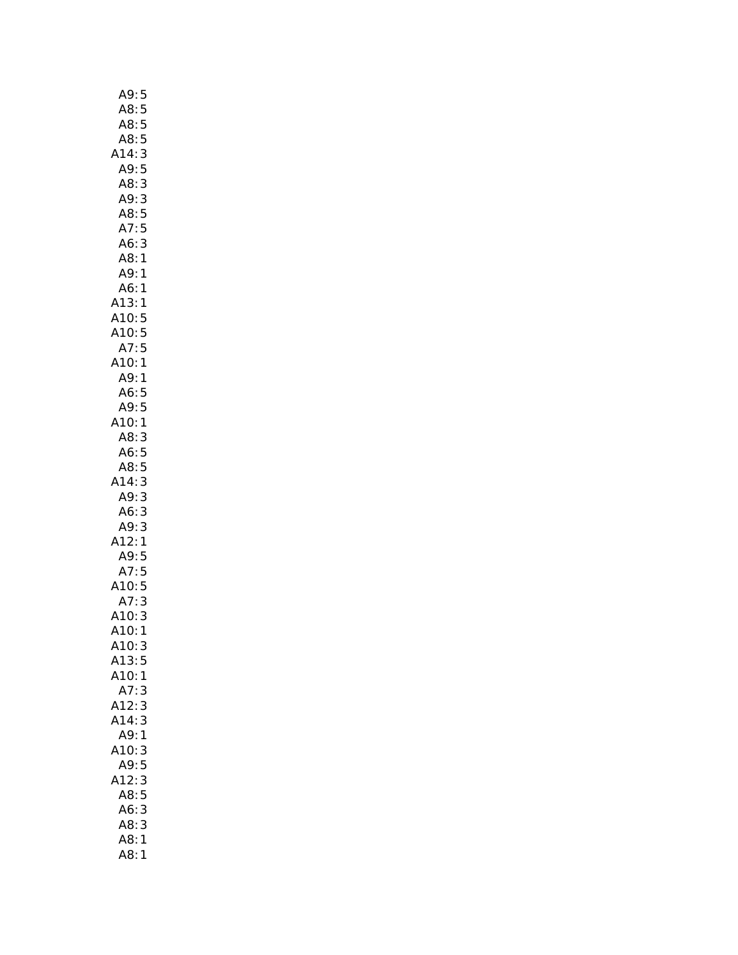| A9:        | 5             |
|------------|---------------|
| A8:        | 5             |
| A8:        | 5             |
| A8:        | 5             |
| A14:       | 3             |
| A9:        | 5             |
| A8:        |               |
| A9:        | 3<br>3        |
|            |               |
| A8:        | 5             |
| A7:        | 5             |
| A6:        | 3             |
| A8:        | $\mathbf{1}$  |
| A9:        | $\mathbf{1}$  |
| A6:        | 1             |
| A13:       | 1             |
| A10:       | 5             |
| A10:       |               |
| A7:        | $\frac{5}{5}$ |
| A10:       | 1             |
| <br>A9:    | 1             |
|            |               |
| A6:<br>A9: | 5             |
|            | 5             |
| A10:       | 1             |
| A8:        | 3             |
| A6:        | 5             |
| A8:        | 5             |
| A14:       | 3             |
| A9:        | 3             |
| A6:        | 3             |
| A9:        | 3             |
| A12:       | 1             |
| A9:5       |               |
| A7:5       |               |
| A10:5      |               |
| A7:        | $\frac{1}{3}$ |
| A10:       | 3             |
| A10:       | 1             |
| A10:       | 3             |
|            |               |
| A13:       | 5             |
| A10:       | 1             |
| A7:        | 3             |
| A12:       | 3             |
| A14:       | 3             |
| A9:        | 1             |
| A10:       | 3             |
| A9:        | 5             |
| A12:       | 3             |
| A8:        | 5             |
| A6:        | 3             |
| A8:        | 3             |
| A8:        | 1             |
| A8:        | 1             |
|            |               |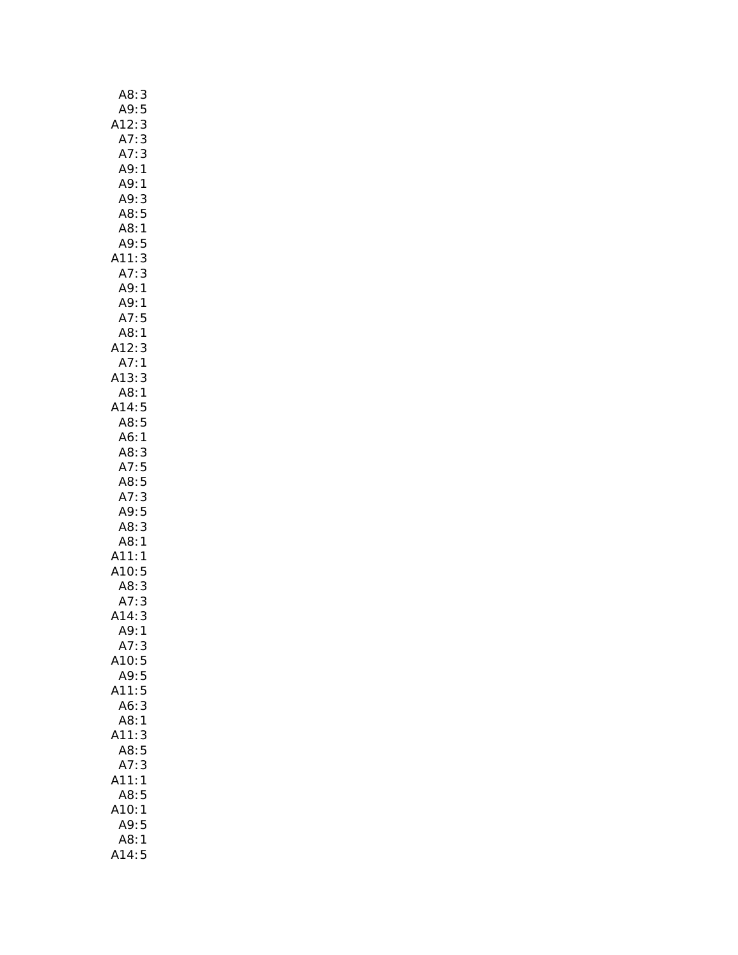| 3<br>A8:                          |
|-----------------------------------|
| A9:<br>5                          |
| (12)<br>3<br>А                    |
| A7:<br>3                          |
| 3                                 |
| A7:<br>A9:<br>A9:<br>$\mathbf{1}$ |
| $\mathbf{1}$                      |
| A9:3                              |
|                                   |
| A8:5                              |
| A8:1                              |
| A9:5                              |
| 3<br>A11:                         |
| A7: 3<br>A9: 1<br>A9: 1           |
|                                   |
|                                   |
| A7:<br>5                          |
| $\mathbf{1}$<br>A8:               |
| A12:3<br>A7:1                     |
|                                   |
| A13:<br>3                         |
| A8:1                              |
|                                   |
| A14:<br>5                         |
| A8:5                              |
| A6:1                              |
|                                   |
|                                   |
| A8:3<br>A7:5<br>A8:5              |
| A7:<br>3                          |
| A9:5                              |
| 3<br>A8:                          |
| A8:1                              |
| A11:1<br>A10:5                    |
|                                   |
| A8:                               |
| $\frac{3}{3}$<br>A7:              |
| A14:<br>3                         |
| A9:<br>$\overline{1}$             |
| A7:<br>3                          |
|                                   |
| A10:<br>5                         |
| A9:<br>5                          |
| 5<br>\11:                         |
| 3<br>A6:                          |
| A8:1                              |
| A11:<br>3                         |
| A8:5                              |
| A7:<br>3                          |
| $\overline{11}$<br>$\mathbf{1}$   |
| A8:5                              |
| 410:1                             |
| A9:5                              |
| A8:1                              |
|                                   |
| 414:5                             |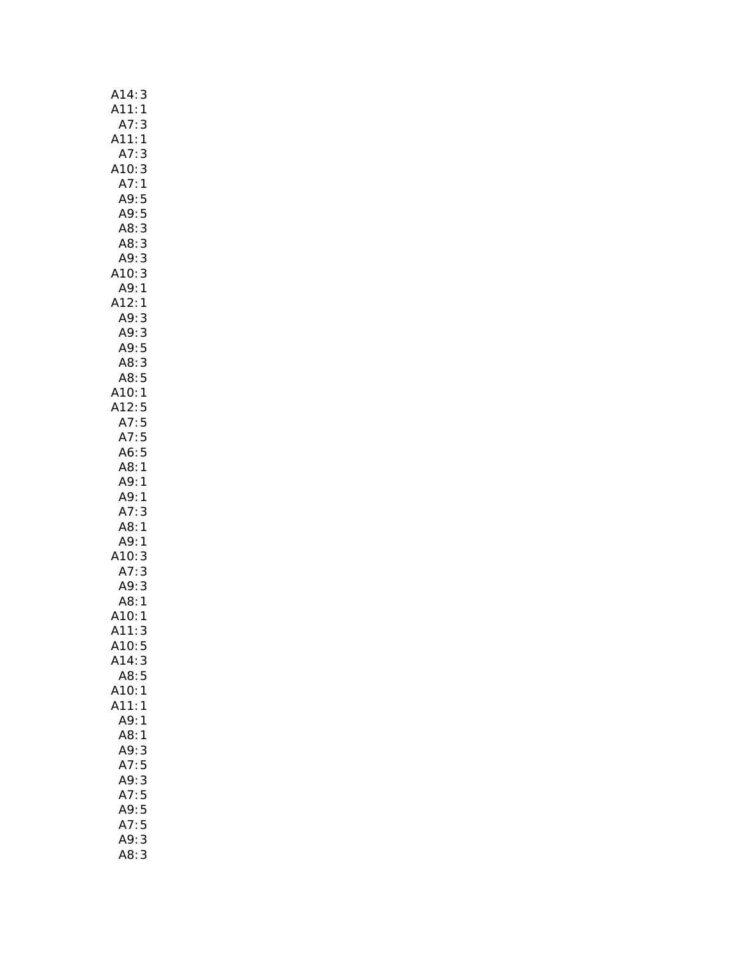| A14:3            |
|------------------|
| A11:1            |
| A7:3             |
| A11:1            |
| A7:3             |
| A10:3            |
| A7:1             |
| A9:5             |
| A9:5             |
| A8:3             |
| A8:3             |
| A9:3             |
| A10: 3           |
| A9:1             |
| A12:1            |
| A9:<br>3         |
| .<br>A9: 3       |
| A9:5             |
| A8:3             |
| A8:5             |
| A10:1            |
| A12:5            |
| A7:5             |
| A7:5             |
| A6:5             |
| A8:1             |
| A9:1             |
| A9: 1            |
| A7:<br>3         |
| A8:<br>1<br>A9:1 |
| A10:3            |
| A7:<br>3         |
| A9:3             |
|                  |
| A8: 1<br>A10: 1  |
| A11:<br>3        |
| A10:5            |
| A14:3            |
| A8:5             |
| A10:1            |
| A11:1            |
| A9:<br>1         |
| A8:<br>1         |
| A9:<br>3         |
| A7:5             |
| 3<br>A9:         |
| A7:5             |
| A9:5             |
| A7:<br>5         |
| A9:<br>3         |
| A8:<br>3         |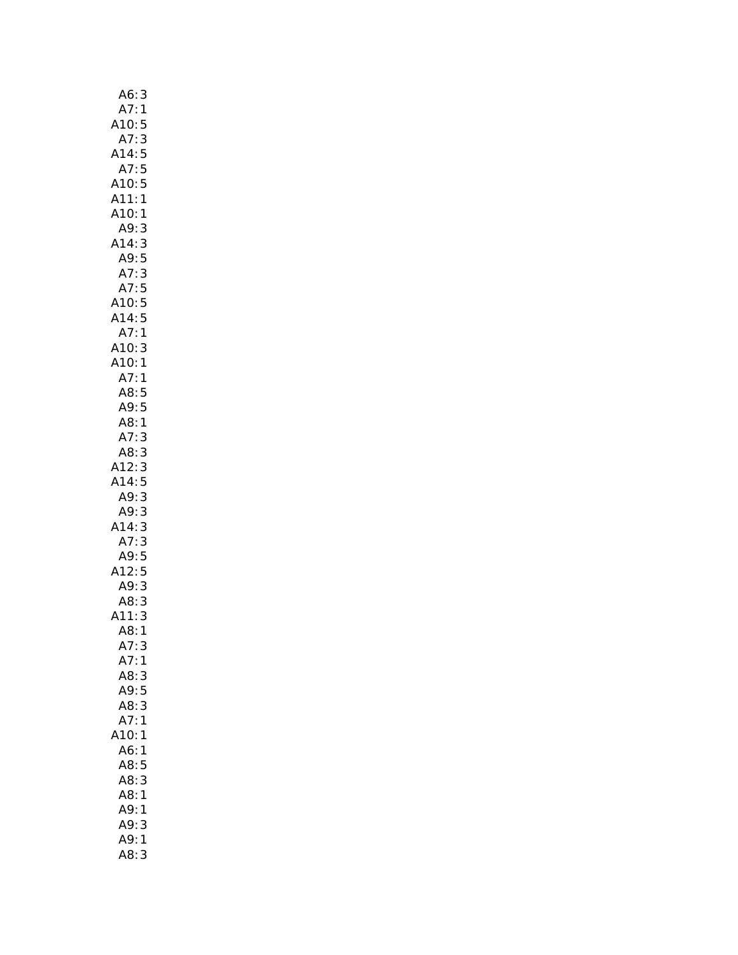| A6:<br>3            |  |
|---------------------|--|
| A7:<br>1            |  |
| A10:5               |  |
| A7:<br>3            |  |
| A14:5               |  |
| A7:5                |  |
| A10:5               |  |
| A11:1               |  |
| A10:<br>1           |  |
| 3<br>A9:            |  |
| A14:3               |  |
| A9:5                |  |
| A7:3                |  |
| A7:5                |  |
| A10:5               |  |
| A14:5               |  |
| A7:1                |  |
| A10:3               |  |
| A10:1               |  |
| A7:<br>$\mathbf{1}$ |  |
| A8:5                |  |
| A9:5                |  |
| A8:1                |  |
| A7:3                |  |
| AB:3                |  |
| A12:3               |  |
| A14:5               |  |
| A9:3                |  |
| A9:3                |  |
| A14:3               |  |
| A7:3                |  |
| A9:5                |  |
| A12:5               |  |
| A9:3                |  |
| 3<br>A8:            |  |
| A11:3               |  |
| AB:1                |  |
| A7:<br>3            |  |
| A7:<br>1            |  |
| A8:3                |  |
| 5<br>A9:            |  |
| A8:3                |  |
| A7:<br>$\mathbf{1}$ |  |
| 10:1                |  |
| A6:1                |  |
| A8:5                |  |
| A8:<br>3            |  |
| A8:<br>1            |  |
| A9:<br>1            |  |
| A9:<br>3            |  |
| A9:<br>1            |  |
| A8:<br>3            |  |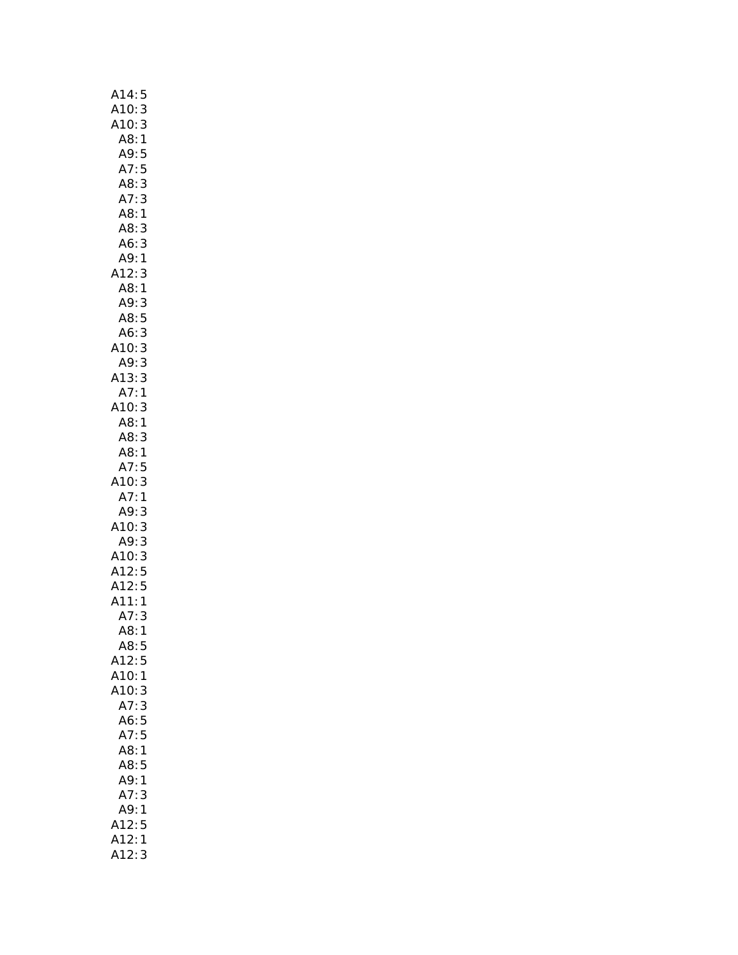| A14:<br>5                                                                                              |
|--------------------------------------------------------------------------------------------------------|
| A10:3<br>A10:3<br>A8:1                                                                                 |
| 3                                                                                                      |
|                                                                                                        |
| A9:<br>A7:<br>A8:<br>5                                                                                 |
| 5                                                                                                      |
| 3                                                                                                      |
| A7:3                                                                                                   |
| A8:1                                                                                                   |
| 3<br>A8:                                                                                               |
| 3<br>A6:                                                                                               |
|                                                                                                        |
| A9:1<br>A12:3                                                                                          |
| $\begin{array}{c} 3 \\ 1 \end{array}$<br>A8:                                                           |
|                                                                                                        |
|                                                                                                        |
|                                                                                                        |
|                                                                                                        |
| A9:3<br>A8:5<br>A6:3<br>A10:3<br>A9:3<br>A13:3<br>A7:1                                                 |
|                                                                                                        |
|                                                                                                        |
|                                                                                                        |
| A10:3                                                                                                  |
| A8:1                                                                                                   |
| A8:<br>3                                                                                               |
| A8:1                                                                                                   |
| A7:5                                                                                                   |
| 3<br>A10:3<br>A7:1                                                                                     |
|                                                                                                        |
| $: 3$<br>$0: 3$<br>$0: 3$<br>$A9: 3$<br>$A10: 3$<br>$A12: 5$<br>$A12: 5$<br>$A11: 7$<br>$A2: 6$<br>$A$ |
|                                                                                                        |
|                                                                                                        |
|                                                                                                        |
|                                                                                                        |
|                                                                                                        |
|                                                                                                        |
|                                                                                                        |
|                                                                                                        |
|                                                                                                        |
| A12:<br>5                                                                                              |
| A10:<br>$\mathbf{1}$                                                                                   |
| A10:<br>3                                                                                              |
| A7:<br>3                                                                                               |
| 5<br>A6:                                                                                               |
| 5<br>A7:                                                                                               |
| 1<br>A8:                                                                                               |
| A8:<br>5                                                                                               |
| A9:<br>1                                                                                               |
| A7:<br>3                                                                                               |
| A9:<br>1                                                                                               |
|                                                                                                        |
|                                                                                                        |
|                                                                                                        |
| A12:5<br>A12:1<br>.<br>A12:<br>3                                                                       |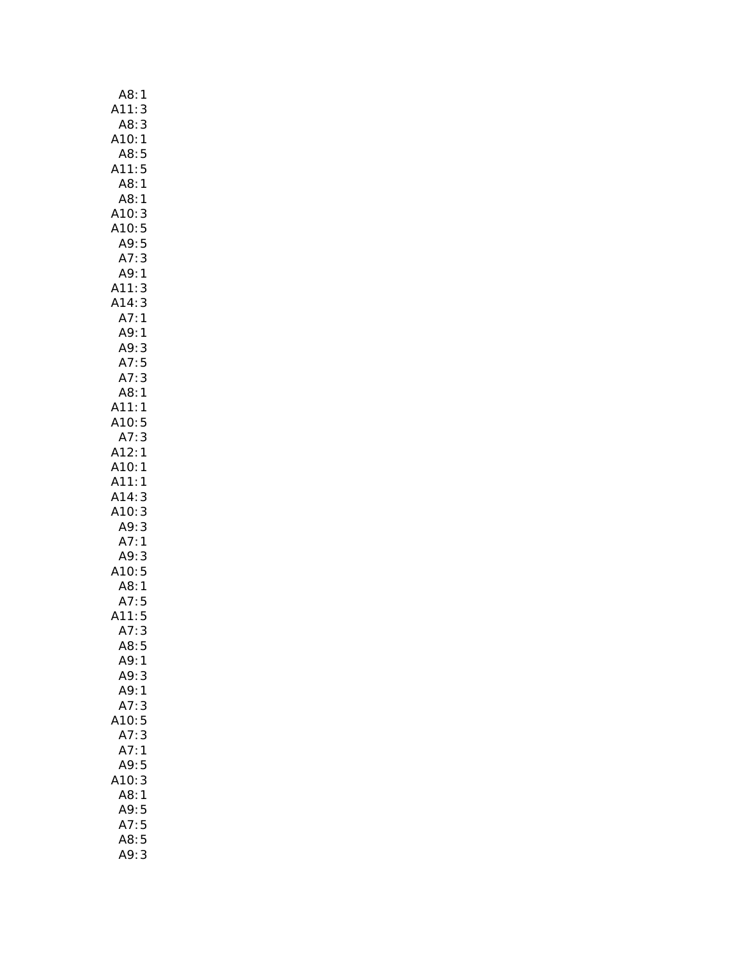| A8:<br>1                                 |
|------------------------------------------|
| A11:<br>3                                |
| A8:<br>3                                 |
| A10:<br>:A10<br>:A8<br>1                 |
|                                          |
| 5<br>5<br>A11:                           |
| A8:                                      |
| $\mathbf{1}$                             |
| A8:<br>$\mathbf{1}$                      |
| A10:                                     |
| 3<br>5<br>5<br>A10:                      |
| A9:                                      |
| 3<br>A7:                                 |
| A9:<br>$\mathbf{1}$                      |
| A11:<br>A14:<br>3<br>3                   |
|                                          |
| 1                                        |
| A7:<br>A9:<br>A9:<br>A7:<br>$\mathbf{1}$ |
|                                          |
| $\frac{3}{5}$                            |
|                                          |
| A7:<br>3                                 |
| A8:<br>$\mathbf{1}$                      |
| A11:<br>$\mathbf{1}$                     |
|                                          |
| A10: 5<br>A7: 3                          |
| A12:<br>1                                |
| A10:1                                    |
| A11:1                                    |
| A14:<br>3                                |
| A10:<br>3                                |
|                                          |
| A9: 3<br>A7: 1<br>A9: 3                  |
|                                          |
|                                          |
| 10:5                                     |
| A8:1                                     |
| $A7:5$<br>$A11:5$                        |
|                                          |
| A7:<br>3                                 |
| A8:<br>5                                 |
| A9:<br>1                                 |
| A9:<br>3                                 |
| A9:<br>1                                 |
| A7:<br>3                                 |
| 5<br>10:                                 |
| A7:<br>3                                 |
|                                          |
| A7:<br>1                                 |
| 5<br>A9:<br>3                            |
|                                          |
| 10:                                      |
| A8:<br>1                                 |
| A9:<br>5                                 |
| A7:<br>5                                 |
| 5<br>A8:                                 |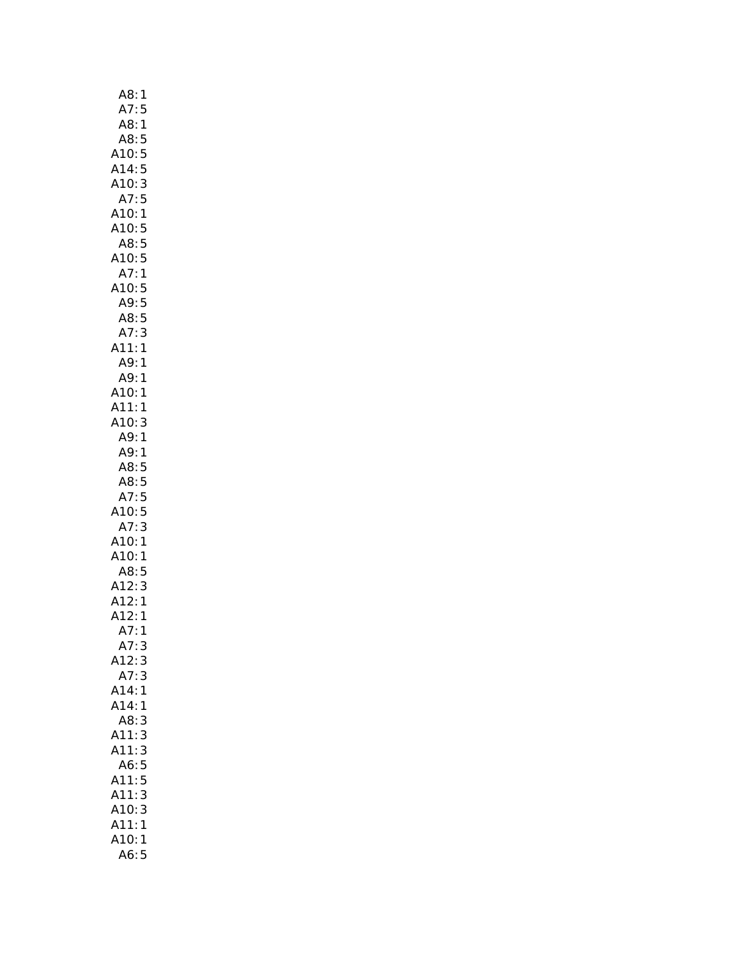| A8:<br>1                                                   |
|------------------------------------------------------------|
| A7:5                                                       |
| A8:<br>1                                                   |
| :A8<br>:A10<br>5                                           |
| 5                                                          |
| 5<br>A14:                                                  |
| A10:<br>3                                                  |
| A7:<br>5                                                   |
| A10:<br>1                                                  |
| A10:5                                                      |
| A8:5                                                       |
| A10:5                                                      |
| A7:<br>$\mathbf{1}$                                        |
| A10:<br>5                                                  |
|                                                            |
|                                                            |
| A9:5<br>A8:5<br>A7:3<br>11:1                               |
| A7:<br>:A11                                                |
| A9:<br>$\mathbf{1}$                                        |
| 1                                                          |
| A9:<br>A10:<br>1                                           |
| A11:<br>1                                                  |
| A10:<br>3                                                  |
| A9:1                                                       |
| A9:1                                                       |
|                                                            |
|                                                            |
| A8:5                                                       |
| 5<br>A8:                                                   |
| A7:5                                                       |
| 10:5                                                       |
| A7:<br>3                                                   |
| A10:1                                                      |
| A10:1                                                      |
| A8:5                                                       |
|                                                            |
|                                                            |
|                                                            |
| Au. -<br>A12:3<br>A12:1<br>A12:1<br>$\overline{A7}$ :<br>1 |
| A7:<br>3                                                   |
| A12:<br>3                                                  |
| 3<br>A7:                                                   |
| A14:<br>1                                                  |
| A14:<br>1                                                  |
| A8:<br>3                                                   |
| A11:<br>3                                                  |
| A11:                                                       |
| 3<br>A6:                                                   |
| A11:                                                       |
|                                                            |
| 5<br>5<br>3<br>A11:                                        |
| A10:<br>3                                                  |
| A11:<br>1<br>A10:<br>1                                     |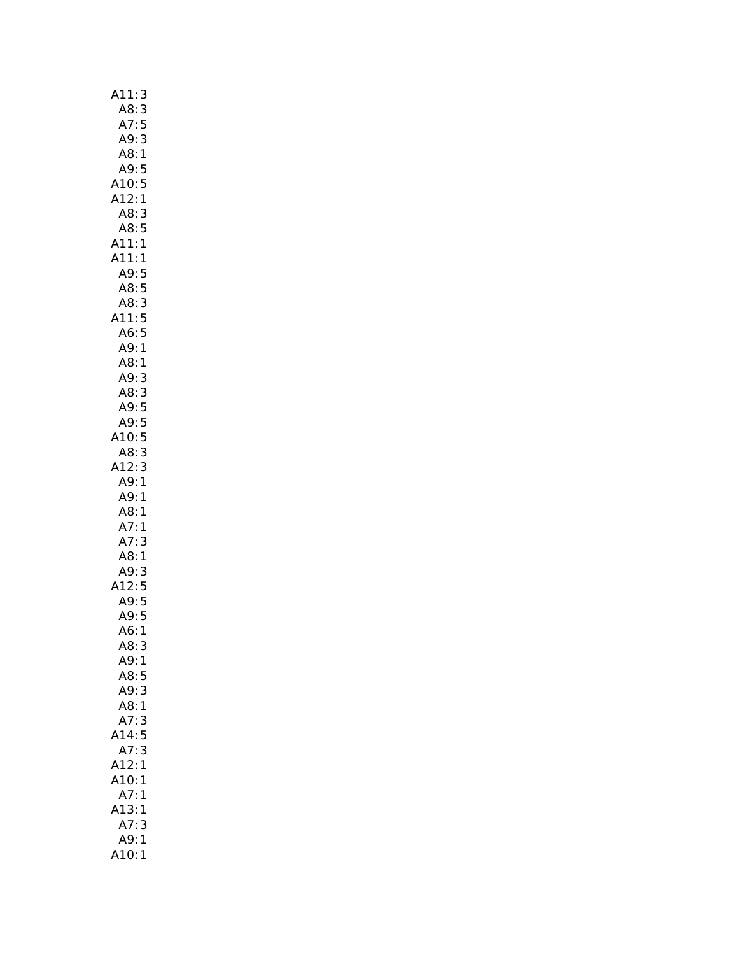| A11:<br>3                                                           |
|---------------------------------------------------------------------|
| A8:3                                                                |
| A7:<br>5                                                            |
| A9:3                                                                |
| A8:1                                                                |
| A9:5                                                                |
| A10:5                                                               |
| A12:<br>$\mathbf{1}$                                                |
| A8:<br>3                                                            |
| 5<br>A8:                                                            |
| A11:<br>A11:<br>$\mathbf{1}$                                        |
| $\mathbf{1}$                                                        |
|                                                                     |
|                                                                     |
|                                                                     |
|                                                                     |
| A <sub>11</sub> .,<br>A9:5<br>A8:5<br>A8:3<br>A11:5<br>A6:5<br>A9:1 |
| A8:1                                                                |
| A9:3                                                                |
| A8:3                                                                |
| A9:5                                                                |
| A9:5                                                                |
| 10:5                                                                |
| 3<br>A8:                                                            |
| A12:                                                                |
| 3<br>1                                                              |
| A9:<br>A9:<br>$\mathbf{1}$                                          |
| A8:<br>$\overline{1}$                                               |
| A7:<br>$\mathbf{1}$                                                 |
| A7:<br>3                                                            |
| A8:1                                                                |
| $A9$ :<br>3                                                         |
| A12:5<br>A9:5                                                       |
|                                                                     |
| A9:5                                                                |
| $\mathbf{1}$<br>A6:                                                 |
| A8:3<br>A9:1                                                        |
| A8:5                                                                |
| A9:<br>3                                                            |
| A8:1                                                                |
| A7:<br>3                                                            |
| A14:<br>5                                                           |
| 3<br>A7:                                                            |
| A12:<br>1                                                           |
| A10:<br>1                                                           |
| A7:<br>1                                                            |
| A13:1                                                               |
| A7:<br>3                                                            |
| A9:1                                                                |
| A10:1                                                               |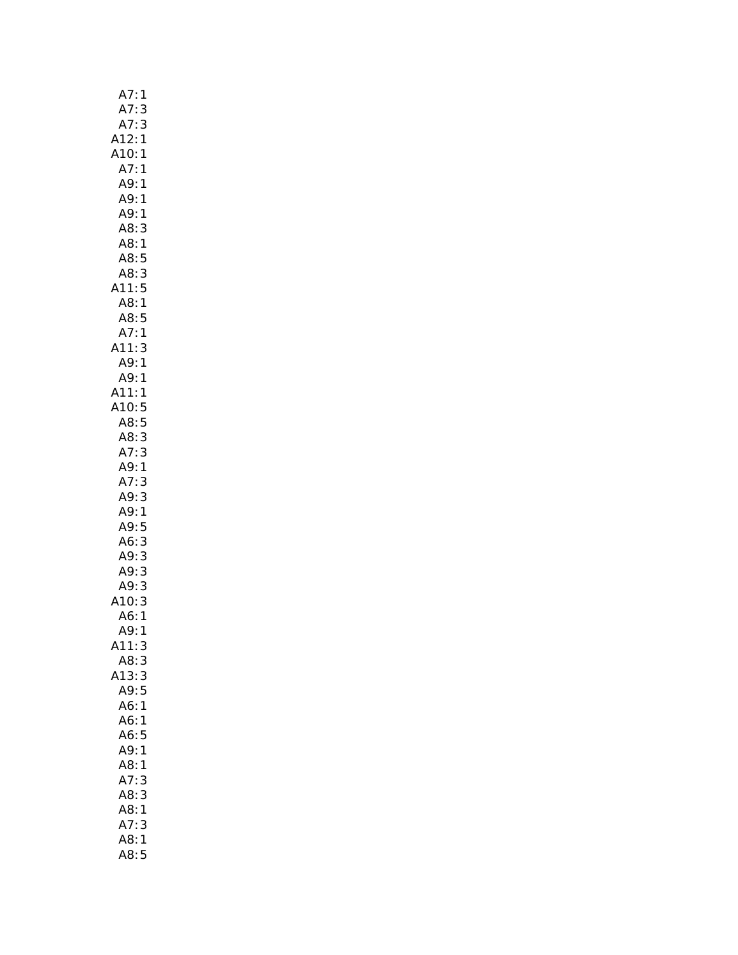| A7<br>1<br>$\vdots$                              |  |
|--------------------------------------------------|--|
| A7:                                              |  |
| $\frac{3}{3}$                                    |  |
| A7:<br>A12:<br>A10:<br>$\mathbf{1}$              |  |
| $\mathbf{1}$                                     |  |
| A7:<br>$\mathbf{1}$                              |  |
| A9:<br>$\mathbf{1}$                              |  |
| A9: 1                                            |  |
| A9:1                                             |  |
| A8:                                              |  |
| 3                                                |  |
| A8:1                                             |  |
| A8:5                                             |  |
| A8:3                                             |  |
| A11:5                                            |  |
| A8:1                                             |  |
| $\frac{AB:5}{1}$                                 |  |
| A7:1                                             |  |
| .11: 3<br>A9: 1<br>A11:                          |  |
|                                                  |  |
|                                                  |  |
|                                                  |  |
|                                                  |  |
|                                                  |  |
| $A9:1$<br>A9:1<br>A11:1<br>A10:5<br>A8:5<br>A3:3 |  |
| A7:3                                             |  |
| A9:1                                             |  |
|                                                  |  |
| A7:3                                             |  |
| A9:3                                             |  |
| A9:1                                             |  |
| A9:5                                             |  |
| A6:3                                             |  |
|                                                  |  |
|                                                  |  |
|                                                  |  |
|                                                  |  |
| A9: 3<br>A9: 3<br>A9: 3<br>A9: 3<br>A6: 1        |  |
| 1<br>A9:                                         |  |
| A11:<br>3                                        |  |
| A8:<br>3                                         |  |
| A13:3                                            |  |
| A9:<br>5                                         |  |
| A6:1                                             |  |
| A6:1                                             |  |
| A6:5                                             |  |
| A9:1                                             |  |
| A8:1                                             |  |
| A7:3                                             |  |
| A8:3                                             |  |
| A8:1                                             |  |
|                                                  |  |
| A7:3                                             |  |
| A8:1                                             |  |
| A8:5                                             |  |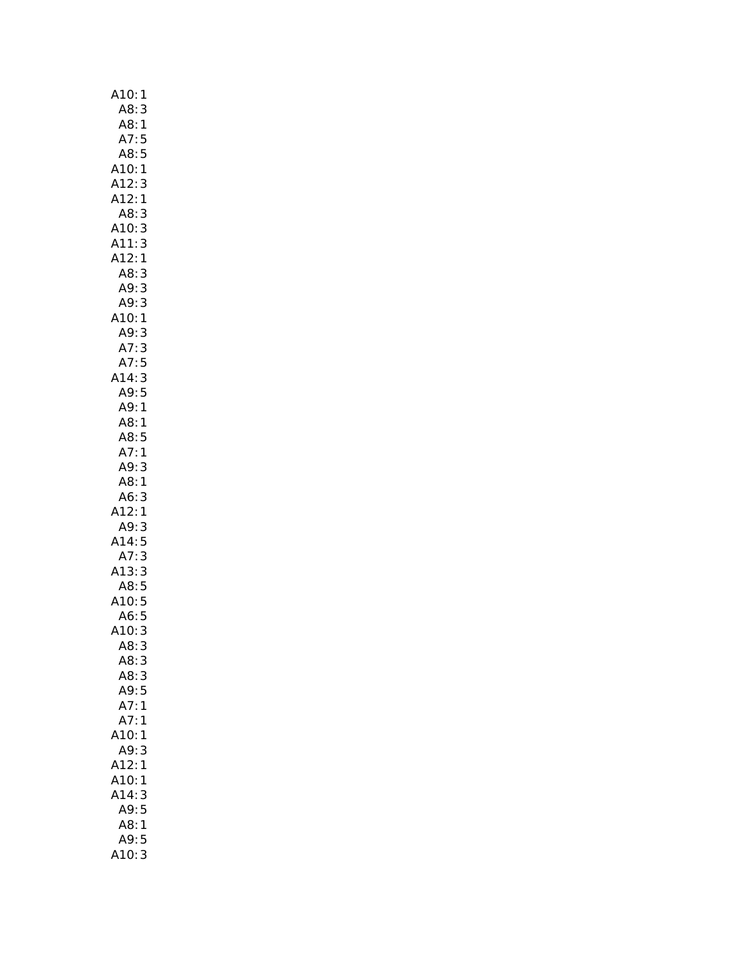| A10:<br>1                                                                                            |
|------------------------------------------------------------------------------------------------------|
| A8:<br>3                                                                                             |
| A8:1                                                                                                 |
| A7:<br>5                                                                                             |
| A8:5                                                                                                 |
| A10:1                                                                                                |
| A12:<br>3                                                                                            |
| A12:1                                                                                                |
| A8:<br>3                                                                                             |
| 3<br>A10:                                                                                            |
| A11:                                                                                                 |
| $\frac{3}{1}$<br>A12:                                                                                |
| A8:                                                                                                  |
| 3<br>3<br>A9:                                                                                        |
| A9:                                                                                                  |
| $\begin{array}{c} 3 \\ 1 \end{array}$                                                                |
| A <sub>10:1</sub><br>A <sub>10:1</sub><br>A <sub>7:3</sub><br>A <sub>14:3</sub><br>A <sub>14:3</sub> |
|                                                                                                      |
|                                                                                                      |
|                                                                                                      |
|                                                                                                      |
| A9:5                                                                                                 |
| A9:1                                                                                                 |
| A8:1                                                                                                 |
| A8:5                                                                                                 |
| A7:1                                                                                                 |
| A9:<br>3                                                                                             |
| A8:<br>1                                                                                             |
|                                                                                                      |
| $A6:3$<br>$.12:1$<br>$A9:3$                                                                          |
|                                                                                                      |
| A14:5                                                                                                |
| A14.3<br>A7:3<br>A13:3<br>A10:5                                                                      |
|                                                                                                      |
|                                                                                                      |
|                                                                                                      |
| A6:5<br>410:3                                                                                        |
|                                                                                                      |
| A8:<br>3                                                                                             |
| A8:<br>3                                                                                             |
| A8:<br>3                                                                                             |
|                                                                                                      |
| A9:5<br>1                                                                                            |
| A7:                                                                                                  |
| A7:<br>1                                                                                             |
| 10:<br>1                                                                                             |
| A9:<br>3                                                                                             |
| A12:<br>1                                                                                            |
| A10:<br>1                                                                                            |
| A14:<br>3                                                                                            |
| A9:<br>5                                                                                             |
| A8:<br>1                                                                                             |
| A9:5                                                                                                 |
| A10:<br>3                                                                                            |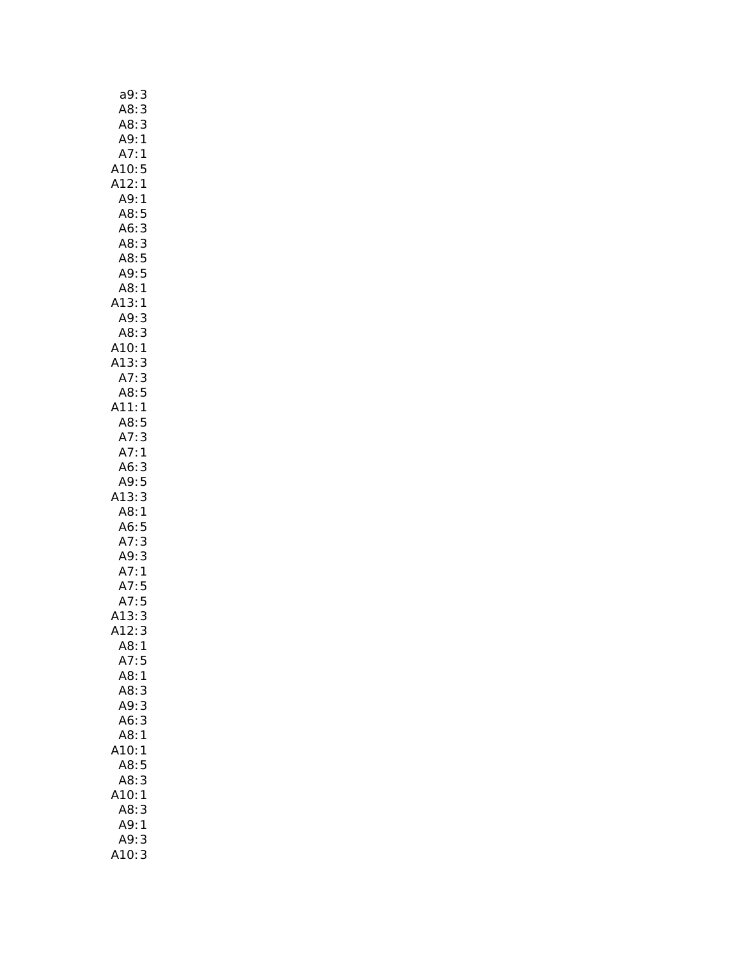| a9:                                                           | 3                       |
|---------------------------------------------------------------|-------------------------|
| A8:                                                           |                         |
|                                                               | 3<br>3                  |
| . 3.<br>A8:<br>^                                              | $\mathbf{1}$            |
|                                                               |                         |
|                                                               |                         |
| <br>A10:5<br>A12:1                                            |                         |
| A9:1                                                          |                         |
| A8:                                                           | 5                       |
| A6:                                                           | 3                       |
| A8:                                                           | $\overline{\mathbf{3}}$ |
| A8:5                                                          |                         |
| A9:5                                                          |                         |
| A8:1                                                          |                         |
| A13:                                                          | 1                       |
| A13.1<br>A9:3<br>A8:3<br>A10:1<br>A13:3<br>A2:5               |                         |
|                                                               |                         |
|                                                               |                         |
|                                                               |                         |
| A8:5                                                          |                         |
| A11:1                                                         |                         |
| A8:                                                           | 5                       |
| A7:3                                                          |                         |
| A7:1                                                          |                         |
|                                                               |                         |
| A6: 3<br>A9: 5                                                |                         |
| A13:                                                          | 3                       |
| A8:1                                                          |                         |
| A6:5<br>A7:3                                                  |                         |
|                                                               |                         |
| A7: 3<br>A9: 3<br>A7: 1<br>A7: 5<br>A7: 5<br>A13: 3<br>A12: 3 |                         |
|                                                               |                         |
|                                                               |                         |
|                                                               |                         |
|                                                               |                         |
|                                                               |                         |
| A8:1                                                          |                         |
| A7:                                                           | 5                       |
| A8:                                                           | 1                       |
| A8:                                                           | 3                       |
| A9:                                                           | $\overline{3}$          |
| A6:<br>A8:                                                    | 3<br>$\mathbf{1}$       |
| 10:                                                           | 1                       |
| A8:                                                           | 5                       |
| A8:                                                           | 3                       |
| 10:                                                           | 1                       |
| A8:                                                           | 3                       |
| A9:                                                           | 1                       |
| A9:                                                           | 3                       |
| <b>\10:</b>                                                   | 3                       |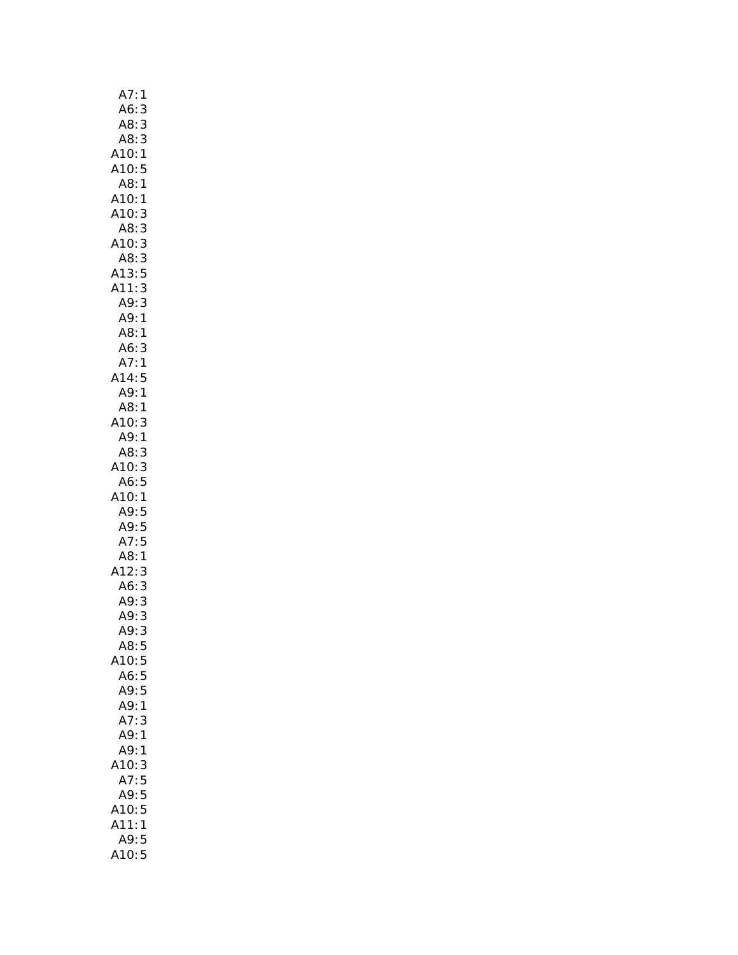| A7:1                       |
|----------------------------|
| A6:3                       |
| A8:<br>3                   |
| A8:<br>$\frac{1}{3}$       |
| Alo: 5<br>A10: 1<br>A10: 5 |
|                            |
| A8: 1                      |
| A10:<br>1                  |
| A10:3                      |
| AB:3                       |
| 3<br>A10:                  |
| AB:3                       |
| A13:5                      |
| A11:3                      |
| A9:3                       |
| A9:1                       |
| A8:1                       |
| A6:<br>3                   |
| A7:1                       |
| A14:5                      |
| A9:1                       |
|                            |
| A8:1<br>A10:3              |
| A9:1                       |
| A8:3                       |
| A10:3                      |
| A6:5                       |
| A10:1                      |
| A9:5                       |
| A9:5                       |
| A7:5                       |
| A8:1                       |
| A12:<br>3                  |
|                            |
| A6:<br>3<br>3              |
| A9:<br>3                   |
| A9:                        |
| A9:3                       |
| A8:<br>5                   |
| A10:<br>5                  |
| A6:<br>5                   |
| A9:<br>5                   |
| A9:<br>1                   |
| A7:<br>3                   |
| A9:<br>1                   |
| A9:<br>1                   |
| A10:<br>3                  |
| A7:5                       |
| A9:5                       |
| A10:<br>5                  |
| A11:<br>1                  |
| A9:<br>5                   |
| A10:<br>5                  |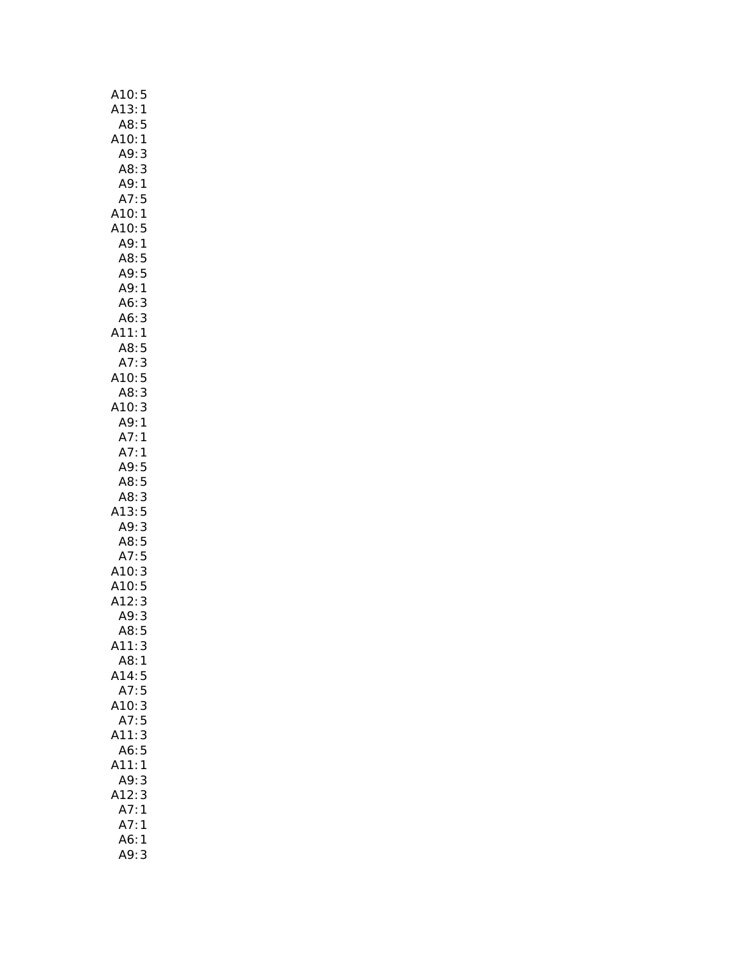| A10:5                        |
|------------------------------|
| A13:1                        |
| A8:<br>5                     |
| A10:1                        |
| A9:3                         |
| A8:3                         |
| A9:<br>$\mathbf{1}$          |
| A7:5                         |
| A10:1                        |
| A10:5                        |
| A9:1                         |
| A8:5                         |
| A9:5                         |
| A9:1                         |
| A6:<br>3                     |
| 3<br>A6:                     |
| A11:<br>1                    |
| A8:5                         |
|                              |
| A7: 3<br>A10: 5              |
| AB:3                         |
| A10:3                        |
| A9:1                         |
| A7:1                         |
| A7:1                         |
| A9:5                         |
| A8:5                         |
| A8: 3                        |
| A13:5                        |
| A9:3                         |
| A8:5                         |
| $A7:5$<br>$A10:3$<br>$A10:5$ |
|                              |
|                              |
| A12:3                        |
| A9:3                         |
| A8:<br>5                     |
| A11:<br>3                    |
| A8:<br>$\mathbf{1}$          |
| A14:<br>5                    |
| 5<br>A7:                     |
| A10:<br>3                    |
| A7:<br>5                     |
| 3<br>A11:                    |
| 5<br>A6:                     |
| A11:<br>1                    |
| A9:<br>3                     |
| 3<br>A12:                    |
| A7:<br>1                     |
| A7:<br>1                     |
| A6:<br>1                     |
| A9:<br>3                     |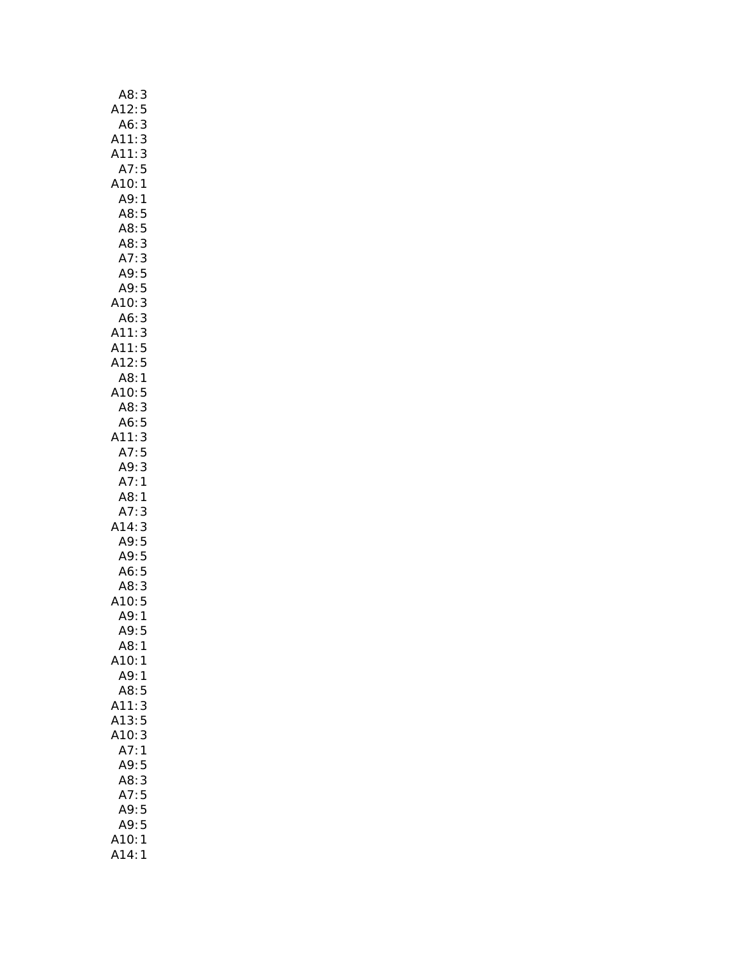| A8:<br>3                 |
|--------------------------|
| A12:<br>5                |
| A6:<br>3                 |
| A11:3                    |
| A11:3                    |
| A7:5                     |
| A10:<br>$\mathbf{1}$     |
| A9:<br>$\mathbf{1}$      |
| A8:5                     |
| A8:5                     |
| 3<br>A8:                 |
| A7:<br>3                 |
| A9:5                     |
| A9:5                     |
| 3<br>3<br>A10:           |
| A6:                      |
| A11:3<br>A11:5           |
|                          |
| A12:5                    |
| A8:1                     |
| A10:5                    |
|                          |
| A8: 3<br>A6: 5<br>A11: 3 |
|                          |
| A7:5                     |
| A9:<br>3<br>A7:<br>1     |
| A8:<br>1                 |
|                          |
| A7:<br>3<br>A14:<br>3    |
| A9:5                     |
|                          |
| A9: 5<br>A6: 5           |
| A8:<br>$\frac{3}{2}$     |
|                          |
| A10:5<br>A9:1            |
| A9:<br>5                 |
| A8:<br>1                 |
| A10:<br>1                |
| A9:<br>$\mathbf{1}$      |
| A8:<br>5                 |
| 3<br>A11:                |
| A13:<br>5                |
| A10:<br>3                |
| A7:<br>1                 |
| A9:<br>5                 |
| 3<br>A8:                 |
| 5<br>A7:                 |
| $\overline{5}$<br>A9:    |
| A9:<br>5                 |
| A10:<br>1                |
| 414:<br>1                |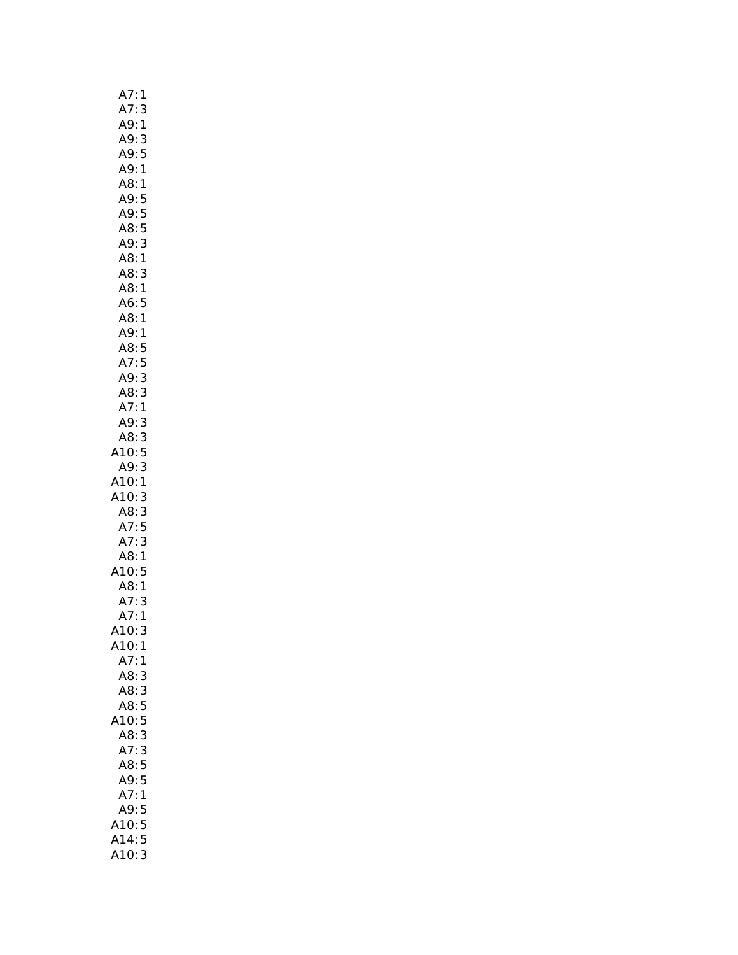| A7:<br>1                                     |
|----------------------------------------------|
| A7:<br>3                                     |
| A9:<br>1                                     |
| A9:<br>3                                     |
| A9:<br>5                                     |
| A9: 1                                        |
| A8:1                                         |
| A9:5                                         |
| A9: 5<br>A8: 5                               |
|                                              |
| A9:3                                         |
| A8:1                                         |
| A8:3                                         |
| A8:1                                         |
| A6:5                                         |
| A8:1                                         |
| A9:1                                         |
|                                              |
| A8:5<br>A7:5                                 |
| 3<br>A9:                                     |
| A8:<br>3                                     |
| A7:1                                         |
| A9:3                                         |
| A8:3                                         |
| 10:5                                         |
| 3<br>A9:                                     |
| A10:1                                        |
| A10:<br>3                                    |
| A8:3                                         |
|                                              |
| A7:5<br>A7:3                                 |
| 1<br>A8:                                     |
| A10:5                                        |
| $\overline{AB}$                              |
| $\begin{array}{c}\n1 \\ 1 \\ 1\n\end{array}$ |
| A7:<br>A7:                                   |
| A10:<br>3                                    |
| A10:<br>1                                    |
| A7:<br>1                                     |
| A8:<br>3                                     |
| A8:3                                         |
| A8:5                                         |
| A10:5                                        |
| A8:3                                         |
| A7:<br>3                                     |
| A8:5                                         |
| A9:5                                         |
| A7:<br>1                                     |
| A9:5                                         |
| A10:5                                        |
| 5<br>A14.                                    |
| 3<br>A10:                                    |
|                                              |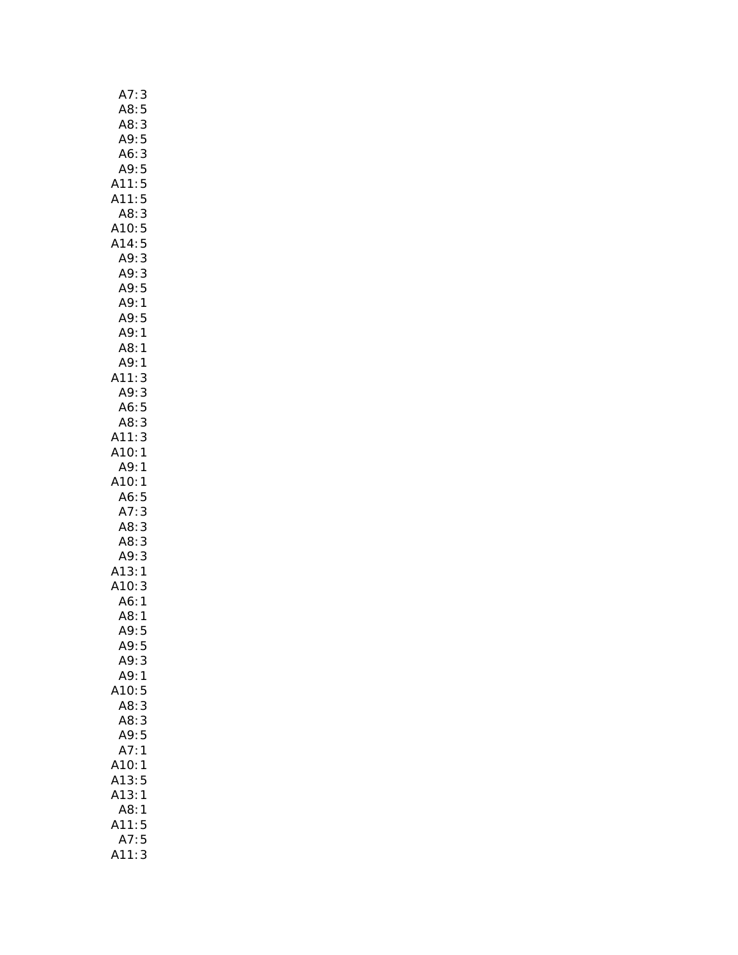| A7:<br>3                 |
|--------------------------|
| A8:5                     |
|                          |
| - 1818<br>A8: 3<br>A9: 5 |
| A6:<br>$\overline{3}$    |
| A9:5                     |
| A11:5                    |
| 5<br>A11:                |
|                          |
| A8:3                     |
| A10:5                    |
| A14:5                    |
| A9:3                     |
| A9:3                     |
| A9:5                     |
| A9:1                     |
| A9:5                     |
| A9:1                     |
| A8:1                     |
| A9:1                     |
| A11:<br>3                |
| A9:3                     |
|                          |
| A6:5                     |
| A8: 3                    |
| A11:3                    |
| A10:1                    |
| A9:1                     |
| A10:1                    |
| A6:5                     |
| A7:3                     |
| A8:3                     |
| A8:3                     |
| A9:3                     |
| A13:1                    |
| A10:3                    |
| A6:1                     |
| A8:1                     |
|                          |
| A9:5                     |
| A9:5                     |
| A9:<br>3                 |
| A9:<br>1                 |
| A10:<br>5                |
| A8:3                     |
| A8:3                     |
| A9:5                     |
| A7:1                     |
| A10:1                    |
| A13:5                    |
| A13:1                    |
|                          |
|                          |
| A8:<br>1                 |
| A11:5                    |
| A7:5<br>A11:<br>3        |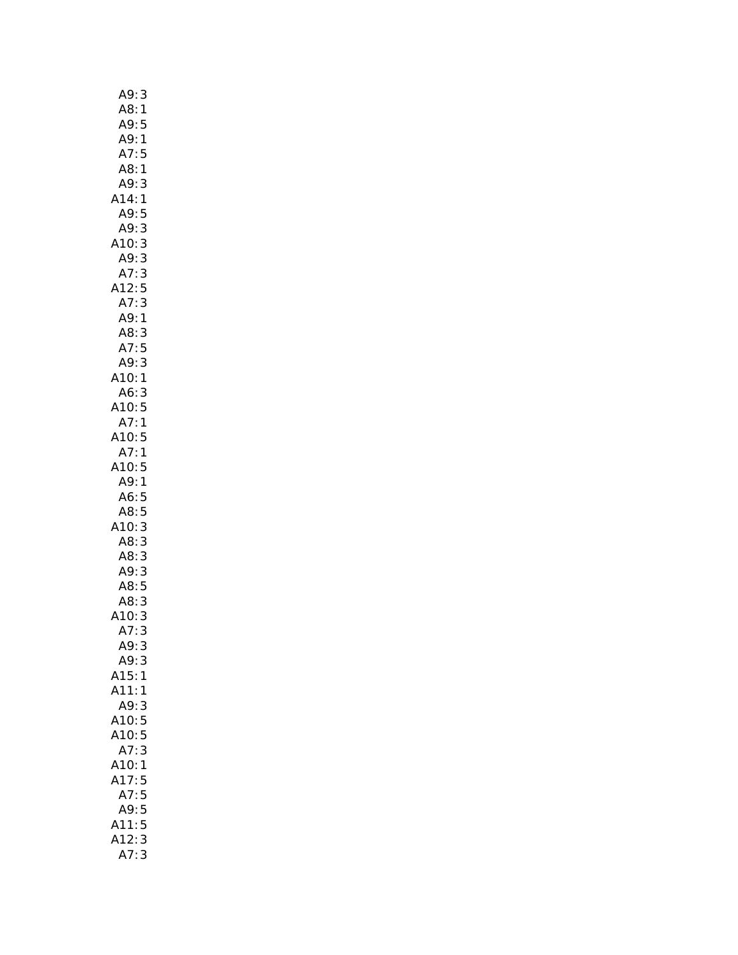| A9:<br>3             |
|----------------------|
| A8:<br>$\mathbf{1}$  |
| <br>A9:<br>5         |
| A9:<br>1             |
| A7:<br>5             |
| A8:<br>$\mathbf{1}$  |
| A9:<br>3             |
| A14:<br>1            |
| A9:<br>5             |
| 3<br>A9:             |
| A10:<br>3            |
| A9:<br>3             |
| 3<br>A7:             |
| A12:<br>5            |
| 3<br>A7:             |
| A9:1                 |
| A8:<br>3             |
| A7:<br>5             |
| A9:<br>3             |
| A10:<br>1            |
| A6:3                 |
| A10: 5               |
| A7:1                 |
| A10:5                |
| A7:1                 |
| 410:5                |
| A9:<br>$\mathbf{1}$  |
| A6:5                 |
| A8:5                 |
| A10:<br>3            |
| A8:                  |
| 3<br>3<br>A8:        |
| $\frac{3}{5}$<br>A9: |
| A8:                  |
| A8:<br>3             |
| A10:<br>3            |
| A7:<br>3             |
| A9:<br>3             |
| A9:<br>3             |
| A15:<br>1            |
| A11:<br>$\mathbf{1}$ |
| A9:<br>3             |
| A10:5                |
| A10:5                |
| 3<br>A7:             |
| A10:<br>1            |
|                      |
| A17:<br>5            |
| A7:5                 |
| A9:<br>$\frac{5}{5}$ |
| A11:<br>A12:         |
| 3                    |
| A7:<br>3             |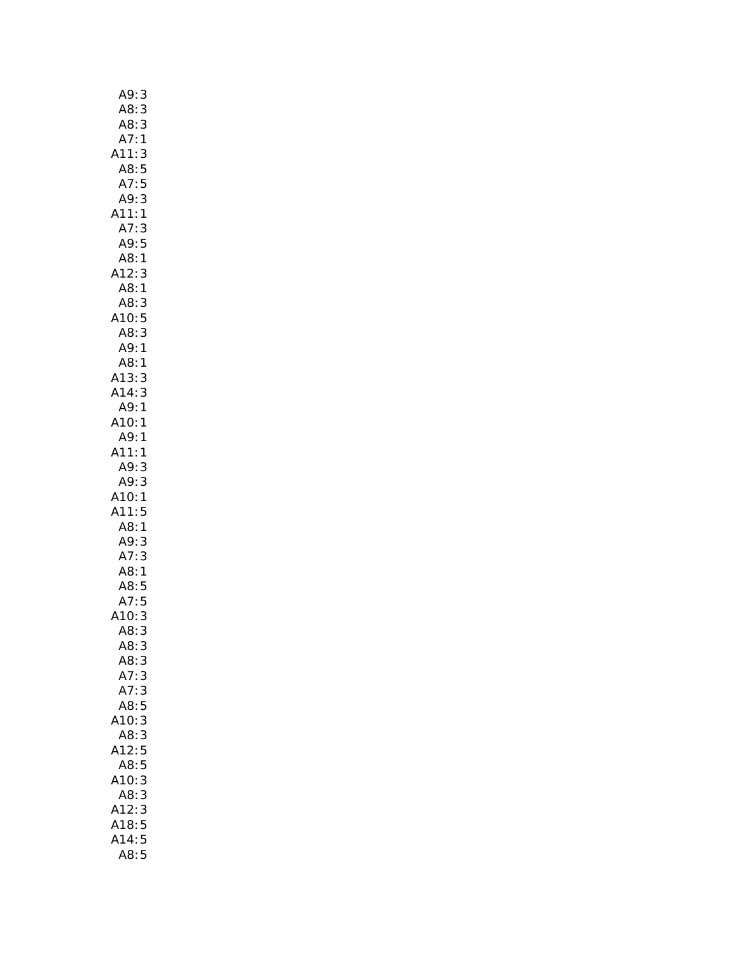| A9:<br>3                              |  |
|---------------------------------------|--|
| AB:<br>3                              |  |
| A8:<br>A7:                            |  |
| $\begin{array}{c} 3 \\ 1 \end{array}$ |  |
| A11:3                                 |  |
| A8:5                                  |  |
| A7:5                                  |  |
| A9:3                                  |  |
| A11:1                                 |  |
| A7:<br>3                              |  |
| A9:5                                  |  |
| A8:1                                  |  |
| A12:                                  |  |
| $\frac{3}{3}$<br>A8:                  |  |
| A8:                                   |  |
| A10:<br>A8:                           |  |
|                                       |  |
| 5<br>3<br>1<br>1<br>A9:               |  |
|                                       |  |
| A8:<br>A13:<br>3                      |  |
| 3<br>A14:                             |  |
| A9:1                                  |  |
| A10:1                                 |  |
| A9:1                                  |  |
| A11:1                                 |  |
|                                       |  |
| A9:<br>3<br>3                         |  |
| A9:                                   |  |
| A10:<br>1<br>A11:                     |  |
| 5                                     |  |
| A8:1<br>A9:3<br>A7:3<br>A8:1          |  |
| 3<br>3                                |  |
|                                       |  |
| $\mathbf{1}$<br>A8:5                  |  |
|                                       |  |
| A7:5                                  |  |
| A10:<br>3                             |  |
| A8:<br>3                              |  |
| A8:<br>3                              |  |
| A8:<br>3                              |  |
| A7:<br>3                              |  |
| A7:<br>3                              |  |
| A8:<br>5                              |  |
| 10:<br>3                              |  |
| A8:<br>3                              |  |
| 5<br>A12:                             |  |
| A8:<br>5                              |  |
| A10:<br>3                             |  |
|                                       |  |
| A8:<br>3                              |  |
| A12:<br>3                             |  |
| 5                                     |  |
| A18:<br>5<br>A14:                     |  |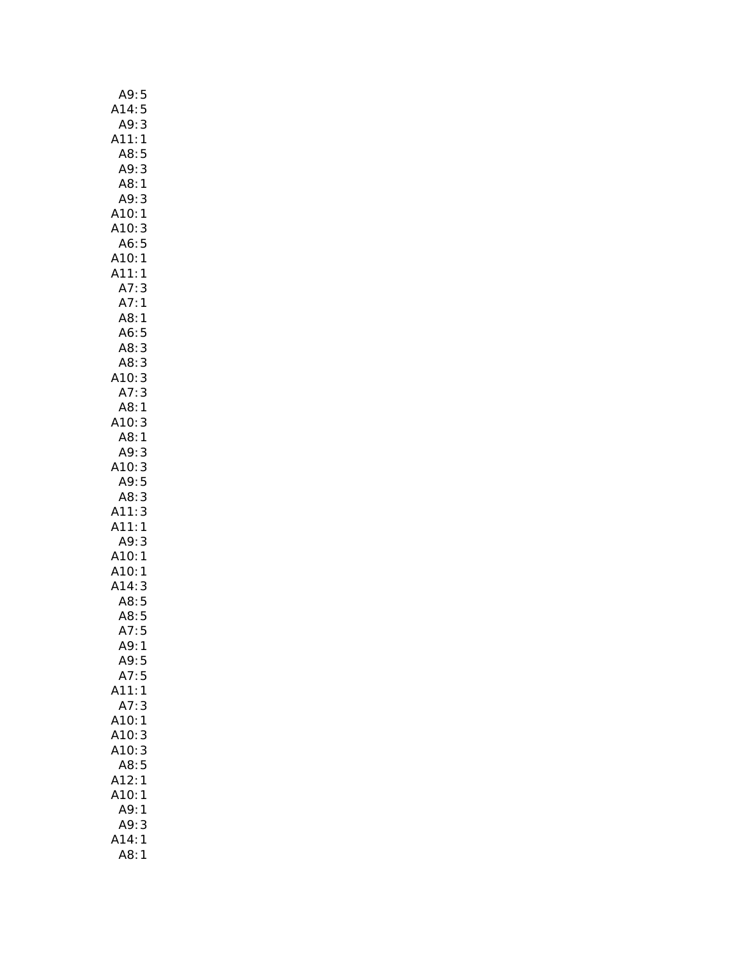| A9:5                 |
|----------------------|
| A14:5                |
| A9:<br>3             |
| A11:1                |
| A8:<br>5             |
| A9:<br>3             |
| A8:1                 |
|                      |
| A9:<br>3             |
| A10:1                |
| A10:3                |
| A6:5                 |
| A10:1                |
| A11:<br>$\mathbf{1}$ |
| A7<br>$\vdots$<br>3  |
| A7:<br>1             |
| A8:<br>1             |
| A6:5                 |
|                      |
| A8:3                 |
| A8:3                 |
| A10: 3               |
| A7:3                 |
| A8:1                 |
| A10:<br>3            |
| A8:1                 |
| A9:<br>3             |
| A10:3                |
| A9:5                 |
| 3<br>A8:             |
| A11:<br>3            |
| A11:                 |
| 1                    |
| A9:<br>3             |
| A10:1                |
| A10:1<br>A14:3       |
|                      |
| A8:5                 |
| A8:5                 |
| 5<br>A7:             |
| A9:1                 |
| A9:5                 |
| A7:5                 |
|                      |
| A11:1                |
| A7:<br>3             |
| A10:<br>1            |
| A10:<br>3            |
| A10:<br>3            |
| A8:<br>5             |
| A12:<br>1            |
| A10:<br>1            |
| A9:<br>1             |
| A9:<br>3             |
| A14:<br>1            |
| A8:<br>1             |
|                      |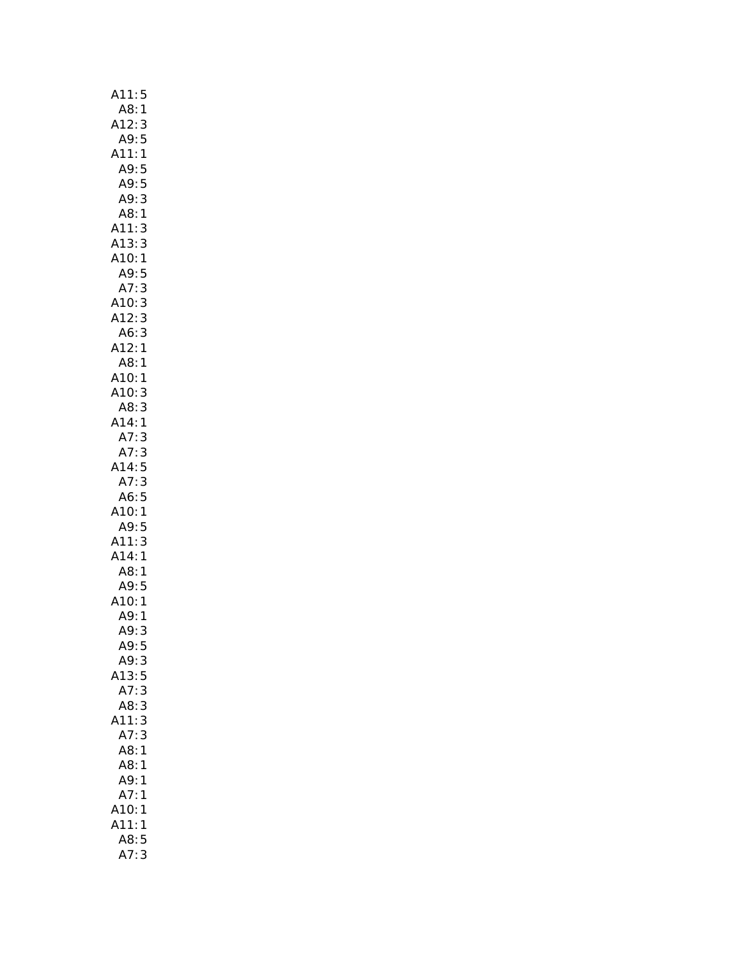| A11:<br>5                                                               |
|-------------------------------------------------------------------------|
|                                                                         |
| 1 :A8<br>3 :A12                                                         |
| A9:5                                                                    |
| A11:<br>$\mathbf{1}$                                                    |
|                                                                         |
| A9:5<br>A9:5                                                            |
| 3<br>A9:                                                                |
| A8:1                                                                    |
| 3<br>A11:<br>A13:                                                       |
| 3                                                                       |
| .<br>A10:<br>$\mathbf{1}$                                               |
| A 10: 1<br>A 9: 5<br>A 7 : 3<br>A 10: 3<br>A 12: 3<br>A 12: 1<br>A 9: 1 |
|                                                                         |
|                                                                         |
|                                                                         |
|                                                                         |
|                                                                         |
| A8:1                                                                    |
| A10:1                                                                   |
| A10:3                                                                   |
| 3<br>A8:                                                                |
| A14:1                                                                   |
| A7:<br>3                                                                |
| A7:                                                                     |
| $\frac{3}{5}$<br>A14:<br>A7:                                            |
|                                                                         |
| A6:5<br>0.0<br>A10:1<br>A9:5<br>A11:3<br>A14:1                          |
|                                                                         |
|                                                                         |
|                                                                         |
| A8:<br>$\mathbf{1}$                                                     |
| AO: 1<br>A9: 5<br>A10: 1<br>A9: 1                                       |
|                                                                         |
|                                                                         |
| A9:<br>3                                                                |
| A9:<br>5                                                                |
| A9:<br>3                                                                |
| A13:5                                                                   |
| A7:                                                                     |
| A8:<br>3                                                                |
| A11:<br>3                                                               |
| A7:<br>3                                                                |
| 1<br>A8:                                                                |
| A8:<br>1                                                                |
| A9:<br>1                                                                |
| A7:<br>1                                                                |
| A10:<br>1                                                               |
| A11:<br>1                                                               |
| 5<br>A8:                                                                |
| A7:3                                                                    |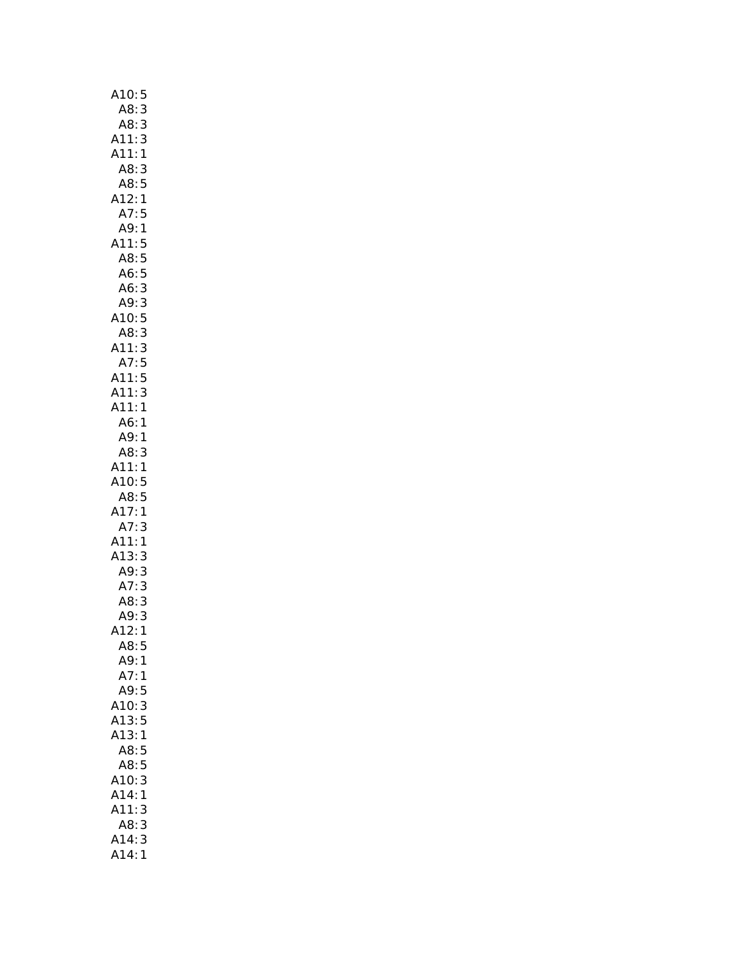| A10:<br>5                                                                                                                                             |
|-------------------------------------------------------------------------------------------------------------------------------------------------------|
| A8:                                                                                                                                                   |
|                                                                                                                                                       |
| $\frac{3}{3}$<br>A8: 3<br>A11: 3<br>A11: 1                                                                                                            |
|                                                                                                                                                       |
|                                                                                                                                                       |
|                                                                                                                                                       |
|                                                                                                                                                       |
|                                                                                                                                                       |
|                                                                                                                                                       |
|                                                                                                                                                       |
|                                                                                                                                                       |
|                                                                                                                                                       |
|                                                                                                                                                       |
|                                                                                                                                                       |
|                                                                                                                                                       |
|                                                                                                                                                       |
|                                                                                                                                                       |
| A8: 3<br>A8: 5<br>A12: 1<br>A7: 5<br>A7: 5<br>A7: 5<br>A11: 5<br>A6: 5<br>A6: 3<br>A10: 5<br>A11: 3<br>A11: 4<br>A11: 4<br>A11: 4<br>A11: 4<br>A11: 5 |
|                                                                                                                                                       |
|                                                                                                                                                       |
|                                                                                                                                                       |
| A6:1<br>A9:1<br>A8:3<br>A11:1<br>A10:5<br>A3:5<br>A17:1<br>A7:3<br>A7:3<br>A7:3<br>A7:3<br>A8:3<br>A9:3                                               |
|                                                                                                                                                       |
| 3<br>1                                                                                                                                                |
|                                                                                                                                                       |
|                                                                                                                                                       |
| 5513133333                                                                                                                                            |
|                                                                                                                                                       |
|                                                                                                                                                       |
|                                                                                                                                                       |
|                                                                                                                                                       |
|                                                                                                                                                       |
|                                                                                                                                                       |
|                                                                                                                                                       |
| 1<br>A12:                                                                                                                                             |
| A8:<br>5                                                                                                                                              |
| A9:1                                                                                                                                                  |
| A7:<br>1                                                                                                                                              |
| 5<br>A9:                                                                                                                                              |
| 3<br>A10:                                                                                                                                             |
| A13:<br>5                                                                                                                                             |
| A13:<br>1                                                                                                                                             |
| A8:<br>5                                                                                                                                              |
| 5<br>A8:                                                                                                                                              |
| $A10$ :<br>3                                                                                                                                          |
| A14:<br>1                                                                                                                                             |
| 3<br>A11:                                                                                                                                             |
| A8:<br>3                                                                                                                                              |
| 3<br>A14:                                                                                                                                             |
| A14:<br>1                                                                                                                                             |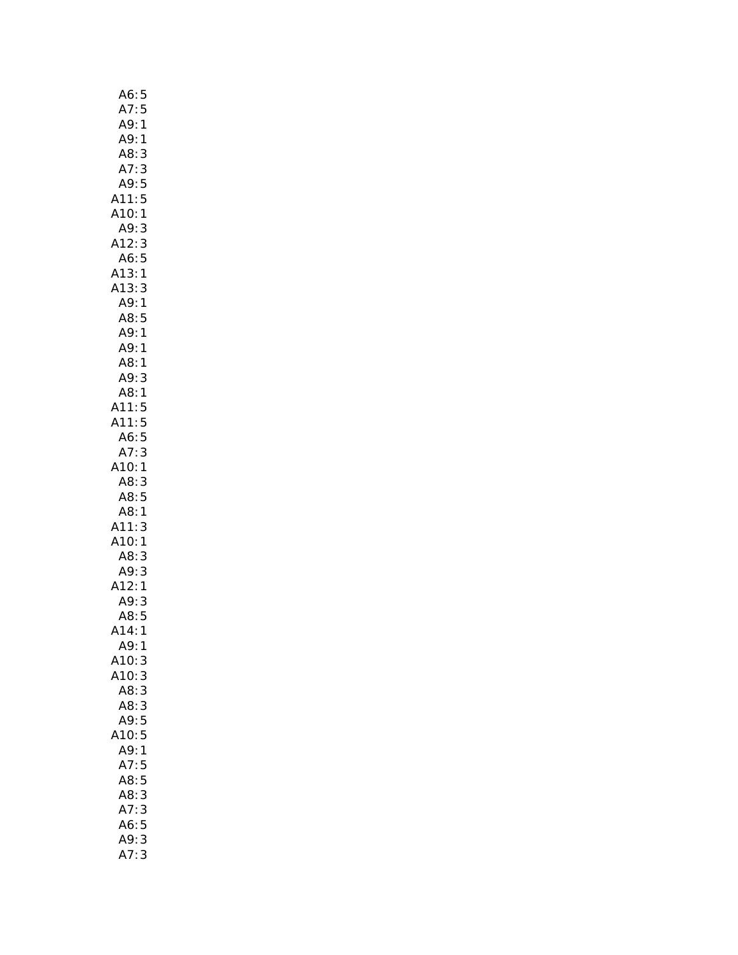| A6:5                       |        |
|----------------------------|--------|
|                            |        |
| ,<br>A7: 5<br>A9: 1<br>A9: |        |
| A9:1                       |        |
| A8:                        | 3      |
| A7:                        | 3      |
| A9:                        | 5<br>5 |
| A11:                       |        |
| A10:1                      |        |
| A9:                        | 3      |
| A12:3<br>A6:5              |        |
|                            |        |
| A13:1                      |        |
| A13:                       | 3      |
| A9:1                       |        |
| A8:5<br>A9:1               |        |
| A9:1                       |        |
| A8:1                       |        |
| A9:                        |        |
| A9: 3<br>A8: 1             |        |
| A11:                       |        |
|                            |        |
| A11:5<br>A11:5<br>A6:5     |        |
| A7:3                       |        |
| A10:1                      |        |
| A8:3                       |        |
| A8:5                       |        |
| A8:1                       |        |
| A11:                       | 3      |
| A10:1                      |        |
| A8:3                       |        |
| A9:<br>:A12                | 3      |
|                            | 1      |
| A9:                        | 3      |
| A8:5                       |        |
| 414:1                      |        |
| A9:                        | 1      |
| A10:                       | 3      |
| A10:                       | 3      |
| A8:3                       |        |
| A8:3                       |        |
| A9:5                       |        |
| A10:5<br>A9:1              |        |
| A7:5                       |        |
| A8:5                       |        |
| A8:3                       |        |
| A7:                        | 3      |
| A6:5                       |        |
| A9:                        | 3      |
| A7:                        | 3      |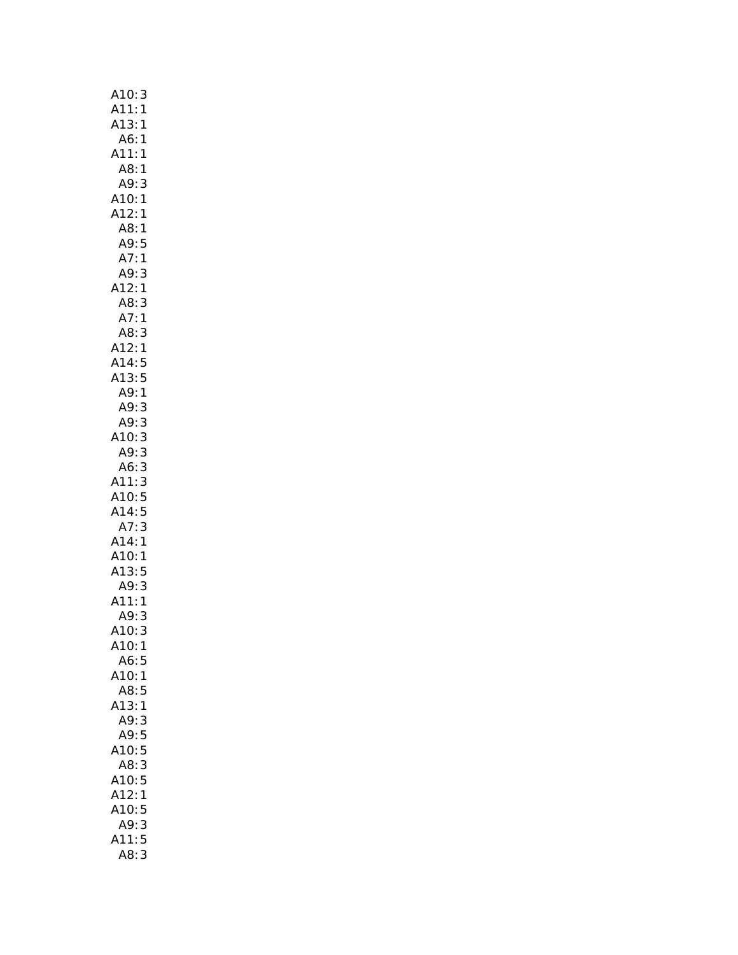| A10:<br>3                               |
|-----------------------------------------|
| A11:<br>$\mathbf{1}$                    |
| A13:1                                   |
| A6:<br>1                                |
| A11:1                                   |
| A8:1                                    |
| A9:<br>3                                |
| A10:<br>1                               |
| A12:<br>1                               |
| A8:<br>1                                |
| A9:5<br>A7:1                            |
|                                         |
| A9:<br>3                                |
| A12:<br>$\mathbf{1}$                    |
| A8:<br>3                                |
| A7:<br>$\mathbf{1}$                     |
| A8: 3<br>A12: 1<br>3                    |
|                                         |
| A14:<br>5                               |
| A13:<br>5                               |
| A9:1                                    |
| A9:<br>3                                |
| A9:<br>3                                |
| 3<br>A10:                               |
| 3<br>A9:                                |
| 3<br>3<br>A6:                           |
| A11:3<br>A10:5                          |
|                                         |
| A14:<br>5<br>A7:<br>3                   |
|                                         |
| $A14:1$<br>$A10:1$<br>$A13:5$<br>$A9:3$ |
|                                         |
|                                         |
| A11:1                                   |
| A9:<br>3                                |
| A10:<br>3                               |
| A10:1                                   |
| A6:5                                    |
| A10:1                                   |
| A8:5                                    |
| A13:<br>1                               |
| A9:<br>3                                |
| A9:<br>5                                |
| 5<br>A10:                               |
| A8:<br>3                                |
| A10:<br>5                               |
| A12:<br>1                               |
| 5<br>A10:                               |
| 3<br>A9:                                |
| 5<br>A11:                               |
| 3                                       |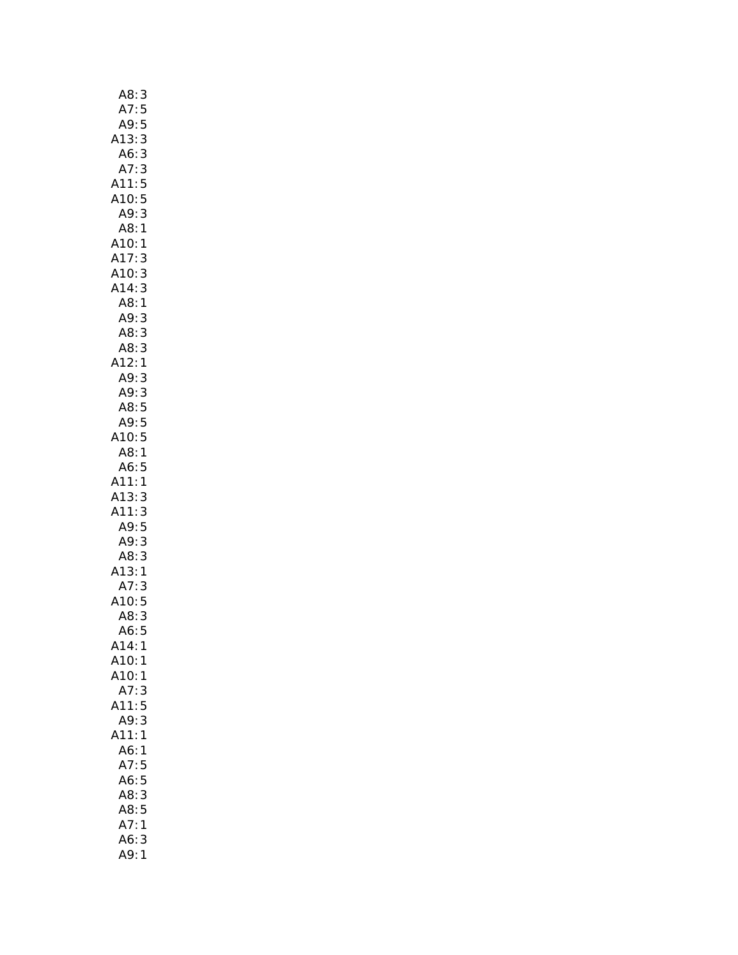| A8:                    | 3                                          |
|------------------------|--------------------------------------------|
| A7:                    | 5                                          |
| A9:                    | 5                                          |
| A13:                   | 3                                          |
|                        | 3                                          |
| A6:<br>A7:             | 3                                          |
| A11:                   | 5                                          |
| A10:                   | 5                                          |
| A9:                    | 3                                          |
| A8:                    | 1                                          |
| A10:1                  |                                            |
| A17:                   | 3                                          |
| A10:                   | 3                                          |
|                        |                                            |
| A14:                   | $\begin{array}{c} 3 \\ 1 \\ 3 \end{array}$ |
| A8:                    |                                            |
| A9:<br>A8:             |                                            |
|                        | 3<br>3<br>1                                |
| A8                     |                                            |
| A12:                   |                                            |
| A9:                    | 3                                          |
| A9:                    | $\frac{3}{5}$                              |
| A8:                    |                                            |
| A9:                    | 5                                          |
| A10:                   | 5                                          |
| A8:                    | $\mathbf{1}$                               |
| A6:5                   |                                            |
| A11:                   | $\mathbf{1}$                               |
|                        | 3                                          |
| A13:<br>A11:           | 3                                          |
| A9:                    | 5                                          |
| A9:<br>A8:             | 3                                          |
|                        |                                            |
| A13:1<br>A7:3<br>A10:5 | $\begin{array}{c} 3 \\ 1 \end{array}$      |
|                        |                                            |
|                        |                                            |
| A8:                    | 3                                          |
| A6:                    | 5                                          |
| A14:                   | 1                                          |
| A10:                   | 1                                          |
| A10:                   | 1                                          |
| A7:                    | 3                                          |
| A11:                   | 5                                          |
| A9:                    | 3                                          |
| A11:                   | 1                                          |
| A6:                    | 1                                          |
| A7:                    | 5                                          |
| A6:                    | 5                                          |
| A8:                    | 3                                          |
| A8:                    | 5                                          |
| A7:                    | 1                                          |
| A6:                    | 3                                          |
|                        |                                            |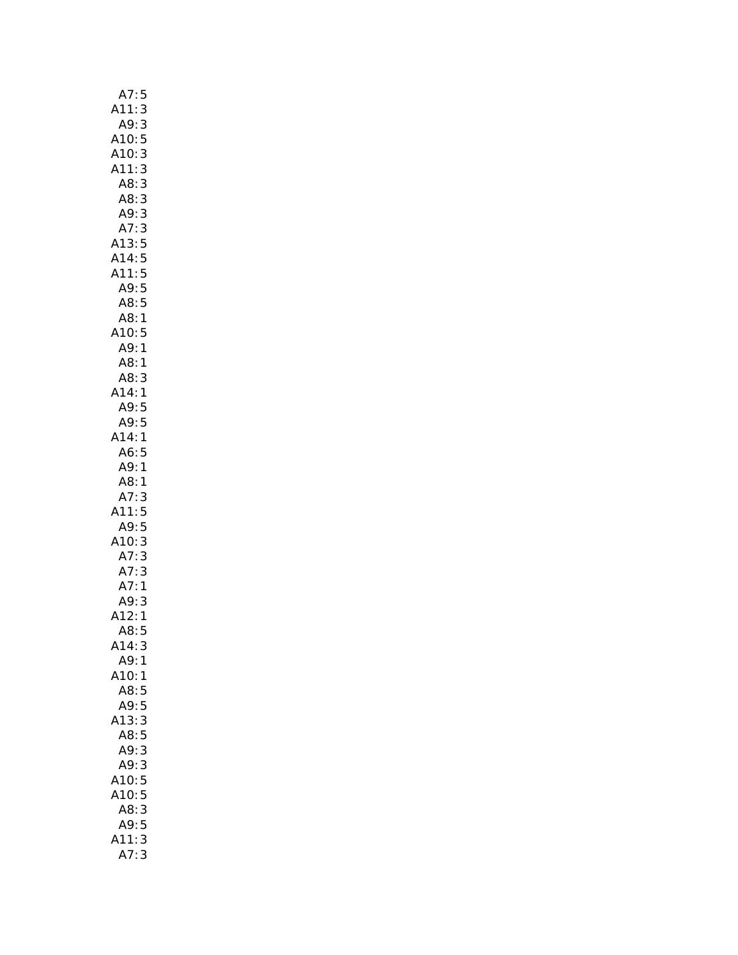| A7:5                                           |
|------------------------------------------------|
| A11:<br>3                                      |
| A9:<br>3                                       |
| 5                                              |
| A10:<br>A10:<br>3                              |
| A11:<br>3                                      |
| A8:<br>3                                       |
|                                                |
| 3<br>A8:<br>A9:                                |
| 3                                              |
| A7:3                                           |
| A13:5                                          |
|                                                |
| A14:5<br>A11:5<br>A9:5                         |
|                                                |
| A8:5                                           |
| A8:<br>$\mathbf{1}$                            |
| A10:<br>5                                      |
| A9:<br>$\mathbf{1}$                            |
| A8:<br>$\mathbf{1}$                            |
| A8:<br>3                                       |
|                                                |
| A14:<br>$\mathbf{1}$                           |
| A9:5                                           |
| A9:<br>5                                       |
| A14:<br>$\mathbf{1}$                           |
| A6:5                                           |
| A9:1                                           |
|                                                |
|                                                |
| A8:1                                           |
| A7:<br>3                                       |
| 11:<br>5                                       |
| A9:5                                           |
|                                                |
|                                                |
|                                                |
|                                                |
|                                                |
| A7:3<br>A10:3<br>A7:3<br>A7:1<br>A9:3<br>A12:1 |
| A8:<br>5                                       |
| A14:<br>3                                      |
| A9:<br>1                                       |
| A10:<br>1                                      |
| A8:<br>5                                       |
| A9:<br>5                                       |
| 3<br>A13:                                      |
| A8:5                                           |
| 3<br>A9:                                       |
|                                                |
| A9:<br>3                                       |
| A10:<br>5                                      |
| A10:<br>5                                      |
| A8:<br>3                                       |
| 5<br>A9:                                       |
| 3<br>11:<br>A7:<br>3                           |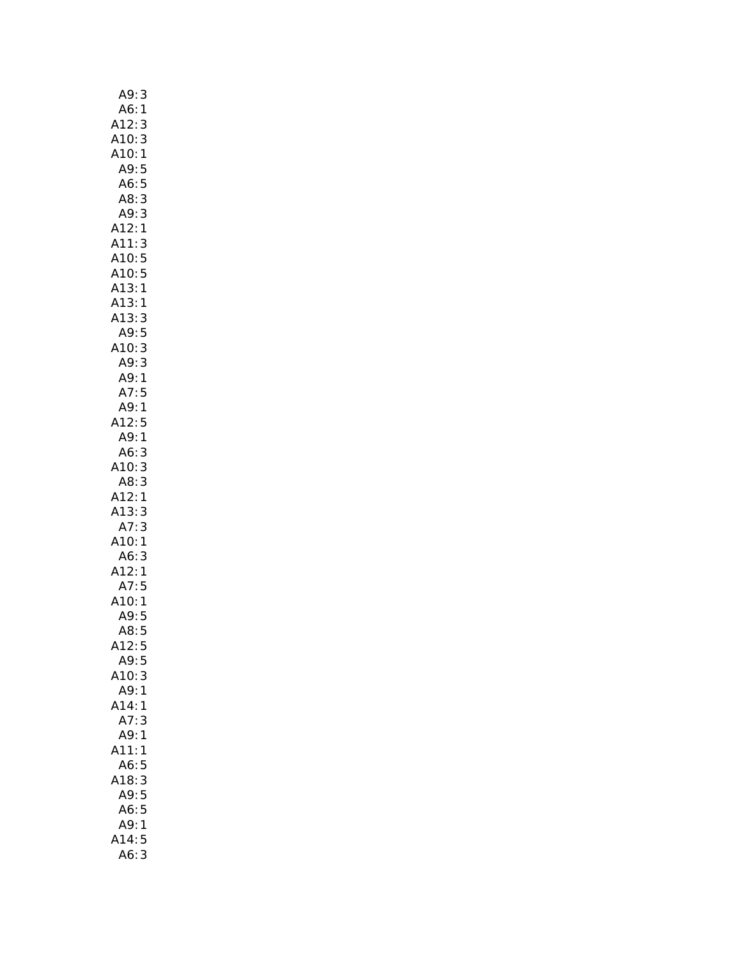| A9:                                                                                         |
|---------------------------------------------------------------------------------------------|
| 3<br>1                                                                                      |
|                                                                                             |
|                                                                                             |
| A6:1<br>A12:3<br>A10:3<br>A10:1<br>A9:5<br>A6:5<br>A8:3<br>A9:3                             |
|                                                                                             |
|                                                                                             |
|                                                                                             |
|                                                                                             |
| A12:1                                                                                       |
|                                                                                             |
|                                                                                             |
|                                                                                             |
|                                                                                             |
|                                                                                             |
|                                                                                             |
|                                                                                             |
| A11:3<br>A10:5<br>A10:5<br>A13:1<br>A13:1<br>A13:3<br>A9:5<br>A9:1<br>A7:5<br>A9:1<br>A12:5 |
|                                                                                             |
|                                                                                             |
|                                                                                             |
|                                                                                             |
|                                                                                             |
| A9:1                                                                                        |
| A6:                                                                                         |
|                                                                                             |
| A6: 3<br>A10: 3<br>A8: 3                                                                    |
| A8: 3<br>A12: 1<br>A13: 3<br>A7: 3<br>A10: 1<br>A6: 3<br>A12: 1<br>A7: 5<br>A10: 1<br>A9: 5 |
|                                                                                             |
|                                                                                             |
|                                                                                             |
|                                                                                             |
|                                                                                             |
|                                                                                             |
|                                                                                             |
|                                                                                             |
| A8:<br>5                                                                                    |
| A12:<br>5                                                                                   |
| A9:<br>5                                                                                    |
| A10:<br>3                                                                                   |
| A9:1                                                                                        |
| A14:<br>1                                                                                   |
| A7:<br>3                                                                                    |
| A9:1                                                                                        |
| A11:<br>1                                                                                   |
| A6:<br>5                                                                                    |
| A18:3                                                                                       |
| A9:5                                                                                        |
|                                                                                             |
| A6:5<br>A9:                                                                                 |
| 1<br>5<br>14:                                                                               |
| 3                                                                                           |
| A6:                                                                                         |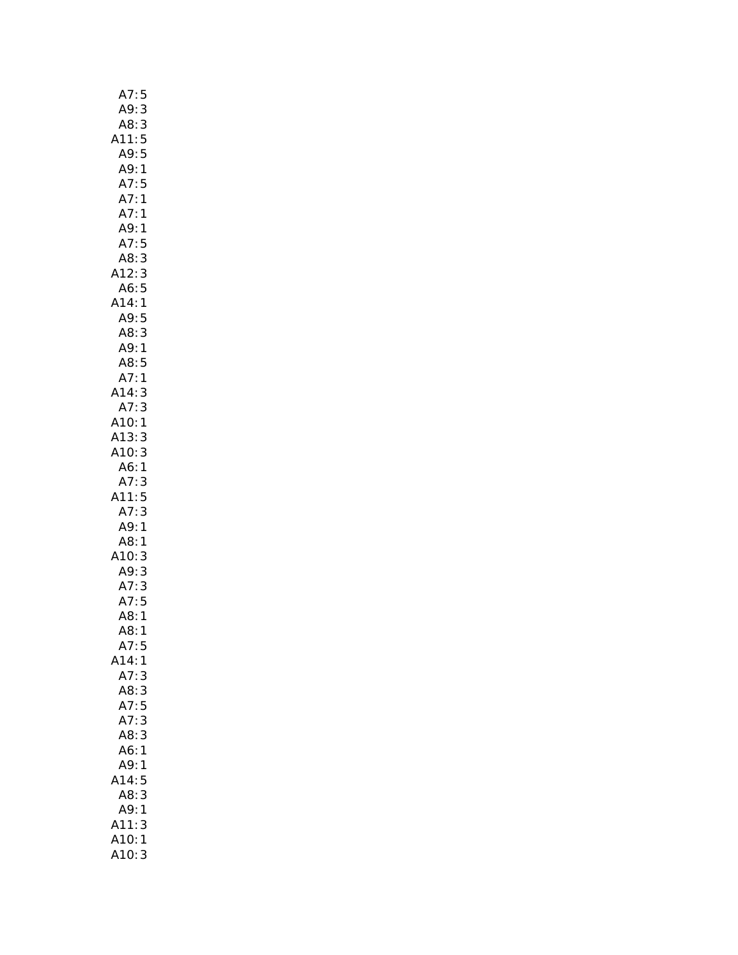| A7:            | 5                                         |
|----------------|-------------------------------------------|
| A9:            | $\ddot{\cdot}$<br>$\overline{\mathbf{3}}$ |
| A8:            | $\mathsf{3}$                              |
| A11:5          |                                           |
| A9:5           |                                           |
| A9:1           |                                           |
| A7:5           |                                           |
| A7:1           |                                           |
| A7:1           |                                           |
| A9: 1          |                                           |
| A7:5           |                                           |
| A8:3           |                                           |
| A12:3          |                                           |
| A6:5           |                                           |
| A14:1          |                                           |
| A9:5           |                                           |
| A8:            | 3                                         |
| A9:1           |                                           |
| A8:5           |                                           |
| A7:1           |                                           |
| A14:3          |                                           |
| A7:3           |                                           |
| A10:1          |                                           |
| A13:3          |                                           |
| A10:3          |                                           |
| A6:1           |                                           |
| A7:3           |                                           |
| A11:5          |                                           |
| A7:3           |                                           |
| A9:1           |                                           |
| A8:1           |                                           |
| A10:3          |                                           |
|                |                                           |
| A9: 3<br>A7: 3 |                                           |
| A7: 3<br>A7: 5 |                                           |
| A8:1           |                                           |
| A8:1           |                                           |
| A7:5           |                                           |
| A14:           | 1                                         |
| A7:            | 3                                         |
| A8:3           |                                           |
| A7:            | 5                                         |
| A7:            | 3                                         |
| A8:3           |                                           |
| A6:            | $\mathbf{1}$                              |
| A9:            | 1                                         |
| 14:            | 5                                         |
| A8:            | 3                                         |
| A9:            | 1                                         |
| A11:           | 3                                         |
| A10:           | 1                                         |
| A10:           | 3                                         |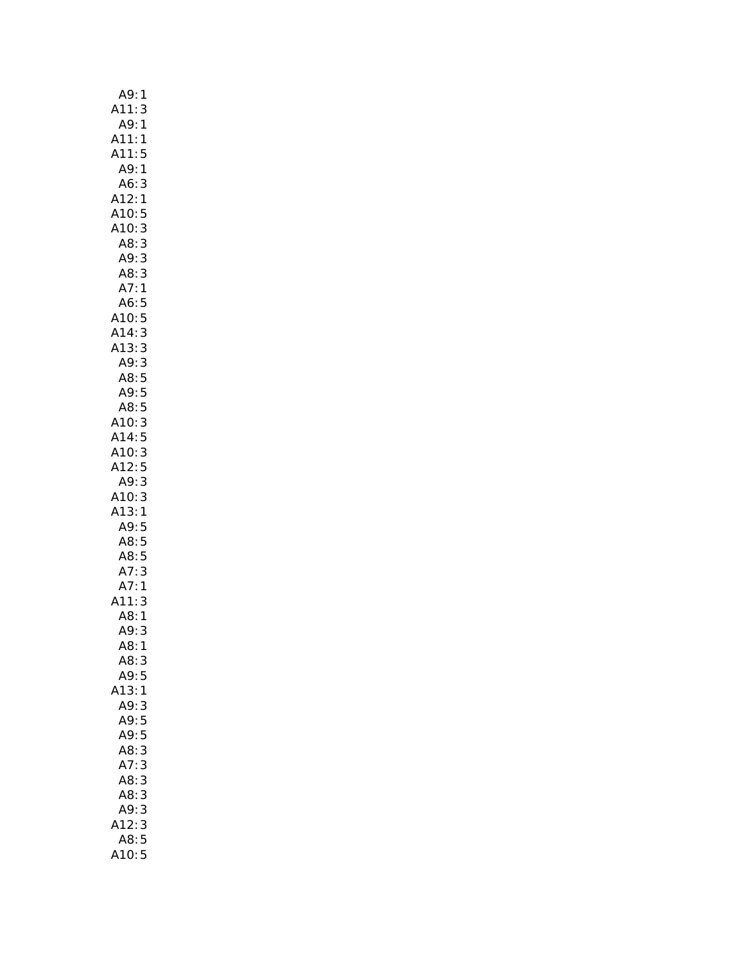| A9:<br>1            |
|---------------------|
| A11:3               |
| A9:<br>$\mathbf{1}$ |
| A11:<br>1           |
| A11:<br>5           |
| A9:1                |
| A6:<br>3            |
| A12:1               |
| A10:<br>5           |
| 3<br>A10:           |
|                     |
| A8:3                |
| A9:3                |
| A8:3                |
| A7:1                |
| A6:<br>5            |
| A10:5               |
| A14:<br>3<br>3      |
| A13:                |
| A9:3                |
| A8:5                |
|                     |
| A9: 5<br>A8: 5      |
| A10:3               |
| A14:5               |
|                     |
|                     |
| 3<br>A10:           |
| A12:5               |
| A9:3                |
| A10:3               |
| A13:1               |
| A9:5                |
| A8:5                |
| A8:5                |
| 3                   |
| 1                   |
| A7:<br>A7:<br>3     |
| A11:                |
| A8:1                |
| A9:<br>3            |
| A8:1                |
| A8:3                |
| A9:<br>5            |
| .13:1               |
| A9:3                |
| A9:5                |
| A9:5                |
| A8:<br>3            |
| A7:<br>3            |
| A8:<br>3            |
| A8:<br>3            |
| A9:<br>3            |
| 3<br>A12:           |
| A8:5                |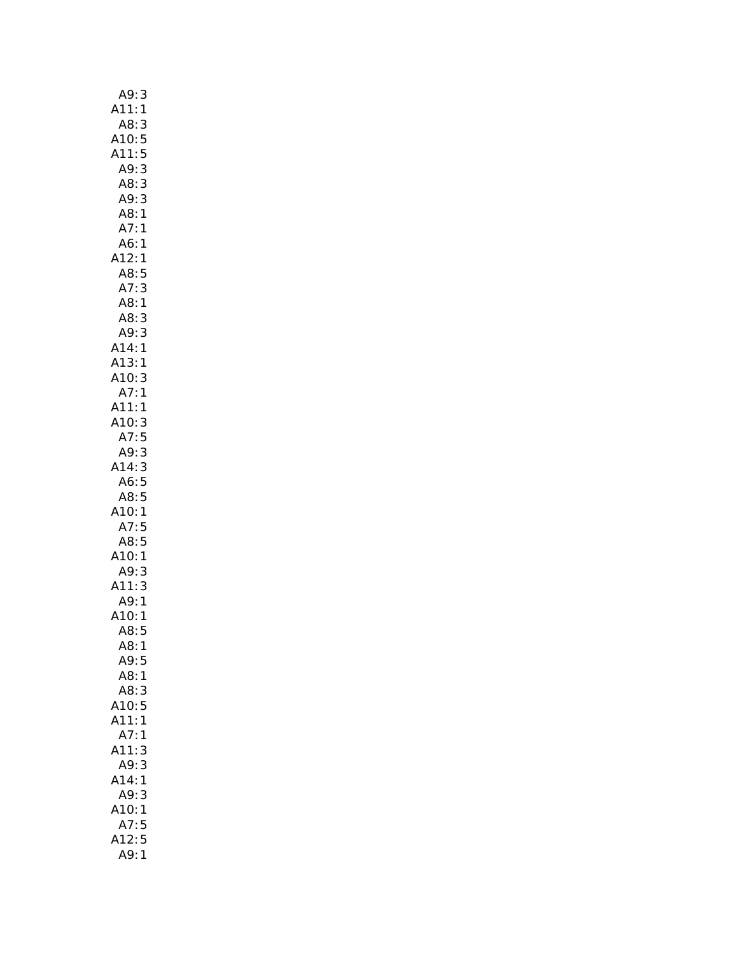| A9:<br>3                                                    |
|-------------------------------------------------------------|
| A11:<br>1                                                   |
| 3                                                           |
| A8:<br>:A10                                                 |
| 5<br>5<br>3<br>3<br>A11:                                    |
| A9:                                                         |
|                                                             |
| A8:<br>A9:                                                  |
| 3                                                           |
| A8:<br>1                                                    |
| 1<br>A7:                                                    |
| A6:<br>1                                                    |
| A12:1                                                       |
| A8:<br>A7:<br>5                                             |
| A7: 3<br>A8: 1                                              |
|                                                             |
| A8:                                                         |
| A9:                                                         |
| 3<br>3<br>1<br>A14:<br>A13:<br>A10:<br>A7:                  |
|                                                             |
| 1                                                           |
| 3                                                           |
| 1                                                           |
| A11:<br>$\mathbf{1}$                                        |
|                                                             |
| A10:3<br>A7:5<br>A9:3                                       |
|                                                             |
| A14:3                                                       |
| A6:<br>5                                                    |
| A8:5                                                        |
|                                                             |
| $A10:1$<br>$A7:5$<br>$A8:5$                                 |
|                                                             |
|                                                             |
| A10: A9: A2<br>$\begin{array}{c}\n1 \\ 3 \\ 1\n\end{array}$ |
|                                                             |
| A11:                                                        |
| A9:                                                         |
| A10:<br>1                                                   |
| A8:<br>5                                                    |
| A8:<br>1                                                    |
| A9:<br>5                                                    |
| A8:<br>$\mathbf 1$                                          |
| A8:<br>3                                                    |
| A10:<br>5                                                   |
| 1                                                           |
| A11:                                                        |
| A7:<br>1                                                    |
| 3<br>A11:                                                   |
| A9:<br>3                                                    |
| A14:<br>1                                                   |
| A9:<br>3                                                    |
| A10:<br>1                                                   |
| A7:<br>5                                                    |
| A12:<br>5                                                   |
| A9:<br>1                                                    |
|                                                             |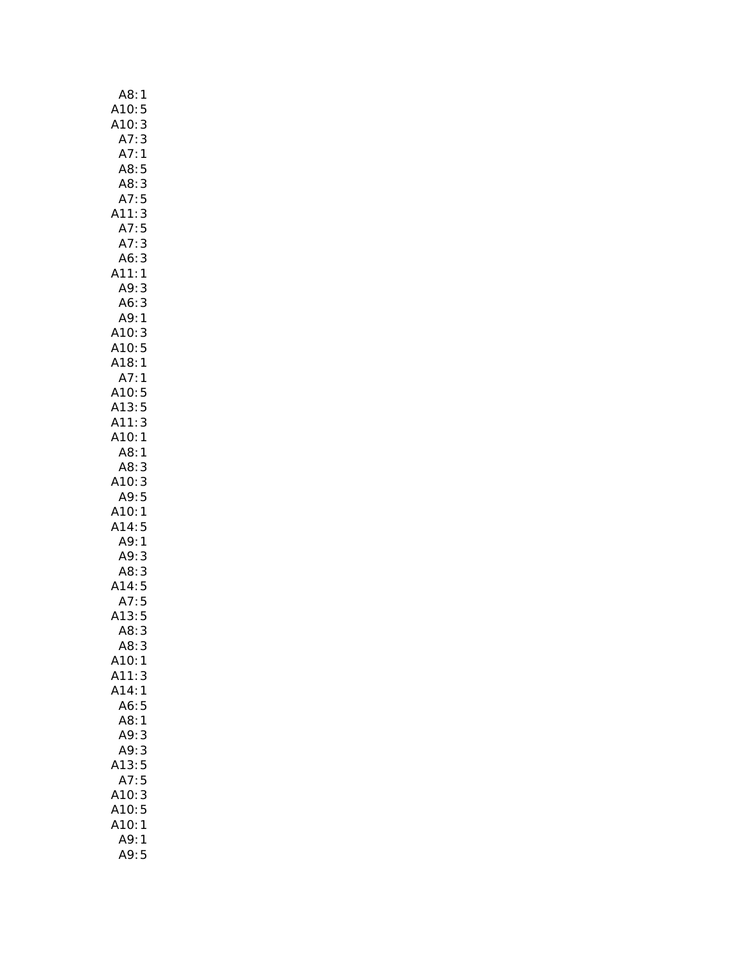| A8:1<br>A10:5<br>A10:3<br>A7:3               |
|----------------------------------------------|
|                                              |
|                                              |
|                                              |
| A7:<br>$\mathbf{1}$                          |
| A8:<br>5                                     |
| A8: 3<br>A7: 5                               |
|                                              |
| 3<br>A11:                                    |
| A7:5                                         |
| 3<br>A7:                                     |
| $\begin{array}{c} 3 \\ 1 \end{array}$<br>A6: |
| A11:                                         |
| 3<br>A9:                                     |
| A6: 3<br>A9: 1                               |
|                                              |
| A10: 3<br>A10: 5                             |
|                                              |
| <u>.</u><br>1:A18<br>1:A7                    |
|                                              |
| A10:5                                        |
| A13:5                                        |
| A11:3                                        |
| A10:1                                        |
| A8:1<br>A8:                                  |
| 3<br>A10:                                    |
| 3<br>A9:5                                    |
| A10:1                                        |
| A14:5                                        |
| A9:1                                         |
| A9:<br>3                                     |
|                                              |
| A8:3<br>A14:5<br>A7:5                        |
|                                              |
| A13:5                                        |
| A8:<br>3                                     |
| A8:3                                         |
| A10:1                                        |
| A11:<br>3                                    |
| A14:<br>1                                    |
| A6:<br>5                                     |
| A8:<br>$\mathbf{1}$                          |
| A9:<br>3                                     |
| A9:<br>3                                     |
| A13:<br>5                                    |
| A7:<br>5                                     |
| 3<br>A10:                                    |
| A10:<br>5                                    |
| A10:<br>1                                    |
| <br>A9:<br>1                                 |
| A9:5                                         |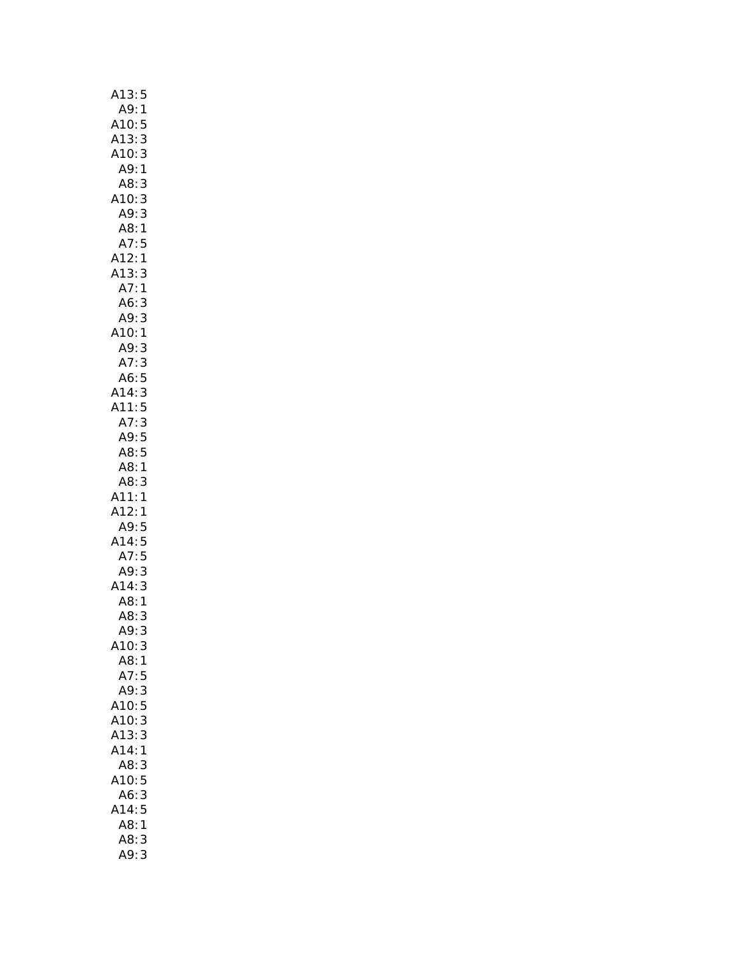| A13:<br>5                                                                                  |
|--------------------------------------------------------------------------------------------|
| A9:1                                                                                       |
| A10:<br>5                                                                                  |
| 3                                                                                          |
| A13:<br>A10:<br>3                                                                          |
| A9:1                                                                                       |
| A8:<br>3                                                                                   |
| A10:                                                                                       |
| 3                                                                                          |
| 3<br>A9:                                                                                   |
| A8:1                                                                                       |
|                                                                                            |
|                                                                                            |
|                                                                                            |
|                                                                                            |
|                                                                                            |
|                                                                                            |
|                                                                                            |
|                                                                                            |
|                                                                                            |
|                                                                                            |
|                                                                                            |
|                                                                                            |
| A7: 5<br>A12: 1<br>A13: 3<br>A7: 1<br>A6: 3<br>A10: 1<br>A7: 3<br>A7: 3<br>A11: 5<br>A7: 3 |
|                                                                                            |
| A9:5                                                                                       |
| A8:5                                                                                       |
|                                                                                            |
|                                                                                            |
|                                                                                            |
|                                                                                            |
|                                                                                            |
|                                                                                            |
|                                                                                            |
|                                                                                            |
|                                                                                            |
| A<br>A11:<br>A12:1<br>A12:5<br>A14:5<br>A7:5<br>2:3                                        |
| A7:<br>:49<br>A14                                                                          |
|                                                                                            |
|                                                                                            |
| $-4:3$<br>A8:1<br>A8:3<br>A <sup>c</sup><br>A9:<br>3                                       |
| 3<br>A10:                                                                                  |
| A8:1                                                                                       |
| A7:<br>5                                                                                   |
| 3<br>A9:                                                                                   |
| A10:<br>5                                                                                  |
| 3<br>A10:                                                                                  |
| A13:<br>3                                                                                  |
| A14:<br>1                                                                                  |
| A8:<br>3                                                                                   |
| A10:<br>5                                                                                  |
| 3<br>A6:                                                                                   |
| A14:<br>5                                                                                  |
| A8:<br>1                                                                                   |
| <br>A8:<br>3<br>A9:                                                                        |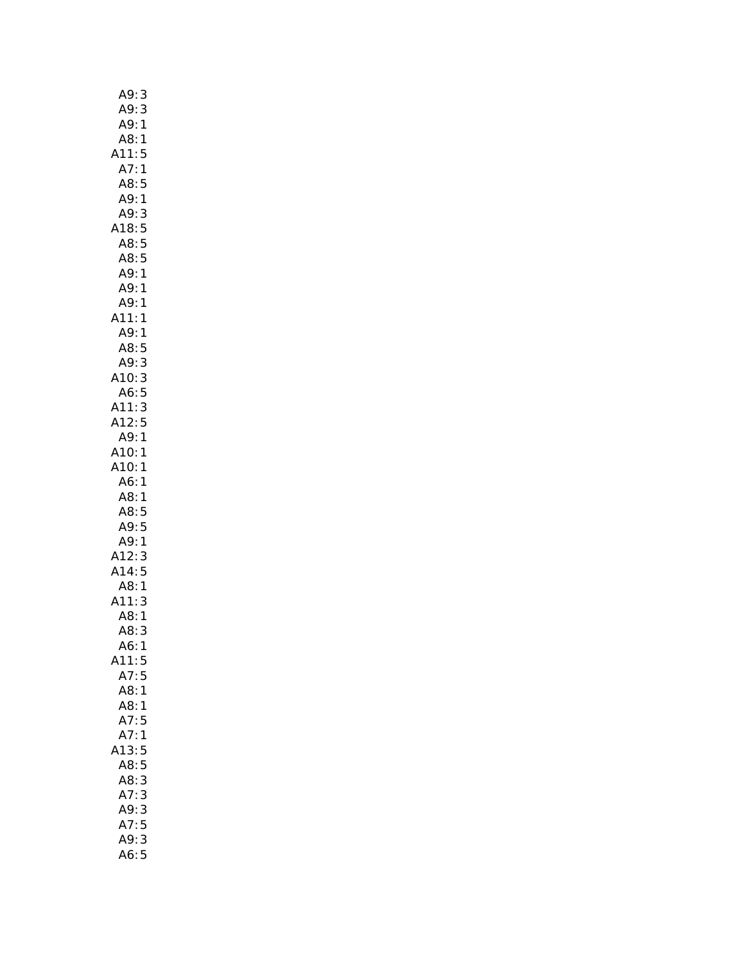| A9:<br>3                                                |  |
|---------------------------------------------------------|--|
| A9:<br>3                                                |  |
| $\mathbf{1}$<br>A9:                                     |  |
| A8:1                                                    |  |
| A11:<br>5                                               |  |
| A7:<br>$\mathbf{1}$                                     |  |
| A8:5                                                    |  |
| A9:<br>$\mathbf{1}$                                     |  |
| 3<br>A9:                                                |  |
| A18:5                                                   |  |
| A8:5                                                    |  |
| A8:5<br>A9:1                                            |  |
|                                                         |  |
| A9:1                                                    |  |
| A9:<br>1                                                |  |
| A11:<br>1                                               |  |
| A9:<br>1                                                |  |
| A8:<br>5                                                |  |
| A9:<br>3                                                |  |
| A10:3                                                   |  |
| A6:5                                                    |  |
| A11:3                                                   |  |
| A12:5                                                   |  |
| A9:<br>$\mathbf{1}$                                     |  |
| A10:1                                                   |  |
| A10:<br>1                                               |  |
|                                                         |  |
| A6:<br>1                                                |  |
| A8:1                                                    |  |
| A8:<br>5                                                |  |
|                                                         |  |
| A9:5                                                    |  |
|                                                         |  |
| 49:1<br>3:84 A<br>A14:                                  |  |
| A8:                                                     |  |
| $\begin{array}{c} 3 \\ 5 \\ 1 \end{array}$<br>A11:<br>3 |  |
| A8:1                                                    |  |
| A8:<br>3                                                |  |
| A6:<br>$\mathbf{1}$                                     |  |
| A11:<br>5                                               |  |
| 5<br>A7:                                                |  |
| A8:<br>$\mathbf{1}$                                     |  |
| A8:<br>$\mathbf{1}$                                     |  |
| A7:<br>5                                                |  |
| A7:<br>1                                                |  |
| 5<br>13:                                                |  |
| 5<br>A8:                                                |  |
| A8:<br>3                                                |  |
| 3<br>A7:                                                |  |
| 3<br>A9:                                                |  |
| 5<br>A7:                                                |  |
| A9:<br>3<br>A6:5                                        |  |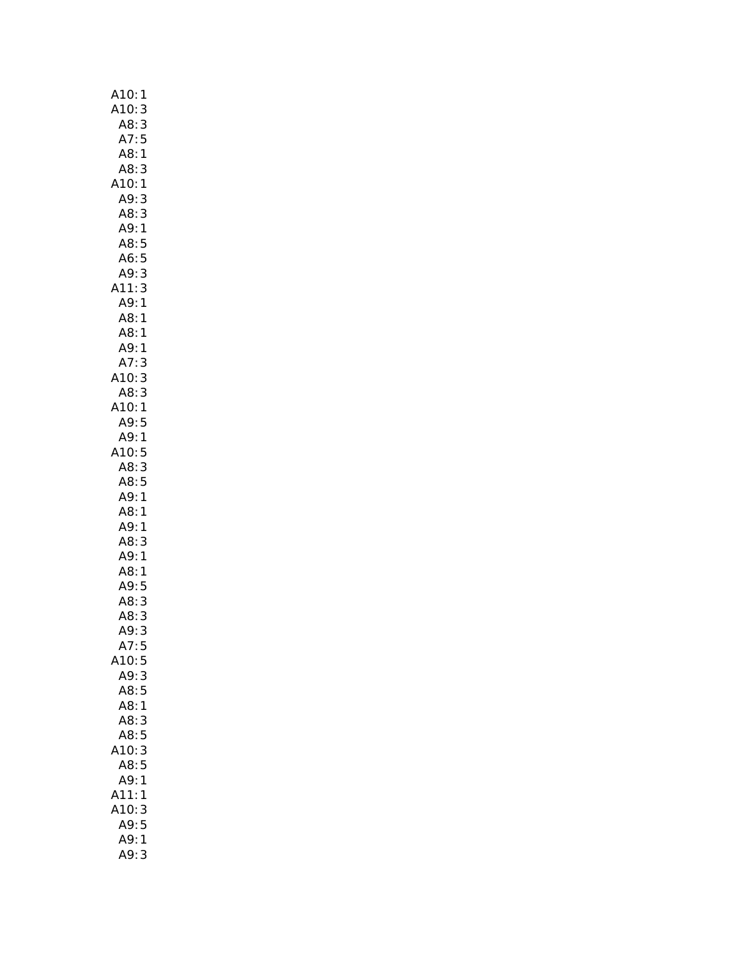| A10:<br>1                 |
|---------------------------|
| A10:<br>3                 |
| A8:<br>3                  |
| A7:<br>5                  |
| A8:<br>$\mathbf{1}$       |
| A8:3                      |
| A10:1                     |
| 3<br>A9:                  |
| A8:<br>3                  |
| A9:1                      |
| A8:5                      |
| A6:5                      |
| A9:3                      |
| A11:3                     |
| A9:1                      |
| A8:1                      |
| A8:                       |
| $\mathbf{1}$<br>.<br>A9:1 |
|                           |
| A7:<br>3                  |
| A10:<br>3                 |
| A8: 3                     |
| A10:1                     |
| A9:5                      |
| A9:1                      |
| A10:5                     |
| A8:3                      |
| A8:5                      |
| A9:1                      |
| A8:1                      |
| A9:1                      |
| A8:<br>3                  |
| A9:1                      |
| A8:1                      |
| A9:5                      |
| A8:<br>3                  |
| A8:<br>3                  |
| A9:<br>3                  |
| A7:<br>5                  |
| A10:5                     |
| A9:3                      |
| A8:5                      |
| A8:1                      |
| A8:<br>3                  |
| A8:5                      |
| 3<br>10:                  |
| A8:5                      |
| A9:<br>1                  |
| A11:<br>1                 |
| A10:<br>3                 |
| A9:5                      |
| A9:<br>1                  |
| A9:<br>3                  |
|                           |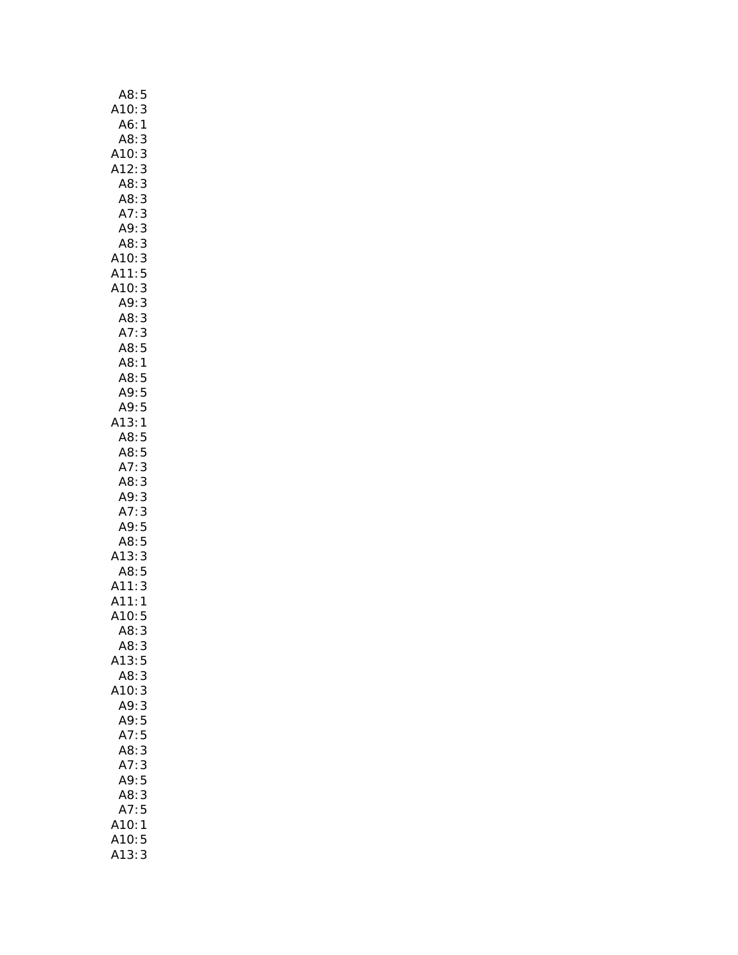| A8:<br>5                                           |
|----------------------------------------------------|
| A10:<br>3                                          |
| A6:<br>$\mathbf{1}$                                |
| A8:<br>3                                           |
| 3                                                  |
| A10:<br>A12:<br>3                                  |
| A8:                                                |
| 3                                                  |
| 3<br>A8:                                           |
| A7:<br>3                                           |
| 3<br>A9:                                           |
| 33533351<br>A8:                                    |
| A10:                                               |
| .<br>A11:<br>A10:                                  |
|                                                    |
| A9:                                                |
| A8:<br>A7:                                         |
|                                                    |
| A,<br>A8:5<br>A8:1<br>A8:5<br>A9:5<br>9:5          |
|                                                    |
|                                                    |
|                                                    |
|                                                    |
|                                                    |
| (13)<br>$\mathbf{1}$                               |
| A8:5                                               |
| A8:5<br>A7:3                                       |
|                                                    |
|                                                    |
|                                                    |
|                                                    |
|                                                    |
|                                                    |
|                                                    |
| Ar: 3<br>A8: 3<br>A9: 3<br>A7: 3<br>A8: 5<br>A8: 5 |
| (13)                                               |
| A8:                                                |
| $\frac{3}{5}$                                      |
| $\mathbf{1}$                                       |
| A11:<br>A11:<br>A10:<br>5                          |
| 3<br>A8:                                           |
| A8:<br>3                                           |
| A13:<br>5                                          |
| A8:                                                |
| 3                                                  |
| 3<br>A10:<br>A9:                                   |
| 3                                                  |
| A9:5                                               |
| A7:5                                               |
| 3<br>A8:                                           |
| A7:<br>3                                           |
| A9:5                                               |
| A8:<br>3                                           |
| A7:5                                               |
| A10:1                                              |
| A10:<br>5<br>3                                     |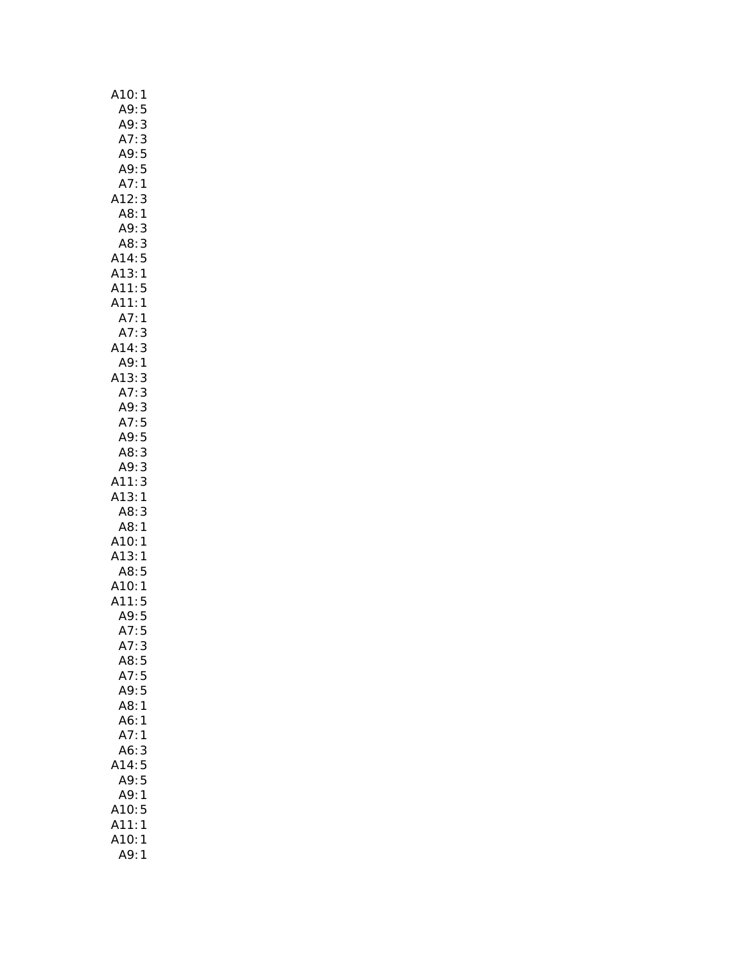| A10:<br>1                                                                                       |
|-------------------------------------------------------------------------------------------------|
|                                                                                                 |
|                                                                                                 |
| A9:5<br>A9:3<br>A7:3<br>A9:5<br>A9:5<br>A8:1<br>A8:3<br>A8:3                                    |
|                                                                                                 |
|                                                                                                 |
|                                                                                                 |
|                                                                                                 |
| 313351                                                                                          |
|                                                                                                 |
|                                                                                                 |
|                                                                                                 |
| A14:5<br>A13:1<br>A11:5<br>A11:1<br>A7:1<br>A7:3<br>A14:3<br>A9:1                               |
|                                                                                                 |
|                                                                                                 |
|                                                                                                 |
|                                                                                                 |
|                                                                                                 |
|                                                                                                 |
|                                                                                                 |
|                                                                                                 |
|                                                                                                 |
|                                                                                                 |
|                                                                                                 |
| A13:3<br>A7:3<br>A9:3<br>A7:5<br>A7:5<br>A9:5<br>A8:3<br>A11:3<br>A13:1<br>A8:1<br>A8:1<br>A8:1 |
|                                                                                                 |
| A8: 3<br>A9: 3<br>A11: 3<br>A13: 1<br>A8: 3<br>A8: 1<br>A13: 1<br>A13: 1                        |
|                                                                                                 |
|                                                                                                 |
|                                                                                                 |
|                                                                                                 |
|                                                                                                 |
|                                                                                                 |
|                                                                                                 |
| A13.<br>A8:5<br>A10:1<br>A11:5<br>A9:5                                                          |
|                                                                                                 |
|                                                                                                 |
|                                                                                                 |
|                                                                                                 |
| A7:<br>5                                                                                        |
| A7:3                                                                                            |
| A8:5                                                                                            |
| A7:5                                                                                            |
| 5<br>A9:                                                                                        |
| A8:<br>1                                                                                        |
| A6:<br>1                                                                                        |
| A7:<br>1                                                                                        |
| A6:<br>3                                                                                        |
| A14:                                                                                            |
| $\frac{5}{5}$                                                                                   |
| A9:                                                                                             |
| A9:<br>$\mathbf{1}$                                                                             |
| A10:<br>5                                                                                       |
| A11:<br>1                                                                                       |
| A10:<br>1                                                                                       |
| A9:<br>1                                                                                        |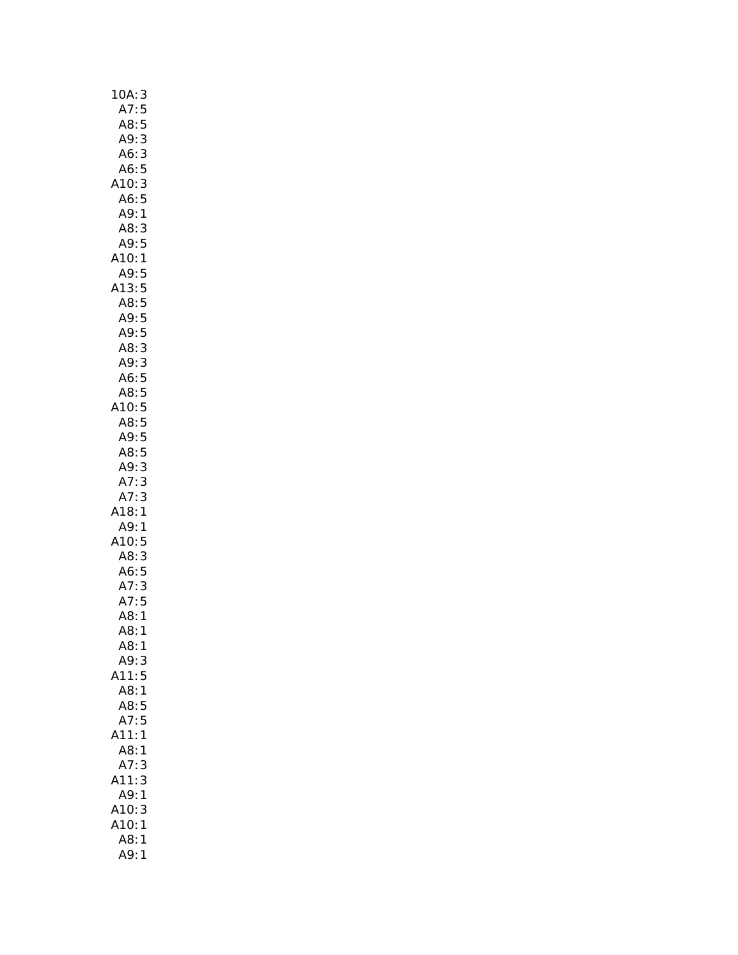| 10A<br>3                 |
|--------------------------|
| 5<br>A7:                 |
| A8:<br>5                 |
| A9:<br>3                 |
| 3<br>A6:                 |
| A6:5                     |
| 3<br>A10:                |
| A6:5                     |
| A9:1                     |
| A8:<br>3                 |
| A9:<br>5                 |
| A10:<br>$\mathbf{1}$     |
| A9:5                     |
| A13:5                    |
| A8:5                     |
| Au. 5<br>A9: 5<br>A9: 5  |
|                          |
| A8:3                     |
| A9:3                     |
|                          |
| ი6:5<br>A8:5<br>1Ր       |
| A10:5                    |
| A8:5                     |
| A9:5                     |
| A8:5                     |
| A9:<br>3                 |
| 3<br>3<br>$A^7$ :<br>A7: |
| A18:<br>1                |
| $A9$ :<br>1              |
| A10:5                    |
| A8:3                     |
| A6:5                     |
|                          |
|                          |
| A7: 3<br>A7: 5<br>A8: 1  |
| A8:<br>1                 |
| A8:1                     |
| A9:<br>3                 |
| A11:5                    |
| A8:<br>$\overline{1}$    |
| 5<br>A8:                 |
| A7:<br>5                 |
| A11:<br>1                |
| A8:<br>1                 |
| A7:<br>3                 |
| A11:<br>3                |
| A9:<br>1                 |
| A10:<br>3                |
| A10:<br>1                |
| A8:<br>1                 |
| A9:<br>1                 |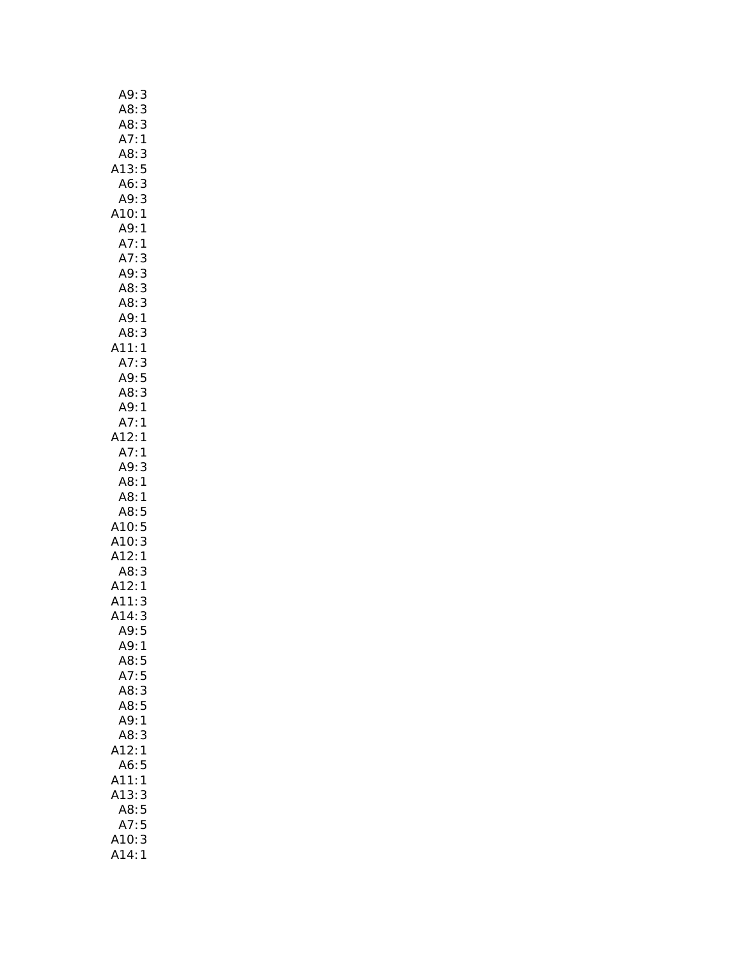| A9:                                                    | 3                                     |
|--------------------------------------------------------|---------------------------------------|
| A8:                                                    | 3                                     |
| A8:                                                    |                                       |
| A7:                                                    | $\begin{array}{c} 3 \\ 1 \end{array}$ |
| A8:3                                                   |                                       |
| A13:5                                                  |                                       |
| A6:3                                                   |                                       |
| A9:3                                                   |                                       |
| A10:1                                                  |                                       |
| A9:1                                                   |                                       |
|                                                        |                                       |
| A7:1<br>A7:3<br>A9:3                                   |                                       |
|                                                        | $\begin{array}{c} 3 \\ 3 \end{array}$ |
| A8:                                                    |                                       |
| $A8$ :                                                 | $\begin{array}{c} 3 \\ 1 \end{array}$ |
| A9:                                                    |                                       |
| A8:                                                    |                                       |
| A11:                                                   | $\begin{array}{c} 3 \\ 1 \end{array}$ |
|                                                        |                                       |
| A7: 3<br>A9: 5                                         |                                       |
| A8:3                                                   |                                       |
| A9:1                                                   |                                       |
| A7:1                                                   |                                       |
| A12:1                                                  |                                       |
| A7:1                                                   |                                       |
| A9:                                                    | 3                                     |
| A8:                                                    | 1                                     |
| A8:                                                    | 1                                     |
| A8:                                                    | 5                                     |
| Ao. J<br>A10: 5<br>A10: 3<br>A12: 1<br>A8: 3<br>A12: 1 |                                       |
|                                                        |                                       |
|                                                        |                                       |
|                                                        |                                       |
|                                                        |                                       |
| A12:<br>A11:                                           | 3                                     |
| A14:                                                   | 3                                     |
| A9:                                                    | 5                                     |
| A9:                                                    | 1                                     |
| A8:                                                    | 5                                     |
| A7:                                                    | 5                                     |
| A8:                                                    | 3                                     |
| A8:5                                                   |                                       |
| A9:1                                                   |                                       |
| A8:                                                    | 3                                     |
| 12:                                                    | 1                                     |
| A6:                                                    | 5                                     |
| A11:                                                   | 1                                     |
| A13:                                                   | 3                                     |
| A8:                                                    | 5                                     |
| A7:                                                    | 5                                     |
| A10:                                                   | 3                                     |
| 414:                                                   | 1                                     |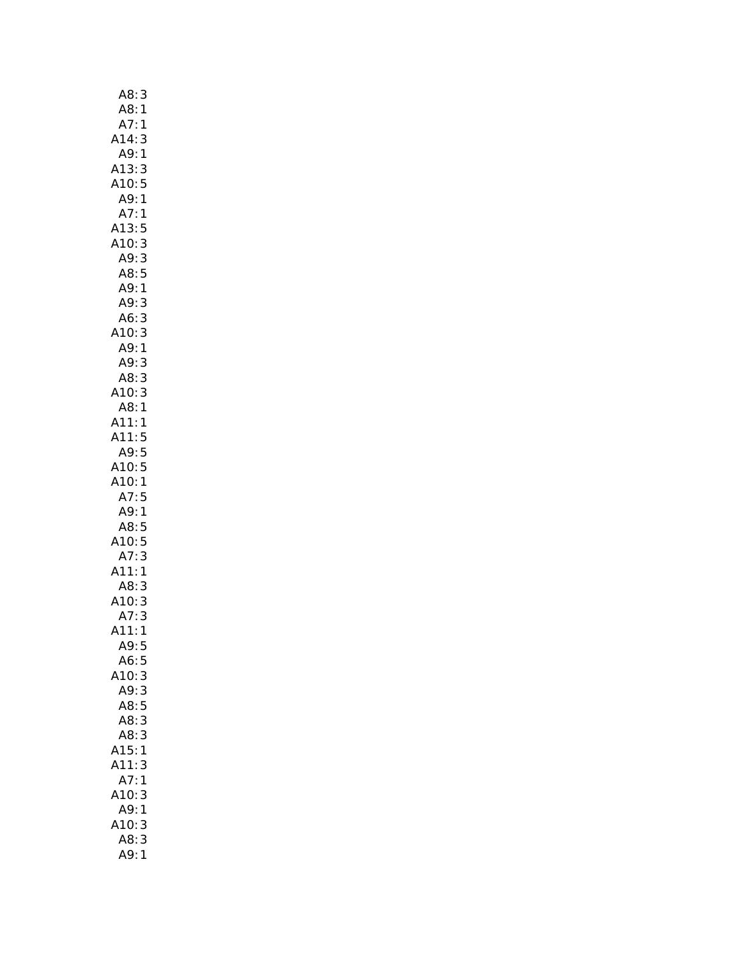| A8:<br>3                            |  |
|-------------------------------------|--|
| .<br>A8:1                           |  |
| $\overline{\mathbf{1}}$<br>A7:      |  |
| A14:<br>3                           |  |
| A9:1                                |  |
|                                     |  |
|                                     |  |
| A13:3<br>A10:5<br>A9:1              |  |
| A7:1                                |  |
| A13:<br>5                           |  |
| A10:3                               |  |
| 3<br>A9:                            |  |
| A8:5                                |  |
| A9:1                                |  |
| A9:3                                |  |
| 3<br>A6:                            |  |
| A10:                                |  |
| 3<br>1<br>A9:                       |  |
| A9:                                 |  |
| $\frac{3}{3}$<br>A8:                |  |
| 3                                   |  |
| A10:<br>A10:<br>A8:<br>$\mathbf{1}$ |  |
| A11:<br>$\mathbf{1}$                |  |
| A11:<br>5                           |  |
| A9:5                                |  |
|                                     |  |
|                                     |  |
| A10:5                               |  |
| A10:<br>$\mathbf{1}$                |  |
| A7:5                                |  |
| A9:<br>$\mathbf{1}$                 |  |
| A8:5                                |  |
| A10:5                               |  |
| A7:<br>3                            |  |
| A11:1                               |  |
| A8:3                                |  |
| A10:3                               |  |
| 3<br>A7:                            |  |
| 411:1                               |  |
| A9:5                                |  |
| A6:<br>5                            |  |
| 3                                   |  |
| A10:<br>A9:3                        |  |
| A8:<br>5                            |  |
| A8:3                                |  |
| A8:3                                |  |
| A15:1                               |  |
| A11:<br>3                           |  |
|                                     |  |
| A7:1                                |  |
| A10:3                               |  |
| A9:1                                |  |
| A10:3<br>A8:3                       |  |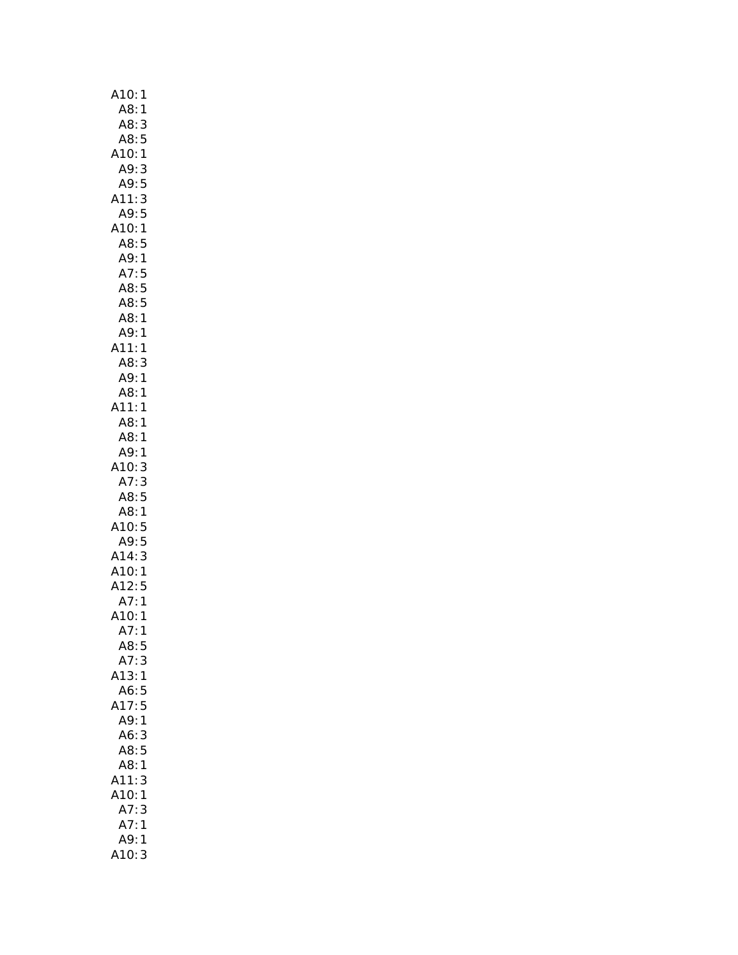| A10:<br>1                                         |
|---------------------------------------------------|
| A8:1                                              |
| A8:<br>3                                          |
| A8:<br>5                                          |
| A10:1                                             |
| A9:<br>3                                          |
|                                                   |
| A9:5                                              |
| 3<br>A11:                                         |
| A9:<br>5                                          |
| A10:1                                             |
| A8:5                                              |
| A9:<br>$\mathbf{1}$                               |
| A7:<br>5                                          |
| $\begin{array}{c} 5 \\ 5 \\ 1 \end{array}$<br>A8: |
| A8:                                               |
| A8:                                               |
| $A9$ :<br>$\mathbf{1}$                            |
| A11:                                              |
| 1                                                 |
| A8:<br>3                                          |
| A9:1                                              |
| A8:1                                              |
| A11:<br>$\mathbf{1}$                              |
| A8: 1                                             |
| A8:1                                              |
| A9:1                                              |
| 10:<br>3                                          |
| A7:<br>3                                          |
| A8:<br>5                                          |
| A8:<br>1                                          |
| 10:5                                              |
|                                                   |
| A9:<br>$\frac{5}{3}$                              |
| A14:<br>A10:                                      |
| $\mathbf{1}$                                      |
| A12:5                                             |
| A7:<br>1                                          |
| A10:<br>1                                         |
| A7:<br>ı                                          |
| A8:5                                              |
| A7:<br>3                                          |
| A13:1                                             |
| A6:5                                              |
|                                                   |
| 417:5                                             |
| A9:1                                              |
| 3<br>A6:                                          |
| A8:5                                              |
| A8:<br>1                                          |
| A11:<br>3                                         |
| A10:<br>1                                         |
| A7:<br>3                                          |
| A7:<br>$\mathbf{1}$                               |
| A9:<br>1                                          |
| A10:3                                             |
|                                                   |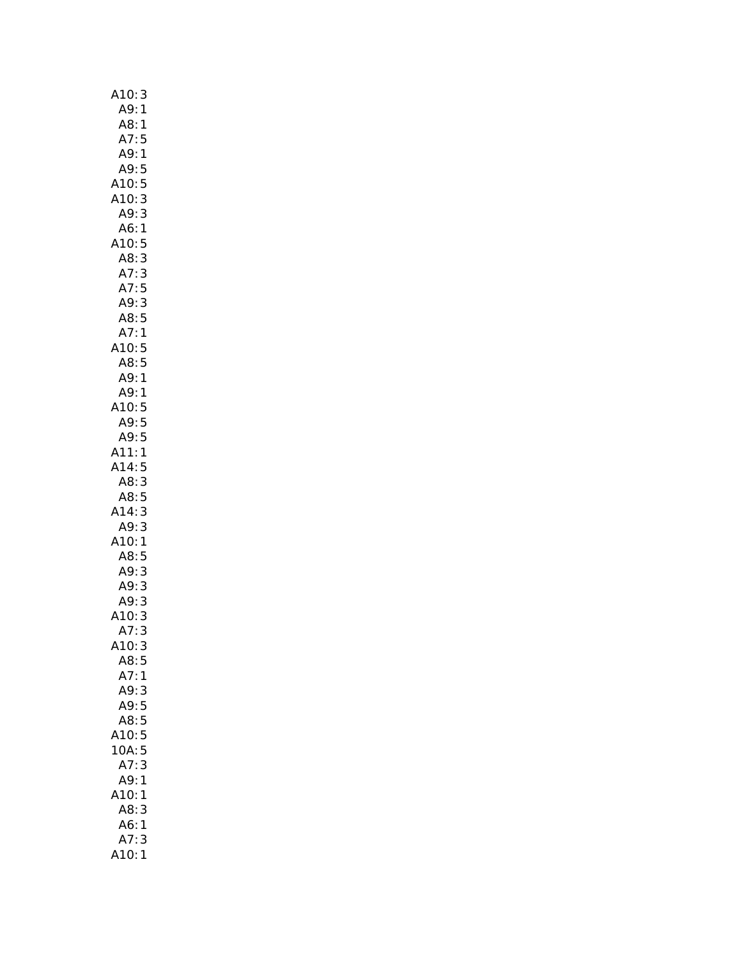| A10: 3                       |  |
|------------------------------|--|
| A9:1                         |  |
| A8:1                         |  |
| A7:<br>5                     |  |
| A9:1                         |  |
| A9:5                         |  |
| A10:5                        |  |
| 3<br>A10:                    |  |
| A9:<br>3                     |  |
| A6:<br>1                     |  |
| A10:<br>5                    |  |
| A8:<br>3                     |  |
| $\frac{3}{5}$<br>A7:         |  |
| A7:                          |  |
| A9:3                         |  |
| A8:5                         |  |
| A7:<br>$\mathbf{1}$<br>A10:5 |  |
|                              |  |
| A8:5<br>A9:1                 |  |
| A9: 1                        |  |
| A10:5                        |  |
| A9:5                         |  |
| A9:5                         |  |
| A11:<br>$\mathbf{1}$         |  |
| A14:<br>5                    |  |
| A8:<br>3                     |  |
| A8:5                         |  |
| 3<br>A14:                    |  |
| 3<br>A9:                     |  |
| A10:<br>$\mathbf{1}$         |  |
| A8:5                         |  |
| A9:<br>3                     |  |
| A9:<br>3                     |  |
| A9:<br>3                     |  |
| A10:3                        |  |
| A7:<br>3                     |  |
| A10:3                        |  |
| A8:5                         |  |
| A7:1                         |  |
| A9:<br>3<br>5                |  |
| A9:                          |  |
| 5<br>A8:<br>A10:<br>5        |  |
| 10A<br>5                     |  |
| 3<br>A7:                     |  |
| A9:<br>1                     |  |
| A10:<br>1                    |  |
| A8:<br>3                     |  |
| A6:<br>1                     |  |
| A7:<br>3                     |  |
| A10:1                        |  |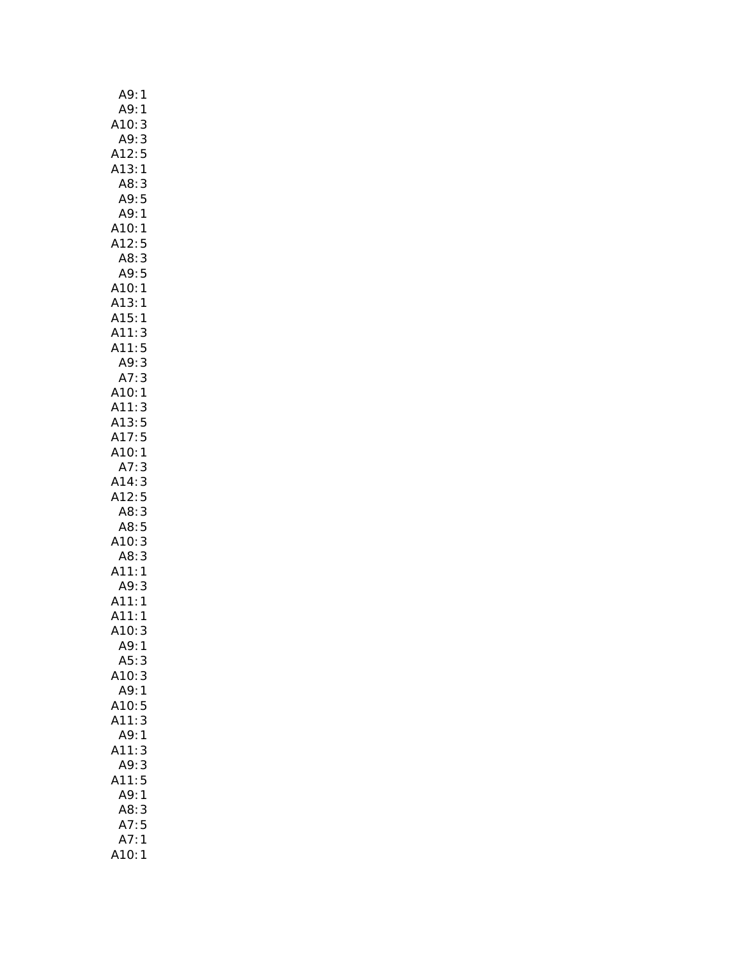| A9:<br>1                                                  |
|-----------------------------------------------------------|
| A9:<br>1                                                  |
| A10:<br>A9:<br>3                                          |
| 3                                                         |
| A12:<br>5                                                 |
| A13:1                                                     |
|                                                           |
| AB:3                                                      |
| A9:5                                                      |
| A9:<br>1                                                  |
| A10:1                                                     |
| A12:<br>5                                                 |
| AB:3                                                      |
| A9:5                                                      |
| A10:1                                                     |
| A13:<br>1                                                 |
| A15:<br>1                                                 |
|                                                           |
|                                                           |
| A11:3<br>A11:5<br>A9:3                                    |
| A9:<br>A7:                                                |
| 3                                                         |
| A10:1<br>A11:3<br>A13:5                                   |
|                                                           |
|                                                           |
| A17:5                                                     |
| A10:1                                                     |
| A7:<br>3                                                  |
| A14:3                                                     |
| A12:5                                                     |
|                                                           |
| A8:3                                                      |
| A8:5                                                      |
|                                                           |
|                                                           |
|                                                           |
|                                                           |
|                                                           |
|                                                           |
|                                                           |
|                                                           |
|                                                           |
| A10:3<br>A8:3<br>A11:1<br>A11:1<br>A11:1<br>A10:3<br>A9:1 |
| A5:3                                                      |
| A10:3                                                     |
| A9:1                                                      |
| 5<br>A10:                                                 |
| A11:3                                                     |
| A9:1                                                      |
| A11:<br>3                                                 |
| A9:3                                                      |
|                                                           |
| A11:5                                                     |
| A9:1                                                      |
| A8:<br>3                                                  |
| A7:5                                                      |
| A7:<br>1<br>110:1                                         |